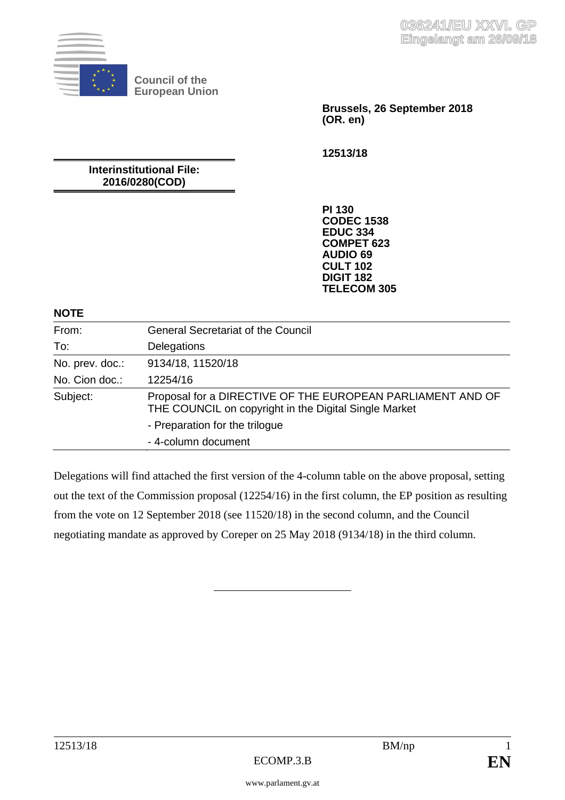

**Council of the European Union** 

> **Brussels, 26 September 2018 (OR. en)**

**12513/18** 

**Interinstitutional File: 2016/0280(COD)** 

> **PI 130 CODEC 1538 EDUC 334 COMPET 623 AUDIO 69 CULT 102 DIGIT 182 TELECOM 305**

### **NOTE**

| From:           | <b>General Secretariat of the Council</b>                                                                           |
|-----------------|---------------------------------------------------------------------------------------------------------------------|
|                 |                                                                                                                     |
| To:             | Delegations                                                                                                         |
| No. prev. doc.: | 9134/18, 11520/18                                                                                                   |
| No. Cion doc.:  | 12254/16                                                                                                            |
| Subject:        | Proposal for a DIRECTIVE OF THE EUROPEAN PARLIAMENT AND OF<br>THE COUNCIL on copyright in the Digital Single Market |
|                 | - Preparation for the trilogue                                                                                      |
|                 | - 4-column document                                                                                                 |

Delegations will find attached the first version of the 4-column table on the above proposal, setting out the text of the Commission proposal (12254/16) in the first column, the EP position as resulting from the vote on 12 September 2018 (see 11520/18) in the second column, and the Council negotiating mandate as approved by Coreper on 25 May 2018 (9134/18) in the third column.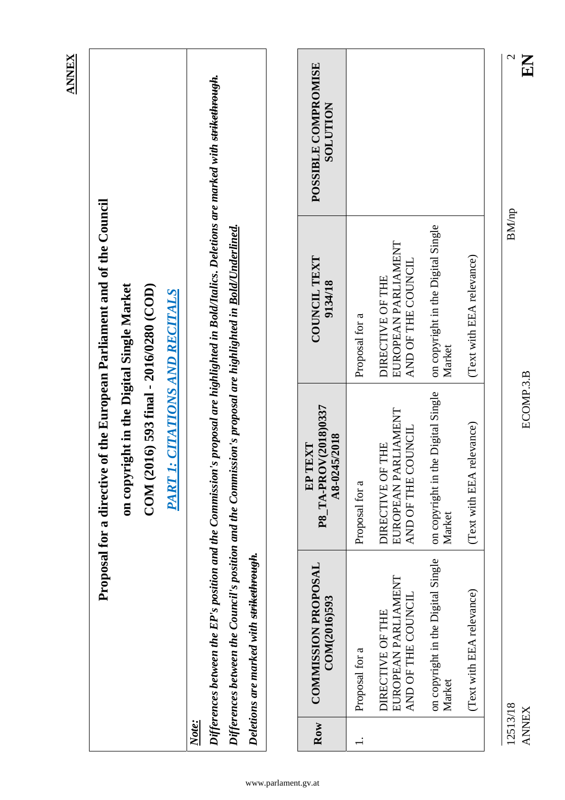|       |                                                                                                                                                                                                                                                                                  |                                                               |                                                                        | <b>ANNEX</b>                            |
|-------|----------------------------------------------------------------------------------------------------------------------------------------------------------------------------------------------------------------------------------------------------------------------------------|---------------------------------------------------------------|------------------------------------------------------------------------|-----------------------------------------|
|       |                                                                                                                                                                                                                                                                                  |                                                               | Proposal for a directive of the European Parliament and of the Council |                                         |
|       |                                                                                                                                                                                                                                                                                  | on copyright in the Digital Single Market                     |                                                                        |                                         |
|       |                                                                                                                                                                                                                                                                                  | $CON(2016)$ 593 final - 2016/0280 (COD)                       |                                                                        |                                         |
|       |                                                                                                                                                                                                                                                                                  | <b>PART 1: CITATIONS AND RECITALS</b>                         |                                                                        |                                         |
| Note: |                                                                                                                                                                                                                                                                                  |                                                               |                                                                        |                                         |
|       | Differences between the EP's position and the Commission's proposal are highlighted in Bold/Italics. Deletions are marked with <del>strikethrough</del> .<br>Differences between the Council's position and the Commission's proposal are highlighted in <u>Bold/Underlined.</u> |                                                               |                                                                        |                                         |
|       | Deletions are marked with strikethrough.                                                                                                                                                                                                                                         |                                                               |                                                                        |                                         |
|       |                                                                                                                                                                                                                                                                                  |                                                               |                                                                        |                                         |
| Row   | <b>COMMISSION PROPOSAL</b><br>COM(2016)593                                                                                                                                                                                                                                       | P8_TA-PROV(2018)0337<br>A8-0245/2018<br>EP TEXT               | <b>COUNCIL TEXT</b><br>9134/18                                         | POSSIBLE COMPROMISE<br><b>NOILUTION</b> |
|       | Proposal for a                                                                                                                                                                                                                                                                   | Proposal for a                                                | Proposal for a                                                         |                                         |
|       | EUROPEAN PARLIAMENT<br>AND OF THE COUNCIL<br>DIRECTIVE OF THE                                                                                                                                                                                                                    | EUROPEAN PARLIAMENT<br>AND OF THE COUNCIL<br>DIRECTIVE OF THE | EUROPEAN PARLIAMENT<br>AND OF THE COUNCIL<br>DIRECTIVE OF THE          |                                         |
|       | on copyright in the Digital Single<br>Market                                                                                                                                                                                                                                     | on copyright in the Digital Single<br>Market                  | on copyright in the Digital Single<br>Market                           |                                         |
|       | (Text with EEA relevance)                                                                                                                                                                                                                                                        | relevance)<br>(Text with EEA                                  | (Text with EEA relevance)                                              |                                         |
|       | 12513/18                                                                                                                                                                                                                                                                         |                                                               | <b>BM/np</b>                                                           | $\mathbf{C}$                            |

ANNEX ECOMP.3.B **EN**

ECOMP.3.B

**ANNEX** 

EN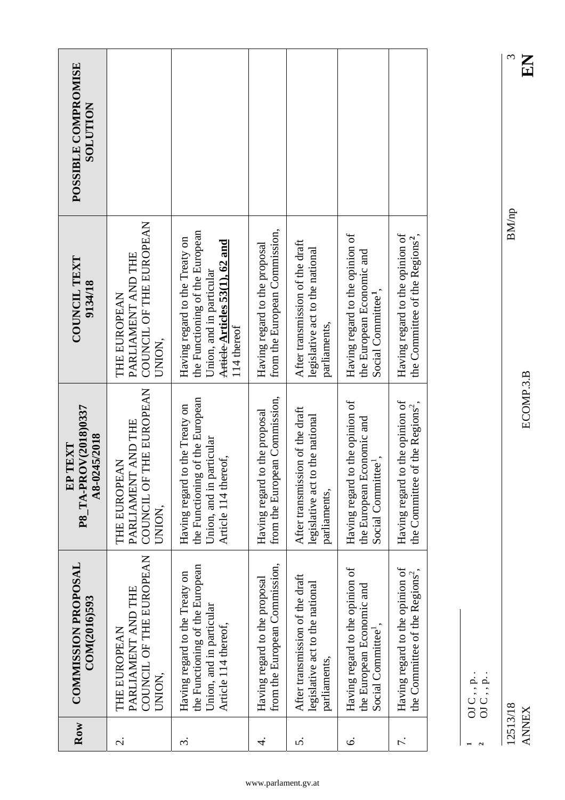| THE EUROPEAN                                                                                                               | 9134/18<br>THE EUROPEAN                                                                                                                        |
|----------------------------------------------------------------------------------------------------------------------------|------------------------------------------------------------------------------------------------------------------------------------------------|
| THE EUROPEAN<br><b>TAND THE</b><br>PARLIAMENT<br>COUNCIL OF<br>UNION,<br>COUNCIL OF THE EUROPEAN                           | COUNCIL OF THE EUROPEAN<br>PARLIAMENT AND THE<br>UNION,                                                                                        |
| the Functioning of the European<br>to the Treaty on<br>Union, and in particular<br>Article 114 thereof,<br>Having regard t | the Functioning of the European<br>Having regard to the Treaty on<br>Article Articles 53(1), 62 and<br>Union, and in particular<br>114 thereof |
| from the European Commission,<br>to the proposal<br>Having regard t                                                        | from the European Commission,<br>Having regard to the proposal                                                                                 |
| After transmission of the draft<br>legislative act to the national<br>parliaments,                                         | After transmission of the draft<br>legislative act to the national<br>parliaments,                                                             |
| Having regard to the opinion of<br>the European Economic and<br>Social Committee <sup>1</sup> ,                            | Having regard to the opinion of<br>the European Economic and<br>Social Committee <sup>1</sup> ,                                                |
| to the opinion of<br>of the Regions <sup>2</sup> ,<br>Having regard t<br>the Committee                                     | Having regard to the opinion of<br>the Committee of the Regions <sup>2</sup> ,                                                                 |

12513/18 BM/np 12513/18<br>ANNEX

**1** OJ C , , p. . **2** OJ C , , p. .

 $\begin{array}{c} 1 \\ 2 \end{array}$ 

OIC, ,  $p$ .<br>OIC, ,  $p$ .

 $E^{\text{N}}$ 

 $\rm BM/np$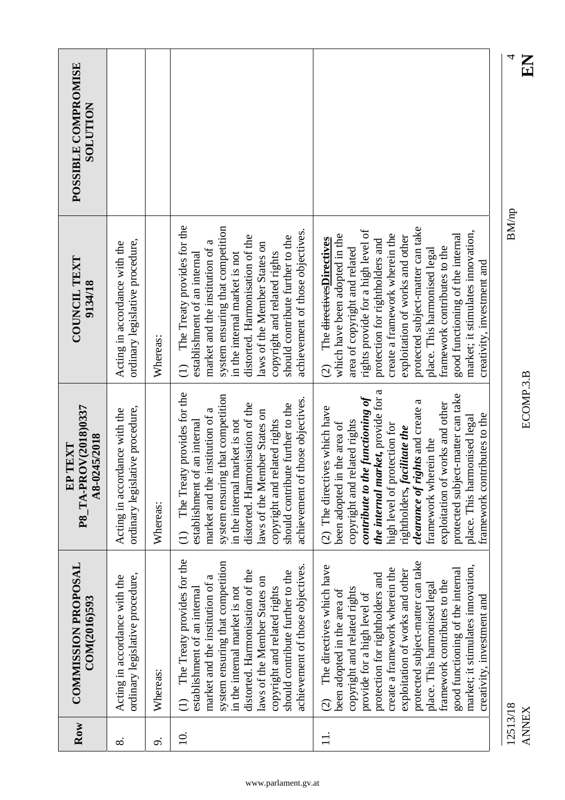| Row               | <b>COMMISSION PROPOSAL</b><br>COM(2016)593                                                                                                                                                                                                                                                                                                                                                                                                                   | P8_TA-PROV(2018)0337<br>A8-0245/2018<br>EP TEXT                                                                                                                                                                                                                                                                                                                                                                                             | COUNCIL TEXT<br>9134/18                                                                                                                                                                                                                                                                                                                                                                                                                                                           | POSSIBLE COMPROMISE<br><b>NOLLLTON</b> |
|-------------------|--------------------------------------------------------------------------------------------------------------------------------------------------------------------------------------------------------------------------------------------------------------------------------------------------------------------------------------------------------------------------------------------------------------------------------------------------------------|---------------------------------------------------------------------------------------------------------------------------------------------------------------------------------------------------------------------------------------------------------------------------------------------------------------------------------------------------------------------------------------------------------------------------------------------|-----------------------------------------------------------------------------------------------------------------------------------------------------------------------------------------------------------------------------------------------------------------------------------------------------------------------------------------------------------------------------------------------------------------------------------------------------------------------------------|----------------------------------------|
| $\infty$          | ordinary legislative procedure,<br>Acting in accordance with the                                                                                                                                                                                                                                                                                                                                                                                             | ordinary legislative procedure,<br>Acting in accordance with the                                                                                                                                                                                                                                                                                                                                                                            | ordinary legislative procedure,<br>Acting in accordance with the                                                                                                                                                                                                                                                                                                                                                                                                                  |                                        |
| o.                | Whereas:                                                                                                                                                                                                                                                                                                                                                                                                                                                     | Whereas:                                                                                                                                                                                                                                                                                                                                                                                                                                    | Whereas:                                                                                                                                                                                                                                                                                                                                                                                                                                                                          |                                        |
| $\overline{10}$ . | The Treaty provides for the<br>system ensuring that competition<br>achievement of those objectives.<br>distorted. Harmonisation of the<br>should contribute further to the<br>market and the institution of a<br>laws of the Member States on<br>in the internal market is not<br>copyright and related rights<br>establishment of an internal<br>$\widehat{C}$                                                                                              | The Treaty provides for the<br>system ensuring that competition<br>achievement of those objectives.<br>distorted. Harmonisation of the<br>should contribute further to the<br>market and the institution of a<br>laws of the Member States on<br>copyright and related rights<br>in the internal market is not<br>establishment of an internal<br>$\widehat{\cup}$                                                                          | The Treaty provides for the<br>system ensuring that competition<br>achievement of those objectives.<br>distorted. Harmonisation of the<br>should contribute further to the<br>market and the institution of a<br>laws of the Member States on<br>in the internal market is not<br>copyright and related rights<br>establishment of an internal<br>$\widehat{\cup}$                                                                                                                |                                        |
| $\exists$         | protected subject-matter can take<br>The directives which have<br>market; it stimulates innovation,<br>create a framework wherein the<br>good functioning of the internal<br>exploitation of works and other<br>protection for rightholders and<br>framework contributes to the<br>place. This harmonised legal<br>copyright and related rights<br>been adopted in the area of<br>provide for a high level of<br>creativity, investment and<br>$\widehat{c}$ | the internal market, provide for a<br>protected subject-matter can take<br>contribute to the functioning of<br>clearance of rights and create a<br>exploitation of works and other<br>(2) The directives which have<br>framework contributes to the<br>place. This harmonised legal<br>copyright and related rights<br>been adopted in the area of<br>high level of protection for<br>rightholders, facilitate the<br>framework wherein the | protected subject-matter can take<br>rights provide for a high level of<br>market; it stimulates innovation,<br>create a framework wherein the<br>good functioning of the internal<br>which have been adopted in the<br>exploitation of works and other<br>The <del>directivesDirectives</del><br>protection for rightholders and<br>framework contributes to the<br>area of copyright and related<br>place. This harmonised legal<br>creativity, investment and<br>$\widehat{C}$ |                                        |
|                   |                                                                                                                                                                                                                                                                                                                                                                                                                                                              |                                                                                                                                                                                                                                                                                                                                                                                                                                             |                                                                                                                                                                                                                                                                                                                                                                                                                                                                                   |                                        |
| 12513/18          |                                                                                                                                                                                                                                                                                                                                                                                                                                                              |                                                                                                                                                                                                                                                                                                                                                                                                                                             | <b>BM/np</b>                                                                                                                                                                                                                                                                                                                                                                                                                                                                      | 4                                      |
| <b>ANNEX</b>      |                                                                                                                                                                                                                                                                                                                                                                                                                                                              | ECOMP.3.B                                                                                                                                                                                                                                                                                                                                                                                                                                   |                                                                                                                                                                                                                                                                                                                                                                                                                                                                                   | EN                                     |

## www.parlament.gv.at

 $\sum_{t}$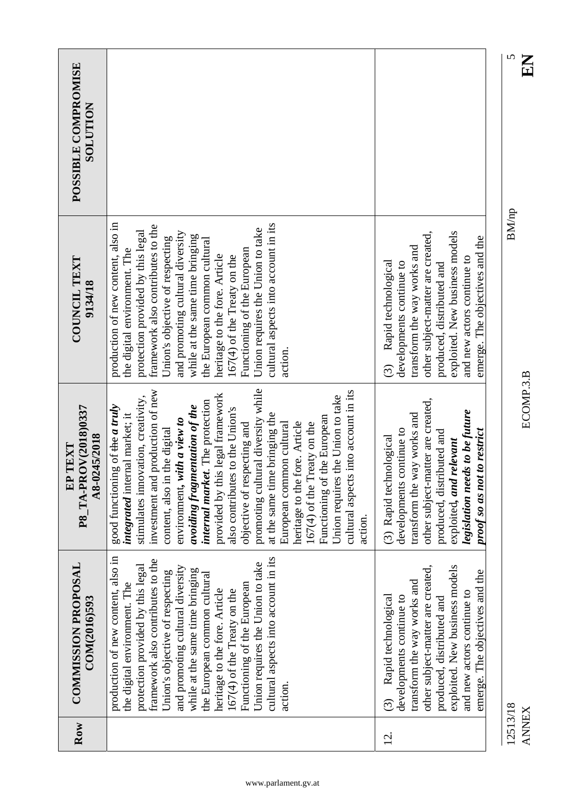|                                                    |                                                                                                                                                                                                                                                                                                                                                                                                                                                                                                                                                                                                                                                                                              |                                                                                                                                                                                                                                                                     | 5<br>KN                  |
|----------------------------------------------------|----------------------------------------------------------------------------------------------------------------------------------------------------------------------------------------------------------------------------------------------------------------------------------------------------------------------------------------------------------------------------------------------------------------------------------------------------------------------------------------------------------------------------------------------------------------------------------------------------------------------------------------------------------------------------------------------|---------------------------------------------------------------------------------------------------------------------------------------------------------------------------------------------------------------------------------------------------------------------|--------------------------|
| POSSIBLE COMPROMISE<br><b>NOLLTION</b>             |                                                                                                                                                                                                                                                                                                                                                                                                                                                                                                                                                                                                                                                                                              |                                                                                                                                                                                                                                                                     |                          |
| COUNCIL TEXT<br>9134/18                            | production of new content, also in<br>cultural aspects into account in its<br>framework also contributes to the<br>Union requires the Union to take<br>protection provided by this legal<br>and promoting cultural diversity<br>while at the same time bringing<br>Union's objective of respecting<br>the European common cultural<br>Functioning of the European<br>the digital environment. The<br>heritage to the fore. Article<br>167(4) of the Treaty on the<br>action                                                                                                                                                                                                                  | other subject-matter are created,<br>exploited. New business models<br>emerge. The objectives and the<br>transform the way works and<br>and new actors continue to<br>Rapid technological<br>developments continue to<br>produced, distributed and<br>$\widehat{C}$ | <b>BM/np</b>             |
| P8_TA-PROV(2018)0337<br>A8-0245/2018<br>TEXT<br>EP | promoting cultural diversity while<br>production of new<br>cultural aspects into account in its<br>provided by this legal framework<br>Union requires the Union to take<br>stimulates innovation, creativity,<br>internal market. The protection<br>good functioning of the <i>a truly</i><br>avoiding fragmentation of the<br>also contributes to the Union's<br>integrated internal market; it<br>at the same time bringing the<br>the European<br>environment, with a view to<br>heritage to the fore. Article<br>European common cultural<br>$167(4)$ of the Treaty on the<br>objective of respecting and<br>content, also in the digital<br>Functioning of<br>investment and<br>action. | other subject-matter are created,<br>legislation needs to be future<br>transform the way works and<br>developments continue to<br>to restrict<br>produced, distributed and<br>(3) Rapid technological<br>exploited, and relevant<br>proof so as not                 | ECOMP.3.B                |
| <b>COMMISSION PROPOSAL</b><br>COM(2016)593         | production of new content, also in<br>cultural aspects into account in its<br>framework also contributes to the<br>Union requires the Union to take<br>protection provided by this legal<br>and promoting cultural diversity<br>while at the same time bringing<br>Union's objective of respecting<br>the European common cultural<br>Functioning of the European<br>the digital environment. The<br>heritage to the fore. Article<br>$167(4)$ of the Treaty on the<br>action                                                                                                                                                                                                                | other subject-matter are created,<br>exploited. New business models<br>emerge. The objectives and the<br>transform the way works and<br>and new actors continue to<br>Rapid technological<br>developments continue to<br>produced, distributed and<br>$\widehat{C}$ |                          |
| Row                                                |                                                                                                                                                                                                                                                                                                                                                                                                                                                                                                                                                                                                                                                                                              | $\overline{5}$                                                                                                                                                                                                                                                      | 12513/18<br><b>ANNEX</b> |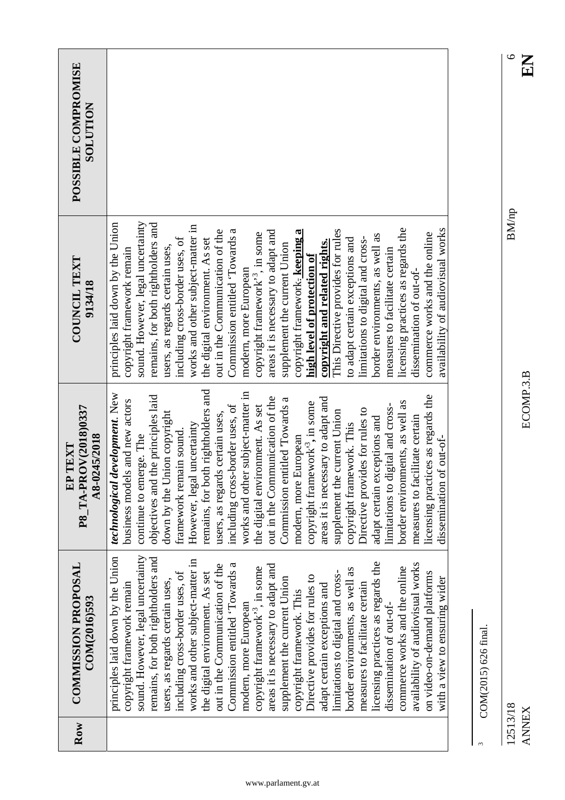| POSSIBLE COMPROMISE<br><b>SOLUTION</b>          |                                                                                                                                                                                                                                                                                                                                                                                                                                                                                                                                                                                                                                                                                                                                                                                                                                                                                                                                         |
|-------------------------------------------------|-----------------------------------------------------------------------------------------------------------------------------------------------------------------------------------------------------------------------------------------------------------------------------------------------------------------------------------------------------------------------------------------------------------------------------------------------------------------------------------------------------------------------------------------------------------------------------------------------------------------------------------------------------------------------------------------------------------------------------------------------------------------------------------------------------------------------------------------------------------------------------------------------------------------------------------------|
| <b>COUNCIL TEXT</b><br>9134/18                  | sound. However, legal uncertainty<br>principles laid down by the Union<br>remains, for both rightholders and<br>works and other subject-matter in<br>licensing practices as regards the<br>Commission entitled 'Towards a<br>availability of audiovisual works<br>out in the Communication of the<br>copyright framework. keeping a<br>This Directive provides for rules<br>areas it is necessary to adapt and<br>commerce works and the online<br>copyright framework' <sup>3</sup> , in some<br>border environments, as well as<br>including cross-border uses, of<br>to adapt certain exceptions and<br>limitations to digital and cross-<br>the digital environment. As set<br>copyright and related rights.<br>supplement the current Union<br>users, as regards certain uses,<br>copyright framework remain<br>measures to facilitate certain<br>high level of protection of<br>dissemination of out-of-<br>modern, more European |
| P8_TA-PROV(2018)0337<br>A8-0245/2018<br>EP TEXT | remains, for both rightholders and<br>works and other subject-matter in<br>technological development. New<br>the principles laid<br>licensing practices as regards the<br>out in the Communication of the<br>areas it is necessary to adapt and<br>Commission entitled "Towards a<br>business models and new actors<br>copyright framework <sup>13</sup> , in some<br>border environments, as well as<br>igital and cross-<br>including cross-border uses, of<br>the digital environment. As set<br>Directive provides for rules to<br>supplement the current Union<br>users, as regards certain uses,<br>down by the Union copyright<br>measures to facilitate certain<br>adapt certain exceptions and<br>copyright framework. This<br>However, legal uncertainty<br>framework remain sound<br>continue to emerge. The<br>dissemination of out-of-<br>modern, more European<br>limitations to di<br>objectives and                     |
| <b>COMMISSION PROPOSAL</b><br>COM(2016)593      | sound. However, legal uncertainty<br>principles laid down by the Union<br>remains, for both rightholders and<br>works and other subject-matter in<br>licensing practices as regards the<br>availability of audiovisual works<br>Commission entitled 'Towards a<br>out in the Communication of the<br>areas it is necessary to adapt and<br>copyright framework' <sup>3</sup> , in some<br>commerce works and the online<br>border environments, as well as<br>limitations to digital and cross-<br>on video-on-demand platforms<br>including cross-border uses, of<br>the digital environment. As set<br>Directive provides for rules to<br>with a view to ensuring wider<br>supplement the current Union<br>users, as regards certain uses,<br>copyright framework remain<br>measures to facilitate certain<br>adapt certain exceptions and<br>copyright framework. This<br>dissemination of out-of-<br>modern, more European          |
| Row                                             |                                                                                                                                                                                                                                                                                                                                                                                                                                                                                                                                                                                                                                                                                                                                                                                                                                                                                                                                         |

3 COM(2015) 626 final.

 $\tilde{\epsilon}$ 

COM(2015) 626 final.

ANNEX ECOMP.3.B **EN** ECOMP.3.B

 $\sum_{i=1}^{\infty}$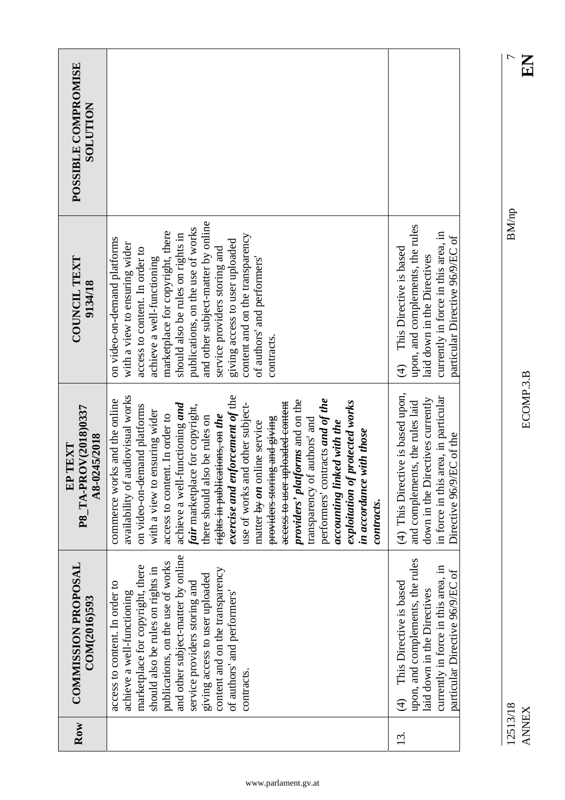| POSSIBLE COMPROMISE<br><b>NOLLLTON</b>                              |                                                                                                                                                                                                                                                                                                                                                                                                                                                                                                                                                                                                                                                                                                        |                                                                                                                                                                                                 |
|---------------------------------------------------------------------|--------------------------------------------------------------------------------------------------------------------------------------------------------------------------------------------------------------------------------------------------------------------------------------------------------------------------------------------------------------------------------------------------------------------------------------------------------------------------------------------------------------------------------------------------------------------------------------------------------------------------------------------------------------------------------------------------------|-------------------------------------------------------------------------------------------------------------------------------------------------------------------------------------------------|
| <b>COUNCIL TEXT</b><br>9134/18                                      | and other subject-matter by online<br>publications, on the use of works<br>marketplace for copyright, there<br>should also be rules on rights in<br>content and on the transparency<br>on video-on-demand platforms<br>giving access to user uploaded<br>with a view to ensuring wider<br>access to content. In order to<br>service providers storing and<br>of authors' and performers'<br>achieve a well-functioning<br>contracts.                                                                                                                                                                                                                                                                   | upon, and complements, the rules<br>currently in force in this area, in<br>particular Directive 96/9/EC of<br>This Directive is based<br>laid down in the Directives<br>$\widehat{\mathcal{A}}$ |
| P8_TA-PROV(2018)0337<br>A8-0245/2018<br>$\mathop{\rm EPT}\nolimits$ | exercise and enforcement of the<br>availability of audiovisual works<br>performers' contracts and of the<br>commerce works and the online<br>providers' platforms and on the<br>exploitation of protected works<br>acess to user uploaded content<br>use of works and other subject-<br>achieve a well-functioning and<br>on video-on-demand platforms<br>fair marketplace for copyright,<br>with a view to ensuring wider<br>access to content. In order to<br>rights in publications, on the<br>there should also be rules on<br>providers storing and giving<br>transparency of authors' and<br>matter by on online service<br>accounting linked with the<br>in accordance with those<br>contracts. | (4) This Directive is based upon,<br>in force in this area, in particular<br>down in the Directives currently<br>and complements, the rules laid<br>Directive 96/9/EC of the                    |
| <b>COMMISSION PROPOSAL</b><br>COM(2016)593                          | and other subject-matter by online<br>publications, on the use of works<br>marketplace for copyright, there<br>should also be rules on rights in<br>content and on the transparency<br>giving access to user uploaded<br>service providers storing and<br>access to content. In order to<br>achieve a well-functioning<br>of authors' and performers'<br>contracts.                                                                                                                                                                                                                                                                                                                                    | upon, and complements, the rules<br>currently in force in this area, in<br>particular Directive 96/9/EC of<br>This Directive is based<br>laid down in the Directives<br>$\widehat{d}$           |
| Row                                                                 |                                                                                                                                                                                                                                                                                                                                                                                                                                                                                                                                                                                                                                                                                                        | 13.                                                                                                                                                                                             |

12513/18 BM/np 7 12513/18<br>ANNEX

ANNEX ECOMP.3.B **EN** ECOMP.3.B

NH<br>E

 $\rm BM/np$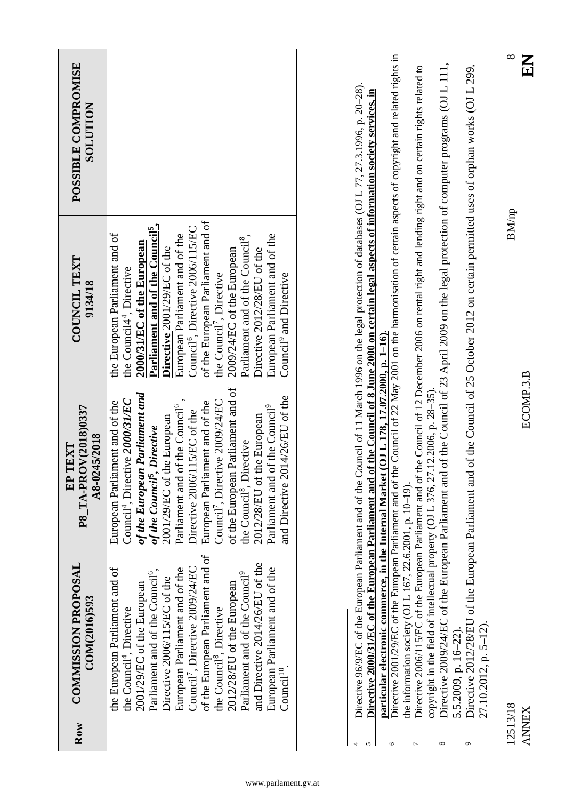| Row          | <b>COMMISSION PROPOSAL</b><br>COM(2016)593                                                                                                                                                                                                                                                                                                                                                                                                                                                                                     | P8 TA-PROV(2018)0337<br>A8-0245/2018<br>EP TEXT                                                                                                                                                                                                                                                                                                                                                                                                                                                                                                                        | <b>COUNCIL TEXT</b><br>9134/18                                                                                                                                                                                                                                                                                                                                                                                                                                                                                                     | POSSIBLE COMPROMISE<br><b>NOLLLTDOS</b> |
|--------------|--------------------------------------------------------------------------------------------------------------------------------------------------------------------------------------------------------------------------------------------------------------------------------------------------------------------------------------------------------------------------------------------------------------------------------------------------------------------------------------------------------------------------------|------------------------------------------------------------------------------------------------------------------------------------------------------------------------------------------------------------------------------------------------------------------------------------------------------------------------------------------------------------------------------------------------------------------------------------------------------------------------------------------------------------------------------------------------------------------------|------------------------------------------------------------------------------------------------------------------------------------------------------------------------------------------------------------------------------------------------------------------------------------------------------------------------------------------------------------------------------------------------------------------------------------------------------------------------------------------------------------------------------------|-----------------------------------------|
|              | of the European Parliament and of<br>and Directive 2014/26/EU of the<br>Council <sup>7</sup> , Directive 2009/24/EC<br>European Parliament and of the<br>the European Parliament and of<br>European Parliament and of the<br>Parliament and of the Council <sup>6</sup> ,<br>Parliament and of the Council <sup>9</sup><br>Directive 2006/115/EC of the<br>2012/28/EU of the European<br>2001/29/EC of the European<br>the Council <sup>8</sup> , Directive<br>the Council <sup>4</sup> , Directive<br>Council <sup>10</sup> . | of the European Parliament and of<br>of the European Parliament and<br>and Directive 2014/26/EU of the<br>$\bullet$<br>Council <sup>4</sup> , Directive 2000/31/EC<br>Council <sup>7</sup> , Directive 2009/24/EC<br>European Parliament and of the<br>European Parliament and of the<br>Parliament and of the Council <sup>6</sup><br>of the Council <sup>9</sup><br>Directive 2006/115/EC of the<br>2012/28/EU of the European<br>2001/29/EC of the European<br>Directive<br>the Council <sup>8</sup> , Directive<br>of the Council <sup>5</sup> ,<br>Parliament and | of the European Parliament and of<br><b>Parliament and of the Council',</b><br>Council <sup>6</sup> , Directive 2006/115/EC<br>the European Parliament and of<br>European Parliament and of the<br>European Parliament and of the<br>Parliament and of the Council <sup>8</sup> ,<br>2000/31/EC of the European<br>2009/24/EC of the European<br>Directive 2001/29/EC of the<br>Directive 2012/28/EU of the<br>the Council4 <sup>4</sup> , Directive<br>the Council <sup>7</sup> , Directive<br>Council <sup>9</sup> and Directive |                                         |
| S.<br>4      |                                                                                                                                                                                                                                                                                                                                                                                                                                                                                                                                |                                                                                                                                                                                                                                                                                                                                                                                                                                                                                                                                                                        | Directive 96/9/EC of the European Parliament and of the Council of 11 March 1996 on the legal protection of databases (OJ L 77, 27.3.1996, p. 20-28).<br>Directive 2000/31/EC of the European Parliament and of the Council of 8 June 2000 on certain legal aspects of information society services, in                                                                                                                                                                                                                            |                                         |
| $\circ$<br>7 | particular electronic commerce, in the Internal Market<br>the information society (OJ L 167, 22.6.2001, p. 10-19)                                                                                                                                                                                                                                                                                                                                                                                                              | (OJ L 178, 17.07.2000, p. 1–16).                                                                                                                                                                                                                                                                                                                                                                                                                                                                                                                                       | Directive 2001/29/EC of the European Parliament and of the Council of 22 May 2001 on the harmonisation of certain aspects of copyright and related rights in                                                                                                                                                                                                                                                                                                                                                                       |                                         |
| $^{\circ}$   | copyright in the field of intellectual property (OJ L 376, 27.12.2006, p. 28-35)<br>5.5.2009, p. 16-22).                                                                                                                                                                                                                                                                                                                                                                                                                       |                                                                                                                                                                                                                                                                                                                                                                                                                                                                                                                                                                        | Directive 2009/24/EC of the European Parliament and of the Council of 23 April 2009 on the legal protection of computer programs (OJ L 111,<br>Directive 2006/115/EC of the European Parliament and of the Council of 12 December 2006 on rental right and lending right and on certain rights related to                                                                                                                                                                                                                          |                                         |
| Q            | Directive 2012/28/EU of the European Parliament and<br>27.10.2012, p. 5–12).                                                                                                                                                                                                                                                                                                                                                                                                                                                   |                                                                                                                                                                                                                                                                                                                                                                                                                                                                                                                                                                        | of the Council of 25 October 2012 on certain permitted uses of orphan works (OJ L 299,                                                                                                                                                                                                                                                                                                                                                                                                                                             |                                         |
| 12513/18     |                                                                                                                                                                                                                                                                                                                                                                                                                                                                                                                                |                                                                                                                                                                                                                                                                                                                                                                                                                                                                                                                                                                        | <b>BM/np</b>                                                                                                                                                                                                                                                                                                                                                                                                                                                                                                                       | ∞                                       |
| <b>ANNEX</b> |                                                                                                                                                                                                                                                                                                                                                                                                                                                                                                                                | ECOMP.3.B                                                                                                                                                                                                                                                                                                                                                                                                                                                                                                                                                              |                                                                                                                                                                                                                                                                                                                                                                                                                                                                                                                                    | KH                                      |

 $\mathbf{K}$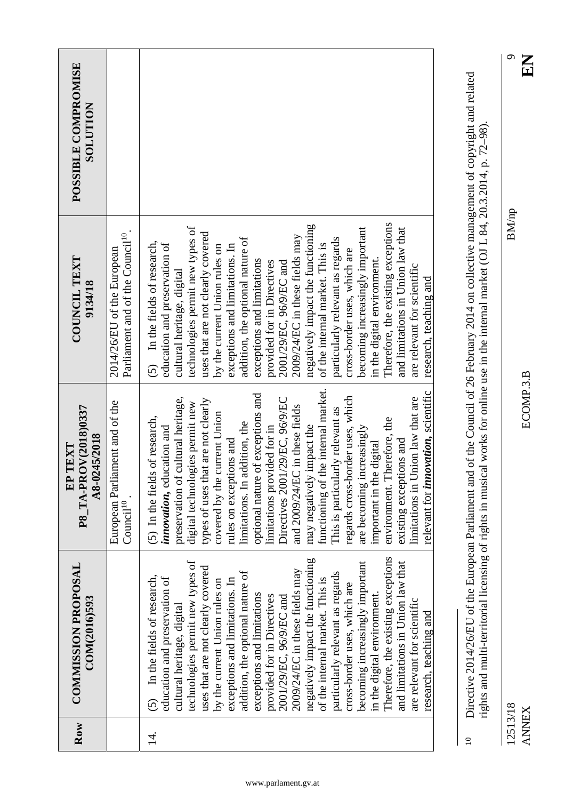| Row       | <b>COMMISSION PROPOSAL</b><br>COM(2016)593                                                                                                                                                                                                                                                                                                                                                                                                                                                                                                                                                                                                                                                                                                                         | P8_TA-PROV(2018)0337<br>A8-0245/2018<br>EP TEXT                                                                                                                                                                                                                                                                                                                                                                                                                                                                                                                                                                                                                                                                                                                           | COUNCIL TEXT<br>9134/18                                                                                                                                                                                                                                                                                                                                                                                                                                                                                                                                                                                                                                                                                                                                                 | POSSIBLE COMPROMISE<br><b>SOLUTION</b> |
|-----------|--------------------------------------------------------------------------------------------------------------------------------------------------------------------------------------------------------------------------------------------------------------------------------------------------------------------------------------------------------------------------------------------------------------------------------------------------------------------------------------------------------------------------------------------------------------------------------------------------------------------------------------------------------------------------------------------------------------------------------------------------------------------|---------------------------------------------------------------------------------------------------------------------------------------------------------------------------------------------------------------------------------------------------------------------------------------------------------------------------------------------------------------------------------------------------------------------------------------------------------------------------------------------------------------------------------------------------------------------------------------------------------------------------------------------------------------------------------------------------------------------------------------------------------------------------|-------------------------------------------------------------------------------------------------------------------------------------------------------------------------------------------------------------------------------------------------------------------------------------------------------------------------------------------------------------------------------------------------------------------------------------------------------------------------------------------------------------------------------------------------------------------------------------------------------------------------------------------------------------------------------------------------------------------------------------------------------------------------|----------------------------------------|
|           |                                                                                                                                                                                                                                                                                                                                                                                                                                                                                                                                                                                                                                                                                                                                                                    | European Parliament and of the<br>Council <sup>10</sup>                                                                                                                                                                                                                                                                                                                                                                                                                                                                                                                                                                                                                                                                                                                   | Parliament and of the Council <sup>10</sup> .<br>2014/26/EU of the European                                                                                                                                                                                                                                                                                                                                                                                                                                                                                                                                                                                                                                                                                             |                                        |
| $\vec{4}$ | Therefore, the existing exceptions<br>negatively impact the functioning<br>technologies permit new types of<br>becoming increasingly important<br>and limitations in Union law that<br>uses that are not clearly covered<br>2009/24/EC in these fields may<br>addition, the optional nature of<br>particularly relevant as regards<br>In the fields of research,<br>education and preservation of<br>exceptions and limitations. In<br>of the internal market. This is<br>by the current Union rules on<br>cross-border uses, which are<br>in the digital environment.<br>exceptions and limitations<br>2001/29/EC, 96/9/EC and<br>provided for in Directives<br>are relevant for scientific<br>cultural heritage, digital<br>research, teaching and<br><u>(5)</u> | functioning of the internal market.<br>relevant for <i>innovation</i> , scientific<br>optional nature of exceptions and<br>regards cross-border uses, which<br>preservation of cultural heritage,<br>Directives 2001/29/EC, 96/9/EC<br>limitations in Union law that are<br>types of uses that are not clearly<br>digital technologies permit new<br>and 2009/24/EC in these fields<br>This is particularly relevant as<br>covered by the current Union<br>(5) In the fields of research,<br>environment. Therefore, the<br>limitations. In addition, the<br>may negatively impact the<br>limitations provided for in<br><i>innovation</i> , education and<br>are becoming increasingly<br>rules on exceptions and<br>existing exceptions and<br>important in the digital | Therefore, the existing exceptions<br>negatively impact the functioning<br>technologies permit new types of<br>and limitations in Union law that<br>becoming increasingly important<br>uses that are not clearly covered<br>2009/24/EC in these fields may<br>addition, the optional nature of<br>particularly relevant as regards<br>In the fields of research,<br>education and preservation of<br>exceptions and limitations. In<br>of the internal market. This is<br>by the current Union rules on<br>cross-border uses, which are<br>in the digital environment.<br>exceptions and limitations<br>2001/29/EC, 96/9/EC and<br>provided for in Directives<br>are relevant for scientific<br>cultural heritage, digital<br>research, teaching and<br>$\widetilde{S}$ |                                        |

Directive 2014/26/EU of the European Parliament and of the Council of 26 February 2014 on collective management of copyright and related<br>rights and multi-territorial licensing of rights in musical works for online use in t 10 Directive 2014/26/EU of the European Parliament and of the Council of 26 February 2014 on collective management of copyright and related rights and multi-territorial licensing of rights in musical works for online use in the internal market (OJ L 84, 20.3.2014, p. 72–98).

12513/18 **ANNEX** 

 $\frac{1}{2}$ 

EN  $\circ$ 12513/18 BM/np 9

 $\mathbf{BM}$ np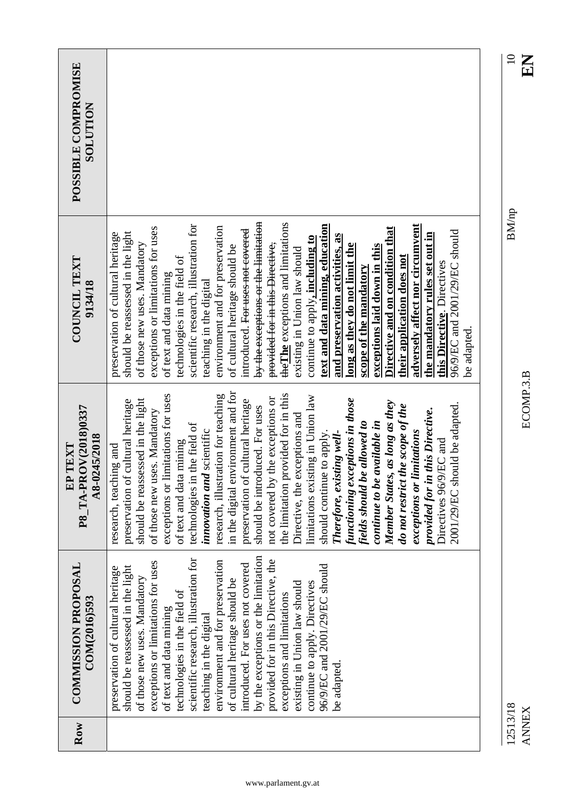| Row | <b>COMMISSION PROPOSAL</b><br>COM(2016)593                                                             | P8_TA-PROV(2018)0337<br>A8-0245/2018<br>EP TEXT                                                  | <b>COUNCIL TEXT</b><br>9134/18                                                                         | POSSIBLE COMPROMISE<br><b>NOLLUTION</b> |
|-----|--------------------------------------------------------------------------------------------------------|--------------------------------------------------------------------------------------------------|--------------------------------------------------------------------------------------------------------|-----------------------------------------|
|     | should be reassessed in the light<br>preservation of cultural heritage<br>of those new uses. Mandatory | should be reassessed in the light<br>preservation of cultural heritage<br>research, teaching and | should be reassessed in the light<br>preservation of cultural heritage<br>of those new uses. Mandatory |                                         |
|     | exceptions or limitations for uses                                                                     | of those new uses. Mandatory                                                                     | exceptions or limitations for uses                                                                     |                                         |
|     | technologies in the field of<br>of text and data mining                                                | exceptions or limitations for uses<br>of text and data mining                                    | technologies in the field of<br>of text and data mining                                                |                                         |
|     | scientific research, illustration for<br>teaching in the digital                                       | technologies in the field of<br>scientific<br>innovation and                                     | scientific research, illustration for<br>teaching in the digital                                       |                                         |
|     | environment and for preservation<br>of cultural heritage should be                                     | in the digital environment and for<br>research, illustration for teaching                        | environment and for preservation<br>of cultural heritage should be                                     |                                         |
|     | introduced. For uses not covered                                                                       | preservation of cultural heritage                                                                | introduced. For uses not covered                                                                       |                                         |
|     | by the exceptions or the limitation                                                                    | should be introduced. For uses                                                                   | by the exceptions or the limitation                                                                    |                                         |
|     | provided for in this Directive, the                                                                    | not covered by the exceptions or                                                                 | provided for in this Directive,                                                                        |                                         |
|     | existing in Union law should<br>exceptions and limitations                                             | the limitation provided for in this<br>Directive, the exceptions and                             | the The exceptions and limitations<br>existing in Union law should                                     |                                         |
|     | continue to apply. Directives                                                                          | limitations existing in Union law                                                                | continue to apply, including to                                                                        |                                         |
|     | 96/9/EC and 2001/29/EC should<br>be adapted.                                                           | should continue to apply.<br>Therefore, existing well-                                           | text and data mining, education<br>and preservation activities, as                                     |                                         |
|     |                                                                                                        | functioning exceptions in those                                                                  | long as they do not limit the                                                                          |                                         |
|     |                                                                                                        | fields should be allowed to                                                                      | exceptions laid down in this<br>scope of the mandatory                                                 |                                         |
|     |                                                                                                        | Member States, as long as they<br>continue to be available in                                    | Directive and on condition that                                                                        |                                         |
|     |                                                                                                        | do not restrict the scope of the                                                                 | their application does not                                                                             |                                         |
|     |                                                                                                        | exceptions or limitations                                                                        | adversely affect nor circumvent                                                                        |                                         |
|     |                                                                                                        | provided for in this Directive.<br>Directives 96/9/EC and                                        | the mandatory rules set out in<br>this Directive. Directives                                           |                                         |
|     |                                                                                                        | 2001/29/EC should be adapted.                                                                    | 96/9/EC and 2001/29/EC should                                                                          |                                         |
|     |                                                                                                        |                                                                                                  | be adapted.                                                                                            |                                         |
|     |                                                                                                        |                                                                                                  |                                                                                                        |                                         |

12513/18 BM/np 12513/18<br>ANNEX

 $\frac{\text{S}}{\text{H}}$ 

 $\rm BM/np$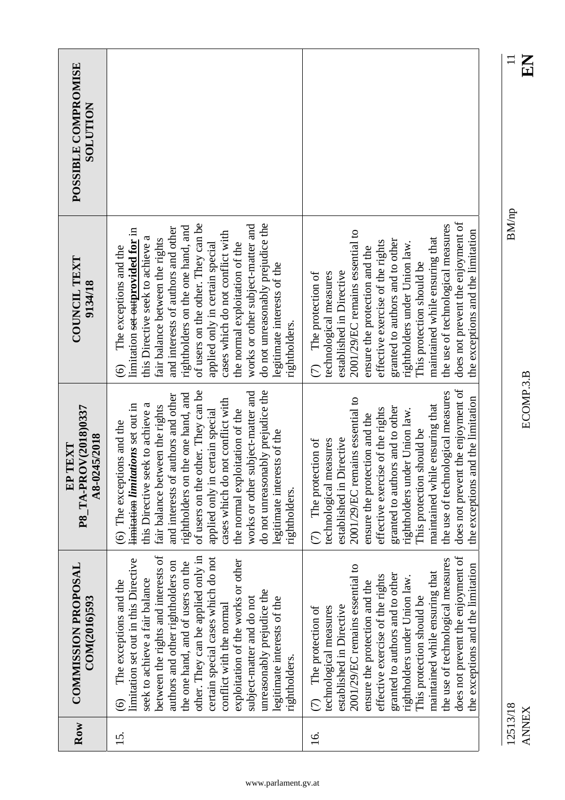| A8-0245/2018<br>EP TEXT<br>P8 TA-PR<br><b>COMMISSION PROPOSAL</b><br>COM(2016)593                                                                                                                                                                                                                                                                                                                                                                                                                                                                                                                                                                                                                                                                                                                                                                                                                                                                                              | DV(2018)0337      | COUNCIL TEXT<br>9134/18                                                                                                                                                                                                                                                                                                                                                                                                                                                                |
|--------------------------------------------------------------------------------------------------------------------------------------------------------------------------------------------------------------------------------------------------------------------------------------------------------------------------------------------------------------------------------------------------------------------------------------------------------------------------------------------------------------------------------------------------------------------------------------------------------------------------------------------------------------------------------------------------------------------------------------------------------------------------------------------------------------------------------------------------------------------------------------------------------------------------------------------------------------------------------|-------------------|----------------------------------------------------------------------------------------------------------------------------------------------------------------------------------------------------------------------------------------------------------------------------------------------------------------------------------------------------------------------------------------------------------------------------------------------------------------------------------------|
| of users on the other. They can be<br>do not unreasonably prejudice the<br>works or other subject-matter and<br>the one hand, and<br>and interests of authors and other<br>not conflict with<br>limitation limitations set out in<br>this Directive seek to achieve a<br>fair balance between the rights<br>applied only in certain special<br>the normal exploitation of the<br>(6) The exceptions and the<br>legitimate interests of the<br>rightholders on<br>cases which do<br>rightholders.<br>between the rights and interests of<br>other. They can be applied only in<br>certain special cases which do not<br>limitation set out in this Directive<br>exploitation of the works or other<br>authors and other rightholders on<br>the one hand, and of users on the<br>seek to achieve a fair balance<br>The exceptions and the<br>unreasonably prejudice the<br>subject-matter and do not<br>legitimate interests of the<br>conflict with the normal<br>rightholders. | $\widehat{\odot}$ | of users on the other. They can be<br>do not unreasonably prejudice the<br>works or other subject-matter and<br>rightholders on the one hand, and<br>and interests of authors and other<br>limitation set outprovided for in<br>cases which do not conflict with<br>this Directive seek to achieve a<br>fair balance between the rights<br>the normal exploitation of the<br>applied only in certain special<br>The exceptions and the<br>legitimate interests of the<br>rightholders. |
| does not prevent the enjoyment of<br>the use of technological measures<br>the exceptions and the limitation<br>2001/29/EC remains essential to<br>maintained while ensuring that<br>granted to authors and to other<br>effective exercise of the rights<br>rightholders under Union law.<br>ensure the protection and the<br>should be<br>established in Directive<br>technological measures<br>The protection of<br>This protection<br>$\widehat{\mathbb{C}}$<br>does not prevent the enjoyment of<br>the use of technological measures<br>the exceptions and the limitation<br>2001/29/EC remains essential to<br>maintained while ensuring that<br>granted to authors and to other<br>effective exercise of the rights<br>rightholders under Union law.<br>ensure the protection and the<br>This protection should be<br>established in Directive<br>The protection of<br>technological measures                                                                            | $\widehat{C}$     | does not prevent the enjoyment of<br>the use of technological measures<br>2001/29/EC remains essential to<br>the exceptions and the limitation<br>maintained while ensuring that<br>granted to authors and to other<br>effective exercise of the rights<br>rightholders under Union law.<br>ensure the protection and the<br>This protection should be<br>established in Directive<br>technological measures<br>The protection of                                                      |
|                                                                                                                                                                                                                                                                                                                                                                                                                                                                                                                                                                                                                                                                                                                                                                                                                                                                                                                                                                                | ECOMP.3.B         | <b>BM/np</b>                                                                                                                                                                                                                                                                                                                                                                                                                                                                           |

www.parlament.gv.at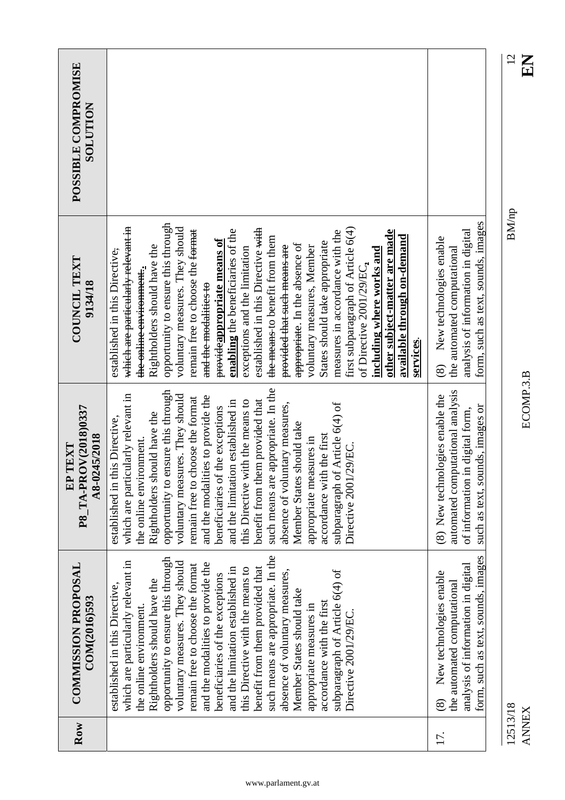| Row                      | <b>COMMISSION PROPOSAL</b><br>COM(2016)593                                                                                                                                                                                                                                                                                                                                                                                                                                                                                                                                                                                                               | P8_TA-PROV(2018)0337<br>A8-0245/2018<br>EP TEXT                                                                                                                                                                                                                                                                                                                                                                                                                                                                                                                                                                                                             | COUNCIL TEXT<br>9134/18                                                                                                                                                                                                                                                                                                                                                                                                                                                                                                                                                                                                                                                                                                                                                                                       | POSSIBLE COMPROMISE<br><b>NOLLLIDT</b> |
|--------------------------|----------------------------------------------------------------------------------------------------------------------------------------------------------------------------------------------------------------------------------------------------------------------------------------------------------------------------------------------------------------------------------------------------------------------------------------------------------------------------------------------------------------------------------------------------------------------------------------------------------------------------------------------------------|-------------------------------------------------------------------------------------------------------------------------------------------------------------------------------------------------------------------------------------------------------------------------------------------------------------------------------------------------------------------------------------------------------------------------------------------------------------------------------------------------------------------------------------------------------------------------------------------------------------------------------------------------------------|---------------------------------------------------------------------------------------------------------------------------------------------------------------------------------------------------------------------------------------------------------------------------------------------------------------------------------------------------------------------------------------------------------------------------------------------------------------------------------------------------------------------------------------------------------------------------------------------------------------------------------------------------------------------------------------------------------------------------------------------------------------------------------------------------------------|----------------------------------------|
|                          | such means are appropriate. In the<br>opportunity to ensure this through<br>voluntary measures. They should<br>which are particularly relevant in<br>and the modalities to provide the<br>remain free to choose the format<br>benefit from them provided that<br>and the limitation established in<br>this Directive with the means to<br>absence of voluntary measures,<br>subparagraph of Article 6(4) of<br>beneficiaries of the exceptions<br>Rightholders should have the<br>established in this Directive,<br>Member States should take<br>accordance with the first<br>appropriate measures in<br>the online environment.<br>Directive 2001/29/EC | appropriate. In the<br>opportunity to ensure this through<br>which are particularly relevant in<br>voluntary measures. They should<br>and the modalities to provide the<br>remain free to choose the format<br>benefit from them provided that<br>and the limitation established in<br>this Directive with the means to<br>absence of voluntary measures,<br>subparagraph of Article 6(4) of<br>beneficiaries of the exceptions<br>Rightholders should have the<br>established in this Directive.<br>Member States should take<br>accordance with the first<br>appropriate measures in<br>the online environment.<br>Directive 2001/29/EC<br>such means are | opportunity to ensure this through<br>which are particularly relevant in<br>voluntary measures. They should<br>established in this Directive with<br>first subparagraph of Article 6(4)<br>enabling the beneficiaries of the<br>remain free to choose the <del>format</del><br>measures in accordance with the<br>other subject-matter are made<br>the means to benefit from them<br>available through on-demand<br>provideappropriate means of<br>States should take appropriate<br>appropriate. In the absence of<br>Rightholders should have the<br>voluntary measures, Member<br>provided that such means are<br>exceptions and the limitation<br>including where works and<br>established in this Directive,<br>of Directive 2001/29/EC,<br>the online environment.<br>and the modalities to<br>services |                                        |
| 17.                      | form, such as text, sounds, images<br>analysis of information in digital<br>New technologies enable<br>the automated computational<br>$\circledS$                                                                                                                                                                                                                                                                                                                                                                                                                                                                                                        | automated computational analysis<br>(8) New technologies enable the<br>such as text, sounds, images or<br>of information in digital form,                                                                                                                                                                                                                                                                                                                                                                                                                                                                                                                   | form, such as text, sounds, images<br>analysis of information in digital<br>New technologies enable<br>the automated computational<br>$\circledS$                                                                                                                                                                                                                                                                                                                                                                                                                                                                                                                                                                                                                                                             |                                        |
| 12513/18<br><b>ANNEX</b> |                                                                                                                                                                                                                                                                                                                                                                                                                                                                                                                                                                                                                                                          | ECOMP.3.B                                                                                                                                                                                                                                                                                                                                                                                                                                                                                                                                                                                                                                                   | <b>BM/np</b>                                                                                                                                                                                                                                                                                                                                                                                                                                                                                                                                                                                                                                                                                                                                                                                                  | EN                                     |

NH<br>E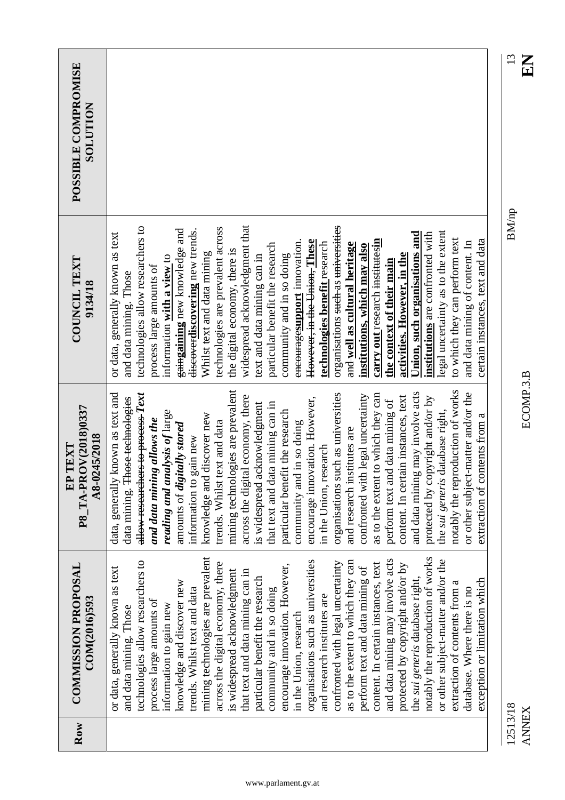| <b>COMMISSION PROPOSAL</b><br>COM(2016)593 | P8_TA-PROV(2018)0337<br>A8-0245/2018<br>EP TEXT                      | COUNCIL TEXT<br>9134/18                                    | POSSIBLE COMPROMISE<br><b>NOLLTION</b> |
|--------------------------------------------|----------------------------------------------------------------------|------------------------------------------------------------|----------------------------------------|
| or data, generally known as text           | data, generally known as text and<br>data mining. Those technologies | or data, generally known as text<br>and data mining. Those |                                        |
| technologies allow researchers to          | allow researchers to process Text                                    | technologies allow researchers to                          |                                        |
| process large amounts of                   | reading and analysis of large<br>and data mining allows the          | information with a view to<br>process large amounts of     |                                        |
| knowledge and discover new                 | amounts of digitally stored                                          | <del>gaingaining</del> new knowledge and                   |                                        |
| trends. Whilst text and data               | information to gain new                                              | discoverdiscovering new trends.                            |                                        |
| mining technologies are prevalent          | knowledge and discover new                                           | Whilst text and data mining                                |                                        |
| across the digital economy, there          | trends. Whilst text and data                                         | technologies are prevalent across                          |                                        |
| is widespread acknowledgment               | mining technologies are prevalent                                    | the digital economy, there is                              |                                        |
| that text and data mining can in           | across the digital economy, there                                    | widespread acknowledgment that                             |                                        |
| particular benefit the research            | is widespread acknowledgment                                         | text and data mining can in                                |                                        |
| community and in so doing                  | that text and data mining can in                                     | particular benefit the research                            |                                        |
| encourage innovation. However,             | particular benefit the research                                      | community and in so doing                                  |                                        |
|                                            | community and in so doing                                            | encouragesupport innovation.                               |                                        |
| organisations such as universities         | encourage innovation. However,                                       | However, in the Union, These                               |                                        |
| and research institutes are                | in the Union, research                                               | technologies benefit research                              |                                        |
| confronted with legal uncertainty          | organisations such as universities                                   | organisations such as universities                         |                                        |
| as to the extent to which they can         | and research institutes are                                          | <del>and w</del> ell as cultural heritage                  |                                        |
| perform text and data mining of            | confronted with legal uncertainty                                    | institutions, which may also                               |                                        |
| content. In certain instances, text        | as to the extent to which they can                                   | carry out research institutesin                            |                                        |
| and data mining may involve acts           | perform text and data mining of                                      | the context of their main                                  |                                        |
| protected by copyright and/or by           | content. In certain instances, text                                  | activities. However, in the                                |                                        |
| the sui generis database right,            | and data mining may involve acts                                     | $\mathop{\rm Union}\nolimits,$ such organisations and      |                                        |
| notably the reproduction of works          | protected by copyright and/or by                                     | institutions are confronted with                           |                                        |
| or other subject-matter and/or the         | the sui generis database right,                                      | legal uncertainty as to the extent                         |                                        |
| extraction of contents from a              | notably the reproduction of works                                    | to which they can perform text                             |                                        |
| database. Where there is no                | or other subject-matter and/or the                                   | and data mining of content. In                             |                                        |
| exception or limitation which              | extraction of contents from a                                        | certain instances, text and data                           |                                        |
|                                            |                                                                      |                                                            |                                        |
|                                            |                                                                      | <b>BM/np</b>                                               | 13                                     |

ANNEX ECOMP.3.B **EN**

ECOMP.3.B

## $\frac{13}{13}$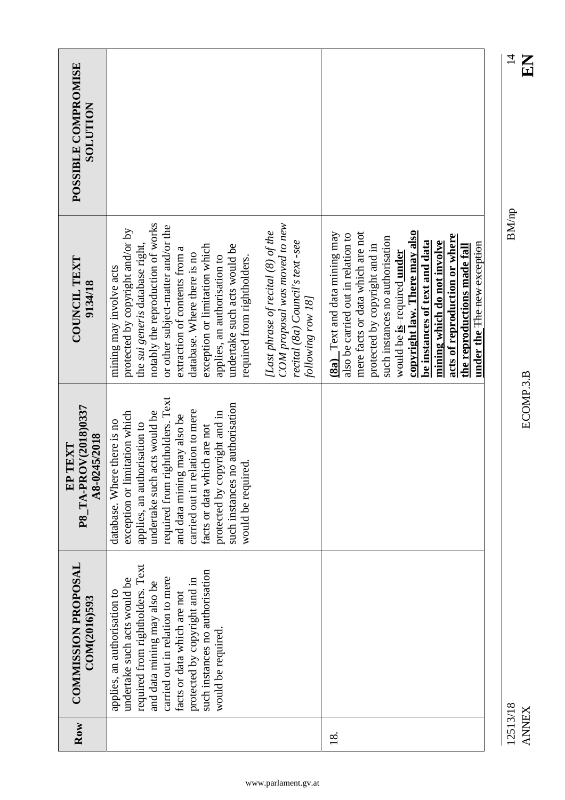|                                                                      |                                                                                                                                                                                                                                                                                                                                                                                                                   |                                                                                       |                                                                                                                                                                                                                                                                                                                                                                                                           | $\overline{4}$<br>$\mathbf{E}$ |
|----------------------------------------------------------------------|-------------------------------------------------------------------------------------------------------------------------------------------------------------------------------------------------------------------------------------------------------------------------------------------------------------------------------------------------------------------------------------------------------------------|---------------------------------------------------------------------------------------|-----------------------------------------------------------------------------------------------------------------------------------------------------------------------------------------------------------------------------------------------------------------------------------------------------------------------------------------------------------------------------------------------------------|--------------------------------|
| POSSIBLE COMPROMISE<br><b>NOLLTION</b>                               |                                                                                                                                                                                                                                                                                                                                                                                                                   |                                                                                       |                                                                                                                                                                                                                                                                                                                                                                                                           |                                |
| COUNCIL TEXT<br>9134/18                                              | notably the reproduction of works<br>or other subject-matter and/or the<br>protected by copyright and/or by<br>[Last phrase of recital $(8)$ of the<br>the sui generis database right,<br>exception or limitation which<br>undertake such acts would be<br>extraction of contents from a<br>database. Where there is no<br>applies, an authorisation to<br>required from rightholders.<br>mining may involve acts | COM proposal was moved to new<br>recital (8a) Council's text-see<br>following row 18] | copyright law. There may also<br>mere facts or data which are not<br>(8a) Text and data mining may<br>also be carried out in relation to<br>acts of reproduction or where<br>such instances no authorisation<br>be instances of text and data<br>mining which do not involve<br>under the The new exception<br>the reproductions made fall<br>protected by copyright and in<br>would be is-required under | <b>BM/np</b>                   |
| DV(2018)0337<br>45/2018<br>TEXT<br>A8-02<br>P8_TA-PR<br>$\mathbf{E}$ | required from rightholders. Text<br>such instances no authorisation<br>carried out in relation to mere<br>undertake such acts would be<br>exception or limitation which<br>protected by copyright and in<br>and data mining may also be<br>database. Where there is no<br>applies, an authorisation to<br>facts or data which are not<br>would be required                                                        |                                                                                       |                                                                                                                                                                                                                                                                                                                                                                                                           | ECOMP.3.B                      |
| <b>COMMISSION PROPOSAL</b><br>COM(2016)593                           | required from rightholders. Text<br>such instances no authorisation<br>carried out in relation to mere<br>undertake such acts would be<br>protected by copyright and in<br>and data mining may also be<br>applies, an authorisation to<br>facts or data which are not<br>would be required.                                                                                                                       |                                                                                       |                                                                                                                                                                                                                                                                                                                                                                                                           |                                |
| Row                                                                  |                                                                                                                                                                                                                                                                                                                                                                                                                   |                                                                                       | $\frac{8}{18}$                                                                                                                                                                                                                                                                                                                                                                                            | 12513/18<br><b>ANNEX</b>       |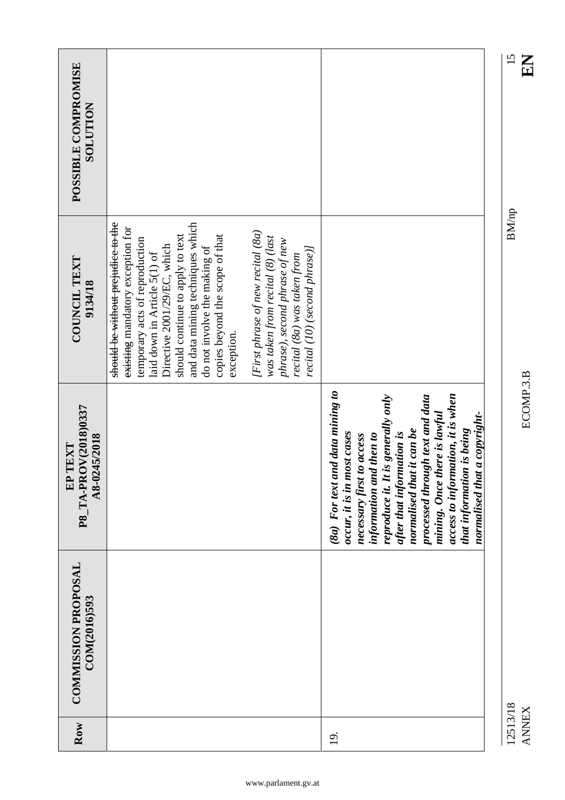|                                                                      |                                                                                                                                                                                                                                                                                                                                                                                                                                            |                                                                                                                                                                                                                                                                                                                                                                                                  | 15<br>EN                 |
|----------------------------------------------------------------------|--------------------------------------------------------------------------------------------------------------------------------------------------------------------------------------------------------------------------------------------------------------------------------------------------------------------------------------------------------------------------------------------------------------------------------------------|--------------------------------------------------------------------------------------------------------------------------------------------------------------------------------------------------------------------------------------------------------------------------------------------------------------------------------------------------------------------------------------------------|--------------------------|
| POSSIBLE COMPROMISE<br><b>SOLUTION</b>                               |                                                                                                                                                                                                                                                                                                                                                                                                                                            |                                                                                                                                                                                                                                                                                                                                                                                                  |                          |
|                                                                      |                                                                                                                                                                                                                                                                                                                                                                                                                                            |                                                                                                                                                                                                                                                                                                                                                                                                  |                          |
| <b>COUNCIL TEXT</b><br>9134/18                                       | and data mining techniques which<br>should be without prejudice to the<br>existing mandatory exception for<br>[First phrase of new recital (8a)<br>should continue to apply to text<br>copies beyond the scope of that<br>was taken from recital (8) (last<br>temporary acts of reproduction<br>phrase), second phrase of new<br>Directive 2001/29/EC, which<br>do not involve the making of<br>laid down in Article 5(1) of<br>exception. | recital (10) (second phrase)]<br>recital (8a) was taken from                                                                                                                                                                                                                                                                                                                                     | <b>BM/np</b>             |
| DV(2018)0337<br>A8-0245/2018<br>TEXT<br>P8_TA-PR<br>$E$ <sup>-</sup> |                                                                                                                                                                                                                                                                                                                                                                                                                                            | (8a) For text and data mining to<br>access to information, it is when<br>processed through text and data<br>reproduce it. It is generally only<br>mining. Once there is lawful<br>t a copyright-<br>normalised that it can be<br>that information is being<br>occur, it is in most cases<br>after that information is<br>necessary first to access<br>information and then to<br>normalised that | ECOMP.3.B                |
| <b>COMMISSION PROPOSAL</b><br>COM(2016)593                           |                                                                                                                                                                                                                                                                                                                                                                                                                                            |                                                                                                                                                                                                                                                                                                                                                                                                  |                          |
| Row                                                                  |                                                                                                                                                                                                                                                                                                                                                                                                                                            | 19.                                                                                                                                                                                                                                                                                                                                                                                              | 12513/18<br><b>ANNEX</b> |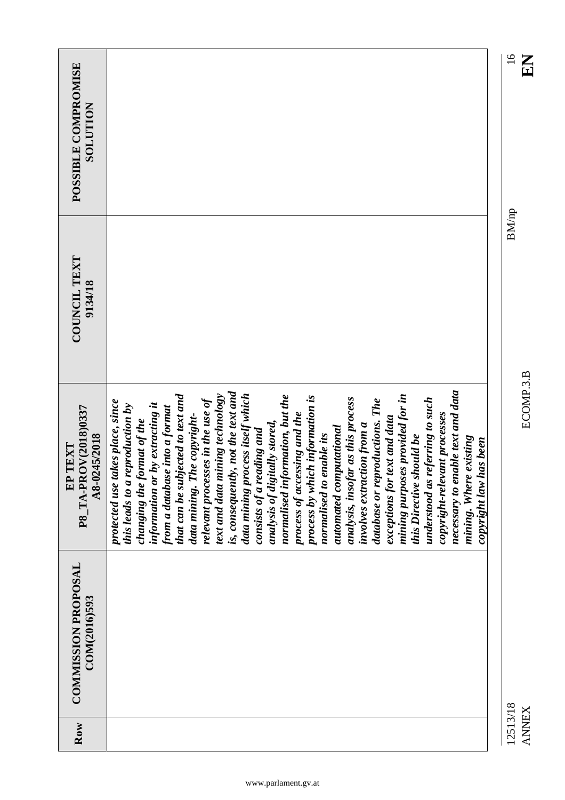|                                                                  |                                                                                                                                                                                                                                                                                                                                                                                                                                                                                                                                                                                                                                                                                                                                                                                                                                                                                                                                                                                          | $\frac{6}{1}$<br>EN |              |
|------------------------------------------------------------------|------------------------------------------------------------------------------------------------------------------------------------------------------------------------------------------------------------------------------------------------------------------------------------------------------------------------------------------------------------------------------------------------------------------------------------------------------------------------------------------------------------------------------------------------------------------------------------------------------------------------------------------------------------------------------------------------------------------------------------------------------------------------------------------------------------------------------------------------------------------------------------------------------------------------------------------------------------------------------------------|---------------------|--------------|
| POSSIBLE COMPROMISE<br><b>SOLUTION</b>                           |                                                                                                                                                                                                                                                                                                                                                                                                                                                                                                                                                                                                                                                                                                                                                                                                                                                                                                                                                                                          |                     |              |
| <b>COUNCIL TEXT</b><br>9134/18                                   |                                                                                                                                                                                                                                                                                                                                                                                                                                                                                                                                                                                                                                                                                                                                                                                                                                                                                                                                                                                          | <b>BM/np</b>        |              |
| P8 TA-PROV(2018)0337<br>A8-0245/2018<br>TEXT<br>$E$ <sup>-</sup> | necessary to enable text and data<br>is, consequently, not the text and<br>text and data mining technology<br>that can be subjected to text and<br>data mining process itself which<br>mining purposes provided for in<br>normalised information, but the<br>process by which information is<br>analysis, insofar as this process<br>understood as referring to such<br>relevant processes in the use of<br>database or reproductions. The<br>protected use takes place, since<br>this leads to a reproduction by<br>by extracting it<br>from a database into a format<br>copyright-relevant processes<br>process of accessing and the<br>data mining. The copyright-<br>exceptions for text and data<br>changing the format of the<br>analysis of digitally stored,<br>involves extraction from a<br>automated computational<br>consists of a reading and<br>normalised to enable its<br>this Directive should be<br>mining. Where existing<br>copyright law has been<br>information or | ECOMP.3.B           |              |
| <b>COMMISSION PROPOSAL</b><br>COM(2016)593                       |                                                                                                                                                                                                                                                                                                                                                                                                                                                                                                                                                                                                                                                                                                                                                                                                                                                                                                                                                                                          |                     |              |
| Row                                                              |                                                                                                                                                                                                                                                                                                                                                                                                                                                                                                                                                                                                                                                                                                                                                                                                                                                                                                                                                                                          | 12513/18            | <b>ANNEX</b> |

ANNEX ECOMP.3.B **EN**

EN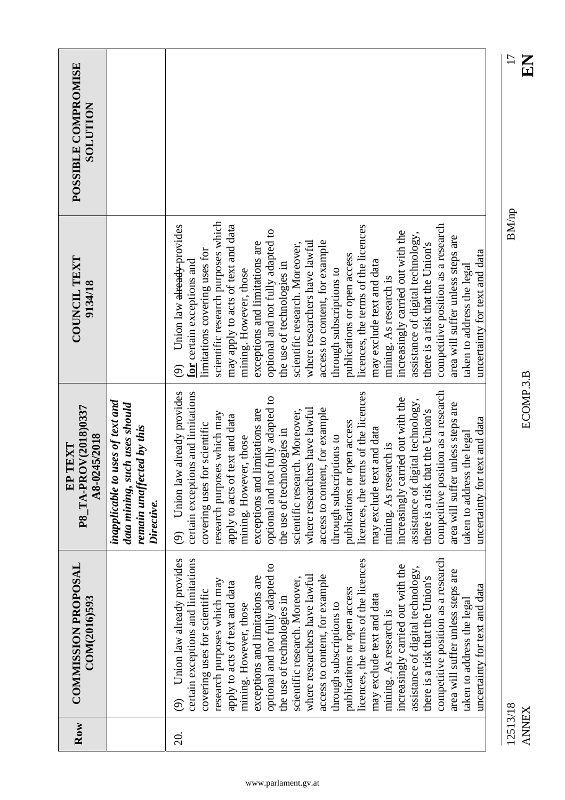| Row      | <b>COMMISSION PROPOSAL</b><br>COM(2016)593                                                                                                                                                                                                                                                                                                                                                                                                                                                                                                                                                                                                                                                                                                                                                                                                        | P8 TA-PROV(2018)0337<br>A8-0245/2018<br>EP TEXT                                                                                                                                                                                                                                                                                                                                                                                                                                                                                                                                                                                                                                                                                                                                                                                                 | COUNCIL TEXT<br>9134/18                                                                                                                                                                                                                                                                                                                                                                                                                                                                                                                                                                                                                                                                                                                                                                                                                                                  | POSSIBLE COMPROMISE<br><b>NOLLUTION</b> |
|----------|---------------------------------------------------------------------------------------------------------------------------------------------------------------------------------------------------------------------------------------------------------------------------------------------------------------------------------------------------------------------------------------------------------------------------------------------------------------------------------------------------------------------------------------------------------------------------------------------------------------------------------------------------------------------------------------------------------------------------------------------------------------------------------------------------------------------------------------------------|-------------------------------------------------------------------------------------------------------------------------------------------------------------------------------------------------------------------------------------------------------------------------------------------------------------------------------------------------------------------------------------------------------------------------------------------------------------------------------------------------------------------------------------------------------------------------------------------------------------------------------------------------------------------------------------------------------------------------------------------------------------------------------------------------------------------------------------------------|--------------------------------------------------------------------------------------------------------------------------------------------------------------------------------------------------------------------------------------------------------------------------------------------------------------------------------------------------------------------------------------------------------------------------------------------------------------------------------------------------------------------------------------------------------------------------------------------------------------------------------------------------------------------------------------------------------------------------------------------------------------------------------------------------------------------------------------------------------------------------|-----------------------------------------|
|          |                                                                                                                                                                                                                                                                                                                                                                                                                                                                                                                                                                                                                                                                                                                                                                                                                                                   | inapplicable to uses of text and<br>data mining, such uses should<br>remain unaffected by this<br>Directive.                                                                                                                                                                                                                                                                                                                                                                                                                                                                                                                                                                                                                                                                                                                                    |                                                                                                                                                                                                                                                                                                                                                                                                                                                                                                                                                                                                                                                                                                                                                                                                                                                                          |                                         |
| 20.      | competitive position as a research<br>certain exceptions and limitations<br>Union law already provides<br>licences, the terms of the licences<br>optional and not fully adapted to<br>increasingly carried out with the<br>assistance of digital technology,<br>area will suffer unless steps are<br>where researchers have lawful<br>access to content, for example<br>there is a risk that the Union's<br>exceptions and limitations are<br>scientific research. Moreover,<br>research purposes which may<br>apply to acts of text and data<br>uncertainty for text and data<br>publications or open access<br>covering uses for scientific<br>may exclude text and data<br>the use of technologies in<br>taken to address the legal<br>through subscriptions to<br>mining. However, those<br>mining. As research is<br>$\widehat{\mathcal{O}}$ | competitive position as a research<br>certain exceptions and limitations<br>Union law already provides<br>licences, the terms of the licences<br>optional and not fully adapted to<br>increasingly carried out with the<br>assistance of digital technology,<br>area will suffer unless steps are<br>where researchers have lawful<br>access to content, for example<br>exceptions and limitations are<br>there is a risk that the Union's<br>scientific research. Moreover,<br>research purposes which may<br>apply to acts of text and data<br>text and data<br>publications or open access<br>covering uses for scientific<br>may exclude text and data<br>the use of technologies in<br>taken to address the legal<br>through subscriptions to<br>mining. However, those<br>mining. As research is<br>uncertainty for<br>$\widehat{\Theta}$ | scientific research purposes which<br>competitive position as a research<br>may apply to acts of text and data<br>Union law <del>already</del> -provides<br>licences, the terms of the licences<br>optional and not fully adapted to<br>increasingly carried out with the<br>assistance of digital technology,<br>area will suffer unless steps are<br>where researchers have lawful<br>access to content, for example<br>exceptions and limitations are<br>there is a risk that the Union's<br>scientific research. Moreover,<br>limitations covering uses for<br>uncertainty for text and data<br>publications or open access<br>may exclude text and data<br><b>for</b> certain exceptions and<br>the use of technologies in<br>taken to address the legal<br>mining. However, those<br>through subscriptions to<br>mining. As research is<br>$\widehat{\mathcal{O}}$ |                                         |
| 12513/18 |                                                                                                                                                                                                                                                                                                                                                                                                                                                                                                                                                                                                                                                                                                                                                                                                                                                   |                                                                                                                                                                                                                                                                                                                                                                                                                                                                                                                                                                                                                                                                                                                                                                                                                                                 | <b>BM/np</b>                                                                                                                                                                                                                                                                                                                                                                                                                                                                                                                                                                                                                                                                                                                                                                                                                                                             | 17                                      |

ECOMP.3.B

 $\sum_{L1}$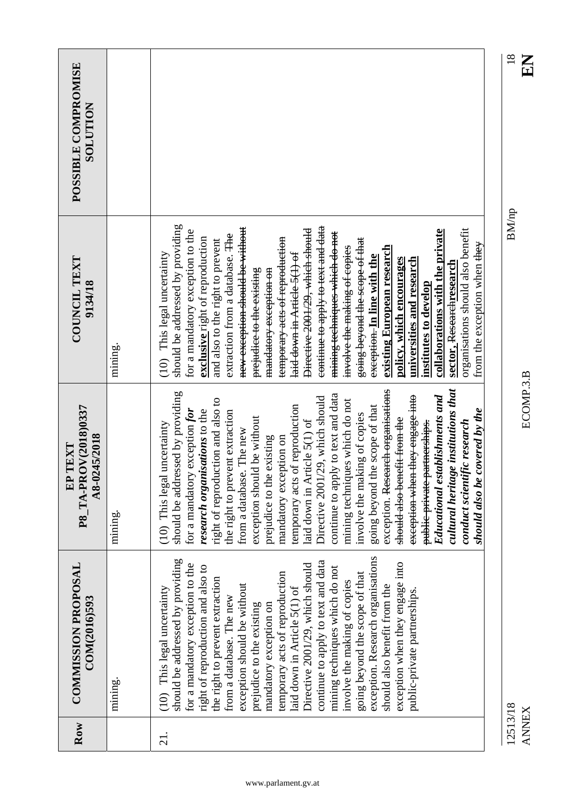| POSSIBLE COMPROMISE<br><b>NOLLTIDR</b>          |         |                                                                                                                                                                                                                                                                                                                                                                                                                                                                                                                                                                                                                                                                                                                                                                                                                                                                     |
|-------------------------------------------------|---------|---------------------------------------------------------------------------------------------------------------------------------------------------------------------------------------------------------------------------------------------------------------------------------------------------------------------------------------------------------------------------------------------------------------------------------------------------------------------------------------------------------------------------------------------------------------------------------------------------------------------------------------------------------------------------------------------------------------------------------------------------------------------------------------------------------------------------------------------------------------------|
| COUNCIL TEXT<br>9134/18                         | mining. | should be addressed by providing<br>continue to apply to text and data<br>new exception should be without<br>organisations should also benefit<br>Directive 2001/29, which should<br>collaborations with the private<br>for a mandatory exception to the<br>mining techniques which do not<br>extraction from a database. The<br>exclusive right of reproduction<br>temporary acts of reproduction<br>and also to the right to prevent<br>going beyond the scope of that<br>from the exception when <del>they</del><br>existing European research<br>involve the making of copies<br>laid down in Article 5(1) of<br>(10) This legal uncertainty<br>exception. In line with the<br>universities and research<br>policy, which encourages<br>sector, Researchresearch<br>mandatory exception on<br>prejudice to the existing<br>institutes to develop                |
| P8 TA-PROV(2018)0337<br>A8-0245/2018<br>EP TEXT | mining. | exception. Research organisations<br>cultural heritage institutions that<br>should be addressed by providing<br>continue to apply to text and data<br>exception when they engage into<br>Educational establishments and<br>Directive 2001/29, which should<br>right of reproduction and also to<br>mining techniques which do not<br>temporary acts of reproduction<br>going beyond the scope of that<br>covered by the<br>for a mandatory exception for<br>research organisations to the<br>the right to prevent extraction<br>involve the making of copies<br>Id be without<br>should also benefit from the<br>laid down in Article 5(1) of<br>conduct scientific research<br>public private partnerships.<br>(10) This legal uncertainty<br>from a database. The new<br>prejudice to the existing<br>mandatory exception on<br>exception shoul<br>should also be |
| <b>COMMISSION PROPOSAL</b><br>COM(2016)593      | mining. | exception. Research organisations<br>should be addressed by providing<br>continue to apply to text and data<br>exception when they engage into<br>Directive 2001/29, which should<br>for a mandatory exception to the<br>right of reproduction and also to<br>mining techniques which do not<br>temporary acts of reproduction<br>going beyond the scope of that<br>the right to prevent extraction<br>involve the making of copies<br>exception should be without<br>should also benefit from the<br>(10) This legal uncertainty<br>laid down in Article 5(1) of<br>public-private partnerships.<br>from a database. The new<br>prejudice to the existing<br>mandatory exception on                                                                                                                                                                                |
| Row                                             |         | $\overline{2}$ .                                                                                                                                                                                                                                                                                                                                                                                                                                                                                                                                                                                                                                                                                                                                                                                                                                                    |

 $\frac{18}{18}$ 

 $\rm BM/np$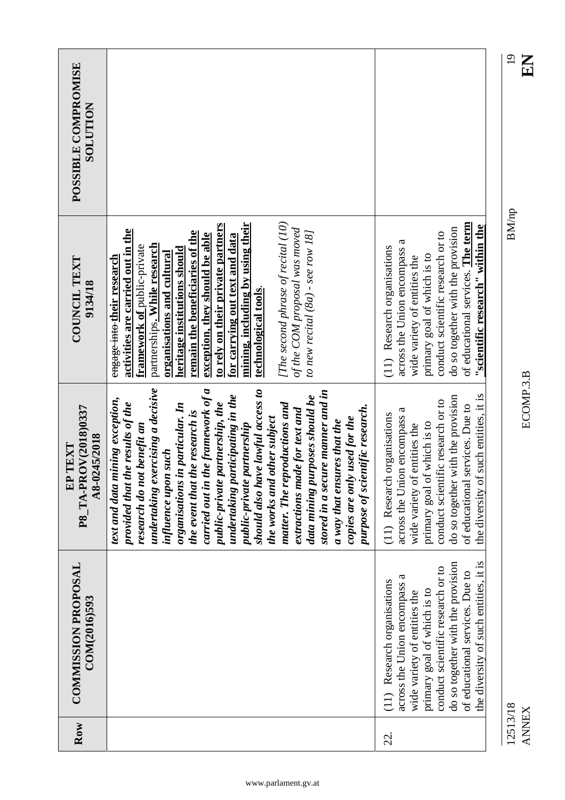|                                                    |                                                                                                                                                                                                                                                                                                                                                                                                                                                                                                                                                                                                                                                                                              |                                                                                                                                                                                                                                                                                           | $\overline{19}$<br>KN    |
|----------------------------------------------------|----------------------------------------------------------------------------------------------------------------------------------------------------------------------------------------------------------------------------------------------------------------------------------------------------------------------------------------------------------------------------------------------------------------------------------------------------------------------------------------------------------------------------------------------------------------------------------------------------------------------------------------------------------------------------------------------|-------------------------------------------------------------------------------------------------------------------------------------------------------------------------------------------------------------------------------------------------------------------------------------------|--------------------------|
| POSSIBLE COMPROMISE<br><b>NOLLTION</b>             |                                                                                                                                                                                                                                                                                                                                                                                                                                                                                                                                                                                                                                                                                              |                                                                                                                                                                                                                                                                                           |                          |
| COUNCIL TEXT<br>9134/18                            | [The second phrase of recital (10)<br>mining, including by using their<br>to rely on their private partners<br>of the COM proposal was moved<br>activities are carried out in the<br>to new recital $(8a)$ - see row $18$ ]<br>remain the beneficiaries of the<br>exception, they should be able<br>for carrying out text and data<br>partnerships. While research<br>framework of public-private<br>heritage institutions should<br>organisations and cultural<br>engage into their research<br>technological tools                                                                                                                                                                         | of educational services. The term<br>"scientific research" within the<br>do so together with the provision<br>conduct scientific research or to<br>across the Union encompass a<br>(11) Research organisations<br>primary goal of which is to<br>wide variety of entities the             | <b>BM/np</b>             |
| P8_TA-PROV(2018)0337<br>A8-0245/2018<br>TEXT<br>EP | undertaking exercising a decisive<br>carried out in the framework of $a$<br>should also have lawful access to<br>stored in a secure manner and in<br>undertaking participating in the<br>data mining purposes should be<br>text and data mining exception,<br>matter. The reproductions and<br>provided that the results of the<br>public-private partnership, the<br>organisations in particular. In<br>purpose of scientific research.<br>extractions made for text and<br>the event that the research is<br>the works and other subject<br>copies are only used for the<br>a way that ensures that the<br>public-private partnership<br>research do not benefit an<br>influence upon such | such entities, it is<br>do so together with the provision<br>conduct scientific research or to<br>of educational services. Due to<br>across the Union encompass a<br>organisations<br>primary goal of which is to<br>entities the<br>wide variety of<br>(11) Research<br>the diversity of | ECOMP.3.B                |
| <b>COMMISSION PROPOSAL</b><br>COM(2016)593         |                                                                                                                                                                                                                                                                                                                                                                                                                                                                                                                                                                                                                                                                                              | the diversity of such entities, it is<br>do so together with the provision<br>conduct scientific research or to<br>of educational services. Due to<br>across the Union encompass a<br>(11) Research organisations<br>primary goal of which is to<br>wide variety of entities the          |                          |
| Row                                                |                                                                                                                                                                                                                                                                                                                                                                                                                                                                                                                                                                                                                                                                                              | 22.                                                                                                                                                                                                                                                                                       | 12513/18<br><b>ANNEX</b> |

 $\frac{\text{d}}{\text{d}}$ 12513/18 BM/np 19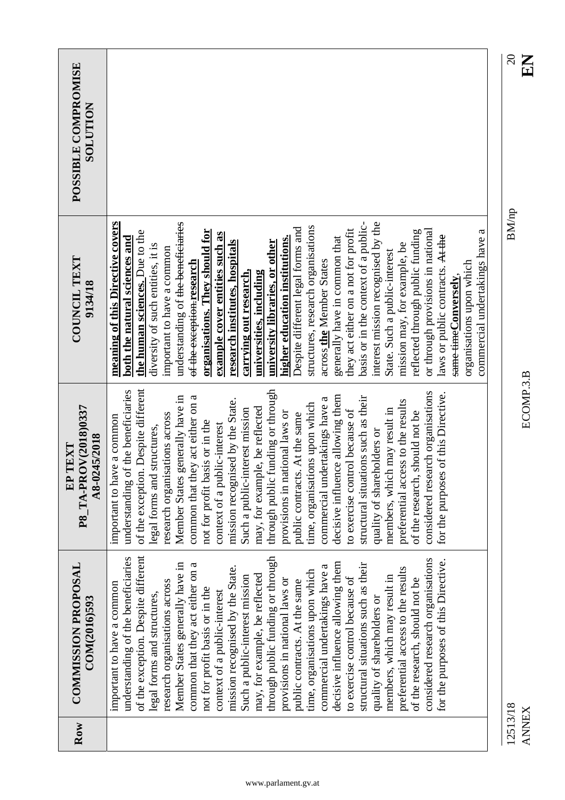|                                                        |                                                                                                                                                                                                                                                                                                                                                                                                                                                                                                                                                                                                                                                                                                                                                                                                                                                                                                                                                                                                                     | $\Omega$<br>EN           |
|--------------------------------------------------------|---------------------------------------------------------------------------------------------------------------------------------------------------------------------------------------------------------------------------------------------------------------------------------------------------------------------------------------------------------------------------------------------------------------------------------------------------------------------------------------------------------------------------------------------------------------------------------------------------------------------------------------------------------------------------------------------------------------------------------------------------------------------------------------------------------------------------------------------------------------------------------------------------------------------------------------------------------------------------------------------------------------------|--------------------------|
| POSSIBLE COMPROMISE<br><b>NOLLLTON</b>                 |                                                                                                                                                                                                                                                                                                                                                                                                                                                                                                                                                                                                                                                                                                                                                                                                                                                                                                                                                                                                                     |                          |
| COUNCIL TEXT<br>9134/18                                | meaning of this Directive covers<br>interest mission recognised by the<br>understanding of the beneficiaries<br>basis or in the context of a public-<br>structures, research organisations<br>Despite different legal forms and<br>they act either on a not for profit<br>or through provisions in national<br>organisations. They should for<br>reflected through public funding<br>the human sciences. Due to the<br>commercial undertakings have a<br>example cover entities such as<br>laws or public contracts. At the<br>generally have in common that<br>both the natural sciences and<br>higher education institutions.<br>research institutes, hospitals<br>university libraries, or other<br>mission may, for example, be<br>diversity of such entities, it is<br>important to have a common<br>State. Such a public-interest<br>across the Member States<br>organisations upon which<br><del>of the exception research</del><br>universities, including<br>carrying out research.<br>same-timeConversely | <b>BM/np</b>             |
| P8_TA-PROV(2018)0337<br>A8-0245/2018<br><b>EP TEXT</b> | of the exception. Despite different<br>through public funding or through<br>understanding of the beneficiaries<br>considered research organisations<br>for the purposes of this Directive.<br>decisive influence allowing them<br>Member States generally have in<br>structural situations such as their<br>common that they act either on a<br>commercial undertakings have a<br>mission recognised by the State.<br>preferential access to the results<br>time, organisations upon which<br>may, for example, be reflected<br>members, which may result in<br>Such a public-interest mission<br>to exercise control because of<br>of the research, should not be<br>provisions in national laws or<br>research organisations across<br>public contracts. At the same<br>important to have a common<br>not for profit basis or in the<br>context of a public-interest<br>legal forms and structures,<br>quality of shareholders or                                                                                 | ECOMP.3.B                |
| <b>COMMISSION PROPOSAL</b><br>COM(2016)593             | of the exception. Despite different<br>through public funding or through<br>understanding of the beneficiaries<br>considered research organisations<br>for the purposes of this Directive.<br>decisive influence allowing them<br>Member States generally have in<br>structural situations such as their<br>common that they act either on a<br>commercial undertakings have a<br>mission recognised by the State.<br>preferential access to the results<br>time, organisations upon which<br>may, for example, be reflected<br>members, which may result in<br>Such a public-interest mission<br>to exercise control because of<br>of the research, should not be<br>provisions in national laws or<br>research organisations across<br>public contracts. At the same<br>important to have a common<br>not for profit basis or in the<br>context of a public-interest<br>legal forms and structures,<br>quality of shareholders or                                                                                 |                          |
| Row                                                    |                                                                                                                                                                                                                                                                                                                                                                                                                                                                                                                                                                                                                                                                                                                                                                                                                                                                                                                                                                                                                     | 12513/18<br><b>ANNEX</b> |

# 12513/18 BM/np 12513/18<br>ANNEX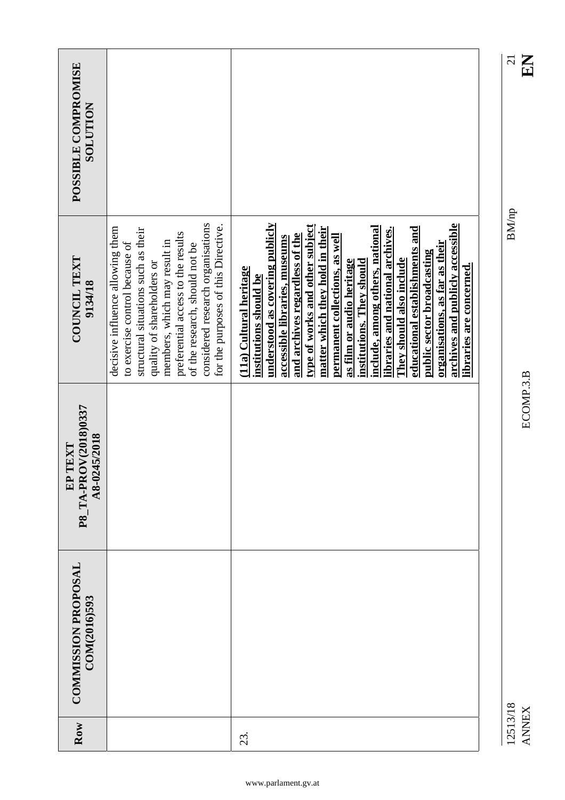| POSSIBLE COMPROMISE<br><b>NOLLLIDR</b>                  |                                                                                                                                                                                                                                                                                                                             |                                                                                                                                                                                                                                                                                                                                                                                                                                                                                                                                                                                                |
|---------------------------------------------------------|-----------------------------------------------------------------------------------------------------------------------------------------------------------------------------------------------------------------------------------------------------------------------------------------------------------------------------|------------------------------------------------------------------------------------------------------------------------------------------------------------------------------------------------------------------------------------------------------------------------------------------------------------------------------------------------------------------------------------------------------------------------------------------------------------------------------------------------------------------------------------------------------------------------------------------------|
| <b>COUNCIL TEXT</b><br>9134/18                          | considered research organisations<br>for the purposes of this Directive.<br>decisive influence allowing them<br>structural situations such as their<br>preferential access to the results<br>members, which may result in<br>to exercise control because of<br>of the research, should not be<br>quality of shareholders or | understood as covering publicly<br>archives and publicly accessible<br>type of works and other subject<br>matter which they hold in their<br>include, among others, national<br>educational establishments and<br>libraries and national archives.<br>and archives regardless of the<br>permanent collections, as well<br>accessible libraries, museums<br>organisations, as far as their<br>public sector broadcasting<br>They should also include<br>institutions. They should<br>as film or audio heritage<br>libraries are concerned.<br>(11a) Cultural heritage<br>institutions should be |
| <b>EP TEXT<br/>P8_TA-PROV(2018)0337</b><br>A8-0245/2018 |                                                                                                                                                                                                                                                                                                                             |                                                                                                                                                                                                                                                                                                                                                                                                                                                                                                                                                                                                |
| <b>COMMISSION PROPOSAL</b><br>COM(2016)593              |                                                                                                                                                                                                                                                                                                                             |                                                                                                                                                                                                                                                                                                                                                                                                                                                                                                                                                                                                |
| Row                                                     |                                                                                                                                                                                                                                                                                                                             | 23.                                                                                                                                                                                                                                                                                                                                                                                                                                                                                                                                                                                            |

12513/18 BM/np ANNEX ECOMP.3.B **EN** 12513/18<br>ANNEX

 $\frac{21}{11}$ 

 $\rm BM/np$ 

ECOMP.3.B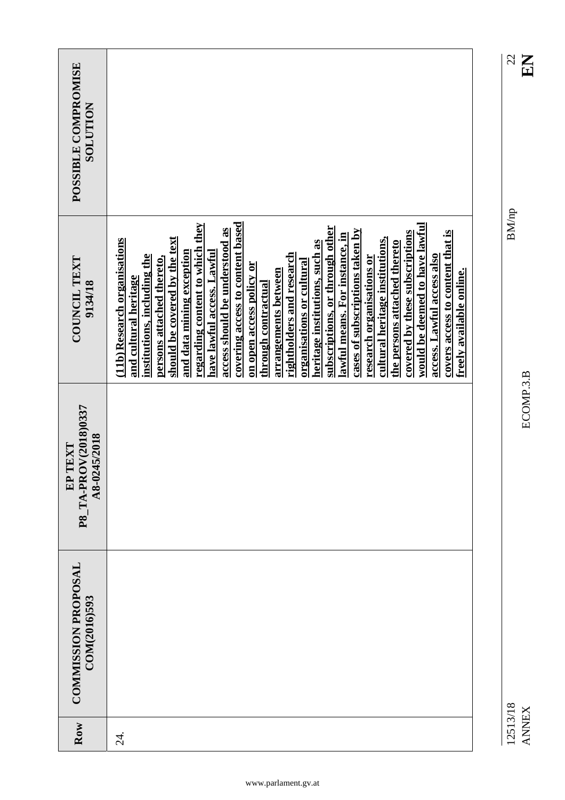| POSSIBLE COMPROMISE<br>NOLLLIN                  |                                                                                                                                                                                                                                                                                                                                                                                                                                                                                                                                                                                                                                                                                                                                                                                                                                                                         |
|-------------------------------------------------|-------------------------------------------------------------------------------------------------------------------------------------------------------------------------------------------------------------------------------------------------------------------------------------------------------------------------------------------------------------------------------------------------------------------------------------------------------------------------------------------------------------------------------------------------------------------------------------------------------------------------------------------------------------------------------------------------------------------------------------------------------------------------------------------------------------------------------------------------------------------------|
| <b>COUNCIL TEXT</b><br>9134/18                  | covering access to content based<br>would be deemed to have lawful<br>regarding content to which they<br>subscriptions, or through other<br>access should be understood as<br>cases of subscriptions taken by<br>covers access to content that is<br>covered by these subscriptions<br>lawful means. For instance, in<br>should be covered by the text<br>cultural heritage institutions,<br>(11b) Research organisations<br>heritage institutions, such as<br>the persons attached thereto<br>and data mining exception<br>have lawful access. Lawful<br>rightholders and research<br>institutions, including the<br>access. Lawful access also<br>research organisations or<br>persons attached thereto,<br>organisations or cultural<br>on open access policy or<br>arrangements between<br>freely available online.<br>and cultural heritage<br>through contractual |
| P8_TA-PROV(2018)0337<br>A8-0245/2018<br>EP TEXT |                                                                                                                                                                                                                                                                                                                                                                                                                                                                                                                                                                                                                                                                                                                                                                                                                                                                         |
| <b>COMMISSION PROPOSAL</b><br>COM(2016)593      |                                                                                                                                                                                                                                                                                                                                                                                                                                                                                                                                                                                                                                                                                                                                                                                                                                                                         |
| Row                                             | र्यु                                                                                                                                                                                                                                                                                                                                                                                                                                                                                                                                                                                                                                                                                                                                                                                                                                                                    |

12513/18 BM/np  $\rm BM/np$ 

12513/18<br>ANNEX

 $\frac{22}{11}$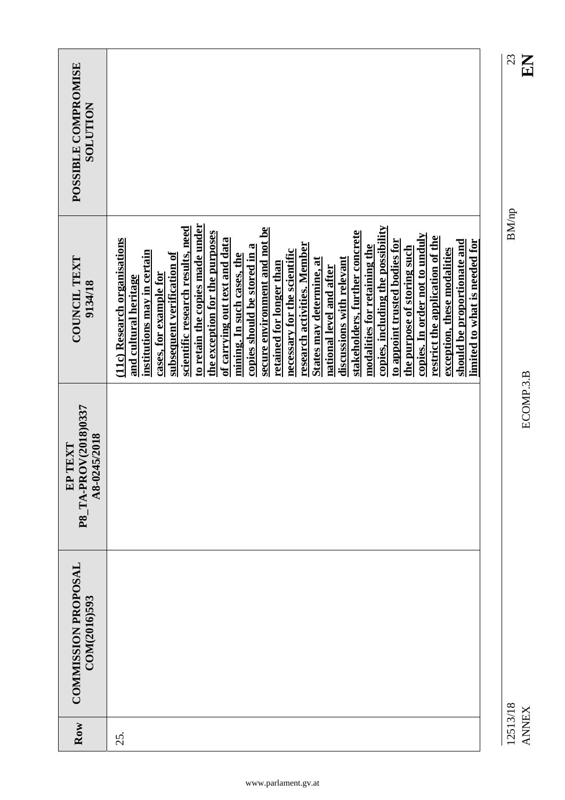| POSSIBLE COMPROMISE<br>NOLLITION                          |                                                                                                                                                                                                                                                                                                                                                                                                                                                                                                                                                                                                                                                                                                                                                                                                                                                                                                                         |
|-----------------------------------------------------------|-------------------------------------------------------------------------------------------------------------------------------------------------------------------------------------------------------------------------------------------------------------------------------------------------------------------------------------------------------------------------------------------------------------------------------------------------------------------------------------------------------------------------------------------------------------------------------------------------------------------------------------------------------------------------------------------------------------------------------------------------------------------------------------------------------------------------------------------------------------------------------------------------------------------------|
| <b>COUNCIL TEXT</b><br>9134/18                            | to retain the copies made under<br>copies, including the possibility<br>scientific research results, need<br>secure environment and not be<br>the exception for the purposes<br>stakeholders, further concrete<br>copies. In order not to unduly<br>restrict the application of the<br>of carrying out text and data<br>11c) Research organisations<br>to appoint trusted bodies for<br>limited to what is needed for<br>should be proportionate and<br>research activities. Member<br>copies should be stored in a<br>modalities for retaining the<br>the purpose of storing such<br>exception, these modalities<br>necessary for the scientific<br>institutions may in certain<br>subsequent verification of<br>mining. In such cases, the<br>discussions with relevant<br><b>States may determine, at</b><br>retained for longer than<br>national level and after<br>cases, for example for<br>and cultural heritage |
| OV(2018)0337<br>A8-0245/2018<br>TEXT<br>$E$ P<br>P8_TA-PR |                                                                                                                                                                                                                                                                                                                                                                                                                                                                                                                                                                                                                                                                                                                                                                                                                                                                                                                         |
| <b>COMMISSION PROPOSAL</b><br>COM(2016)593                |                                                                                                                                                                                                                                                                                                                                                                                                                                                                                                                                                                                                                                                                                                                                                                                                                                                                                                                         |
| Row                                                       | 25.                                                                                                                                                                                                                                                                                                                                                                                                                                                                                                                                                                                                                                                                                                                                                                                                                                                                                                                     |

 $\frac{23}{11}$ 

 $\rm BM/np$ 

ECOMP.3.B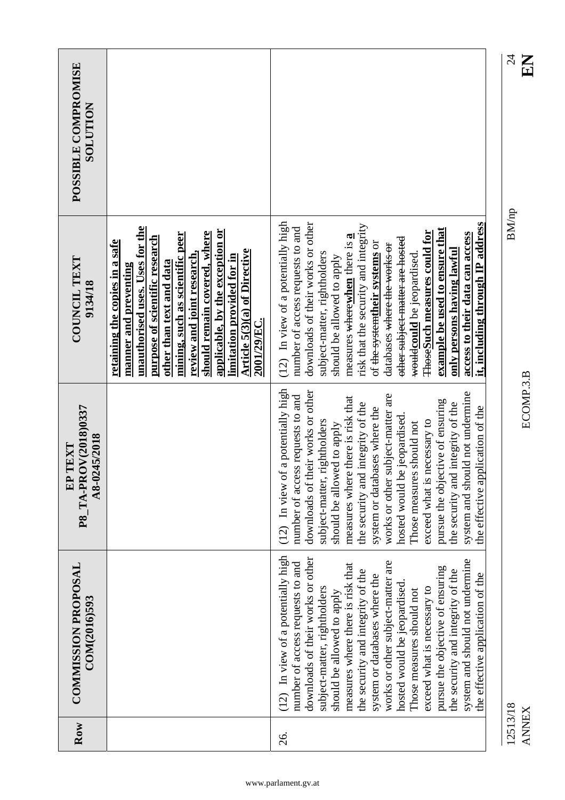|                                                       |                                                                                                                                                                                                                                                                                                                                                                           |                                                                                                                                                                                                                                                                                                                                                                                                                                                                                                                                                                                       | $\overline{24}$<br>EN    |
|-------------------------------------------------------|---------------------------------------------------------------------------------------------------------------------------------------------------------------------------------------------------------------------------------------------------------------------------------------------------------------------------------------------------------------------------|---------------------------------------------------------------------------------------------------------------------------------------------------------------------------------------------------------------------------------------------------------------------------------------------------------------------------------------------------------------------------------------------------------------------------------------------------------------------------------------------------------------------------------------------------------------------------------------|--------------------------|
| POSSIBLE COMPROMISE<br><b>SOLUTION</b>                |                                                                                                                                                                                                                                                                                                                                                                           |                                                                                                                                                                                                                                                                                                                                                                                                                                                                                                                                                                                       |                          |
| COUNCIL TEXT<br>9134/18                               | unauthorised uses. Uses for the<br>applicable, by the exception or<br>should remain covered, where<br>mining, such as scientific peer<br>purpose of scientific research<br>retaining the copies in a safe<br>Article 5(3)(a) of Directive<br>review and joint research.<br>limitation provided for in<br>other than text and data<br>manner and preventing<br>2001/29/EC. | $(12)$ In view of a potentially high<br>downloads of their works or other<br>it, including through IP address<br>risk that the security and integrity<br>number of access requests to and<br>example be used to ensure that<br><b>ThoseSuch measures could for</b><br>access to their data can access<br>measures <del>where</del> when there is a<br>other subject matter are hosted<br>of <del>the systemtheir systems</del> or<br>databases where the works or<br>only persons having lawful<br>subject-matter, rightholders<br>would be jeopardised<br>should be allowed to apply | <b>BM/np</b>             |
| P8_TA-PROV(2018)0337<br>A8-0245/2018<br>TEXT<br>$E$ P |                                                                                                                                                                                                                                                                                                                                                                           | (12) In view of a potentially high<br>downloads of their works or other<br>system and should not undermine<br>works or other subject-matter are<br>number of access requests to and<br>measures where there is risk that<br>pursue the objective of ensuring<br>the security and integrity of the<br>the security and integrity of the<br>the effective application of the<br>system or databases where the<br>hosted would be jeopardised.<br>exceed what is necessary to<br>subject-matter, rightholders<br>Those measures should not<br>should be allowed to apply                 | ECOMP.3.B                |
| <b>COMMISSION PROPOSAL</b><br>COM(2016)593            |                                                                                                                                                                                                                                                                                                                                                                           | $(12)$ In view of a potentially high<br>downloads of their works or other<br>system and should not undermine<br>works or other subject-matter are<br>number of access requests to and<br>measures where there is risk that<br>pursue the objective of ensuring<br>the security and integrity of the<br>the security and integrity of the<br>the effective application of the<br>system or databases where the<br>hosted would be jeopardised<br>subject-matter, rightholders<br>exceed what is necessary to<br>Those measures should not<br>should be allowed to apply                |                          |
| Row                                                   |                                                                                                                                                                                                                                                                                                                                                                           | 26.                                                                                                                                                                                                                                                                                                                                                                                                                                                                                                                                                                                   | 12513/18<br><b>ANNEX</b> |

 $\frac{24}{11}$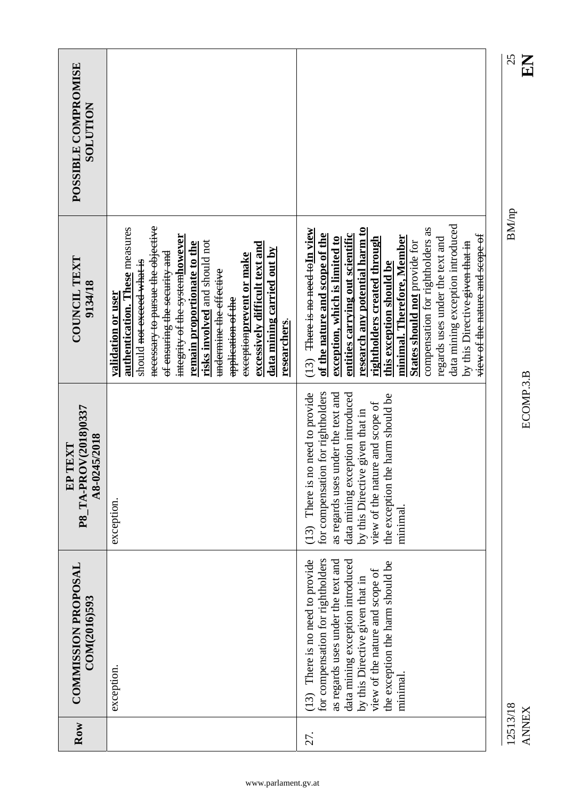| POSSIBLE COMPROMISE<br><b>NOLLTIDR</b>                |                                                                                                                                                                                                                                                                                                                                                                                                                                                         |                                                                                                                                                                                                                                                                                                                                                                                                                                                                                                         | 25<br>KN                 |
|-------------------------------------------------------|---------------------------------------------------------------------------------------------------------------------------------------------------------------------------------------------------------------------------------------------------------------------------------------------------------------------------------------------------------------------------------------------------------------------------------------------------------|---------------------------------------------------------------------------------------------------------------------------------------------------------------------------------------------------------------------------------------------------------------------------------------------------------------------------------------------------------------------------------------------------------------------------------------------------------------------------------------------------------|--------------------------|
|                                                       |                                                                                                                                                                                                                                                                                                                                                                                                                                                         |                                                                                                                                                                                                                                                                                                                                                                                                                                                                                                         |                          |
| COUNCIL TEXT<br>9134/18                               | necessary to pursue the objective<br>authentication. These measures<br><del>integrity of the system</del> however<br>risks involved and should not<br>remain proportionate to the<br>excessively difficult text and<br>data mining carried out by<br>of ensuring the security and<br><del>exception</del> prevent or make<br>should <del>not exceed what is</del><br>undermine the effective<br>validation or user<br>application of the<br>researchers | data mining exception introduced<br>research any potential harm to<br>compensation for rightholders as<br>There is no need to In view<br>of the nature and scope of the<br>entities carrying out scientific<br>view of the nature and scope of<br>minimal. Therefore, Member<br>rightholders created through<br>regards uses under the text and<br>exception, which is limited to<br><b>States should not</b> provide for<br>by this Directive-given that in<br><u>this exception should be</u><br>(13) | <b>BM/np</b>             |
| P8 TA-PROV(2018)0337<br>A8-0245/2018<br>TEXT<br>$E$ P | exception.                                                                                                                                                                                                                                                                                                                                                                                                                                              | for compensation for rightholders<br>under the text and<br>data mining exception introduced<br>(13) There is no need to provide<br>e harm should be<br>view of the nature and scope of<br>by this Directive given that in<br>the exception th<br>as regards uses<br>minimal                                                                                                                                                                                                                             | ECOMP.3.B                |
| <b>COMMISSION PROPOSAL</b><br>COM(2016)593            | exception.                                                                                                                                                                                                                                                                                                                                                                                                                                              | for compensation for rightholders<br>as regards uses under the text and<br>data mining exception introduced<br>$(13)$ There is no need to provide<br>the exception the harm should be<br>view of the nature and scope of<br>by this Directive given that in<br>minimal                                                                                                                                                                                                                                  |                          |
| Row                                                   |                                                                                                                                                                                                                                                                                                                                                                                                                                                         | 27.                                                                                                                                                                                                                                                                                                                                                                                                                                                                                                     | 12513/18<br><b>ANNEX</b> |

25<br>EN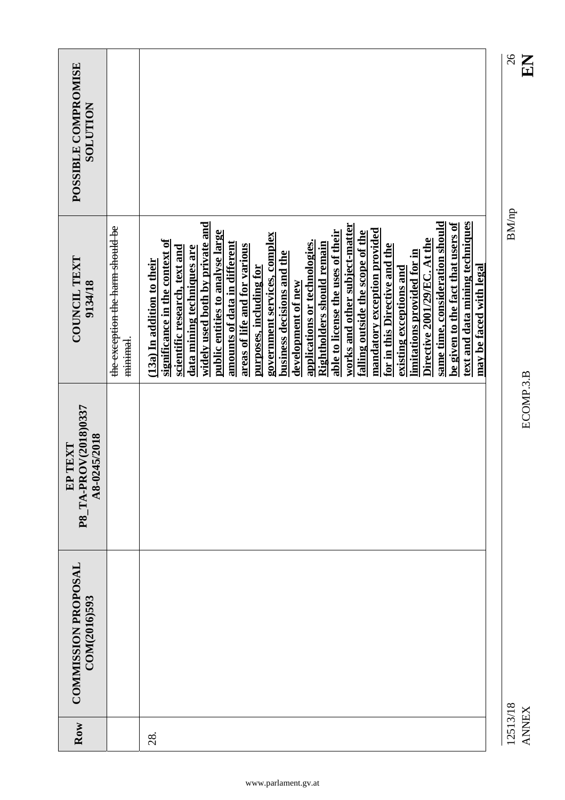| POSSIBLE COMPROMISE<br>NOLLITION                        |                                            |                                                                                                                                                                                                                                                                                                                                                                                                                                                                                                                                                                                                                                                                                                                                                                                                                                                                       |  |
|---------------------------------------------------------|--------------------------------------------|-----------------------------------------------------------------------------------------------------------------------------------------------------------------------------------------------------------------------------------------------------------------------------------------------------------------------------------------------------------------------------------------------------------------------------------------------------------------------------------------------------------------------------------------------------------------------------------------------------------------------------------------------------------------------------------------------------------------------------------------------------------------------------------------------------------------------------------------------------------------------|--|
| COUNCIL TEXT<br>9134/18                                 | the exception the harm should be<br>mmmal. | same time, consideration should<br>be given to the fact that users of<br>text and data mining techniques<br>widely used both by private and<br>works and other subject-matter<br>mandatory exception provided<br>public entities to analyse large<br>falling outside the scope of the<br>able to license the uses of their<br>government services, complex<br>Directive 2001/29/EC. At the<br>significance in the context of<br>applications or technologies.<br>amounts of data in different<br><u>Rightholders should remain</u><br>areas of life and for various<br>for in this Directive and the<br>scientific research, text and<br>data mining techniques are<br>limitations provided for in<br>business decisions and the<br>(13a) In addition to their<br>may be faced with legal<br>purposes, including for<br>existing exceptions and<br>development of new |  |
| <b>EP TEXT<br/>P8_TA-PROV(2018)0337</b><br>A8-0245/2018 |                                            |                                                                                                                                                                                                                                                                                                                                                                                                                                                                                                                                                                                                                                                                                                                                                                                                                                                                       |  |
| <b>COMMISSION PROPOSAL</b><br>COM(2016)593              |                                            |                                                                                                                                                                                                                                                                                                                                                                                                                                                                                                                                                                                                                                                                                                                                                                                                                                                                       |  |
| Row                                                     |                                            | 28.                                                                                                                                                                                                                                                                                                                                                                                                                                                                                                                                                                                                                                                                                                                                                                                                                                                                   |  |

 $\frac{26}{E}$ 

 $\rm BM/np$ 

ECOMP.3.B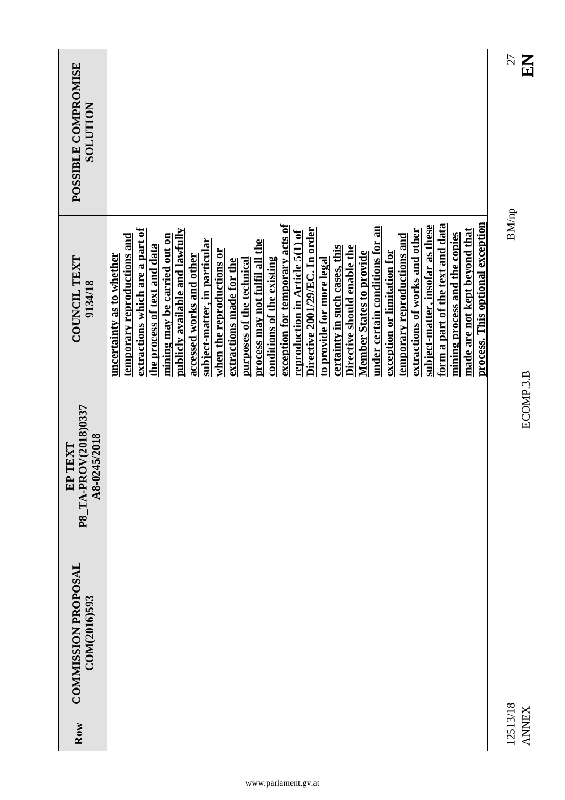| POSSIBLE COMPROMISE<br><b>NOLLTION</b>          |                                                                                                                                                                                                                                                                                                                                                                                                                                                                                                                                                                                                                                                                                                                                                                                                                                                                                                                                                                                      | EN<br>27                 |
|-------------------------------------------------|--------------------------------------------------------------------------------------------------------------------------------------------------------------------------------------------------------------------------------------------------------------------------------------------------------------------------------------------------------------------------------------------------------------------------------------------------------------------------------------------------------------------------------------------------------------------------------------------------------------------------------------------------------------------------------------------------------------------------------------------------------------------------------------------------------------------------------------------------------------------------------------------------------------------------------------------------------------------------------------|--------------------------|
| COUNCIL TEXT<br>9134/18                         | process. This optional exception<br>form a part of the text and data<br>exception for temporary acts of<br>subject-matter, insofar as these<br>under certain conditions for an<br>Directive 2001/29/EC. In order<br>extractions which are a part of<br>$\bold{p}$ ublicly available and lawfully<br>extractions of works and other<br>made are not kept beyond that<br>reproduction in Article 5(1) of<br>mining process and the copies<br>temporary reproductions and<br>temporary reproductions and<br>mining may be carried out on<br>subject-matter, in particular<br>process may not fulfil all the<br>the process of text and data<br>certainty in such cases, this<br>Directive should enable the<br>when the reproductions or<br>exception or limitation for<br><b>Member States to provide</b><br>uncertainty as to whether<br>accessed works and other<br>conditions of the existing<br>purposes of the technical<br>to provide for more legal<br>extractions made for the | <b>BM/np</b>             |
| P8_TA-PROV(2018)0337<br>A8-0245/2018<br>EP TEXT |                                                                                                                                                                                                                                                                                                                                                                                                                                                                                                                                                                                                                                                                                                                                                                                                                                                                                                                                                                                      | ECOMP.3.B                |
| <b>COMMISSION PROPOSAL</b><br>COM(2016)593      |                                                                                                                                                                                                                                                                                                                                                                                                                                                                                                                                                                                                                                                                                                                                                                                                                                                                                                                                                                                      |                          |
| Row                                             |                                                                                                                                                                                                                                                                                                                                                                                                                                                                                                                                                                                                                                                                                                                                                                                                                                                                                                                                                                                      | 12513/18<br><b>ANNEX</b> |

 $\begin{array}{c} \hline 27 \\ \hline \textbf{EN} \end{array}$ 12513/18 BM/np 27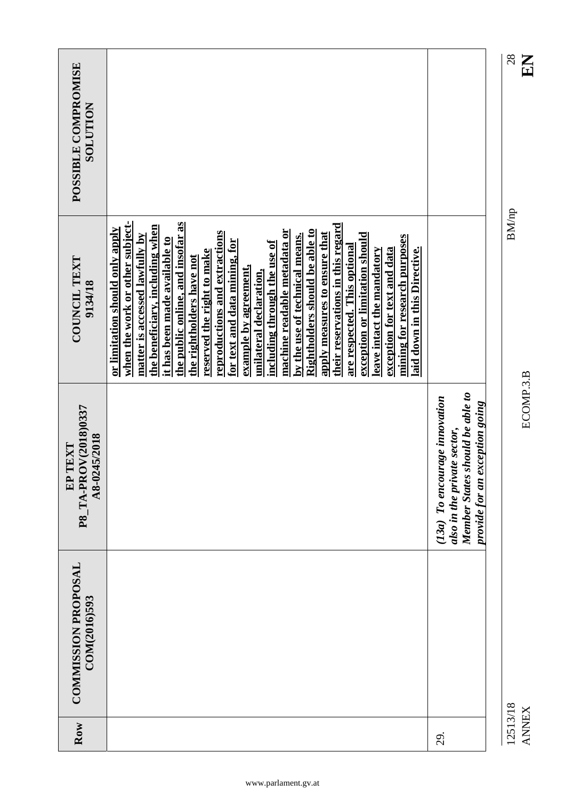|                                                    |                                                                                                                                                                                                                                                                                                                                                                                                                                                                                                                                                                                                                                                                                                                                                                                                         |                                                                                                                                   | 28<br>EN                 |
|----------------------------------------------------|---------------------------------------------------------------------------------------------------------------------------------------------------------------------------------------------------------------------------------------------------------------------------------------------------------------------------------------------------------------------------------------------------------------------------------------------------------------------------------------------------------------------------------------------------------------------------------------------------------------------------------------------------------------------------------------------------------------------------------------------------------------------------------------------------------|-----------------------------------------------------------------------------------------------------------------------------------|--------------------------|
| POSSIBLE COMPROMISE<br><b>NOLLTIDR</b>             |                                                                                                                                                                                                                                                                                                                                                                                                                                                                                                                                                                                                                                                                                                                                                                                                         |                                                                                                                                   |                          |
|                                                    |                                                                                                                                                                                                                                                                                                                                                                                                                                                                                                                                                                                                                                                                                                                                                                                                         |                                                                                                                                   |                          |
| COUNCIL TEXT<br>9134/18                            | when the work or other subject-<br>the public online, and insofar as<br>their reservations in this regard<br>the beneficiary, including when<br>or limitation should only apply<br>Rightholders should be able to<br>machine readable metadata or<br>reproductions and extractions<br>apply measures to ensure that<br>by the use of technical means.<br>exception or limitation should<br>matter is accessed lawfully by<br>mining for research purposes<br>it has been made available to<br>for text and data mining, for<br>including through the use of<br>are respected. This optional<br>laid down in this Directive.<br>exception for text and data<br>leave intact the mandatory<br>reserved the right to make<br>the rightholders have not<br>example by agreement,<br>unilateral declaration, |                                                                                                                                   | <b>BM/np</b>             |
| P8_TA-PROV(2018)0337<br>A8-0245/2018<br>TEXT<br>EP |                                                                                                                                                                                                                                                                                                                                                                                                                                                                                                                                                                                                                                                                                                                                                                                                         | Member States should be able to<br>(13a) To encourage innovation<br>provide for an exception going<br>also in the private sector, | ECOMP.3.B                |
| <b>COMMISSION PROPOSAL</b><br>COM(2016)593         |                                                                                                                                                                                                                                                                                                                                                                                                                                                                                                                                                                                                                                                                                                                                                                                                         |                                                                                                                                   |                          |
| Row                                                |                                                                                                                                                                                                                                                                                                                                                                                                                                                                                                                                                                                                                                                                                                                                                                                                         | 29.                                                                                                                               | 12513/18<br><b>ANNEX</b> |

 $\frac{28}{\text{E}}$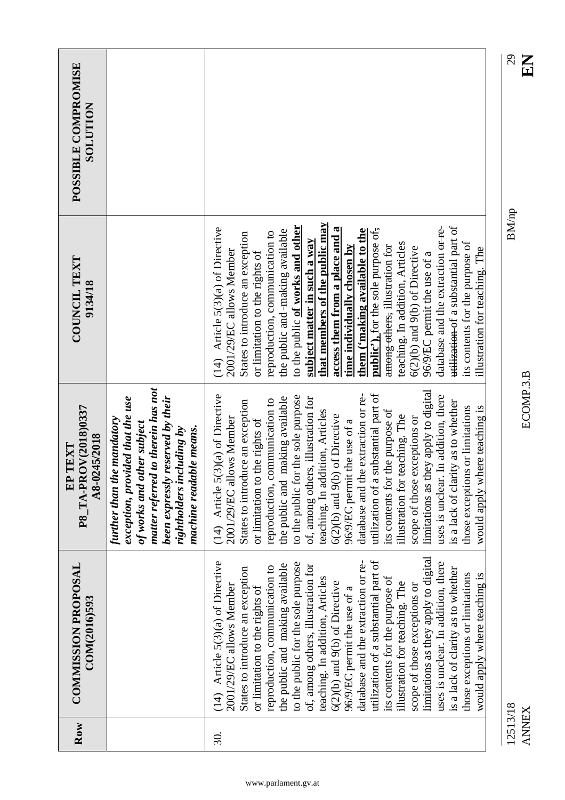| <b>COMMISSION PROPOSAL</b><br>COM(2016)593                                                               | P8 TA-PROV(2018)0337<br>further than the mandatory<br>A8-0245/2018<br>TEXT<br>EP                                                                                                                 | COUNCIL TEXT<br>9134/18                                                     | POSSIBLE COMPROMISE<br><b>SOLUTION</b> |
|----------------------------------------------------------------------------------------------------------|--------------------------------------------------------------------------------------------------------------------------------------------------------------------------------------------------|-----------------------------------------------------------------------------|----------------------------------------|
|                                                                                                          | matter referred to therein has not<br>exception, provided that the use<br>been expressly reserved by their<br>of works and other subject<br>rightholders including by<br>machine readable means. |                                                                             |                                        |
| Article 5(3)(a) of Directive<br>2001/29/EC allows Member<br>$\frac{4}{14}$                               | (14) Article $5(3)(a)$ of Directive<br>2001/29/EC allows Member                                                                                                                                  | Article 5(3)(a) of Directive<br>2001/29/EC allows Member<br>$\overline{14}$ |                                        |
| States to introduce an exception<br>or limitation to the rights of                                       | States to introduce an exception<br>or limitation to the rights of                                                                                                                               | States to introduce an exception<br>or limitation to the rights of          |                                        |
| the public and making available<br>reproduction, communication to                                        | the public and making available<br>reproduction, communication to                                                                                                                                | the public and -making available<br>reproduction, communication to          |                                        |
| to the public for the sole purpose                                                                       | to the public for the sole purpose                                                                                                                                                               | to the public of works and other                                            |                                        |
| teaching. In addition, Articles<br>of, among others, illustration for<br>teaching. In addition, Articles | of, among others, illustration for                                                                                                                                                               | that members of the public may<br>subject matter in such a way              |                                        |
| $6(2)(b)$ and $9(b)$ of Directive<br>$6(2)(b)$ and $9(b)$ of Directive                                   |                                                                                                                                                                                                  | access them from a place and a                                              |                                        |
| 96/9/EC permit the use of a<br>database and the extraction or re-<br>96/9/EC permit the use of a         | database and the extraction or re-                                                                                                                                                               | them ('making available to the<br>time individually chosen by               |                                        |
| utilization of a substantial part of                                                                     | utilization of a substantial part of                                                                                                                                                             | public'), for the sole purpose of,                                          |                                        |
| its contents for the purpose of                                                                          | its contents for the purpose of                                                                                                                                                                  | among others, illustration for                                              |                                        |
| illustration for teaching. The<br>scope of those exceptions or                                           | illustration for teaching. The<br>scope of those exceptions or                                                                                                                                   | teaching. In addition, Articles<br>$6(2)(b)$ and $9(b)$ of Directive        |                                        |
| limitations as they apply to digital                                                                     | limitations as they apply to digital                                                                                                                                                             | 96/9/EC permit the use of a                                                 |                                        |
| uses is unclear.<br>uses is unclear. In addition, there                                                  | In addition, there                                                                                                                                                                               | database and the extraction <del>or re-</del>                               |                                        |
| is a lack of clarity as to whether                                                                       | is a lack of clarity as to whether                                                                                                                                                               | utilization of a substantial part of                                        |                                        |
| those exceptions or limitations<br>would apply where teaching is                                         | those exceptions or limitations<br>would apply where teaching is                                                                                                                                 | its contents for the purpose of<br>illustration for teaching. The           |                                        |
| 12513/18                                                                                                 |                                                                                                                                                                                                  | <b>BM/np</b>                                                                | $\overline{5}$                         |
| <b>ANNEX</b>                                                                                             | ECOMP.3.B                                                                                                                                                                                        |                                                                             |                                        |
|                                                                                                          |                                                                                                                                                                                                  |                                                                             | KH                                     |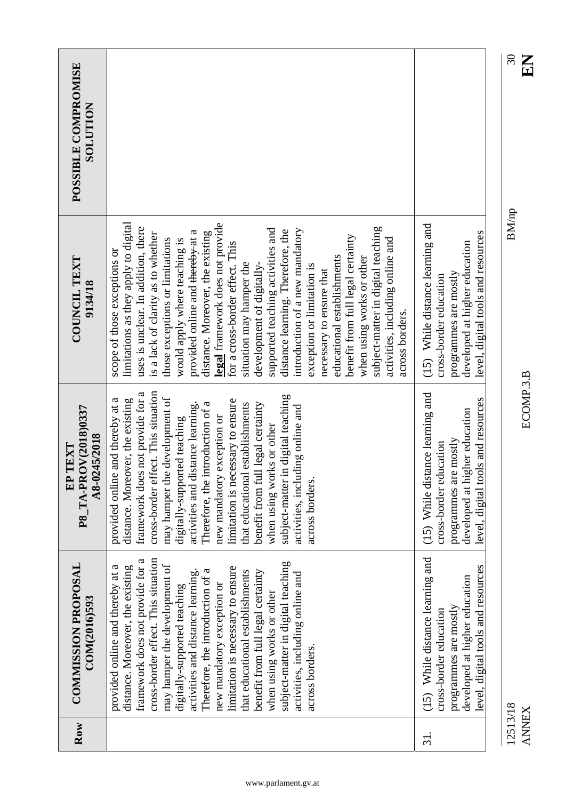| Row                      | <b>COMMISSION PROPOSAL</b><br>COM(2016)593                                                                                                                                                                                                                                                                                                                                                                                                                                                                                                                     | P8_TA-PROV(2018)0337<br>A8-0245/2018<br>TEXT<br>EP                                                                                                                                                                                                                                                                                                                                                                                                                                                                                                                   | COUNCIL TEXT<br>9134/18                                                                                                                                                                                                                                                                                                                                                                                                                                                                                                                                                                                                                                                                                                                                                                                       | POSSIBLE COMPROMISE<br><b>NOLLTION</b> |
|--------------------------|----------------------------------------------------------------------------------------------------------------------------------------------------------------------------------------------------------------------------------------------------------------------------------------------------------------------------------------------------------------------------------------------------------------------------------------------------------------------------------------------------------------------------------------------------------------|----------------------------------------------------------------------------------------------------------------------------------------------------------------------------------------------------------------------------------------------------------------------------------------------------------------------------------------------------------------------------------------------------------------------------------------------------------------------------------------------------------------------------------------------------------------------|---------------------------------------------------------------------------------------------------------------------------------------------------------------------------------------------------------------------------------------------------------------------------------------------------------------------------------------------------------------------------------------------------------------------------------------------------------------------------------------------------------------------------------------------------------------------------------------------------------------------------------------------------------------------------------------------------------------------------------------------------------------------------------------------------------------|----------------------------------------|
|                          | cross-border effect. This situation<br>framework does not provide for a<br>subject-matter in digital teaching<br>may hamper the development of<br>provided online and thereby at a<br>distance. Moreover, the existing<br>limitation is necessary to ensure<br>Therefore, the introduction of a<br>that educational establishments<br>activities and distance learning.<br>benefit from full legal certainty<br>activities, including online and<br>new mandatory exception or<br>digitally-supported teaching<br>when using works or other<br>across borders. | cross-border effect. This situation<br>framework does not provide for a<br>subject-matter in digital teaching<br>may hamper the development of<br>and thereby at a<br>distance. Moreover, the existing<br>limitation is necessary to ensure<br>Therefore, the introduction of a<br>activities and distance learning.<br>establishments<br>benefit from full legal certainty<br>activities, including online and<br>new mandatory exception or<br>digitally-supported teaching<br>when using works or other<br>provided online<br>that educational<br>across borders. | limitations as they apply to digital<br>legal framework does not provide<br>uses is unclear. In addition, there<br>supported teaching activities and<br>subject-matter in digital teaching<br>introduction of a new mandatory<br>distance learning. Therefore, the<br>provided online and <del>thereby</del> -at a<br>distance. Moreover, the existing<br>is a lack of clarity as to whether<br>benefit from full legal certainty<br>activities, including online and<br>those exceptions or limitations<br>would apply where teaching is<br>for a cross-border effect. This<br>scope of those exceptions or<br>educational establishments<br>when using works or other<br>situation may hamper the<br>development of digitally-<br>exception or limitation is<br>necessary to ensure that<br>across borders. |                                        |
| 31.                      | (15) While distance learning and<br>level, digital tools and resources<br>developed at higher education<br>programmes are mostly<br>cross-border education                                                                                                                                                                                                                                                                                                                                                                                                     | (15) While distance learning and<br>level, digital tools and resources<br>developed at higher education<br>programmes are mostly<br>cross-border education                                                                                                                                                                                                                                                                                                                                                                                                           | (15) While distance learning and<br>level, digital tools and resources<br>developed at higher education<br>programmes are mostly<br>cross-border education                                                                                                                                                                                                                                                                                                                                                                                                                                                                                                                                                                                                                                                    |                                        |
| 12513/18<br><b>ANNEX</b> |                                                                                                                                                                                                                                                                                                                                                                                                                                                                                                                                                                | ECOMP.3.B                                                                                                                                                                                                                                                                                                                                                                                                                                                                                                                                                            | <b>BM/np</b>                                                                                                                                                                                                                                                                                                                                                                                                                                                                                                                                                                                                                                                                                                                                                                                                  | $\Im 0$<br>EN                          |

 $\frac{30}{12}$ 12513/18 BM/np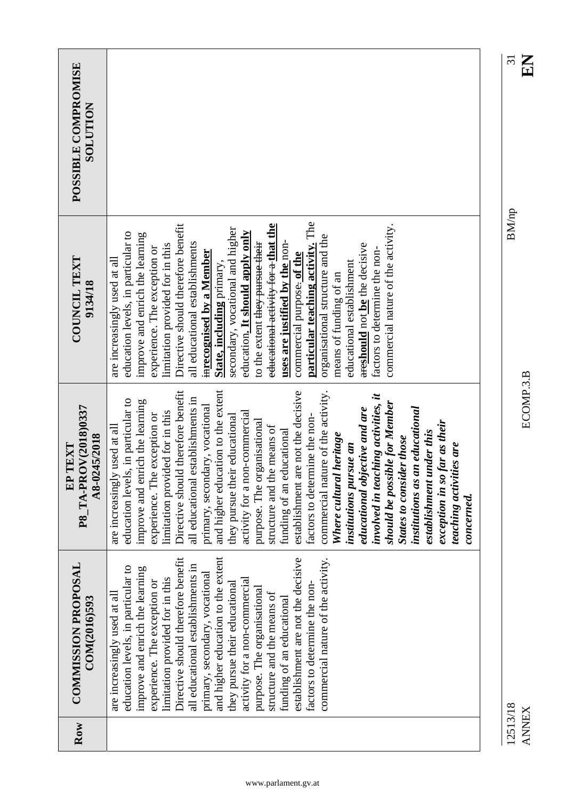| <b>COMMISSION PROPOSAL</b><br>COM(2016)593                                                                                                                                                                                                                                                                                                                                                                                                                                                                                                                                                           | P8 TA-PROV(2018)0337<br>A8-0245/2018<br>TEXT<br>$\mathbf{E}$                                                                                                                                                                                                                                                                                                                                                                                                                                                                                                                                                                                                                                                                                                                                                                                                                                                                                 | <b>COUNCIL TEXT</b><br>9134/18                                                                                                                                                                                                                                                                                                                                                                                                                                                                                                                                                                                                                                                                                                                                                | POSSIBLE COMPROMISE<br><b>NOILUTION</b> |
|------------------------------------------------------------------------------------------------------------------------------------------------------------------------------------------------------------------------------------------------------------------------------------------------------------------------------------------------------------------------------------------------------------------------------------------------------------------------------------------------------------------------------------------------------------------------------------------------------|----------------------------------------------------------------------------------------------------------------------------------------------------------------------------------------------------------------------------------------------------------------------------------------------------------------------------------------------------------------------------------------------------------------------------------------------------------------------------------------------------------------------------------------------------------------------------------------------------------------------------------------------------------------------------------------------------------------------------------------------------------------------------------------------------------------------------------------------------------------------------------------------------------------------------------------------|-------------------------------------------------------------------------------------------------------------------------------------------------------------------------------------------------------------------------------------------------------------------------------------------------------------------------------------------------------------------------------------------------------------------------------------------------------------------------------------------------------------------------------------------------------------------------------------------------------------------------------------------------------------------------------------------------------------------------------------------------------------------------------|-----------------------------------------|
| and higher education to the extent<br>commercial nature of the activity.<br>Directive should therefore benefit<br>establishment are not the decisive<br>all educational establishments in<br>education levels, in particular to<br>improve and enrich the learning<br>primary, secondary, vocational<br>limitation provided for in this<br>activity for a non-commercial<br>experience. The exception or<br>they pursue their educational<br>factors to determine the non-<br>purpose. The organisational<br>structure and the means of<br>are increasingly used at all<br>funding of an educational | and higher education to the extent<br>Directive should therefore benefit<br>establishment are not the decisive<br>commercial nature of the activity.<br>involved in teaching activities, it<br>all educational establishments in<br>education levels, in particular to<br>improve and enrich the learning<br>should be possible for Member<br>primary, secondary, vocational<br>institutions as an educational<br>educational objective and are<br>limitation provided for in this<br>activity for a non-commercial<br>experience. The exception or<br>they pursue their educational<br>factors to determine the non-<br>purpose. The organisational<br>exception in so far as their<br>structure and the means of<br>are increasingly used at all<br>funding of an educational<br>establishment under this<br>Where cultural heritage<br><b>States to consider those</b><br>institutions pursue an<br>teaching activities are<br>concerned. | particular teaching activity. The<br>Directive should therefore benefit<br>educational activity for a that the<br>commercial nature of the activity.<br>secondary, vocational and higher<br>education levels, in particular to<br>education. It should apply only<br>improve and enrich the learning<br>organisational structure and the<br>to the extent <del>they pursue their</del><br>uses are justified by the non-<br>all educational establishments<br>limitation provided for in this<br>areshould not be the decisive<br>experience. The exception or<br>factors to determine the non-<br>inrecognised by a Member<br>commercial purpose. of the<br>are increasingly used at all<br>educational establishment<br>State, including primary,<br>means of funding of an |                                         |

12513/18 BM/np ANNEX ECOMP.3.B **EN** 12513/18<br>ANNEX

www.parlament.gv.at

 $\frac{31}{10}$ 

 $\rm BM/np$ 

ECOMP.3.B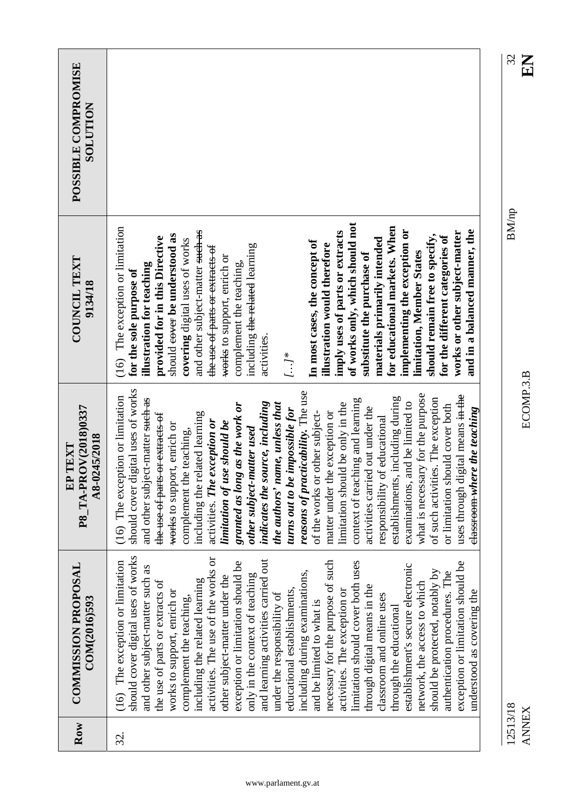| POSSIBLE COMPROMISE<br><b>NOITIDTIOS</b>        |                                                                                                                                                                                                                                                                                                                                                                                                                                                                                                                                                                                                                                                                                                                                                                                                                                                                                                                                                                                                |
|-------------------------------------------------|------------------------------------------------------------------------------------------------------------------------------------------------------------------------------------------------------------------------------------------------------------------------------------------------------------------------------------------------------------------------------------------------------------------------------------------------------------------------------------------------------------------------------------------------------------------------------------------------------------------------------------------------------------------------------------------------------------------------------------------------------------------------------------------------------------------------------------------------------------------------------------------------------------------------------------------------------------------------------------------------|
| <b>COUNCIL TEXT</b><br>9134/18                  | of works only, which should not<br>for educational markets. When<br>(16) The exception or limitation<br>and in a balanced manner, the<br>implementing the exception or<br>and other subject-matter <del>such as</del><br>works or other subject-matter<br>imply uses of parts or extracts<br>should remain free to specify,<br>should eever be understood as<br>provided for in this Directive<br>for the different categories of<br>materials primarily intended<br>covering digital uses of works<br>In most cases, the concept of<br>illustration would therefore<br>including <del>the related</del> learning<br>the use of parts or extracts of<br>limitation, Member States<br>substitute the purchase of<br>works to support, enrich or<br>complement the teaching,<br>illustration for teaching<br>for the sole purpose of<br>activities.<br>$\left[\ldots\right]^{*}$                                                                                                                 |
| P8 TA-PROV(2018)0337<br>A8-0245/2018<br>EP TEXT | should cover digital uses of works<br>reasons of practicability. The use<br>what is necessary for the purpose<br>uses through digital means in the<br>(16) The exception or limitation<br>establishments, including during<br>of such activities. The exception<br>and other subject-matter such as<br>context of teaching and learning<br>indicates the source, including<br>examinations, and be limited to<br>granted as long as the work or<br>limitation should be only in the<br>the authors' name, unless that<br>or limitation should cover both<br>activities carried out under the<br>elassroom-where the teaching<br>turns out to be impossible for<br>of the works or other subject-<br>including the related learning<br>matter under the exception or<br>the use of parts or extracts of<br>responsibility of educational<br>activities. The exception or<br>limitation of use should be<br>works to support, enrich or<br>other subject-matter used<br>complement the teaching, |
| <b>COMMISSION PROPOSAL</b><br>COM(2016)593      | should cover digital uses of works<br>activities. The use of the works or<br>and learning activities carried out<br>necessary for the purpose of such<br>(16) The exception or limitation<br>exception or limitation should be<br>limitation should cover both uses<br>exception or limitation should be<br>establishment's secure electronic<br>and other subject-matter such as<br>should be protected, notably by<br>including during examinations,<br>authentication procedures. The<br>only in the context of teaching<br>other subject-matter under the<br>including the related learning<br>the use of parts or extracts of<br>network, the access to which<br>through digital means in the<br>educational establishments,<br>activities. The exception or<br>works to support, enrich or<br>understood as covering the<br>under the responsibility of<br>classroom and online uses<br>complement the teaching,<br>and be limited to what is<br>through the educational                 |
| Row                                             | 32.                                                                                                                                                                                                                                                                                                                                                                                                                                                                                                                                                                                                                                                                                                                                                                                                                                                                                                                                                                                            |

12513/18 BM/np 12513/18<br>ANNEX

ANNEX ECOMP.3.B **EN** ECOMP.3.B

 $\frac{32}{11}$ 

 $\rm BM/np$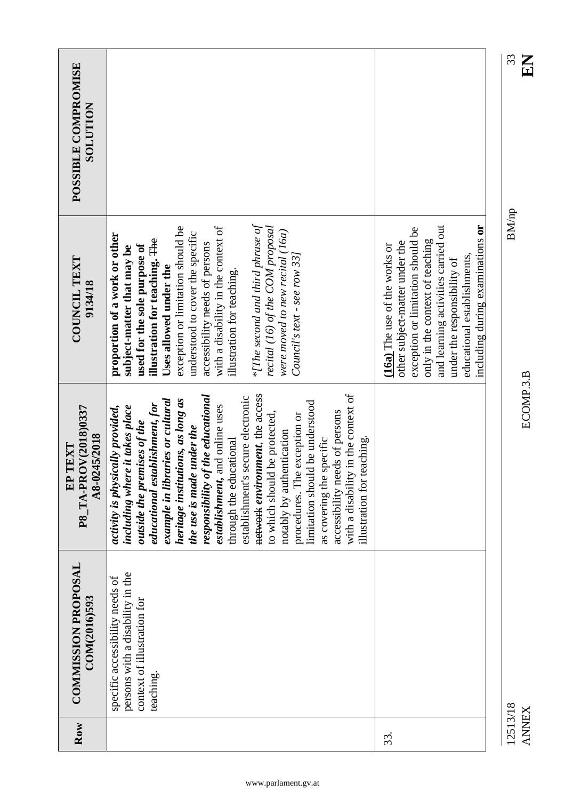|                                                           |                                                                                                                                                                                                                                                                                                                                                                                                                                                                                                                                                                                                                                                                                               |                                                                                                                                                                                                                                                                                         | 33<br>$\mathbf{K}$       |
|-----------------------------------------------------------|-----------------------------------------------------------------------------------------------------------------------------------------------------------------------------------------------------------------------------------------------------------------------------------------------------------------------------------------------------------------------------------------------------------------------------------------------------------------------------------------------------------------------------------------------------------------------------------------------------------------------------------------------------------------------------------------------|-----------------------------------------------------------------------------------------------------------------------------------------------------------------------------------------------------------------------------------------------------------------------------------------|--------------------------|
| POSSIBLE COMPROMISE<br><b>NOLLUTION</b>                   |                                                                                                                                                                                                                                                                                                                                                                                                                                                                                                                                                                                                                                                                                               |                                                                                                                                                                                                                                                                                         |                          |
| COUNCIL TEXT<br>9134/18                                   | *[The second and third phrase of<br>with a disability in the context of<br>recital (16) of the COM proposal<br>exception or limitation should be<br>were moved to new recital (16a)<br>understood to cover the specific<br>proportion of a work or other<br>illustration for teaching. The<br>accessibility needs of persons<br>used for the sole purpose of<br>subject-matter that may be<br>Council's text - see row $33$<br>Uses allowed under the<br>illustration for teaching.                                                                                                                                                                                                           | and learning activities carried out<br>including during examinations <b>or</b><br>exception or limitation should be<br>only in the context of teaching<br>other subject-matter under the<br>(16a) The use of the works or<br>educational establishments,<br>under the responsibility of | BM/np                    |
| DV(2018)0337<br>A8-0245/2018<br>TEXT<br>$PS_IAA-PR$<br>EP | with a disability in the context of<br>network environment, the access<br>responsibility of the educational<br>secure electronic<br>example in libraries or cultural<br>heritage institutions, as long as<br>limitation should be understood<br>educational establishment, for<br>establishment, and online uses<br>including where it takes place<br>activity is physically provided,<br>accessibility needs of persons<br>to which should be protected,<br>procedures. The exception or<br>outside the premises of the<br>the use is made under the<br>notably by authentication<br>illustration for teaching.<br>specific<br>through the educational<br>establishment's<br>as covering the |                                                                                                                                                                                                                                                                                         | ECOMP.3.B                |
| <b>COMMISSION PROPOSAL</b><br>COM(2016)593                | persons with a disability in the<br>specific accessibility needs of<br>context of illustration for<br>teaching.                                                                                                                                                                                                                                                                                                                                                                                                                                                                                                                                                                               |                                                                                                                                                                                                                                                                                         |                          |
| Row                                                       |                                                                                                                                                                                                                                                                                                                                                                                                                                                                                                                                                                                                                                                                                               | 33.                                                                                                                                                                                                                                                                                     | 12513/18<br><b>ANNEX</b> |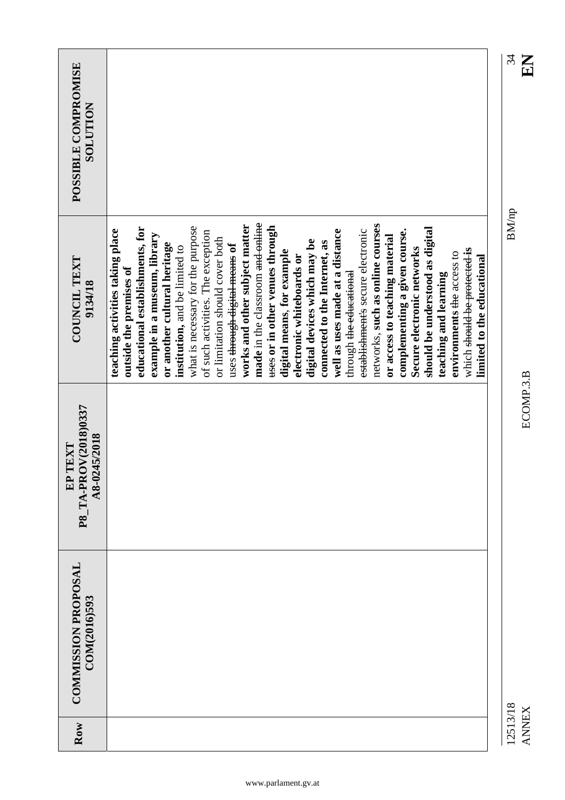|                                                       |                                                                                                                                                                                                                                                                                                                                                                                                                                                                                                                                                                                                                                                                                                                                                                                                                                                                                                                                                                                                           | 34<br>EN                 |
|-------------------------------------------------------|-----------------------------------------------------------------------------------------------------------------------------------------------------------------------------------------------------------------------------------------------------------------------------------------------------------------------------------------------------------------------------------------------------------------------------------------------------------------------------------------------------------------------------------------------------------------------------------------------------------------------------------------------------------------------------------------------------------------------------------------------------------------------------------------------------------------------------------------------------------------------------------------------------------------------------------------------------------------------------------------------------------|--------------------------|
| POSSIBLE COMPROMISE<br><b>SOLUTION</b>                |                                                                                                                                                                                                                                                                                                                                                                                                                                                                                                                                                                                                                                                                                                                                                                                                                                                                                                                                                                                                           |                          |
| COUNCIL TEXT<br>9134/18                               | made in the classroom <del>and online</del><br>networks, such as online courses<br>works and other subject matter<br>what is necessary for the purpose<br>uses or in other venues through<br>should be understood as digital<br>educational establishments, for<br>teaching activities taking place<br>well as uses made at a distance<br>establishment's secure electronic<br>complementing a given course.<br>of such activities. The exception<br>example in a museum, library<br>or access to teaching material<br>or limitation should cover both<br>digital devices which may be<br>connected to the Internet, as<br>or another cultural heritage<br>uses through digital means of<br>institution, and be limited to<br>Secure electronic networks<br>which should be protected is<br>digital means, for example<br>environments the access to<br>electronic whiteboards or<br>limited to the educational<br>outside the premises of<br>through <del>the educational</del><br>teaching and learning | <b>BM/np</b>             |
| P8_TA-PROV(2018)0337<br>A8-0245/2018<br>TEXT<br>$E$ P |                                                                                                                                                                                                                                                                                                                                                                                                                                                                                                                                                                                                                                                                                                                                                                                                                                                                                                                                                                                                           | ECOMP.3.B                |
| <b>COMMISSION PROPOSAL</b><br>COM(2016)593            |                                                                                                                                                                                                                                                                                                                                                                                                                                                                                                                                                                                                                                                                                                                                                                                                                                                                                                                                                                                                           |                          |
| Row                                                   |                                                                                                                                                                                                                                                                                                                                                                                                                                                                                                                                                                                                                                                                                                                                                                                                                                                                                                                                                                                                           | 12513/18<br><b>ANNEX</b> |

 $\mathbf{E}^4$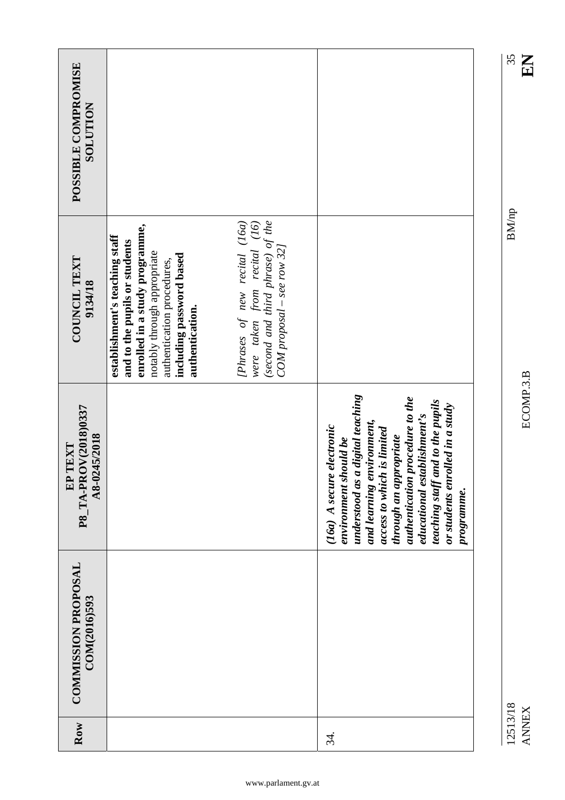|                                                              |                                                                                                                                                                                                               |                                                                                                                                   |                                                                                                                                                                                                                                                                                                                                       | 35<br>KE                 |
|--------------------------------------------------------------|---------------------------------------------------------------------------------------------------------------------------------------------------------------------------------------------------------------|-----------------------------------------------------------------------------------------------------------------------------------|---------------------------------------------------------------------------------------------------------------------------------------------------------------------------------------------------------------------------------------------------------------------------------------------------------------------------------------|--------------------------|
| POSSIBLE COMPROMISE<br><b>NOLLUTION</b>                      |                                                                                                                                                                                                               |                                                                                                                                   |                                                                                                                                                                                                                                                                                                                                       |                          |
| COUNCIL TEXT<br>9134/18                                      | enrolled in a study programme,<br>establishment's teaching staff<br>and to the pupils or students<br>notably through appropriate<br>including password based<br>authentication procedures,<br>authentication. | (second and third phrase) of the<br>[Phrases of new recital (16a)<br>were taken from recital (16)<br>$COM$ proposal – see row 32] |                                                                                                                                                                                                                                                                                                                                       | <b>BM/np</b>             |
| P8_TA-PROV(2018)0337<br>A8-0245/2018<br>TEXT<br>$\mathbf{E}$ |                                                                                                                                                                                                               |                                                                                                                                   | understood as a digital teaching<br>authentication procedure to the<br>teaching staff and to the pupils<br>or students enrolled in a study<br>educational establishment's<br>and learning environment,<br>(16a) A secure electronic<br>is limited<br>through an appropriate<br>environment should be<br>access to which<br>programme. | ECOMP.3.B                |
| <b>COMMISSION PROPOSAL</b><br>COM(2016)593                   |                                                                                                                                                                                                               |                                                                                                                                   |                                                                                                                                                                                                                                                                                                                                       |                          |
| Row                                                          |                                                                                                                                                                                                               |                                                                                                                                   | 34.                                                                                                                                                                                                                                                                                                                                   | 12513/18<br><b>ANNEX</b> |

m<br>EN<br>S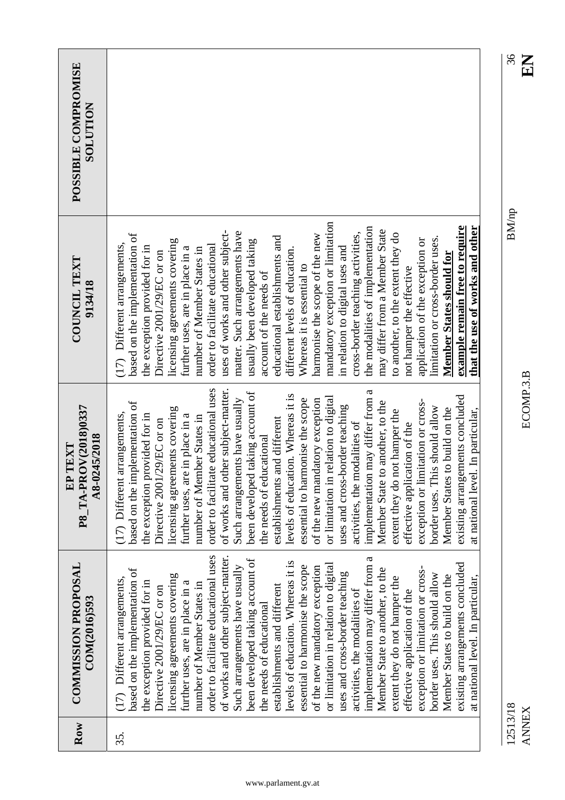| Row | <b>COMMISSION PROPOSAL</b><br>COM(2016)593                                                                                                                                                                                                                                                                                                                                                                                                                                                                                                                                                                                                                                                                                                                                                                                                                                                                                                                                                     | P8_TA-PROV(2018)0337<br>A8-0245/2018<br>EP TEXT                                                                                                                                                                                                                                                                                                                                                                                                                                                                                                                                                                                                                                                                                                                                                                                                                                                                                                                                                          | COUNCIL TEXT<br>9134/18                                                                                                                                                                                                                                                                                                                                                                                                                                                                                                                                                                                                                                                                                                                                                                                                                                                                                                                                                        | POSSIBLE COMPROMISE<br>NOLLILIOS |
|-----|------------------------------------------------------------------------------------------------------------------------------------------------------------------------------------------------------------------------------------------------------------------------------------------------------------------------------------------------------------------------------------------------------------------------------------------------------------------------------------------------------------------------------------------------------------------------------------------------------------------------------------------------------------------------------------------------------------------------------------------------------------------------------------------------------------------------------------------------------------------------------------------------------------------------------------------------------------------------------------------------|----------------------------------------------------------------------------------------------------------------------------------------------------------------------------------------------------------------------------------------------------------------------------------------------------------------------------------------------------------------------------------------------------------------------------------------------------------------------------------------------------------------------------------------------------------------------------------------------------------------------------------------------------------------------------------------------------------------------------------------------------------------------------------------------------------------------------------------------------------------------------------------------------------------------------------------------------------------------------------------------------------|--------------------------------------------------------------------------------------------------------------------------------------------------------------------------------------------------------------------------------------------------------------------------------------------------------------------------------------------------------------------------------------------------------------------------------------------------------------------------------------------------------------------------------------------------------------------------------------------------------------------------------------------------------------------------------------------------------------------------------------------------------------------------------------------------------------------------------------------------------------------------------------------------------------------------------------------------------------------------------|----------------------------------|
| 35. | order to facilitate educational uses<br>of works and other subject-matter.<br>implementation may differ from a<br>been developed taking account of<br>levels of education. Whereas it is<br>existing arrangements concluded<br>or limitation in relation to digital<br>Such arrangements have usually<br>essential to harmonise the scope<br>of the new mandatory exception<br>exception or limitation or cross-<br>based on the implementation of<br>Member State to another, to the<br>uses and cross-border teaching<br>licensing agreements covering<br>border uses. This should allow<br>Member States to build on the<br>(17) Different arrangements,<br>at national level. In particular,<br>extent they do not hamper the<br>the exception provided for in<br>further uses, are in place in a<br>number of Member States in<br>establishments and different<br>Directive 2001/29/EC or on<br>activities, the modalities of<br>effective application of the<br>the needs of educational | order to facilitate educational uses<br>of works and other subject-matter.<br>implementation may differ from a<br>been developed taking account of<br>levels of education. Whereas it is<br>existing arrangements concluded<br>or limitation in relation to digital<br>Such arrangements have usually<br>of the new mandatory exception<br>essential to harmonise the scope<br>exception or limitation or cross-<br>based on the implementation of<br>to another, to the<br>uses and cross-border teaching<br>border uses. This should allow<br>licensing agreements covering<br>Member States to build on the<br>at national level. In particular,<br>not hamper the<br>(17) Different arrangements,<br>further uses, are in place in a<br>the exception provided for in<br>number of Member States in<br>establishments and different<br>Directive 2001/29/EC or on<br>activities, the modalities of<br>effective application of the<br>the needs of educational<br>Member State 1<br>extent they do i | mandatory exception or limitation<br>example remain free to require<br>that the use of works and other<br>the modalities of implementation<br>may differ from a Member State<br>uses of works and other subject-<br>matter. Such arrangements have<br>cross-border teaching activities,<br>to another, to the extent they do<br>based on the implementation of<br>harmonise the scope of the new<br>educational establishments and<br>limitation or cross-border uses.<br>application of the exception or<br>licensing agreements covering<br>usually been developed taking<br>Different arrangements,<br>order to facilitate educational<br>the exception provided for in<br>further uses, are in place in a<br>in relation to digital uses and<br>number of Member States in<br>different levels of education.<br>Directive 2001/29/EC or on<br><b>Member States should for</b><br>Whereas it is essential to<br>not hamper the effective<br>account of the needs of<br>(17) |                                  |

 $\frac{36}{\text{B}}$ 

 $\rm BM/np$ 

12513/18 BM/np 12513/18<br>ANNEX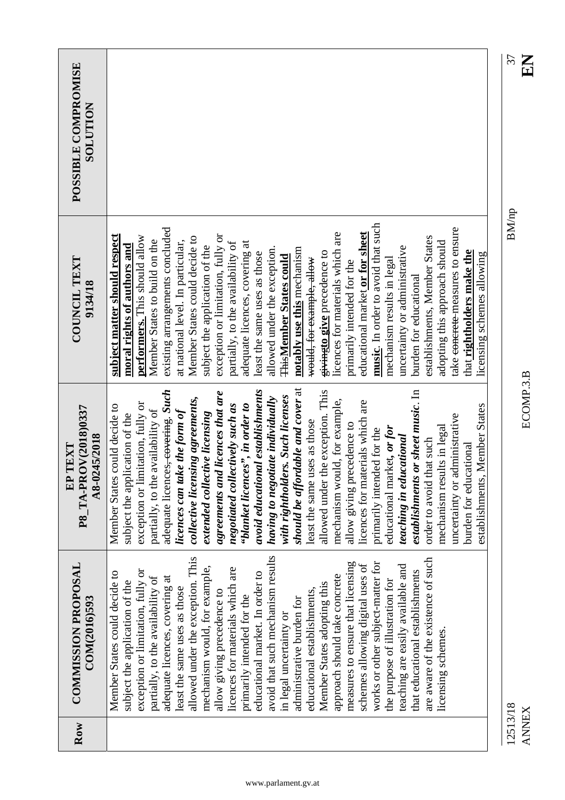| Row      | <b>COMMISSION PROPOSAL</b><br>COM(2016)593                      | P8_TA-PROV(2018)0337<br>A8-0245/2018<br>EP TEXT                 | COUNCIL TEXT<br>9134/18                                      | POSSIBLE COMPROMISE<br><b>NOLLUTION</b> |
|----------|-----------------------------------------------------------------|-----------------------------------------------------------------|--------------------------------------------------------------|-----------------------------------------|
|          | Member States could decide to<br>subject the application of the | Member States could decide to<br>subject the application of the | subject matter should respect<br>moral rights of authors and |                                         |
|          | exception or limitation, fully or                               | exception or limitation, fully or                               | performers. This should allow                                |                                         |
|          | partially, to the availability of                               | partially, to the availability of                               | Member States to build on the                                |                                         |
|          | adequate licences, covering at                                  | adequate licences <del>, covering</del> . Such                  | existing arrangements concluded                              |                                         |
|          | least the same uses as those                                    | licences can take the form of                                   | at national level. In particular,                            |                                         |
|          | allowed under the exception. This                               | collective licensing agreements,                                | Member States could decide to                                |                                         |
|          | mechanism would, for example,                                   | extended collective licensing                                   | subject the application of the                               |                                         |
|          | allow giving precedence to                                      | agreements and licences that are                                | exception or limitation, fully or                            |                                         |
|          | licences for materials which are                                | negotiated collectively such as                                 | partially, to the availability of                            |                                         |
|          | primarily intended for the                                      | "blanket licences", in order to                                 | adequate licences, covering at                               |                                         |
|          | educational market. In order to                                 | avoid educational establishments                                | least the same uses as those                                 |                                         |
|          | avoid that such mechanism results                               | having to negotiate individually                                | allowed under the exception.                                 |                                         |
|          | in legal uncertainty or                                         | with rightholders. Such licenses                                | <del>This</del> Member States could                          |                                         |
|          | administrative burden for                                       | should be affordable and cover at                               | <b>notably use this mechanism</b>                            |                                         |
|          | educational establishments,                                     | least the same uses as those                                    | would, for example, allow                                    |                                         |
|          | Member States adopting this                                     | allowed under the exception. This                               | giving to give precedence to                                 |                                         |
|          | approach should take concrete                                   | mechanism would, for example,                                   | licences for materials which are                             |                                         |
|          | measures to ensure that licensing                               | allow giving precedence to                                      | primarily intended for the                                   |                                         |
|          | schemes allowing digital uses of                                | licences for materials which are                                | educational market or for sheet                              |                                         |
|          | works or other subject-matter for                               | primarily intended for the                                      | music. In order to avoid that such                           |                                         |
|          | the purpose of illustration for                                 | educational market, or for                                      | mechanism results in legal                                   |                                         |
|          | teaching are easily available and                               | teaching in educational                                         | uncertainty or administrative                                |                                         |
|          | that educational establishments                                 | establishments or sheet music. In                               | burden for educational                                       |                                         |
|          | are aware of the existence of such                              | order to avoid that such                                        | establishments, Member States                                |                                         |
|          | licensing schemes.                                              | mechanism results in legal                                      | adopting this approach should                                |                                         |
|          |                                                                 | uncertainty or administrative                                   | take <del>concrete </del> measures to ensure                 |                                         |
|          |                                                                 | burden for educational                                          | that rightholders make the                                   |                                         |
|          |                                                                 | establishments, Member States                                   | licensing schemes allowing                                   |                                         |
|          |                                                                 |                                                                 |                                                              |                                         |
| 12513/18 |                                                                 |                                                                 | <b>BM/np</b>                                                 | 37                                      |

12513/18 BM/np 37 ANNEX ECOMP.3.B **EN** 12513/18<br>ANNEX

 $\frac{37}{15}$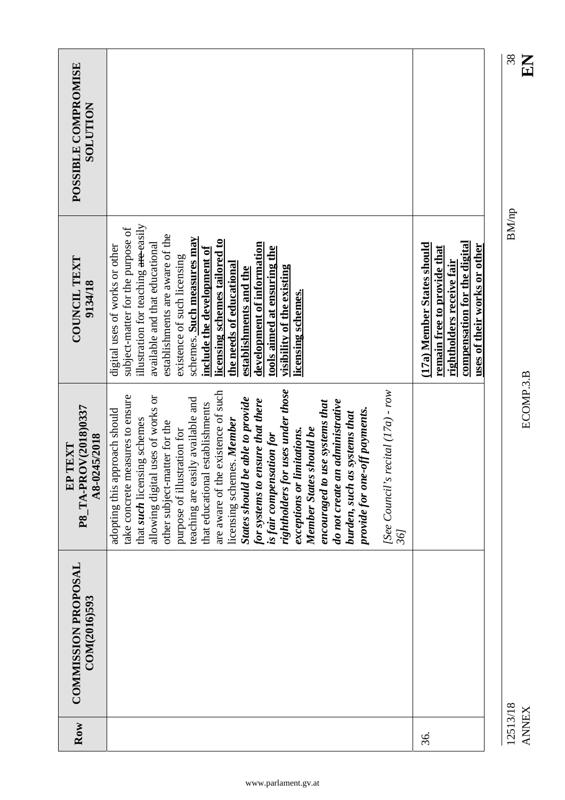| Row | <b>COMMISSION PROPOSAL</b><br>COM(2016)593 | P8_TA-PROV(2018)0337<br>A8-0245/2018<br>TEXT<br>$E$ P                                                                                                                                                                                                                                                                                                                                                                                                                                                                                                                                                                                                                                                                                | <b>COUNCIL TEXT</b><br>9134/18                                                                                                                                                                                                                                                                                                                                                                                                                                                      | POSSIBLE COMPROMISE<br>NOLLUTION |
|-----|--------------------------------------------|--------------------------------------------------------------------------------------------------------------------------------------------------------------------------------------------------------------------------------------------------------------------------------------------------------------------------------------------------------------------------------------------------------------------------------------------------------------------------------------------------------------------------------------------------------------------------------------------------------------------------------------------------------------------------------------------------------------------------------------|-------------------------------------------------------------------------------------------------------------------------------------------------------------------------------------------------------------------------------------------------------------------------------------------------------------------------------------------------------------------------------------------------------------------------------------------------------------------------------------|----------------------------------|
|     |                                            | rightholders for uses under those<br>[See Council's recital (17a) - row<br>are aware of the existence of such<br>take concrete measures to ensure<br>allowing digital uses of works or<br>States should be able to provide<br>teaching are easily available and<br>for systems to ensure that there<br>do not create an administrative<br>encouraged to use systems that<br>that educational establishments<br>provide for one-off payments.<br>adopting this approach should<br>burden, such as systems that<br>that such licensing schemes<br>licensing schemes. Member<br>other subject-matter for the<br>Member States should be<br>purpose of illustration for<br>exceptions or limitations.<br>is fair compensation for<br>36] | illustration for teaching are-easily<br>subject-matter for the purpose of<br>establishments are aware of the<br>schemes. Such measures may<br>licensing schemes tailored to<br>available and that educational<br>development of information<br>digital uses of works or other<br>tools aimed at ensuring the<br>include the development of<br>existence of such licensing<br>the needs of educational<br>visibility of the existing<br>establishments and the<br>licensing schemes. |                                  |
| 36. |                                            |                                                                                                                                                                                                                                                                                                                                                                                                                                                                                                                                                                                                                                                                                                                                      | compensation for the digital<br>(17a) Member States should<br>uses of their works or other<br>remain free to provide that<br>rightholders receive fair                                                                                                                                                                                                                                                                                                                              |                                  |

12513/18<br>ANNEX

 $\frac{38}{\text{E}}$ 12513/18 BM/np 38

 $\rm BM/np$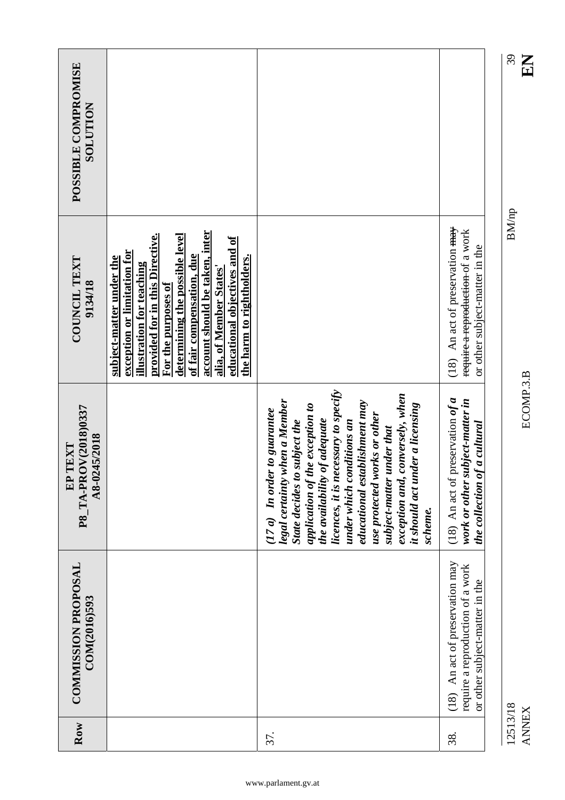|                                                    |                                                                                                                                                                                                                                                                                                                                                 |                                                                                                                                                                                                                                                                                                                                                                                                                                |                                                                                                          | 39<br>KN                 |
|----------------------------------------------------|-------------------------------------------------------------------------------------------------------------------------------------------------------------------------------------------------------------------------------------------------------------------------------------------------------------------------------------------------|--------------------------------------------------------------------------------------------------------------------------------------------------------------------------------------------------------------------------------------------------------------------------------------------------------------------------------------------------------------------------------------------------------------------------------|----------------------------------------------------------------------------------------------------------|--------------------------|
| POSSIBLE COMPROMISE<br><b>NOLLUTION</b>            |                                                                                                                                                                                                                                                                                                                                                 |                                                                                                                                                                                                                                                                                                                                                                                                                                |                                                                                                          |                          |
| <b>COUNCIL TEXT</b><br>9134/18                     | account should be taken, inter<br>determining the possible level<br>provided for in this Directive.<br>educational objectives and of<br>exception or limitation for<br>of fair compensation, due<br><u>the harm to rightholders.</u><br>subject-matter under the<br>illustration for teaching<br>alia, of Member States'<br>For the purposes of |                                                                                                                                                                                                                                                                                                                                                                                                                                | An act of preservation may<br>require a reproduction of a work<br>or other subject-matter in the<br>(18) | <b>BM/np</b>             |
| P8 TA-PROV(2018)0337<br>A8-0245/2018<br>TEXT<br>EP |                                                                                                                                                                                                                                                                                                                                                 | licences, it is necessary to specify<br>conversely, when<br>when a Member<br>educational establishment may<br>it should act under a licensing<br>application of the exception to<br>$(17a)$ In order to guarantee<br>use protected works or other<br>the availability of adequate<br>State decides to subject the<br>under which conditions an<br>under that<br>exception and,<br>legal certainty<br>subject-matter<br>scheme. | (18) An act of preservation of $a$<br>work or other subject-matter in<br>the collection of a cultural    | ECOMP.3.B                |
| <b>COMMISSION PROPOSAL</b><br>COM(2016)593         |                                                                                                                                                                                                                                                                                                                                                 |                                                                                                                                                                                                                                                                                                                                                                                                                                | An act of preservation may<br>require a reproduction of a work<br>or other subject-matter in the<br>(18) |                          |
| Row                                                |                                                                                                                                                                                                                                                                                                                                                 | 37.                                                                                                                                                                                                                                                                                                                                                                                                                            | 38.                                                                                                      | 12513/18<br><b>ANNEX</b> |

ANNEX ECOMP.3.B **EN**

EN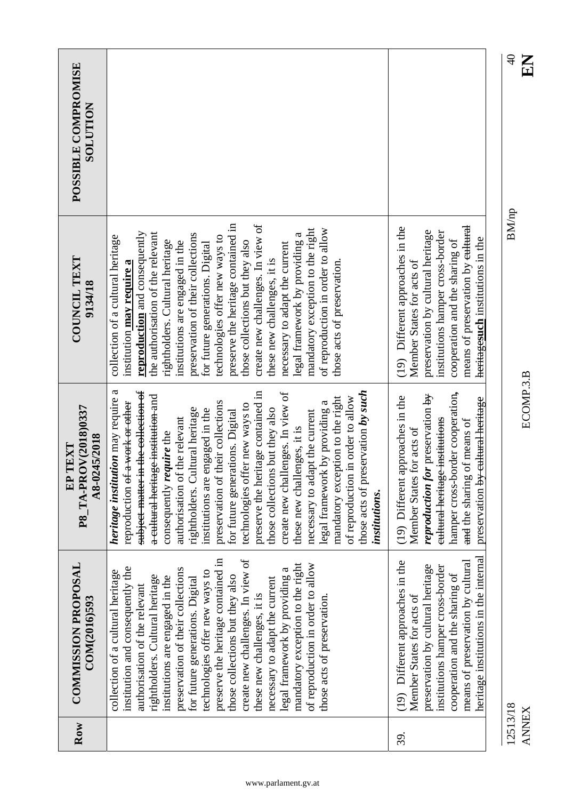|                                                                |                                                                                                                                                                                                                                                                                                                                                                                                                                                                                                                                                                                                                                                                                                                                                                               |                                                                                                                                                                                                                                                           | $\overline{40}$<br>KN    |
|----------------------------------------------------------------|-------------------------------------------------------------------------------------------------------------------------------------------------------------------------------------------------------------------------------------------------------------------------------------------------------------------------------------------------------------------------------------------------------------------------------------------------------------------------------------------------------------------------------------------------------------------------------------------------------------------------------------------------------------------------------------------------------------------------------------------------------------------------------|-----------------------------------------------------------------------------------------------------------------------------------------------------------------------------------------------------------------------------------------------------------|--------------------------|
| POSSIBLE COMPROMISE<br><b>NOLLTIDR</b>                         |                                                                                                                                                                                                                                                                                                                                                                                                                                                                                                                                                                                                                                                                                                                                                                               |                                                                                                                                                                                                                                                           |                          |
| COUNCIL TEXT<br>9134/18                                        | preserve the heritage contained in<br>create new challenges. In view of<br>mandatory exception to the right<br>of reproduction in order to allow<br>reproduction and consequently<br>the authorisation of the relevant<br>preservation of their collections<br>legal framework by providing a<br>collection of a cultural heritage<br>technologies offer new ways to<br>rightholders. Cultural heritage<br>institutions are engaged in the<br>those collections but they also<br>for future generations. Digital<br>necessary to adapt the current<br>these new challenges, it is<br>those acts of preservation.<br>institution may require a                                                                                                                                 | means of preservation by eultural<br>(19) Different approaches in the<br>preservation by cultural heritage<br>institutions hamper cross-border<br>heritagesuch institutions in the<br>cooperation and the sharing of<br>Member States for acts of         | <b>BM/np</b>             |
| P8_TA-PROV(2018)0337<br>A8-0245/2018<br>TEXT<br>E <sub>P</sub> | <i>heritage institution</i> may require a<br>subject matter in the collection of<br>those acts of preservation by such<br>preserve the heritage contained in<br>create new challenges. In view of<br>a cultural heritage institution and<br>mandatory exception to the right<br>of reproduction in order to allow<br>reproduction <del>of a work or other</del><br>their collections<br>legal framework by providing a<br>technologies offer new ways to<br>rightholders. Cultural heritage<br>those collections but they also<br>institutions are engaged in the<br>for future generations. Digital<br>necessary to adapt the current<br>authorisation of the relevant<br>these new challenges, it is<br>consequently require the<br>preservation of<br><i>institutions.</i> | hamper cross-border cooperation,<br>reproduction for preservation by<br>(19) Different approaches in the<br>preservation <del>by cultural heritage</del><br>cultural heritage institutions<br>and the sharing of means of<br>for acts of<br>Member States | ECOMP.3.B                |
| <b>COMMISSION PROPOSAL</b><br>COM(2016)593                     | preserve the heritage contained in<br>create new challenges. In view of<br>mandatory exception to the right<br>of reproduction in order to allow<br>institution and consequently the<br>preservation of their collections<br>legal framework by providing a<br>collection of a cultural heritage<br>technologies offer new ways to<br>rightholders. Cultural heritage<br>institutions are engaged in the<br>those collections but they also<br>for future generations. Digital<br>necessary to adapt the current<br>authorisation of the relevant<br>these new challenges, it is<br>those acts of preservation.                                                                                                                                                               | heritage institutions in the internal<br>means of preservation by cultural<br>(19) Different approaches in the<br>preservation by cultural heritage<br>institutions hamper cross-border<br>cooperation and the sharing of<br>Member States for acts of    |                          |
| Row                                                            |                                                                                                                                                                                                                                                                                                                                                                                                                                                                                                                                                                                                                                                                                                                                                                               | 39.                                                                                                                                                                                                                                                       | 12513/18<br><b>ANNEX</b> |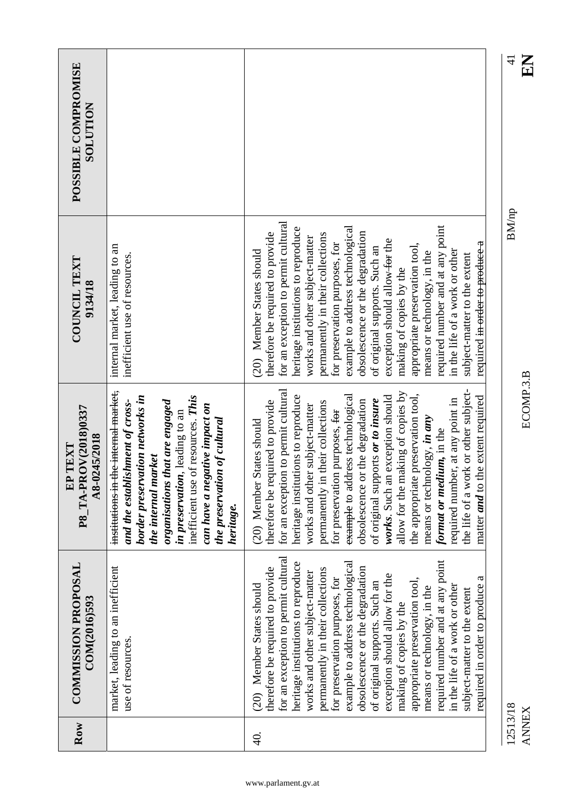|                                                 |                                                                                                                                                                                                                                                                                                                           |                                                                                                                                                                                                                                                                                                                                                                                                                                                                                                                                                                                                                                                                 | EN<br>$\vec{t}$          |
|-------------------------------------------------|---------------------------------------------------------------------------------------------------------------------------------------------------------------------------------------------------------------------------------------------------------------------------------------------------------------------------|-----------------------------------------------------------------------------------------------------------------------------------------------------------------------------------------------------------------------------------------------------------------------------------------------------------------------------------------------------------------------------------------------------------------------------------------------------------------------------------------------------------------------------------------------------------------------------------------------------------------------------------------------------------------|--------------------------|
| POSSIBLE COMPROMISE<br><b>SOLUTION</b>          |                                                                                                                                                                                                                                                                                                                           |                                                                                                                                                                                                                                                                                                                                                                                                                                                                                                                                                                                                                                                                 |                          |
| COUNCIL TEXT<br>9134/18                         | internal market, leading to an<br>inefficient use of resources.                                                                                                                                                                                                                                                           | for an exception to permit cultural<br>required number and at any point<br>example to address technological<br>heritage institutions to reproduce<br>therefore be required to provide<br>obsolescence or the degradation<br>permanently in their collections<br>works and other subject-matter<br>exception should allow for the<br>required i <del>n order to produce a</del><br>for preservation purposes, for<br>appropriate preservation tool,<br>of original supports. Such an<br>(20) Member States should<br>in the life of a work or other<br>means or technology, in the<br>subject-matter to the extent<br>making of copies by the                    | BM/np                    |
| P8_TA-PROV(2018)0337<br>A8-0245/2018<br>EP TEXT | institutions in the internal market,<br>inefficient use of resources. This<br>border preservation networks in<br>organisations that are engaged<br>and the establishment of cross-<br>can have a negative impact on<br>in preservation, leading to an<br>the preservation of cultural<br>the internal market<br>heritage. | the life of a work or other subject-<br>for an exception to permit cultural<br>allow for the making of copies by<br>the appropriate preservation tool,<br>example to address technological<br>works. Such an exception should<br>heritage institutions to reproduce<br>matter <i>and</i> to the extent required<br>required number, at any point in<br>of original supports or to insure<br>therefore be required to provide<br>obsolescence or the degradation<br>permanently in their collections<br>works and other subject-matter<br>for preservation purposes, for<br>means or technology, in any<br>(20) Member States should<br>format or medium, in the | ECOMP.3.B                |
| <b>COMMISSION PROPOSAL</b><br>COM(2016)593      | market, leading to an inefficient<br>use of resources.                                                                                                                                                                                                                                                                    | for an exception to permit cultural<br>required number and at any point<br>example to address technological<br>heritage institutions to reproduce<br>therefore be required to provide<br>obsolescence or the degradation<br>permanently in their collections<br>works and other subject-matter<br>exception should allow for the<br>required in order to produce a<br>for preservation purposes, for<br>appropriate preservation tool,<br>of original supports. Such an<br>(20) Member States should<br>in the life of a work or other<br>means or technology, in the<br>subject-matter to the extent<br>making of copies by the                                |                          |
| Row                                             |                                                                                                                                                                                                                                                                                                                           | (−<br>4                                                                                                                                                                                                                                                                                                                                                                                                                                                                                                                                                                                                                                                         | 12513/18<br><b>ANNEX</b> |

**EN**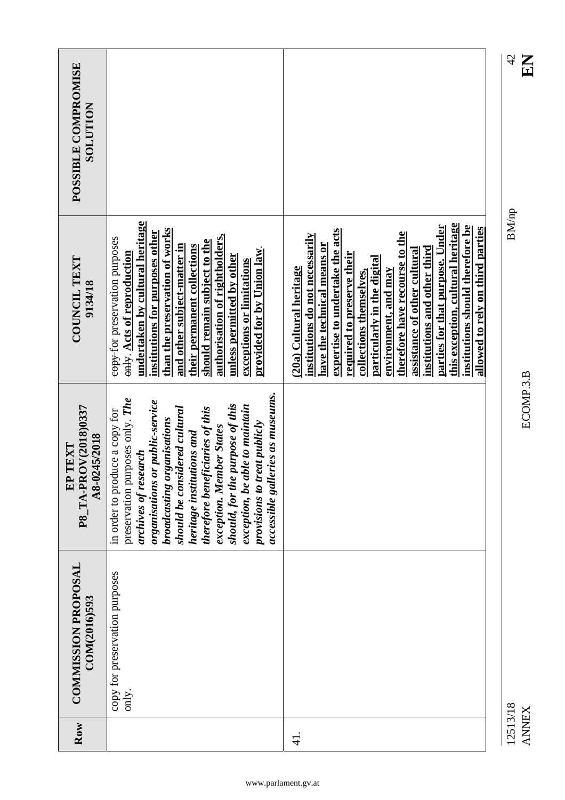|                                                    |                                                                                                                                                                                                                                                                                                                                                                                                                                         |                                                                                                                                                                                                                                                                                                                                                                                                                                                                                               | 42       |              |
|----------------------------------------------------|-----------------------------------------------------------------------------------------------------------------------------------------------------------------------------------------------------------------------------------------------------------------------------------------------------------------------------------------------------------------------------------------------------------------------------------------|-----------------------------------------------------------------------------------------------------------------------------------------------------------------------------------------------------------------------------------------------------------------------------------------------------------------------------------------------------------------------------------------------------------------------------------------------------------------------------------------------|----------|--------------|
| POSSIBLE COMPROMISE<br><b>SOLUTION</b>             |                                                                                                                                                                                                                                                                                                                                                                                                                                         |                                                                                                                                                                                                                                                                                                                                                                                                                                                                                               |          |              |
| COUNCIL TEXT<br>9134/18                            | undertaken by cultural heritage<br>than the preservation of works<br>institutions for purposes other<br>authorisation of rightholders,<br>eopy-for preservation purposes<br>should remain subject to the<br>and other subject-matter in<br>their permanent collections<br>provided for by Union law<br><del>only</del> . Acts of reproduction<br>unless permitted by other<br>exceptions or limitations                                 | this exception, cultural heritage<br>institutions should therefore be<br>parties for that purpose. Under<br>allowed to rely on third parties<br>expertise to undertake the acts<br>therefore have recourse to the<br>institutions do not necessarily<br>have the technical means or<br>institutions and other third<br>assistance of other cultura<br>required to preserve their<br>particularly in the digital<br>(20a) Cultural heritage<br>environment, and may<br>collections themselves. |          | <b>BM/np</b> |
| P8_TA-PROV(2018)0337<br>A8-0245/2018<br>TEXT<br>EP | accessible galleries as museums.<br>preservation purposes only. The<br>organisations or public-service<br>should, for the purpose of this<br>exception, be able to maintain<br>should be considered cultural<br>therefore beneficiaries of this<br>in order to produce a copy for<br>broadcasting organisations<br>provisions to treat publicly<br>exception. Member States<br><i>heritage institutions and</i><br>archives of research |                                                                                                                                                                                                                                                                                                                                                                                                                                                                                               |          |              |
| <b>COMMISSION PROPOSAL</b><br>COM(2016)593         | copy for preservation purposes<br>only.                                                                                                                                                                                                                                                                                                                                                                                                 |                                                                                                                                                                                                                                                                                                                                                                                                                                                                                               |          |              |
| Row                                                |                                                                                                                                                                                                                                                                                                                                                                                                                                         | $\frac{1}{4}$                                                                                                                                                                                                                                                                                                                                                                                                                                                                                 | 12513/18 |              |

**ANNEX** 

EN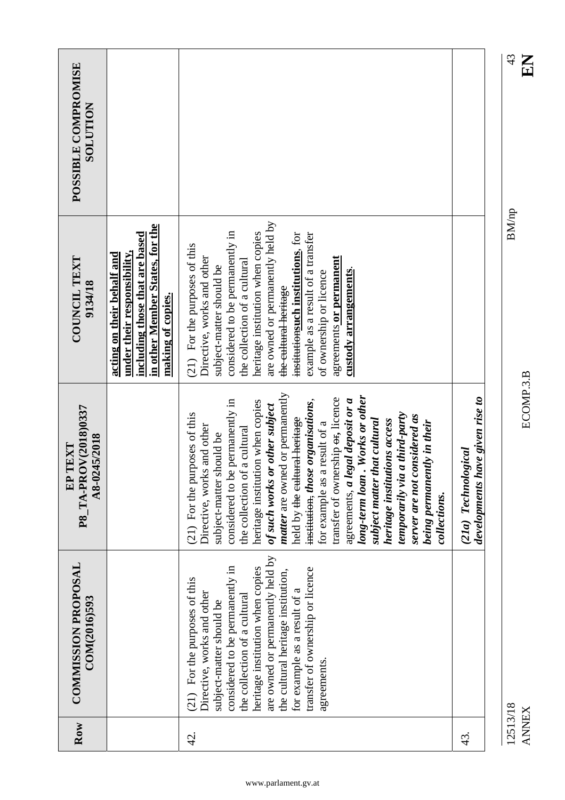|                                                    |                                                                                                                                                     |                                                                                                                                                                                                                                                                                                                                                                                                                                                                                                                                                                                                                                                                     |                                                        | 43<br><b>KH</b>          |
|----------------------------------------------------|-----------------------------------------------------------------------------------------------------------------------------------------------------|---------------------------------------------------------------------------------------------------------------------------------------------------------------------------------------------------------------------------------------------------------------------------------------------------------------------------------------------------------------------------------------------------------------------------------------------------------------------------------------------------------------------------------------------------------------------------------------------------------------------------------------------------------------------|--------------------------------------------------------|--------------------------|
| POSSIBLE COMPROMISE<br>NOLULON                     |                                                                                                                                                     |                                                                                                                                                                                                                                                                                                                                                                                                                                                                                                                                                                                                                                                                     |                                                        |                          |
| COUNCIL TEXT<br>9134/18                            | in other Member States, for the<br>including those that are based<br>under their responsibility,<br>acting on their behalf and<br>making of copies. | are owned or permanently held by<br>considered to be permanently in<br>heritage institution when copies<br>example as a result of a transfer<br>institutionsuch institutions, for<br>(21) For the purposes of this<br>Directive, works and other<br>agreements or permanent<br>the collection of a cultural<br>subject-matter should be<br>custody arrangements<br>of ownership or licence<br>the cultural heritage                                                                                                                                                                                                                                                 |                                                        | <b>BM/np</b>             |
| P8_TA-PROV(2018)0337<br>A8-0245/2018<br>TEXT<br>EP |                                                                                                                                                     | matter are owned or permanently<br>long-term loan. Works or other<br>transfer of ownership er, licence<br>institution, those organisations,<br>considered to be permanently in<br>agreements, a legal deposit or a<br>heritage institution when copies<br>of such works or other subject<br>temporarily via a third-party<br>(21) For the purposes of this<br>server are not considered as<br>held by the cultural heritage<br>subject matter that cultural<br>heritage institutions access<br>for example as a result of a<br>being permanently in their<br>Directive, works and other<br>the collection of a cultural<br>subject-matter should be<br>collections. | developments have given rise to<br>(21a) Technological | ECOMP.3.B                |
| <b>COMMISSION PROPOSAL</b><br>COM(2016)593         |                                                                                                                                                     | are owned or permanently held by<br>considered to be permanently in<br>heritage institution when copies<br>transfer of ownership or licence<br>the cultural heritage institution,<br>For the purposes of this<br>for example as a result of a<br>Directive, works and other<br>the collection of a cultural<br>subject-matter should be<br>agreements.<br>(21)                                                                                                                                                                                                                                                                                                      |                                                        |                          |
| Row                                                |                                                                                                                                                     | $\frac{Q}{4}$                                                                                                                                                                                                                                                                                                                                                                                                                                                                                                                                                                                                                                                       | 43.<br>4                                               | 12513/18<br><b>ANNEX</b> |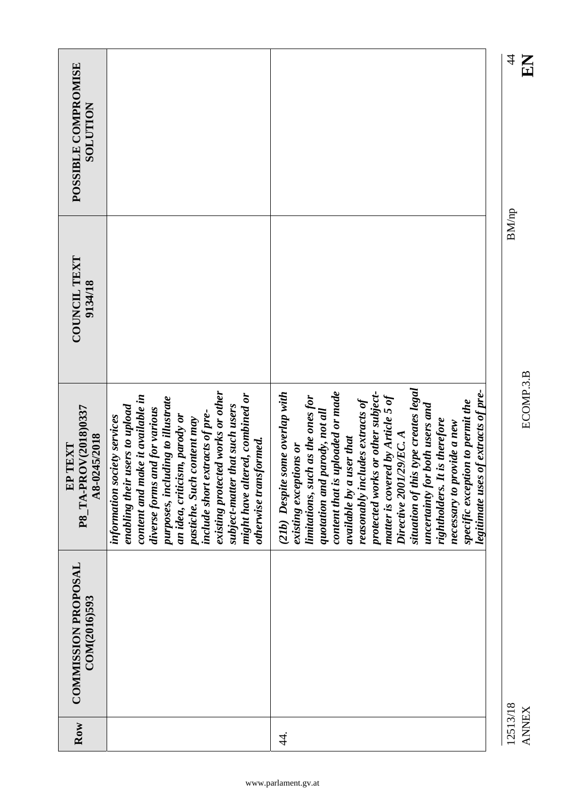|                                                             |                                                                                                                                                                                                                                                                                                                                                                             |                                                                                                                                                                                                                                                                                                                                                                                                                                                                                                                                                             | $\overline{4}$ |
|-------------------------------------------------------------|-----------------------------------------------------------------------------------------------------------------------------------------------------------------------------------------------------------------------------------------------------------------------------------------------------------------------------------------------------------------------------|-------------------------------------------------------------------------------------------------------------------------------------------------------------------------------------------------------------------------------------------------------------------------------------------------------------------------------------------------------------------------------------------------------------------------------------------------------------------------------------------------------------------------------------------------------------|----------------|
| POSSIBLE COMPROMISE<br>NOLLTION                             |                                                                                                                                                                                                                                                                                                                                                                             |                                                                                                                                                                                                                                                                                                                                                                                                                                                                                                                                                             |                |
|                                                             |                                                                                                                                                                                                                                                                                                                                                                             |                                                                                                                                                                                                                                                                                                                                                                                                                                                                                                                                                             |                |
|                                                             |                                                                                                                                                                                                                                                                                                                                                                             |                                                                                                                                                                                                                                                                                                                                                                                                                                                                                                                                                             | <b>BM/np</b>   |
| <b>COUNCIL TEXT</b><br>9134/18                              |                                                                                                                                                                                                                                                                                                                                                                             |                                                                                                                                                                                                                                                                                                                                                                                                                                                                                                                                                             |                |
|                                                             |                                                                                                                                                                                                                                                                                                                                                                             |                                                                                                                                                                                                                                                                                                                                                                                                                                                                                                                                                             |                |
|                                                             | that such users                                                                                                                                                                                                                                                                                                                                                             |                                                                                                                                                                                                                                                                                                                                                                                                                                                                                                                                                             |                |
| P8 TA-PROV(2018)0337<br>A8-0245/2018<br>${\rm \bf EP}$ TEXT | existing protected works or other<br>might have altered, combined or<br>content and make it available in<br>purposes, including to illustrate<br>enabling their users to upload<br>diverse forms and for various<br>include short extracts of pre-<br>an idea, criticism, parody or<br>information society services<br>pastiche. Such content may<br>otherwise transformed. | situation of this type creates legal<br>legitimate uses of extracts of pre-<br>content that is uploaded or made<br>protected works or other subject-<br>(21b) Despite some overlap with<br>matter is covered by Article 5 of<br>limitations, such as the ones for<br>reasonably includes extracts of<br>specific exception to permit the<br>uncertainty for both users and<br>quotation and parody, not all<br>rightholders. It is therefore<br>necessary to provide a new<br>Directive 2001/29/EC. A<br>available by a user that<br>existing exceptions or |                |
|                                                             | subject-matter                                                                                                                                                                                                                                                                                                                                                              |                                                                                                                                                                                                                                                                                                                                                                                                                                                                                                                                                             |                |
|                                                             |                                                                                                                                                                                                                                                                                                                                                                             |                                                                                                                                                                                                                                                                                                                                                                                                                                                                                                                                                             |                |
| <b>COMMISSION PROPOSAL</b><br>COM(2016)593                  |                                                                                                                                                                                                                                                                                                                                                                             |                                                                                                                                                                                                                                                                                                                                                                                                                                                                                                                                                             |                |
|                                                             |                                                                                                                                                                                                                                                                                                                                                                             |                                                                                                                                                                                                                                                                                                                                                                                                                                                                                                                                                             | 12513/18       |
| Row                                                         |                                                                                                                                                                                                                                                                                                                                                                             | र्यु                                                                                                                                                                                                                                                                                                                                                                                                                                                                                                                                                        |                |

EN

**ANNEX**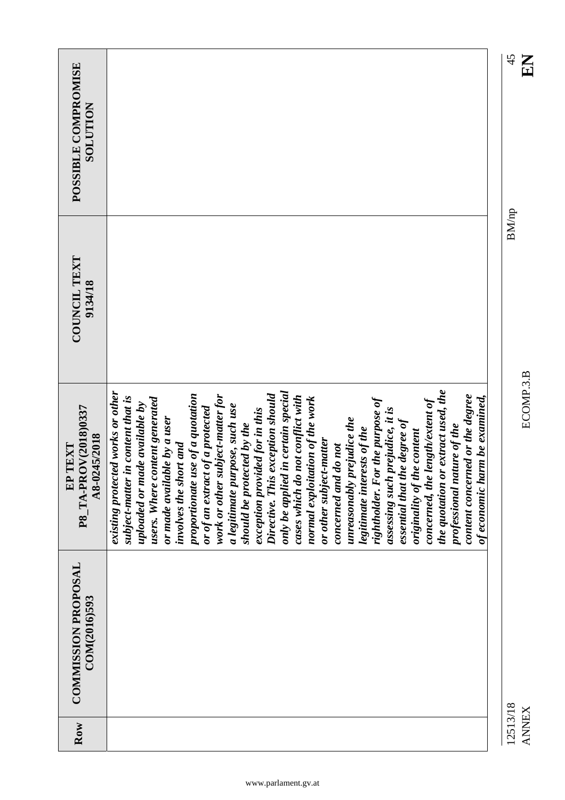|                                                              |                                                                                                                                                                                                                                                                                                                                                                                                                                                                                                                                                                                                                                                                                                                                                                                                                                                                                                                                                                                                    | 45<br>$\mathbf{E}$       |
|--------------------------------------------------------------|----------------------------------------------------------------------------------------------------------------------------------------------------------------------------------------------------------------------------------------------------------------------------------------------------------------------------------------------------------------------------------------------------------------------------------------------------------------------------------------------------------------------------------------------------------------------------------------------------------------------------------------------------------------------------------------------------------------------------------------------------------------------------------------------------------------------------------------------------------------------------------------------------------------------------------------------------------------------------------------------------|--------------------------|
| POSSIBLE COMPROMISE<br><b>SOLUTION</b>                       |                                                                                                                                                                                                                                                                                                                                                                                                                                                                                                                                                                                                                                                                                                                                                                                                                                                                                                                                                                                                    |                          |
| <b>COUNCIL TEXT</b><br>9134/18                               |                                                                                                                                                                                                                                                                                                                                                                                                                                                                                                                                                                                                                                                                                                                                                                                                                                                                                                                                                                                                    | <b>BM/np</b>             |
| P8 TA-PROV(2018)0337<br>A8-0245/2018<br>TEXT<br>$\mathbf{E}$ | the quotation or extract used, the<br>only be applied in certain special<br>existing protected works or other<br>Directive. This exception should<br>work or other subject-matter for<br>proportionate use of a quotation<br>content concerned or the degree<br>cases which do not conflict with<br>of economic harm be examined,<br>subject-matter in content that is<br>users. Where content generated<br>normal exploitation of the work<br>rightholder. For the purpose of<br>concerned, the length/extent of<br>uploaded or made available by<br>a legitimate purpose, such use<br>or of an extract of a protected<br>exception provided for in this<br>prejudice, it is<br>or made available by a user<br>unreasonably prejudice the<br>essential that the degree of<br>should be protected by the<br>professional nature of the<br>legitimate interests of the<br>originality of the content<br>or other subject-matter<br>involves the short and<br>concerned and do not<br>assessing such | ECOMP.3.B                |
| <b>COMMISSION PROPOSAL</b><br>COM(2016)593                   |                                                                                                                                                                                                                                                                                                                                                                                                                                                                                                                                                                                                                                                                                                                                                                                                                                                                                                                                                                                                    |                          |
| Row                                                          |                                                                                                                                                                                                                                                                                                                                                                                                                                                                                                                                                                                                                                                                                                                                                                                                                                                                                                                                                                                                    | 12513/18<br><b>ANNEX</b> |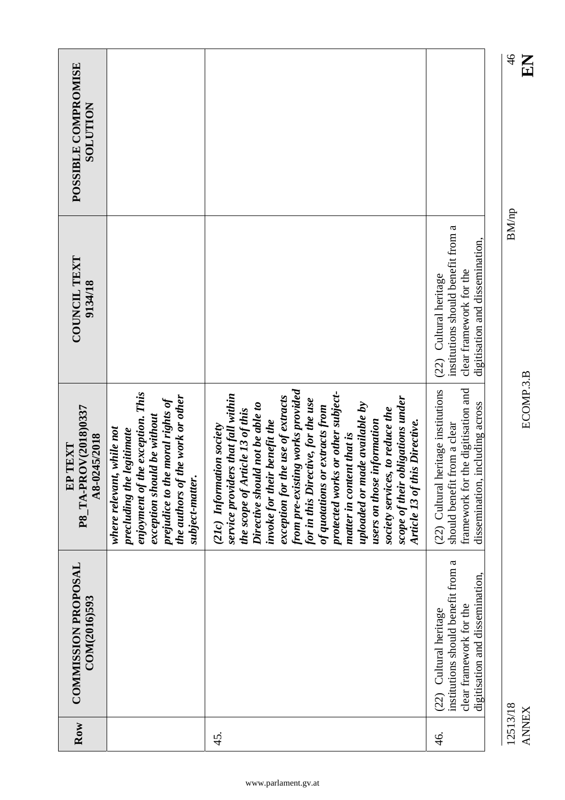|                                                 |                                                                                                                                                                                                                      |                                                                                                                                                                                                                                                                                                                                                                                                                                                                                                                                                                    |                                                                                                                                                   | $\frac{4}{6}$<br>EN      |
|-------------------------------------------------|----------------------------------------------------------------------------------------------------------------------------------------------------------------------------------------------------------------------|--------------------------------------------------------------------------------------------------------------------------------------------------------------------------------------------------------------------------------------------------------------------------------------------------------------------------------------------------------------------------------------------------------------------------------------------------------------------------------------------------------------------------------------------------------------------|---------------------------------------------------------------------------------------------------------------------------------------------------|--------------------------|
| POSSIBLE COMPROMISE<br>NOLLTION                 |                                                                                                                                                                                                                      |                                                                                                                                                                                                                                                                                                                                                                                                                                                                                                                                                                    |                                                                                                                                                   |                          |
| <b>COUNCIL TEXT</b><br>9134/18                  |                                                                                                                                                                                                                      |                                                                                                                                                                                                                                                                                                                                                                                                                                                                                                                                                                    | institutions should benefit from a<br>digitisation and dissemination,<br>clear framework for the<br>(22) Cultural heritage                        | <b>BM/np</b>             |
| P8 TA-PROV(2018)0337<br>A8-0245/2018<br>EP TEXT | enjoyment of the exception. This<br>the authors of the work or other<br>prejudice to the moral rights of<br>exception should be without<br>where relevant, while not<br>precluding the legitimate<br>subject-matter. | from pre-existing works provided<br>protected works or other subject-<br>service providers that fall within<br>exception for the use of extracts<br>scope of their obligations under<br>for in this Directive, for the use<br>uploaded or made available by<br>Directive should not be able to<br>of quotations or extracts from<br>society services, to reduce the<br>the scope of Article 13 of this<br>invoke for their benefit the<br>information<br>Article 13 of this Directive.<br>(21c) Information society<br>matter in content that is<br>users on those | the digitisation and<br>(22) Cultural heritage institutions<br>including across<br>should benefit from a clear<br>framework for<br>dissemination, | ECOMP.3.B                |
| <b>COMMISSION PROPOSAL</b><br>COM(2016)593      |                                                                                                                                                                                                                      |                                                                                                                                                                                                                                                                                                                                                                                                                                                                                                                                                                    | institutions should benefit from a<br>digitisation and dissemination,<br>clear framework for the<br>(22) Cultural heritage                        |                          |
| Row                                             |                                                                                                                                                                                                                      | 45.                                                                                                                                                                                                                                                                                                                                                                                                                                                                                                                                                                | 46.                                                                                                                                               | 12513/18<br><b>ANNEX</b> |

EN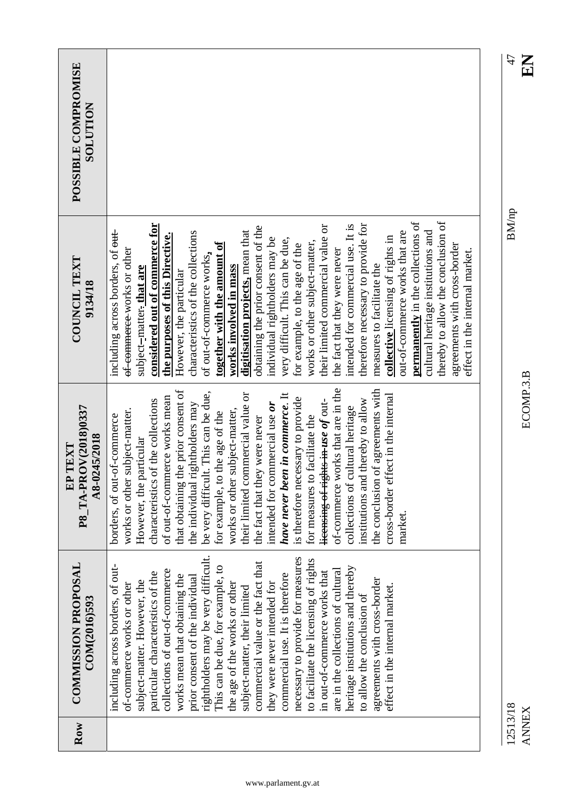| Row | <b>COMMISSION PROPOSAL</b><br>COM(2016)593                      | P8 TA-PROV(2018)0337<br>A8-0245/2018<br>EP TEXT               | COUNCIL TEXT<br>9134/18                                                     | POSSIBLE COMPROMISE<br><b>NOLLTION</b> |
|-----|-----------------------------------------------------------------|---------------------------------------------------------------|-----------------------------------------------------------------------------|----------------------------------------|
|     | including across borders, of out-<br>of-commerce works or other | works or other subject-matter.<br>borders, of out-of-commerce | including across borders, of <del>out</del> -<br>of commerce works or other |                                        |
|     | subject-matter. However, the                                    | However, the particular                                       | subject-matter. that are                                                    |                                        |
|     | particular characteristics of the                               | characteristics of the collections                            | considered out of commerce for                                              |                                        |
|     | collections of out-of-commerce                                  | of out-of-commerce works mean                                 | the purposes of this Directive.                                             |                                        |
|     | works mean that obtaining the                                   | that obtaining the prior consent of                           | However, the particular                                                     |                                        |
|     | prior consent of the individual                                 | the individual rightholders may                               | characteristics of the collections                                          |                                        |
|     | rightholders may be very difficult.                             | be very difficult. This can be due,                           | of out-of-commerce works,                                                   |                                        |
|     | This can be due, for example, to                                | for example, to the age of the                                | together with the amount of                                                 |                                        |
|     | the age of the works or other                                   | works or other subject-matter,                                | works involved in mass                                                      |                                        |
|     | subject-matter, their limited                                   | their limited commercial value or                             | digitisation projects, mean that                                            |                                        |
|     | commercial value or the fact that                               | the fact that they were never                                 | obtaining the prior consent of the                                          |                                        |
|     | they were never intended for                                    | intended for commercial use or                                | individual rightholders may be                                              |                                        |
|     | commercial use. It is therefore                                 | have never been in commerce. It                               | very difficult. This can be due,                                            |                                        |
|     | necessary to provide for measures                               | is therefore necessary to provide                             | for example, to the age of the                                              |                                        |
|     | to facilitate the licensing of rights                           | for measures to facilitate the                                | works or other subject-matter,                                              |                                        |
|     | in out-of-commerce works that                                   | licensing of rights in use of out-                            | their limited commercial value or                                           |                                        |
|     | are in the collections of cultural                              | of-commerce works that are in the                             | the fact that they were never                                               |                                        |
|     | heritage institutions and thereby                               | collections of cultural heritage                              | intended for commercial use. It is                                          |                                        |
|     | to allow the conclusion of                                      | institutions and thereby to allow                             | therefore necessary to provide for                                          |                                        |
|     | agreements with cross-border                                    | the conclusion of agreements with                             | measures to facilitate the                                                  |                                        |
|     | effect in the internal market.                                  | cross-border effect in the internal                           | collective licensing of rights in                                           |                                        |
|     |                                                                 | market.                                                       | out-of-commerce works that are                                              |                                        |
|     |                                                                 |                                                               | permanently in the collections of                                           |                                        |
|     |                                                                 |                                                               | cultural heritage institutions and                                          |                                        |
|     |                                                                 |                                                               | thereby to allow the conclusion of                                          |                                        |
|     |                                                                 |                                                               | agreements with cross-border                                                |                                        |
|     |                                                                 |                                                               | effect in the internal market.                                              |                                        |
|     |                                                                 |                                                               |                                                                             |                                        |

**AH**<br>HH

 $\rm BM/np$ 

12513/18 BM/np 47 12513/18<br>ANNEX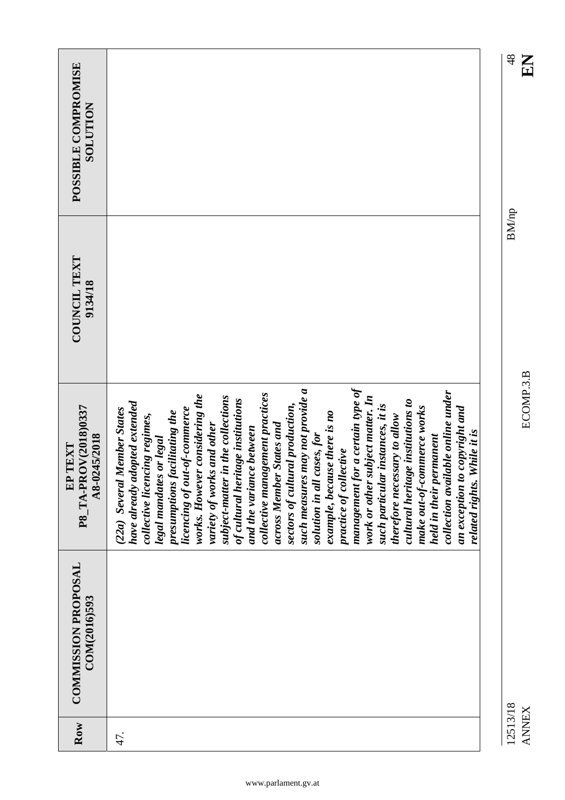|                                                 |                                                                                                                                                                                                                                                                                                                                                                                                                                                                                                                                                                                                                                                                                                                                                                                                                                                                                                                                                     | 48<br>KR                 |
|-------------------------------------------------|-----------------------------------------------------------------------------------------------------------------------------------------------------------------------------------------------------------------------------------------------------------------------------------------------------------------------------------------------------------------------------------------------------------------------------------------------------------------------------------------------------------------------------------------------------------------------------------------------------------------------------------------------------------------------------------------------------------------------------------------------------------------------------------------------------------------------------------------------------------------------------------------------------------------------------------------------------|--------------------------|
| POSSIBLE COMPROMISE<br><b>SOLUTION</b>          |                                                                                                                                                                                                                                                                                                                                                                                                                                                                                                                                                                                                                                                                                                                                                                                                                                                                                                                                                     |                          |
| <b>COUNCIL TEXT</b><br>9134/18                  |                                                                                                                                                                                                                                                                                                                                                                                                                                                                                                                                                                                                                                                                                                                                                                                                                                                                                                                                                     | <b>BM/np</b>             |
| P8 TA-PROV(2018)0337<br>A8-0245/2018<br>EP TEXT | management for a certain type of<br>such measures may not provide a<br>collection available online under<br>collective management practices<br>works. However considering the<br>subject-matter in the collections<br>work or other subject matter. In<br>of cultural heritage institutions<br>cultural heritage institutions to<br>have already adopted extended<br>such particular instances, it is<br>sectors of cultural production,<br>make out-of-commerce works<br>(22a) Several Member States<br>an exception to copyright and<br>t-of-commerce<br>presumptions facilitating the<br>example, because there is no<br>therefore necessary to allow<br>collective licencing regimes,<br>across Member States and<br>variety of works and other<br>and the variance between<br>While it is<br>solution in all cases, for<br>held in their permanent<br>legal mandates or legal<br>practice of collective<br>licencing of oul<br>related rights. | ECOMP.3.B                |
| <b>COMMISSION PROPOSAL</b><br>COM(2016)593      |                                                                                                                                                                                                                                                                                                                                                                                                                                                                                                                                                                                                                                                                                                                                                                                                                                                                                                                                                     |                          |
| Row                                             | 47.                                                                                                                                                                                                                                                                                                                                                                                                                                                                                                                                                                                                                                                                                                                                                                                                                                                                                                                                                 | 12513/18<br><b>ANNEX</b> |

 $\sum_{x}$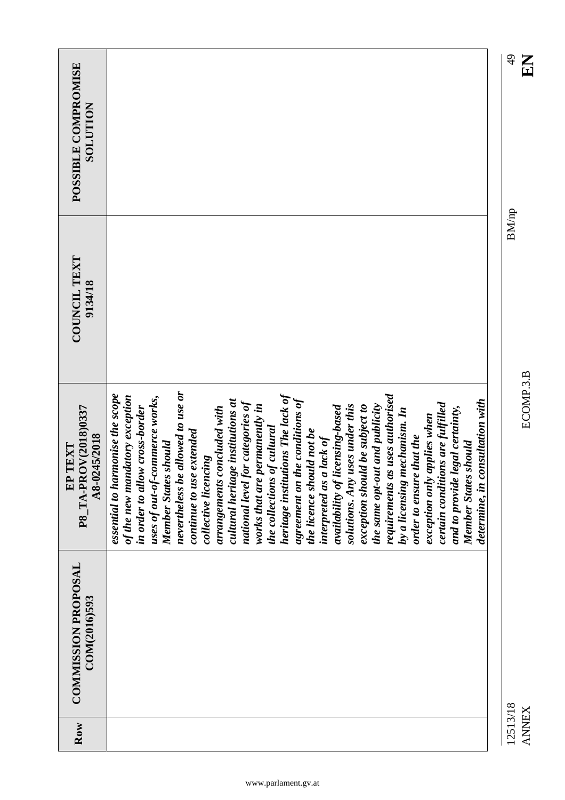| POSSIBLE COMPROMISE<br><b>NOLLTIDR</b>                       |                                                                                                                                                                                                                                                                                                                                                                                                                                                                                                                                                                                                                                                                                                                                                                                                                                                                                                                                                                                                | $\frac{9}{4}$ |
|--------------------------------------------------------------|------------------------------------------------------------------------------------------------------------------------------------------------------------------------------------------------------------------------------------------------------------------------------------------------------------------------------------------------------------------------------------------------------------------------------------------------------------------------------------------------------------------------------------------------------------------------------------------------------------------------------------------------------------------------------------------------------------------------------------------------------------------------------------------------------------------------------------------------------------------------------------------------------------------------------------------------------------------------------------------------|---------------|
| COUNCIL TEXT<br>9134/18                                      |                                                                                                                                                                                                                                                                                                                                                                                                                                                                                                                                                                                                                                                                                                                                                                                                                                                                                                                                                                                                | <b>BM/np</b>  |
| P8 TA-PROV(2018)0337<br>A8-0245/2018<br>TEXT<br>$\mathbf{E}$ | nevertheless be allowed to use or<br>heritage institutions The lack of<br>essential to harmonise the scope<br>requirements as uses authorised<br>of the new mandatory exception<br>uses of out-of-commerce works,<br>cultural heritage institutions at<br>agreement on the conditions of<br>determine, in consultation with<br>national level for categories of<br>certain conditions are fulfilled<br>the same opt-out and publicity<br><i>permanently in</i><br>uses under this<br>exception should be subject to<br>availability of licensing-based<br>arrangements concluded with<br>in order to allow cross-border<br>legal certainty,<br>by a licensing mechanism. In<br>exception only applies when<br>the collections of cultural<br>the licence should not be<br>continue to use extended<br>order to ensure that the<br>interpreted as a lack of<br>Member States should<br>Member States should<br>collective licencing<br>works that are $I$<br>solutions. Any 1<br>and to provide |               |
| <b>COMMISSION PROPOSAL</b><br>COM(2016)593                   |                                                                                                                                                                                                                                                                                                                                                                                                                                                                                                                                                                                                                                                                                                                                                                                                                                                                                                                                                                                                |               |
| Row                                                          |                                                                                                                                                                                                                                                                                                                                                                                                                                                                                                                                                                                                                                                                                                                                                                                                                                                                                                                                                                                                | 12513/18      |

ANNEX ECOMP.3.B **EN**

**ANNEX** 

EN

 $\ddot{ }$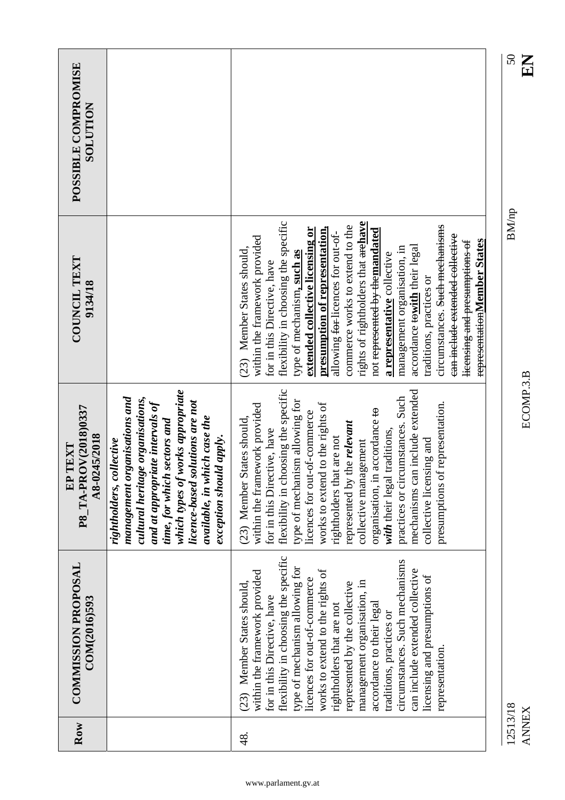|                                                 |                                                                                                                                                                                                                                                                                                  |                                                                                                                                                                                                                                                                                                                                                                                                                                                                                                                                                                                                                                                                       | $50\,$<br>KN             |
|-------------------------------------------------|--------------------------------------------------------------------------------------------------------------------------------------------------------------------------------------------------------------------------------------------------------------------------------------------------|-----------------------------------------------------------------------------------------------------------------------------------------------------------------------------------------------------------------------------------------------------------------------------------------------------------------------------------------------------------------------------------------------------------------------------------------------------------------------------------------------------------------------------------------------------------------------------------------------------------------------------------------------------------------------|--------------------------|
| POSSIBLE COMPROMISE<br><b>NOLLTION</b>          |                                                                                                                                                                                                                                                                                                  |                                                                                                                                                                                                                                                                                                                                                                                                                                                                                                                                                                                                                                                                       |                          |
| <b>COUNCIL TEXT</b><br>9134/18                  |                                                                                                                                                                                                                                                                                                  | flexibility in choosing the specific<br>rights of rightholders that arehave<br>circumstances. Such mechanisms<br>commerce works to extend to the<br>presumption of representation,<br>extended collective licensing or<br>not <del>represented by the</del> mandated<br>allowing for licences for out-of-<br>ean include extended collective<br>within the framework provided<br>representationMember States<br>Heensing and presumptions of<br>accordance to with their legal<br>management organisation, in<br>Member States should<br>type of mechanism, such as<br>a representative collective<br>for in this Directive, have<br>traditions, practices or<br>(23) | <b>BM/np</b>             |
| P8 TA-PROV(2018)0337<br>A8-0245/2018<br>EP TEXT | which types of works appropriate<br>management organisations and<br>cultural heritage organisations,<br>licence-based solutions are not<br>and at appropriate intervals of<br>available, in which case the<br>time, for which sectors and<br>exception should apply.<br>rightholders, collective | flexibility in choosing the specific<br>mechanisms can include extended<br>practices or circumstances. Such<br>type of mechanism allowing for<br>works to extend to the rights of<br>presumptions of representation.<br>within the framework provided<br>accordance to<br>licences for out-of-commerce<br>(23) Member States should,<br>represented by the relevant<br>for in this Directive, have<br>with their legal traditions,<br>rightholders that are not<br>collective licensing and<br>collective management<br>organisation, in                                                                                                                              | ECOMP.3.B                |
| <b>COMMISSION PROPOSAL</b><br>COM(2016)593      |                                                                                                                                                                                                                                                                                                  | flexibility in choosing the specific<br>circumstances. Such mechanisms<br>type of mechanism allowing for<br>can include extended collective<br>works to extend to the rights of<br>within the framework provided<br>licensing and presumptions of<br>licences for out-of-commerce<br>management organisation, in<br>represented by the collective<br>Member States should<br>for in this Directive, have<br>accordance to their legal<br>rightholders that are not<br>traditions, practices or<br>representation.<br>(23)                                                                                                                                             |                          |
| Row                                             |                                                                                                                                                                                                                                                                                                  | 48.                                                                                                                                                                                                                                                                                                                                                                                                                                                                                                                                                                                                                                                                   | 12513/18<br><b>ANNEX</b> |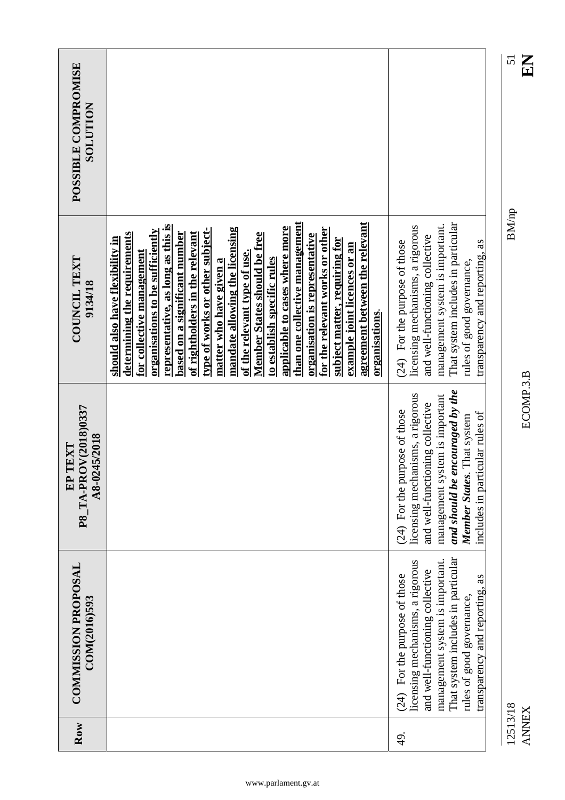|                                                 |                                                                                                                                                                                                                                                                                                                                                                                                                                                                                                                                                                                                                                                                                                        |                                                                                                                                                                                                                                              | $\mathbf{K}$<br>$\overline{51}$ |
|-------------------------------------------------|--------------------------------------------------------------------------------------------------------------------------------------------------------------------------------------------------------------------------------------------------------------------------------------------------------------------------------------------------------------------------------------------------------------------------------------------------------------------------------------------------------------------------------------------------------------------------------------------------------------------------------------------------------------------------------------------------------|----------------------------------------------------------------------------------------------------------------------------------------------------------------------------------------------------------------------------------------------|---------------------------------|
| POSSIBLE COMPROMISE<br><b>SOLUTION</b>          |                                                                                                                                                                                                                                                                                                                                                                                                                                                                                                                                                                                                                                                                                                        |                                                                                                                                                                                                                                              |                                 |
| COUNCIL TEXT<br>9134/18                         | than one collective management<br>agreement between the relevant<br>representative, as long as this is<br>applicable to cases where more<br>type of works or other subject-<br>mandate allowing the licensing<br>for the relevant works or other<br>organisations to be sufficiently<br>based on a significant number<br>determining the requirements<br>of rightholders in the relevant<br>Member States should be free<br>organisation is representative<br>should also have flexibility in<br>subject matter, requiring for<br>example joint licences or an<br>for collective management<br>of the relevant type of use.<br>to establish specific rules<br>matter who have given a<br>organisations | That system includes in particular<br>management system is important.<br>licensing mechanisms, a rigorous<br>and well-functioning collective<br>(24) For the purpose of those<br>transparency and reporting, as<br>rules of good governance, | <b>BM/np</b>                    |
| P8 TA-PROV(2018)0337<br>A8-0245/2018<br>EP TEXT |                                                                                                                                                                                                                                                                                                                                                                                                                                                                                                                                                                                                                                                                                                        | and should be encouraged by the<br>licensing mechanisms, a rigorous<br>management system is important<br>and well-functioning collective<br>(24) For the purpose of those<br>includes in particular rules of<br>Member States. That system   | ECOMP.3.B                       |
| <b>COMMISSION PROPOSAL</b><br>COM(2016)593      |                                                                                                                                                                                                                                                                                                                                                                                                                                                                                                                                                                                                                                                                                                        | That system includes in particular<br>management system is important.<br>licensing mechanisms, a rigorous<br>and well-functioning collective<br>(24) For the purpose of those<br>transparency and reporting, as<br>rules of good governance, |                                 |
| Row                                             |                                                                                                                                                                                                                                                                                                                                                                                                                                                                                                                                                                                                                                                                                                        | 49.                                                                                                                                                                                                                                          | 12513/18<br><b>ANNEX</b>        |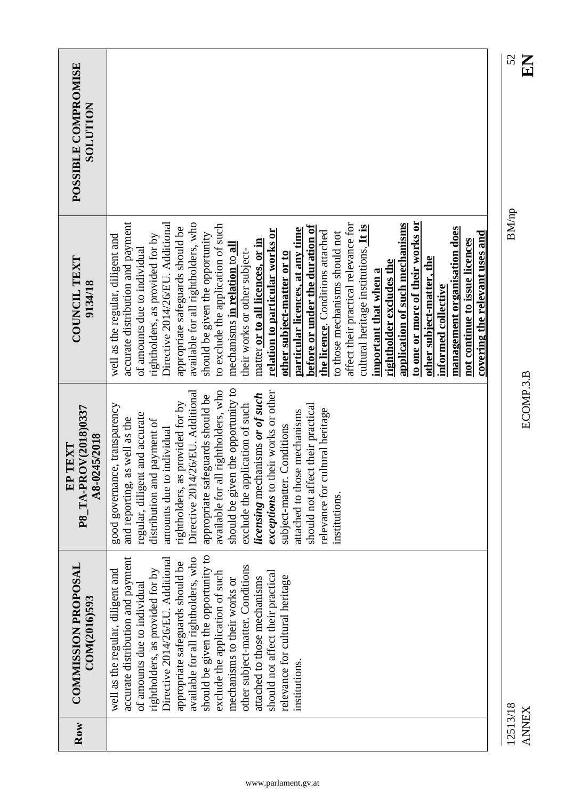| POSSIBLE COMPROMISE<br>NOLLTION                 |                                                                                                                                                                                                                                                                                                                                                                                                                                                                                                                                                                                                                                                                                                                                                                                                                                                                                                                                                                                                                            |
|-------------------------------------------------|----------------------------------------------------------------------------------------------------------------------------------------------------------------------------------------------------------------------------------------------------------------------------------------------------------------------------------------------------------------------------------------------------------------------------------------------------------------------------------------------------------------------------------------------------------------------------------------------------------------------------------------------------------------------------------------------------------------------------------------------------------------------------------------------------------------------------------------------------------------------------------------------------------------------------------------------------------------------------------------------------------------------------|
| COUNCIL TEXT<br>9134/18                         | to one or more of their works or<br>accurate distribution and payment<br>Directive 2014/26/EU. Additional<br>available for all rightholders, who<br>affect their practical relevance for<br>application of such mechanisms<br>to exclude the application of such<br>before or under the duration of<br>cultural heritage institutions. It is<br>appropriate safeguards should be<br>management organisation does<br>particular licences, at any time<br>relation to particular works or<br>the licence. Conditions attached<br>covering the relevant uses and<br>should be given the opportunity<br>to those mechanisms should not<br>well as the regular, diligent and<br>rightholders, as provided for by<br>not continue to issue licences<br>matter or to all licences, or in<br>mechanisms in relation to all<br>of amounts due to individual<br>their works or other subject-<br>other subject-matter or to<br>other subject-matter, the<br>rightholder excludes the<br>important that when a<br>informed collective |
| P8 TA-PROV(2018)0337<br>A8-0245/2018<br>EP TEXT | the opportunity to<br>Directive 2014/26/EU. Additional<br>rightholders, who<br>exceptions to their works or other<br>licensing mechanisms or of such<br>appropriate safeguards should be<br>rightholders, as provided for by<br>exclude the application of such<br>good governance, transparency<br>should not affect their practical<br>relevance for cultural heritage<br>attached to those mechanisms<br>t and accurate<br>and reporting, as well as the<br>distribution and payment of<br>subject-matter. Conditions<br>individual<br>regular, diligent<br>amounts due to<br>should be given<br>available for all<br>institutions.                                                                                                                                                                                                                                                                                                                                                                                     |
| <b>COMMISSION PROPOSAL</b><br>COM(2016)593      | should be given the opportunity to<br>accurate distribution and payment<br>Directive 2014/26/EU. Additional<br>available for all rightholders, who<br>appropriate safeguards should be<br>other subject-matter. Conditions<br>well as the regular, diligent and<br>rightholders, as provided for by<br>exclude the application of such<br>should not affect their practical<br>relevance for cultural heritage<br>attached to those mechanisms<br>mechanisms to their works or<br>of amounts due to individual<br>institutions.                                                                                                                                                                                                                                                                                                                                                                                                                                                                                            |
| Row                                             |                                                                                                                                                                                                                                                                                                                                                                                                                                                                                                                                                                                                                                                                                                                                                                                                                                                                                                                                                                                                                            |

 $\frac{52}{2}$ 

 $\rm BM/np$ 

12513/18 BM/np 12513/18<br>ANNEX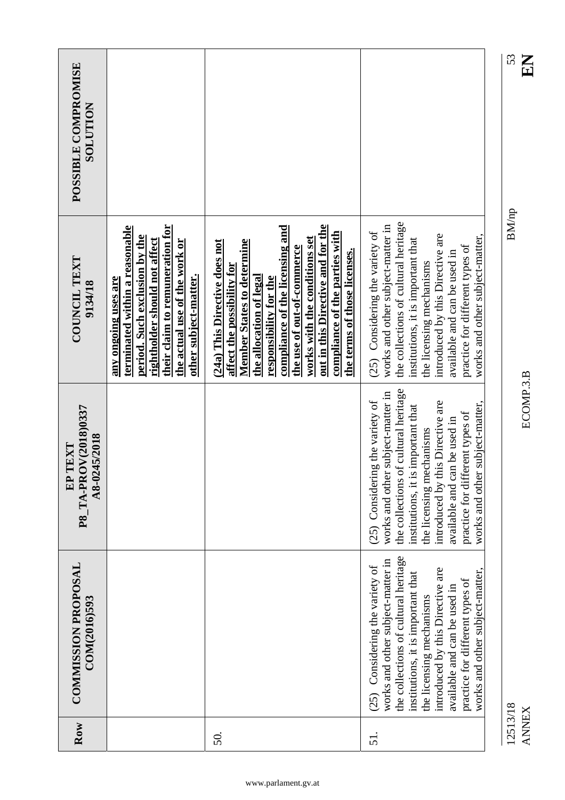|                                                    |                                                                                                                                                                                                                       |                                                                                                                                                                                                                                                                                                                                                                |                                                                                                                                                                                                                                                                                                                          | 53<br>EN                 |
|----------------------------------------------------|-----------------------------------------------------------------------------------------------------------------------------------------------------------------------------------------------------------------------|----------------------------------------------------------------------------------------------------------------------------------------------------------------------------------------------------------------------------------------------------------------------------------------------------------------------------------------------------------------|--------------------------------------------------------------------------------------------------------------------------------------------------------------------------------------------------------------------------------------------------------------------------------------------------------------------------|--------------------------|
| POSSIBLE COMPROMISE<br><b>NOLLTIDR</b>             |                                                                                                                                                                                                                       |                                                                                                                                                                                                                                                                                                                                                                |                                                                                                                                                                                                                                                                                                                          |                          |
| COUNCIL TEXT<br>9134/18                            | their claim to remuneration for<br>terminated within a reasonable<br>period. Such exclusion by the<br>rightholder should not affect<br>the actual use of the work or<br>other subject-matter.<br>any ongoing uses are | out in this Directive and for the<br>compliance of the licensing and<br>compliance of the parties with<br>works with the conditions set<br><b>Member States to determine</b><br>(24a) This Directive does not<br>the use of out-of-commerce<br>the terms of those licenses.<br>affect the possibility for<br>the allocation of legal<br>responsibility for the | the collections of cultural heritage<br>works and other subject-matter in<br>(25) Considering the variety of<br>introduced by this Directive are<br>works and other subject-matter,<br>institutions, it is important that<br>practice for different types of<br>available and can be used in<br>the licensing mechanisms | <b>BM/np</b>             |
| P8 TA-PROV(2018)0337<br>A8-0245/2018<br>TEXT<br>EP |                                                                                                                                                                                                                       |                                                                                                                                                                                                                                                                                                                                                                | the collections of cultural heritage<br>works and other subject-matter in<br>(25) Considering the variety of<br>introduced by this Directive are<br>works and other subject-matter,<br>institutions, it is important that<br>practice for different types of<br>available and can be used in<br>the licensing mechanisms | ECOMP.3.B                |
| <b>COMMISSION PROPOSAL</b><br>COM(2016)593         |                                                                                                                                                                                                                       |                                                                                                                                                                                                                                                                                                                                                                | the collections of cultural heritage<br>works and other subject-matter in<br>(25) Considering the variety of<br>introduced by this Directive are<br>works and other subject-matter,<br>institutions, it is important that<br>practice for different types of<br>available and can be used in<br>the licensing mechanisms |                          |
| Row                                                |                                                                                                                                                                                                                       | 50.                                                                                                                                                                                                                                                                                                                                                            | 51                                                                                                                                                                                                                                                                                                                       | 12513/18<br><b>ANNEX</b> |

53<br>HN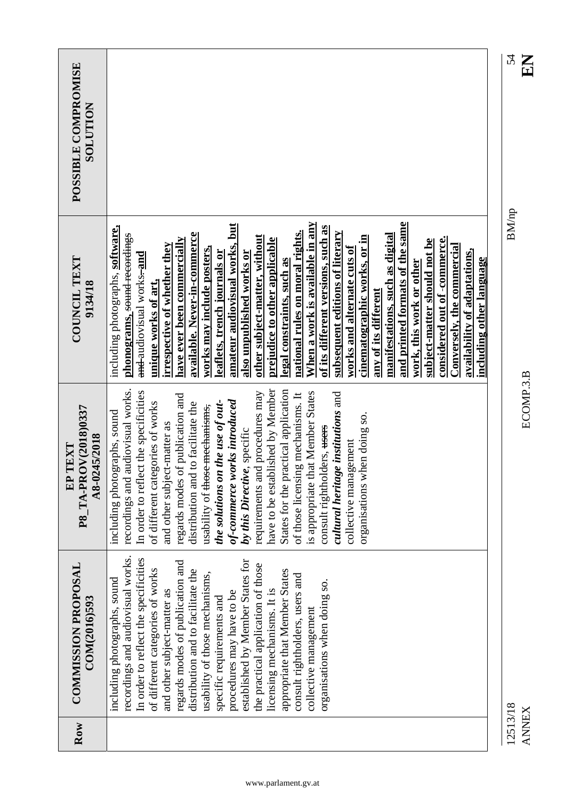| POSSIBLE COMPROMISE<br><b>SOLUTION</b>          |                                                                                                                                                                                                                                                                                                                                                                                                                                                                                                                                                                                                                                                                                                                                                                                                                                                                                                                                                    |
|-------------------------------------------------|----------------------------------------------------------------------------------------------------------------------------------------------------------------------------------------------------------------------------------------------------------------------------------------------------------------------------------------------------------------------------------------------------------------------------------------------------------------------------------------------------------------------------------------------------------------------------------------------------------------------------------------------------------------------------------------------------------------------------------------------------------------------------------------------------------------------------------------------------------------------------------------------------------------------------------------------------|
| COUNCIL TEXT<br>9134/18                         | and printed formats of the same<br>When a work is available in any<br>amateur audiovisual works, but<br>including photographs, software,<br>of its different versions, such as<br>national rules on moral rights.<br>subsequent editions of literary<br>available. Never-in-commerce<br>phonograms, sound recordings<br>manifestations, such as digital<br>other subject-matter, without<br>cinematographic works, or in<br>considered out of -commerce.<br>prejudice to other applicable<br>have ever been commercially<br>subject-matter should not be<br>rrespective of whether they<br>Conversely, the commercial<br>works and alternate cuts of<br>works may include posters,<br>availability of adaptations,<br>leaflets, trench journals or<br>also unpublished works or<br>and-audiovisual works-and<br>including other language<br>legal constraints, such as<br>work, this work or other<br>unique works of art,<br>any of its different |
| P8 TA-PROV(2018)0337<br>A8-0245/2018<br>EP TEXT | audiovisual works.<br>have to be established by Member<br>States for the practical application<br>In order to reflect the specificities<br>is appropriate that Member States<br>requirements and procedures may<br>cultural heritage institutions and<br>of those licensing mechanisms. It<br>of publication and<br>of-commerce works introduced<br>the solutions on the use of out-<br>of different categories of works<br>distribution and to facilitate the<br>usability of those mechanisms,<br>including photographs, sound<br>organisations when doing so.<br>and other subject-matter as<br>consult rightholders, users<br>by this Directive, specific<br>gement<br>collective mana<br>recordings and<br>regards modes                                                                                                                                                                                                                      |
| <b>COMMISSION PROPOSAL</b><br>COM(2016)593      | recordings and audiovisual works.<br>In order to reflect the specificities<br>established by Member States for<br>regards modes of publication and<br>the practical application of those<br>of different categories of works<br>distribution and to facilitate the<br>appropriate that Member States<br>usability of those mechanisms,<br>consult rightholders, users and<br>including photographs, sound<br>organisations when doing so.<br>and other subject-matter as<br>licensing mechanisms. It is<br>procedures may have to be<br>specific requirements and<br>collective management                                                                                                                                                                                                                                                                                                                                                         |
| Row                                             |                                                                                                                                                                                                                                                                                                                                                                                                                                                                                                                                                                                                                                                                                                                                                                                                                                                                                                                                                    |

12513/18 BM/np 54 12513/18<br>ANNEX

 $\sum_{4}$ 

 $\rm BM/np$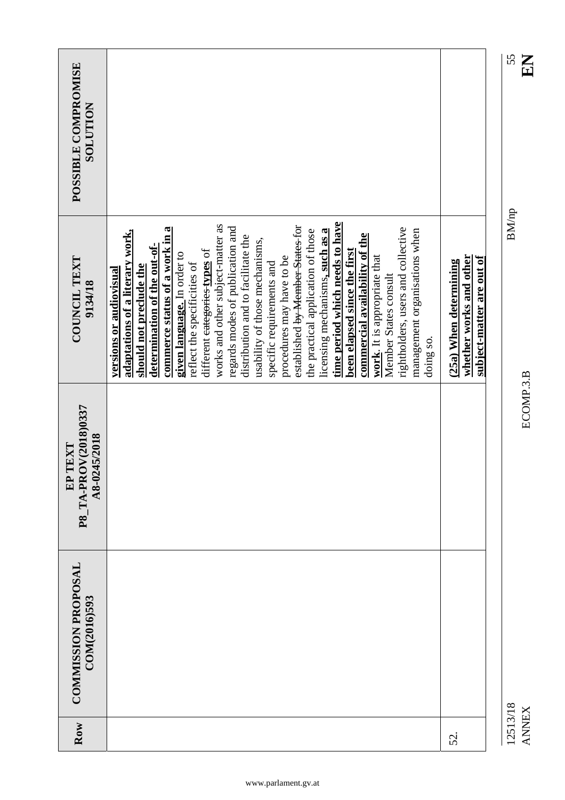| POSSIBLE COMPROMISE<br><b>NOLLTIDR</b>                |                                                                                                                                                                                                                                                                                                                                                                                                                                                                                                                                                                                                                                                                                                                                                                                                                                              |                                                                                |
|-------------------------------------------------------|----------------------------------------------------------------------------------------------------------------------------------------------------------------------------------------------------------------------------------------------------------------------------------------------------------------------------------------------------------------------------------------------------------------------------------------------------------------------------------------------------------------------------------------------------------------------------------------------------------------------------------------------------------------------------------------------------------------------------------------------------------------------------------------------------------------------------------------------|--------------------------------------------------------------------------------|
| COUNCIL TEXT<br>9134/18                               | time period which needs to have<br>works and other subject-matter as<br>established by Member States for<br>regards modes of publication and<br>commerce status of a work in a<br>rightholders, users and collective<br>the practical application of those<br>licensing mechanisms, such as a<br>management organisations when<br>adaptations of a literary work,<br>commercial availability of the<br>distribution and to facilitate the<br>usability of those mechanisms,<br>determination of the out-of-<br>different <del>categories types</del> of<br>been elapsed since the first<br>given language. In order to<br>work. It is appropriate that<br>procedures may have to be<br>reflect the specificities of<br>specific requirements and<br>should not preclude the<br>versions or audiovisual<br>Member States consult<br>doing so. | whether works and other<br>subject-matter are out of<br>(25a) When determining |
| P8_TA-PROV(2018)0337<br>A8-0245/2018<br>TEXT<br>$E$ P |                                                                                                                                                                                                                                                                                                                                                                                                                                                                                                                                                                                                                                                                                                                                                                                                                                              |                                                                                |
| <b>COMMISSION PROPOSAL</b><br>COM(2016)593            |                                                                                                                                                                                                                                                                                                                                                                                                                                                                                                                                                                                                                                                                                                                                                                                                                                              |                                                                                |
| Row                                                   |                                                                                                                                                                                                                                                                                                                                                                                                                                                                                                                                                                                                                                                                                                                                                                                                                                              | 52.                                                                            |

 $\rm BM/np$ 

55<br>H<br>H<br>N

12513/18 BM/np 55 12513/18<br>ANNEX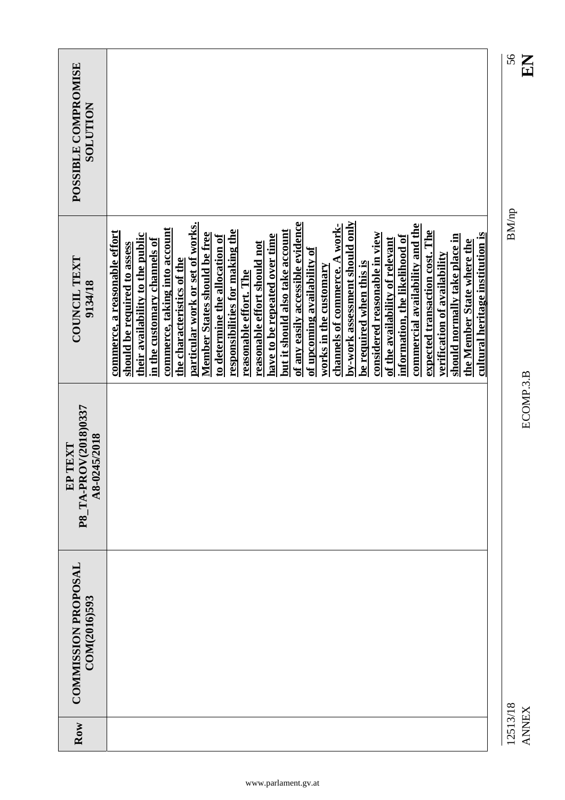| POSSIBLE COMPROMISE<br><b>SOLUTION</b>             |                                                                                                                                                                                                                                                                                                                                                                                                                                                                                                                                                                                                                                                                                                                                                                                                                                                                                                                                                                                    | 56           |
|----------------------------------------------------|------------------------------------------------------------------------------------------------------------------------------------------------------------------------------------------------------------------------------------------------------------------------------------------------------------------------------------------------------------------------------------------------------------------------------------------------------------------------------------------------------------------------------------------------------------------------------------------------------------------------------------------------------------------------------------------------------------------------------------------------------------------------------------------------------------------------------------------------------------------------------------------------------------------------------------------------------------------------------------|--------------|
| COUNCIL TEXT<br>9134/18                            | of any easily accessible evidence<br>by-work assessment should only<br>particular work or set of works.<br>commercial availability and the<br>channels of commerce. A work-<br>commerce, taking into account<br>responsibilities for making the<br>expected transaction cost. The<br>but it should also take account<br>commerce, a reasonable effort<br>Member States should be free<br>their availability to the public<br>considered reasonable in view<br>cultural heritage institution is<br>should normally take place in<br>have to be repeated over time<br>information, the likelihood of<br>to determine the allocation of<br>in the customary channels of<br>of the availability of relevant<br>the Member State where the<br>reasonable effort should not<br>should be required to assess<br>of upcoming availability of<br>verification of availability<br>the characteristics of the<br>be required when this is<br>works in the customary<br>reasonable effort. The | <b>BM/np</b> |
| P8 TA-PROV(2018)0337<br>A8-0245/2018<br>TEXT<br>EP |                                                                                                                                                                                                                                                                                                                                                                                                                                                                                                                                                                                                                                                                                                                                                                                                                                                                                                                                                                                    |              |
| <b>COMMISSION PROPOSAL</b><br>COM(2016)593         |                                                                                                                                                                                                                                                                                                                                                                                                                                                                                                                                                                                                                                                                                                                                                                                                                                                                                                                                                                                    |              |
| Row                                                |                                                                                                                                                                                                                                                                                                                                                                                                                                                                                                                                                                                                                                                                                                                                                                                                                                                                                                                                                                                    | 12513/18     |

 $\frac{1}{25}$ 

12513/18 BM/np 12513/18<br>ANNEX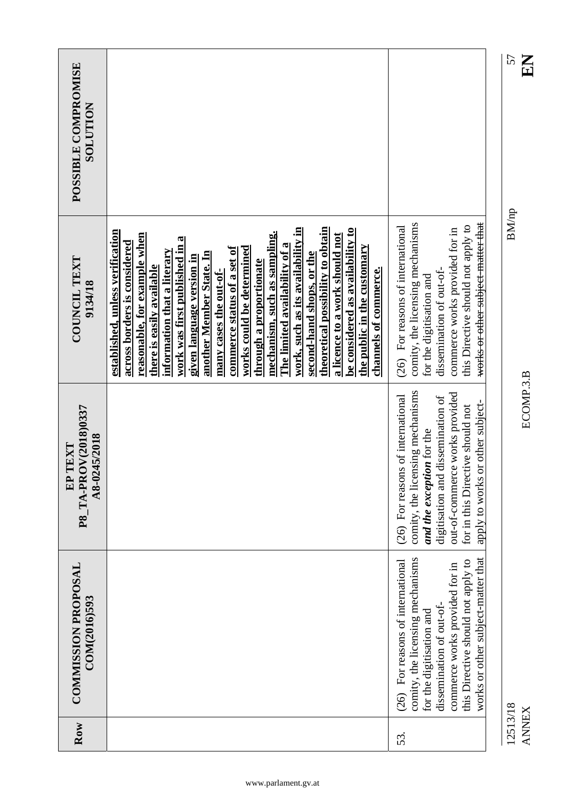|                                                    |                                                                                                                                                                                                                                                                                                                                                                                                                                                                                                                                                                                                                                                                               |                                                                                                                                                                                                                                                      | 57<br>$\mathbf{E}$       |
|----------------------------------------------------|-------------------------------------------------------------------------------------------------------------------------------------------------------------------------------------------------------------------------------------------------------------------------------------------------------------------------------------------------------------------------------------------------------------------------------------------------------------------------------------------------------------------------------------------------------------------------------------------------------------------------------------------------------------------------------|------------------------------------------------------------------------------------------------------------------------------------------------------------------------------------------------------------------------------------------------------|--------------------------|
| POSSIBLE COMPROMISE<br><b>SOLUTION</b>             |                                                                                                                                                                                                                                                                                                                                                                                                                                                                                                                                                                                                                                                                               |                                                                                                                                                                                                                                                      |                          |
| <b>COUNCIL TEXT</b><br>9134/18                     | theoretical possibility to obtain<br>work, such as its availability in<br>be considered as availability to<br>established, unless verification<br>mechanism, such as sampling.<br>reasonable, for example when<br>a licence to a work should not<br>work was first published in a<br>across borders is considered<br>The limited availability of a<br>the public in the customary<br>commerce status of a set of<br>works could be determined<br>information that a literary<br>another Member State. In<br>second-hand shops, or the<br>given language version in<br>through a proportionate<br>there is easily available<br>channels of commerce.<br>many cases the out-of- | works or other subject matter that<br>comity, the licensing mechanisms<br>this Directive should not apply to<br>(26) For reasons of international<br>commerce works provided for in<br>dissemination of out-of-<br>for the digitisation and          | <b>BM/np</b>             |
| P8 TA-PROV(2018)0337<br>A8-0245/2018<br>TEXT<br>EP |                                                                                                                                                                                                                                                                                                                                                                                                                                                                                                                                                                                                                                                                               | comity, the licensing mechanisms<br>out-of-commerce works provided<br>(26) For reasons of international<br>digitisation and dissemination of<br>or other subject-<br>for in this Directive should not<br>and the exception for the<br>apply to works | ECOMP.3.B                |
| <b>COMMISSION PROPOSAL</b><br>COM(2016)593         |                                                                                                                                                                                                                                                                                                                                                                                                                                                                                                                                                                                                                                                                               | works or other subject-matter that<br>comity, the licensing mechanisms<br>this Directive should not apply to<br>(26) For reasons of international<br>commerce works provided for in<br>dissemination of out-of-<br>for the digitisation and          |                          |
| Row                                                |                                                                                                                                                                                                                                                                                                                                                                                                                                                                                                                                                                                                                                                                               | 53.                                                                                                                                                                                                                                                  | 12513/18<br><b>ANNEX</b> |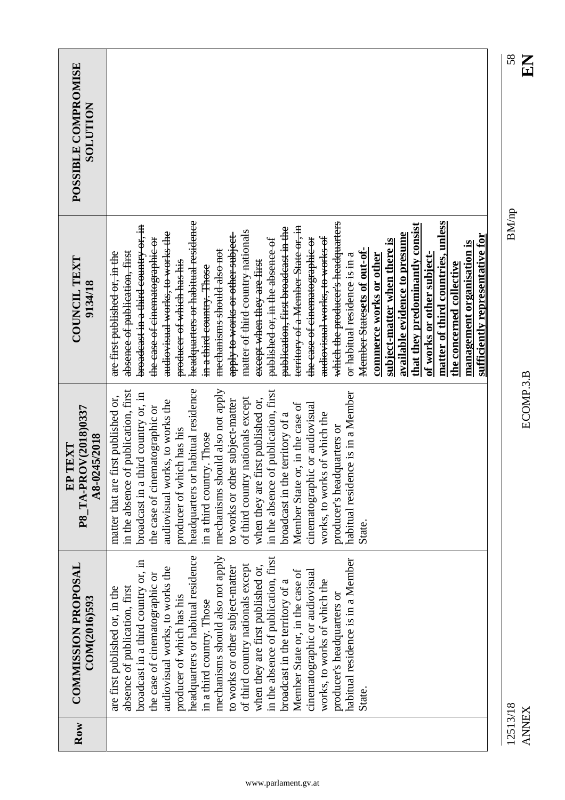| <b>SOLUTION</b><br>9134/18<br>A8-0245/2018 | headquarters or habitual residence<br>which the producer's headquarters<br>matter of third countries, unless<br>that they predominantly consist<br>broadcast in a third country or, in<br>territory of a Member State or, in<br>publication, first broadcast in the<br>matter of third country nationals<br>audiovisual works, to works the<br>apply to works or other subject-<br>available evidence to presume<br>sufficiently representative for<br>audiovisual works, to works of<br>the case of cinematographic or<br>the case of cinematographic or<br>published or, in the absence of<br>subject-matter when there is<br>management organisation is<br>Member Statesets of out-of-<br>mechanisms should also not<br>absence of publication, first<br>are first published or, in the<br>er habitual residence is in a<br>commerce works or other<br>of works or other subject.<br>except when they are first<br>producer of which has his<br>the concerned collective<br><del>in a third country. Those</del><br>irst published or, | 58<br>KH<br><b>BM/np</b><br>ECOMP.3.B |
|--------------------------------------------|-------------------------------------------------------------------------------------------------------------------------------------------------------------------------------------------------------------------------------------------------------------------------------------------------------------------------------------------------------------------------------------------------------------------------------------------------------------------------------------------------------------------------------------------------------------------------------------------------------------------------------------------------------------------------------------------------------------------------------------------------------------------------------------------------------------------------------------------------------------------------------------------------------------------------------------------------------------------------------------------------------------------------------------------|---------------------------------------|
| COUNCIL TEXT                               |                                                                                                                                                                                                                                                                                                                                                                                                                                                                                                                                                                                                                                                                                                                                                                                                                                                                                                                                                                                                                                           |                                       |
| P8_TA-PROV(2018)0337<br>TEXT<br>EP<br>El   | headquarters or habitual residence<br>in the absence of publication, first<br>mechanisms should also not apply<br>in the absence of publication, first<br>habitual residence is in a Member<br>broadcast in a third country or, in<br>of third country nationals except<br>when they are first published or,<br>to works or other subject-matter<br>audiovisual works, to works the<br>Member State or, in the case of<br>cinematographic or audiovisual<br>the case of cinematographic or<br>works, to works of which the<br>broadcast in the territory of a<br>producer's headquarters or<br>producer of which has his<br>in a third country. Those<br>matter that are f<br>State.                                                                                                                                                                                                                                                                                                                                                      |                                       |
| <b>COMMISSION PROPOSAL</b><br>COM(2016)593 | headquarters or habitual residence<br>mechanisms should also not apply<br>in the absence of publication, first<br>habitual residence is in a Member<br>broadcast in a third country or, in<br>of third country nationals except<br>to works or other subject-matter<br>when they are first published or,<br>audiovisual works, to works the<br>Member State or, in the case of<br>cinematographic or audiovisual<br>the case of cinematographic or<br>works, to works of which the<br>broadcast in the territory of a<br>absence of publication, first<br>are first published or, in the<br>producer's headquarters or<br>producer of which has his<br>in a third country. Those<br>State.                                                                                                                                                                                                                                                                                                                                                |                                       |
| Row                                        |                                                                                                                                                                                                                                                                                                                                                                                                                                                                                                                                                                                                                                                                                                                                                                                                                                                                                                                                                                                                                                           | 12513/18<br><b>ANNEX</b>              |

 $\sum_{S}$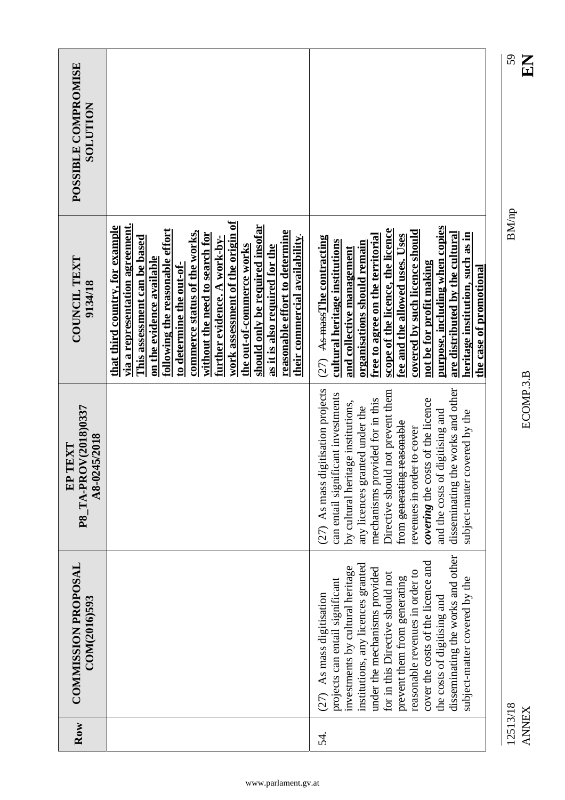|                                                 |                                                                                                                                                                                                                                                                                                                                                                                                                                                                                                             |                                                                                                                                                                                                                                                                                                                                                                                                                                               | 59<br>$\mathbf{K}$       |
|-------------------------------------------------|-------------------------------------------------------------------------------------------------------------------------------------------------------------------------------------------------------------------------------------------------------------------------------------------------------------------------------------------------------------------------------------------------------------------------------------------------------------------------------------------------------------|-----------------------------------------------------------------------------------------------------------------------------------------------------------------------------------------------------------------------------------------------------------------------------------------------------------------------------------------------------------------------------------------------------------------------------------------------|--------------------------|
| POSSIBLE COMPROMISE<br><b>NOLLTION</b>          |                                                                                                                                                                                                                                                                                                                                                                                                                                                                                                             |                                                                                                                                                                                                                                                                                                                                                                                                                                               |                          |
| <b>COUNCIL TEXT</b><br>9134/18                  | work assessment of the origin of<br>via a representation agreement.<br>should only be required insofar<br>that third country, for example<br>following the reasonable effort<br>reasonable effort to determine<br>commerce status of the works,<br>without the need to search for<br>their commercial availability.<br>This assessment can be based<br>further evidence. A work-by-<br>the out-of-commerce works<br>as it is also required for the<br>on the evidence available<br>to determine the out-of- | purpose, including when copies<br>scope of the licence, the licence<br>covered by such licence should<br>are distributed by the cultural<br>heritage institution, such as in<br>free to agree on the territorial<br>fee and the allowed uses. Uses<br>As mass The contracting<br>cultural heritage institutions<br>organisations should remain<br>and collective management<br>not be for profit making<br>the case of promotional<br>(27)    | <b>BM/np</b>             |
| P8 TA-PROV(2018)0337<br>A8-0245/2018<br>EP TEXT |                                                                                                                                                                                                                                                                                                                                                                                                                                                                                                             | (27) As mass digitisation projects<br>disseminating the works and other<br>Directive should not prevent them<br>can entail significant investments<br>mechanisms provided for in this<br>covering the costs of the licence<br>by cultural heritage institutions,<br>any licences granted under the<br>and the costs of digitising and<br>subject-matter covered by the<br>from <del>generating reasonable</del><br>revenues in order to cover | ECOMP.3.B                |
| <b>COMMISSION PROPOSAL</b><br>COM(2016)593      |                                                                                                                                                                                                                                                                                                                                                                                                                                                                                                             | disseminating the works and other<br>cover the costs of the licence and<br>institutions, any licences granted<br>investments by cultural heritage<br>under the mechanisms provided<br>reasonable revenues in order to<br>for in this Directive should not<br>prevent them from generating<br>subject-matter covered by the<br>projects can entail significant<br>As mass digitisation<br>the costs of digitising and<br>(27)                  |                          |
| Row                                             |                                                                                                                                                                                                                                                                                                                                                                                                                                                                                                             | 54.                                                                                                                                                                                                                                                                                                                                                                                                                                           | 12513/18<br><b>ANNEX</b> |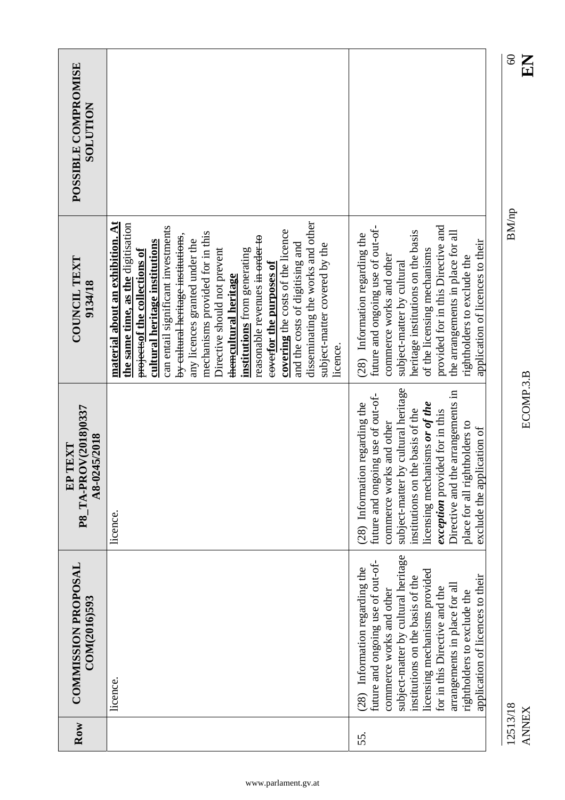|                          | <b>COMMISSION PROPOSAL</b><br>COM(2016)593                                                                                                                                                                                                                                                                                                       | DV(2018)0337<br>A8-0245/2018<br>TEXT<br>P8 TA-PR<br>EP                                                                                                                                                                                                                                                                                             | COUNCIL TEXT<br>9134/18                                                                                                                                                                                                                                                                                                                                                                                                                                                                                                                                                                                                                  | POSSIBLE COMPROMISE<br>NOLULON |
|--------------------------|--------------------------------------------------------------------------------------------------------------------------------------------------------------------------------------------------------------------------------------------------------------------------------------------------------------------------------------------------|----------------------------------------------------------------------------------------------------------------------------------------------------------------------------------------------------------------------------------------------------------------------------------------------------------------------------------------------------|------------------------------------------------------------------------------------------------------------------------------------------------------------------------------------------------------------------------------------------------------------------------------------------------------------------------------------------------------------------------------------------------------------------------------------------------------------------------------------------------------------------------------------------------------------------------------------------------------------------------------------------|--------------------------------|
| licence.                 |                                                                                                                                                                                                                                                                                                                                                  | licence.                                                                                                                                                                                                                                                                                                                                           | disseminating the works and other<br>$\mathbf{A}$ t<br>the same time, as the digitisation<br>can entail significant investments<br>covering the costs of the licence<br>mechanisms provided for in this<br>by cultural heritage institutions,<br>reasonable revenues in order to<br>material about an exhibition.<br>any licences granted under the<br>cultural heritage institutions<br>and the costs of digitising and<br>subject-matter covered by the<br>institutions from generating<br>Directive should not prevent<br>projects of the collections of<br><del>cover</del> for the purposes of<br>themcultural heritage<br>licence. |                                |
|                          | subject-matter by cultural heritage<br>future and ongoing use of out-of-<br>(28) Information regarding the<br>licensing mechanisms provided<br>application of licences to their<br>institutions on the basis of the<br>arrangements in place for all<br>for in this Directive and the<br>commerce works and other<br>rightholders to exclude the | subject-matter by cultural heritage<br>Directive and the arrangements in<br>future and ongoing use of out-of-<br>(28) Information regarding the<br>licensing mechanisms or of the<br>institutions on the basis of the<br>exception provided for in this<br>place for all rightholders to<br>commerce works and other<br>exclude the application of | provided for in this Directive and<br>future and ongoing use of out-of-<br>heritage institutions on the basis<br>the arrangements in place for all<br>(28) Information regarding the<br>application of licences to their<br>of the licensing mechanisms<br>commerce works and other<br>rightholders to exclude the<br>subject-matter by cultural                                                                                                                                                                                                                                                                                         |                                |
| 12513/18<br><b>ANNEX</b> |                                                                                                                                                                                                                                                                                                                                                  | ECOMP.3.B                                                                                                                                                                                                                                                                                                                                          | <b>BM/np</b>                                                                                                                                                                                                                                                                                                                                                                                                                                                                                                                                                                                                                             | $\rm 60$<br>EN                 |

S<br>EN<br>EN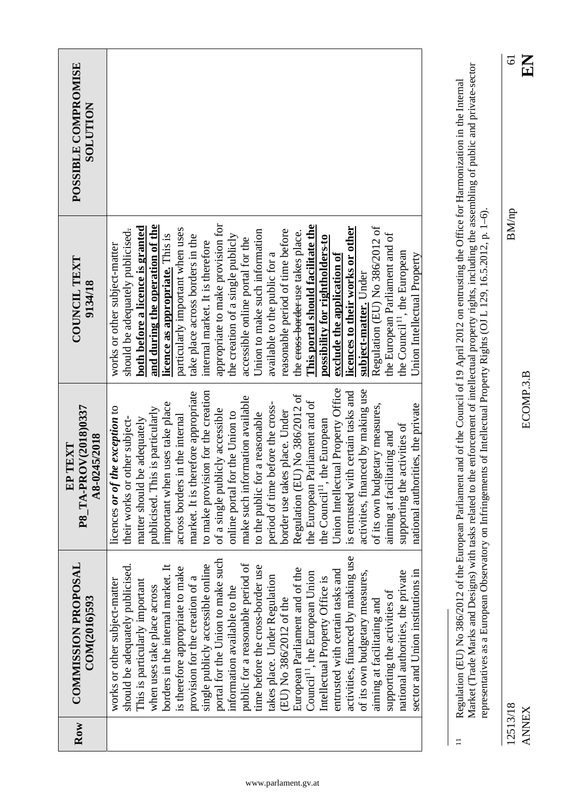| activities, financed by making use<br>portal for the Union to make such<br>public for a reasonable period of<br>single publicly accessible online<br>should be adequately publicised.<br>borders in the internal market. It<br>time before the cross-border use<br>is therefore appropriate to make<br>European Parliament and of the<br>entrusted with certain tasks and<br>of its own budgetary measures,<br>Council <sup>11</sup> , the European Union<br>takes place. Under Regulation<br>Intellectual Property Office is<br>provision for the creation of a<br>works or other subject-matter<br>This is particularly important<br>when uses take place across<br>information available to the<br>(EU) No 386/2012 of the | to make provision for the creation<br>market. It is therefore appropriate<br>make such information available<br>important when uses take place<br>licences or of the exception to<br>publicised. This is particularly<br>of a single publicly accessible<br>online portal for the Union to<br>across borders in the internal<br>their works or other subject-<br>matter should be adequately | appropriate to make provision for<br>and during the operation of the<br>both before a licence is granted<br>particularly important when uses<br>should be adequately publicised.<br>licence as appropriate. This is<br>take place across borders in the<br>the creation of a single publicly<br>accessible online portal for the<br>internal market. It is therefore<br>works or other subject-matter |  |
|-------------------------------------------------------------------------------------------------------------------------------------------------------------------------------------------------------------------------------------------------------------------------------------------------------------------------------------------------------------------------------------------------------------------------------------------------------------------------------------------------------------------------------------------------------------------------------------------------------------------------------------------------------------------------------------------------------------------------------|----------------------------------------------------------------------------------------------------------------------------------------------------------------------------------------------------------------------------------------------------------------------------------------------------------------------------------------------------------------------------------------------|-------------------------------------------------------------------------------------------------------------------------------------------------------------------------------------------------------------------------------------------------------------------------------------------------------------------------------------------------------------------------------------------------------|--|
|                                                                                                                                                                                                                                                                                                                                                                                                                                                                                                                                                                                                                                                                                                                               |                                                                                                                                                                                                                                                                                                                                                                                              |                                                                                                                                                                                                                                                                                                                                                                                                       |  |
|                                                                                                                                                                                                                                                                                                                                                                                                                                                                                                                                                                                                                                                                                                                               |                                                                                                                                                                                                                                                                                                                                                                                              |                                                                                                                                                                                                                                                                                                                                                                                                       |  |
|                                                                                                                                                                                                                                                                                                                                                                                                                                                                                                                                                                                                                                                                                                                               |                                                                                                                                                                                                                                                                                                                                                                                              |                                                                                                                                                                                                                                                                                                                                                                                                       |  |
|                                                                                                                                                                                                                                                                                                                                                                                                                                                                                                                                                                                                                                                                                                                               |                                                                                                                                                                                                                                                                                                                                                                                              |                                                                                                                                                                                                                                                                                                                                                                                                       |  |
|                                                                                                                                                                                                                                                                                                                                                                                                                                                                                                                                                                                                                                                                                                                               |                                                                                                                                                                                                                                                                                                                                                                                              |                                                                                                                                                                                                                                                                                                                                                                                                       |  |
|                                                                                                                                                                                                                                                                                                                                                                                                                                                                                                                                                                                                                                                                                                                               |                                                                                                                                                                                                                                                                                                                                                                                              |                                                                                                                                                                                                                                                                                                                                                                                                       |  |
|                                                                                                                                                                                                                                                                                                                                                                                                                                                                                                                                                                                                                                                                                                                               |                                                                                                                                                                                                                                                                                                                                                                                              |                                                                                                                                                                                                                                                                                                                                                                                                       |  |
|                                                                                                                                                                                                                                                                                                                                                                                                                                                                                                                                                                                                                                                                                                                               |                                                                                                                                                                                                                                                                                                                                                                                              |                                                                                                                                                                                                                                                                                                                                                                                                       |  |
|                                                                                                                                                                                                                                                                                                                                                                                                                                                                                                                                                                                                                                                                                                                               | a reasonable<br>to the public for                                                                                                                                                                                                                                                                                                                                                            | Union to make such information                                                                                                                                                                                                                                                                                                                                                                        |  |
|                                                                                                                                                                                                                                                                                                                                                                                                                                                                                                                                                                                                                                                                                                                               | period of time before the cross-                                                                                                                                                                                                                                                                                                                                                             | available to the public for a                                                                                                                                                                                                                                                                                                                                                                         |  |
|                                                                                                                                                                                                                                                                                                                                                                                                                                                                                                                                                                                                                                                                                                                               | border use takes place. Under                                                                                                                                                                                                                                                                                                                                                                | reasonable period of time before                                                                                                                                                                                                                                                                                                                                                                      |  |
|                                                                                                                                                                                                                                                                                                                                                                                                                                                                                                                                                                                                                                                                                                                               | Regulation (EU) No 386/2012 of                                                                                                                                                                                                                                                                                                                                                               | the eross-border-use takes place.                                                                                                                                                                                                                                                                                                                                                                     |  |
|                                                                                                                                                                                                                                                                                                                                                                                                                                                                                                                                                                                                                                                                                                                               | the European Parliament and of                                                                                                                                                                                                                                                                                                                                                               | This portal should facilitate the                                                                                                                                                                                                                                                                                                                                                                     |  |
|                                                                                                                                                                                                                                                                                                                                                                                                                                                                                                                                                                                                                                                                                                                               | the Council <sup>11</sup> , the European                                                                                                                                                                                                                                                                                                                                                     | possibility for rightholders-to                                                                                                                                                                                                                                                                                                                                                                       |  |
|                                                                                                                                                                                                                                                                                                                                                                                                                                                                                                                                                                                                                                                                                                                               | Union Intellectual Property Office                                                                                                                                                                                                                                                                                                                                                           | exclude the application of                                                                                                                                                                                                                                                                                                                                                                            |  |
|                                                                                                                                                                                                                                                                                                                                                                                                                                                                                                                                                                                                                                                                                                                               | is entrusted with certain tasks and                                                                                                                                                                                                                                                                                                                                                          | licences to their works or other                                                                                                                                                                                                                                                                                                                                                                      |  |
|                                                                                                                                                                                                                                                                                                                                                                                                                                                                                                                                                                                                                                                                                                                               | activities, financed by making use                                                                                                                                                                                                                                                                                                                                                           | subject-matter. Under                                                                                                                                                                                                                                                                                                                                                                                 |  |
| aiming at facilitating and                                                                                                                                                                                                                                                                                                                                                                                                                                                                                                                                                                                                                                                                                                    | of its own budgetary measures,                                                                                                                                                                                                                                                                                                                                                               | Regulation (EU) No 386/2012 of                                                                                                                                                                                                                                                                                                                                                                        |  |
| supporting the activities of                                                                                                                                                                                                                                                                                                                                                                                                                                                                                                                                                                                                                                                                                                  | aiming at facilitating and                                                                                                                                                                                                                                                                                                                                                                   | the European Parliament and of                                                                                                                                                                                                                                                                                                                                                                        |  |
| national authorities, the private                                                                                                                                                                                                                                                                                                                                                                                                                                                                                                                                                                                                                                                                                             | supporting the activities of                                                                                                                                                                                                                                                                                                                                                                 | the Council <sup>11</sup> , the European                                                                                                                                                                                                                                                                                                                                                              |  |
| sector and Union institutions in                                                                                                                                                                                                                                                                                                                                                                                                                                                                                                                                                                                                                                                                                              | national authorities, the private                                                                                                                                                                                                                                                                                                                                                            | Union Intellectual Property                                                                                                                                                                                                                                                                                                                                                                           |  |

Market (Trade Marks and Designs) with tasks related to the enforcement of intellectual property rights, including the assembling of public and private-sector representatives as a European Observatory on Infringements of In Market (Trade Marks and Designs) with tasks related to the enforcement of intellectual property rights, including the assembling of public and private-sector 11 Regulation (EU) No 386/2012 of the European Parliament and of the Council of 19 April 2012 on entrusting the Office for Harmonization in the Internal Regulation (EU) No 386/2012 of the European Parliament and of the Council of 19 April 2012 on entrusting the Office for Harmonization in the Internal representatives as a European Observatory on Infringements of Intellectual Property Rights (OJ L 129, 16.5.2012, p. 1–6).

12513/18 BM/np 12513/18 **ANNEX** 

 $11\,$ 

EN 61

 $\rm BM/np$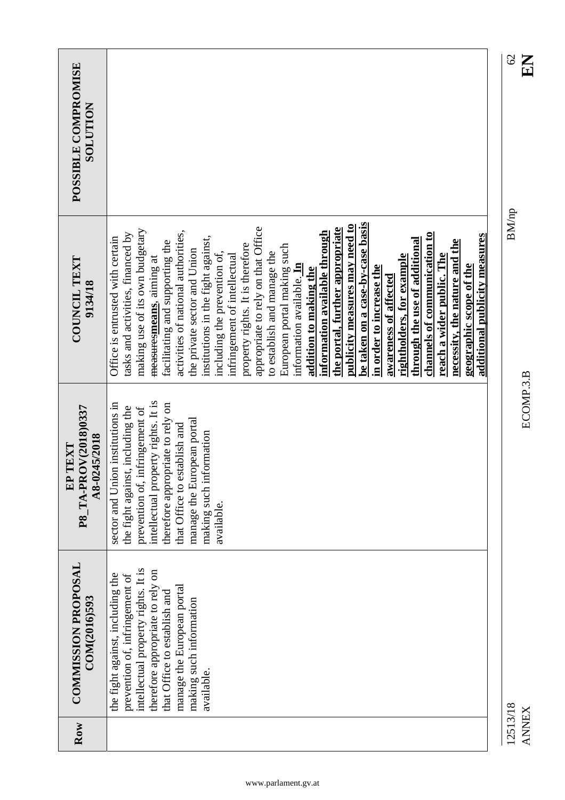| Row      | <b>COMMISSION PROPOSAL</b><br>COM(2016)593                                                                                                                                                                                                           | P8 TA-PROV(2018)0337<br>A8-0245/2018<br>EP TEXT                                                                                                                                                                                                                                          | COUNCIL TEXT<br>9134/18                                                                                                                                                                                                                                                                                                                                                                                                                                                                                                                                                                                                                                                                                                                                                                                                                                                                                                                                                    | POSSIBLE COMPROMISE<br><b>SOLUTION</b> |
|----------|------------------------------------------------------------------------------------------------------------------------------------------------------------------------------------------------------------------------------------------------------|------------------------------------------------------------------------------------------------------------------------------------------------------------------------------------------------------------------------------------------------------------------------------------------|----------------------------------------------------------------------------------------------------------------------------------------------------------------------------------------------------------------------------------------------------------------------------------------------------------------------------------------------------------------------------------------------------------------------------------------------------------------------------------------------------------------------------------------------------------------------------------------------------------------------------------------------------------------------------------------------------------------------------------------------------------------------------------------------------------------------------------------------------------------------------------------------------------------------------------------------------------------------------|----------------------------------------|
|          | intellectual property rights. It is<br>therefore appropriate to rely on<br>the fight against, including the<br>prevention of, infringement of<br>manage the European portal<br>that Office to establish and<br>making such information<br>available. | intellectual property rights. It is<br>sector and Union institutions in<br>therefore appropriate to rely on<br>the fight against, including the<br>prevention of, infringement of<br>manage the European portal<br>that Office to establish and<br>making such information<br>available. | be taken on a case-by-case basis<br>publicity measures may need to<br>appropriate to rely on that Office<br>the portal, further appropriate<br>making use of its own budgetary<br>activities of national authorities,<br>information available through<br>channels of communication to<br>tasks and activities, financed by<br>additional publicity measures<br>Office is entrusted with certain<br>institutions in the fight against,<br>through the use of additional<br>necessity, the nature and the<br>facilitating and supporting the<br>property rights. It is therefore<br>European portal making such<br>the private sector and Union<br>to establish and manage the<br>including the prevention of,<br>infringement of intellectual<br>rightholders, for example<br>reach a wider public. The<br>measuresmeans, aiming at<br>information available. In<br>geographic scope of the<br>in order to increase the<br>addition to making the<br>awareness of affected |                                        |
| 12513/18 |                                                                                                                                                                                                                                                      |                                                                                                                                                                                                                                                                                          | <b>BM/np</b>                                                                                                                                                                                                                                                                                                                                                                                                                                                                                                                                                                                                                                                                                                                                                                                                                                                                                                                                                               | $\mathcal{O}$                          |

## ANNEX ECOMP.3.B **EN** 12513/18<br>ANNEX

12513/18 BM/np

ECOMP.3.B

 $\frac{62}{E}$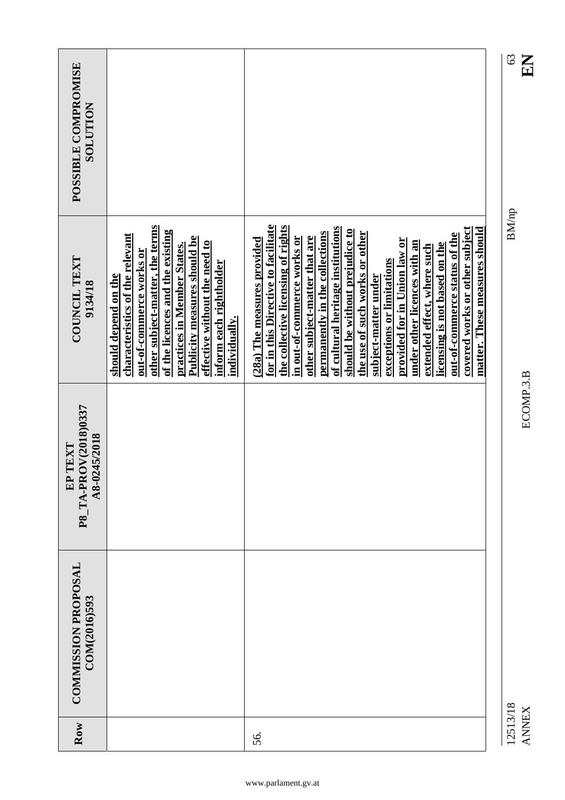|                                                         |                                                                                                                                                                                                                                                                                                               |                                                                                                                                                                                                                                                                                                                                                                                                                                                                                                                                                                                                              | 63           | KE           |
|---------------------------------------------------------|---------------------------------------------------------------------------------------------------------------------------------------------------------------------------------------------------------------------------------------------------------------------------------------------------------------|--------------------------------------------------------------------------------------------------------------------------------------------------------------------------------------------------------------------------------------------------------------------------------------------------------------------------------------------------------------------------------------------------------------------------------------------------------------------------------------------------------------------------------------------------------------------------------------------------------------|--------------|--------------|
| POSSIBLE COMPROMISE<br><b>NOLLTIDR</b>                  |                                                                                                                                                                                                                                                                                                               |                                                                                                                                                                                                                                                                                                                                                                                                                                                                                                                                                                                                              |              |              |
| <b>COUNCIL TEXT</b><br>9134/18                          | other subject-matter, the terms<br>of the licences and the existing<br>characteristics of the relevant<br><b>Publicity measures should be</b><br>effective without the need to<br>practices in Member States.<br>out-of-commerce works or<br>inform each rightholder<br>should depend on the<br>individually. | for in this Directive to facilitate<br>the collective licensing of rights<br>of cultural heritage institutions<br>covered works or other subject<br>matter. These measures should<br>should be without prejudice to<br>the use of such works or other<br>permanently in the collections<br>out-of-commerce status of the<br>other subject-matter that are<br>in out-of-commerce works or<br>(28a) The measures provided<br>provided for in Union law or<br>under other licences with an<br>licensing is not based on the<br>extended effect, where such<br>exceptions or limitations<br>subject-matter under | <b>BM/np</b> |              |
| <b>EP TEXT<br/>P8_TA-PROV(2018)0337</b><br>A8-0245/2018 |                                                                                                                                                                                                                                                                                                               |                                                                                                                                                                                                                                                                                                                                                                                                                                                                                                                                                                                                              |              | ECOMP.3.B    |
| <b>COMMISSION PROPOSAL</b><br>COM(2016)593              |                                                                                                                                                                                                                                                                                                               |                                                                                                                                                                                                                                                                                                                                                                                                                                                                                                                                                                                                              |              |              |
| Row                                                     |                                                                                                                                                                                                                                                                                                               | 56.                                                                                                                                                                                                                                                                                                                                                                                                                                                                                                                                                                                                          | 12513/18     | <b>ANNEX</b> |

S<br>EN<br>S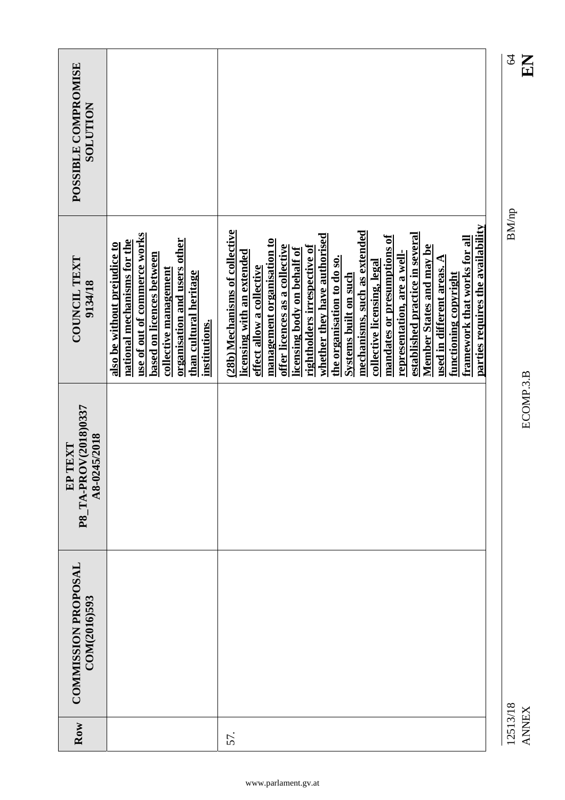|                                                                             |                                                                                                                                                                                                                              |                                                                                                                                                                                                                                                                                                                                                                                                                                                                                                                                                                                                                                                               | $\mathcal{Q}$<br>$\mathbf{E}$ |
|-----------------------------------------------------------------------------|------------------------------------------------------------------------------------------------------------------------------------------------------------------------------------------------------------------------------|---------------------------------------------------------------------------------------------------------------------------------------------------------------------------------------------------------------------------------------------------------------------------------------------------------------------------------------------------------------------------------------------------------------------------------------------------------------------------------------------------------------------------------------------------------------------------------------------------------------------------------------------------------------|-------------------------------|
| POSSIBLE COMPROMISE<br><b>NOLLTIDR</b>                                      |                                                                                                                                                                                                                              |                                                                                                                                                                                                                                                                                                                                                                                                                                                                                                                                                                                                                                                               |                               |
|                                                                             |                                                                                                                                                                                                                              |                                                                                                                                                                                                                                                                                                                                                                                                                                                                                                                                                                                                                                                               | <b>BM/np</b>                  |
| COUNCIL TEXT<br>9134/18                                                     | use of out of commerce works<br>organisation and users other<br>national mechanisms for the<br>also be without prejudice to<br>based on licences between<br>collective management<br>than cultural heritage<br>institutions. | parties requires the availability<br>(28b) Mechanisms of collective<br>mechanisms, such as extended<br>established practice in several<br>whether they have authorised<br>mandates or presumptions of<br>framework that works for all<br>management organisation to<br>offer licences as a collective<br><b>Member States and may be</b><br>rightholders irrespective of<br>licensing body on behalf of<br>licensing with an extended<br>representation, are a well-<br>the organisation to do so.<br>$\mathcal{L}$<br>collective licensing, legal<br>effect allow a collective<br>used in different areas.<br>Systems built on such<br>functioning copyright |                               |
| <b>DV(2018)0337</b><br>A8-0245/2018<br>TEXT<br>EP <sub>1</sub><br>P8_TA-PRC |                                                                                                                                                                                                                              |                                                                                                                                                                                                                                                                                                                                                                                                                                                                                                                                                                                                                                                               | ECOMP.3.B                     |
| <b>COMMISSION PROPOSAL</b><br>COM(2016)593                                  |                                                                                                                                                                                                                              |                                                                                                                                                                                                                                                                                                                                                                                                                                                                                                                                                                                                                                                               |                               |
| Row                                                                         |                                                                                                                                                                                                                              | 57.                                                                                                                                                                                                                                                                                                                                                                                                                                                                                                                                                                                                                                                           | 12513/18<br><b>ANNEX</b>      |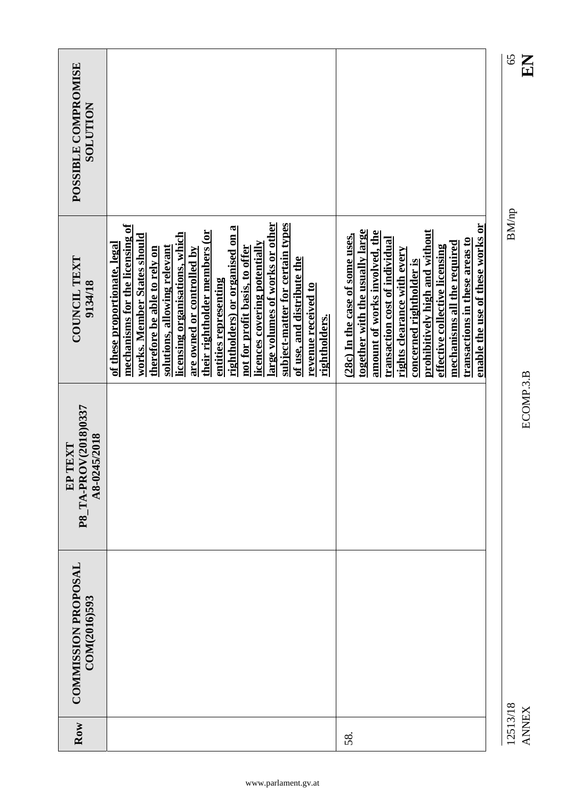|                                                                         |                                                                                                                                                                                                                                                                                                                                                                                                                                                                                                                                              |                                                                                                                                                                                                                                                                                                                                                                           | 65<br>$\mathbf{E}$       |
|-------------------------------------------------------------------------|----------------------------------------------------------------------------------------------------------------------------------------------------------------------------------------------------------------------------------------------------------------------------------------------------------------------------------------------------------------------------------------------------------------------------------------------------------------------------------------------------------------------------------------------|---------------------------------------------------------------------------------------------------------------------------------------------------------------------------------------------------------------------------------------------------------------------------------------------------------------------------------------------------------------------------|--------------------------|
| POSSIBLE COMPROMISE<br><b>NOLLTIDR</b>                                  |                                                                                                                                                                                                                                                                                                                                                                                                                                                                                                                                              |                                                                                                                                                                                                                                                                                                                                                                           |                          |
|                                                                         |                                                                                                                                                                                                                                                                                                                                                                                                                                                                                                                                              |                                                                                                                                                                                                                                                                                                                                                                           |                          |
| COUNCIL TEXT<br>9134/18                                                 | large volumes of works or other<br>subject-matter for certain types<br>mechanisms for the licensing of<br>rightholders) or organised on a<br>their rightholder members (or<br>licensing organisations, which<br>works. Member States should<br>licences covering potentially<br>of these proportionate, legal<br>solutions, allowing relevant<br>not for profit basis, to offer<br>are owned or controlled by<br>therefore be able to rely on<br>of use, and distribute the<br>entities representing<br>revenue received to<br>rightholders. | enable the use of these works or<br>together with the usually large<br>prohibitively high and without<br>amount of works involved, the<br>(28c) In the case of some uses,<br>transaction cost of individual<br>transactions in these areas to<br>mechanisms all the required<br>effective collective licensing<br>rights clearance with every<br>concerned rightholder is | <b>BM/np</b>             |
| P8_TA-PROV(2018)0337<br>A8-0245/2018<br>TEXT<br>$\mathbf{E} \mathbf{P}$ |                                                                                                                                                                                                                                                                                                                                                                                                                                                                                                                                              |                                                                                                                                                                                                                                                                                                                                                                           | ECOMP.3.B                |
| <b>COMMISSION PROPOSAL</b><br>COM(2016)593                              |                                                                                                                                                                                                                                                                                                                                                                                                                                                                                                                                              |                                                                                                                                                                                                                                                                                                                                                                           |                          |
| Row                                                                     |                                                                                                                                                                                                                                                                                                                                                                                                                                                                                                                                              | 58.                                                                                                                                                                                                                                                                                                                                                                       | 12513/18<br><b>ANNEX</b> |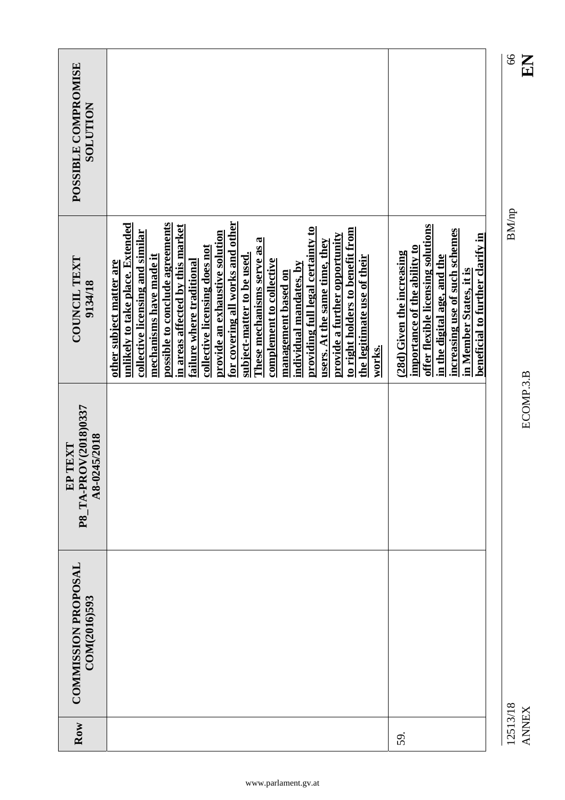| POSSIBLE COMPROMISE<br>NOLLLIN                                   |                                                                                                                                                                                                                                                                                                                                                                                                                                                                                                                                                                                                                                                                       |                                                                                                                                                                                                                                         |
|------------------------------------------------------------------|-----------------------------------------------------------------------------------------------------------------------------------------------------------------------------------------------------------------------------------------------------------------------------------------------------------------------------------------------------------------------------------------------------------------------------------------------------------------------------------------------------------------------------------------------------------------------------------------------------------------------------------------------------------------------|-----------------------------------------------------------------------------------------------------------------------------------------------------------------------------------------------------------------------------------------|
| COUNCIL TEXT<br>9134/18                                          | for covering all works and other<br>possible to conclude agreements<br>unlikely to take place. Extended<br>in areas affected by this market<br>providing full legal certainty to<br>to right holders to benefit from<br>collective licensing and similar<br>provide an exhaustive solution<br>provide a further opportunity<br>These mechanisms serve as a<br>users. At the same time, they<br>collective licensing does not<br>subject-matter to be used.<br>mechanisms have made it<br>the legitimate use of their<br>complement to collective<br>failure where traditional<br>other subject matter are<br>individual mandates, by<br>management based on<br>works. | <u>offer flexible licensing solutions</u><br>increasing use of such schemes<br>beneficial to further clarify in<br>importance of the ability to<br>(28d) Given the increasing<br>in the digital age, and the<br>in Member States, it is |
| <b>DV(2018)0337</b><br>A8-0245/2018<br>TEXT<br>P8_TA-PR<br>$E$ P |                                                                                                                                                                                                                                                                                                                                                                                                                                                                                                                                                                                                                                                                       |                                                                                                                                                                                                                                         |
| <b>COMMISSION PROPOSAL</b><br>COM(2016)593                       |                                                                                                                                                                                                                                                                                                                                                                                                                                                                                                                                                                                                                                                                       |                                                                                                                                                                                                                                         |
| Row                                                              |                                                                                                                                                                                                                                                                                                                                                                                                                                                                                                                                                                                                                                                                       | 59.                                                                                                                                                                                                                                     |

12513/18 BM/np ANNEX ECOMP.3.B **EN** 12513/18<br>ANNEX

ECOMP.3.B

 $rac{66}{E}$ 

 $\rm BM/np$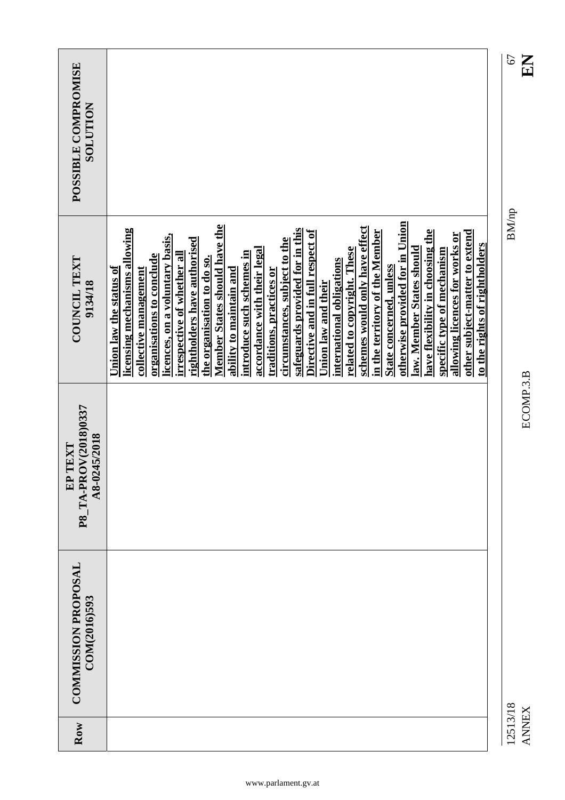| POSSIBLE COMPROMISE<br><b>NOLLTIDR</b>          |                                                                                                                                                                                                                                                                                                                                                                                                                                                                                                                                                                                                                                                                                                                                                                                                                                                                                                                                                   |  |
|-------------------------------------------------|---------------------------------------------------------------------------------------------------------------------------------------------------------------------------------------------------------------------------------------------------------------------------------------------------------------------------------------------------------------------------------------------------------------------------------------------------------------------------------------------------------------------------------------------------------------------------------------------------------------------------------------------------------------------------------------------------------------------------------------------------------------------------------------------------------------------------------------------------------------------------------------------------------------------------------------------------|--|
| <b>COUNCIL TEXT</b><br>9134/18                  | otherwise provided for in Union<br>Member States should have the<br>schemes would only have effect<br>safeguards provided for in this<br>licensing mechanisms allowing<br>Directive and in full respect of<br>in the territory of the Member<br>have flexibility in choosing the<br>other subject-matter to extend<br>allowing licences for works or<br>licences, on a voluntary basis,<br>rightholders have authorised<br>circumstances, subject to the<br>to the rights of rightholders<br>accordance with their legal<br>law. Member States should<br>related to copyright. These<br>specific type of mechanism<br>introduce such schemes in<br>irrespective of whether all<br>organisations to conclude<br>the organisation to do so.<br>international obligations<br><b>State concerned, unless</b><br>Union law the status of<br>ability to maintain and<br>traditions, practices or<br>collective management<br><b>Jnion law and their</b> |  |
| EP TEXT<br>P8_TA-PROV(2018)0337<br>A8-0245/2018 |                                                                                                                                                                                                                                                                                                                                                                                                                                                                                                                                                                                                                                                                                                                                                                                                                                                                                                                                                   |  |
| <b>COMMISSION PROPOSAL</b><br>COM(2016)593      |                                                                                                                                                                                                                                                                                                                                                                                                                                                                                                                                                                                                                                                                                                                                                                                                                                                                                                                                                   |  |
| Row                                             |                                                                                                                                                                                                                                                                                                                                                                                                                                                                                                                                                                                                                                                                                                                                                                                                                                                                                                                                                   |  |

12513/18 BM/np 12513/18<br>ANNEX

## ANNEX ECOMP.3.B **EN**

ECOMP.3.B

 $\rm BM/np$ 

 $\frac{67}{10}$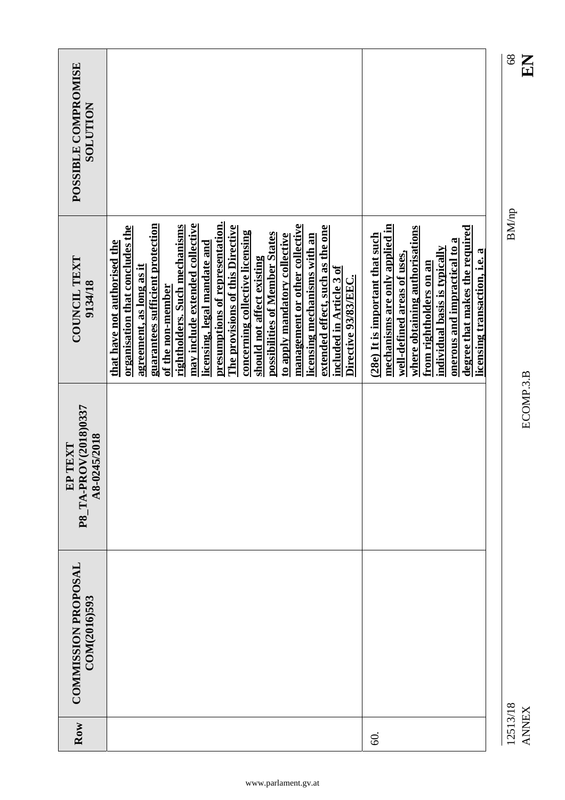| POSSIBLE COMPROMISE<br>NOLLLIN                                   |                                                                                                                                                                                                                                                                                                                                                                                                                                                                                                                                                                                                                                      |                                                                                                                                                                                                                                                                                                          |
|------------------------------------------------------------------|--------------------------------------------------------------------------------------------------------------------------------------------------------------------------------------------------------------------------------------------------------------------------------------------------------------------------------------------------------------------------------------------------------------------------------------------------------------------------------------------------------------------------------------------------------------------------------------------------------------------------------------|----------------------------------------------------------------------------------------------------------------------------------------------------------------------------------------------------------------------------------------------------------------------------------------------------------|
| COUNCIL TEXT<br>9134/18                                          | presumptions of representation.<br>guarantees sufficient protection<br>may include extended collective<br>management or other collective<br>The provisions of this Directive<br>organisation that concludes the<br>rightholders. Such mechanisms<br>extended effect, such as the one<br>concerning collective licensing<br>possibilities of Member States<br>to apply mandatory collective<br>licensing mechanisms with an<br>that have not authorised the<br>licensing, legal mandate and<br>should not affect existing<br><u>agreement, as long as it</u><br>included in Article 3 of<br>Directive 93/83/EEC.<br>of the non-member | mechanisms are only applied in<br>where obtaining authorisations<br>degree that makes the required<br>(28e) It is important that such<br>onerous and impractical to a<br>individual basis is typically<br>licensing transaction, i.e. a<br>well-defined areas of uses,<br><u>from rightholders on an</u> |
| <b>DV(2018)0337</b><br>A8-0245/2018<br>TEXT<br>P8_TA-PR<br>$E$ P |                                                                                                                                                                                                                                                                                                                                                                                                                                                                                                                                                                                                                                      |                                                                                                                                                                                                                                                                                                          |
| <b>COMMISSION PROPOSAL</b><br>COM(2016)593                       |                                                                                                                                                                                                                                                                                                                                                                                                                                                                                                                                                                                                                                      |                                                                                                                                                                                                                                                                                                          |
| Row                                                              |                                                                                                                                                                                                                                                                                                                                                                                                                                                                                                                                                                                                                                      | ල.                                                                                                                                                                                                                                                                                                       |

 $\frac{8}{2}$ 

 $\rm BM/np$ 

www.parlament.gv.at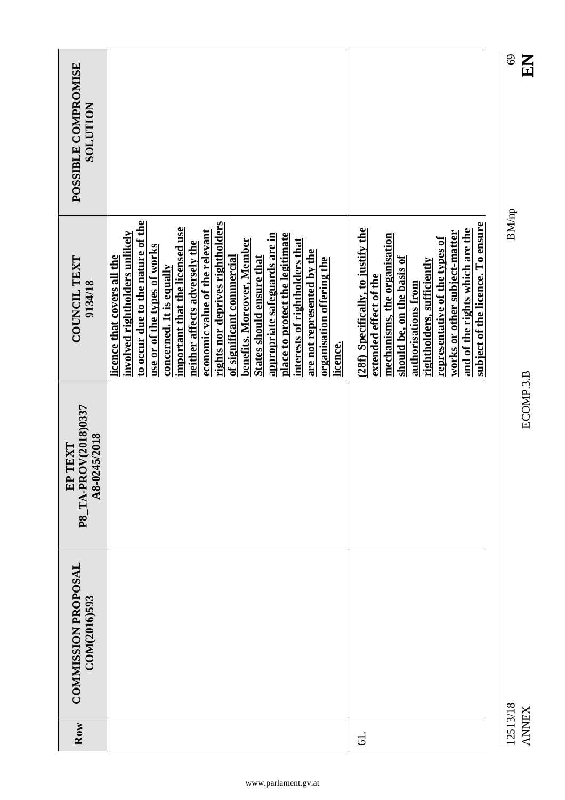|                                                                        |                                                                                                                                                                                                                                                                                                                                                                                                                                                                                                                                                                                      |                                                                                                                                                                                                                                                                                                                            | 69<br>$\mathbf{E}$       |
|------------------------------------------------------------------------|--------------------------------------------------------------------------------------------------------------------------------------------------------------------------------------------------------------------------------------------------------------------------------------------------------------------------------------------------------------------------------------------------------------------------------------------------------------------------------------------------------------------------------------------------------------------------------------|----------------------------------------------------------------------------------------------------------------------------------------------------------------------------------------------------------------------------------------------------------------------------------------------------------------------------|--------------------------|
| POSSIBLE COMPROMISE<br><b>NOLLTIDR</b>                                 |                                                                                                                                                                                                                                                                                                                                                                                                                                                                                                                                                                                      |                                                                                                                                                                                                                                                                                                                            |                          |
| COUNCIL TEXT<br>9134/18                                                | to occur due to the nature of the<br>rights nor deprives rightholders<br>important that the licensed use<br>economic value of the relevant<br>involved rightholders unlikely<br>appropriate safeguards are in<br>place to protect the legitimate<br>interests of rightholders that<br>benefits. Moreover, Member<br>neither affects adversely the<br>use or of the types of works<br>are not represented by the<br><b>States should ensure that</b><br>of significant commercial<br>licence that covers all the<br>organisation offering the<br>concerned. It is equally<br>licence. | subject of the licence. To ensure<br>(28f) Specifically, to justify the<br>and of the rights which are the<br>works or other subject-matter<br>mechanisms, the organisation<br>representative of the types of<br>should be, on the basis of<br>rightholders, sufficiently<br>extended effect of the<br>authorisations from | <b>BM/np</b>             |
| P8_TA-PROV(2018)0337<br>A8-0245/2018<br>TEXT<br>$\mathbf{E}\mathbf{P}$ |                                                                                                                                                                                                                                                                                                                                                                                                                                                                                                                                                                                      |                                                                                                                                                                                                                                                                                                                            | ECOMP.3.B                |
| <b>COMMISSION PROPOSAL</b><br>COM(2016)593                             |                                                                                                                                                                                                                                                                                                                                                                                                                                                                                                                                                                                      |                                                                                                                                                                                                                                                                                                                            |                          |
| Row                                                                    |                                                                                                                                                                                                                                                                                                                                                                                                                                                                                                                                                                                      | $\overline{d}$ .                                                                                                                                                                                                                                                                                                           | 12513/18<br><b>ANNEX</b> |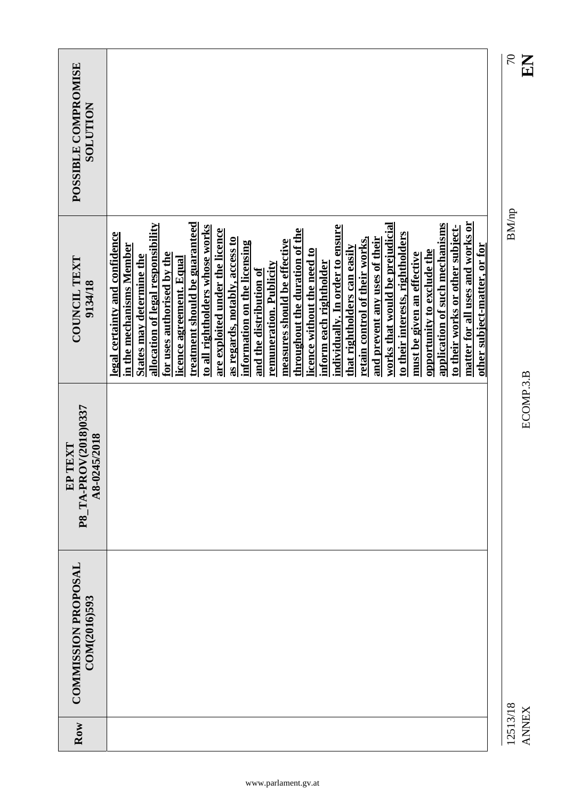| Row      | <b>COMMISSION PROPOSAL</b><br>COM(2016)593 | <b>EP TEXT<br/>P8_TA-PROV(2018)0337</b><br>A8-0245/2018<br>TEXT | COUNCIL TEXT<br>9134/18                                                                                                                                                                                                                                                                                                                                                                                                                                                                                                                                                                                                                                                                                                                                                                                                                                                                                                                                                | POSSIBLE COMPROMISE<br><b>SOLUTION</b> |
|----------|--------------------------------------------|-----------------------------------------------------------------|------------------------------------------------------------------------------------------------------------------------------------------------------------------------------------------------------------------------------------------------------------------------------------------------------------------------------------------------------------------------------------------------------------------------------------------------------------------------------------------------------------------------------------------------------------------------------------------------------------------------------------------------------------------------------------------------------------------------------------------------------------------------------------------------------------------------------------------------------------------------------------------------------------------------------------------------------------------------|----------------------------------------|
|          |                                            |                                                                 | matter for all uses and works or<br>treatment should be guaranteed<br>works that would be prejudicial<br>application of such mechanisms<br>allocation of legal responsibility<br>to all rightholders whose works<br>individually. In order to ensure<br>to their works or other subject-<br>are exploited under the licence<br>throughout the duration of the<br>to their interests, rightholders<br>legal certainty and confidence<br>as regards, notably, access to<br>retain control of their works,<br>and prevent any uses of their<br>measures should be effective<br>information on the licensing<br>other subject-matter, or for<br>in the mechanisms Member<br>that rightholders can easily<br>licence without the need to<br>opportunity to exclude the<br>for uses authorised by the<br>must be given an effective<br>States may determine the<br>licence agreement. Equal<br>inform each rightholder<br>remuneration. Publicity<br>and the distribution of |                                        |
| 12513/18 |                                            |                                                                 | <b>BM/np</b>                                                                                                                                                                                                                                                                                                                                                                                                                                                                                                                                                                                                                                                                                                                                                                                                                                                                                                                                                           | $\sqrt{2}$                             |

 $\sum_{0\angle}$ 

12513/18 BM/np 70 12513/18<br>ANNEX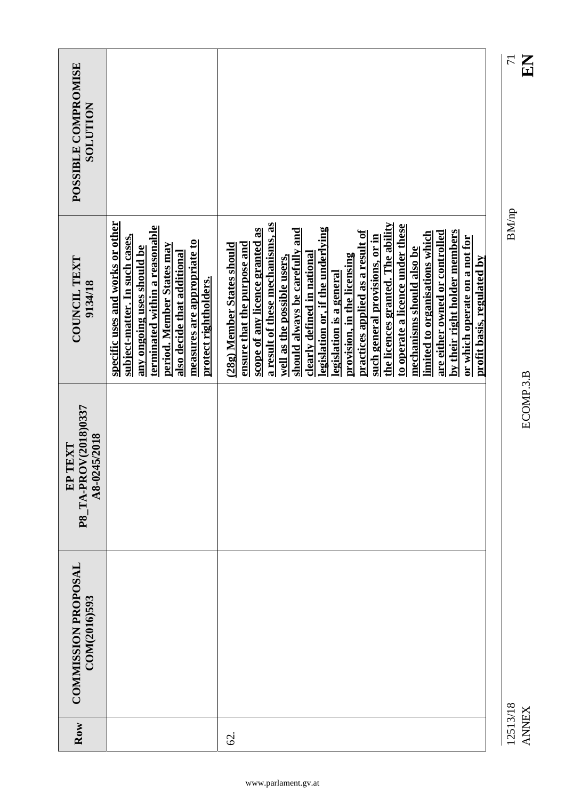|                                                         |                                                                                                                                                                                                                                                        |                                                                                                                                                                                                                                                                                                                                                                                                                                                                                                                                                                                                                                                                                  | $\mathbf{K}$<br>$\overline{7}$ |
|---------------------------------------------------------|--------------------------------------------------------------------------------------------------------------------------------------------------------------------------------------------------------------------------------------------------------|----------------------------------------------------------------------------------------------------------------------------------------------------------------------------------------------------------------------------------------------------------------------------------------------------------------------------------------------------------------------------------------------------------------------------------------------------------------------------------------------------------------------------------------------------------------------------------------------------------------------------------------------------------------------------------|--------------------------------|
| POSSIBLE COMPROMISE<br><b>SOLUTION</b>                  |                                                                                                                                                                                                                                                        |                                                                                                                                                                                                                                                                                                                                                                                                                                                                                                                                                                                                                                                                                  |                                |
| <b>COUNCIL TEXT</b><br>9134/18                          | specific uses and works or other<br>terminated within a reasonable<br>subject-matter. In such cases,<br>measures are appropriate to<br>period. Member States may<br>any ongoing uses should be<br>also decide that additional<br>protect rightholders. | a result of these mechanisms, as<br>the licences granted. The ability<br>to operate a licence under these<br>legislation or, if the underlying<br>should always be carefully and<br>scope of any licence granted as<br>practices applied as a result of<br>by their right holder members<br>are either owned or controlled<br>limited to organisations which<br>such general provisions, or in<br>or which operate on a not for<br>ensure that the purpose and<br>(28g) Member States should<br>mechanisms should also be<br>clearly defined in national<br>provision, in the licensing<br>well as the possible users,<br>profit basis, regulated by<br>legislation is a general | BM/np                          |
| <b>EP TEXT<br/>P8_TA-PROV(2018)0337</b><br>A8-0245/2018 |                                                                                                                                                                                                                                                        |                                                                                                                                                                                                                                                                                                                                                                                                                                                                                                                                                                                                                                                                                  | ECOMP.3.B                      |
| <b>COMMISSION PROPOSAL</b><br>COM(2016)593              |                                                                                                                                                                                                                                                        |                                                                                                                                                                                                                                                                                                                                                                                                                                                                                                                                                                                                                                                                                  |                                |
| Row                                                     |                                                                                                                                                                                                                                                        | S.                                                                                                                                                                                                                                                                                                                                                                                                                                                                                                                                                                                                                                                                               | 12513/18<br><b>ANNEX</b>       |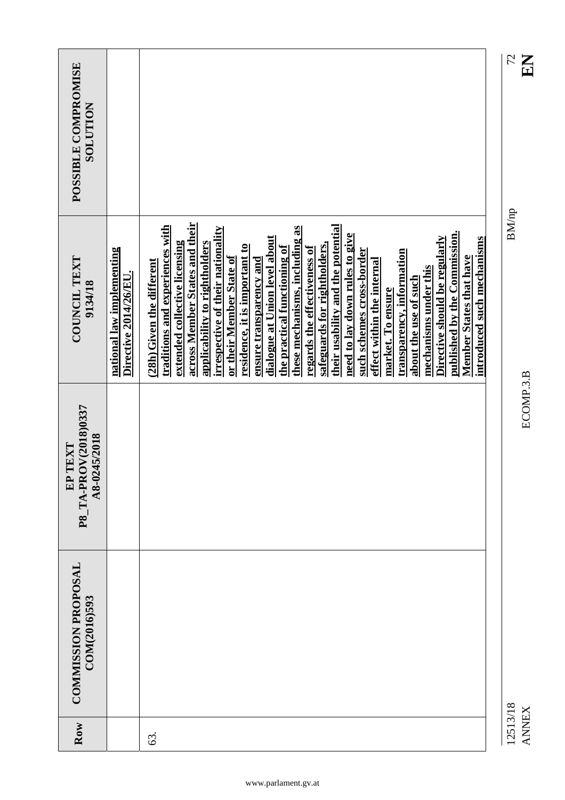| POSSIBLE COMPROMISE<br><b>NOLLTIDR</b>                  |                                                    |                                                                                                                                                                                                                                                                                                                                                                                                                                                                                                                                                                                                                                                                                                                                                                                                                                         |
|---------------------------------------------------------|----------------------------------------------------|-----------------------------------------------------------------------------------------------------------------------------------------------------------------------------------------------------------------------------------------------------------------------------------------------------------------------------------------------------------------------------------------------------------------------------------------------------------------------------------------------------------------------------------------------------------------------------------------------------------------------------------------------------------------------------------------------------------------------------------------------------------------------------------------------------------------------------------------|
| COUNCIL TEXT<br>9134/18                                 | national law implementing<br>Directive 2014/26/EU. | across Member States and their<br>their usability and the potential<br>traditions and experiences with<br>these mechanisms, including as<br>irrespective of their nationality<br>published by the Commission.<br>need to lay down rules to give<br>dialogue at Union level about<br>introduced such mechanisms<br>Directive should be regularly<br>extended collective licensing<br>applicability to rightholders<br><u>safeguards for rightholders,</u><br>residence, it is important to<br>the practical functioning of<br>regards the effectiveness of<br>such schemes cross-border<br>transparency, information<br>Member States that have<br>or their Member State of<br>ensure transparency and<br>effect within the internal<br>(28h) Given the different<br>mechanisms under this<br>about the use of such<br>market. To ensure |
| <b>EP TEXT<br/>P8_TA-PROV(2018)0337</b><br>A8-0245/2018 |                                                    |                                                                                                                                                                                                                                                                                                                                                                                                                                                                                                                                                                                                                                                                                                                                                                                                                                         |
| <b>COMMISSION PROPOSAL</b><br>COM(2016)593              |                                                    |                                                                                                                                                                                                                                                                                                                                                                                                                                                                                                                                                                                                                                                                                                                                                                                                                                         |
| Row                                                     |                                                    | 63.                                                                                                                                                                                                                                                                                                                                                                                                                                                                                                                                                                                                                                                                                                                                                                                                                                     |

12513/18<br>ANNEX

www.parlament.gv.at

## ANNEX ECOMP.3.B **EN** ECOMP.3.B

## 12513/18 BM/np  $\rm BM/np$

 $\frac{72}{11}$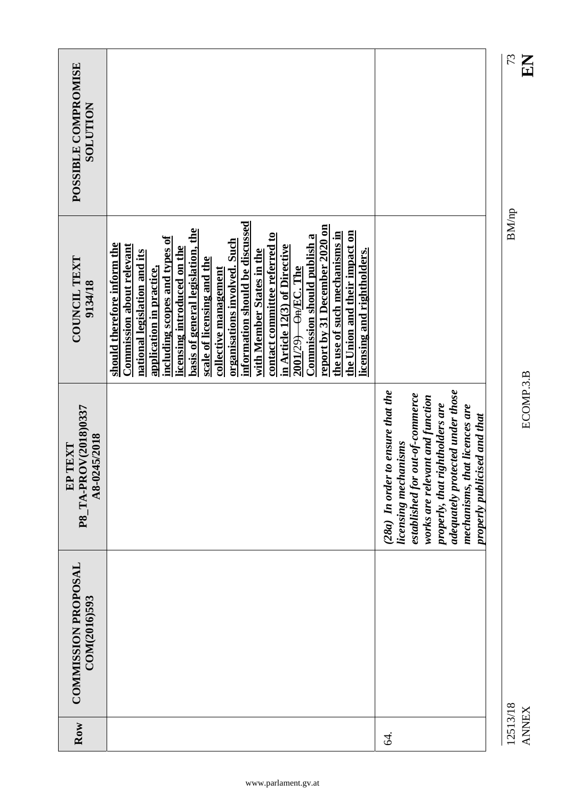|                                                       |                                                                                                                                                                                                                                                                                                                                                                                                                                                                                                                                                                                                                                                            |                                                                                                                                                                                                                                                                              | 73<br>KN                 |
|-------------------------------------------------------|------------------------------------------------------------------------------------------------------------------------------------------------------------------------------------------------------------------------------------------------------------------------------------------------------------------------------------------------------------------------------------------------------------------------------------------------------------------------------------------------------------------------------------------------------------------------------------------------------------------------------------------------------------|------------------------------------------------------------------------------------------------------------------------------------------------------------------------------------------------------------------------------------------------------------------------------|--------------------------|
| POSSIBLE COMPROMISE<br>NOLULON                        |                                                                                                                                                                                                                                                                                                                                                                                                                                                                                                                                                                                                                                                            |                                                                                                                                                                                                                                                                              |                          |
| COUNCIL TEXT<br>9134/18                               | information should be discussed<br>report by 31 December 2020 on<br>basis of general legislation, the<br>the Union and their impact on<br>contact committee referred to<br>the use of such mechanisms in<br>Commission should publish a<br>including scopes and types of<br>organisations involved. Such<br>should therefore inform the<br><b>Commission about relevant</b><br>in Article 12(3) of Directive<br>licensing introduced on the<br>licensing and rightholders.<br>with Member States in the<br>national legislation and its<br>scale of licensing and the<br>application in practice,<br>collective management<br>$2001/29 + \text{OnEC.}$ The |                                                                                                                                                                                                                                                                              | <b>BM/np</b>             |
| P8 TA-PROV(2018)0337<br>A8-0245/2018<br>TEXT<br>$E$ P |                                                                                                                                                                                                                                                                                                                                                                                                                                                                                                                                                                                                                                                            | adequately protected under those<br>to ensure that the<br>established for out-of-commerce<br>works are relevant and function<br>properly, that rightholders are<br>mechanisms, that licences are<br>properly publicised and that<br>licensing mechanisms<br>$(28a)$ In order | ECOMP.3.B                |
| <b>COMMISSION PROPOSAL</b><br>COM(2016)593            |                                                                                                                                                                                                                                                                                                                                                                                                                                                                                                                                                                                                                                                            |                                                                                                                                                                                                                                                                              |                          |
| Row                                                   |                                                                                                                                                                                                                                                                                                                                                                                                                                                                                                                                                                                                                                                            | б4.                                                                                                                                                                                                                                                                          | 12513/18<br><b>ANNEX</b> |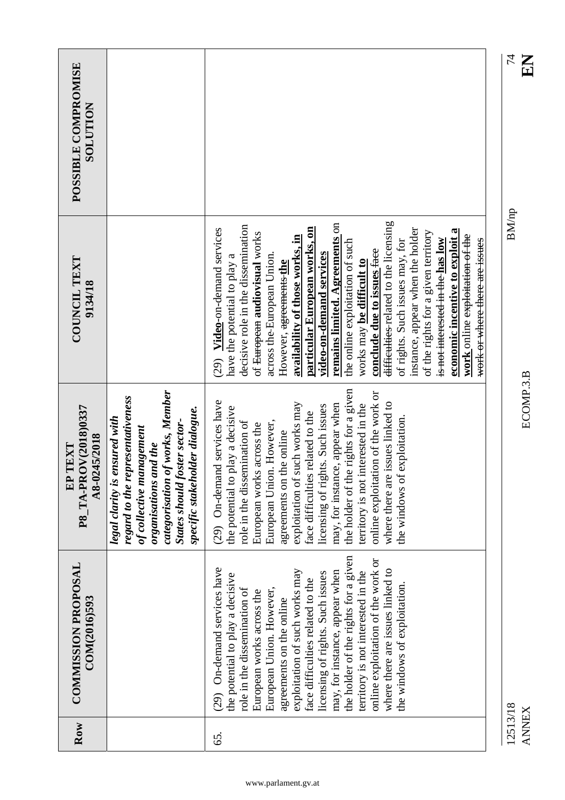| Row                      | <b>COMMISSION PROPOSAL</b><br>COM(2016)593                                                                                                                                                                                                                                                                                                                                                                                                                                                                               | P8 TA-PROV(2018)0337<br>A8-0245/2018<br>TEXT<br>EP                                                                                                                                                                                                                                                                                                                                                                                                                                                                          | COUNCIL TEXT<br>9134/18                                                                                                                                                                                                                                                                                                                                                                                                                                                                                                                                                                                                                                                                                                                     | POSSIBLE COMPROMISE<br><b>NOLLUTION</b> |
|--------------------------|--------------------------------------------------------------------------------------------------------------------------------------------------------------------------------------------------------------------------------------------------------------------------------------------------------------------------------------------------------------------------------------------------------------------------------------------------------------------------------------------------------------------------|-----------------------------------------------------------------------------------------------------------------------------------------------------------------------------------------------------------------------------------------------------------------------------------------------------------------------------------------------------------------------------------------------------------------------------------------------------------------------------------------------------------------------------|---------------------------------------------------------------------------------------------------------------------------------------------------------------------------------------------------------------------------------------------------------------------------------------------------------------------------------------------------------------------------------------------------------------------------------------------------------------------------------------------------------------------------------------------------------------------------------------------------------------------------------------------------------------------------------------------------------------------------------------------|-----------------------------------------|
|                          |                                                                                                                                                                                                                                                                                                                                                                                                                                                                                                                          | categorisation of works, Member<br>regard to the representativeness<br>specific stakeholder dialogue.<br>legal clarity is ensured with<br><b>States should foster sector-</b><br>of collective management<br>organisations and the                                                                                                                                                                                                                                                                                          |                                                                                                                                                                                                                                                                                                                                                                                                                                                                                                                                                                                                                                                                                                                                             |                                         |
| 65.                      | the holder of the rights for a given<br>online exploitation of the work or<br>(29) On-demand services have<br>where there are issues linked to<br>exploitation of such works may<br>may, for instance, appear when<br>territory is not interested in the<br>licensing of rights. Such issues<br>the potential to play a decisive<br>face difficulties related to the<br>the windows of exploitation<br>European Union. However,<br>role in the dissemination of<br>European works across the<br>agreements on the online | the holder of the rights for a given<br>online exploitation of the work or<br>(29) On-demand services have<br>exploitation of such works may<br>where there are issues linked to<br>may, for instance, appear when<br>territory is not interested in the<br>licensing of rights. Such issues<br>the potential to play a decisive<br>face difficulties related to the<br>exploitation<br>role in the dissemination of<br>European Union. However,<br>European works across the<br>agreements on the online<br>the windows of | difficulties-related to the licensing<br>remains limited. Agreements on<br>decisive role in the dissemination<br>particular European works, on<br>instance, appear when the holder<br>(29) Video-on-demand services<br>economic incentive to exploit a<br>of the rights for a given territory<br>of European audiovisual works<br>work online exploitation of the<br>availability of those works, in<br>is not interested in the has low<br>the online exploitation of such<br>of rights. Such issues may, for<br>work or where there are issues<br>conclude due to issues face<br>video-on-demand services<br>have the potential to play a<br>across the European Union<br>works may be difficult to<br>However, <del>agreements the</del> |                                         |
| 12513/18<br><b>ANNEX</b> |                                                                                                                                                                                                                                                                                                                                                                                                                                                                                                                          | ECOMP.3.B                                                                                                                                                                                                                                                                                                                                                                                                                                                                                                                   | <b>BM/np</b>                                                                                                                                                                                                                                                                                                                                                                                                                                                                                                                                                                                                                                                                                                                                | 74<br>EN                                |

NH<br>EH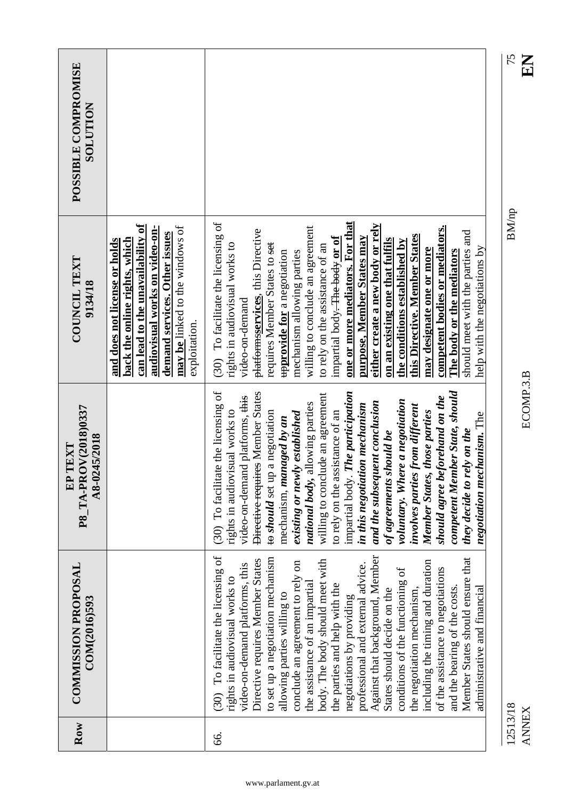|                                                    |                                                                                                                                                                                                                            |                                                                                                                                                                                                                                                                                                                                                                                                                                                                                                                                                                                                                                                                                                                                                   | 75<br>EN                 |
|----------------------------------------------------|----------------------------------------------------------------------------------------------------------------------------------------------------------------------------------------------------------------------------|---------------------------------------------------------------------------------------------------------------------------------------------------------------------------------------------------------------------------------------------------------------------------------------------------------------------------------------------------------------------------------------------------------------------------------------------------------------------------------------------------------------------------------------------------------------------------------------------------------------------------------------------------------------------------------------------------------------------------------------------------|--------------------------|
| POSSIBLE COMPROMISE<br><b>SOLUTION</b>             |                                                                                                                                                                                                                            |                                                                                                                                                                                                                                                                                                                                                                                                                                                                                                                                                                                                                                                                                                                                                   |                          |
| <b>COUNCIL TEXT</b><br>9134/18                     | can lead to the unavailability of<br>may be linked to the windows of<br>audiovisual works on video-on-<br>demand services. Other issues<br>back the online rights, which<br>and does not license or holds<br>exploitation. | one or more mediators. For that<br>To facilitate the licensing of<br>either create a new body or rely<br>willing to conclude an agreement<br>competent bodies or mediators.<br>platformsservices, this Directive<br>should meet with the parties and<br>this Directive. Member States<br>impartial body <del>. The body</del> or of<br>purpose, Member States may<br>on an existing one that fulfils<br>the conditions established by<br>rights in audiovisual works to<br>requires Member States to set<br>to rely on the assistance of an<br>help with the negotiations by<br>may designate one or more<br>The body or the mediators<br>mechanism allowing parties<br><b>upprovide for</b> a negotiation<br>video-on-demand<br>(30)             | <b>BM/np</b>             |
| P8 TA-PROV(2018)0337<br>A8-0245/2018<br>TEXT<br>EP |                                                                                                                                                                                                                            | (30) To facilitate the licensing of<br>competent Member State, should<br>Directive requires Member States<br>impartial body. The participation<br>willing to conclude an agreement<br>video-on-demand platforms, this<br>should agree beforehand on the<br>voluntary. Where a negotiation<br>and the subsequent conclusion<br>national body, allowing parties<br>in this negotiation mechanism<br>involves parties from different<br>rights in audiovisual works to<br>to rely on the assistance of an<br>a negotiation<br>those parties<br>existing or newly established<br>negotiation mechanism. The<br>mechanism, managed by an<br>they decide to rely on the<br>of agreements should be<br>to should set up<br><b>Member States,</b>         | ECOMP.3.B                |
| <b>COMMISSION PROPOSAL</b><br>COM(2016)593         |                                                                                                                                                                                                                            | To facilitate the licensing of<br>Against that background, Member<br>to set up a negotiation mechanism<br>Member States should ensure that<br>Directive requires Member States<br>body. The body should meet with<br>including the timing and duration<br>conclude an agreement to rely on<br>video-on-demand platforms, this<br>professional and external advice.<br>conditions of the functioning of<br>of the assistance to negotiations<br>rights in audiovisual works to<br>the assistance of an impartial<br>the parties and help with the<br>administrative and financial<br>and the bearing of the costs.<br>the negotiation mechanism,<br>States should decide on the<br>allowing parties willing to<br>negotiations by providing<br>30) |                          |
| Row                                                |                                                                                                                                                                                                                            | 66.                                                                                                                                                                                                                                                                                                                                                                                                                                                                                                                                                                                                                                                                                                                                               | 12513/18<br><b>ANNEX</b> |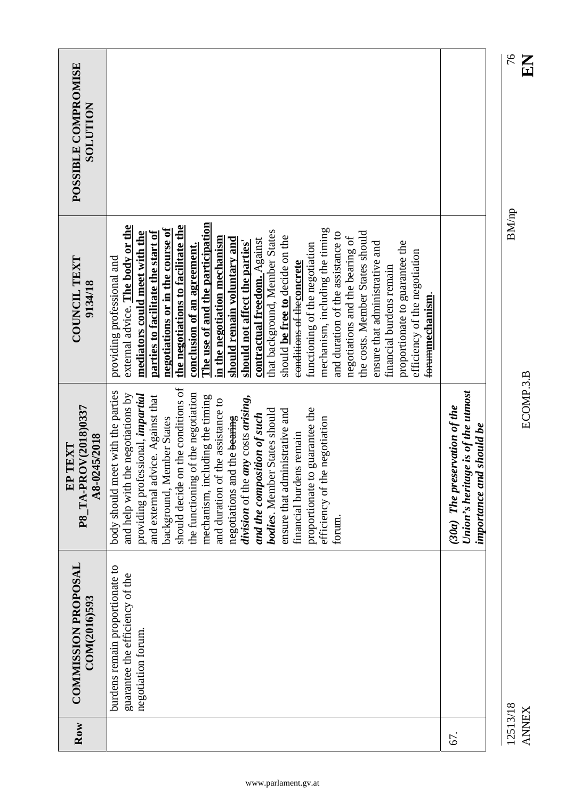| Row | <b>COMMISSION PROPOSAL</b><br>COM(2016)593                                               | P8_TA-PROV(2018)0337<br>A8-0245/2018<br>TEXT<br>EP                                                                                                                                                                                                                                                                                                                                                                                                                                                                                                                                                                                   | <b>COUNCIL TEXT</b><br>9134/18                                                                                                                                                                                                                                                                                                                                                                                                                                                                                                                                                                                                                                                                                                                                                                                                                                        | POSSIBLE COMPROMISE<br><b>NOLLUTION</b> |
|-----|------------------------------------------------------------------------------------------|--------------------------------------------------------------------------------------------------------------------------------------------------------------------------------------------------------------------------------------------------------------------------------------------------------------------------------------------------------------------------------------------------------------------------------------------------------------------------------------------------------------------------------------------------------------------------------------------------------------------------------------|-----------------------------------------------------------------------------------------------------------------------------------------------------------------------------------------------------------------------------------------------------------------------------------------------------------------------------------------------------------------------------------------------------------------------------------------------------------------------------------------------------------------------------------------------------------------------------------------------------------------------------------------------------------------------------------------------------------------------------------------------------------------------------------------------------------------------------------------------------------------------|-----------------------------------------|
|     | burdens remain proportionate to<br>guarantee the efficiency of the<br>negotiation forum. | should decide on the conditions of<br>body should meet with the parties<br>of the negotiation<br>providing professional, <i>impartial</i><br>and help with the negotiations by<br>mechanism, including the timing<br>and external advice. Against that<br>division of the any costs arising,<br>and duration of the assistance to<br>guarantee the<br><b>bodies.</b> Member States should<br>ensure that administrative and<br>and the composition of such<br>background, Member States<br>negotiations and the bearing<br>efficiency of the negotiation<br>financial burdens remain<br>proportionate to<br>the functioning<br>forum | The use of and the participation<br>external advice. The body or the<br>the negotiations to facilitate the<br>negotiations or in the course of<br>mechanism, including the timing<br>that background, Member States<br>mediators could meet with the<br>the costs. Member States should<br>parties to facilitate the start of<br>and duration of the assistance to<br>should be free to decide on the<br>in the negotiation mechanism<br>negotiations and the bearing of<br>should remain voluntary and<br>contractual freedom. Against<br>should not affect the parties'<br>proportionate to guarantee the<br>ensure that administrative and<br>functioning of the negotiation<br>conclusion of an agreement.<br>efficiency of the negotiation<br>providing professional and<br><del>conditions of the</del> concrete<br>financial burdens remain<br>forummechanism. |                                         |
| 67. |                                                                                          | Union's heritage is of the utmost<br>(30a) The preservation of the<br>should be<br>importance and                                                                                                                                                                                                                                                                                                                                                                                                                                                                                                                                    |                                                                                                                                                                                                                                                                                                                                                                                                                                                                                                                                                                                                                                                                                                                                                                                                                                                                       |                                         |

ANNEX ECOMP.3.B **EN**

ECOMP.3.B

 $\sum_{9\pm}$ 

12513/18 BM/np 76  $\rm BM/np$ 

12513/18<br>ANNEX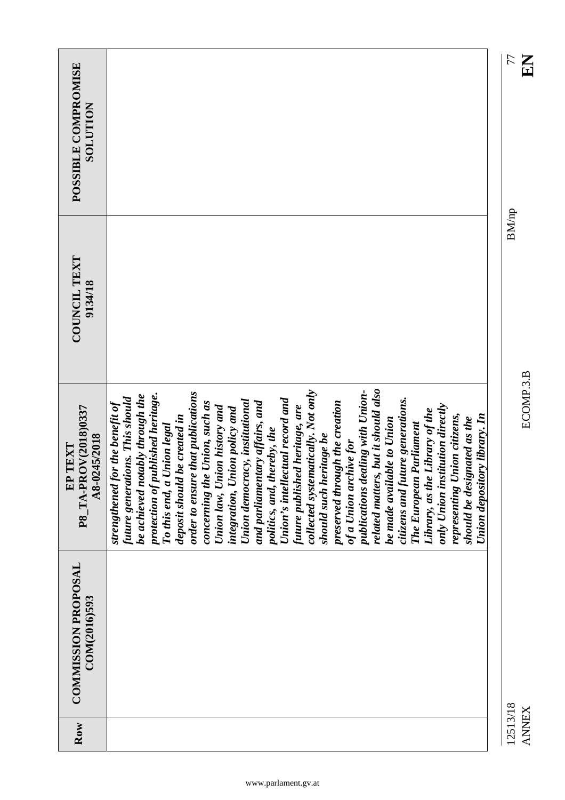| POSSIBLE COMPROMISE<br><b>NOLLTION</b>             |                                                                                                                                                                                                                                                                                                                                                                                                                                                                                                                                                                                                                                                                                                                                                                                                                                                                                                                                                                                                  | 77           |
|----------------------------------------------------|--------------------------------------------------------------------------------------------------------------------------------------------------------------------------------------------------------------------------------------------------------------------------------------------------------------------------------------------------------------------------------------------------------------------------------------------------------------------------------------------------------------------------------------------------------------------------------------------------------------------------------------------------------------------------------------------------------------------------------------------------------------------------------------------------------------------------------------------------------------------------------------------------------------------------------------------------------------------------------------------------|--------------|
| <b>COUNCIL TEXT</b><br>9134/18                     |                                                                                                                                                                                                                                                                                                                                                                                                                                                                                                                                                                                                                                                                                                                                                                                                                                                                                                                                                                                                  | <b>BM/np</b> |
| P8 TA-PROV(2018)0337<br>A8-0245/2018<br>TEXT<br>EP | collected systematically. Not only<br>related matters, but it should also<br>publications dealing with Union-<br>order to ensure that publications<br>protection of published heritage.<br>be achieved notably through the<br>future generations. This should<br>Union's intellectual record and<br>citizens and future generations.<br>Union democracy, institutional<br>preserved through the creation<br>strengthened for the benefit of<br>and parliamentary affairs, and<br>concerning the Union, such as<br>only Union institution directly<br>Union law, Union history and<br>future published heritage, are<br>integration, Union policy and<br>Library, as the Library of the<br>representing Union citizens,<br>Union depository library. In<br>deposit should be created in<br>should be designated as the<br>be made available to Union<br>The European Parliament<br>To this end, a Union legal<br>politics, and, thereby, the<br>should such heritage be<br>of a Union archive for |              |
| <b>COMMISSION PROPOSAL</b><br>COM(2016)593         |                                                                                                                                                                                                                                                                                                                                                                                                                                                                                                                                                                                                                                                                                                                                                                                                                                                                                                                                                                                                  |              |
| Row                                                |                                                                                                                                                                                                                                                                                                                                                                                                                                                                                                                                                                                                                                                                                                                                                                                                                                                                                                                                                                                                  | 12513/18     |

EN

**ANNEX**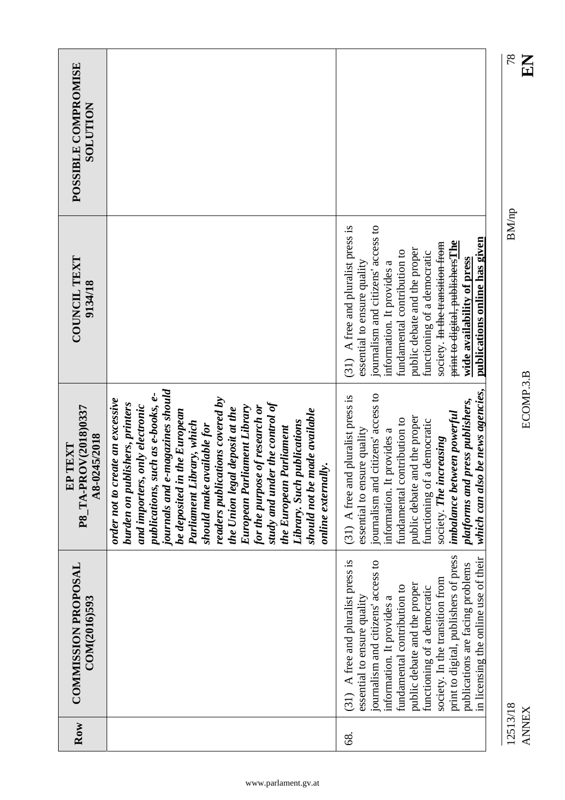|                                                    |                                                                                                                                                                                                                                                                                                                                                                                                                                                                                                                                                               |                                                                                                                                                                                                                                                                                                                                                                                                | 78<br>KN                 |
|----------------------------------------------------|---------------------------------------------------------------------------------------------------------------------------------------------------------------------------------------------------------------------------------------------------------------------------------------------------------------------------------------------------------------------------------------------------------------------------------------------------------------------------------------------------------------------------------------------------------------|------------------------------------------------------------------------------------------------------------------------------------------------------------------------------------------------------------------------------------------------------------------------------------------------------------------------------------------------------------------------------------------------|--------------------------|
| POSSIBLE COMPROMISE<br><b>SOLUTION</b>             |                                                                                                                                                                                                                                                                                                                                                                                                                                                                                                                                                               |                                                                                                                                                                                                                                                                                                                                                                                                |                          |
| <b>COUNCIL TEXT</b><br>9134/18                     |                                                                                                                                                                                                                                                                                                                                                                                                                                                                                                                                                               | journalism and citizens' access to<br>$(31)$ A free and pluralist press is<br>publications online has given<br>print to digital, publishers The<br>society. In the transition from<br>public debate and the proper<br>fundamental contribution to<br>functioning of a democratic<br>wide availability of press<br>essential to ensure quality<br>information. It provides a                    | <b>BM/np</b>             |
| P8_TA-PROV(2018)0337<br>A8-0245/2018<br>TEXT<br>EP | journals and e-magazines should<br>publications, such as e-books, e-<br>readers publications covered by<br>order not to create an excessive<br>study and under the control of<br>burden on publishers, printers<br>and importers, only electronic<br>European Parliament Library<br>for the purpose of research or<br>the Union legal deposit at the<br>should not be made available<br>be deposited in the European<br>Library. Such publications<br>Parliament Library, which<br>should make available for<br>the European Parliament<br>online externally. | be news agencies,<br>journalism and citizens' access to<br>(31) A free and pluralist press is<br>platforms and press publishers,<br>imbalance between powerful<br>public debate and the proper<br>fundamental contribution to<br>functioning of a democratic<br>essential to ensure quality<br>information. It provides a<br>society. The increasing<br>which can also                         | ECOMP.3.B                |
| <b>COMMISSION PROPOSAL</b><br>COM(2016)593         |                                                                                                                                                                                                                                                                                                                                                                                                                                                                                                                                                               | print to digital, publishers of press<br>in licensing the online use of their<br>A free and pluralist press is<br>journalism and citizens' access to<br>publications are facing problems<br>society. In the transition from<br>public debate and the proper<br>fundamental contribution to<br>functioning of a democratic<br>essential to ensure quality<br>information. It provides a<br>(31) |                          |
| Row                                                |                                                                                                                                                                                                                                                                                                                                                                                                                                                                                                                                                               | 68.                                                                                                                                                                                                                                                                                                                                                                                            | 12513/18<br><b>ANNEX</b> |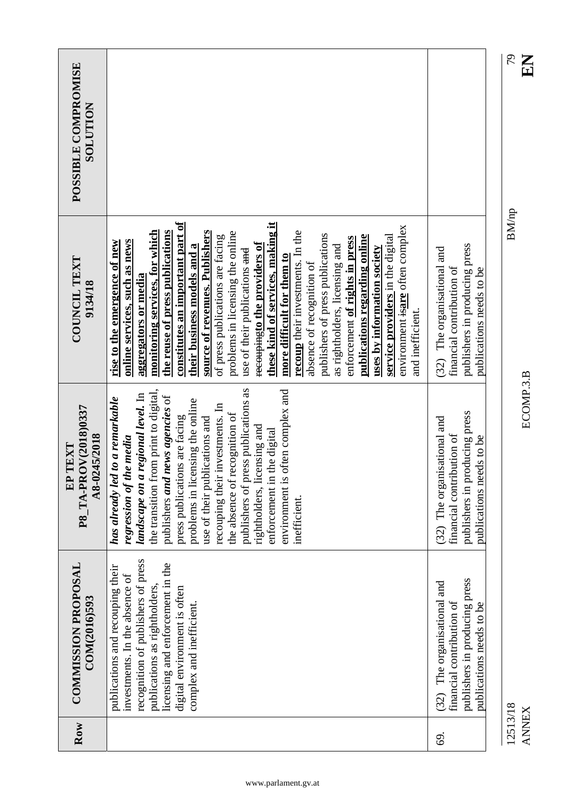|                                                           |                                                                                                                                                                                                                                                                                                                                                                                                                                                                                                                                                                                                                                                                                                                                                                                                                              |                                                                                                                       | 56<br>$\mathbf{E}$       |
|-----------------------------------------------------------|------------------------------------------------------------------------------------------------------------------------------------------------------------------------------------------------------------------------------------------------------------------------------------------------------------------------------------------------------------------------------------------------------------------------------------------------------------------------------------------------------------------------------------------------------------------------------------------------------------------------------------------------------------------------------------------------------------------------------------------------------------------------------------------------------------------------------|-----------------------------------------------------------------------------------------------------------------------|--------------------------|
| POSSIBLE COMPROMISE<br><b>NOLLLIDTO</b>                   |                                                                                                                                                                                                                                                                                                                                                                                                                                                                                                                                                                                                                                                                                                                                                                                                                              |                                                                                                                       |                          |
| COUNCIL TEXT<br>9134/18                                   | constitutes an important part of<br>these kind of services, making it<br>environment <del>is</del> are often complex<br>monitoring services, for which<br>recoup their investments. In the<br>the reuse of press publications<br>source of revenues. Publishers<br>problems in licensing the online<br>publishers of press publications<br>publications regarding online<br>service providers in the digital<br>of press publications are facing<br>enforcement of rights in press<br>online services, such as news<br>rise to the emergence of new<br>recouping to the providers of<br>as rightholders, licensing and<br>their business models and a<br>uses by information society<br>use of their publications and<br>more difficult for them to<br>absence of recognition of<br>aggregators or media<br>and inefficient. | publishers in producing press<br>(32) The organisational and<br>financial contribution of<br>publications needs to be | <b>BM/np</b>             |
| DV(2018)0337<br>A8-0245/2018<br>TEXT<br>$E$ P<br>P8_TA-PR | publishers of press publications as<br>often complex and<br>the transition from print to digital,<br>regional level. In<br>publishers and news agencies of<br>has already led to a remarkable<br>problems in licensing the online<br>investments. In<br>the absence of recognition of<br>press publications are facing<br>use of their publications and<br>rightholders, licensing and<br>enforcement in the digital<br>regression of the media<br>landscape on a<br>recouping their<br>environment is<br>inefficient.                                                                                                                                                                                                                                                                                                       | publishers in producing press<br>(32) The organisational and<br>financial contribution of<br>publications needs to be | ECOMP.3.B                |
| <b>COMMISSION PROPOSAL</b><br>COM(2016)593                | recognition of publishers of press<br>licensing and enforcement in the<br>publications and recouping their<br>investments. In the absence of<br>publications as rightholders,<br>digital environment is often<br>complex and inefficient.                                                                                                                                                                                                                                                                                                                                                                                                                                                                                                                                                                                    | publishers in producing press<br>(32) The organisational and<br>financial contribution of<br>publications needs to be |                          |
| Row                                                       |                                                                                                                                                                                                                                                                                                                                                                                                                                                                                                                                                                                                                                                                                                                                                                                                                              | 69.                                                                                                                   | 12513/18<br><b>ANNEX</b> |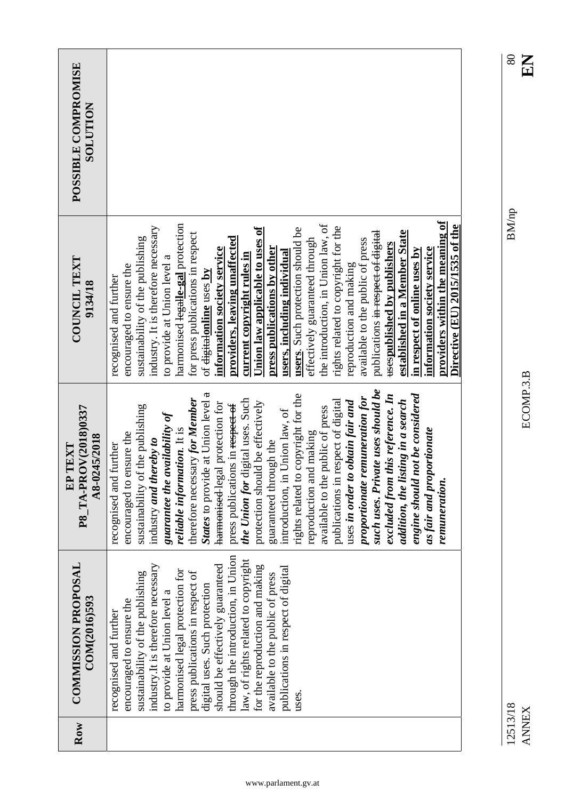| POSSIBLE COMPROMISE<br><b>NOLLTIDR</b>          |                                                                                                                                                                                                                                                                                                                                                                                                                                                                                                                                                                                                                                                                                                                                                                                                                                                                                                                                                                           |
|-------------------------------------------------|---------------------------------------------------------------------------------------------------------------------------------------------------------------------------------------------------------------------------------------------------------------------------------------------------------------------------------------------------------------------------------------------------------------------------------------------------------------------------------------------------------------------------------------------------------------------------------------------------------------------------------------------------------------------------------------------------------------------------------------------------------------------------------------------------------------------------------------------------------------------------------------------------------------------------------------------------------------------------|
| COUNCIL TEXT<br>9134/18                         | providers within the meaning of<br>harmonised <del>legal</del> le-gal protection<br>the introduction, in Union law, of<br>Directive (EU) 2015/1535 of the<br>industry. It is therefore necessary<br>rights related to copyright for the<br>Union law applicable to uses of<br>users. Such protection should be<br>established in a Member State<br>publications i <del>n respect of digital</del><br>for press publications in respect<br>sustainability of the publishing<br>providers, leaving unaffected<br>effectively guaranteed through<br>available to the public of press<br><b>usespublished by publishers</b><br>information society service<br>press publications by other<br>information society service<br>in respect of online uses by<br>users, including individual<br>current copyright rules in<br>to provide at Union level a<br>reproduction and making<br>encouraged to ensure the<br>of <del>digital</del> online uses by<br>recognised and further |
| P8_TA-PROV(2018)0337<br>A8-0245/2018<br>EP TEXT | such uses. Private uses should be<br>States to provide at Union level a<br>engine should not be considered<br>rights related to copyright for the<br>excluded from this reference. In<br>proportionate remuneration for<br>therefore necessary for Member<br>the Union for digital uses. Such<br>addition, the listing in a search<br>publications in respect of digital<br>protection should be effectively<br>uses in order to obtain fair and<br>harmonised-legal protection for<br>press publications in respect of<br>sustainability of the publishing<br>available to the public of press<br>introduction, in Union law, of<br>guarantee the availability of<br><i>reliable information</i> . It is<br>as fair and proportionate<br>reproduction and making<br>encouraged to ensure the<br>industry and thereby to<br>guaranteed through the<br>further<br>recognised and<br>remuneration.                                                                          |
| <b>COMMISSION PROPOSAL</b><br>COM(2016)593      | through the introduction, in Union<br>law, of rights related to copyright<br>industry. It is therefore necessary<br>should be effectively guaranteed<br>for the reproduction and making<br>publications in respect of digital<br>harmonised legal protection for<br>press publications in respect of<br>sustainability of the publishing<br>available to the public of press<br>digital uses. Such protection<br>to provide at Union level a<br>encouraged to ensure the<br>recognised and further<br>uses.                                                                                                                                                                                                                                                                                                                                                                                                                                                               |
| Row                                             |                                                                                                                                                                                                                                                                                                                                                                                                                                                                                                                                                                                                                                                                                                                                                                                                                                                                                                                                                                           |

ECOMP.3.B

ANNEX ECOMP.3.B **EN**

12513/18 BM/np 12513/18<br>ANNEX

 $\sum_{\infty}$ 

 $\rm BM/p$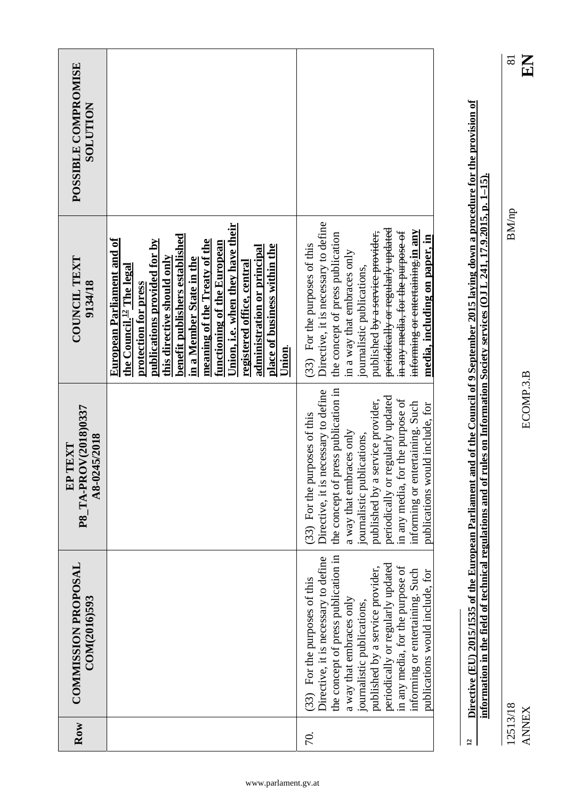| POSSIBLE COMPROMISE<br><b>SOLUTION</b>                         |                                                                                                                                                                                                                                                                                                                                                                                                                                  |                                                                                                                                                                                                                                                                                                                                                                     |
|----------------------------------------------------------------|----------------------------------------------------------------------------------------------------------------------------------------------------------------------------------------------------------------------------------------------------------------------------------------------------------------------------------------------------------------------------------------------------------------------------------|---------------------------------------------------------------------------------------------------------------------------------------------------------------------------------------------------------------------------------------------------------------------------------------------------------------------------------------------------------------------|
| COUNCIL TEXT<br>9134/18                                        | Union, i.e. when they have their<br>benefit publishers established<br>European Parliament and of<br>publications provided for by<br>meaning of the Treaty of the<br>functioning of the European<br>place of business within the<br>administration or principal<br>this directive should only<br>in a Member State in the<br>registered office, central<br>the Council. <sup>12</sup> The legal<br>protection for press<br>Union. | Directive, it is necessary to define<br>periodically or regularly updated<br>informing or entertaining.in any<br>in any media, for the purpose of<br>published <del>by a service provider,</del><br>the concept of press publication<br>media, including on paper, in<br>(33) For the purposes of this<br>in a way that embraces only<br>journalistic publications, |
| P8 TA-PROV(2018)0337<br>A8-0245/2018<br>TEXT<br>$\overline{E}$ |                                                                                                                                                                                                                                                                                                                                                                                                                                  | the concept of press publication in<br>Directive, it is necessary to define<br>periodically or regularly updated<br>in any media, for the purpose of<br>published by a service provider,<br>informing or entertaining. Such<br>publications would include, for<br>(33) For the purposes of this<br>a way that embraces only<br>journalistic publications,           |
| <b>COMMISSION PROPOSAL</b><br>COM(2016)593                     |                                                                                                                                                                                                                                                                                                                                                                                                                                  | the concept of press publication in<br>Directive, it is necessary to define<br>periodically or regularly updated<br>in any media, for the purpose of<br>published by a service provider,<br>informing or entertaining. Such<br>publications would include, for<br>(33) For the purposes of this<br>a way that embraces only<br>journalistic publications,           |
| Row                                                            |                                                                                                                                                                                                                                                                                                                                                                                                                                  | 70.                                                                                                                                                                                                                                                                                                                                                                 |

Directive (EU) 2015/1535 of the European Parliament and of the Council of 9 September 2015 laying down a procedure for the provision of **12 Directive (EU) 2015/1535 of the European Parliament and of the Council of 9 September 2015 laying down a procedure for the provision of information in the field of technical regulations and of rules on Information Society services (OJ L 241, 17.9.2015, p. 1–15).**  information in the field of technical regulations and of rules on Information Society services (OJ L 241, 17.9.2015, p. 1-15).

 $\overline{a}$ 

 $\frac{81}{2}$ 

 $\rm BM/np$ 

ECOMP.3.B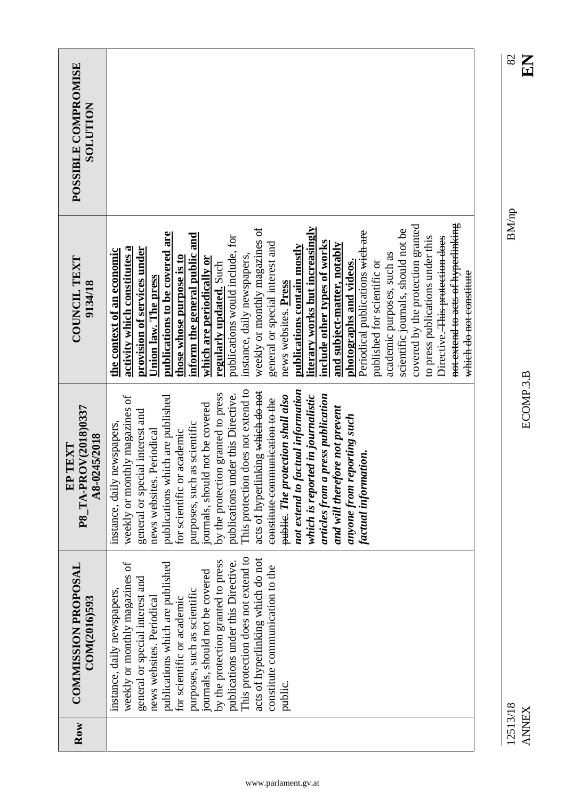| purposes, such<br>news websites.<br>This protection does not extend to<br>acts of hyperlinking which do not<br>by the protection granted to press<br>publications under this Directive.<br>publications which are published<br>weekly or monthly magazines of<br>constitute communication to the<br>journals, should not be covered<br>general or special interest and<br>purposes, such as scientific<br>instance, daily newspapers,<br>news websites. Periodical<br>for scientific or academic<br>public. | A8-0245/2018                                                                                                                                                                                  | 9134/18 | POSSIBLE COMPROMISE<br><b>SOLUTION</b> |
|-------------------------------------------------------------------------------------------------------------------------------------------------------------------------------------------------------------------------------------------------------------------------------------------------------------------------------------------------------------------------------------------------------------------------------------------------------------------------------------------------------------|-----------------------------------------------------------------------------------------------------------------------------------------------------------------------------------------------|---------|----------------------------------------|
|                                                                                                                                                                                                                                                                                                                                                                                                                                                                                                             | activity which constitutes a<br>provision of services under<br>the context of an economic<br>weekly or monthly magazines of<br>general or special interest and<br>instance, daily newspapers, |         |                                        |
|                                                                                                                                                                                                                                                                                                                                                                                                                                                                                                             | publications to be covered are<br><b>Jnion law. The press</b><br>publications which are published<br>Periodical                                                                               |         |                                        |
|                                                                                                                                                                                                                                                                                                                                                                                                                                                                                                             | inform the general public and<br>those whose purpose is to<br>which are periodically or<br>journals, should not be covered<br>as scientific<br>for scientific or academic                     |         |                                        |
|                                                                                                                                                                                                                                                                                                                                                                                                                                                                                                             | publications would include, for<br>regularly updated. Such<br>by the protection granted to press<br>publications under this Directive.                                                        |         |                                        |
|                                                                                                                                                                                                                                                                                                                                                                                                                                                                                                             | instance, daily newspapers,<br>This protection does not extend to                                                                                                                             |         |                                        |
|                                                                                                                                                                                                                                                                                                                                                                                                                                                                                                             | weekly or monthly magazines of<br>general or special interest and<br>acts of hyperlinking which do not<br>constitute communication to the                                                     |         |                                        |
|                                                                                                                                                                                                                                                                                                                                                                                                                                                                                                             | news websites. Press<br><del>public</del> . The protection shall also                                                                                                                         |         |                                        |
|                                                                                                                                                                                                                                                                                                                                                                                                                                                                                                             | publications contain mostly<br>not extend to factual information                                                                                                                              |         |                                        |
|                                                                                                                                                                                                                                                                                                                                                                                                                                                                                                             | literary works but increasingly<br>include other types of works<br>articles from a press publication<br>which is reported in journalistic                                                     |         |                                        |
|                                                                                                                                                                                                                                                                                                                                                                                                                                                                                                             | and subject-matter, notably<br>and will therefore not prevent                                                                                                                                 |         |                                        |
|                                                                                                                                                                                                                                                                                                                                                                                                                                                                                                             | photographs and videos.<br>anyone from reporting such                                                                                                                                         |         |                                        |
|                                                                                                                                                                                                                                                                                                                                                                                                                                                                                                             | Periodical publications <del>wich are</del><br>factual information.                                                                                                                           |         |                                        |
|                                                                                                                                                                                                                                                                                                                                                                                                                                                                                                             | published for scientific or                                                                                                                                                                   |         |                                        |
|                                                                                                                                                                                                                                                                                                                                                                                                                                                                                                             | scientific journals, should not be<br>academic purposes, such as                                                                                                                              |         |                                        |
|                                                                                                                                                                                                                                                                                                                                                                                                                                                                                                             | covered by the protection granted                                                                                                                                                             |         |                                        |
|                                                                                                                                                                                                                                                                                                                                                                                                                                                                                                             | to press publications under this                                                                                                                                                              |         |                                        |
|                                                                                                                                                                                                                                                                                                                                                                                                                                                                                                             | Directive. This protection does                                                                                                                                                               |         |                                        |
|                                                                                                                                                                                                                                                                                                                                                                                                                                                                                                             | not extend to acts of hyperlinking                                                                                                                                                            |         |                                        |
|                                                                                                                                                                                                                                                                                                                                                                                                                                                                                                             | which do not constitute                                                                                                                                                                       |         |                                        |

ECOMP.3.B

12513/18 BM/np 12513/18<br>ANNEX

 $\frac{82}{111}$ 

 $\rm BM/p$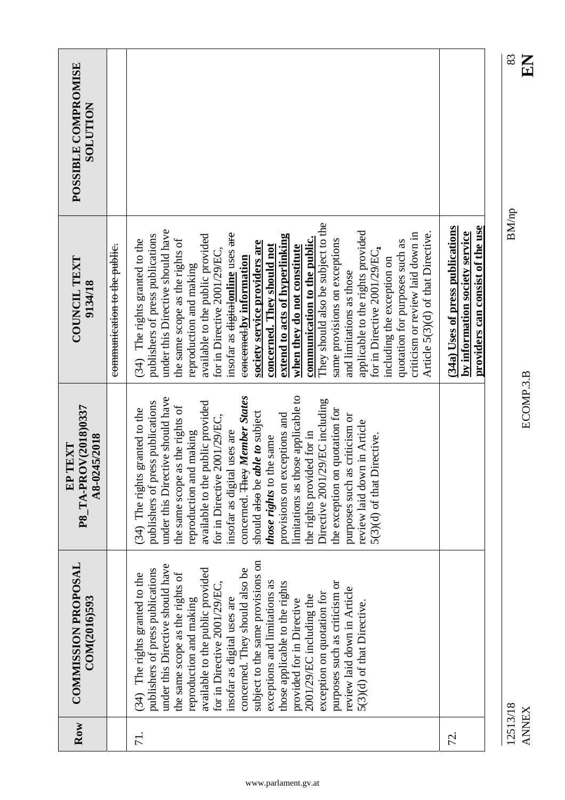|                                                    |                              |                                                                                                                                                                                                                                                                                                                                                                                                                                                                                                                                                                                                                                                                                                                                                                                                                                   |                                                                                                        | 83<br>KN                 |
|----------------------------------------------------|------------------------------|-----------------------------------------------------------------------------------------------------------------------------------------------------------------------------------------------------------------------------------------------------------------------------------------------------------------------------------------------------------------------------------------------------------------------------------------------------------------------------------------------------------------------------------------------------------------------------------------------------------------------------------------------------------------------------------------------------------------------------------------------------------------------------------------------------------------------------------|--------------------------------------------------------------------------------------------------------|--------------------------|
| POSSIBLE COMPROMISE<br><b>NOLLUTION</b>            |                              |                                                                                                                                                                                                                                                                                                                                                                                                                                                                                                                                                                                                                                                                                                                                                                                                                                   |                                                                                                        |                          |
| COUNCIL TEXT<br>9134/18                            | communication to the public. | They should also be subject to the<br>under this Directive should have<br>applicable to the rights provided<br>Article 5(3)(d) of that Directive.<br>criticism or review laid down in<br>insofar as <del>digital</del> online uses <del>are</del><br>publishers of press publications<br>available to the public provided<br>extend to acts of hyperlinking<br>communication to the public.<br>the same scope as the rights of<br>The rights granted to the<br>same provisions on exceptions<br>quotation for purposes such as<br>society service providers are<br>concerned. They should not<br>when they do not constitute<br>for in Directive 2001/29/EC,<br>for in Directive 2001/29/EC,<br><del>concerned.</del> by information<br>including the exception on<br>reproduction and making<br>and limitations as those<br>(34) | providers can consist of the use<br>(34a) Uses of press publications<br>by information society service | <b>BM/np</b>             |
| P8 TA-PROV(2018)0337<br>A8-0245/2018<br>TEXT<br>EP |                              | limitations as those applicable to<br>concerned. They Member States<br>under this Directive should have<br>Directive 2001/29/EC including<br>publishers of press publications<br>available to the public provided<br>the same scope as the rights of<br>the exception on quotation for<br>granted to the<br>should also be able to subject<br>provisions on exceptions and<br>purposes such as criticism or<br>for in Directive 2001/29/EC,<br>review laid down in Article<br>insofar as digital uses are<br>reproduction and making<br>the rights provided for in<br>5(3)(d) of that Directive.<br>those rights to the same<br>$(34)$ The rights                                                                                                                                                                                 |                                                                                                        | ECOMP.3.B                |
| <b>COMMISSION PROPOSAL</b><br>COM(2016)593         |                              | subject to the same provisions on<br>under this Directive should have<br>concerned. They should also be<br>publishers of press publications<br>available to the public provided<br>the same scope as the rights of<br>The rights granted to the<br>purposes such as criticism or<br>those applicable to the rights<br>exceptions and limitations as<br>for in Directive 2001/29/EC,<br>review laid down in Article<br>exception on quotation for<br>2001/29/EC including the<br>insofar as digital uses are<br>reproduction and making<br>provided for in Directive<br>5(3)(d) of that Directive<br>(34)                                                                                                                                                                                                                          |                                                                                                        |                          |
| Row                                                |                              | 71.                                                                                                                                                                                                                                                                                                                                                                                                                                                                                                                                                                                                                                                                                                                                                                                                                               | 72.                                                                                                    | 12513/18<br><b>ANNEX</b> |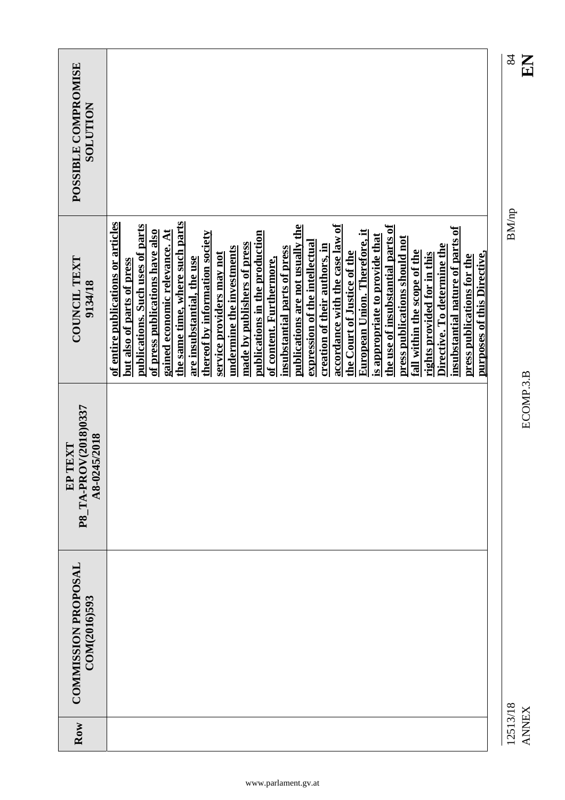|                                                 |                                                                                                                                                                                                                                                                                                                                                                                                                                                                                                                                                                                                                                                                                                                                                                                                                                                                                                                                                                                     | 84<br>$\mathbf{K}$       |
|-------------------------------------------------|-------------------------------------------------------------------------------------------------------------------------------------------------------------------------------------------------------------------------------------------------------------------------------------------------------------------------------------------------------------------------------------------------------------------------------------------------------------------------------------------------------------------------------------------------------------------------------------------------------------------------------------------------------------------------------------------------------------------------------------------------------------------------------------------------------------------------------------------------------------------------------------------------------------------------------------------------------------------------------------|--------------------------|
| POSSIBLE COMPROMISE<br><b>NOLLUTION</b>         |                                                                                                                                                                                                                                                                                                                                                                                                                                                                                                                                                                                                                                                                                                                                                                                                                                                                                                                                                                                     |                          |
| COUNCIL TEXT<br>9134/18                         | the same time, where such parts<br>of entire publications or articles<br>publications. Such uses of parts<br>publications are not usually the<br>accordance with the case law of<br>the use of insubstantial parts of<br>insubstantial nature of parts of<br>gained economic relevance. At<br>European Union. Therefore, it<br>of press publications have also<br>thereof by information society<br>publications in the production<br>is appropriate to provide that<br>press publications should not<br>expression of the intellectual<br>made by publishers of press<br>Directive. To determine the<br>creation of their authors, in<br>undermine the investments<br>insubstantial parts of press<br>fall within the scope of the<br>the Court of Justice of the<br>purposes of this Directive,<br>service providers may not<br>rights provided for in this<br>press publications for the<br>are insubstantial, the use<br>of content. Furthermore,<br>but also of parts of press | <b>BM/np</b>             |
| P8_TA-PROV(2018)0337<br>A8-0245/2018<br>EP TEXT |                                                                                                                                                                                                                                                                                                                                                                                                                                                                                                                                                                                                                                                                                                                                                                                                                                                                                                                                                                                     | ECOMP.3.B                |
| <b>COMMISSION PROPOSAL</b><br>COM(2016)593      |                                                                                                                                                                                                                                                                                                                                                                                                                                                                                                                                                                                                                                                                                                                                                                                                                                                                                                                                                                                     |                          |
| Row                                             |                                                                                                                                                                                                                                                                                                                                                                                                                                                                                                                                                                                                                                                                                                                                                                                                                                                                                                                                                                                     | 12513/18<br><b>ANNEX</b> |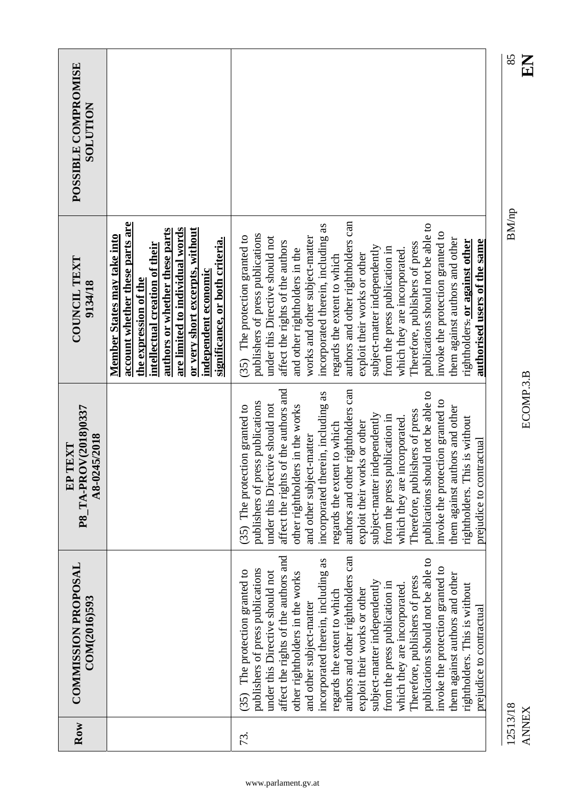|                                                 |                                                                                                                                                                                                                                                                                              |                                                                                                                                                                                                                                                                                                                                                                                                                                                                                                                                                                                                                                                                          | 85<br>$\mathbf{E}$       |
|-------------------------------------------------|----------------------------------------------------------------------------------------------------------------------------------------------------------------------------------------------------------------------------------------------------------------------------------------------|--------------------------------------------------------------------------------------------------------------------------------------------------------------------------------------------------------------------------------------------------------------------------------------------------------------------------------------------------------------------------------------------------------------------------------------------------------------------------------------------------------------------------------------------------------------------------------------------------------------------------------------------------------------------------|--------------------------|
| POSSIBLE COMPROMISE<br><b>NOLLUTION</b>         |                                                                                                                                                                                                                                                                                              |                                                                                                                                                                                                                                                                                                                                                                                                                                                                                                                                                                                                                                                                          |                          |
| <b>COUNCIL TEXT</b><br>9134/18                  | account whether these parts are<br>are limited to individual words<br>authors or whether these parts<br>or very short excerpts, without<br>Member States may take into<br>significance, or both criteria.<br>intellectual creation of their<br>independent economic<br>the expression of the | authors and other rightholders can<br>publications should not be able to<br>incorporated therein, including as<br>invoke the protection granted to<br>publishers of press publications<br>(35) The protection granted to<br>works and other subject-matter<br>under this Directive should not<br>them against authors and other<br>authorised users of the same<br>rightholders. or against other<br>affect the rights of the authors<br>Therefore, publishers of press<br>subject-matter independently<br>from the press publication in<br>and other rightholders in the<br>which they are incorporated.<br>exploit their works or other<br>regards the extent to which | <b>BM/np</b>             |
| P8 TA-PROV(2018)0337<br>A8-0245/2018<br>EP TEXT |                                                                                                                                                                                                                                                                                              | affect the rights of the authors and<br>authors and other rightholders can<br>incorporated therein, including as<br>publications should not be able to<br>invoke the protection granted to<br>publishers of press publications<br>under this Directive should not<br>(35) The protection granted to<br>other rightholders in the works<br>them against authors and other<br>Therefore, publishers of press<br>subject-matter independently<br>from the press publication in<br>incorporated.<br>rightholders. This is without<br>exploit their works or other<br>regards the extent to which<br>and other subject-matter<br>prejudice to contractual<br>which they are   | ECOMP.3.B                |
| <b>COMMISSION PROPOSAL</b><br>COM(2016)593      |                                                                                                                                                                                                                                                                                              | affect the rights of the authors and<br>authors and other rightholders can<br>publications should not be able to<br>incorporated therein, including as<br>invoke the protection granted to<br>publishers of press publications<br>The protection granted to<br>under this Directive should not<br>other rightholders in the works<br>them against authors and other<br>Therefore, publishers of press<br>subject-matter independently<br>from the press publication in<br>which they are incorporated.<br>rightholders. This is without<br>exploit their works or other<br>regards the extent to which<br>and other subject-matter<br>prejudice to contractual<br>(35)   |                          |
| Row                                             |                                                                                                                                                                                                                                                                                              | 73.                                                                                                                                                                                                                                                                                                                                                                                                                                                                                                                                                                                                                                                                      | 12513/18<br><b>ANNEX</b> |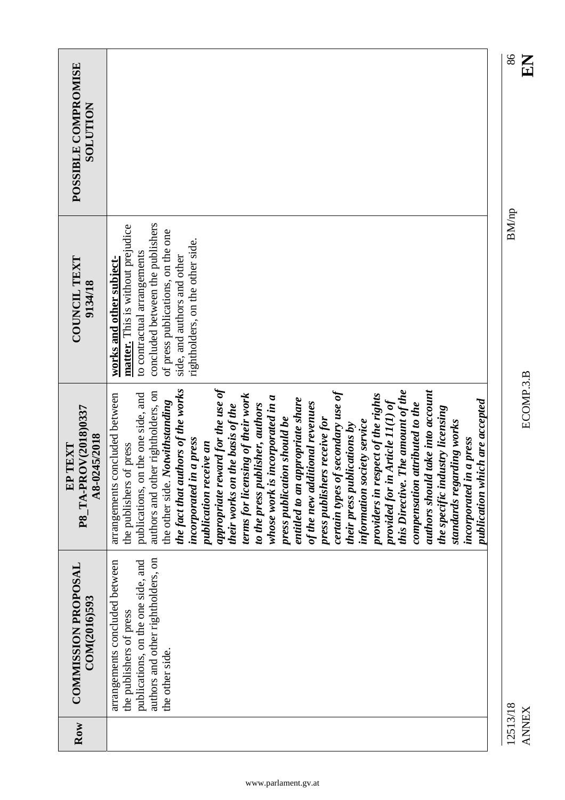|                                                 |                                                                                                                                                                                                                                                                                                                                                                                                                                                                                                                                                                                                                                                                                                                                                                                                                                                                                                                                                                                                                              | 86           | EN           |
|-------------------------------------------------|------------------------------------------------------------------------------------------------------------------------------------------------------------------------------------------------------------------------------------------------------------------------------------------------------------------------------------------------------------------------------------------------------------------------------------------------------------------------------------------------------------------------------------------------------------------------------------------------------------------------------------------------------------------------------------------------------------------------------------------------------------------------------------------------------------------------------------------------------------------------------------------------------------------------------------------------------------------------------------------------------------------------------|--------------|--------------|
| POSSIBLE COMPROMISE<br><b>SOLUTION</b>          |                                                                                                                                                                                                                                                                                                                                                                                                                                                                                                                                                                                                                                                                                                                                                                                                                                                                                                                                                                                                                              |              |              |
| <b>COUNCIL TEXT</b><br>9134/18                  | concluded between the publishers<br><b>matter.</b> This is without prejudice<br>of press publications, on the one<br>rightholders, on the other side.<br>to contractual arrangements<br>side, and authors and other<br>works and other subject-                                                                                                                                                                                                                                                                                                                                                                                                                                                                                                                                                                                                                                                                                                                                                                              | <b>BM/np</b> |              |
| P8_TA-PROV(2018)0337<br>A8-0245/2018<br>EP TEXT | appropriate reward for the use of<br>the fact that authors of the works<br>this Directive. The amount of the<br>f secondary use of<br>authors should take into account<br>authors and other rightholders, on<br>publications, on the one side, and<br>terms for licensing of their work<br>providers in respect of the rights<br>arrangements concluded between<br>whose work is incorporated in a<br>entitled to an appropriate share<br>publication which are accepted<br>provided for in Article 11(1) of<br>the other side. Notwithstanding<br>of the new additional revenues<br>compensation attributed to the<br>to the press publisher, authors<br>their works on the basis of the<br>the specific industry licensing<br>press publication should be<br>press publishers receive for<br>information society service<br>standards regarding works<br>their press publications by<br>incorporated in a press<br><i>incorporated in a press</i><br>publication receive an<br>the publishers of press<br>certain types of |              | ECOMP.3.B    |
| <b>COMMISSION PROPOSAL</b><br>COM(2016)593      | authors and other rightholders, on<br>publications, on the one side, and<br>arrangements concluded between<br>the publishers of press<br>the other side.                                                                                                                                                                                                                                                                                                                                                                                                                                                                                                                                                                                                                                                                                                                                                                                                                                                                     |              |              |
| Row                                             |                                                                                                                                                                                                                                                                                                                                                                                                                                                                                                                                                                                                                                                                                                                                                                                                                                                                                                                                                                                                                              | 12513/18     | <b>ANNEX</b> |

 $\frac{86}{28}$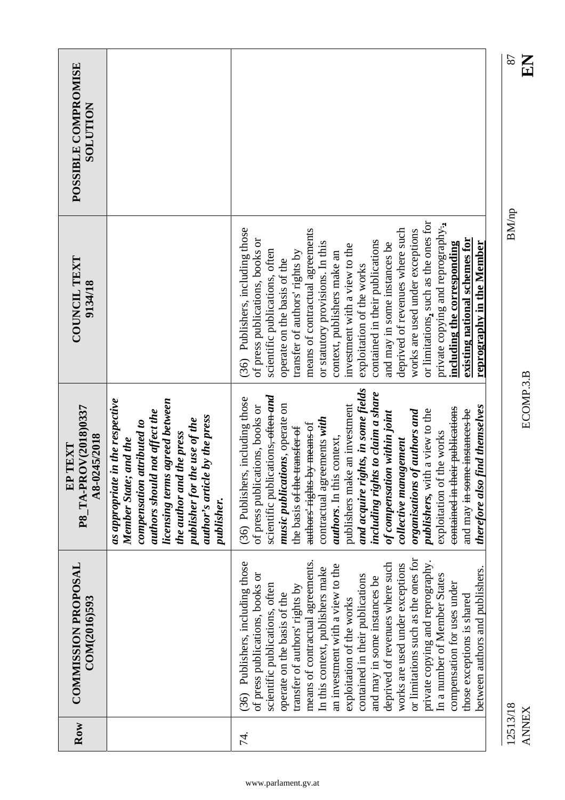| Row      | <b>COMMISSION PROPOSAL</b><br>COM(2016)593                                                                                                                                                                                                                                                                                                                                                                                                                                                                                                                                                                                                                          | P8_TA-PROV(2018)0337<br>A8-0245/2018<br>EP TEXT                                                                                                                                                                                                                                                                                                                                                                                                                                                                                                                                                                                                                                           | <b>COUNCIL TEXT</b><br>9134/18                                                                                                                                                                                                                                                                                                                                                                                                                                                                                                                                                                                                                               | POSSIBLE COMPROMISE<br><b>NOLLUTION</b> |
|----------|---------------------------------------------------------------------------------------------------------------------------------------------------------------------------------------------------------------------------------------------------------------------------------------------------------------------------------------------------------------------------------------------------------------------------------------------------------------------------------------------------------------------------------------------------------------------------------------------------------------------------------------------------------------------|-------------------------------------------------------------------------------------------------------------------------------------------------------------------------------------------------------------------------------------------------------------------------------------------------------------------------------------------------------------------------------------------------------------------------------------------------------------------------------------------------------------------------------------------------------------------------------------------------------------------------------------------------------------------------------------------|--------------------------------------------------------------------------------------------------------------------------------------------------------------------------------------------------------------------------------------------------------------------------------------------------------------------------------------------------------------------------------------------------------------------------------------------------------------------------------------------------------------------------------------------------------------------------------------------------------------------------------------------------------------|-----------------------------------------|
|          |                                                                                                                                                                                                                                                                                                                                                                                                                                                                                                                                                                                                                                                                     | licensing terms agreed between<br>as appropriate in the respective<br>authors should not affect the<br>author's article by the press<br>publisher for the use of the<br>attributed to<br>the author and the press<br>Member State; and the<br>compensation<br>publisher.                                                                                                                                                                                                                                                                                                                                                                                                                  |                                                                                                                                                                                                                                                                                                                                                                                                                                                                                                                                                                                                                                                              |                                         |
| 74.      | or limitations such as the ones for<br>private copying and reprography.<br>means of contractual agreements.<br>(36) Publishers, including those<br>deprived of revenues where such<br>works are used under exceptions<br>an investment with a view to the<br>In this context, publishers make<br>between authors and publishers.<br>of press publications, books or<br>In a number of Member States<br>contained in their publications<br>and may in some instances be<br>compensation for uses under<br>scientific publications, often<br>transfer of authors' rights by<br>operate on the basis of the<br>those exceptions is shared<br>exploitation of the works | and acquire rights, in some fields<br>including rights to claim a share<br>scientific publications <del>, often and</del><br>(36) Publishers, including those<br>music publications, operate on<br>publishers make an investment<br>of press publications, books or<br><b><i>find themselves</i></b><br>contained in their publications<br>publishers, with a view to the<br>and may in some instances be<br>organisations of authors and<br>of compensation within joint<br>contractual agreements with<br>authors rights by means of<br>the basis of the transfer of<br>exploitation of the works<br>.context,<br>collective management<br><i>authors</i> . In this<br>therefore also J | or limitations, such as the ones for<br>private copying and reprography.<br>(36) Publishers, including those<br>deprived of revenues where such<br>means of contractual agreements<br>works are used under exceptions<br>existing national schemes for<br>of press publications, books or<br>contained in their publications<br>or statutory provisions. In this<br>including the corresponding<br>reprography in the Member<br>and may in some instances be<br>investment with a view to the<br>scientific publications, often<br>transfer of authors' rights by<br>context, publishers make an<br>operate on the basis of the<br>exploitation of the works |                                         |
| 12513/18 |                                                                                                                                                                                                                                                                                                                                                                                                                                                                                                                                                                                                                                                                     |                                                                                                                                                                                                                                                                                                                                                                                                                                                                                                                                                                                                                                                                                           | BM/np                                                                                                                                                                                                                                                                                                                                                                                                                                                                                                                                                                                                                                                        | 87                                      |

www.parlament.gv.at

ANNEX ECOMP.3.B **EN** ECOMP.3.B

12513/18<br>ANNEX

 $\sum_{\alpha}$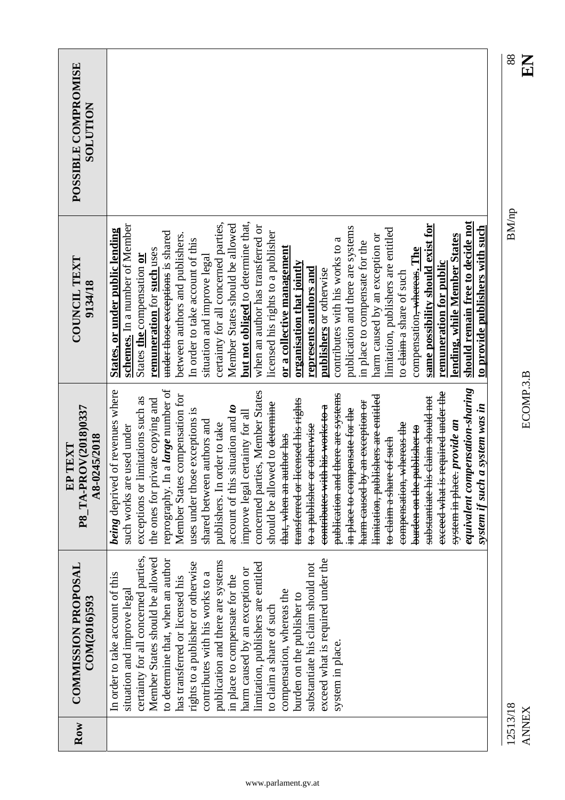|                                                 |                                                                                                                                                                                                                                                                                                                                                                                                                                                                                                                                                                                                                                                                                                                                                                                                                                                                                                                                                                                                                                                  | 88<br>EN                 |
|-------------------------------------------------|--------------------------------------------------------------------------------------------------------------------------------------------------------------------------------------------------------------------------------------------------------------------------------------------------------------------------------------------------------------------------------------------------------------------------------------------------------------------------------------------------------------------------------------------------------------------------------------------------------------------------------------------------------------------------------------------------------------------------------------------------------------------------------------------------------------------------------------------------------------------------------------------------------------------------------------------------------------------------------------------------------------------------------------------------|--------------------------|
| POSSIBLE COMPROMISE<br><b>NOLLLTON</b>          |                                                                                                                                                                                                                                                                                                                                                                                                                                                                                                                                                                                                                                                                                                                                                                                                                                                                                                                                                                                                                                                  |                          |
| COUNCIL TEXT<br>9134/18                         | should remain free to decide not<br>but not obliged to determine that,<br>certainty for all concerned parties,<br>Member States should be allowed<br>schemes. In a number of Member<br>same possibility should exist for<br>when an author has transferred or<br>publication and there are systems<br>to provide publishers with such<br>limitation, publishers are entitled<br>States, or under public lending<br>under those exceptions is shared<br>licensed his rights to a publisher<br>between authors and publishers.<br>harm caused by an exception or<br>lending, while Member States<br>In order to take account of this<br>contributes with his works to a<br>in place to compensate for the<br>or a collective management<br>remuneration for such uses<br>compensation, whereas. The<br>States the compensation or<br>situation and improve legal<br>organisation that jointly<br>remuneration for public<br>represents authors and<br>publishers or otherwise<br>to elaim a share of such                                          | <b>BM/np</b>             |
| P8_TA-PROV(2018)0337<br>A8-0245/2018<br>EP TEXT | equivalent compensation-sharing<br>reprography. In a large number of<br>of revenues where<br>concerned parties, Member States<br>exceed what is required under the<br>publication and there are systems<br>Member States compensation for<br>limitation, publishers are entitled<br>substantiate his claim should not<br>exceptions or limitations such as<br>the ones for private copying and<br>transferred or licensed his rights<br>harm caused by an exception or<br>should be allowed to determine<br>contributes with his works to a<br>situation and to<br>system if such a system was in<br>in place to compensate for the<br>uses under those exceptions is<br>improve legal certainty for all<br>shared between authors and<br>system in place. provide an<br>compensation, whereas the<br>publishers. In order to take<br>to a publisher or otherwise<br>such works are used under<br>burden on the publisher to<br><del>that, when an author has</del><br>t <del>o claim a share of such</del><br>account of this<br>being deprived | ECOMP.3.B                |
| <b>COMMISSION PROPOSAL</b><br>COM(2016)593      | certainty for all concerned parties,<br>Member States should be allowed<br>exceed what is required under the<br>to determine that, when an author<br>publication and there are systems<br>rights to a publisher or otherwise<br>limitation, publishers are entitled<br>substantiate his claim should not<br>harm caused by an exception or<br>In order to take account of this<br>contributes with his works to a<br>in place to compensate for the<br>has transferred or licensed his<br>situation and improve legal<br>compensation, whereas the<br>burden on the publisher to<br>to claim a share of such<br>system in place.                                                                                                                                                                                                                                                                                                                                                                                                                 |                          |
| Row                                             |                                                                                                                                                                                                                                                                                                                                                                                                                                                                                                                                                                                                                                                                                                                                                                                                                                                                                                                                                                                                                                                  | 12513/18<br><b>ANNEX</b> |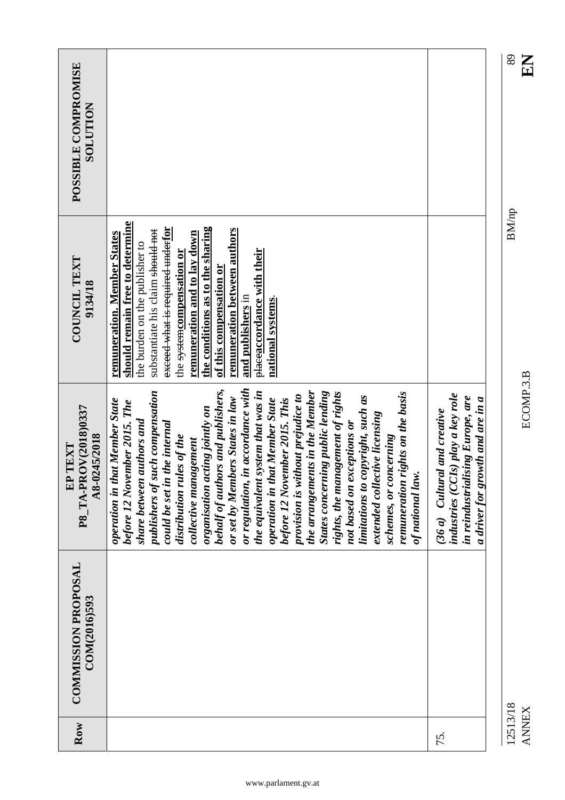| POSSIBLE COMPROMISE<br><b>NOLLUTION</b>                          |                                                                                                                                                                                                                                                                                                                                                                                                                                                                                                                                                                                                                                                                                                                                                                                                                              |                                                                                                                                            |  |
|------------------------------------------------------------------|------------------------------------------------------------------------------------------------------------------------------------------------------------------------------------------------------------------------------------------------------------------------------------------------------------------------------------------------------------------------------------------------------------------------------------------------------------------------------------------------------------------------------------------------------------------------------------------------------------------------------------------------------------------------------------------------------------------------------------------------------------------------------------------------------------------------------|--------------------------------------------------------------------------------------------------------------------------------------------|--|
| COUNCIL TEXT<br>9134/18                                          | should remain free to determine<br>exceed what is required underfor<br>the conditions as to the sharing<br>remuneration between authors<br>substantiate his claim <del>should not</del><br>remuneration and to lay down<br>remuneration. Member States<br>the burden on the publisher to<br>placeaccordance with their<br>the <del>system</del> compensation or<br>of this compensation or<br>and publishers in<br>national systems                                                                                                                                                                                                                                                                                                                                                                                          |                                                                                                                                            |  |
| DV(2018)0337<br>A8-0245/2018<br>TEXT<br>P8 TA-PR<br>$\mathbf{E}$ | or regulation, in accordance with<br>behalf of authors and publishers,<br>the arrangements in the Member<br>the equivalent system that was in<br>publishers of such compensation<br><b>States concerning public lending</b><br>rights, the management of rights<br>remuneration rights on the basis<br>provision is without prejudice to<br>limitations to copyright, such as<br>or set by Members States in law<br>before 12 November 2015. This<br>operation in that Member State<br>operation in that Member State<br>before 12 November 2015. The<br>organisation acting jointly on<br>extended collective licensing<br>share between authors and<br>the internal<br>not based on exceptions or<br>schemes, or concerning<br>distribution rules of the<br>collective management<br>of national law.<br>could be set in t | industries (CCIs) play a key role<br>in reindustrialising Europe, are<br>a driver for growth and are in a<br>$(36a)$ Cultural and creative |  |
| <b>COMMISSION PROPOSAL</b><br>COM(2016)593                       |                                                                                                                                                                                                                                                                                                                                                                                                                                                                                                                                                                                                                                                                                                                                                                                                                              |                                                                                                                                            |  |
| Row                                                              |                                                                                                                                                                                                                                                                                                                                                                                                                                                                                                                                                                                                                                                                                                                                                                                                                              | 75.                                                                                                                                        |  |

ANNEX ECOMP.3.B **EN**

 $\begin{array}{c} \hline \text{SO} \\ \text{EM} \end{array}$ 

 $\rm BM/np$ 

12513/18 BM/np

ECOMP.3.B

12513/18<br>ANNEX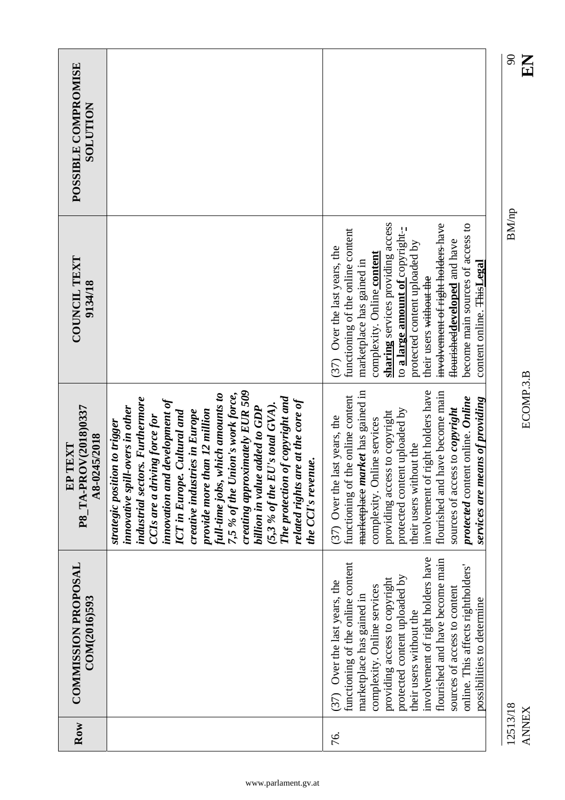|                                                 |                                                                                                                                                                                                                                                                                                                                                                                                                                                                                                                                                                   |                                                                                                                                                                                                                                                                                                                                                                                                                            | $\infty$<br>$\mathbf{E}$ |
|-------------------------------------------------|-------------------------------------------------------------------------------------------------------------------------------------------------------------------------------------------------------------------------------------------------------------------------------------------------------------------------------------------------------------------------------------------------------------------------------------------------------------------------------------------------------------------------------------------------------------------|----------------------------------------------------------------------------------------------------------------------------------------------------------------------------------------------------------------------------------------------------------------------------------------------------------------------------------------------------------------------------------------------------------------------------|--------------------------|
| POSSIBLE COMPROMISE<br><b>SOLUTION</b>          |                                                                                                                                                                                                                                                                                                                                                                                                                                                                                                                                                                   |                                                                                                                                                                                                                                                                                                                                                                                                                            |                          |
| COUNCIL TEXT<br>9134/18                         |                                                                                                                                                                                                                                                                                                                                                                                                                                                                                                                                                                   | sharing services providing access<br>involvement of right holders-have<br>become main sources of access to<br>to a large amount of copyright-<br>functioning of the online content<br>Hourisheddeveloped and have<br>protected content uploaded by<br>Over the last years, the<br>complexity. Online content<br>marketplace has gained in<br>content online. This Legal<br>their users without the<br>(37)                 | <b>BM/np</b>             |
| P8 TA-PROV(2018)0337<br>A8-0245/2018<br>EP TEXT | creating approximately EUR 509<br>7,5 % of the Union's work force,<br>full-time jobs, which amounts to<br>The protection of copyright and<br>industrial sectors. Furthermore<br>development of<br>related rights are at the core of<br>$(5,3\%$ of the $EU$ 's total $GVA)$ .<br>innovative spill-overs in other<br>billion in value added to GDP<br>provide more than 12 million<br><b>ICT</b> in Europe. Cultural and<br>creative industries in Europe<br>CCIs are a driving force for<br>strategic position to trigger<br>the CCI's revenue.<br>innovation and | involvement of right holders have<br>marketplace <i>market</i> has gained in<br>flourished and have become main<br>functioning of the online content<br>protected content online. Online<br>services are means of providing<br>sources of access to copyright<br>protected content uploaded by<br>providing access to copyright<br>(37) Over the last years, the<br>complexity. Online services<br>their users without the | ECOMP.3.B                |
| <b>COMMISSION PROPOSAL</b><br>COM(2016)593      |                                                                                                                                                                                                                                                                                                                                                                                                                                                                                                                                                                   | involvement of right holders have<br>flourished and have become main<br>functioning of the online content<br>online. This affects rightholders'<br>protected content uploaded by<br>providing access to copyright<br>Over the last years, the<br>complexity. Online services<br>sources of access to content<br>marketplace has gained in<br>possibilities to determine<br>their users without the<br>(37)                 |                          |
| Row                                             |                                                                                                                                                                                                                                                                                                                                                                                                                                                                                                                                                                   | 76.                                                                                                                                                                                                                                                                                                                                                                                                                        | 12513/18<br><b>ANNEX</b> |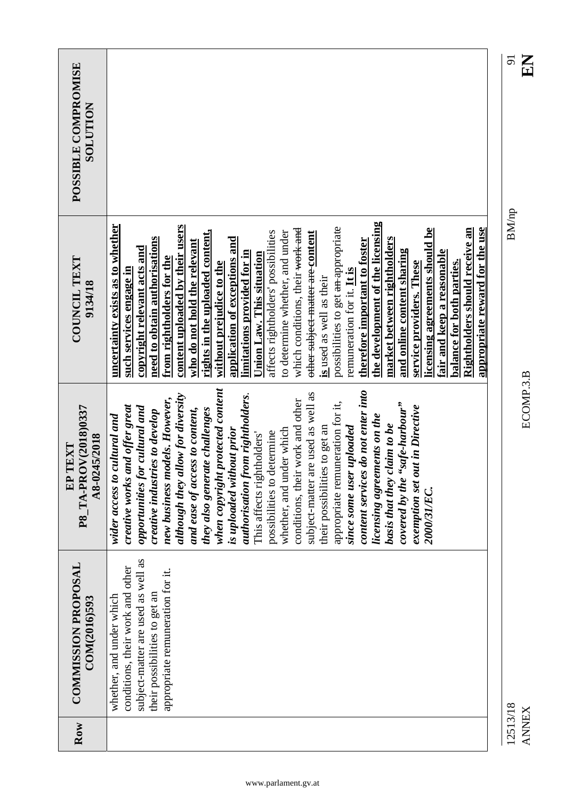| POSSIBLE COMPROMISE<br><b>NOLLLTON</b>          |                                                                                                                                                                                                                                                                                                                                                                                                                                                                                                                                                                                                                                                                                                                                                                                                                                                                                                                                                                                      |
|-------------------------------------------------|--------------------------------------------------------------------------------------------------------------------------------------------------------------------------------------------------------------------------------------------------------------------------------------------------------------------------------------------------------------------------------------------------------------------------------------------------------------------------------------------------------------------------------------------------------------------------------------------------------------------------------------------------------------------------------------------------------------------------------------------------------------------------------------------------------------------------------------------------------------------------------------------------------------------------------------------------------------------------------------|
| COUNCIL TEXT<br>9134/18                         | the development of the licensing<br>content uploaded by their users<br>uncertainty exists as to whether<br>possibilities to get an appropriate<br>licensing agreements should be<br>appropriate reward for the use<br>Rightholders should receive an<br>which conditions, their <del>work and</del><br>rights in the uploaded content,<br>to determine whether, and under<br>affects rightholders' possibilities<br>other subject matter are content<br>need to obtain authorisations<br>application of exceptions and<br>market between rightholders<br>therefore important to foster<br>who do not hold the relevant<br>copyright relevant acts and<br>and online content sharing<br>fair and keep a reasonable<br>limitations provided for in<br>Union Law. This situation<br>from rightholders for the<br>balance for both parties.<br>service providers. These<br>without prejudice to the<br>such services engage in<br>remuneration for it. It is<br>is used as well as their |
| P8 TA-PROV(2018)0337<br>A8-0245/2018<br>EP TEXT | when copyright protected content<br>content services do not enter into<br>subject-matter are used as well as<br>authorisation from rightholders.<br>although they allow for diversity<br>new business models. However,<br>conditions, their work and other<br>appropriate remuneration for it,<br>"safe-harbour"<br>creative works and offer great<br>exemption set out in Directive<br>opportunities for cultural and<br>and ease of access to content,<br>they also generate challenges<br>creative industries to develop<br>wider access to cultural and<br>licensing agreements on the<br>claim to be<br>since some user uploaded<br>their possibilities to get an<br>whether, and under which<br>is uploaded without prior<br>possibilities to determine<br>This affects rightholders'<br>basis that they<br>covered by the<br>2000/31/EC.                                                                                                                                      |
| <b>COMMISSION PROPOSAL</b><br>COM(2016)593      | subject-matter are used as well as<br>conditions, their work and other<br>appropriate remuneration for it.<br>their possibilities to get an<br>whether, and under which                                                                                                                                                                                                                                                                                                                                                                                                                                                                                                                                                                                                                                                                                                                                                                                                              |
| Row                                             |                                                                                                                                                                                                                                                                                                                                                                                                                                                                                                                                                                                                                                                                                                                                                                                                                                                                                                                                                                                      |

12513/18 BM/np 91 12513/18<br>ANNEX

 $\frac{51}{16}$ 

 $\rm BM/p$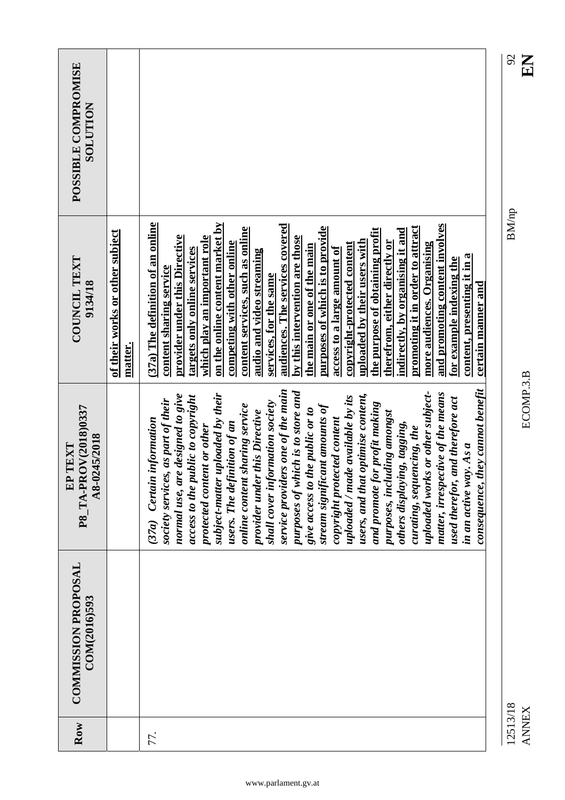| P8 TA-PROV(2018)0337<br><b>COMMISSION PROPOSAL</b>                                                                                                                                                                                                                                                                                                                                                                                                                                                                                                                                                                                                                                                                                                                                                                                                           |
|--------------------------------------------------------------------------------------------------------------------------------------------------------------------------------------------------------------------------------------------------------------------------------------------------------------------------------------------------------------------------------------------------------------------------------------------------------------------------------------------------------------------------------------------------------------------------------------------------------------------------------------------------------------------------------------------------------------------------------------------------------------------------------------------------------------------------------------------------------------|
|                                                                                                                                                                                                                                                                                                                                                                                                                                                                                                                                                                                                                                                                                                                                                                                                                                                              |
| consequence, they cannot benefit<br>service providers one of the main<br>uploaded works or other subject-<br>purposes of which is to store and<br>matter, irrespective of the means<br>users, and that optimise content,<br>normal use, are designed to give<br>access to the public to copyright<br>uploaded / made available by its<br>society services, as part of their<br>shall cover information society<br>and promote for profit making<br>online content sharing service<br>stream significant amounts of<br>give access to the public or to<br>provider under this Directive<br>purposes, including amongst<br>copyright protected content<br>users. The definition of an<br>others displaying, tagging,<br>protected content or other<br>curating, sequencing, the<br>in an active way. As a<br>(37a) Certain<br>subject-matter<br>used therefor, |

12513/18<br>ANNEX

 $\frac{8}{25}$ 

12513/18 BM/np  $\rm BM/np$ 

ANNEX ECOMP.3.B **EN** ECOMP.3.B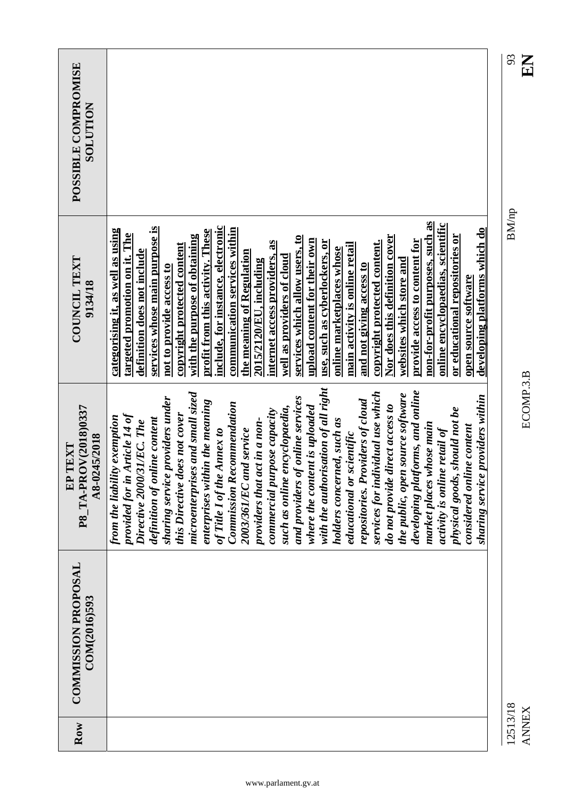|                                                 |                                                                                                                                                                                                                                                                                                                                                                                                                                                                                                                                                                                                                                                                                                                                                                                                                                                                                                                                                                                           | 93<br>EN                 |
|-------------------------------------------------|-------------------------------------------------------------------------------------------------------------------------------------------------------------------------------------------------------------------------------------------------------------------------------------------------------------------------------------------------------------------------------------------------------------------------------------------------------------------------------------------------------------------------------------------------------------------------------------------------------------------------------------------------------------------------------------------------------------------------------------------------------------------------------------------------------------------------------------------------------------------------------------------------------------------------------------------------------------------------------------------|--------------------------|
| POSSIBLE COMPROMISE<br>NOLLTION                 |                                                                                                                                                                                                                                                                                                                                                                                                                                                                                                                                                                                                                                                                                                                                                                                                                                                                                                                                                                                           |                          |
|                                                 |                                                                                                                                                                                                                                                                                                                                                                                                                                                                                                                                                                                                                                                                                                                                                                                                                                                                                                                                                                                           | <b>BM/np</b>             |
| COUNCIL TEXT<br>9134/18                         | non-for-profit purposes, such as<br>online encyclopaedias, scientific<br>include, for instance, electronic<br>services whose main purpose is<br>communication services within<br>developing platforms which do<br>categorising it, as well as using<br>profit from this activity. These<br>targeted promotion on it. The<br>Nor does this definition cover<br>or educational repositories or<br>with the purpose of obtaining<br>services which allow users, to<br>upload content for their own<br>provide access to content for<br>use, such as cyberlockers, or<br>copyright protected content.<br>as<br>main activity is online retail<br>copyright protected content<br>online marketplaces whose<br>the meaning of Regulation<br>definition does not include<br>internet access providers,<br>well as providers of cloud<br>websites which store and<br>2015/2120/EU, including<br>and not giving access to<br>not to provide access to<br>open source software                      |                          |
| P8_TA-PROV(2018)0337<br>A8-0245/2018<br>EP TEXT | with the authorisation of all right<br>developing platforms, and online<br>services for individual use which<br>microenterprises and small sized<br>the public, open source software<br>sharing service providers within<br>sharing service providers under<br>and providers of online services<br>repositories. Providers of cloud<br>enterprises within the meaning<br>Commission Recommendation<br>do not provide direct access to<br>where the content is uploaded<br>encyclopaedia,<br>physical goods, should not be<br>commercial purpose capacity<br>provided for in Article 14 of<br>this Directive does not cover<br>from the liability exemption<br>definition of online content<br>holders concerned, such as<br>providers that act in a non-<br>Directive 2000/31/EC. The<br>market places whose main<br>considered online content<br>activity is online retail of<br>2003/361/EC and service<br>of Title I of the Annex to<br>scientific<br>educational or<br>such as online | ECOMP.3.B                |
| <b>COMMISSION PROPOSAL</b><br>COM(2016)593      |                                                                                                                                                                                                                                                                                                                                                                                                                                                                                                                                                                                                                                                                                                                                                                                                                                                                                                                                                                                           |                          |
| Row                                             |                                                                                                                                                                                                                                                                                                                                                                                                                                                                                                                                                                                                                                                                                                                                                                                                                                                                                                                                                                                           | 12513/18<br><b>ANNEX</b> |

 $\begin{array}{c} 93 \\ \text{EN} \end{array}$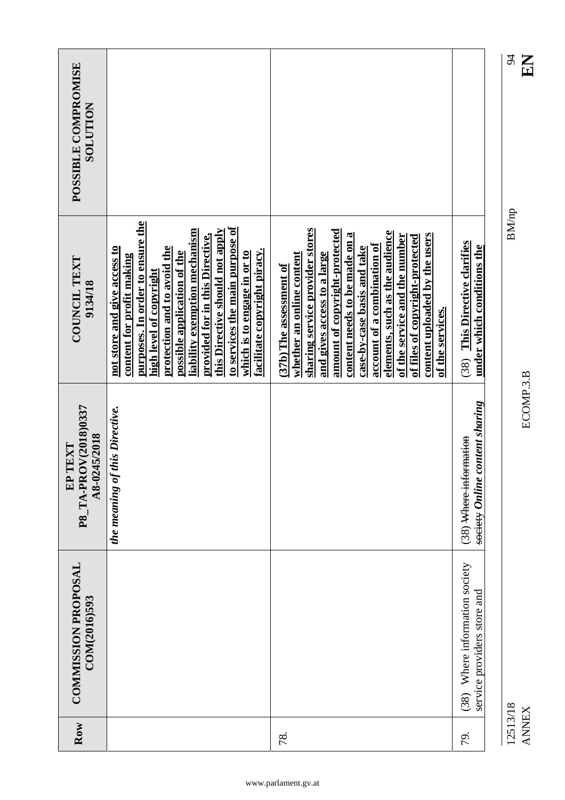|                                                           |                                                                                                                                                                                                                                                                                                                                                                                                 |                                                                                                                                                                                                                                                                                                                                                                                                                   |                                                               | $\overline{5}$ |
|-----------------------------------------------------------|-------------------------------------------------------------------------------------------------------------------------------------------------------------------------------------------------------------------------------------------------------------------------------------------------------------------------------------------------------------------------------------------------|-------------------------------------------------------------------------------------------------------------------------------------------------------------------------------------------------------------------------------------------------------------------------------------------------------------------------------------------------------------------------------------------------------------------|---------------------------------------------------------------|----------------|
| POSSIBLE COMPROMISE<br><b>SOLUTION</b>                    |                                                                                                                                                                                                                                                                                                                                                                                                 |                                                                                                                                                                                                                                                                                                                                                                                                                   |                                                               |                |
|                                                           |                                                                                                                                                                                                                                                                                                                                                                                                 |                                                                                                                                                                                                                                                                                                                                                                                                                   |                                                               | <b>BM/np</b>   |
| COUNCIL TEXT<br>9134/18                                   | purposes. In order to ensure the<br>to services the main purpose of<br>liability exemption mechanism<br>this Directive should not apply<br>provided for in this Directive,<br>protection and to avoid the<br>not store and give access to<br>facilitate copyright piracy.<br>possible application of the<br>which is to engage in or to<br>content for profit making<br>high level of copyright | sharing service provider stores<br>amount of copyright-protected<br>elements, such as the audience<br>content needs to be made on a<br>content uploaded by the users<br>of the service and the number<br>of files of copyright-protected<br>account of a combination of<br>case-by-case basis and take<br>and gives access to a large<br>whether an online content<br>(37b) The assessment of<br>of the services. | (38) This Directive clarifies<br>under which conditions the   |                |
| DV(2018)0337<br>A8-0245/2018<br>TEXT<br>P8_TA-PR<br>$E$ P | the meaning of this Directive.                                                                                                                                                                                                                                                                                                                                                                  |                                                                                                                                                                                                                                                                                                                                                                                                                   | content sharing<br>(38) Where information<br>society Online   |                |
| <b>COMMISSION PROPOSAL</b><br>COM(2016)593                |                                                                                                                                                                                                                                                                                                                                                                                                 |                                                                                                                                                                                                                                                                                                                                                                                                                   | (38) Where information society<br>service providers store and |                |
| Row                                                       |                                                                                                                                                                                                                                                                                                                                                                                                 | 78.                                                                                                                                                                                                                                                                                                                                                                                                               | 79.                                                           | 12513/18       |

www.parlament.gv.at

 $\sum_{x}$ 

ECOMP.3.B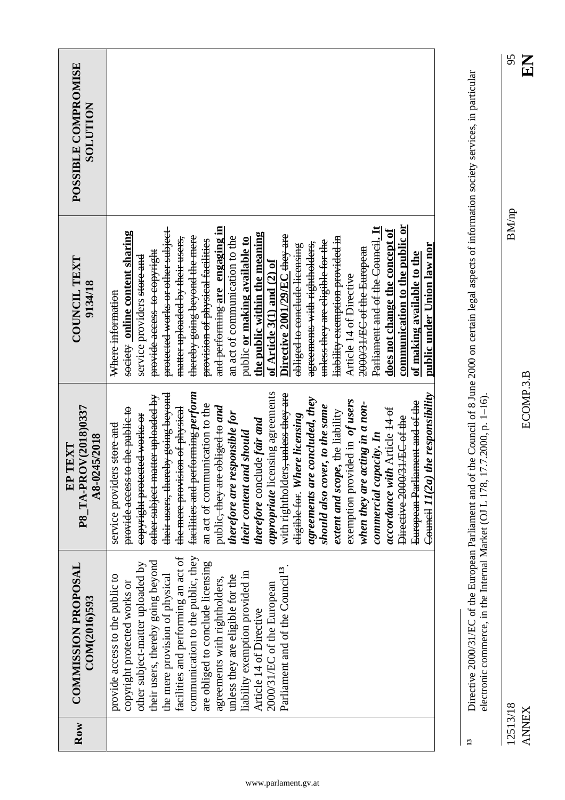| POSSIBLE COMPROMISE<br><b>NOLLTIDR</b>          |                                                                                                                                                                                                                                                                                                                                                                                                                                                                                                                                                                                                                                                                                                                                                                                                                                                                                                      |
|-------------------------------------------------|------------------------------------------------------------------------------------------------------------------------------------------------------------------------------------------------------------------------------------------------------------------------------------------------------------------------------------------------------------------------------------------------------------------------------------------------------------------------------------------------------------------------------------------------------------------------------------------------------------------------------------------------------------------------------------------------------------------------------------------------------------------------------------------------------------------------------------------------------------------------------------------------------|
| <b>COUNCIL TEXT</b><br>9134/18                  | communication to the public or<br>and performing are engaging in<br>protected works or other subject-<br>Parliament and of the Council. It<br>does not change the concept of<br>society online content sharing<br>the public within the meaning<br>Directive 2001/29/EC <del>they are</del><br>thereby going beyond the mere<br>an act of communication to the<br>Hability exemption provided in<br>matter uploaded by their users,<br>public or making available to<br>provision of physical facilities<br><del>unless they are cligible for the</del><br>agreements with rightholders,<br>public under Union law nor<br>obliged to conclude licensing<br>2000/31/EC of the European<br>provide access to copyright<br>of making available to the<br>service providers store and<br>of Article $3(1)$ and $(2)$ of<br>Article 14 of Directive<br>Where information                                  |
| P8_TA-PROV(2018)0337<br>A8-0245/2018<br>EP TEXT | facilities and performing perform<br>appropriate licensing agreements<br>their users, thereby going beyond<br>the responsibility<br>with rightholders <del>, unless they are</del><br>other subject matter uploaded by<br>agreements are concluded, they<br>exemption provided in of users<br>European Parliament and of the<br>when they are acting in a non-<br>an act of communication to the<br>should also cover, to the same<br>the mere provision of physical<br>public <del>, they are obliged to</del> and<br>accordance with Article 14 of<br>provide access to the public to<br>extent and scope, the liability<br>therefore are responsible for<br>copyright protected works or<br>eligible for. Where licensing<br>Directive 2000/31/EC of the<br>therefore conclude fair and<br>service providers store and<br>their content and should<br>commercial capacity. In<br>Council $II(2a)$ |
| <b>COMMISSION PROPOSAL</b><br>COM(2016)593      | communication to the public, they<br>facilities and performing an act of<br>their users, thereby going beyond<br>are obliged to conclude licensing<br>other subject-matter uploaded by<br>Parliament and of the Council <sup>13</sup> .<br>liability exemption provided in<br>provide access to the public to<br>the mere provision of physical<br>unless they are eligible for the<br>agreements with rightholders,<br>copyright protected works or<br>2000/31/EC of the European<br>Article 14 of Directive                                                                                                                                                                                                                                                                                                                                                                                        |
| Row                                             |                                                                                                                                                                                                                                                                                                                                                                                                                                                                                                                                                                                                                                                                                                                                                                                                                                                                                                      |

Directive 2000/31/EC of the European Parliament and of the Council of 8 June 2000 on certain legal aspects of information society services, in particular electronic commerce, in the Internal Market (OJ L 178, 17.7.2000, p. **13** Directive 2000/31/EC of the European Parliament and of the Council of 8 June 2000 on certain legal aspects of information society services, in particular electronic commerce, in the Internal Market (OJ L 178, 17.7.2000, p. 1–16).  $\overline{13}$ 

12513/18 BM/np 95 12513/18<br>ANNEX

 $\frac{95}{26}$ 

 $\rm BM/np$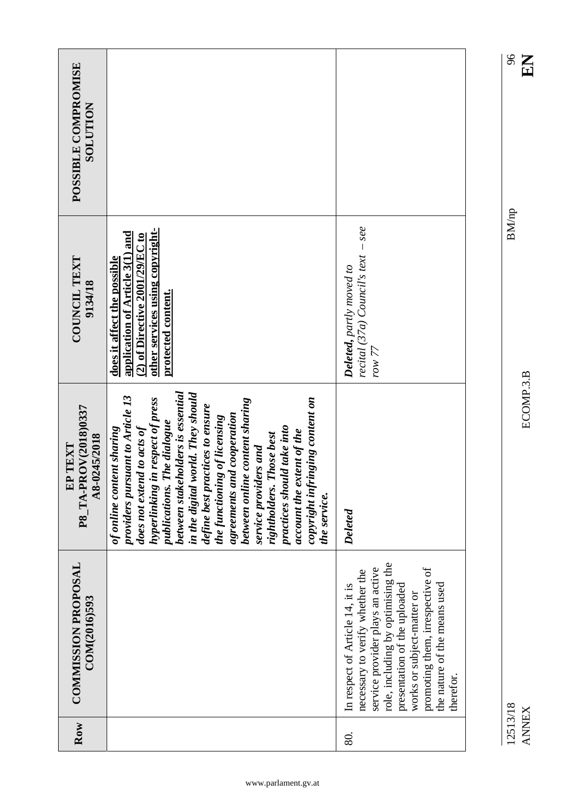| POSSIBLE COMPROMISE<br>NOILUTION                |                                                                                                                                                                                                                                                                                                                                                                                                                                                                                                                                               |                                                                                                                                                                                                                                                                                           |
|-------------------------------------------------|-----------------------------------------------------------------------------------------------------------------------------------------------------------------------------------------------------------------------------------------------------------------------------------------------------------------------------------------------------------------------------------------------------------------------------------------------------------------------------------------------------------------------------------------------|-------------------------------------------------------------------------------------------------------------------------------------------------------------------------------------------------------------------------------------------------------------------------------------------|
| <b>COUNCIL TEXT</b><br>9134/18                  | other services using copyright-<br>application of Article 3(1) and<br>$(2)$ of Directive 2001/29/EC to<br>does it affect the possible<br>protected content.                                                                                                                                                                                                                                                                                                                                                                                   | $-$ see<br>recital (37a) Council's text<br>Deleted, partly moved to<br>row 77                                                                                                                                                                                                             |
| P8_TA-PROV(2018)0337<br>A8-0245/2018<br>EP TEXT | between stakeholders is essential<br>in the digital world. They should<br>providers pursuant to Article 13<br>hyperlinking in respect of press<br>between online content sharing<br>copyright infringing content on<br>define best practices to ensure<br>agreements and cooperation<br>the functioning of licensing<br>publications. The dialogue<br>does not extend to acts of<br>practices should take into<br>of online content sharing<br>account the extent of the<br>rightholders. Those best<br>service providers and<br>the service. | Deleted                                                                                                                                                                                                                                                                                   |
| <b>COMMISSION PROPOSAL</b><br>COM(2016)593      |                                                                                                                                                                                                                                                                                                                                                                                                                                                                                                                                               | role, including by optimising the<br>promoting them, irrespective of<br>service provider plays an active<br>necessary to verify whether the<br>presentation of the uploaded<br>the nature of the means used<br>In respect of Article 14, it is<br>works or subject-matter or<br>therefor. |
| Row                                             |                                                                                                                                                                                                                                                                                                                                                                                                                                                                                                                                               | 80.                                                                                                                                                                                                                                                                                       |

ECOMP.3.B

 $\frac{8}{11}$ 

 $\rm BM/np$ 

ANNEX ECOMP.3.B **EN**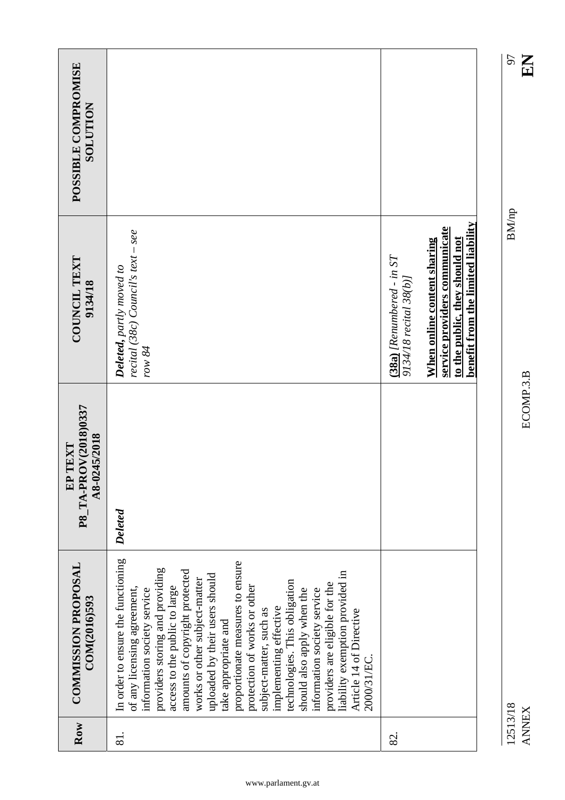| POSSIBLE COMPROMISE<br>NOLLTION                 |                                                                                                                                                                                                                                                                                                                                                                                                                                                                                                                                                                                                                                         |                                                       |                                                                                                                                      |
|-------------------------------------------------|-----------------------------------------------------------------------------------------------------------------------------------------------------------------------------------------------------------------------------------------------------------------------------------------------------------------------------------------------------------------------------------------------------------------------------------------------------------------------------------------------------------------------------------------------------------------------------------------------------------------------------------------|-------------------------------------------------------|--------------------------------------------------------------------------------------------------------------------------------------|
| <b>COUNCIL TEXT</b><br>9134/18                  | $recall (38c)$ Council's text – see<br><b>Deleted,</b> partly moved to<br>row $84$                                                                                                                                                                                                                                                                                                                                                                                                                                                                                                                                                      | $(38a)$ [Renumbered - in ST<br>9134/18 recital 38(b)] | benefit from the limited liability<br>service providers communicate<br>to the public, they should not<br>When online content sharing |
| P8_TA-PROV(2018)0337<br>A8-0245/2018<br>EP TEXT | Deleted                                                                                                                                                                                                                                                                                                                                                                                                                                                                                                                                                                                                                                 |                                                       |                                                                                                                                      |
| <b>COMMISSION PROPOSAL</b><br>COM(2016)593      | In order to ensure the functioning<br>proportionate measures to ensure<br>providers storing and providing<br>amounts of copyright protected<br>liability exemption provided in<br>uploaded by their users should<br>works or other subject-matter<br>technologies. This obligation<br>providers are eligible for the<br>protection of works or other<br>access to the public to large<br>of any licensing agreement,<br>should also apply when the<br>information society service<br>information society service<br>implementing effective<br>Article 14 of Directive<br>subject-matter, such as<br>take appropriate and<br>2000/31/EC. |                                                       |                                                                                                                                      |
| Row                                             | 81.                                                                                                                                                                                                                                                                                                                                                                                                                                                                                                                                                                                                                                     | 82.                                                   |                                                                                                                                      |

12513/18 BM/np 97 12513/18<br>ANNEX

 $\rm BM/np$ 

 $\frac{62}{26}$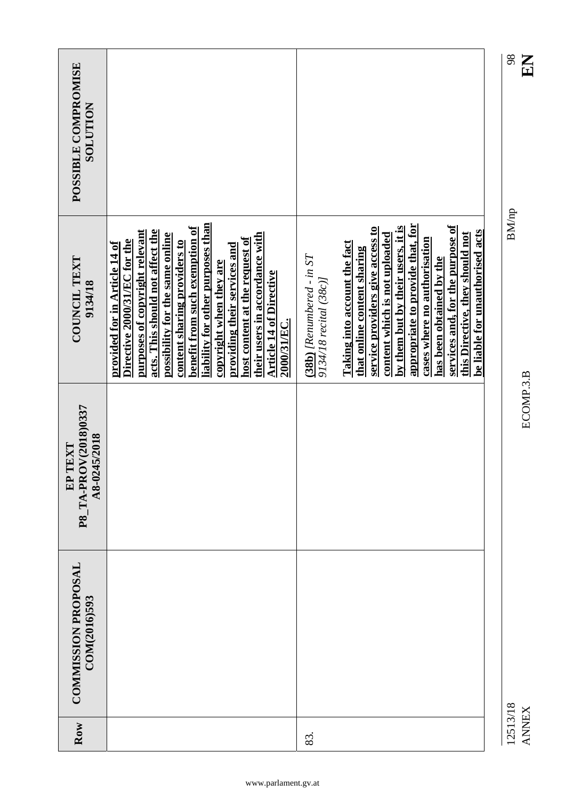| POSSIBLE COMPROMISE<br><b>NOLLUTION</b>                                     |                                                                                                                                                                                                                                                                                                                                                                                                                                                                      |                                                                                                                                                                                                                                                                                                                                                                                                                                          | 98<br><b>KH</b>          |
|-----------------------------------------------------------------------------|----------------------------------------------------------------------------------------------------------------------------------------------------------------------------------------------------------------------------------------------------------------------------------------------------------------------------------------------------------------------------------------------------------------------------------------------------------------------|------------------------------------------------------------------------------------------------------------------------------------------------------------------------------------------------------------------------------------------------------------------------------------------------------------------------------------------------------------------------------------------------------------------------------------------|--------------------------|
| COUNCIL TEXT<br>9134/18                                                     | liability for other purposes than<br>benefit from such exemption of<br>purposes of copyright relevant<br>acts. This should not affect the<br>their users in accordance with<br>possibility for the same online<br>host content at the request of<br>Directive 2000/31/EC for the<br>content sharing providers to<br>provided for in Article 14 of<br>providing their services and<br>copyright when they are<br><b>Article 14 of Directive</b><br><b>2000/31/EC.</b> | appropriate to provide that, for<br>services and, for the purpose of<br>by them but by their users, it is<br>service providers give access to<br>be liable for unauthorised acts<br>this Directive, they should not<br>content which is not uploaded<br>cases where no authorisation<br>Taking into account the fact<br>that online content sharing<br>$(38b)$ [Renumbered - in ST<br>has been obtained by the<br>9134/18 recital (38c)] | <b>BM/np</b>             |
| <b>DV(2018)0337</b><br>A8-0245/2018<br>TEXT<br>EP <sub>1</sub><br>P8_TA-PRC |                                                                                                                                                                                                                                                                                                                                                                                                                                                                      |                                                                                                                                                                                                                                                                                                                                                                                                                                          | ECOMP.3.B                |
| <b>COMMISSION PROPOSAL</b><br>COM(2016)593                                  |                                                                                                                                                                                                                                                                                                                                                                                                                                                                      |                                                                                                                                                                                                                                                                                                                                                                                                                                          |                          |
| Row                                                                         |                                                                                                                                                                                                                                                                                                                                                                                                                                                                      | 83.                                                                                                                                                                                                                                                                                                                                                                                                                                      | 12513/18<br><b>ANNEX</b> |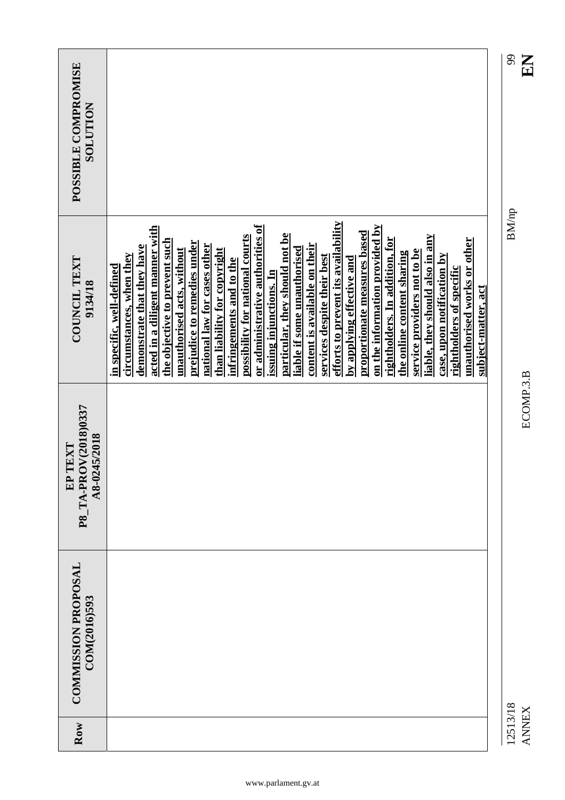| Row      | <b>COMMISSION PROPOSAL</b><br>COM(2016)593 | P8_TA-PROV(2018)0337<br>A8-0245/2018<br>TEXT<br>$E$ P | COUNCIL TEXT<br>9134/18                                                                                                                                                                                                                                                                                                                                                                                                                                                                                                                                                                                                                                                                                                                                                                                                                                                                                                                            | POSSIBLE COMPROMISE<br><b>SOLUTION</b> |
|----------|--------------------------------------------|-------------------------------------------------------|----------------------------------------------------------------------------------------------------------------------------------------------------------------------------------------------------------------------------------------------------------------------------------------------------------------------------------------------------------------------------------------------------------------------------------------------------------------------------------------------------------------------------------------------------------------------------------------------------------------------------------------------------------------------------------------------------------------------------------------------------------------------------------------------------------------------------------------------------------------------------------------------------------------------------------------------------|----------------------------------------|
|          |                                            |                                                       | efforts to prevent its availability<br>or administrative authorities of<br>on the information provided by<br>acted in a diligent manner with<br>proportionate measures based<br>particular, they should not be<br>liable, they should also in any<br>possibility for national courts<br>rightholders. In addition, for<br>unauthorised works or other<br>the objective to prevent such<br>prejudice to remedies under<br>content is available on their<br>national law for cases other<br>demonstrate that they have<br>liable if some unauthorised<br>unauthorised acts, without<br>than liability for copyright<br>service providers not to be<br><u>the online content sharing</u><br>case, upon notification by<br>circumstances, when they<br>services despite their best<br>by applying effective and<br>infringements and to the<br>in specific, well-defined<br>rightholders of specific<br>issuing injunctions. In<br>subject-matter, act |                                        |
| 12513/18 |                                            |                                                       | <b>BM/np</b>                                                                                                                                                                                                                                                                                                                                                                                                                                                                                                                                                                                                                                                                                                                                                                                                                                                                                                                                       | 99                                     |

 $\begin{array}{c} 99 \\ \text{KJ} \end{array}$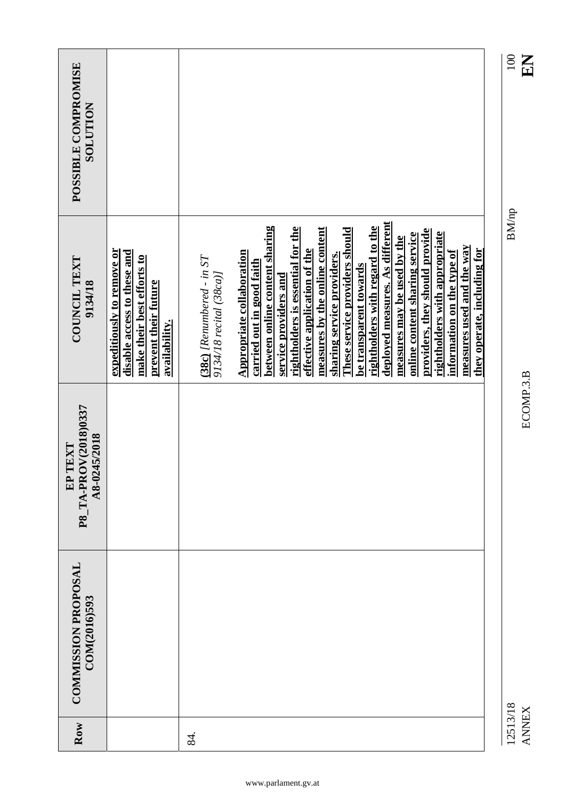|                                                         |                                                                                                                                  |                                                                                                                                                                                                                                                                                                                                                                                                                                                                                                                                                                                                                                                                                         | 100<br>$\mathbf{K}$      |
|---------------------------------------------------------|----------------------------------------------------------------------------------------------------------------------------------|-----------------------------------------------------------------------------------------------------------------------------------------------------------------------------------------------------------------------------------------------------------------------------------------------------------------------------------------------------------------------------------------------------------------------------------------------------------------------------------------------------------------------------------------------------------------------------------------------------------------------------------------------------------------------------------------|--------------------------|
| POSSIBLE COMPROMISE<br><b>NOLLTIDR</b>                  |                                                                                                                                  |                                                                                                                                                                                                                                                                                                                                                                                                                                                                                                                                                                                                                                                                                         |                          |
| COUNCIL TEXT<br>9134/18                                 | expeditiously to remove or<br>disable access to these and<br>make their best efforts to<br>prevent their future<br>availability. | deployed measures. As different<br>rightholders with regard to the<br>between online content sharing<br>rightholders is essential for the<br>measures by the online content<br>These service providers should<br>providers, they should provide<br>rightholders with appropriate<br>online content sharing service<br>measures may be used by the<br>measures used and the way<br>they operate, including for<br>information on the type of<br>effective application of the<br><b>Appropriate collaboration</b><br>sharing service providers.<br>$(38c)$ [Renumbered - in ST<br>carried out in good faith<br>be transparent towards<br>9134/18 recital (38ca)]<br>service providers and | <b>BM/np</b>             |
| <b>EP TEXT<br/>P8_TA-PROV(2018)0337</b><br>A8-0245/2018 |                                                                                                                                  |                                                                                                                                                                                                                                                                                                                                                                                                                                                                                                                                                                                                                                                                                         | ECOMP.3.B                |
| <b>COMMISSION PROPOSAL</b><br>COM(2016)593              |                                                                                                                                  |                                                                                                                                                                                                                                                                                                                                                                                                                                                                                                                                                                                                                                                                                         |                          |
| Row                                                     |                                                                                                                                  | 84.                                                                                                                                                                                                                                                                                                                                                                                                                                                                                                                                                                                                                                                                                     | 12513/18<br><b>ANNEX</b> |

## ANNEX ECOMP.3.B **EN**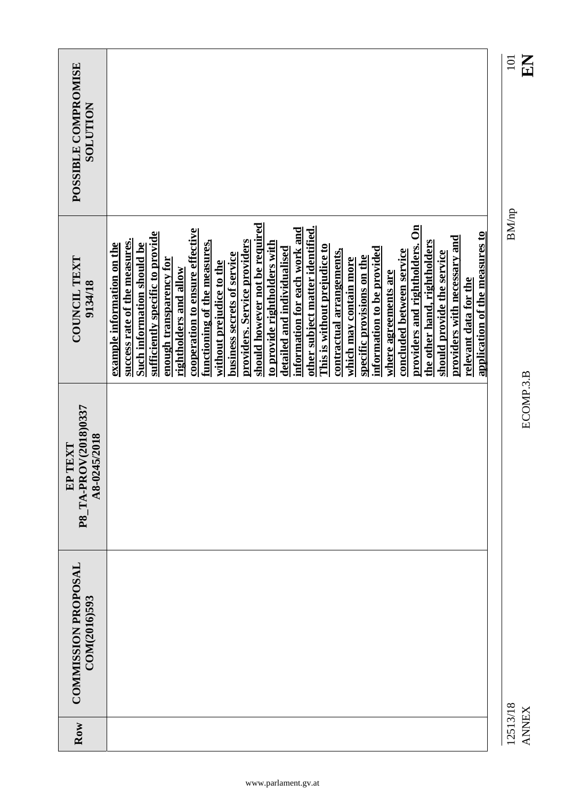|                                                    |                                                                                                                                                                                                                                                                                                                                                                                                                                                                                                                                                                                                                                                                                                                                                                                                                                                                                                                                  | KN<br>$101\,$            |
|----------------------------------------------------|----------------------------------------------------------------------------------------------------------------------------------------------------------------------------------------------------------------------------------------------------------------------------------------------------------------------------------------------------------------------------------------------------------------------------------------------------------------------------------------------------------------------------------------------------------------------------------------------------------------------------------------------------------------------------------------------------------------------------------------------------------------------------------------------------------------------------------------------------------------------------------------------------------------------------------|--------------------------|
| POSSIBLE COMPROMISE<br><b>NOLLTIDR</b>             |                                                                                                                                                                                                                                                                                                                                                                                                                                                                                                                                                                                                                                                                                                                                                                                                                                                                                                                                  |                          |
|                                                    |                                                                                                                                                                                                                                                                                                                                                                                                                                                                                                                                                                                                                                                                                                                                                                                                                                                                                                                                  | <b>BM/np</b>             |
| COUNCIL TEXT<br>9134/18                            | should however not be required<br>providers and rightholders. On<br>other subject matter identified.<br>information for each work and<br>cooperation to ensure effective<br>sufficiently specific to provide<br>application of the measures to<br>providers with necessary and<br>success rate of the measures.<br>providers. Service providers<br>functioning of the measures,<br>the other hand, rightholders<br>to provide rightholders with<br>example information on the<br><b>Such information should be</b><br>This is without prejudice to<br>detailed and individualised<br>information to be provided<br>contractual arrangements,<br>concluded between service<br>should provide the service<br>business secrets of service<br>specific provisions on the<br>enough transparency for<br>which may contain more<br>without prejudice to the<br>rightholders and allow<br>where agreements are<br>relevant data for the |                          |
| P8_TA-PROV(2018)0337<br>A8-0245/2018<br>TEXT<br>EP |                                                                                                                                                                                                                                                                                                                                                                                                                                                                                                                                                                                                                                                                                                                                                                                                                                                                                                                                  | ECOMP.3.B                |
| <b>COMMISSION PROPOSAL</b><br>COM(2016)593         |                                                                                                                                                                                                                                                                                                                                                                                                                                                                                                                                                                                                                                                                                                                                                                                                                                                                                                                                  |                          |
| Row                                                |                                                                                                                                                                                                                                                                                                                                                                                                                                                                                                                                                                                                                                                                                                                                                                                                                                                                                                                                  | 12513/18<br><b>ANNEX</b> |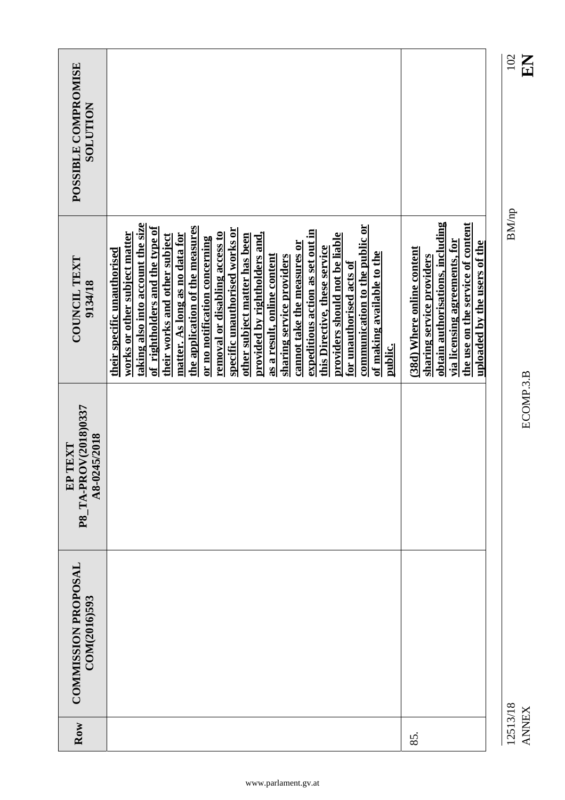|                                                                      |                                                                                                                                                                                                                                                                                                                                                                                                                                                                                                                                                                                                                                                                                                                                   |                                                                                                                                                                                                          | 102<br>E                 |
|----------------------------------------------------------------------|-----------------------------------------------------------------------------------------------------------------------------------------------------------------------------------------------------------------------------------------------------------------------------------------------------------------------------------------------------------------------------------------------------------------------------------------------------------------------------------------------------------------------------------------------------------------------------------------------------------------------------------------------------------------------------------------------------------------------------------|----------------------------------------------------------------------------------------------------------------------------------------------------------------------------------------------------------|--------------------------|
| POSSIBLE COMPROMISE<br><b>NOLLTIDR</b>                               |                                                                                                                                                                                                                                                                                                                                                                                                                                                                                                                                                                                                                                                                                                                                   |                                                                                                                                                                                                          |                          |
|                                                                      |                                                                                                                                                                                                                                                                                                                                                                                                                                                                                                                                                                                                                                                                                                                                   |                                                                                                                                                                                                          |                          |
| COUNCIL TEXT<br>9134/18                                              | taking also into account the size<br>communication to the public or<br>the application of the measures<br>of rightholders and the type of<br>specific unauthorised works or<br>expeditious action as set out in<br>removal or disabling access to<br>provided by rightholders and,<br>works or other subject matter<br>matter. As long as no data for<br>providers should not be liable<br>other subject matter has been<br>their works and other subject<br>or no notification concerning<br>cannot take the measures or<br>this Directive, these service<br>their specific unauthorised<br><u>of making available to the</u><br>as a result, online content<br>sharing service providers<br>for unauthorised acts of<br>public. | obtain authorisations, including<br>the use on the service of content<br>via licensing agreements, for<br>uploaded by the users of the<br>(38d) Where online content<br><u>sharing service providers</u> | BM/np                    |
| DV(2018)0337<br>A8-0245/2018<br>TEXT<br>EP <sub>1</sub><br>P8_TA-PRC |                                                                                                                                                                                                                                                                                                                                                                                                                                                                                                                                                                                                                                                                                                                                   |                                                                                                                                                                                                          | ECOMP.3.B                |
| <b>COMMISSION PROPOSAL</b><br>COM(2016)593                           |                                                                                                                                                                                                                                                                                                                                                                                                                                                                                                                                                                                                                                                                                                                                   |                                                                                                                                                                                                          |                          |
| Row                                                                  |                                                                                                                                                                                                                                                                                                                                                                                                                                                                                                                                                                                                                                                                                                                                   | 85.                                                                                                                                                                                                      | 12513/18<br><b>ANNEX</b> |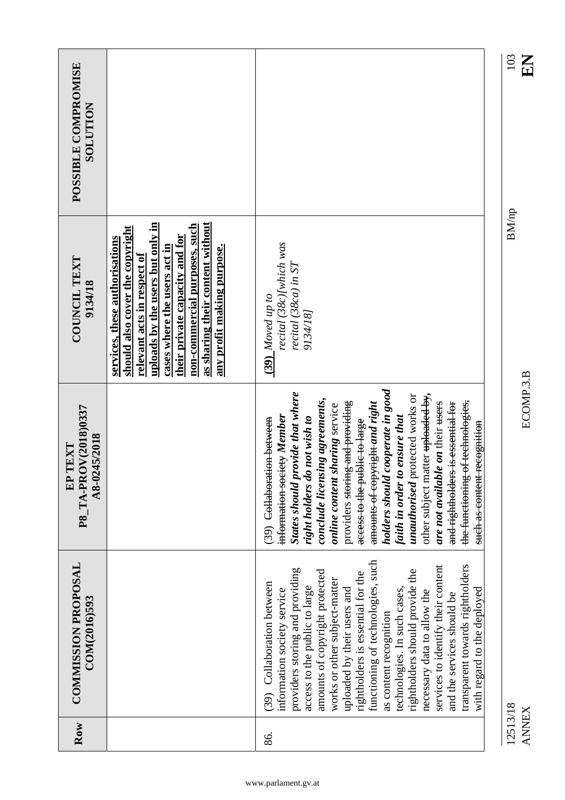|                                                    |                                                                                                                                                                                                                                                                                                           |                                                                                                                                                                                                                                                                                                                                                                                                                                                                                                                                                                                                             | 103<br>$\mathbf{E}$      |
|----------------------------------------------------|-----------------------------------------------------------------------------------------------------------------------------------------------------------------------------------------------------------------------------------------------------------------------------------------------------------|-------------------------------------------------------------------------------------------------------------------------------------------------------------------------------------------------------------------------------------------------------------------------------------------------------------------------------------------------------------------------------------------------------------------------------------------------------------------------------------------------------------------------------------------------------------------------------------------------------------|--------------------------|
| POSSIBLE COMPROMISE<br><b>SOLUTION</b>             |                                                                                                                                                                                                                                                                                                           |                                                                                                                                                                                                                                                                                                                                                                                                                                                                                                                                                                                                             |                          |
| COUNCIL TEXT<br>9134/18                            | as sharing their content without<br>uploads by the users but only in<br>non-commercial purposes, such<br>should also cover the copyright<br>their private capacity and for<br>services, these authorisations<br>any profit making purpose.<br>cases where the users act in<br>relevant acts in respect of | recital (38c)[which was<br>recital (38ca) in ST<br>$(39)$ Moved up to<br>9134/18]                                                                                                                                                                                                                                                                                                                                                                                                                                                                                                                           | <b>BM/np</b>             |
| P8_TA-PROV(2018)0337<br>A8-0245/2018<br>TEXT<br>EP |                                                                                                                                                                                                                                                                                                           | holders should cooperate in good<br>States should provide that where<br>other subject matter <del>uploaded by</del> ,<br>unauthorised protected works or<br>conclude licensing agreements,<br>the functioning of technologies,<br>providers storing and providing<br>and rightholders is essential for<br>amounts of copyright and right<br>are not available on their users<br>online content sharing service<br>information society Member<br>faith in order to ensure that<br>(39) Collaboration between<br>right holders do not wish to<br>access to the public to large<br>such as content recognition | ECOMP.3.B                |
| <b>COMMISSION PROPOSAL</b><br>COM(2016)593         |                                                                                                                                                                                                                                                                                                           | functioning of technologies, such<br>services to identify their content<br>transparent towards rightholders<br>providers storing and providing<br>rightholders should provide the<br>amounts of copyright protected<br>rightholders is essential for the<br>works or other subject-matter<br>Collaboration between<br>access to the public to large<br>technologies. In such cases,<br>uploaded by their users and<br>with regard to the deployed<br>information society service<br>necessary data to allow the<br>and the services should be<br>as content recognition<br>(39)                             |                          |
| Row                                                |                                                                                                                                                                                                                                                                                                           | 86.                                                                                                                                                                                                                                                                                                                                                                                                                                                                                                                                                                                                         | 12513/18<br><b>ANNEX</b> |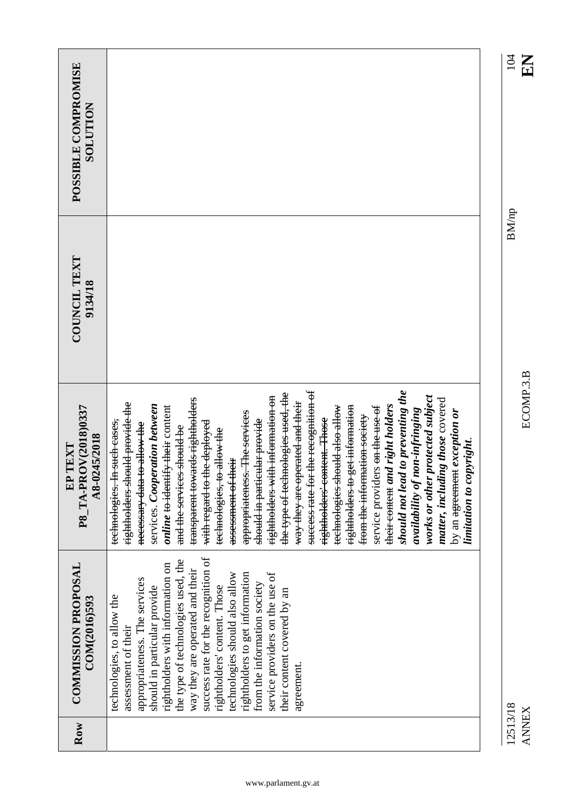| Row                      | <b>COMMISSION PROPOSAL</b><br>COM(2016)593                                                                                                                                                                                                                                                                                                                                                                                                                                                  | P8_TA-PROV(2018)0337<br>A8-0245/2018<br>TEXT<br>EP                                                                                                                                                                                                                                                                                                                                                                                                                                                                                                                                                                                                                                                                                                                                                                                                                                                                                                                                                 | COUNCIL TEXT<br>9134/18 | POSSIBLE COMPROMISE<br><b>SOLUTION</b> |
|--------------------------|---------------------------------------------------------------------------------------------------------------------------------------------------------------------------------------------------------------------------------------------------------------------------------------------------------------------------------------------------------------------------------------------------------------------------------------------------------------------------------------------|----------------------------------------------------------------------------------------------------------------------------------------------------------------------------------------------------------------------------------------------------------------------------------------------------------------------------------------------------------------------------------------------------------------------------------------------------------------------------------------------------------------------------------------------------------------------------------------------------------------------------------------------------------------------------------------------------------------------------------------------------------------------------------------------------------------------------------------------------------------------------------------------------------------------------------------------------------------------------------------------------|-------------------------|----------------------------------------|
|                          | success rate for the recognition of<br>the type of technologies used, the<br>rightholders with information on<br>way they are operated and their<br>service providers on the use of<br>technologies should also allow<br>rightholders to get information<br>appropriateness. The services<br>from the information society<br>rightholders' content. Those<br>should in particular provide<br>their content covered by an<br>technologies, to allow the<br>assessment of their<br>agreement. | success rate for the recognition of<br>to preventing the<br>the type of technologies used, the<br>works or other protected subject<br>rightholders with information on<br>transparent towards rightholders<br>matter, including those covered<br>way they are operated and their<br>rightholders should provide the<br>services. Cooperation between<br>their-centent and right holders<br>rightholders to get information<br><i>online</i> to identify their content<br>technologies should also allow<br>service providers <del>on the use of</del><br>availability of non-infringing<br>by an <del>agreement</del> exception or<br>appropriateness. The services<br>from the information society<br>rightholders' content. Those<br>should in particular provide<br>technologies. In such cases,<br>with regard to the deployed<br>necessary data to allow the<br>and the services should be<br>technologies, to allow the<br>limitation to copyright<br>assessment of their<br>should not lead |                         |                                        |
| 12513/18<br><b>ANNEX</b> |                                                                                                                                                                                                                                                                                                                                                                                                                                                                                             | ECOMP.3.B                                                                                                                                                                                                                                                                                                                                                                                                                                                                                                                                                                                                                                                                                                                                                                                                                                                                                                                                                                                          | <b>BM/np</b>            | 104                                    |
|                          |                                                                                                                                                                                                                                                                                                                                                                                                                                                                                             |                                                                                                                                                                                                                                                                                                                                                                                                                                                                                                                                                                                                                                                                                                                                                                                                                                                                                                                                                                                                    |                         | KH                                     |

 $\frac{3}{2}$   $\frac{1}{2}$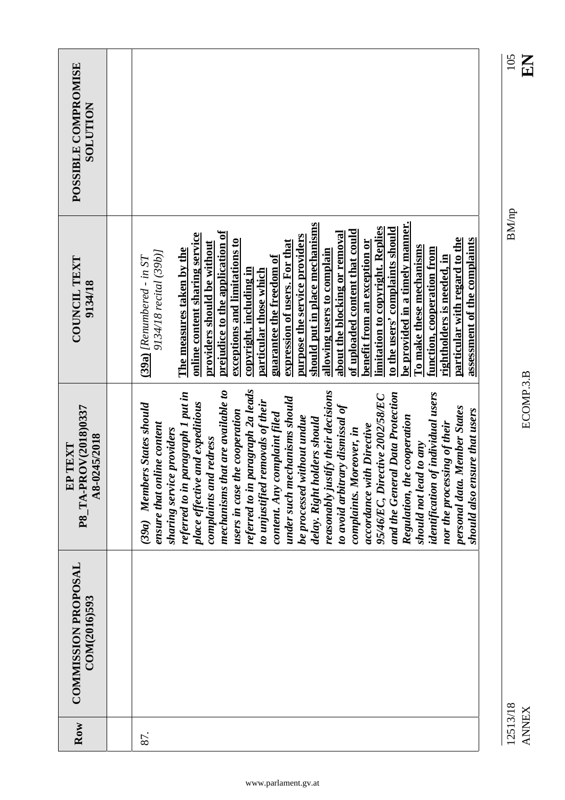| Row | <b>COMMISSION PROPOSAL</b><br>COM(2016)593 | P8_TA-PROV(2018)0337<br>A8-0245/2018<br>EP TEXT                                                                                                                                                                                                                                                                                                                                                                                                                                                                                                                                                                                                                                                                                                                                                                                                                           | COUNCIL TEXT<br>9134/18                                                                                                                                                                                                                                                                                                                                                                                                                                                                                                                                                                                                                                                                                                                                                                                                                 | POSSIBLE COMPROMISE<br>NOLLLIN |
|-----|--------------------------------------------|---------------------------------------------------------------------------------------------------------------------------------------------------------------------------------------------------------------------------------------------------------------------------------------------------------------------------------------------------------------------------------------------------------------------------------------------------------------------------------------------------------------------------------------------------------------------------------------------------------------------------------------------------------------------------------------------------------------------------------------------------------------------------------------------------------------------------------------------------------------------------|-----------------------------------------------------------------------------------------------------------------------------------------------------------------------------------------------------------------------------------------------------------------------------------------------------------------------------------------------------------------------------------------------------------------------------------------------------------------------------------------------------------------------------------------------------------------------------------------------------------------------------------------------------------------------------------------------------------------------------------------------------------------------------------------------------------------------------------------|--------------------------------|
|     |                                            |                                                                                                                                                                                                                                                                                                                                                                                                                                                                                                                                                                                                                                                                                                                                                                                                                                                                           |                                                                                                                                                                                                                                                                                                                                                                                                                                                                                                                                                                                                                                                                                                                                                                                                                                         |                                |
| 87. |                                            | referred to in paragraph 2a leads<br>mechanisms that are available to<br>reasonably justify their decisions<br>referred to in paragraph 1 put in<br>and the General Data Protection<br>identification of individual users<br>95/46/EC, Directive 2002/58/EC<br>under such mechanisms should<br>to unjustified removals of their<br>place effective and expeditious<br>(39a) Members States should<br>to avoid arbitrary dismissal of<br>personal data. Member States<br>should also ensure that users<br>users in case the cooperation<br>content. Any complaint filed<br>Regulation, the cooperation<br>be processed without undue<br>delay. Right holders should<br>nor the processing of their<br>ensure that online content<br>accordance with Directive<br>sharing service providers<br>complaints. Moreover, in<br>complaints and redress<br>should not lead to any | be provided in a timely manner.<br>should put in place mechanisms<br><u>limitation to copyright. Replies</u><br>to the users' complaints should<br>of uploaded content that could<br>prejudice to the application of<br>about the blocking or removal<br><u>online content sharing service</u><br>purpose the service providers<br>particular with regard to the<br>assessment of the complaints<br>exceptions and limitations to<br>benefit from an exception or<br>providers should be without<br>expression of users. For that<br><u> I'o make these mechanisms</u><br>function, cooperation from<br>The measures taken by the<br>allowing users to complain<br>9134/18 recital (39b)]<br>guarantee the freedom of<br>rightholders is needed, in<br>$(39a)$ [Renumbered - in ST<br>copyright, including in<br>particular those which |                                |

12513/18<br>ANNEX

12513/18 BM/np  $\rm BM/np$ 

 $\frac{105}{E}$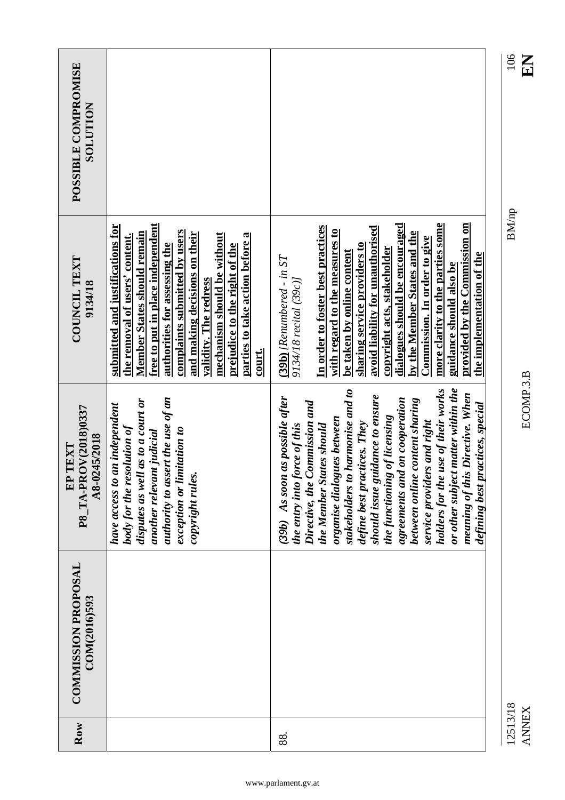|                                                                  |                                                                                                                                                                                                                                                                                                                                                                                |                                                                                                                                                                                                                                                                                                                                                                                                                                                                                                                                                                | 106<br>EN                |
|------------------------------------------------------------------|--------------------------------------------------------------------------------------------------------------------------------------------------------------------------------------------------------------------------------------------------------------------------------------------------------------------------------------------------------------------------------|----------------------------------------------------------------------------------------------------------------------------------------------------------------------------------------------------------------------------------------------------------------------------------------------------------------------------------------------------------------------------------------------------------------------------------------------------------------------------------------------------------------------------------------------------------------|--------------------------|
| POSSIBLE COMPROMISE<br><b>NOLLTIDR</b>                           |                                                                                                                                                                                                                                                                                                                                                                                |                                                                                                                                                                                                                                                                                                                                                                                                                                                                                                                                                                |                          |
|                                                                  |                                                                                                                                                                                                                                                                                                                                                                                |                                                                                                                                                                                                                                                                                                                                                                                                                                                                                                                                                                |                          |
| COUNCIL TEXT<br>9134/18                                          | free to put in place independent<br>submitted and justifications for<br>complaints submitted by users<br>Member States should remain<br>and making decisions on their<br>mechanism should be without<br>parties to take action before a<br>the removal of users' content.<br>authorities for assessing the<br>prejudice to the right of the<br>validity. The redress<br>court. | more clarity to the parties some<br>provided by the Commission on<br>dialogues should be encouraged<br>In order to foster best practices<br>avoid liability for unauthorised<br>with regard to the measures to<br>by the Member States and the<br><b>Commission. In order to give</b><br>sharing service providers to<br>copyright acts, stakeholder<br>be taken by online content<br>the implementation of the<br>$(39b)$ [Renumbered - in ST]<br>guidance should also be<br>9134/18 recital (39c)]                                                           | <b>BM/np</b>             |
| P8_TA-PROV(2018)0337<br>A8-0245/2018<br>TEXT<br>$E$ <sup>-</sup> | authority to assert the use of an<br>disputes as well as to a court or<br>have access to an independent<br>body for the resolution of<br>exception or limitation to<br>another relevant judicial<br>copyright rules.                                                                                                                                                           | or other subject matter within the<br>stakeholders to harmonise and to<br>holders for the use of their works<br>meaning of this Directive. When<br>should issue guidance to ensure<br>as possible after<br>agreements and on cooperation<br>between online content sharing<br>Directive, the Commission and<br>actices, special<br>the functioning of licensing<br>organise dialogues between<br>service providers and right<br>define best practices. They<br>the entry into force of this<br>the Member States should<br>defining best pr<br>$(39b)$ As soon | ECOMP.3.B                |
| <b>COMMISSION PROPOSAL</b><br>COM(2016)593                       |                                                                                                                                                                                                                                                                                                                                                                                |                                                                                                                                                                                                                                                                                                                                                                                                                                                                                                                                                                |                          |
| Row                                                              |                                                                                                                                                                                                                                                                                                                                                                                | 88.                                                                                                                                                                                                                                                                                                                                                                                                                                                                                                                                                            | 12513/18<br><b>ANNEX</b> |

 $\frac{106}{E}$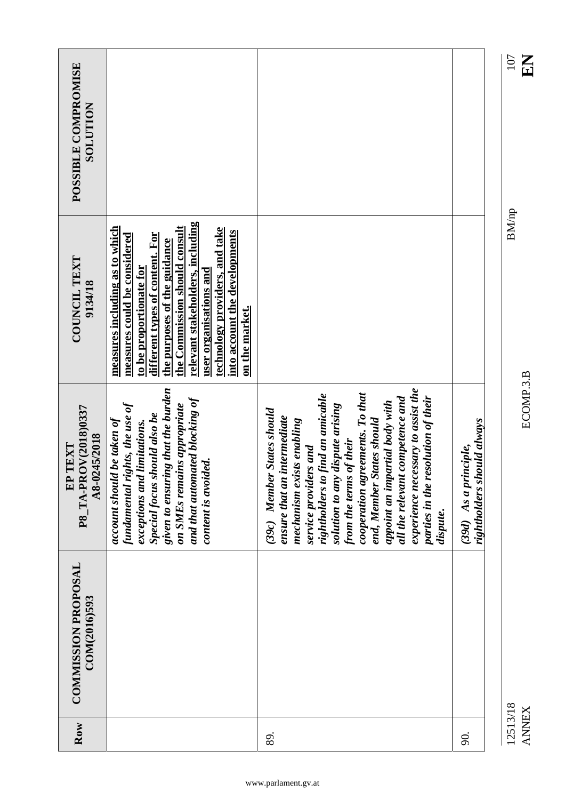| POSSIBLE COMPROMISE<br><b>NOLLTION</b>                       |                                                                                                                                                                                                                                                                                                                                                  |                                                                                                                                                                                                                                                                                                                                                                                                                                                             |                                                     |  |
|--------------------------------------------------------------|--------------------------------------------------------------------------------------------------------------------------------------------------------------------------------------------------------------------------------------------------------------------------------------------------------------------------------------------------|-------------------------------------------------------------------------------------------------------------------------------------------------------------------------------------------------------------------------------------------------------------------------------------------------------------------------------------------------------------------------------------------------------------------------------------------------------------|-----------------------------------------------------|--|
| <b>COUNCIL TEXT</b><br>9134/18                               | relevant stakeholders, including<br>the Commission should consult<br>measures including as to which<br>technology providers, and take<br>into account the developments<br>measures could be considered<br>different types of content. For<br>the purposes of the guidance<br>to be proportionate for<br>user organisations and<br>on the market. |                                                                                                                                                                                                                                                                                                                                                                                                                                                             |                                                     |  |
| P8_TA-PROV(2018)0337<br>A8-0245/2018<br>TEXT<br>$\mathbf{E}$ | given to ensuring that the burden<br>and that automated blocking of<br>fundamental rights, the use of<br>on SMEs remains appropriate<br><i>sould also be</i><br>be taken of<br>limitations.<br>content is avoided.<br>account should<br><b>Special focus sl</b><br>exceptions and                                                                | experience necessary to assist the<br>cooperation agreements. To that<br>rightholders to find an amicable<br>parties in the resolution of their<br>all the relevant competence and<br>appoint an impartial body with<br>solution to any dispute arising<br><b>States should</b><br>ensure that an intermediate<br>end, Member States should<br>mechanism exists enabling<br>of their<br>service providers and<br>(39c) Member<br>from the terms<br>dispute. | rightholders should always<br>(39d) As a principle, |  |
| <b>COMMISSION PROPOSAL</b><br>COM(2016)593                   |                                                                                                                                                                                                                                                                                                                                                  |                                                                                                                                                                                                                                                                                                                                                                                                                                                             |                                                     |  |
| Row                                                          |                                                                                                                                                                                                                                                                                                                                                  | 89.                                                                                                                                                                                                                                                                                                                                                                                                                                                         | 90.                                                 |  |

12513/18<br>ANNEX

ANNEX ECOMP.3.B **EN** ECOMP.3.B

EN<br>EN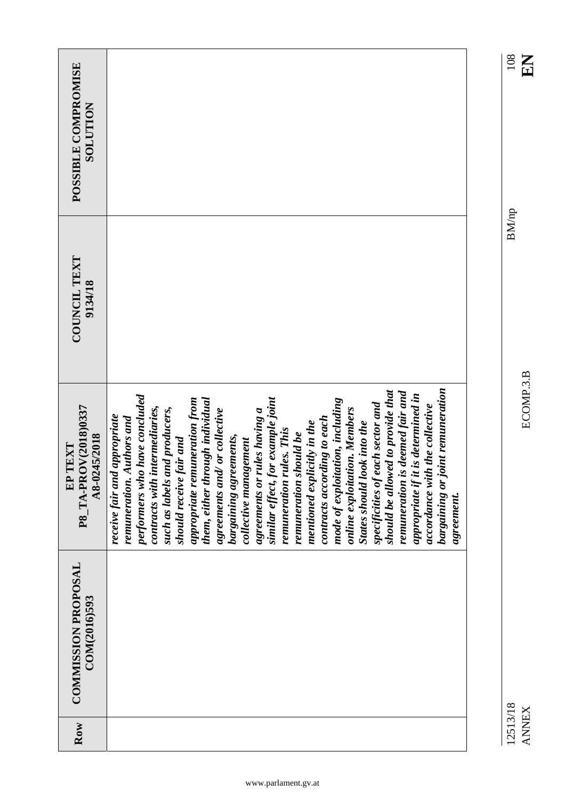| POSSIBLE COMPROMISE<br><b>NOLLTIDR</b>          |                                                                                                                                                                                                                                                                                                                                                                                                                                                                                                                                                                                                                                                                                                                                                                                                                                                                                              |
|-------------------------------------------------|----------------------------------------------------------------------------------------------------------------------------------------------------------------------------------------------------------------------------------------------------------------------------------------------------------------------------------------------------------------------------------------------------------------------------------------------------------------------------------------------------------------------------------------------------------------------------------------------------------------------------------------------------------------------------------------------------------------------------------------------------------------------------------------------------------------------------------------------------------------------------------------------|
| <b>COUNCIL TEXT</b><br>9134/18                  |                                                                                                                                                                                                                                                                                                                                                                                                                                                                                                                                                                                                                                                                                                                                                                                                                                                                                              |
| P8_TA-PROV(2018)0337<br>A8-0245/2018<br>EP TEXT | <b>bargaining or joint remuneration</b><br>should be allowed to provide that<br>remuneration is deemed fair and<br>appropriate if it is determined in<br>performers who have concluded<br>similar effect, for example joint<br>them, either through individual<br>appropriate remuneration from<br>mode of exploitation, including<br>specificities of each sector and<br>accordance with the collective<br>intermediaries,<br>such as labels and producers,<br>online exploitation. Members<br>agreements and/or collective<br>agreements or rules having a<br>receive fair and appropriate<br>contracts according to each<br>remuneration. Authors and<br>mentioned explicitly in the<br>States should look into the<br>remuneration rules. This<br>remuneration should be<br>bargaining agreements,<br>should receive fair and<br>collective management<br>contracts with i<br>agreement. |
| <b>COMMISSION PROPOSAL</b><br>COM(2016)593      |                                                                                                                                                                                                                                                                                                                                                                                                                                                                                                                                                                                                                                                                                                                                                                                                                                                                                              |
| Row                                             |                                                                                                                                                                                                                                                                                                                                                                                                                                                                                                                                                                                                                                                                                                                                                                                                                                                                                              |

 $\frac{108}{E}$ 

 $\rm BM/np$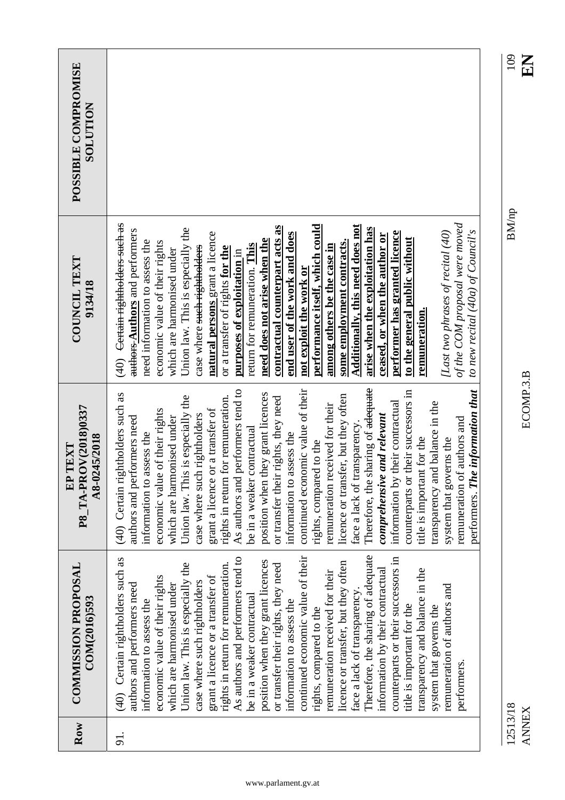| Row            | <b>COMMISSION PROPOSAL</b><br>COM(2016)593                                                                                                                                                                                                                                                                                                                                                                                                                                                                                                                                                                                                                                                                                                                                                                                                                                                                    | P8_TA-PROV(2018)0337<br>A8-0245/2018<br>EP TEXT                                                                                                                                                                                                                                                                                                                                                                                                                                                                                                                                                                                                                                                                                                                                                                                                                                                                                  | <b>COUNCIL TEXT</b><br>9134/18                                                                                                                                                                                                                                                                                                                                                                                                                                                                                                                                                                                                                                                                                                                                                                                                                            | POSSIBLE COMPROMISE<br><b>NOLLUTION</b> |
|----------------|---------------------------------------------------------------------------------------------------------------------------------------------------------------------------------------------------------------------------------------------------------------------------------------------------------------------------------------------------------------------------------------------------------------------------------------------------------------------------------------------------------------------------------------------------------------------------------------------------------------------------------------------------------------------------------------------------------------------------------------------------------------------------------------------------------------------------------------------------------------------------------------------------------------|----------------------------------------------------------------------------------------------------------------------------------------------------------------------------------------------------------------------------------------------------------------------------------------------------------------------------------------------------------------------------------------------------------------------------------------------------------------------------------------------------------------------------------------------------------------------------------------------------------------------------------------------------------------------------------------------------------------------------------------------------------------------------------------------------------------------------------------------------------------------------------------------------------------------------------|-----------------------------------------------------------------------------------------------------------------------------------------------------------------------------------------------------------------------------------------------------------------------------------------------------------------------------------------------------------------------------------------------------------------------------------------------------------------------------------------------------------------------------------------------------------------------------------------------------------------------------------------------------------------------------------------------------------------------------------------------------------------------------------------------------------------------------------------------------------|-----------------------------------------|
| $\overline{5}$ | Therefore, the sharing of adequate<br>continued economic value of their<br>As authors and performers tend to<br>(40) Certain rightholders such as<br>counterparts or their successors in<br>position when they grant licences<br>licence or transfer, but they often<br>Union law. This is especially the<br>rights in return for remuneration.<br>or transfer their rights, they need<br>information by their contractual<br>transparency and balance in the<br>remuneration received for their<br>grant a licence or a transfer of<br>economic value of their rights<br>case where such rightholders<br>authors and performers need<br>which are harmonised under<br>remuneration of authors and<br>face a lack of transparency<br>be in a weaker contractual<br>information to assess the<br>information to assess the<br>title is important for the<br>system that governs the<br>rights, compared to the | Therefore, the sharing of <del>adequate</del><br>continued economic value of their<br>performers tend to<br>counterparts or their successors in<br>(40) Certain rightholders such as<br>position when they grant licences<br>licence or transfer, but they often<br>Union law. This is especially the<br>or transfer their rights, they need<br>rights in return for remuneration.<br>transparency and balance in the<br>information by their contractual<br>remuneration received for their<br>or a transfer of<br>economic value of their rights<br>case where such rightholders<br>comprehensive and relevant<br>which are harmonised under<br>authors and performers need<br>face a lack of transparency<br>contractual<br>information to assess the<br>information to assess the<br>title is important for the<br>system that governs the<br>rights, compared to the<br>grant a licence<br>As authors and<br>be in a weaker | Certain rightholders such as<br>performance itself, which could<br>Additionally, this need does not<br>contractual counterpart acts as<br>Union law. This is especially the<br>arise when the exploitation has<br>authors Authors and performers<br>[Last two phrases of recital (40)<br>performer has granted licence<br>natural persons grant a licence<br>end user of the work and does<br>ceased, or when the author or<br>to the general public without<br>need does not arise when the<br>need information to assess the<br><u>some employment contracts.</u><br>economic value of their rights<br>return for remuneration. This<br>among others be the case in<br>case where such rightholders<br>or a transfer of rights for the<br>which are harmonised under<br>purposes of exploitation in<br>not exploit the work or<br>remuneration.<br>(40) |                                         |
|                | performers                                                                                                                                                                                                                                                                                                                                                                                                                                                                                                                                                                                                                                                                                                                                                                                                                                                                                                    | performers. The information that<br>remuneration of authors and                                                                                                                                                                                                                                                                                                                                                                                                                                                                                                                                                                                                                                                                                                                                                                                                                                                                  | of the COM proposal were moved<br>to new recital (40a) of Council's                                                                                                                                                                                                                                                                                                                                                                                                                                                                                                                                                                                                                                                                                                                                                                                       |                                         |

12513/18<br>ANNEX

12513/18 BM/np

 $\rm BM/np$ 

 $\frac{109}{E}$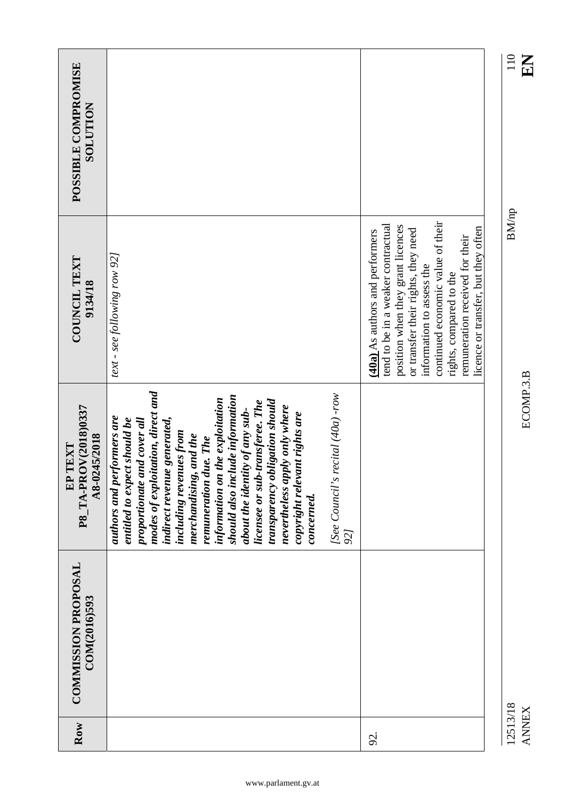|                                                    |                                                                                                                                                                                                                                                                                                                                                                                                                                                                                                          |                                          |                                                                                                                                                                                                                                                                                                                          | 110<br>EN                |
|----------------------------------------------------|----------------------------------------------------------------------------------------------------------------------------------------------------------------------------------------------------------------------------------------------------------------------------------------------------------------------------------------------------------------------------------------------------------------------------------------------------------------------------------------------------------|------------------------------------------|--------------------------------------------------------------------------------------------------------------------------------------------------------------------------------------------------------------------------------------------------------------------------------------------------------------------------|--------------------------|
| POSSIBLE COMPROMISE<br><b>NOLLUTION</b>            |                                                                                                                                                                                                                                                                                                                                                                                                                                                                                                          |                                          |                                                                                                                                                                                                                                                                                                                          |                          |
| COUNCIL TEXT<br>9134/18                            | text - see following row 92]                                                                                                                                                                                                                                                                                                                                                                                                                                                                             |                                          | continued economic value of their<br>tend to be in a weaker contractual<br>position when they grant licences<br>licence or transfer, but they often<br>or transfer their rights, they need<br>(40a) As authors and performers<br>remuneration received for their<br>information to assess the<br>rights, compared to the | <b>BM/np</b>             |
| P8 TA-PROV(2018)0337<br>A8-0245/2018<br>TEXT<br>EP | modes of exploitation, direct and<br>should also include information<br>information on the exploitation<br>transparency obligation should<br>licensee or sub-transferee. The<br>nevertheless apply only where<br>about the identity of any sub-<br>copyright relevant rights are<br>authors and performers are<br>proportionate and cover all<br>indirect revenue generated,<br>entitled to expect should be<br>including revenues from<br>merchandising, and the<br>remuneration due. The<br>concerned. | [See Council's recital (40a) -row<br>92] |                                                                                                                                                                                                                                                                                                                          | ECOMP.3.B                |
| <b>COMMISSION PROPOSAL</b><br>COM(2016)593         |                                                                                                                                                                                                                                                                                                                                                                                                                                                                                                          |                                          |                                                                                                                                                                                                                                                                                                                          |                          |
| Row                                                |                                                                                                                                                                                                                                                                                                                                                                                                                                                                                                          |                                          | 92.                                                                                                                                                                                                                                                                                                                      | 12513/18<br><b>ANNEX</b> |

EN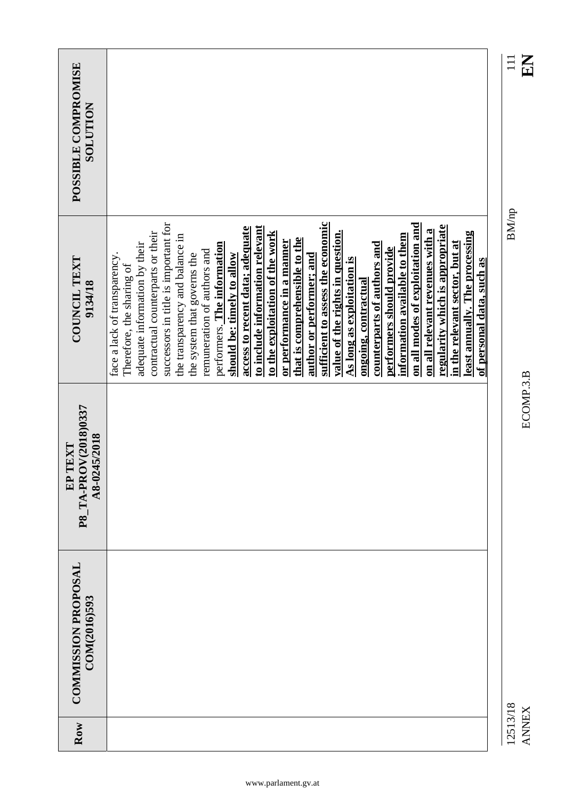|                                                 |                                                                                                                                                                                                                                                                                                                                                                                                                                                                                                                                                                                                                                                                                                                                                                                                                                                                                                                                                                                                | $\frac{11}{E}$           |
|-------------------------------------------------|------------------------------------------------------------------------------------------------------------------------------------------------------------------------------------------------------------------------------------------------------------------------------------------------------------------------------------------------------------------------------------------------------------------------------------------------------------------------------------------------------------------------------------------------------------------------------------------------------------------------------------------------------------------------------------------------------------------------------------------------------------------------------------------------------------------------------------------------------------------------------------------------------------------------------------------------------------------------------------------------|--------------------------|
| POSSIBLE COMPROMISE<br><b>NOLLUTION</b>         |                                                                                                                                                                                                                                                                                                                                                                                                                                                                                                                                                                                                                                                                                                                                                                                                                                                                                                                                                                                                |                          |
| COUNCIL TEXT<br>9134/18                         | sufficient to assess the economic<br>successors in title is important for<br>on all modes of exploitation and<br>regularity which is appropriate<br>to include information relevant<br>access to recent data; adequate<br>on all relevant revenues with a<br>value of the rights in question.<br>least annually. The processing<br>contractual counterparts or their<br>to the exploitation of the work<br><u>information available to them</u><br>the transparency and balance in<br>that is comprehensible to the<br>or performance in a manner<br>in the relevant sector, but at<br>performers. The information<br>adequate information by their<br>counterparts of authors and<br>performers should provide<br>remuneration of authors and<br>face a lack of transparency.<br>the system that governs the<br>should be: timely to allow<br>author or performer; and<br><u>As long as exploitation is</u><br>of personal data, such as<br>Therefore, the sharing of<br>ongoing, contractual | BM/np                    |
| P8_TA-PROV(2018)0337<br>A8-0245/2018<br>EP TEXT |                                                                                                                                                                                                                                                                                                                                                                                                                                                                                                                                                                                                                                                                                                                                                                                                                                                                                                                                                                                                | ECOMP.3.B                |
| <b>COMMISSION PROPOSAL</b><br>COM(2016)593      |                                                                                                                                                                                                                                                                                                                                                                                                                                                                                                                                                                                                                                                                                                                                                                                                                                                                                                                                                                                                |                          |
| Row                                             |                                                                                                                                                                                                                                                                                                                                                                                                                                                                                                                                                                                                                                                                                                                                                                                                                                                                                                                                                                                                | 12513/18<br><b>ANNEX</b> |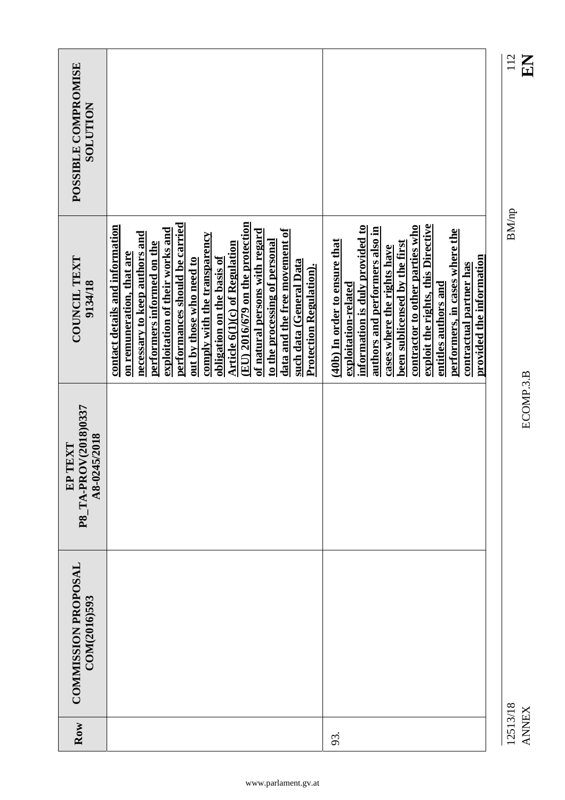|                                                 |                                                                                                                                                                                                                                                                                                                                                                                                                                                                                                                                          |                                                                                                                                                                                                                                                                                                                                                                                      | 112<br>EN                |
|-------------------------------------------------|------------------------------------------------------------------------------------------------------------------------------------------------------------------------------------------------------------------------------------------------------------------------------------------------------------------------------------------------------------------------------------------------------------------------------------------------------------------------------------------------------------------------------------------|--------------------------------------------------------------------------------------------------------------------------------------------------------------------------------------------------------------------------------------------------------------------------------------------------------------------------------------------------------------------------------------|--------------------------|
| POSSIBLE COMPROMISE<br><b>NOLLTIDR</b>          |                                                                                                                                                                                                                                                                                                                                                                                                                                                                                                                                          |                                                                                                                                                                                                                                                                                                                                                                                      |                          |
| COUNCIL TEXT<br>9134/18                         | $(EU)$ 2016/679 on the protection<br>performances should be carried<br>contact details and information<br>exploitation of their works and<br>data and the free movement of<br>of natural persons with regard<br>necessary to keep authors and<br>comply with the transparency<br>to the processing of personal<br>performers informed on the<br><b>Article 6(1)(c) of Regulation</b><br>on remuneration, that are<br>obligation on the basis of<br>out by those who need to<br>such data (General Data<br><b>Protection Regulation).</b> | exploit the rights, this Directive<br>information is duly provided to<br>contractor to other parties who<br>authors and performers also in<br>performers, in cases where the<br>(40b) In order to ensure that<br>been sublicensed by the first<br>cases where the rights have<br>provided the information<br>contractual partner has<br>entitles authors and<br>exploitation-related | <b>BM/np</b>             |
| EP TEXT<br>P8_TA-PROV(2018)0337<br>A8-0245/2018 |                                                                                                                                                                                                                                                                                                                                                                                                                                                                                                                                          |                                                                                                                                                                                                                                                                                                                                                                                      | ECOMP.3.B                |
| <b>COMMISSION PROPOSAL</b><br>COM(2016)593      |                                                                                                                                                                                                                                                                                                                                                                                                                                                                                                                                          |                                                                                                                                                                                                                                                                                                                                                                                      |                          |
| Row                                             |                                                                                                                                                                                                                                                                                                                                                                                                                                                                                                                                          | 93.                                                                                                                                                                                                                                                                                                                                                                                  | 12513/18<br><b>ANNEX</b> |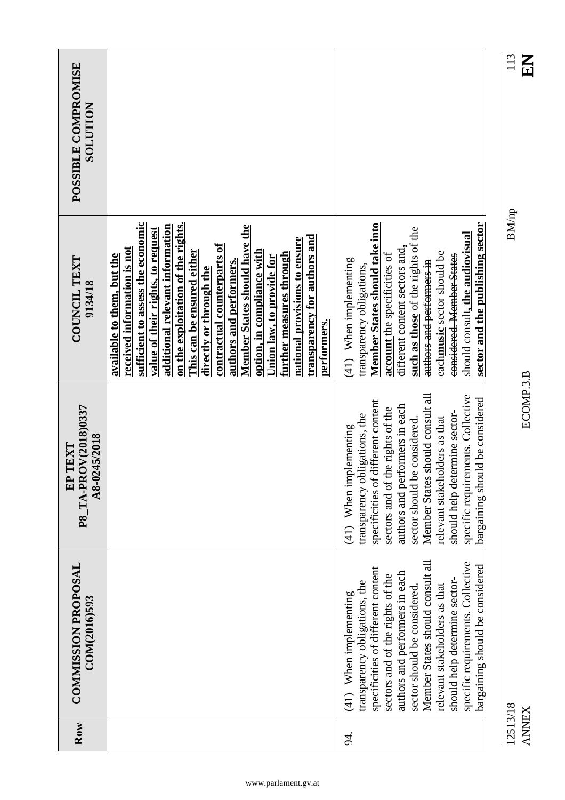|                                                       |                                                                                                                                                                                                                                                                                                                                                                                                                                                                                                                                         |                                                                                                                                                                                                                                                                                                                                                                                     | 113<br>$\mathbf{K}$      |
|-------------------------------------------------------|-----------------------------------------------------------------------------------------------------------------------------------------------------------------------------------------------------------------------------------------------------------------------------------------------------------------------------------------------------------------------------------------------------------------------------------------------------------------------------------------------------------------------------------------|-------------------------------------------------------------------------------------------------------------------------------------------------------------------------------------------------------------------------------------------------------------------------------------------------------------------------------------------------------------------------------------|--------------------------|
| POSSIBLE COMPROMISE<br><b>NOLUTION</b>                |                                                                                                                                                                                                                                                                                                                                                                                                                                                                                                                                         |                                                                                                                                                                                                                                                                                                                                                                                     |                          |
| <b>COUNCIL TEXT</b><br>9134/18                        | sufficient to assess the economic<br>on the exploitation of the rights.<br>additional relevant information<br>Member States should have the<br>value of their rights, to request<br>transparency for authors and<br>national provisions to ensure<br>contractual counterparts of<br>received information is not<br>This can be ensured either<br>option, in compliance with<br>further measures through<br>available to them, but the<br>Union law, to provide for<br>authors and performers.<br>directly or through the<br>performers. | Member States should take into<br>sector and the publishing sector<br>such as those of the rights-of-the<br>should consult, the audiovisual<br>different content sectors-and,<br><del>each</del> music sector <del>should be</del><br>account the specificities of<br>considered. Member States<br>(41) When implementing<br>authors and performers in<br>transparency obligations, | <b>BM/np</b>             |
| P8_TA-PROV(2018)0337<br>A8-0245/2018<br><b>EPTEXT</b> |                                                                                                                                                                                                                                                                                                                                                                                                                                                                                                                                         | Member States should consult all<br>specific requirements. Collective<br>bargaining should be considered<br>specificities of different content<br>authors and performers in each<br>sectors and of the rights of the<br>should help determine sector-<br>transparency obligations, the<br>relevant stakeholders as that<br>sector should be considered.<br>$(41)$ When implementing | ECOMP.3.B                |
| <b>COMMISSION PROPOSAL</b><br>COM(2016)593            |                                                                                                                                                                                                                                                                                                                                                                                                                                                                                                                                         | Member States should consult all<br>specific requirements. Collective<br>bargaining should be considered<br>specificities of different content<br>authors and performers in each<br>sectors and of the rights of the<br>should help determine sector-<br>transparency obligations, the<br>relevant stakeholders as that<br>sector should be considered<br>$(41)$ When implementing  |                          |
| Row                                                   |                                                                                                                                                                                                                                                                                                                                                                                                                                                                                                                                         | Э.<br>Э.                                                                                                                                                                                                                                                                                                                                                                            | 12513/18<br><b>ANNEX</b> |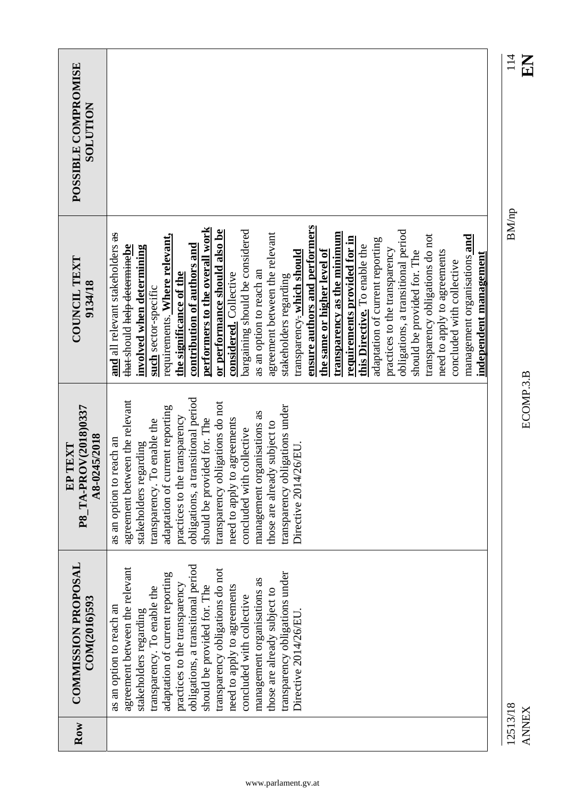|                                                 |                                                                                                                                                                                                                                                                                                                                                                                                                                                                                                                                                                                                                                                                                                                                                                                                                                                                                                                                                 | 14           |
|-------------------------------------------------|-------------------------------------------------------------------------------------------------------------------------------------------------------------------------------------------------------------------------------------------------------------------------------------------------------------------------------------------------------------------------------------------------------------------------------------------------------------------------------------------------------------------------------------------------------------------------------------------------------------------------------------------------------------------------------------------------------------------------------------------------------------------------------------------------------------------------------------------------------------------------------------------------------------------------------------------------|--------------|
| POSSIBLE COMPROMISE<br><b>SOLUTION</b>          |                                                                                                                                                                                                                                                                                                                                                                                                                                                                                                                                                                                                                                                                                                                                                                                                                                                                                                                                                 |              |
| <b>COUNCIL TEXT</b><br>9134/18                  | ensure authors and performers<br>performers to the overall work<br>bargaining should be considered<br>or performance should also be<br>obligations, a transitional period<br>transparency as the minimum<br>agreement between the relevant<br>and all relevant stakeholders as<br>transparency obligations do not<br>requirements. Where relevant,<br>management organisations and<br>requirements provided for in<br>adaptation of current reporting<br>contribution of authors and<br>this Directive. To enable the<br>that-should help-determine be<br>involved when determining<br>practices to the transparency<br>the same or higher level of<br>need to apply to agreements<br>should be provided for. The<br>transparency-which should<br><u>independent management</u><br>concluded with collective<br>as an option to reach an<br>considered. Collective<br>the significance of the<br>stakeholders regarding<br>such sector-specific | <b>BM/np</b> |
| P8_TA-PROV(2018)0337<br>A8-0245/2018<br>EP TEXT | obligations, a transitional period<br>agreement between the relevant<br>transparency obligations do not<br>transparency obligations under<br>adaptation of current reporting<br>management organisations as<br>practices to the transparency<br>should be provided for. The<br>need to apply to agreements<br>transparency. To enable the<br>those are already subject to<br>concluded with collective<br>as an option to reach an<br>stakeholders regarding<br>Directive 2014/26/EU.                                                                                                                                                                                                                                                                                                                                                                                                                                                           |              |
| <b>COMMISSION PROPOSAL</b><br>COM(2016)593      | obligations, a transitional period<br>agreement between the relevant<br>transparency obligations do not<br>transparency obligations under<br>adaptation of current reporting<br>management organisations as<br>practices to the transparency<br>need to apply to agreements<br>should be provided for. The<br>transparency. To enable the<br>those are already subject to<br>concluded with collective<br>as an option to reach an<br>stakeholders regarding<br>Directive 2014/26/EU.                                                                                                                                                                                                                                                                                                                                                                                                                                                           |              |
| Row                                             |                                                                                                                                                                                                                                                                                                                                                                                                                                                                                                                                                                                                                                                                                                                                                                                                                                                                                                                                                 | 12513/18     |

## 12513/18 BM/np 114 ANNEX ECOMP.3.B **EN** 12513/18<br>ANNEX

 $\frac{114}{E}$ 

ECOMP.3.B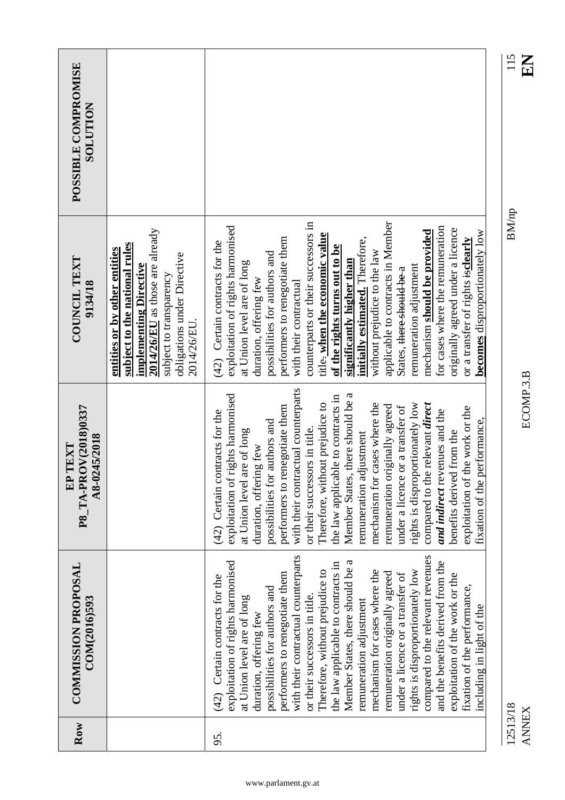| Row      | <b>COMMISSION PROPOSAL</b><br>COM(2016)593                                                                                                                                                                                                                                                                                                                                                                                                                                                                                                                                                                                                                                                                                          | P8 TA-PROV(2018)0337<br>A8-0245/2018<br>TEXT<br>E <sub>P</sub>                                                                                                                                                                                                                                                                                                                                                                                                                                                                                                                                                                                                                                                                   | <b>COUNCIL TEXT</b><br>9134/18                                                                                                                                                                                                                                                                                                                                                                                                                                                                                                                                                                                                                                                                                         | POSSIBLE COMPROMISE<br><b>SOLUTION</b> |
|----------|-------------------------------------------------------------------------------------------------------------------------------------------------------------------------------------------------------------------------------------------------------------------------------------------------------------------------------------------------------------------------------------------------------------------------------------------------------------------------------------------------------------------------------------------------------------------------------------------------------------------------------------------------------------------------------------------------------------------------------------|----------------------------------------------------------------------------------------------------------------------------------------------------------------------------------------------------------------------------------------------------------------------------------------------------------------------------------------------------------------------------------------------------------------------------------------------------------------------------------------------------------------------------------------------------------------------------------------------------------------------------------------------------------------------------------------------------------------------------------|------------------------------------------------------------------------------------------------------------------------------------------------------------------------------------------------------------------------------------------------------------------------------------------------------------------------------------------------------------------------------------------------------------------------------------------------------------------------------------------------------------------------------------------------------------------------------------------------------------------------------------------------------------------------------------------------------------------------|----------------------------------------|
|          |                                                                                                                                                                                                                                                                                                                                                                                                                                                                                                                                                                                                                                                                                                                                     |                                                                                                                                                                                                                                                                                                                                                                                                                                                                                                                                                                                                                                                                                                                                  | 2014/26/EU as those are already<br>subject to the national rules<br>entities or by other entities<br>obligations under Directive<br><b>implementing Directive</b><br>subject to transparency<br>2014/26/EU.                                                                                                                                                                                                                                                                                                                                                                                                                                                                                                            |                                        |
| 95.      | with their contractual counterparts<br>compared to the relevant revenues<br>Member States, there should be a<br>exploitation of rights harmonised<br>and the benefits derived from the<br>the law applicable to contracts in<br>rights is disproportionately low<br>Therefore, without prejudice to<br>mechanism for cases where the<br>performers to renegotiate them<br>remuneration originally agreed<br>under a licence or a transfer of<br>exploitation of the work or the<br>(42) Certain contracts for the<br>fixation of the performance,<br>possibilities for authors and<br>or their successors in title.<br>at Union level are of long<br>remuneration adjustment<br>including in light of the<br>duration, offering few | with their contractual counterparts<br>Member States, there should be a<br>exploitation of rights harmonised<br>the law applicable to contracts in<br>Therefore, without prejudice to<br>mechanism for cases where the<br>rights is disproportionately low<br>compared to the relevant direct<br>remuneration originally agreed<br>performers to renegotiate them<br>or a transfer of<br>exploitation of the work or the<br>and indirect revenues and the<br>(42) Certain contracts for the<br>fixation of the performance,<br>possibilities for authors and<br>or their successors in title.<br>at Union level are of long<br>benefits derived from the<br>remuneration adjustment<br>duration, offering few<br>under a licence | applicable to contracts in Member<br>counterparts or their successors in<br>exploitation of rights harmonised<br>for cases where the remuneration<br>originally agreed under a licence<br>mechanism should be provided<br><b>becomes</b> disproportionately low<br>title, when the economic value<br>performers to renegotiate them<br>initially estimated. Therefore,<br>or a transfer of rights isclearly<br>(42) Certain contracts for the<br>of the rights turns out to be<br>without prejudice to the law<br>possibilities for authors and<br>significantly higher than<br>at Union level are of long<br>remuneration adjustment<br>States, there should be a<br>duration, offering few<br>with their contractual |                                        |
| 12513/18 |                                                                                                                                                                                                                                                                                                                                                                                                                                                                                                                                                                                                                                                                                                                                     |                                                                                                                                                                                                                                                                                                                                                                                                                                                                                                                                                                                                                                                                                                                                  | <b>BM/np</b>                                                                                                                                                                                                                                                                                                                                                                                                                                                                                                                                                                                                                                                                                                           | 115                                    |

12513/18 BM/np

II5<br>EN

12513/18<br>ANNEX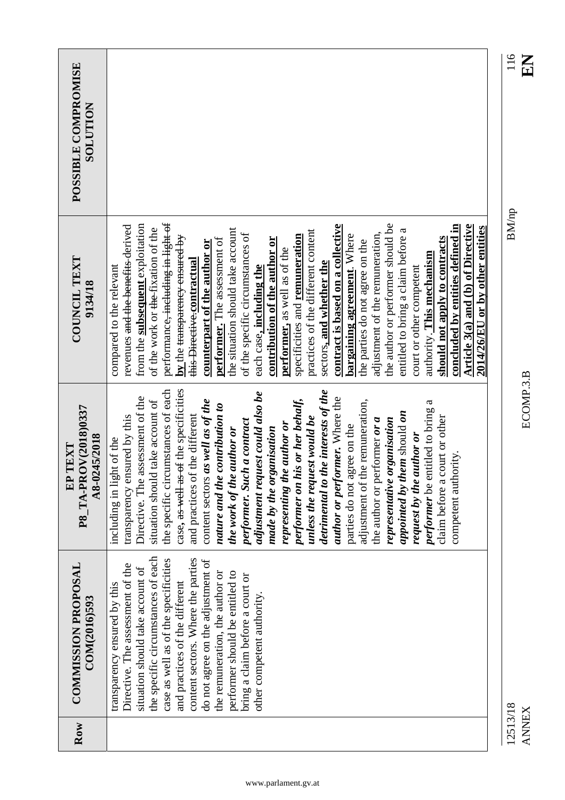| Row      | <b>COMMISSION PROPOSAL</b><br>COM(2016)593                                                                                                                                                                                                                                                                                                                                                                                             | P8_TA-PROV(2018)0337<br>A8-0245/2018<br>TEXT<br>$\mathbf{E}$                                                                                                                                                                                                                                                                                                                                                                                                                                                                                                                                                                                                                                                                                                                                                                                                                                                              | COUNCIL TEXT<br>9134/18                                                                                                                                                                                                                                                                                                                                                                                                                                                                                                                                                                                                                                                                                                                                                                                                                                                                                                                                                                                                                                | POSSIBLE COMPROMISE<br><b>SOLUTION</b> |
|----------|----------------------------------------------------------------------------------------------------------------------------------------------------------------------------------------------------------------------------------------------------------------------------------------------------------------------------------------------------------------------------------------------------------------------------------------|---------------------------------------------------------------------------------------------------------------------------------------------------------------------------------------------------------------------------------------------------------------------------------------------------------------------------------------------------------------------------------------------------------------------------------------------------------------------------------------------------------------------------------------------------------------------------------------------------------------------------------------------------------------------------------------------------------------------------------------------------------------------------------------------------------------------------------------------------------------------------------------------------------------------------|--------------------------------------------------------------------------------------------------------------------------------------------------------------------------------------------------------------------------------------------------------------------------------------------------------------------------------------------------------------------------------------------------------------------------------------------------------------------------------------------------------------------------------------------------------------------------------------------------------------------------------------------------------------------------------------------------------------------------------------------------------------------------------------------------------------------------------------------------------------------------------------------------------------------------------------------------------------------------------------------------------------------------------------------------------|----------------------------------------|
|          | the specific circumstances of each<br>content sectors. Where the parties<br>case as well as of the specificities<br>do not agree on the adjustment of<br>Directive. The assessment of the<br>situation should take account of<br>the remuneration, the author or<br>performer should be entitled to<br>bring a claim before a court or<br>and practices of the different<br>transparency ensured by this<br>other competent authority. | case, as well as of the specificities<br>the specific circumstances of each<br>detrimental to the interests of the<br>adjustment request could also be<br>Directive. The assessment of the<br>author or performer. Where the<br>performer on his or her behalf,<br>content sectors as well as of the<br>adjustment of the remuneration,<br>situation should take account of<br>performer be entitled to bring a<br>contribution to<br>appointed by them should on<br>and practices of the different<br>transparency ensured by this<br>unless the request would be<br>claim before a court or other<br>representative organisation<br>the author or performer or a<br>performer. Such a contract<br>representing the author or<br>parties do not agree on the<br>made by the organisation<br>the work of the author or<br>request by the author or<br>including in light of the<br>competent authority.<br>nature and the | performance <del>, including in light of</del><br>from the <b>subsequent</b> exploitation<br>the author or performer should be<br>contract is based on a collective<br>concluded by entities defined in<br>Article 3(a) and (b) of Directive<br>revenues and the benefits derived<br>2014/26/EU or by other entities<br>of the work or the fixation of the<br>the situation should take account<br>entitled to bring a claim before a<br>practices of the different content<br>of the specific circumstances of<br>adjustment of the remuneration,<br>specificities and <b>remuneration</b><br>bargaining agreement. Where<br>$\mathbf{b}$ the transparency ensured by<br>should not apply to contracts<br>contribution of the author or<br>performer. The assessment of<br>counterpart of the author or<br>the parties do not agree on the<br>performer, as well as of the<br>authority. This mechanism<br>this Directive contractual<br>sectors, and whether the<br>compared to the relevant<br>each case, including the<br>court or other competent |                                        |
| 12513/18 |                                                                                                                                                                                                                                                                                                                                                                                                                                        |                                                                                                                                                                                                                                                                                                                                                                                                                                                                                                                                                                                                                                                                                                                                                                                                                                                                                                                           | <b>BM/np</b>                                                                                                                                                                                                                                                                                                                                                                                                                                                                                                                                                                                                                                                                                                                                                                                                                                                                                                                                                                                                                                           | 116                                    |

 $\frac{16}{116}$ 

ECOMP.3.B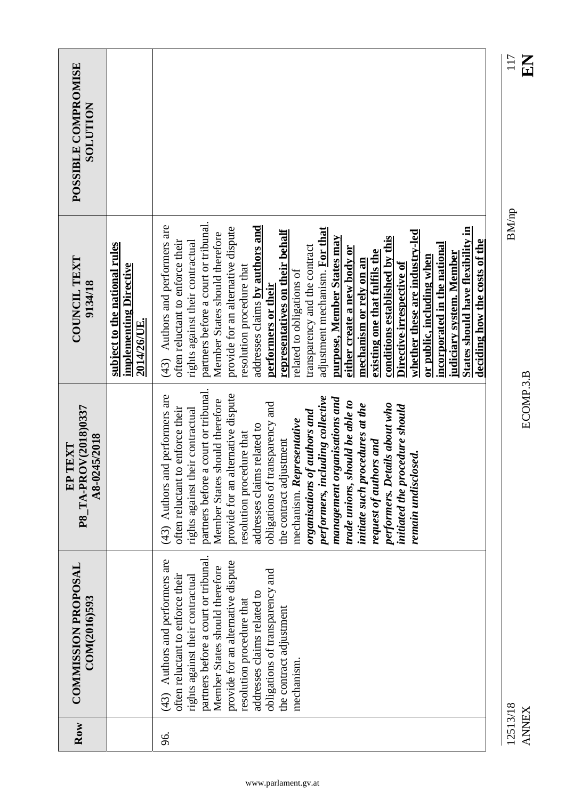| partners before a court or tribunal.<br>provide for an alternative dispute<br>(43) Authors and performers are<br>performers, including collective<br>management organisations and<br>Member States should therefore<br>trade unions, should be able to<br>obligations of transparency and<br>performers. Details about who<br>initiate such procedures at the<br>initiated the procedure should<br>P8 TA-PROV(2018)0337<br>often reluctant to enforce their<br>rights against their contractual<br>organisations of authors and<br>mechanism. Representative<br>addresses claims related to<br>resolution procedure that<br>A8-0245/2018<br>the contract adjustment<br>request of authors and<br>EP TEXT<br>remain undisclosed. | <b>2014/26/UE.</b><br>(43) | partners before a court or tribunal.<br>Authors and performers are<br>addresses claims by authors and<br>provide for an alternative dispute<br><b>States should have flexibility in</b><br>adjustment mechanism. For that<br>representatives on their behalf<br>whether these are industry-led<br>Member States should therefore<br>conditions established by this<br>purpose, Member States may<br>often reluctant to enforce their<br>rights against their contractual<br>subject to the national rules<br>incorporated in the national<br>transparency and the contract<br>either create a new body or<br>existing one that fulfils the<br>judiciary system. Member<br><u>or public, including when</u><br><b>COUNCIL TEXT</b><br>mechanism or rely on an<br>Directive-irrespective of<br>implementing Directive<br>resolution procedure that<br>related to obligations of<br>9134/18<br>performers or their | POSSIBLE COMPROMISE<br><b>SOLUTION</b> |
|---------------------------------------------------------------------------------------------------------------------------------------------------------------------------------------------------------------------------------------------------------------------------------------------------------------------------------------------------------------------------------------------------------------------------------------------------------------------------------------------------------------------------------------------------------------------------------------------------------------------------------------------------------------------------------------------------------------------------------|----------------------------|-----------------------------------------------------------------------------------------------------------------------------------------------------------------------------------------------------------------------------------------------------------------------------------------------------------------------------------------------------------------------------------------------------------------------------------------------------------------------------------------------------------------------------------------------------------------------------------------------------------------------------------------------------------------------------------------------------------------------------------------------------------------------------------------------------------------------------------------------------------------------------------------------------------------|----------------------------------------|
|                                                                                                                                                                                                                                                                                                                                                                                                                                                                                                                                                                                                                                                                                                                                 |                            | deciding how the costs of the                                                                                                                                                                                                                                                                                                                                                                                                                                                                                                                                                                                                                                                                                                                                                                                                                                                                                   |                                        |
|                                                                                                                                                                                                                                                                                                                                                                                                                                                                                                                                                                                                                                                                                                                                 |                            |                                                                                                                                                                                                                                                                                                                                                                                                                                                                                                                                                                                                                                                                                                                                                                                                                                                                                                                 |                                        |
|                                                                                                                                                                                                                                                                                                                                                                                                                                                                                                                                                                                                                                                                                                                                 |                            | BM/np                                                                                                                                                                                                                                                                                                                                                                                                                                                                                                                                                                                                                                                                                                                                                                                                                                                                                                           | 117                                    |
|                                                                                                                                                                                                                                                                                                                                                                                                                                                                                                                                                                                                                                                                                                                                 | ECOMP.3.B                  |                                                                                                                                                                                                                                                                                                                                                                                                                                                                                                                                                                                                                                                                                                                                                                                                                                                                                                                 | EN                                     |
|                                                                                                                                                                                                                                                                                                                                                                                                                                                                                                                                                                                                                                                                                                                                 |                            |                                                                                                                                                                                                                                                                                                                                                                                                                                                                                                                                                                                                                                                                                                                                                                                                                                                                                                                 |                                        |

 $\frac{17}{117}$ 12513/18 BM/np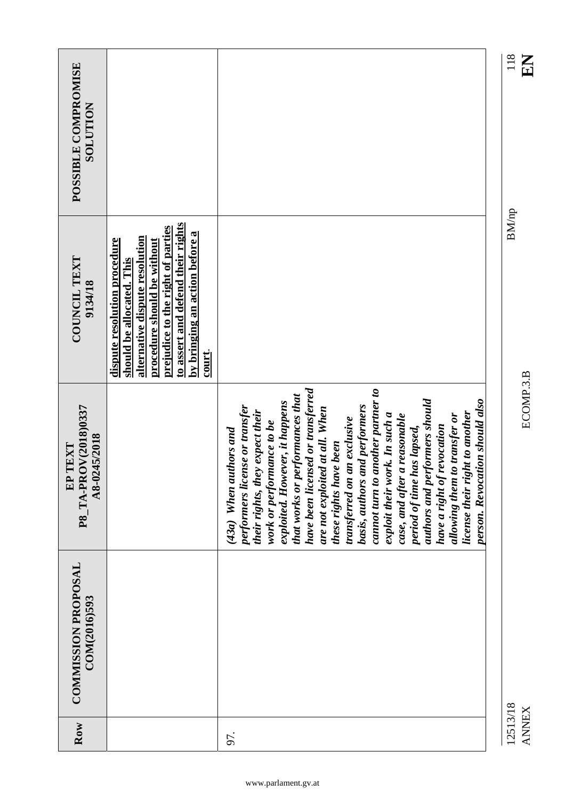|                                                              |                                                                                                                                                                                                                                                          |                                                                                                                                                                                                                                                                                                                                                                                                                                                                                                                                                                                                                                                                                | 118<br>EN                |
|--------------------------------------------------------------|----------------------------------------------------------------------------------------------------------------------------------------------------------------------------------------------------------------------------------------------------------|--------------------------------------------------------------------------------------------------------------------------------------------------------------------------------------------------------------------------------------------------------------------------------------------------------------------------------------------------------------------------------------------------------------------------------------------------------------------------------------------------------------------------------------------------------------------------------------------------------------------------------------------------------------------------------|--------------------------|
| POSSIBLE COMPROMISE<br><b>NOLLTION</b>                       |                                                                                                                                                                                                                                                          |                                                                                                                                                                                                                                                                                                                                                                                                                                                                                                                                                                                                                                                                                |                          |
|                                                              |                                                                                                                                                                                                                                                          |                                                                                                                                                                                                                                                                                                                                                                                                                                                                                                                                                                                                                                                                                |                          |
| <b>COUNCIL TEXT</b><br>9134/18                               | to assert and defend their rights<br>prejudice to the right of parties<br>by bringing an action before a<br>alternative dispute resolution<br>dispute resolution procedure<br>procedure should be without<br>should be allocated. This<br><u>court</u> . |                                                                                                                                                                                                                                                                                                                                                                                                                                                                                                                                                                                                                                                                                | <b>BM/np</b>             |
| P8 TA-PROV(2018)0337<br>A8-0245/2018<br>TEXT<br>$\mathbf{E}$ |                                                                                                                                                                                                                                                          | have been licensed or transferred<br>cannot turn to another partner to<br>that works or performances that<br>authors and performers should<br>person. Revocation should also<br>exploited. However, it happens<br><b>basis, authors and performers</b><br>performers license or transfer<br>are not exploited at all. When<br>their rights, they expect their<br>license their right to another<br>exploit their work. In such a<br>allowing them to transfer or<br>case, and after a reasonable<br>transferred on an exclusive<br>work or performance to be<br>have a right of revocation<br>period of time has lapsed,<br>$(43a)$ When authors and<br>these rights have been | ECOMP.3.B                |
| <b>COMMISSION PROPOSAL</b><br>COM(2016)593                   |                                                                                                                                                                                                                                                          |                                                                                                                                                                                                                                                                                                                                                                                                                                                                                                                                                                                                                                                                                |                          |
| Row                                                          |                                                                                                                                                                                                                                                          | 97.                                                                                                                                                                                                                                                                                                                                                                                                                                                                                                                                                                                                                                                                            | 12513/18<br><b>ANNEX</b> |

EN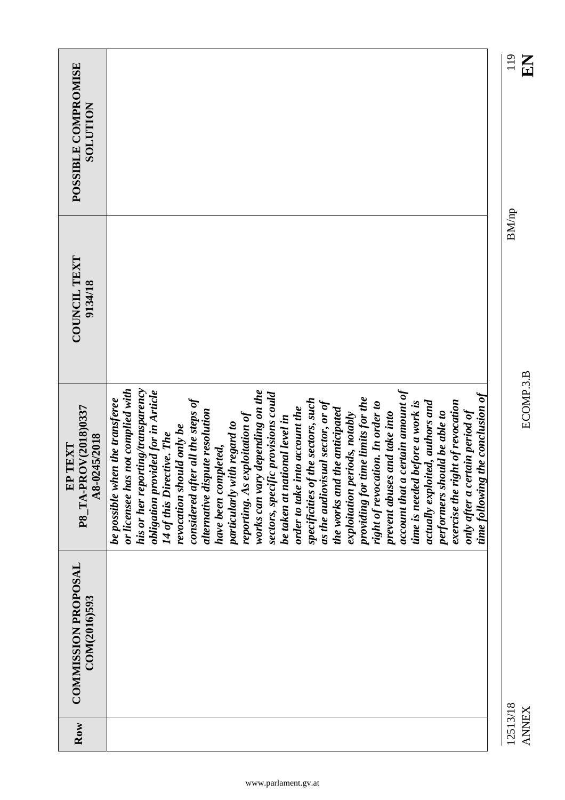|                                                                                          |                                                                                                                                                                                                                                                                                                                                                                                                                                                                                                                                                                                                                                                                                                                                                                                                                                                                                                                                                                                                                                        | 119          | KR           |
|------------------------------------------------------------------------------------------|----------------------------------------------------------------------------------------------------------------------------------------------------------------------------------------------------------------------------------------------------------------------------------------------------------------------------------------------------------------------------------------------------------------------------------------------------------------------------------------------------------------------------------------------------------------------------------------------------------------------------------------------------------------------------------------------------------------------------------------------------------------------------------------------------------------------------------------------------------------------------------------------------------------------------------------------------------------------------------------------------------------------------------------|--------------|--------------|
| POSSIBLE COMPROMISE<br><b>SOLUTION</b>                                                   |                                                                                                                                                                                                                                                                                                                                                                                                                                                                                                                                                                                                                                                                                                                                                                                                                                                                                                                                                                                                                                        |              |              |
| <b>COUNCIL TEXT</b><br>9134/18                                                           |                                                                                                                                                                                                                                                                                                                                                                                                                                                                                                                                                                                                                                                                                                                                                                                                                                                                                                                                                                                                                                        | <b>BM/np</b> |              |
| P8 TA-PROV(2018)0337<br>A8-0245/2018<br>TEXT<br>$E$ <sup><math>\overline{E}</math></sup> | his or her reporting/transparency<br>or licensee has not complied with<br>certain amount of<br>works can vary depending on the<br>obligation provided for in Article<br>sectors, specific provisions could<br>the conclusion of<br>providing for time limits for the<br>be possible when the transferee<br>considered after all the steps of<br>specificities of the sectors, such<br>exercise the right of revocation<br>as the audiovisual sector, or of<br>actually exploited, authors and<br>time is needed before a work is<br>right of revocation. In order to<br>order to take into account the<br>the works and the anticipated<br>only after a certain period of<br>alternative dispute resolution<br>reporting. As exploitation of<br>and take into<br>performers should be able to<br>exploitation periods, notably<br>be taken at national level in<br>particularly with regard to<br>revocation should only be<br>14 of this Directive. The<br>have been completed,<br>prevent abuses<br>time following<br>account that a |              | ECOMP.3.B    |
| <b>COMMISSION PROPOSAL</b><br>COM(2016)593                                               |                                                                                                                                                                                                                                                                                                                                                                                                                                                                                                                                                                                                                                                                                                                                                                                                                                                                                                                                                                                                                                        |              |              |
| Row                                                                                      |                                                                                                                                                                                                                                                                                                                                                                                                                                                                                                                                                                                                                                                                                                                                                                                                                                                                                                                                                                                                                                        | 12513/18     | <b>ANNEX</b> |

ANNEX ECOMP.3.B **EN**

EN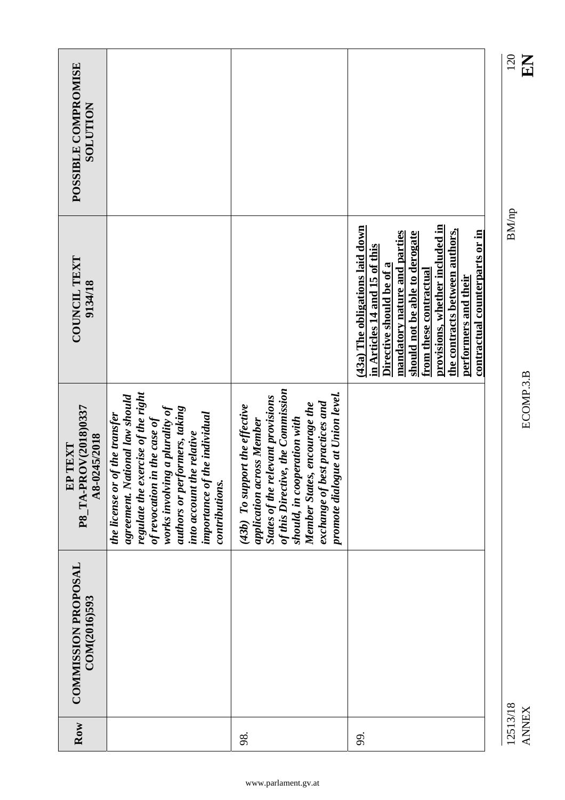|                                                    |                                                                                                                                                                                                                                                                                          |                                                                                                                                                                                                                                                                                   |                                                                                                                                                                                                                                                                                                                         | 120<br>$\mathbf{K}$      |
|----------------------------------------------------|------------------------------------------------------------------------------------------------------------------------------------------------------------------------------------------------------------------------------------------------------------------------------------------|-----------------------------------------------------------------------------------------------------------------------------------------------------------------------------------------------------------------------------------------------------------------------------------|-------------------------------------------------------------------------------------------------------------------------------------------------------------------------------------------------------------------------------------------------------------------------------------------------------------------------|--------------------------|
| POSSIBLE COMPROMISE<br>NOLULON                     |                                                                                                                                                                                                                                                                                          |                                                                                                                                                                                                                                                                                   |                                                                                                                                                                                                                                                                                                                         |                          |
| <b>COUNCIL TEXT</b><br>9134/18                     |                                                                                                                                                                                                                                                                                          |                                                                                                                                                                                                                                                                                   | provisions, whether included in<br>(43a) The obligations laid down<br>the contracts between authors,<br>contractual counterparts or in<br>mandatory nature and parties<br>should not be able to derogate<br>in Articles 14 and 15 of this<br>Directive should be of a<br>from these contractual<br>performers and their | <b>BM/np</b>             |
| P8 TA-PROV(2018)0337<br>A8-0245/2018<br>TEXT<br>EP | regulate the exercise of the right<br>agreement. National law should<br>works involving a plurality of<br>authors or performers, taking<br>importance of the individual<br>the license or of the transfer<br>of revocation in the case of<br>into account the relative<br>contributions. | of this Directive, the Commission<br>promote dialogue at Union level.<br><b>States of the relevant provisions</b><br>exchange of best practices and<br>Member States, encourage the<br>(43b) To support the effective<br>should, in cooperation with<br>application across Member |                                                                                                                                                                                                                                                                                                                         | ECOMP.3.B                |
| <b>COMMISSION PROPOSAL</b><br>COM(2016)593         |                                                                                                                                                                                                                                                                                          |                                                                                                                                                                                                                                                                                   |                                                                                                                                                                                                                                                                                                                         |                          |
| Row                                                |                                                                                                                                                                                                                                                                                          | 98.                                                                                                                                                                                                                                                                               | 99.                                                                                                                                                                                                                                                                                                                     | 12513/18<br><b>ANNEX</b> |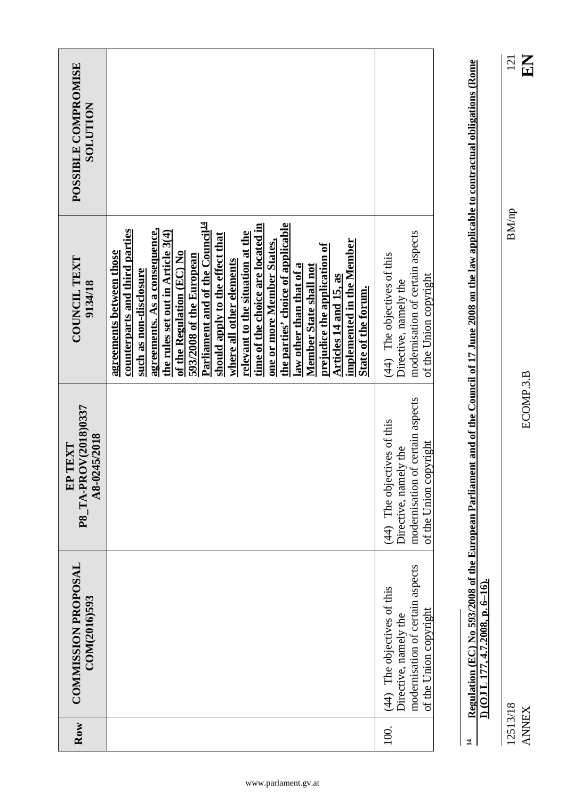| POSSIBLE COMPROMISE<br>NOLLILION                   |                                                                                                                                                                                                                                                                                                                                                                                                                                                                                                                                                                                                                                                                   |                                                                                                                    |
|----------------------------------------------------|-------------------------------------------------------------------------------------------------------------------------------------------------------------------------------------------------------------------------------------------------------------------------------------------------------------------------------------------------------------------------------------------------------------------------------------------------------------------------------------------------------------------------------------------------------------------------------------------------------------------------------------------------------------------|--------------------------------------------------------------------------------------------------------------------|
| COUNCIL TEXT<br>9134/18                            | Parliament and of the Council <sup>14</sup><br>the parties' choice of applicable<br>time of the choice are located in<br>agreements. As a consequence,<br>counterparts and third parties<br>the rules set out in Article 3(4)<br>relevant to the situation at the<br>should apply to the effect that<br>one or more Member States,<br>implemented in the Member<br>prejudice the application of<br>agreements between those<br>of the Regulation (EC) $No$<br>593/2008 of the European<br>where all other elements<br><b>Member State shall not</b><br>law other than that of a<br>such as non-disclosure<br>Articles 14 and 15, as<br><b>State of the forum.</b> | modernisation of certain aspects<br>(44) The objectives of this<br>of the Union copyright<br>Directive, namely the |
| P8_TA-PROV(2018)0337<br>A8-0245/2018<br>TEXT<br>EP |                                                                                                                                                                                                                                                                                                                                                                                                                                                                                                                                                                                                                                                                   | Directive, namely the<br>modernisation of certain aspects<br>(44) The objectives of this<br>of the Union copyright |
| <b>COMMISSION PROPOSAL</b><br>COM(2016)593         |                                                                                                                                                                                                                                                                                                                                                                                                                                                                                                                                                                                                                                                                   | modernisation of certain aspects<br>(44) The objectives of this<br>of the Union copyright<br>Directive, namely the |
| Row                                                |                                                                                                                                                                                                                                                                                                                                                                                                                                                                                                                                                                                                                                                                   | 100.                                                                                                               |

Regulation (EC) No 593/2008 of the European Parliament and of the Council of 17 June 2008 on the law applicable to contractual obligations (Rome **14 Regulation (EC) No 593/2008 of the European Parliament and of the Council of 17 June 2008 on the law applicable to contractual obligations (Rome I) (OJ L 177, 4.7.2008, p. 6–16).**  I) (OJ L 177, 4.7.2008, p. 6-16).

12513/18 BM/np ANNEX ECOMP.3.B **EN** 12513/18<br>ANNEX

 $\vert$   $\vert$ 

## $\frac{121}{E}$

ECOMP.3.B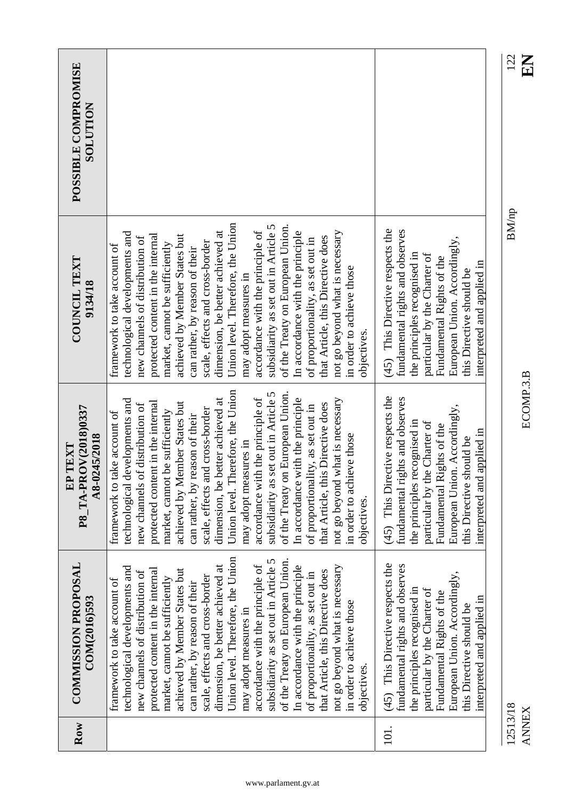|                                                       |                                                                                                                                                                                                                                                                                                                                                                                                                                                                                                                                                                                                                                                                                               |                                                                                                                                                                                                                                                               | 122<br>$\mathbf{E}$      |
|-------------------------------------------------------|-----------------------------------------------------------------------------------------------------------------------------------------------------------------------------------------------------------------------------------------------------------------------------------------------------------------------------------------------------------------------------------------------------------------------------------------------------------------------------------------------------------------------------------------------------------------------------------------------------------------------------------------------------------------------------------------------|---------------------------------------------------------------------------------------------------------------------------------------------------------------------------------------------------------------------------------------------------------------|--------------------------|
| POSSIBLE COMPROMISE<br><b>NOLLTION</b>                |                                                                                                                                                                                                                                                                                                                                                                                                                                                                                                                                                                                                                                                                                               |                                                                                                                                                                                                                                                               |                          |
| COUNCIL TEXT<br>9134/18                               | Union level. Therefore, the Union<br>subsidiarity as set out in Article 5<br>of the Treaty on European Union.<br>accordance with the principle of<br>dimension, be better achieved at<br>In accordance with the principle<br>technological developments and<br>not go beyond what is necessary<br>protected content in the internal<br>achieved by Member States but<br>that Article, this Directive does<br>new channels of distribution of<br>of proportionality, as set out in<br>scale, effects and cross-border<br>market, cannot be sufficiently<br>framework to take account of<br>can rather, by reason of their<br>in order to achieve those<br>may adopt measures in<br>objectives. | (45) This Directive respects the<br>fundamental rights and observes<br>European Union. Accordingly,<br>the principles recognised in<br>particular by the Charter of<br>Fundamental Rights of the<br>interpreted and applied in<br>this Directive should be    | <b>BM/np</b>             |
| P8_TA-PROV(2018)0337<br>A8-0245/2018<br>TEXT<br>$E$ P | Union level. Therefore, the Union<br>subsidiarity as set out in Article 5<br>of the Treaty on European Union.<br>dimension, be better achieved at<br>accordance with the principle of<br>technological developments and<br>In accordance with the principle<br>not go beyond what is necessary<br>achieved by Member States but<br>protected content in the internal<br>that Article, this Directive does<br>new channels of distribution of<br>of proportionality, as set out in<br>scale, effects and cross-border<br>market, cannot be sufficiently<br>framework to take account of<br>can rather, by reason of their<br>in order to achieve those<br>may adopt measures in<br>objectives. | (45) This Directive respects the<br>fundamental rights and observes<br>European Union. Accordingly,<br>the principles recognised in<br>particular by the Charter of<br>Fundamental Rights of the<br>applied in<br>this Directive should be<br>interpreted and | ECOMP.3.B                |
| <b>COMMISSION PROPOSAL</b><br>COM(2016)593            | Union level. Therefore, the Union<br>subsidiarity as set out in Article 5<br>of the Treaty on European Union.<br>dimension, be better achieved at<br>accordance with the principle of<br>In accordance with the principle<br>technological developments and<br>not go beyond what is necessary<br>protected content in the internal<br>achieved by Member States but<br>that Article, this Directive does<br>new channels of distribution of<br>of proportionality, as set out in<br>scale, effects and cross-border<br>market, cannot be sufficiently<br>framework to take account of<br>can rather, by reason of their<br>in order to achieve those<br>may adopt measures in<br>objectives. | (45) This Directive respects the<br>fundamental rights and observes<br>European Union. Accordingly,<br>the principles recognised in<br>particular by the Charter of<br>Fundamental Rights of the<br>interpreted and applied in<br>this Directive should be    |                          |
| Row                                                   |                                                                                                                                                                                                                                                                                                                                                                                                                                                                                                                                                                                                                                                                                               | 101.                                                                                                                                                                                                                                                          | 12513/18<br><b>ANNEX</b> |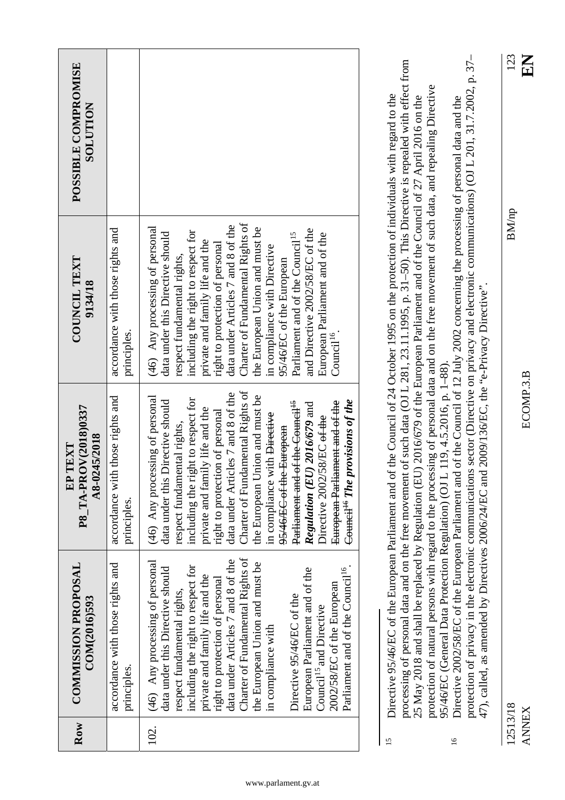| Row  | <b>COMMISSION PROPOSAL</b><br>COM(2016)593                                                                                                                                                                                                                                                                                                                                                                                                                                                                                            | P8_TA-PROV(2018)0337<br>A8-0245/2018<br>EP TEXT                                                                                                                                                                                                                                                                                                                                                                                                                                                                                                                                            | <b>COUNCIL TEXT</b><br>9134/18                                                                                                                                                                                                                                                                                                                                                                                                                                                                                                        | POSSIBLE COMPROMISE<br><b>NOLLUTION</b> |
|------|---------------------------------------------------------------------------------------------------------------------------------------------------------------------------------------------------------------------------------------------------------------------------------------------------------------------------------------------------------------------------------------------------------------------------------------------------------------------------------------------------------------------------------------|--------------------------------------------------------------------------------------------------------------------------------------------------------------------------------------------------------------------------------------------------------------------------------------------------------------------------------------------------------------------------------------------------------------------------------------------------------------------------------------------------------------------------------------------------------------------------------------------|---------------------------------------------------------------------------------------------------------------------------------------------------------------------------------------------------------------------------------------------------------------------------------------------------------------------------------------------------------------------------------------------------------------------------------------------------------------------------------------------------------------------------------------|-----------------------------------------|
|      | accordance with those rights and<br>principles.                                                                                                                                                                                                                                                                                                                                                                                                                                                                                       | accordance with those rights and<br>principles.                                                                                                                                                                                                                                                                                                                                                                                                                                                                                                                                            | accordance with those rights and<br>principles.                                                                                                                                                                                                                                                                                                                                                                                                                                                                                       |                                         |
| 102. | Charter of Fundamental Rights of<br>data under Articles 7 and 8 of the<br>(46) Any processing of personal<br>the European Union and must be<br>including the right to respect for<br>Parliament and of the Council <sup>16</sup> .<br>data under this Directive should<br>European Parliament and of the<br>private and family life and the<br>right to protection of personal<br>2002/58/EC of the European<br>respect fundamental rights,<br>Directive 95/46/EC of the<br>Council <sup>15</sup> and Directive<br>in compliance with | Charter of Fundamental Rights of<br>data under Articles 7 and 8 of the<br>the European Union and must be<br>(46) Any processing of personal<br>including the right to respect for<br>data under this Directive should<br>$\epsilon_{\text{center}}$ The provisions of the<br>Parliament and of the Council <sup>15</sup><br>European Parliament and of the<br>Regulation (EU) 2016/679 and<br>private and family life and the<br>right to protection of personal<br>in compliance with Directive<br>Directive 2002/58/EC ef the<br>respect fundamental rights,<br>95/46/EC of the European | Charter of Fundamental Rights of<br>data under Articles 7 and 8 of the<br>(46) Any processing of personal<br>the European Union and must be<br>and Directive 2002/58/EC of the<br>including the right to respect for<br>data under this Directive should<br>Parliament and of the Council <sup>15</sup><br>European Parliament and of the<br>private and family life and the<br>right to protection of personal<br>in compliance with Directive<br>respect fundamental rights,<br>95/46/EC of the European<br>Council <sup>16</sup> . |                                         |
| 15   | مساك مالسم السما ملمات المسمسين كمم                                                                                                                                                                                                                                                                                                                                                                                                                                                                                                   |                                                                                                                                                                                                                                                                                                                                                                                                                                                                                                                                                                                            | $\Delta_{\rm{max}}$ denotes the find $\Delta_{\rm{max}}$ of $\Delta_{\rm{max}}$ and $\Delta_{\rm{max}}$ of $\Delta_{\rm{max}}$ and $\Delta_{\rm{max}}$ and $\Delta_{\rm{max}}$ and $\Delta_{\rm{max}}$ and $\Delta_{\rm{max}}$ and $\Delta_{\rm{max}}$ and $\Delta_{\rm{max}}$ and $\Delta_{\rm{max}}$ and $\Delta_{\rm{max}}$ and $\Delta_{\rm{max}}$ and<br>Directive 95/46/EC of the European Parliament and of the Council of 24 October 1995 on the protection of individuals with regard to the                                 |                                         |

processing of personal data and on the free movement of such data (OJ L 281, 23.11.1995, p. 31–50). This Directive is repealed with effect from processing of personal data and on the free movement of such data (OJ L 281, 23.11.1995, p. 31-50). This Directive is repealed with effect from protection of natural persons with regard to the processing of personal data and on the free movement of such data, and repealing Directive protection of natural persons with regard to the processing of personal data and on the free movement of such data, and repealing Directive 25 May 2018 and shall be replaced by Regulation (EU) 2016/679 of the European Parliament and of the Council of 27 April 2016 on the 25 May 2018 and shall be replaced by Regulation (EU) 2016/679 of the European Parliament and of the Council of 27 April 2016 on the 95/46/EC (General Data Protection Regulation) (OJ L 119, 4.5.2016, p. 1–88). 95/46/EC (General Data Protection Regulation) (OJ L 119, 4.5.2016, p. 1-88).

12513/18 **ANNEX** 

 $\overline{16}$ 

12513/18 BM/np 123 EN

**BM/np** 

protection of privacy in the electronic communications sector (Directive on privacy and electronic communications) (OJ L 201, 31.7.2002, p. 37– protection of privacy in the electronic communications sector (Directive on privacy and electronic communications) (OJ L 201, 31.7.2002, p. 37– <sup>16</sup> Directive 2002/58/EC of the European Parliament and of the Council of 12 July 2002 concerning the processing of personal data and the Directive 2002/58/EC of the European Parliament and of the Council of 12 July 2002 concerning the processing of personal data and the 47), called, as amended by Directives 2006/24/EC and 2009/136/EC, the "e-Privacy Directive". 47), called, as amended by Directives 2006/24/EC and 2009/136/EC, the "e-Privacy Directive".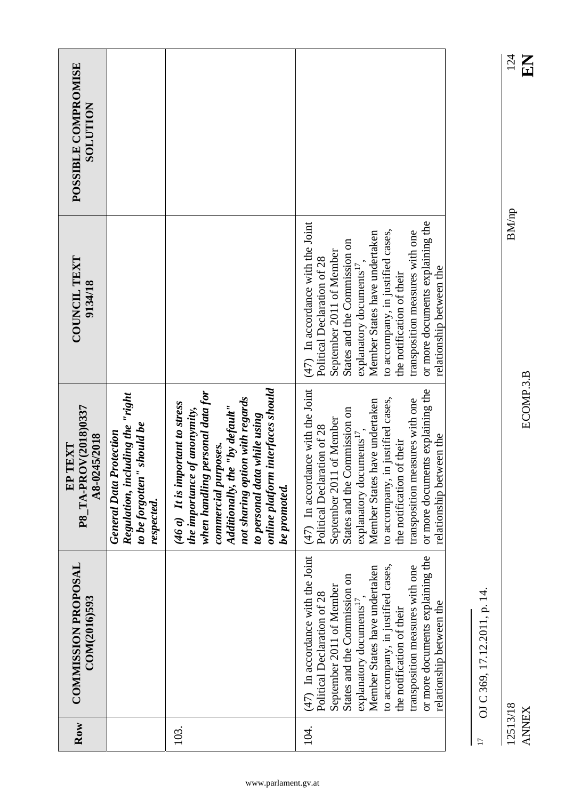| Row             | <b>COMMISSION PROPOSAL</b><br>COM(2016)593                                                                                                                                                                                                                                                                                                                                | P8_TA-PROV(2018)0337<br>A8-0245/2018<br>TEXT<br>$\mathbf{E}$                                                                                                                                                                                                                                                                                                                          | <b>COUNCIL TEXT</b><br>9134/18                                                                                                                                                                                                                                                                                                                                              | POSSIBLE COMPROMISE<br><b>NOLLTIDR</b> |
|-----------------|---------------------------------------------------------------------------------------------------------------------------------------------------------------------------------------------------------------------------------------------------------------------------------------------------------------------------------------------------------------------------|---------------------------------------------------------------------------------------------------------------------------------------------------------------------------------------------------------------------------------------------------------------------------------------------------------------------------------------------------------------------------------------|-----------------------------------------------------------------------------------------------------------------------------------------------------------------------------------------------------------------------------------------------------------------------------------------------------------------------------------------------------------------------------|----------------------------------------|
|                 |                                                                                                                                                                                                                                                                                                                                                                           | Regulation, including the "right<br>to be forgotten" should be<br><b>General Data Protection</b><br>respected.                                                                                                                                                                                                                                                                        |                                                                                                                                                                                                                                                                                                                                                                             |                                        |
| 103.            |                                                                                                                                                                                                                                                                                                                                                                           | online platform interfaces should<br>when handling personal data for<br>not sharing option with regards<br>$(46a)$ It is important to stress<br>Additionally, the "by default"<br>the importance of anonymity,<br>to personal data while using<br>commercial purposes.<br>be promoted.                                                                                                |                                                                                                                                                                                                                                                                                                                                                                             |                                        |
| 104.            | (47) In accordance with the Joint<br>or more documents explaining the<br>to accompany, in justified cases,<br>transposition measures with one<br>Member States have undertaken<br>States and the Commission on<br>September 2011 of Member<br>Political Declaration of 28<br>explanatory documents <sup>17</sup><br>relationship between the<br>the notification of their | $(47)$ In accordance with the Joint<br>or more documents explaining the<br>in justified cases,<br>transposition measures with one<br>have undertaken<br>States and the Commission on<br>September 2011 of Member<br>Political Declaration of 28<br>explanatory documents <sup>17</sup> ,<br>relationship between the<br>the notification of their<br>Member States<br>to accompany, i | or more documents explaining the<br>$(47)$ In accordance with the Joint<br>to accompany, in justified cases,<br>transposition measures with one<br>Member States have undertaken<br>States and the Commission on<br>September 2011 of Member<br>Political Declaration of 28<br>explanatory documents <sup>17</sup><br>relationship between the<br>the notification of their |                                        |
| $\overline{17}$ | OJ C 369, 17.12.2011, p. 14.                                                                                                                                                                                                                                                                                                                                              |                                                                                                                                                                                                                                                                                                                                                                                       |                                                                                                                                                                                                                                                                                                                                                                             |                                        |

12513/18 BM/np 124 12513/18<br>ANNEX

 $124$ <br>EN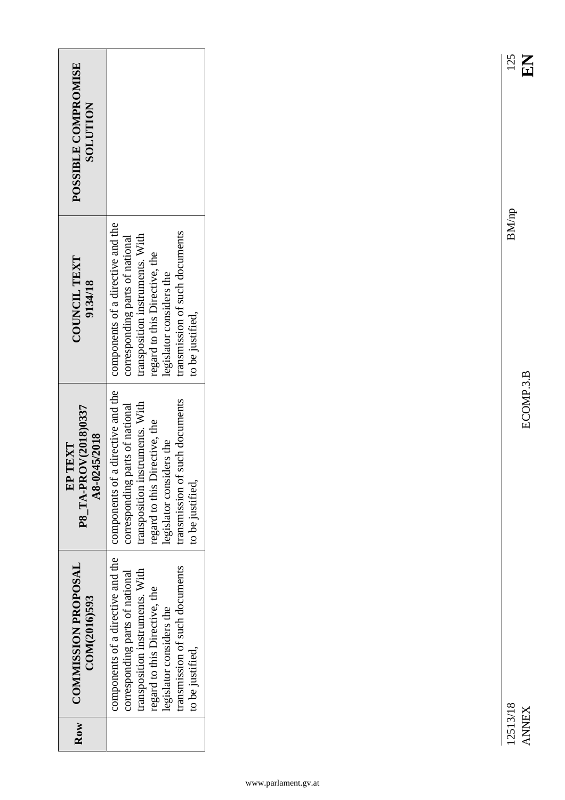| Row | <b>COMMISSION PROPOSAL</b><br>COM(2016)593                                                                                                                                                                                | P8_TA-PROV(2018)0337<br>A8-0245/2018<br>TEXT<br>$\mathbf{E}$                                                                                                                                                                    | <b>COUNCIL TEXT</b><br>9134/18                                                                                                                                                                                             | POSSIBLE COMPROMISE<br><b>NOLLUTION</b> |
|-----|---------------------------------------------------------------------------------------------------------------------------------------------------------------------------------------------------------------------------|---------------------------------------------------------------------------------------------------------------------------------------------------------------------------------------------------------------------------------|----------------------------------------------------------------------------------------------------------------------------------------------------------------------------------------------------------------------------|-----------------------------------------|
|     | components of a directive and the<br>transmission of such documents<br>transposition instruments. With<br>corresponding parts of national<br>regard to this Directive, the<br>egislator considers the<br>to be justified, | components of a directive and the<br>such documents<br>ransposition instruments. With<br>parts of national<br>regard to this Directive, the<br>legislator considers the<br>transmission of<br>corresponding<br>to be justified, | components of a directive and the<br>transmission of such documents<br>transposition instruments. With<br>corresponding parts of national<br>regard to this Directive, the<br>legislator considers the<br>to be justified, |                                         |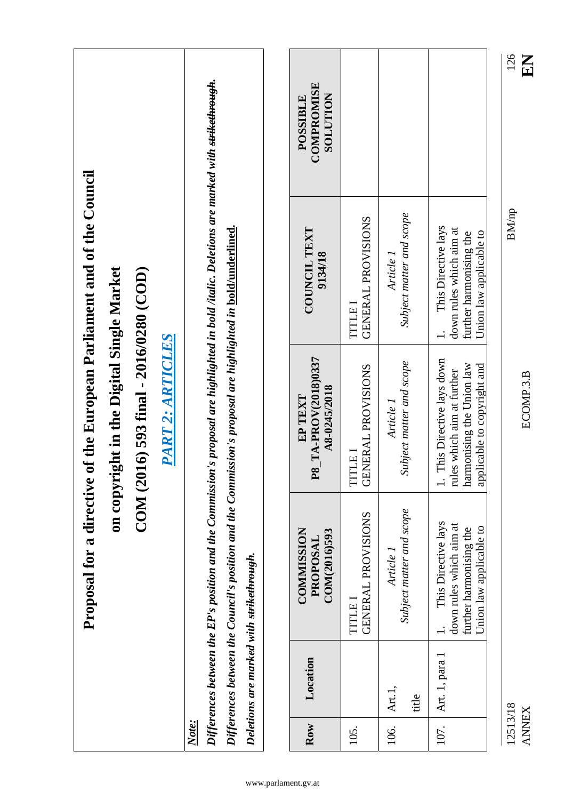|                          |                 |                                                                                                      |                                                                                                                       | Proposal for a directive of the European Parliament and of the Council                                                                                   |                                           |
|--------------------------|-----------------|------------------------------------------------------------------------------------------------------|-----------------------------------------------------------------------------------------------------------------------|----------------------------------------------------------------------------------------------------------------------------------------------------------|-------------------------------------------|
|                          |                 |                                                                                                      | on copyright in the Digital Single Market<br>COM (2016) 593 final - 2016/0280 (COD)                                   |                                                                                                                                                          |                                           |
|                          |                 |                                                                                                      | <b>PART 2: ARTICLES</b>                                                                                               |                                                                                                                                                          |                                           |
| Note:                    |                 | Deletions are marked with strikethrough.                                                             | Differences between the Council's position and the Commission's proposal are highlighted in <u>bold/underlined.</u>   | Differences between the EP's position and the Commission's proposal are highlighted in bold /italic. Deletions are marked with <del>strikethrough.</del> |                                           |
|                          |                 |                                                                                                      |                                                                                                                       |                                                                                                                                                          |                                           |
| Row                      | Location        | <b>COMMISSION</b><br>COM(2016)593<br>PROPOSAL                                                        | P8_TA-PROV(2018)0337<br>A8-0245/2018<br>${\rm EP}\,{\rm TEXT}$                                                        | COUNCIL TEXT<br>9134/18                                                                                                                                  | COMPROMISE<br><b>NOLLLTON</b><br>POSSIBLE |
| 105.                     |                 | GENERAL PROVISIONS<br>TITLE I                                                                        | GENERAL PROVISIONS<br>TITLEI                                                                                          | GENERAL PROVISIONS<br>TITLEI                                                                                                                             |                                           |
| 106.                     | Art.1,<br>title | Subject matter and scope<br>Article                                                                  | Subject matter and scope<br>Article 1                                                                                 | Subject matter and scope<br>Article 1                                                                                                                    |                                           |
| 107.                     | Art. 1, para 1  | This Directive lays<br>down rules which aim at<br>Union law applicable to<br>further harmonising the | 1. This Directive lays down<br>harmonising the Union law<br>applicable to copyright and<br>rules which aim at further | This Directive lays<br>down rules which aim at<br>Union law applicable to<br>further harmonising the                                                     |                                           |
| 12513/18<br><b>ANNEX</b> |                 |                                                                                                      | ECOMP.3.B                                                                                                             | <b>BM/np</b>                                                                                                                                             | 126<br>KH                                 |

 $\frac{126}{E}$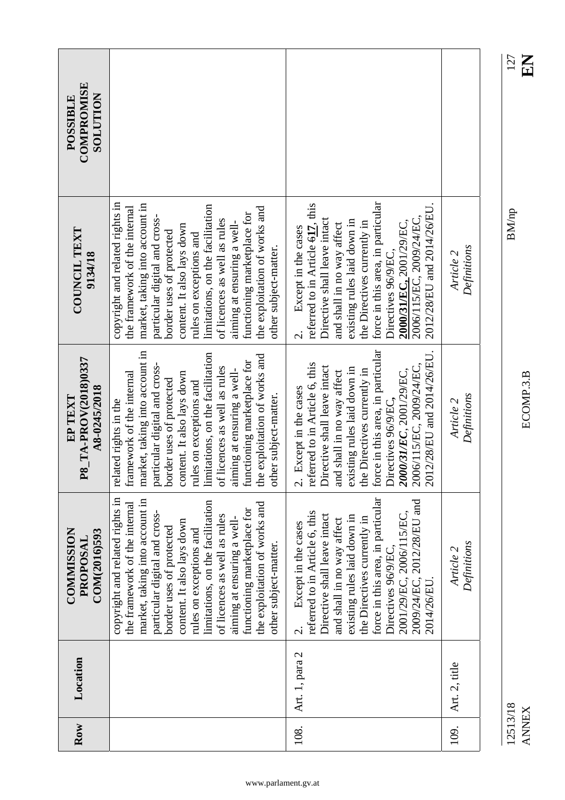| COMPROMISE<br><b>NOLLUTION</b><br>POSSIBLE      |                                                                                                                                                                                                                                                                                                                                                                                                                      |                                                                                                                                                                                                                                                                                                                                                              |                          |
|-------------------------------------------------|----------------------------------------------------------------------------------------------------------------------------------------------------------------------------------------------------------------------------------------------------------------------------------------------------------------------------------------------------------------------------------------------------------------------|--------------------------------------------------------------------------------------------------------------------------------------------------------------------------------------------------------------------------------------------------------------------------------------------------------------------------------------------------------------|--------------------------|
| <b>COUNCIL TEXT</b><br>9134/18                  | copyright and related rights in<br>market, taking into account in<br>limitations, on the facilitation<br>the framework of the internal<br>the exploitation of works and<br>functioning marketplace for<br>particular digital and cross-<br>of licences as well as rules<br>aiming at ensuring a well-<br>content. It also lays down<br>border uses of protected<br>rules on exceptions and<br>other subject-matter.  | force in this area, in particular<br>referred to in Article $617$ , this<br>2012/28/EU and 2014/26/EU<br>2006/115/EC, 2009/24/EC,<br>Directive shall leave intact<br>existing rules laid down in<br>2000/31/EC, 2001/29/EC,<br>the Directives currently in<br>and shall in no way affect<br>Except in the cases<br>Directives 96/9/EC<br>$\dot{\mathcal{C}}$ | Definitions<br>Article 2 |
| P8_TA-PROV(2018)0337<br>A8-0245/2018<br>EP TEXT | market, taking into account in<br>limitations, on the facilitation<br>the exploitation of works and<br>functioning marketplace for<br>particular digital and cross-<br>licences as well as rules<br>aiming at ensuring a well-<br>framework of the internal<br>content. It also lays down<br>border uses of protected<br>es on exceptions and<br>other subject-matter.<br>related rights in the<br>Ē<br>$\mathbf{f}$ | force in this area, in particular<br>2012/28/EU and 2014/26/EU<br>referred to in Article 6, this<br>2006/115/EC, 2009/24/EC,<br>Directive shall leave intact<br>existing rules laid down in<br>2000/31/EC, 2001/29/EC,<br>the Directives currently in<br>and shall in no way affect<br>Except in the cases<br>Directives 96/9/EC<br>$\dot{\mathcal{C}}$      | Definitions<br>Article 2 |
| <b>COMMISSION</b><br>COM(2016)593<br>PROPOSAL   | copyright and related rights in<br>market, taking into account in<br>limitations, on the facilitation<br>the framework of the internal<br>the exploitation of works and<br>functioning marketplace for<br>particular digital and cross-<br>of licences as well as rules<br>aiming at ensuring a well-<br>content. It also lays down<br>border uses of protected<br>rules on exceptions and<br>other subject-matter.  | force in this area, in particular<br>2009/24/EC, 2012/28/EU and<br>referred to in Article 6, this<br>2001/29/EC, 2006/115/EC,<br>Directive shall leave intact<br>existing rules laid down in<br>the Directives currently in<br>and shall in no way affect<br>Except in the cases<br>Directives 96/9/EC<br>2014/26/EU.<br>$\dot{\mathcal{C}}$                 | Definitions<br>Article 2 |
| Location                                        |                                                                                                                                                                                                                                                                                                                                                                                                                      | Art. 1, para 2                                                                                                                                                                                                                                                                                                                                               | Art. 2, title            |
| Row                                             |                                                                                                                                                                                                                                                                                                                                                                                                                      | 108.                                                                                                                                                                                                                                                                                                                                                         | 109.                     |

12513/18<br>ANNEX

 $\frac{127}{EM}$ 12513/18 BM/np

 $\rm BM/np$ 

www.parlament.gv.at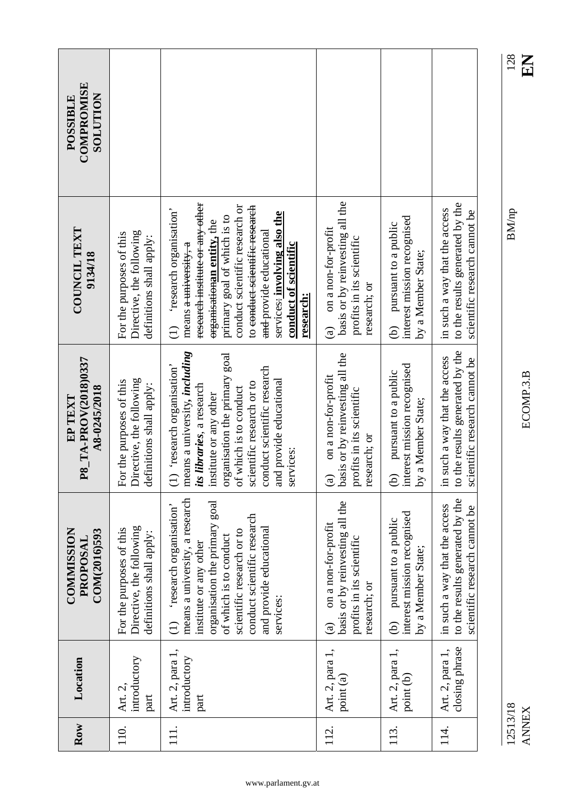| COMPROMISE<br><b>NOLLUTION</b><br>POSSIBLE                    |                                                                                  |                                                                                                                                                                                                                                                                                                                                                                                         |                                                                                                                      |                                                                                                                |                                                                                                   |
|---------------------------------------------------------------|----------------------------------------------------------------------------------|-----------------------------------------------------------------------------------------------------------------------------------------------------------------------------------------------------------------------------------------------------------------------------------------------------------------------------------------------------------------------------------------|----------------------------------------------------------------------------------------------------------------------|----------------------------------------------------------------------------------------------------------------|---------------------------------------------------------------------------------------------------|
| <b>COUNCIL TEXT</b><br>9134/18                                | Directive, the following<br>For the purposes of this<br>definitions shall apply: | research institute or any other<br>conduct scientific research or<br>to conduct scientific research<br>'research organisation'<br>services: involving also the<br>primary goal of which is to<br>erganisationan entity, the<br>and-provide educational<br>means a university, a<br>conduct of scientific<br>research:<br>$\begin{array}{c}\n\begin{array}{c}\n\end{array}\n\end{array}$ | basis or by reinvesting all the<br>on a non-for-profit<br>profits in its scientific<br>research; or<br>$\hat{a}$     | interest mission recognised<br>pursuant to a public<br>by a Member State;<br>ව                                 | to the results generated by the<br>in such a way that the access<br>scientific research cannot be |
| P8_TA-PROV(2018)0337<br>A8-0245/2018<br>${\rm EP}~{\rm TEXT}$ | Directive, the following<br>For the purposes of this<br>definitions shall apply: | means a university, including<br>organisation the primary goal<br>'research organisation'<br>conduct scientific research<br>and provide educational<br>scientific research or to<br>its libraries, a research<br>which is to conduct<br>institute or any other<br>services:<br>$\bigoplus$<br>$\sigma$                                                                                  | basis or by reinvesting all the<br>on a non-for-profit<br>profits in its scientific<br>research; or<br>$\mathbf{a}$  | interest mission recognised<br>pursuant to a public<br>a Member State;<br>$\Theta$<br>$\overline{\mathcal{S}}$ | to the results generated by the<br>in such a way that the access<br>scientific research cannot be |
| <b>COMMISSION</b><br>COM(2016)593<br>PROPOSAL                 | Directive, the following<br>For the purposes of this<br>definitions shall apply: | means a university, a research<br>organisation the primary goal<br>'research organisation'<br>conduct scientific research<br>and provide educational<br>scientific research or to<br>of which is to conduct<br>institute or any other<br>services:<br>$\widehat{\mathcal{L}}$                                                                                                           | basis or by reinvesting all the<br>on a non-for-profit<br>profits in its scientific<br>research; or<br>$\widehat{a}$ | interest mission recognised<br>pursuant to a public<br>by a Member State;<br>ව                                 | to the results generated by the<br>in such a way that the access<br>scientific research cannot be |
| Location                                                      | introductory<br>Art. 2,<br>part                                                  | Art. 2, para 1,<br>introductory<br>part                                                                                                                                                                                                                                                                                                                                                 | Art. 2, para 1,<br>point (a)                                                                                         | Art. 2, para 1,<br>point (b)                                                                                   | closing phrase<br>Art. 2, para 1,                                                                 |
| Row                                                           | 110.                                                                             | 111.                                                                                                                                                                                                                                                                                                                                                                                    | 112.                                                                                                                 | 113.                                                                                                           | 114.                                                                                              |

www.parlament.gv.at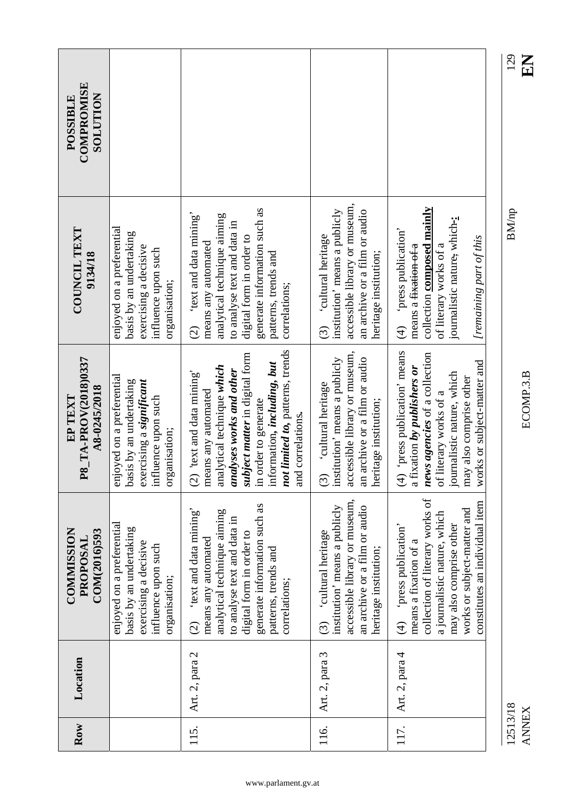|                                                 |                                                                                                                          |                                                                                                                                                                                                                                                                            |                                                                                                                                                                           |                                                                                                                                                                                                                              | 129<br>$\mathbf{E}$      |
|-------------------------------------------------|--------------------------------------------------------------------------------------------------------------------------|----------------------------------------------------------------------------------------------------------------------------------------------------------------------------------------------------------------------------------------------------------------------------|---------------------------------------------------------------------------------------------------------------------------------------------------------------------------|------------------------------------------------------------------------------------------------------------------------------------------------------------------------------------------------------------------------------|--------------------------|
| COMPROMISE<br><b>NOLLUTION</b><br>POSSIBLE      |                                                                                                                          |                                                                                                                                                                                                                                                                            |                                                                                                                                                                           |                                                                                                                                                                                                                              |                          |
| <b>COUNCIL TEXT</b><br>9134/18                  | enjoyed on a preferential<br>basis by an undertaking<br>exercising a decisive<br>influence upon such<br>organisation;    | generate information such as<br>'text and data mining'<br>analytical technique aiming<br>to analyse text and data in<br>digital form in order to<br>means any automated<br>patterns, trends and<br>correlations;<br>$\widehat{C}$                                          | accessible library or museum,<br>institution' means a publicly<br>an archive or a film or audio<br>'cultural heritage<br>heritage institution;<br>$\widehat{S}$           | collection composed mainly<br>journalistic nature, which:<br>'press publication'<br>[remaining part of this<br>means a <del>fixation of a</del><br>of literary works of a<br>$\widehat{\mathcal{L}}$                         | BM/np                    |
| P8_TA-PROV(2018)0337<br>A8-0245/2018<br>EP TEXT | enjoyed on a preferential<br>basis by an undertaking<br>exercising a significant<br>influence upon such<br>organisation; | not limited to, patterns, trends<br>subject matter in digital form<br>information, including, but<br>analytical technique which<br>analyses works and other<br>'text and data mining'<br>means any automated<br>in order to generate<br>and correlations.<br>$\widehat{O}$ | accessible library or museum,<br>institution' means a publicly<br>an archive or a film or audio<br>'cultural heritage<br>heritage institution;<br>$\odot$                 | 'press publication' means<br>news agencies of a collection<br>works or subject-matter and<br>a fixation by publishers or<br>journalistic nature, which<br>may also comprise other<br>of literary works of a<br>$\bigoplus$   | ECOMP.3.B                |
| <b>COMMISSION</b><br>COM(2016)593<br>PROPOSAL   | enjoyed on a preferential<br>basis by an undertaking<br>exercising a decisive<br>influence upon such<br>organisation;    | generate information such as<br>'text and data mining'<br>analytical technique aiming<br>to analyse text and data in<br>digital form in order to<br>means any automated<br>patterns, trends and<br>correlations;<br>$\widehat{c}$                                          | accessible library or museum,<br>institution' means a publicly<br>an archive or a film or audio<br>'cultural heritage<br>heritage institution;<br>$\widehat{\mathcal{O}}$ | collection of literary works of<br>constitutes an individual item<br>works or subject-matter and<br>a journalistic nature, which<br>'press publication'<br>may also comprise other<br>means a fixation of a<br>$\widehat{d}$ |                          |
| Location                                        |                                                                                                                          | Art. 2, para 2                                                                                                                                                                                                                                                             | Art. 2, para 3                                                                                                                                                            | Art. 2, para 4                                                                                                                                                                                                               |                          |
| Row                                             |                                                                                                                          | 115.                                                                                                                                                                                                                                                                       | 116.                                                                                                                                                                      | 117.                                                                                                                                                                                                                         | 12513/18<br><b>ANNEX</b> |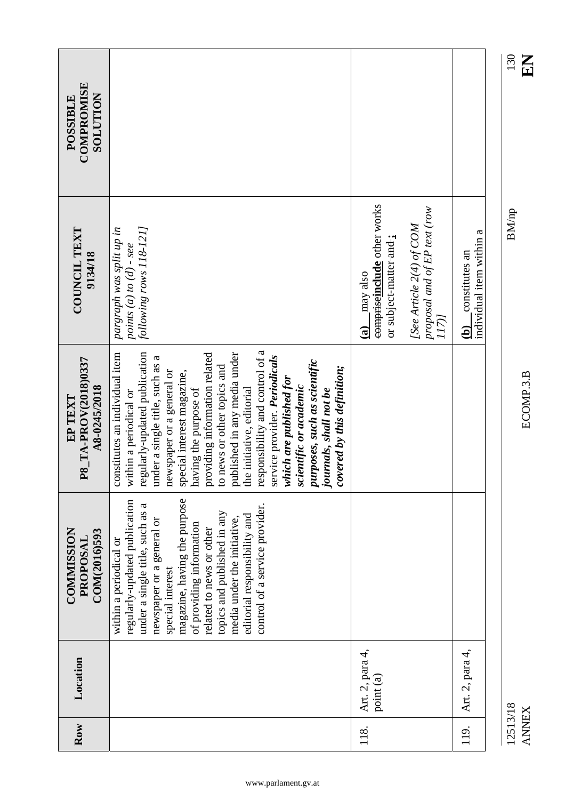|                                                 |                                                                                                                                                                                                                                                                                                                                                                                                                                                                                                                                                                 |                                                                                   |                                                                 |                                                                      | 130<br>KR                |
|-------------------------------------------------|-----------------------------------------------------------------------------------------------------------------------------------------------------------------------------------------------------------------------------------------------------------------------------------------------------------------------------------------------------------------------------------------------------------------------------------------------------------------------------------------------------------------------------------------------------------------|-----------------------------------------------------------------------------------|-----------------------------------------------------------------|----------------------------------------------------------------------|--------------------------|
| COMPROMISE<br><b>NOLLLTON</b><br>POSSIBLE       |                                                                                                                                                                                                                                                                                                                                                                                                                                                                                                                                                                 |                                                                                   |                                                                 |                                                                      |                          |
| <b>COUNCIL TEXT</b><br>9134/18                  | following rows 118-121]<br>pargraph was split up in<br>points $(a)$ to $(d)$ - see                                                                                                                                                                                                                                                                                                                                                                                                                                                                              | compriscinclude other works<br>or subject-matter and:<br>may also<br>$\mathbf{a}$ | proposal and of EP text (row<br>[See Article 2(4) of COM<br>117 | individual item within a<br>constitutes an<br>$\widehat{\mathbf{e}}$ | <b>BM/np</b>             |
| P8_TA-PROV(2018)0337<br>A8-0245/2018<br>EP TEXT | responsibility and control of a<br>regularly-updated publication<br>providing information related<br>published in any media under<br>constitutes an individual item<br>service provider. Periodicals<br>under a single title, such as a<br>purposes, such as scientific<br>to news or other topics and<br>covered by this definition;<br>newspaper or a general or<br>special interest magazine,<br>which are published for<br>scientific or academic<br>having the purpose of<br>the initiative, editorial<br>journals, shall not be<br>within a periodical or |                                                                                   |                                                                 |                                                                      | ECOMP.3.B                |
| <b>COMMISSION</b><br>COM(2016)593<br>PROPOSAL   | magazine, having the purpose<br>regularly-updated publication<br>under a single title, such as a<br>control of a service provider.<br>topics and published in any<br>editorial responsibility and<br>media under the initiative,<br>newspaper or a general or<br>of providing information<br>related to news or other<br>within a periodical or<br>special interest                                                                                                                                                                                             |                                                                                   |                                                                 |                                                                      |                          |
| Location                                        |                                                                                                                                                                                                                                                                                                                                                                                                                                                                                                                                                                 | Art. 2, para 4,<br>point (a)                                                      |                                                                 | Art. 2, para 4,                                                      |                          |
| Row                                             |                                                                                                                                                                                                                                                                                                                                                                                                                                                                                                                                                                 | 118.                                                                              |                                                                 | 119.                                                                 | 12513/18<br><b>ANNEX</b> |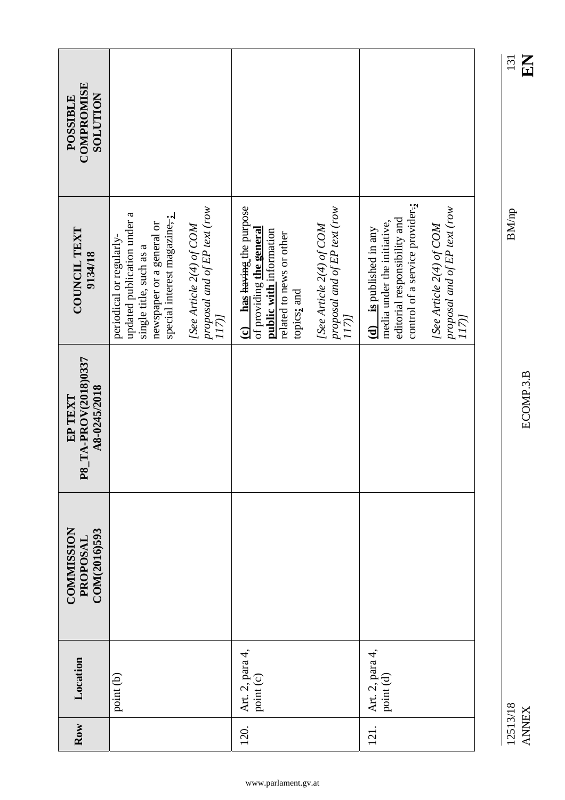| <b>COMPROMISE</b><br><b>NOLLLIDTIOS</b><br>POSSIBLE |                                                                                                                                                                                                             |                                                                                                                                                        |                                                                     |                                                                                                                            |                                                                   |
|-----------------------------------------------------|-------------------------------------------------------------------------------------------------------------------------------------------------------------------------------------------------------------|--------------------------------------------------------------------------------------------------------------------------------------------------------|---------------------------------------------------------------------|----------------------------------------------------------------------------------------------------------------------------|-------------------------------------------------------------------|
| COUNCIL TEXT<br>9134/18                             | proposal and of EP text (row<br>updated publication under a<br>special interest magazine,-;<br>newspaper or a general or<br>[See Article 2(4) of COM<br>periodical or regularly-<br>single title, such as a | has having the purpose<br>of providing the general<br>public with information<br>related to news or other<br>topics; and<br>117<br>$\ddot{\mathbf{c}}$ | proposal and of EP text (row<br>[See Article 2(4) of COM<br>$117$ ] | control of a service provider:<br>editorial responsibility and<br>media under the initiative,<br>$(d)$ is published in any | proposal and of EP text (row<br>[See Article 2(4) of $COM$<br>117 |
| P8_TA-PROV(2018)0337<br>A8-0245/2018<br>EP TEXT     |                                                                                                                                                                                                             |                                                                                                                                                        |                                                                     |                                                                                                                            |                                                                   |
| COMMISSION<br>COM(2016)593<br>PROPOSAL              |                                                                                                                                                                                                             |                                                                                                                                                        |                                                                     |                                                                                                                            |                                                                   |
| Location                                            | point (b)                                                                                                                                                                                                   | Art. 2, para 4,<br>point (c)                                                                                                                           |                                                                     | Art. 2, para 4,<br>point (d)                                                                                               |                                                                   |
| Row                                                 |                                                                                                                                                                                                             | 120.                                                                                                                                                   |                                                                     | 121.                                                                                                                       |                                                                   |

 $\frac{131}{E}$ 

<sup>12513/18</sup> BM/np 12513/18<br>ANNEX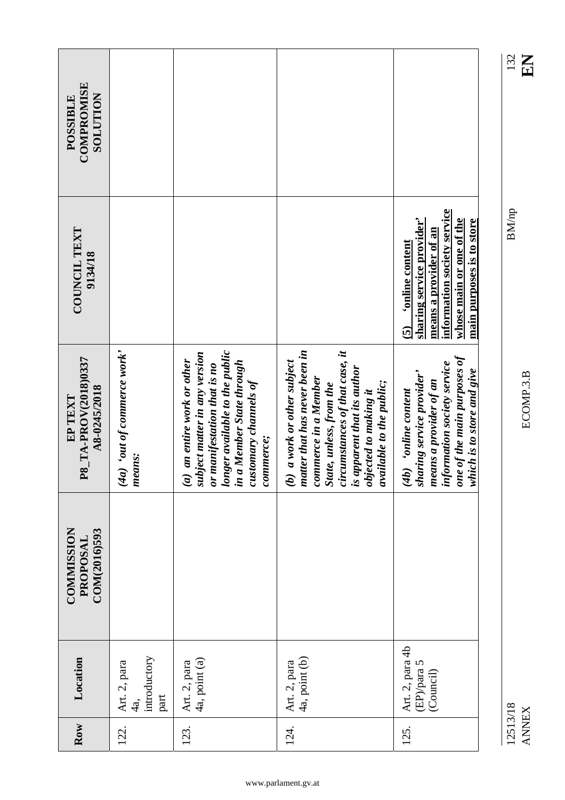| COMPROMISE<br><b>SOLUTION</b><br>POSSIBLE       |                                             |                                                                                                                                                                                                               |                                                                                                                                                                                                                                                 |                                                                                                                                                                             |
|-------------------------------------------------|---------------------------------------------|---------------------------------------------------------------------------------------------------------------------------------------------------------------------------------------------------------------|-------------------------------------------------------------------------------------------------------------------------------------------------------------------------------------------------------------------------------------------------|-----------------------------------------------------------------------------------------------------------------------------------------------------------------------------|
| <b>COUNCIL TEXT</b><br>9134/18                  |                                             |                                                                                                                                                                                                               |                                                                                                                                                                                                                                                 | information society service<br>sharing service provider'<br>whose main or one of the<br>main purposes is to store<br>means a provider of an<br>online content<br><u>(၃)</u> |
| P8_TA-PROV(2018)0337<br>A8-0245/2018<br>EP TEXT | $(4a)$ 'out of commerce work'<br>means:     | longer available to the public<br>subject matter in any version<br>an entire work or other<br>in a Member State through<br>or manifestation that is no<br>customary channels of<br>commerce;<br>$\mathcal{G}$ | matter that has never been in<br>circumstances of that case, it<br>a work or other subject<br>is apparent that its author<br>commerce in a Member<br>available to the public;<br>State, unless, from the<br>objected to making it<br>$\bigcirc$ | one of the main purposes of<br>formation society service<br>which is to store and give<br>sharing service provider'<br>means a provider of an<br>(4b) online content<br>inj |
| <b>COMMISSION</b><br>COM(2016)593<br>PROPOSAI   |                                             |                                                                                                                                                                                                               |                                                                                                                                                                                                                                                 |                                                                                                                                                                             |
| Location                                        | introductory<br>Art. 2, para<br>part<br>4a, | 4a, point (a)<br>Art. 2, para                                                                                                                                                                                 | 4a, point (b)<br>Art. 2, para                                                                                                                                                                                                                   | Art. 2, para 4b<br>(EP)/para 5<br>(Council)                                                                                                                                 |
| Row                                             | 122.                                        | 123.                                                                                                                                                                                                          | 124.                                                                                                                                                                                                                                            | 125.                                                                                                                                                                        |

12513/18<br>ANNEX

ANNEX ECOMP.3.B **EN** ECOMP.3.B

12513/18 BM/np  $\rm BM/np$ 

 $\frac{132}{EM}$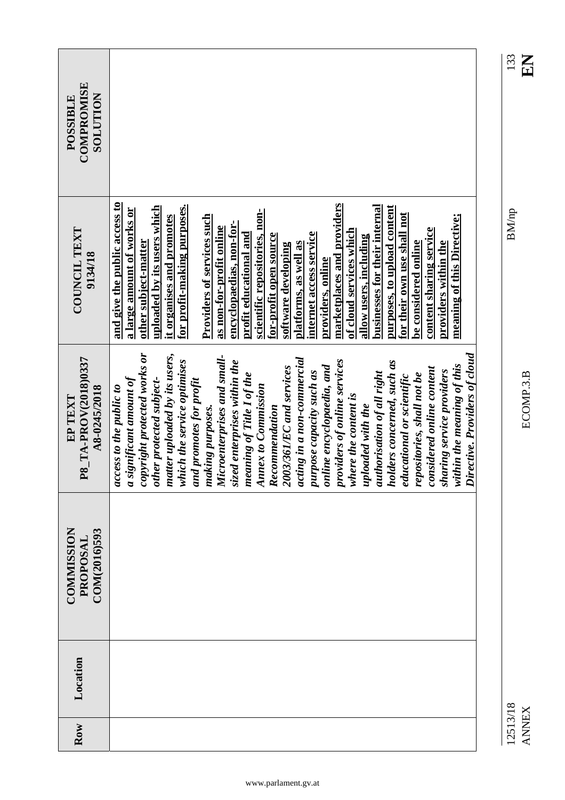| COMPROMISE<br><b>NOILLIDTIOS</b><br>POSSIBLE    |                                                                                                                                                                                                                                                                                                                                                                                                                                                                                                                                                                                                                                                                                                                                                                                                                                |
|-------------------------------------------------|--------------------------------------------------------------------------------------------------------------------------------------------------------------------------------------------------------------------------------------------------------------------------------------------------------------------------------------------------------------------------------------------------------------------------------------------------------------------------------------------------------------------------------------------------------------------------------------------------------------------------------------------------------------------------------------------------------------------------------------------------------------------------------------------------------------------------------|
| COUNCIL TEXT<br>9134/18                         | and give the public access to<br>marketplaces and providers<br>for profit-making purposes.<br>businesses for their internal<br>purposes, to upload content<br>uploaded by its users which<br>a large amount of works or<br>scientific repositories, non-<br>for their own use shall not<br><b>Providers of services such</b><br>it organises and promotes<br>meaning of this Directive;<br>encyclopaedias, non-for-<br>as non-for-profit online<br>content sharing service<br>of cloud services which<br>profit educational and<br>internet access service<br>for-profit open source<br>allow users, including<br>other subject-matter<br>providers within the<br>be considered online<br>platforms, as well as<br>software developing<br>providers, online                                                                    |
| P8_TA-PROV(2018)0337<br>A8-0245/2018<br>EP TEXT | copyright protected works or<br>rective. Providers of cloud<br>matter uploaded by its users,<br>Microenterprises and small-<br>acting in a non-commercial<br>providers of online services<br>which the service optimises<br>sized enterprises within the<br>holders concerned, such as<br>within the meaning of this<br>online encyclopaedia, and<br>2003/361/EC and services<br>considered online content<br>sharing service providers<br>purpose capacity such as<br>authorisation of all right<br>repositories, shall not be<br>meaning of Title I of the<br>educational or scientific<br>a significant amount of<br>other protected subject-<br>and promotes for profit<br>Annex to Commission<br>access to the public to<br>where the content is<br>uploaded with the<br>Recommendation<br>making purposes.<br>$\ddot{D}$ |
| <b>COMMISSION</b><br>COM(2016)593<br>PROPOSAI   |                                                                                                                                                                                                                                                                                                                                                                                                                                                                                                                                                                                                                                                                                                                                                                                                                                |
| Location                                        |                                                                                                                                                                                                                                                                                                                                                                                                                                                                                                                                                                                                                                                                                                                                                                                                                                |
| Row                                             |                                                                                                                                                                                                                                                                                                                                                                                                                                                                                                                                                                                                                                                                                                                                                                                                                                |

12513/18 BM/np 12513/18<br>ANNEX

ANNEX ECOMP.3.B **EN** ECOMP.3.B

 $\frac{133}{E N}$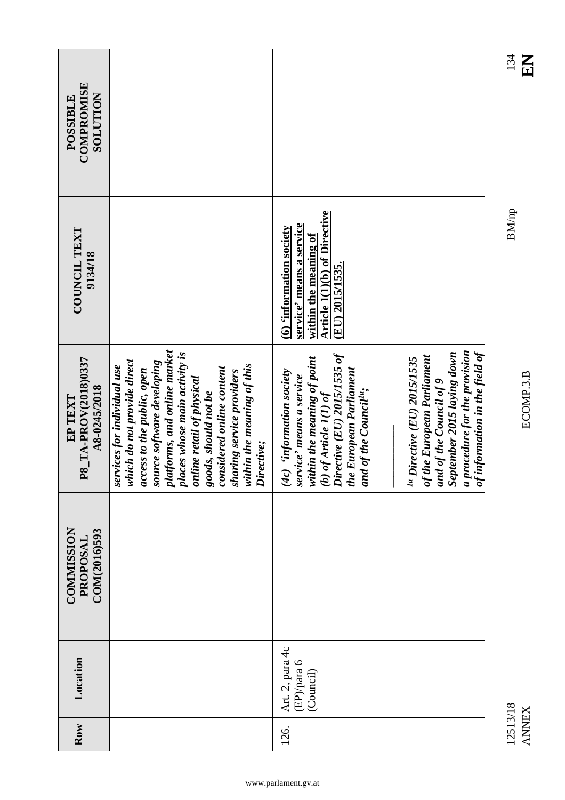| <b>COMPROMISE</b><br><b>NOILLIDTIOS</b><br>POSSIBLE |                                                                                                                                                                                                                                                                                                                                                    |                                                                                                                                                                                                                                                                                                                                                                                                                                  | 134          |
|-----------------------------------------------------|----------------------------------------------------------------------------------------------------------------------------------------------------------------------------------------------------------------------------------------------------------------------------------------------------------------------------------------------------|----------------------------------------------------------------------------------------------------------------------------------------------------------------------------------------------------------------------------------------------------------------------------------------------------------------------------------------------------------------------------------------------------------------------------------|--------------|
| <b>COUNCIL TEXT</b><br>9134/18                      |                                                                                                                                                                                                                                                                                                                                                    | <b>Article 1(1)(b)</b> of Directive<br>service' means a service<br>(6) 'information society<br>within the meaning of<br>(EU) 2015/1535.                                                                                                                                                                                                                                                                                          | <b>BM/np</b> |
| P8_TA-PROV(2018)0337<br>A8-0245/2018<br>EP TEXT     | platforms, and online market<br>places whose main activity is<br>which do not provide direct<br>source software developing<br>within the meaning of this<br>services for individual use<br>considered online content<br>access to the public, open<br>sharing service providers<br>online retail of physical<br>goods, should not be<br>Directive; | a procedure for the provision<br>September 2015 laying down<br>information in the field of<br>Directive (EU) $2015/1535$ of<br>of the European Parliament<br>within the meaning of point<br>$^{1a}$ Directive (EU) 2015/1535<br>the European Parliament<br>(4c) information society<br>service' means a service<br>and of the Council of 9<br>and of the Council <sup>la</sup> ;<br>(b) of Article $I(I)$ of<br>$\bm{\vartheta}$ |              |
| <b>COMMISSION</b><br>COM(2016)593<br>PROPOSAL       |                                                                                                                                                                                                                                                                                                                                                    |                                                                                                                                                                                                                                                                                                                                                                                                                                  |              |
| Location                                            |                                                                                                                                                                                                                                                                                                                                                    | Art. 2, para 4c<br>(EP)/para 6<br>(Council)                                                                                                                                                                                                                                                                                                                                                                                      |              |
| Row                                                 |                                                                                                                                                                                                                                                                                                                                                    | 126.                                                                                                                                                                                                                                                                                                                                                                                                                             | 12513/18     |

 $\frac{134}{134}$ 

BM/np

12513/18<br>ANNEX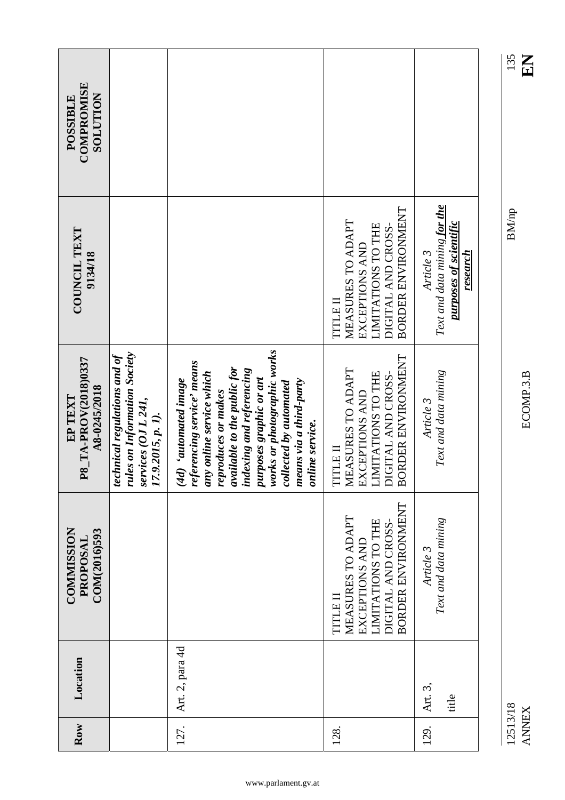| COMPROMISE<br><b>NOLLUTION</b><br>POSSIBLE      |                                                                                                                    |                                                                                                                                                                                                                                                                                                       |                                                                                                                          |                                                                                        |
|-------------------------------------------------|--------------------------------------------------------------------------------------------------------------------|-------------------------------------------------------------------------------------------------------------------------------------------------------------------------------------------------------------------------------------------------------------------------------------------------------|--------------------------------------------------------------------------------------------------------------------------|----------------------------------------------------------------------------------------|
| <b>COUNCIL TEXT</b><br>9134/18                  |                                                                                                                    |                                                                                                                                                                                                                                                                                                       | BORDER ENVIRONMENT<br>MEASURES TO ADAPT<br><b>IMITATIONS TO THE</b><br>DIGITAL AND CROSS-<br>EXCEPTIONS AND<br>TITLE II  | Text and data mining for the<br>purposes of scientific<br>Article 3<br><u>research</u> |
| P8_TA-PROV(2018)0337<br>A8-0245/2018<br>EP TEXT | rules on Information Society<br><i>technical regulations and of</i><br>$s$ ervices (OJ L 241,<br>17.9.2015, p. 1). | works or photographic works<br>'erencing service' means<br>available to the public for<br>indexing and referencing<br>any online service which<br>strungencino, (pt)<br>purposes graphic or art<br>means via a third-party<br>collected by automated<br>reproduces or makes<br>online service.<br>ref | BORDER ENVIRONMENT<br>MEASURES TO ADAPT<br>LIMITATIONS TO THE<br>DIGITAL AND CROSS-<br>EXCEPTIONS AND<br><b>TITLE II</b> | Text and data mining<br>Article 3                                                      |
| <b>COMMISSION</b><br>COM(2016)593<br>PROPOSAI   |                                                                                                                    |                                                                                                                                                                                                                                                                                                       | BORDER ENVIRONMENT<br>MEASURES TO ADAPT<br><b>IMITATIONS TO THE</b><br>DIGITAL AND CROSS-<br>EXCEPTIONS AND<br>TITLE II  | Text and data mining<br>Article 3                                                      |
| Location                                        |                                                                                                                    | Art. 2, para 4d                                                                                                                                                                                                                                                                                       |                                                                                                                          | Art. 3,<br>title                                                                       |
| Row                                             |                                                                                                                    | 127.                                                                                                                                                                                                                                                                                                  | 128.                                                                                                                     | 129.                                                                                   |

12513/18 BM/np 135 12513/18<br>ANNEX

 $\frac{135}{E}$ 

 $\rm BM/np$ 

www.parlament.gv.at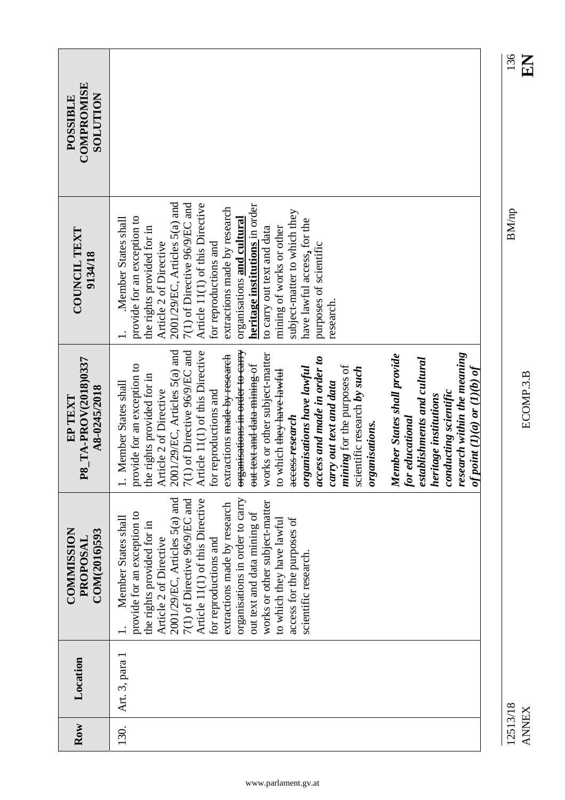| COMPROMISE<br><b>NOLLUTION</b><br>POSSIBLE      |                                                                                                                                                                                                                                                                                                                                                                                                                                                                                                                                                                                                                                                                                                                                                                                                                                                               |
|-------------------------------------------------|---------------------------------------------------------------------------------------------------------------------------------------------------------------------------------------------------------------------------------------------------------------------------------------------------------------------------------------------------------------------------------------------------------------------------------------------------------------------------------------------------------------------------------------------------------------------------------------------------------------------------------------------------------------------------------------------------------------------------------------------------------------------------------------------------------------------------------------------------------------|
| <b>COUNCIL TEXT</b><br>9134/18                  | $2001/29$ /EC, Articles $5(a)$ and<br>7(1) of Directive 96/9/EC and<br>Article 11(1) of this Directive<br>heritage institutions in order<br>extractions made by research<br>subject-matter to which they<br>provide for an exception to<br>Member States shall<br>organisations and cultural<br>have lawful access, for the<br>mining of works or other<br>the rights provided for in<br>to carry out text and data<br>for reproductions and<br>Article 2 of Directive<br>purposes of scientific<br>research.                                                                                                                                                                                                                                                                                                                                                 |
| P8_TA-PROV(2018)0337<br>A8-0245/2018<br>EP TEXT | erganisations in order to carry<br>2001/29/EC, Articles 5(a) and<br>7(1) of Directive 96/9/EC and<br>Article 11(1) of this Directive<br>works or other subject-matter<br>research within the meaning<br>extractions <del>made by research</del><br><b>Member States shall provide</b><br>access and made in order to<br>establishments and cultural<br>out text and data mining of<br>provide for an exception to<br><i>mining</i> for the purposes of<br>organisations have lawful<br>of point $(I)(a)$ or $(I)(b)$ of<br>scientific research by such<br>to which <del>they have lawful</del><br>the rights provided for in<br>Member States shall<br>carry out text and data<br>for reproductions and<br>Article 2 of Directive<br>conducting scientific<br>heritage institutions<br>access research<br>for educational<br>organisations.<br>$\overline{a}$ |
| <b>COMMISSION</b><br>COM(2016)593<br>PROPOSAL   | $2001/29$ /EC, Articles $5(a)$ and<br>organisations in order to carry<br>7(1) of Directive $96/9$ /EC and<br>Article 11(1) of this Directive<br>works or other subject-matter<br>extractions made by research<br>provide for an exception to<br>out text and data mining of<br>Member States shall<br>access for the purposes of<br>to which they have lawful<br>the rights provided for in<br>for reproductions and<br>Article 2 of Directive<br>scientific research.                                                                                                                                                                                                                                                                                                                                                                                        |
| Location                                        | Art. 3, para 1                                                                                                                                                                                                                                                                                                                                                                                                                                                                                                                                                                                                                                                                                                                                                                                                                                                |
| Row                                             | 130.                                                                                                                                                                                                                                                                                                                                                                                                                                                                                                                                                                                                                                                                                                                                                                                                                                                          |

 $^{136}_{\phantom{1}\phantom{1}\phantom{1}\phantom{1}\phantom{1}}$  EN

 $\rm BM/np$ 

12513/18 BM/np 136 12513/18<br>ANNEX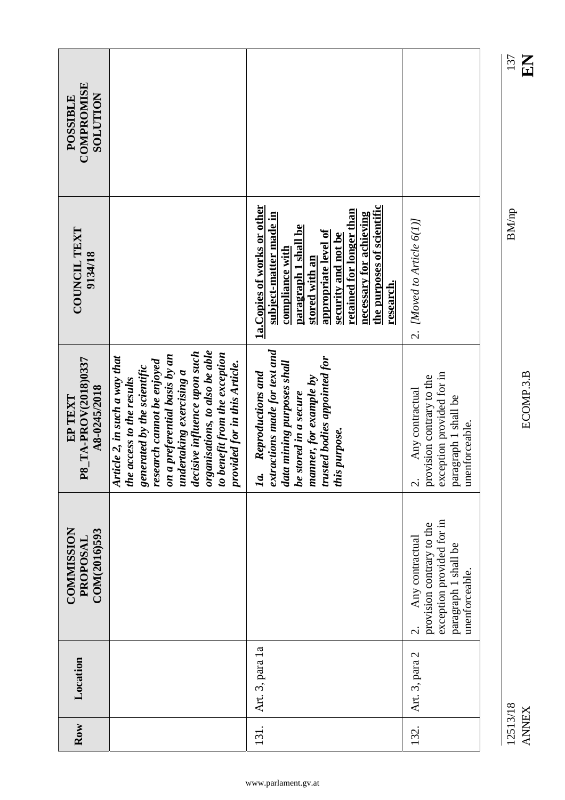| COMPROMISE<br><b>NOLLUTION</b><br>POSSIBLE      |                                                                                                                                                                                                                                                                                                                          |                                                                                                                                                                                                                                                                      |                                                                                                                                    |
|-------------------------------------------------|--------------------------------------------------------------------------------------------------------------------------------------------------------------------------------------------------------------------------------------------------------------------------------------------------------------------------|----------------------------------------------------------------------------------------------------------------------------------------------------------------------------------------------------------------------------------------------------------------------|------------------------------------------------------------------------------------------------------------------------------------|
| COUNCIL TEXT<br>9134/18                         |                                                                                                                                                                                                                                                                                                                          | 1a. Copies of works or other<br>the purposes of scientific<br>retained for longer than<br>subject-matter made in<br>necessary for achieving<br>paragraph 1 shall be<br>appropriate level of<br>security and not be<br>compliance with<br>stored with an<br>research. | 2. [Moved to Article 6(1)]                                                                                                         |
| P8_TA-PROV(2018)0337<br>A8-0245/2018<br>EP TEXT | organisations, to also be able<br>decisive influence upon such<br>to benefit from the exception<br>on a preferential basis by an<br>Article 2, in such a way that<br>research cannot be enjoyed<br>provided for in this Article.<br>generated by the scientific<br>undertaking exercising a<br>the access to the results | extractions made for text and<br>trusted bodies appointed for<br>data mining purposes shall<br>Reproductions and<br>manner, for example by<br>be stored in a secure<br>this purpose.<br>Ia.                                                                          | exception provided for in<br>provision contrary to the<br>Any contractual<br>paragraph 1 shall be<br>unenforceable.<br>i<br>N      |
| <b>COMMISSION</b><br>COM(2016)593<br>PROPOSAL   |                                                                                                                                                                                                                                                                                                                          |                                                                                                                                                                                                                                                                      | exception provided for in<br>provision contrary to the<br>Any contractual<br>paragraph 1 shall be<br>unenforceable.<br>$\dot{\nu}$ |
| Location                                        |                                                                                                                                                                                                                                                                                                                          | Art. 3, para 1a                                                                                                                                                                                                                                                      | Art. 3, para 2                                                                                                                     |
| Row                                             |                                                                                                                                                                                                                                                                                                                          | 131.                                                                                                                                                                                                                                                                 | 132.                                                                                                                               |

ANNEX ECOMP.3.B **EN**

12513/18 BM/np 137

ECOMP.3.B

 $\rm BM/np$ 

12513/18<br>ANNEX

137<br>**HN**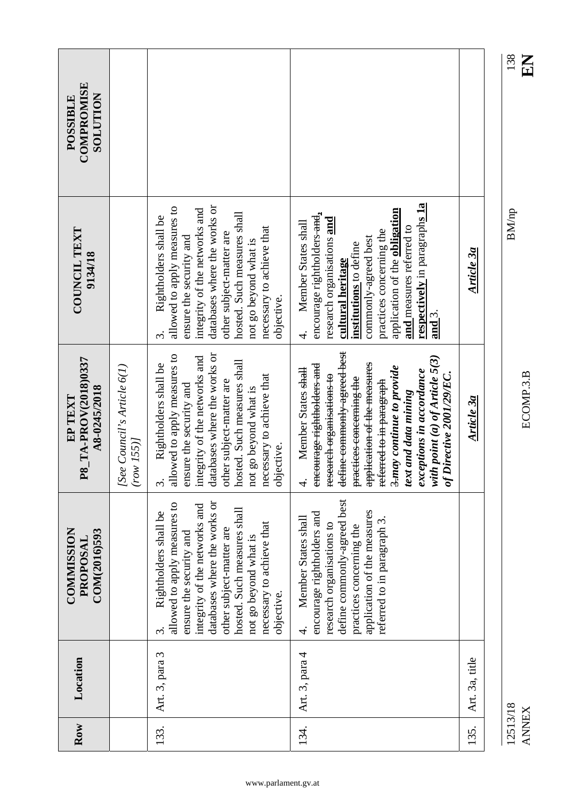| <b>COMPROMISE</b><br><b>NOLLLTON</b><br><b>POSSIBLE</b> |                                          |                                                                                                                                                                                                                                                                                                             |                                                                                                                                                                                                                                                                                                                                                                    |                |
|---------------------------------------------------------|------------------------------------------|-------------------------------------------------------------------------------------------------------------------------------------------------------------------------------------------------------------------------------------------------------------------------------------------------------------|--------------------------------------------------------------------------------------------------------------------------------------------------------------------------------------------------------------------------------------------------------------------------------------------------------------------------------------------------------------------|----------------|
| COUNCIL TEXT<br>9134/18                                 |                                          | databases where the works or<br>allowed to apply measures to<br>integrity of the networks and<br>hosted. Such measures shall<br>Rightholders shall be<br>necessary to achieve that<br>other subject-matter are<br>ensure the security and<br>not go beyond what is<br>objective.<br>$\dot{\mathfrak{c}}$    | respectively in paragraphs la<br>application of the <b>obligation</b><br>encourage rightholders and,<br>research organisations <b>and</b><br>Member States shall<br>and measures referred to<br>practices concerning the<br>commonly-agreed best<br>institutions to define<br>cultural heritage<br>and 3.<br>4.                                                    | Article 3a     |
| P8_TA-PROV(2018)0337<br>A8-0245/2018<br>EP TEXT         | [See Council's Article 6(1)<br>(row 155) | databases where the works or<br>allowed to apply measures to<br>integrity of the networks and<br>hosted. Such measures shall<br>Rightholders shall be<br>necessary to achieve that<br>other subject-matter are<br>ensure the security and<br>not go beyond what is<br>ective.<br>āp<br>$\dot{\mathfrak{c}}$ | define commonly agreed best<br>with point $(a)$ of Article 5(3)<br>application of the measures<br>encourage rightholders and<br>3-may continue to provide<br>Member States shall<br>exceptions in accordance<br>of Directive 2001/29/EC.<br>research organisations to<br>practices concerning the<br>referred to in paragraph<br>text and data mining<br>$\vec{r}$ | Article 3a     |
| <b>COMMISSION</b><br>COM(2016)593<br>PROPOSAI           |                                          | databases where the works or<br>allowed to apply measures to<br>integrity of the networks and<br>hosted. Such measures shall<br>Rightholders shall be<br>necessary to achieve that<br>other subject-matter are<br>ensure the security and<br>not go beyond what is<br>objective.<br>$\dot{\mathfrak{c}}$    | define commonly-agreed best<br>application of the measures<br>encourage rightholders and<br>Member States shall<br>referred to in paragraph 3.<br>research organisations to<br>practices concerning the<br>ने.<br>नै                                                                                                                                               |                |
| Location                                                |                                          | Art. 3, para 3                                                                                                                                                                                                                                                                                              | Art. 3, para 4                                                                                                                                                                                                                                                                                                                                                     | Art. 3a, title |
| Row                                                     |                                          | 133.                                                                                                                                                                                                                                                                                                        | 134.                                                                                                                                                                                                                                                                                                                                                               | 135.           |

 $\frac{138}{L}$ 

 $\rm BM/np$ 

12513/18 BM/np 138 12513/18<br>ANNEX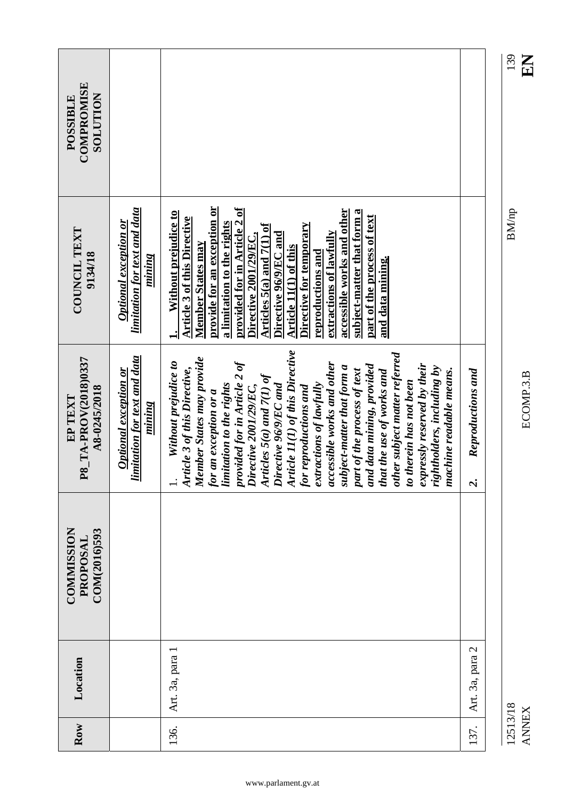| <b>COMPROMISE</b><br><b>NOILLIDTIOS</b><br>POSSIBLE |                                                                               | Without prejudice to                                                                                                                                                                                                                                                                                                                                                                                                                                                                                                                                                                                                                                                                                          |      |
|-----------------------------------------------------|-------------------------------------------------------------------------------|---------------------------------------------------------------------------------------------------------------------------------------------------------------------------------------------------------------------------------------------------------------------------------------------------------------------------------------------------------------------------------------------------------------------------------------------------------------------------------------------------------------------------------------------------------------------------------------------------------------------------------------------------------------------------------------------------------------|------|
| COUNCIL TEXT<br>9134/18                             | <u>limitation for text and data</u><br><b>Optional exception or</b><br>mining | provide for an exception or<br>provided for in Article 2 of<br>accessible works and other<br>subject-matter that form a<br>part of the process of text<br><b>Article 3 of this Directive</b><br>a limitation to the rights<br>Articles $5(a)$ and $7(1)$ of<br>Directive for temporary<br>extractions of lawfully<br>Directive 2001/29/EC,<br>Directive 96/9/EC and<br>Member States may<br>Article 11(1) of this<br>reproductions and<br>and data mining.                                                                                                                                                                                                                                                    |      |
| P8_TA-PROV(2018)0337<br>A8-0245/2018<br>EP TEXT     | limitation for text and data<br><b>Optional exception or</b><br>mining        | Article 11(1) of this Directive<br>other subject matter referred<br>Member States may provide<br>Without prejudice to<br>provided for in Article 2 of<br>accessible works and other<br>expressly reserved by their<br>and data mining, provided<br>subject-matter that form a<br>rightholders, including by<br>1. <b>Wunom.</b><br>Article 3 of this Directive,<br><sup>Ci</sup> -tos may provi<br>part of the process of text<br>machine readable means.<br>that the use of works and<br>Articles $5(a)$ and $7(I)$ of<br>to therein has not been<br>Directive 96/9/EC and<br>extractions of lawfully<br>Directive 2001/29/EC,<br>limitation to the rights<br>for reproductions and<br>for an exception or a |      |
| <b>COMMISSION</b><br>COM(2016)593<br>PROPOSAL       |                                                                               |                                                                                                                                                                                                                                                                                                                                                                                                                                                                                                                                                                                                                                                                                                               |      |
| Location                                            |                                                                               | Art. 3a, para 1                                                                                                                                                                                                                                                                                                                                                                                                                                                                                                                                                                                                                                                                                               |      |
| Row                                                 |                                                                               | 136.                                                                                                                                                                                                                                                                                                                                                                                                                                                                                                                                                                                                                                                                                                          | 137. |

 $\frac{139}{L}$ 

 $\rm BM/np$ 

12513/18 BM/np 139 12513/18<br>ANNEX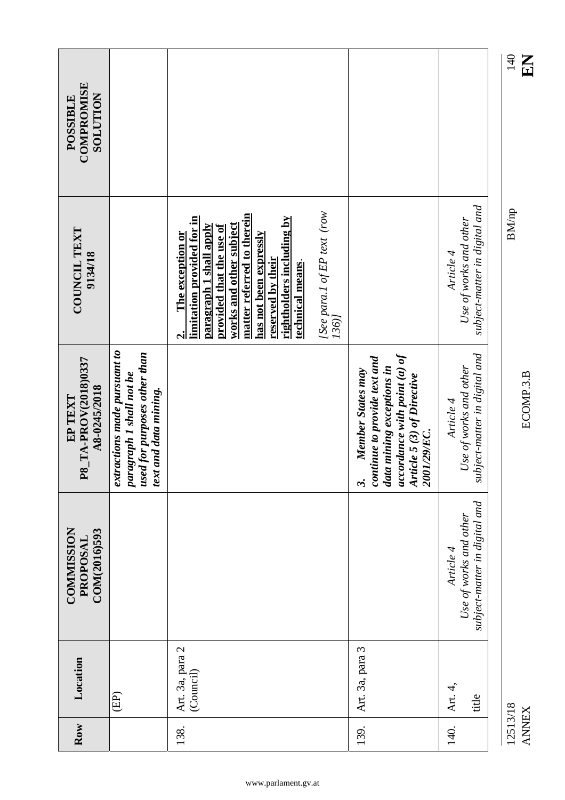| Row      | Location                     | <b>COMMISSION</b><br>COM(2016)593<br>PROPOSAL                        | P8_TA-PROV(2018)0337<br>A8-0245/2018<br>EP TEXT                                                                                                                                      | <b>COUNCIL TEXT</b><br>9134/18                                                                                                                                                                                                                                                                        | <b>COMPROMISE</b><br>NOLLLON<br>POSSIBLE |
|----------|------------------------------|----------------------------------------------------------------------|--------------------------------------------------------------------------------------------------------------------------------------------------------------------------------------|-------------------------------------------------------------------------------------------------------------------------------------------------------------------------------------------------------------------------------------------------------------------------------------------------------|------------------------------------------|
|          | (EP)                         |                                                                      | extractions made pursuant to<br>used for purposes other than<br>paragraph 1 shall not be<br>text and data mining.                                                                    |                                                                                                                                                                                                                                                                                                       |                                          |
| 138.     | Art. 3a, para 2<br>(Council) |                                                                      |                                                                                                                                                                                      | [See para.1 of EP text (row<br>matter referred to therein<br>limitation provided for in<br>rightholders including by<br>works and other subject<br>paragraph 1 shall apply<br>provided that the use of<br>The exception or<br>has not been expressly<br>reserved by their<br>technical means<br>136)] |                                          |
| 139.     | Art. 3a, para 3              |                                                                      | $account$ accordance with point $(a)$ of<br>continue to provide text and<br>data mining exceptions in<br>Member States may<br>Article 5 (3) of Directive<br>2001/29/EC<br>$\ddot{ }$ |                                                                                                                                                                                                                                                                                                       |                                          |
| 140.     | Art. 4,<br>title             | subject-matter in digital and<br>Use of works and other<br>Article 4 | subject-matter in digital and<br>Use of works and other<br>Article 4                                                                                                                 | subject-matter in digital and<br>Use of works and other<br>Article 4                                                                                                                                                                                                                                  |                                          |
| 12513/18 |                              |                                                                      |                                                                                                                                                                                      | <b>BM/np</b>                                                                                                                                                                                                                                                                                          | 140                                      |

ECOMP.3.B

**ANNEX** 

EN ANNEX ECOMP.3.B **EN**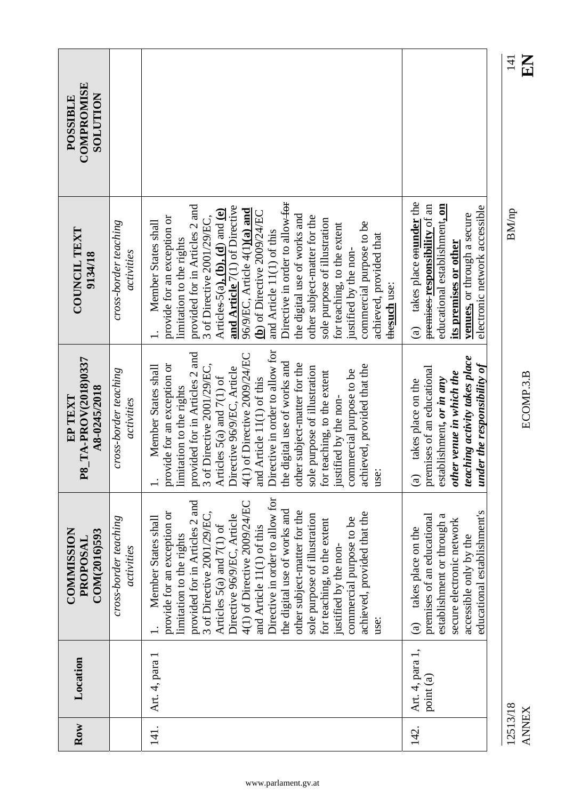| Row                      | Location                     | <b>COMMISSION</b><br>COM(2016)593<br>PROPOSAL                                                                                                                                                                                                                                                                                                                                                                                                                                                                                            | P8_TA-PROV(2018)0337<br>A8-0245/2018<br>EP TEXT                                                                                                                                                                                                                                                                                                                                                                                                                                                                                      | <b>COUNCIL TEXT</b><br>9134/18                                                                                                                                                                                                                                                                                                                                                                                                                                                                                                                                                                  | COMPROMISE<br><b>NOLLLTON</b><br>POSSIBLE |
|--------------------------|------------------------------|------------------------------------------------------------------------------------------------------------------------------------------------------------------------------------------------------------------------------------------------------------------------------------------------------------------------------------------------------------------------------------------------------------------------------------------------------------------------------------------------------------------------------------------|--------------------------------------------------------------------------------------------------------------------------------------------------------------------------------------------------------------------------------------------------------------------------------------------------------------------------------------------------------------------------------------------------------------------------------------------------------------------------------------------------------------------------------------|-------------------------------------------------------------------------------------------------------------------------------------------------------------------------------------------------------------------------------------------------------------------------------------------------------------------------------------------------------------------------------------------------------------------------------------------------------------------------------------------------------------------------------------------------------------------------------------------------|-------------------------------------------|
|                          |                              | cross-border teaching<br>activities                                                                                                                                                                                                                                                                                                                                                                                                                                                                                                      | cross-border teaching<br>activities                                                                                                                                                                                                                                                                                                                                                                                                                                                                                                  | cross-border teaching<br>activities                                                                                                                                                                                                                                                                                                                                                                                                                                                                                                                                                             |                                           |
| 141.                     | Art. 4, para 1               | Directive in order to allow for<br>provided for in Articles 2 and<br>4(1) of Directive 2009/24/EC<br>the digital use of works and<br>provide for an exception or<br>other subject-matter for the<br>3 of Directive 2001/29/EC,<br>achieved, provided that the<br>sole purpose of illustration<br>Directive 96/9/EC, Article<br>Member States shall<br>commercial purpose to be<br>for teaching, to the extent<br>Articles $5(a)$ and $7(1)$ of<br>and Article 11(1) of this<br>limitation to the rights<br>justified by the non-<br>use: | Directive in order to allow for<br>provided for in Articles 2 and<br>4(1) of Directive 2009/24/EC<br>the digital use of works and<br>3 of Directive 2001/29/EC,<br>other subject-matter for the<br>provide for an exception or<br>achieved, provided that the<br>Member States shall<br>Directive 96/9/EC, Article<br>sole purpose of illustration<br>commercial purpose to be<br>for teaching, to the extent<br>Articles 5(a) and 7(1) of<br>and Article 11(1) of this<br>limitation to the rights<br>justified by the non-<br>use: | Directive in order to allow-for<br>provided for in Articles 2 and<br>and Article 7(1) of Directive<br>Articles- $5(a)$ , $(b)$ , $(d)$ and $(e)$<br>96/9/EC, Article $4(1)(a)$ and<br>$(b)$ of Directive 2009/24/EC<br>the digital use of works and<br>other subject-matter for the<br>provide for an exception or<br>3 of Directive 2001/29/EC,<br>sole purpose of illustration<br>Member States shall<br>commercial purpose to be<br>for teaching, to the extent<br>and Article 11(1) of this<br>achieved, provided that<br>limitation to the rights<br>justified by the non-<br>thesuch use: |                                           |
| 142.                     | Art. 4, para 1,<br>point (a) | educational establishment's<br>premises of an educational<br>establishment or through a<br>secure electronic network<br>takes place on the<br>accessible only by the<br>$\widehat{a}$                                                                                                                                                                                                                                                                                                                                                    | teaching activity takes place<br>under the responsibility of<br>premises of an educational<br>other venue in which the<br>establishment, or in any<br>takes place on the<br>$\mathbf{G}$                                                                                                                                                                                                                                                                                                                                             | takes place enunder the<br>educational establishment, on<br>premises-responsibility of an<br>electronic network accessible<br>venues, or through a secure<br>its premises or other<br>$\widehat{a}$                                                                                                                                                                                                                                                                                                                                                                                             |                                           |
| 12513/18<br><b>ANNEX</b> |                              |                                                                                                                                                                                                                                                                                                                                                                                                                                                                                                                                          | ECOMP.3.B                                                                                                                                                                                                                                                                                                                                                                                                                                                                                                                            | <b>BM/np</b>                                                                                                                                                                                                                                                                                                                                                                                                                                                                                                                                                                                    | EN<br>141                                 |

 $\mathbf{E}^{\mathbf{H}}$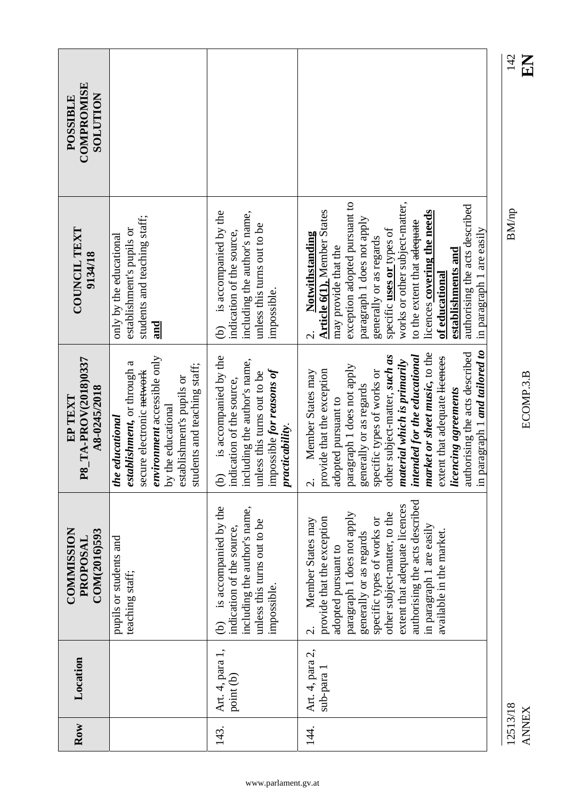| Row      | Location                      | <b>COMMISSION</b><br>COM(2016)593<br>PROPOSAL                                                                                                                                                                                                                                                                                                    | P8_TA-PROV(2018)0337<br>A8-0245/2018<br>EP TEXT                                                                                                                                                                                                                                                                                                                                                                                                                            | <b>COUNCIL TEXT</b><br>9134/18                                                                                                                                                                                                                                                                                                                                                                                                                | <b>COMPROMISE</b><br><b>NOILUIOS</b><br>POSSIBLE |
|----------|-------------------------------|--------------------------------------------------------------------------------------------------------------------------------------------------------------------------------------------------------------------------------------------------------------------------------------------------------------------------------------------------|----------------------------------------------------------------------------------------------------------------------------------------------------------------------------------------------------------------------------------------------------------------------------------------------------------------------------------------------------------------------------------------------------------------------------------------------------------------------------|-----------------------------------------------------------------------------------------------------------------------------------------------------------------------------------------------------------------------------------------------------------------------------------------------------------------------------------------------------------------------------------------------------------------------------------------------|--------------------------------------------------|
|          |                               | pupils or students and<br>teaching staff;                                                                                                                                                                                                                                                                                                        | environment accessible only<br>establishment, or through a<br>students and teaching staff;<br>secure electronic network<br>establishment's pupils or<br>by the educational<br>educational<br>the                                                                                                                                                                                                                                                                           | students and teaching staff;<br>establishment's pupils or<br>only by the educational<br>and                                                                                                                                                                                                                                                                                                                                                   |                                                  |
| 143.     | Art. 4, para 1,<br>point (b)  | is accompanied by the<br>including the author's name,<br>unless this turns out to be<br>indication of the source,<br>impossible.<br>$\widehat{\oplus}$                                                                                                                                                                                           | is accompanied by the<br>including the author's name,<br>impossible for reasons of<br>unless this turns out to be<br>indication of the source,<br>$practicability$ .<br>$\widehat{e}$                                                                                                                                                                                                                                                                                      | is accompanied by the<br>including the author's name,<br>unless this turns out to be<br>indication of the source,<br>impossible.<br>ම                                                                                                                                                                                                                                                                                                         |                                                  |
| 144.     | Art. 4, para 2,<br>sub-para 1 | authorising the acts described<br>extent that adequate licences<br>paragraph 1 does not apply<br>other subject-matter, to the<br>provide that the exception<br>specific types of works or<br>Member States may<br>in paragraph 1 are easily<br>available in the market.<br>generally or as regards<br>adopted pursuant to<br>$\dot{\mathcal{C}}$ | paragraph 1 and tailored to<br>authorising the acts described<br>market or sheet music, to the<br>intended for the educational<br>other subject-matter, such as<br>extent that adequate lieenees<br>material which is primarily<br>paragraph 1 does not apply<br>provide that the exception<br>specific types of works or<br>Member States may<br>generally or as regards<br>licencing agreements<br>adopted pursuant to<br>$\overline{\mathbf{H}}$<br>$\dot{\mathcal{C}}$ | works or other subject-matter,<br>exception adopted pursuant to<br>authorising the acts described<br><b>Article 6(1), Member States</b><br>licences covering the needs<br>paragraph 1 does not apply<br>to the extent that <del>adequate</del><br>specific uses or types of<br>in paragraph 1 are easily<br>Notwithstanding<br>generally or as regards<br>may provide that the<br>establishments and<br>of educational<br>$\dot{\mathcal{C}}$ |                                                  |
| 12513/18 |                               |                                                                                                                                                                                                                                                                                                                                                  |                                                                                                                                                                                                                                                                                                                                                                                                                                                                            | <b>BM/np</b>                                                                                                                                                                                                                                                                                                                                                                                                                                  | 142                                              |

 $\frac{142}{E}$ 

 $BMmp$ 

12513/18<br>ANNEX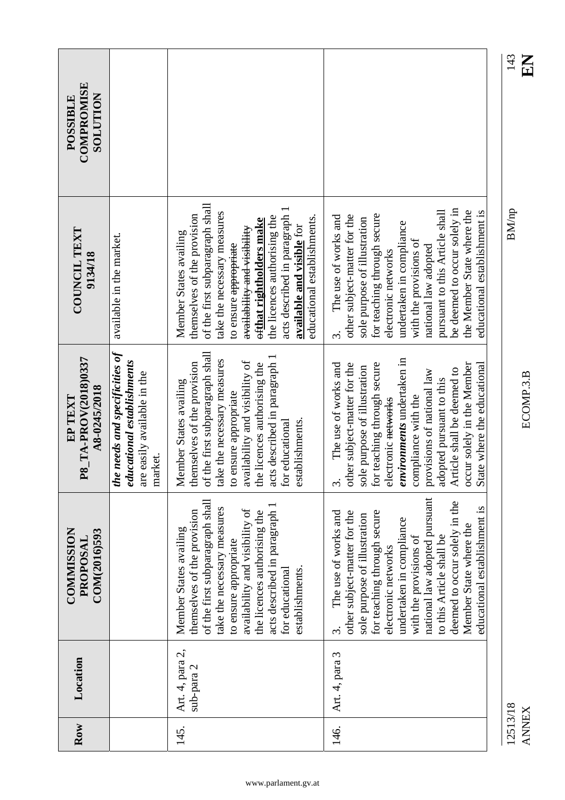| COMPROMISE<br><b>NOLLUTION</b><br><b>POSSIBLE</b> |                                                                                                        |                                                                                                                                                                                                                                                                                                                                                                  |                                                                                                                                                                                                                                                                                                                                                                              | 143<br>EN                |
|---------------------------------------------------|--------------------------------------------------------------------------------------------------------|------------------------------------------------------------------------------------------------------------------------------------------------------------------------------------------------------------------------------------------------------------------------------------------------------------------------------------------------------------------|------------------------------------------------------------------------------------------------------------------------------------------------------------------------------------------------------------------------------------------------------------------------------------------------------------------------------------------------------------------------------|--------------------------|
| COUNCIL TEXT<br>9134/18                           | available in the market.                                                                               | of the first subparagraph shall<br>acts described in paragraph 1<br>take the necessary measures<br>themselves of the provision<br>the licences authorising the<br>educational establishments.<br><del>of</del> that rightholders make<br>available and visible for<br>a <del>vailability and visibility</del><br>Member States availing<br>to ensure appropriate | be deemed to occur solely in<br>pursuant to this Article shall<br>the Member State where the<br>educational establishment is<br>other subject-matter for the<br>for teaching through secure<br>The use of works and<br>sole purpose of illustration<br>undertaken in compliance<br>with the provisions of<br>national law adopted<br>electronic networks<br>Ŝ,               | <b>BM/np</b>             |
| P8_TA-PROV(2018)0337<br>A8-0245/2018<br>EP TEXT   | the needs and specificities of<br>educational establishments<br>are easily available in the<br>market. | of the first subparagraph shall<br>acts described in paragraph 1<br>take the necessary measures<br>availability and visibility of<br>themselves of the provision<br>the licences authorising the<br>Member States availing<br>to ensure appropriate<br>establishments.<br>for educational                                                                        | environments undertaken in<br>occur solely in the Member<br>other subject-matter for the<br>for teaching through secure<br>The use of works and<br>State where the educational<br>sole purpose of illustration<br>Article shall be deemed to<br>provisions of national law<br>adopted pursuant to this<br>compliance with the<br>electronic networks<br>$\dot{\mathfrak{c}}$ | ECOMP.3.B                |
| <b>COMMISSION</b><br>COM(2016)593<br>PROPOSAL     |                                                                                                        | of the first subparagraph shall<br>acts described in paragraph 1<br>take the necessary measures<br>availability and visibility of<br>themselves of the provision<br>the licences authorising the<br>Member States availing<br>to ensure appropriate<br>for educational<br>establishments                                                                         | national law adopted pursuant<br>deemed to occur solely in the<br>educational establishment is<br>for teaching through secure<br>The use of works and<br>other subject-matter for the<br>sole purpose of illustration<br>undertaken in compliance<br>Member State where the<br>to this Article shall be<br>with the provisions of<br>electronic networks<br>3.               |                          |
| Location                                          |                                                                                                        | Art. 4, para 2,<br>sub-para 2                                                                                                                                                                                                                                                                                                                                    | Art. 4, para 3                                                                                                                                                                                                                                                                                                                                                               |                          |
| Row                                               |                                                                                                        | 145.                                                                                                                                                                                                                                                                                                                                                             | 146.                                                                                                                                                                                                                                                                                                                                                                         | 12513/18<br><b>ANNEX</b> |

**NH**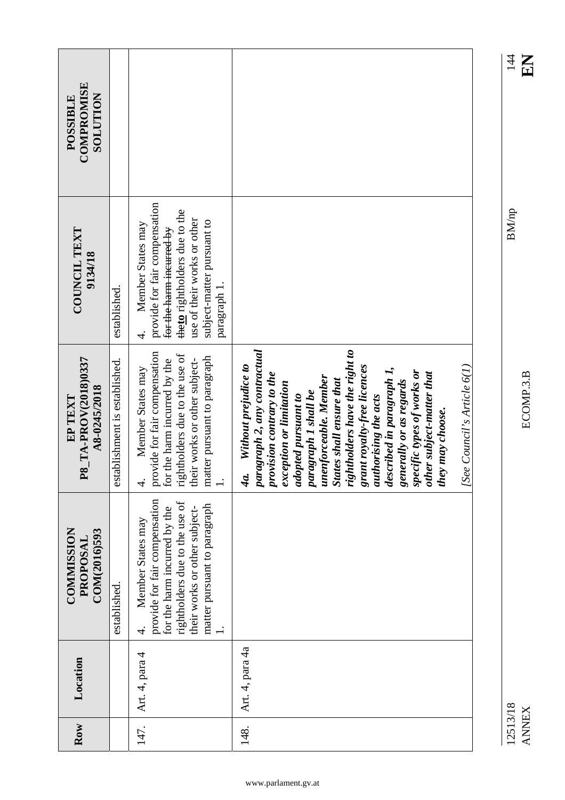| COMPROMISE<br><b>SOLUTION</b><br><b>POSSIBLE</b> |                               |                                                                                                                                                                                                                          |                                                                                                                                                                                                                                                                                                                                                                                                                                                                                               |
|--------------------------------------------------|-------------------------------|--------------------------------------------------------------------------------------------------------------------------------------------------------------------------------------------------------------------------|-----------------------------------------------------------------------------------------------------------------------------------------------------------------------------------------------------------------------------------------------------------------------------------------------------------------------------------------------------------------------------------------------------------------------------------------------------------------------------------------------|
| <b>COUNCIL TEXT</b><br>9134/18                   | established.                  | provide for fair compensation<br>theto rightholders due to the<br>use of their works or other<br>subject-matter pursuant to<br>Member States may<br>for the harm-incurred by<br>paragraph 1.<br>$\vec{r}$                |                                                                                                                                                                                                                                                                                                                                                                                                                                                                                               |
| P8_TA-PROV(2018)0337<br>A8-0245/2018<br>EP TEXT  | establishment is established. | provide for fair compensation<br>rightholders due to the use of<br>matter pursuant to paragraph<br>for the harm incurred by the<br>their works or other subject-<br>Member States may<br>$\frac{1}{2}$<br>$\overline{4}$ | paragraph 2, any contractual<br>rightholders have the right to<br>Without prejudice to<br>grant royalty-free licences<br>[See Council's Article 6(1)<br>described in paragraph 1,<br>specific types of works or<br>provision contrary to the<br>other subject-matter that<br>unenforceable. Member<br><b>States shall ensure that</b><br>generally or as regards<br>exception or limitation<br>paragraph 1 shall be<br>adopted pursuant to<br>authorising the acts<br>they may choose.<br>4a. |
| <b>COMMISSION</b><br>COM(2016)593<br>PROPOSAL    | established                   | provide for fair compensation<br>rightholders due to the use of<br>matter pursuant to paragraph<br>for the harm incurred by the<br>their works or other subject-<br>Member States may<br>4.                              |                                                                                                                                                                                                                                                                                                                                                                                                                                                                                               |
| Location                                         |                               | Art. 4, para 4                                                                                                                                                                                                           | Art. 4, para 4a                                                                                                                                                                                                                                                                                                                                                                                                                                                                               |
| Row                                              |                               | 147.                                                                                                                                                                                                                     | 148.                                                                                                                                                                                                                                                                                                                                                                                                                                                                                          |

12513/18 BM/np 144 12513/18<br>ANNEX

ANNEX ECOMP.3.B **EN** ECOMP.3.B

 $\frac{14}{4}$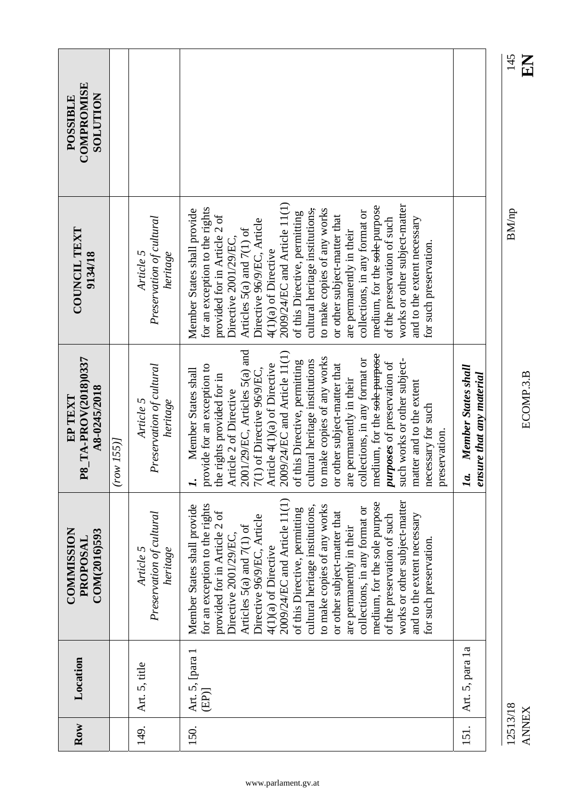|                                                  |           |                                                   |                                                                                                                                                                                                                                                                                                                                                                                                                                                                                                                                                                                                                                |                                                        | 145<br>KN                |
|--------------------------------------------------|-----------|---------------------------------------------------|--------------------------------------------------------------------------------------------------------------------------------------------------------------------------------------------------------------------------------------------------------------------------------------------------------------------------------------------------------------------------------------------------------------------------------------------------------------------------------------------------------------------------------------------------------------------------------------------------------------------------------|--------------------------------------------------------|--------------------------|
| COMPROMISE<br><b>NOLLLTON</b><br><b>POSSIBLE</b> |           |                                                   |                                                                                                                                                                                                                                                                                                                                                                                                                                                                                                                                                                                                                                |                                                        |                          |
| <b>COUNCIL TEXT</b><br>9134/18                   |           | Preservation of cultural<br>Article 5<br>heritage | 2009/24/EC and Article 11(1)<br>works or other subject-matter<br>medium, for the sole-purpose<br>for an exception to the rights<br>cultural heritage institutions,<br>to make copies of any works<br>Member States shall provide<br>collections, in any format or<br>of this Directive, permitting<br>provided for in Article 2 of<br>or other subject-matter that<br>of the preservation of such<br>and to the extent necessary<br>Directive 96/9/EC, Article<br>Articles 5(a) and 7(1) of<br>are permanently in their<br>Directive 2001/29/EC,<br>for such preservation<br>4(1)(a) of Directive                              |                                                        | <b>BM/np</b>             |
| P8_TA-PROV(2018)0337<br>A8-0245/2018<br>EP TEXT  | (row 155) | Preservation of cultural<br>Article 5<br>heritage | 2001/29/EC, Articles 5(a) and<br>2009/24/EC and Article 11(1)<br>medium, for the sole-purpose<br>to make copies of any works<br>collections, in any format or<br>such works or other subject-<br>cultural heritage institutions<br>of this Directive, permitting<br>purposes of preservation of<br>other subject-matter that<br>Article 4(1)(a) of Directive<br>provide for an exception to<br>7(1) of Directive 96/9/EC,<br>Member States shall<br>the rights provided for in<br>are permanently in their<br>matter and to the extent<br>Article 2 of Directive<br>necessary for such<br>preservation.<br>$\overline{\sigma}$ | Member States shall<br>ensure that any material<br>Ia. | ECOMP.3.B                |
| <b>COMMISSION</b><br>COM(2016)593<br>PROPOSAL    |           | Preservation of cultural<br>Article 5<br>heritage | 2009/24/EC and Article 11(1)<br>works or other subject-matter<br>medium, for the sole purpose<br>for an exception to the rights<br>Member States shall provide<br>to make copies of any works<br>cultural heritage institutions,<br>collections, in any format or<br>of this Directive, permitting<br>provided for in Article 2 of<br>or other subject-matter that<br>and to the extent necessary<br>Directive 96/9/EC, Article<br>of the preservation of such<br>Articles $5(a)$ and $7(1)$ of<br>are permanently in their<br>Directive 2001/29/EC,<br>for such preservation<br>$4(1)(a)$ of Directive                        |                                                        |                          |
| Location                                         |           | Art. 5, title                                     | Art. 5, [para 1<br>(EP)]                                                                                                                                                                                                                                                                                                                                                                                                                                                                                                                                                                                                       | Art. 5, para 1a                                        |                          |
| Row                                              |           | 149.                                              | 150.                                                                                                                                                                                                                                                                                                                                                                                                                                                                                                                                                                                                                           | 151.                                                   | 12513/18<br><b>ANNEX</b> |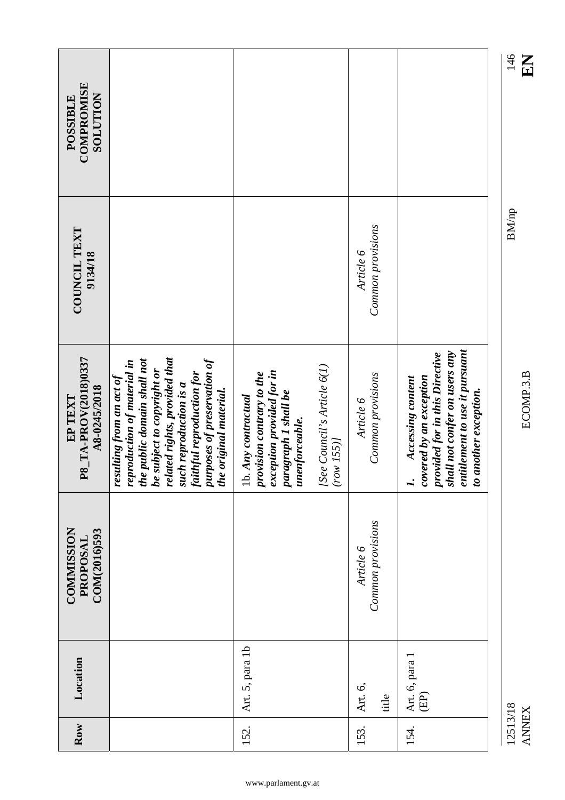|                                                         |                                                                                                                                                                                                                                                                       |                                                                                                                                   |                                          |                                |                                                                                                                                                                                            | 146<br>KN                |
|---------------------------------------------------------|-----------------------------------------------------------------------------------------------------------------------------------------------------------------------------------------------------------------------------------------------------------------------|-----------------------------------------------------------------------------------------------------------------------------------|------------------------------------------|--------------------------------|--------------------------------------------------------------------------------------------------------------------------------------------------------------------------------------------|--------------------------|
| <b>COMPROMISE</b><br><b>NOILUIOS</b><br><b>POSSIBLE</b> |                                                                                                                                                                                                                                                                       |                                                                                                                                   |                                          |                                |                                                                                                                                                                                            |                          |
| <b>COUNCIL TEXT</b><br>9134/18                          |                                                                                                                                                                                                                                                                       |                                                                                                                                   |                                          | Common provisions<br>Article 6 |                                                                                                                                                                                            | <b>BM/np</b>             |
| P8_TA-PROV(2018)0337<br>A8-0245/2018<br>EP TEXT         | related rights, provided that<br>purposes of preservation of<br>the public domain shall not<br>reproduction of material in<br>be subject to copyright or<br>faithful reproduction for<br>resulting from an act of<br>such reproduction is a<br>the original material. | exception provided for in<br>provision contrary to the<br>paragraph 1 shall be<br>Any contractual<br>unenforceable.<br><u>ib.</u> | [See Council's Article 6(1)<br>(row 155) | Common provisions<br>Article 6 | entitlement to use it pursuant<br>shall not confer on users any<br>provided for in this Directive<br>covered by an exception<br>Accessing content<br>to another exception.<br>$\mathbf{I}$ | ECOMP.3.B                |
| <b>COMMISSION</b><br>COM(2016)593<br>PROPOSAL           |                                                                                                                                                                                                                                                                       |                                                                                                                                   |                                          | Common provisions<br>Article 6 |                                                                                                                                                                                            |                          |
| Location                                                |                                                                                                                                                                                                                                                                       | Art. 5, para 1b                                                                                                                   |                                          | Art. 6,<br>title               | Art. 6, para 1<br>(EP)                                                                                                                                                                     |                          |
| Row                                                     |                                                                                                                                                                                                                                                                       | 152.                                                                                                                              |                                          | 153.                           | 154.                                                                                                                                                                                       | 12513/18<br><b>ANNEX</b> |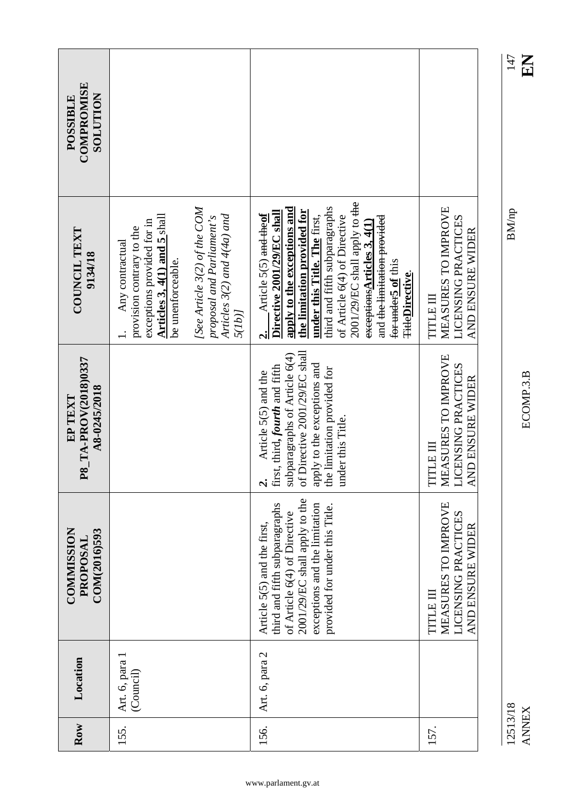| COMPROMISE<br><b>NOLLUTION</b><br>POSSIBLE      |                                                                                                                                                                                                                                              |                                                                                                                                                                                                                                                                                                                                                                            |                                                                                    |
|-------------------------------------------------|----------------------------------------------------------------------------------------------------------------------------------------------------------------------------------------------------------------------------------------------|----------------------------------------------------------------------------------------------------------------------------------------------------------------------------------------------------------------------------------------------------------------------------------------------------------------------------------------------------------------------------|------------------------------------------------------------------------------------|
| <b>COUNCIL TEXT</b><br>9134/18                  | [See Article 3(2) of the COM<br>proposal and Parliament's<br>Articles $3(2)$ and $4(4a)$ and<br>Articles $3, 4(1)$ and $5$ shall<br>exceptions provided for in<br>provision contrary to the<br>Any contractual<br>be unenforceable.<br>5(1b) | 2001/29/EC shall apply to the<br>third and fifth subparagraphs<br>apply to the exceptions and<br>the limitation provided for<br>Directive 2001/29/EC shall<br>Article 5(5) and theof<br>of Article 6(4) of Directive<br>and the limitation provided<br>under this Title. The first,<br>exceptions Articles 3, 4(1)<br>for unders of this<br><b>TitleDirective.</b><br>ત્નં | MEASURES TO IMPROVE<br>LICENSING PRACTICES<br>AND ENSURE WIDER<br>TITLE III        |
| P8_TA-PROV(2018)0337<br>A8-0245/2018<br>EP TEXT |                                                                                                                                                                                                                                              | of Directive 2001/29/EC shall<br>subparagraphs of Article 6(4)<br>apply to the exceptions and<br>first, third, fourth and fifth<br>the limitation provided for<br>Article 5(5) and the<br>under this Title.<br>$\dot{\mathcal{M}}$                                                                                                                                         | MEASURES TO IMPROVE<br>LICENSING PRACTICES<br>AND ENSURE WIDER<br><b>TITLE III</b> |
| <b>COMMISSION</b><br>COM(2016)593<br>PROPOSAL   |                                                                                                                                                                                                                                              | 2001/29/EC shall apply to the<br>third and fifth subparagraphs<br>exceptions and the limitation<br>provided for under this Title.<br>of Article 6(4) of Directive<br>Article $5(5)$ and the first,                                                                                                                                                                         | MEASURES TO IMPROVE<br>LICENSING PRACTICES<br>AND ENSURE WIDER<br>TITLE III        |
| Location                                        | Art. 6, para 1<br>(Council)                                                                                                                                                                                                                  | Art. 6, para 2                                                                                                                                                                                                                                                                                                                                                             |                                                                                    |
| Row                                             | 155.                                                                                                                                                                                                                                         | 156.                                                                                                                                                                                                                                                                                                                                                                       | 157.                                                                               |

12513/18 BM/np 147 12513/18<br>ANNEX

ANNEX ECOMP.3.B **EN** ECOMP.3.B

147<br>**EN**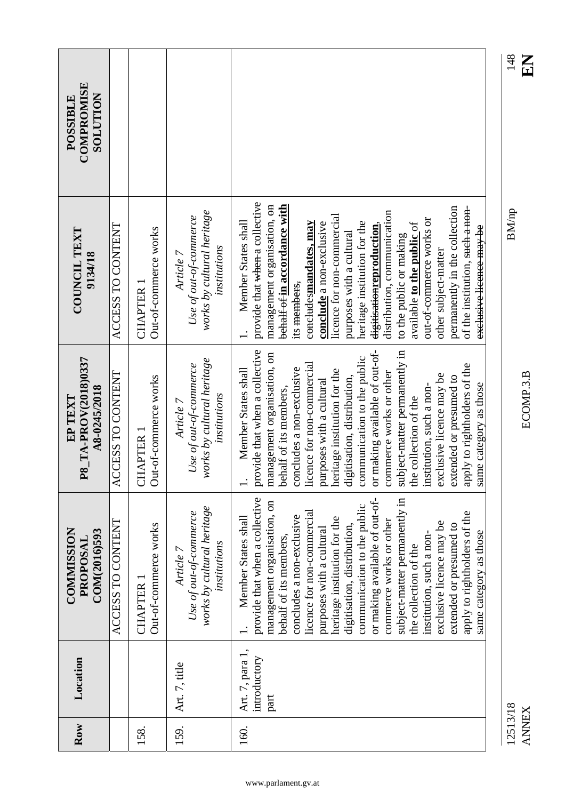| COMPROMISE<br><b>NOLLLTON</b><br>POSSIBLE       |                   |                                           |                                                                                   |                                                                                                                                                                                                                                                                                                                                                                                                                                                                                                                                                                                           |
|-------------------------------------------------|-------------------|-------------------------------------------|-----------------------------------------------------------------------------------|-------------------------------------------------------------------------------------------------------------------------------------------------------------------------------------------------------------------------------------------------------------------------------------------------------------------------------------------------------------------------------------------------------------------------------------------------------------------------------------------------------------------------------------------------------------------------------------------|
| COUNCIL TEXT<br>9134/18                         | ACCESS TO CONTENT | Out-of-commerce works<br>CHAPTER 1        | works by cultural heritage<br>Use of out-of-commerce<br>institutions<br>Article 7 | provide that when a collective<br><del>behalf of </del> in accordance with<br>management organisation, on<br>permanently in the collection<br>of the institution, such a non-<br>distribution, communication<br>licence for non-commercial<br>out-of-commerce works or<br>Member States shall<br>heritage institution for the<br>eeneludesmandates, may<br>conclude a non-exclusive<br>available to the public of<br>digitisationreproduction,<br>exelusive licence may be<br>purposes with a cultural<br>to the public or making<br>other subject-matter<br>its <del>members,</del>      |
| P8_TA-PROV(2018)0337<br>A8-0245/2018<br>EP TEXT | ACCESS TO CONTENT | Out-of-commerce works<br><b>CHAPTER 1</b> | works by cultural heritage<br>Use of out-of-commerce<br>institutions<br>Article 7 | provide that when a collective<br>or making available of out-of-<br>subject-matter permanently in<br>management organisation, on<br>communication to the public<br>licence for non-commercial<br>apply to rightholders of the<br>concludes a non-exclusive<br>Member States shall<br>heritage institution for the<br>commerce works or other<br>exclusive licence may be<br>extended or presumed to<br>digitisation, distribution,<br>purposes with a cultural<br>same category as those<br>institution, such a non-<br>behalf of its members,<br>the collection of the<br>$\overline{a}$ |
| <b>COMMISSION</b><br>COM(2016)593<br>PROPOSAL   | ACCESS TO CONTENT | Out-of-commerce works<br>CHAPTER 1        | works by cultural heritage<br>Use of out-of-commerce<br>institutions<br>Article 7 | provide that when a collective<br>subject-matter permanently in<br>or making available of out-of-<br>management organisation, on<br>communication to the public<br>licence for non-commercial<br>apply to rightholders of the<br>concludes a non-exclusive<br>Member States shall<br>heritage institution for the<br>commerce works or other<br>exclusive licence may be<br>digitisation, distribution,<br>extended or presumed to<br>purposes with a cultural<br>same category as those<br>institution, such a non-<br>behalf of its members,<br>the collection of the                   |
| Location                                        |                   |                                           | Art. 7, title                                                                     | Art. 7, para 1,<br>introductory<br>part                                                                                                                                                                                                                                                                                                                                                                                                                                                                                                                                                   |
| Row                                             |                   | 158.                                      | 159.                                                                              | 160.                                                                                                                                                                                                                                                                                                                                                                                                                                                                                                                                                                                      |

12513/18 BM/np 148 12513/18<br>ANNEX

### $148$  HH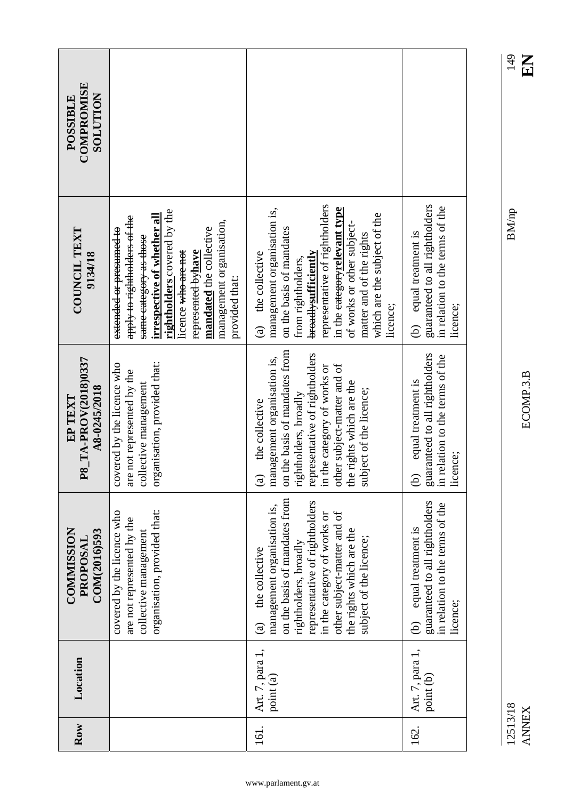| COMPROMISE<br><b>NOLLUTION</b><br>POSSIBLE      |                                                                                                                                                                                                                                                                                   |                                                                                                                                                                                                                                                                                                                             |                                                                                                                           |
|-------------------------------------------------|-----------------------------------------------------------------------------------------------------------------------------------------------------------------------------------------------------------------------------------------------------------------------------------|-----------------------------------------------------------------------------------------------------------------------------------------------------------------------------------------------------------------------------------------------------------------------------------------------------------------------------|---------------------------------------------------------------------------------------------------------------------------|
| <b>COUNCIL TEXT</b><br>9134/18                  | rightholders covered by the<br>irrespective of whether all<br>apply to rightholders of the<br>management organisation,<br>mandated the collective<br>extended or presumed to<br>same category as those<br>represented by have<br>licence <del>who are not</del><br>provided that: | representative of rightholders<br>in the <del>category</del> relevant type<br>management organisation is,<br>which are the subject of the<br>of works or other subject-<br>on the basis of mandates<br>matter and of the rights<br>broadlysufficiently<br>the collective<br>from rightholders,<br>licence;<br>$\widehat{a}$ | guaranteed to all rightholders<br>in relation to the terms of the<br>equal treatment is<br>licence;<br>ව                  |
| P8_TA-PROV(2018)0337<br>A8-0245/2018<br>EP TEXT | organisation, provided that:<br>covered by the licence who<br>are not represented by the<br>collective management                                                                                                                                                                 | on the basis of mandates from<br>representative of rightholders<br>management organisation is,<br>other subject-matter and of<br>in the category of works or<br>the rights which are the<br>subject of the licence;<br>rightholders, broadly<br>the collective<br>$\mathbf{G}$                                              | guaranteed to all rightholders<br>in relation to the terms of the<br>equal treatment is<br>licence;<br>$\widehat{\Theta}$ |
| <b>COMMISSION</b><br>COM(2016)593<br>PROPOSAL   | organisation, provided that:<br>covered by the licence who<br>are not represented by the<br>collective management                                                                                                                                                                 | on the basis of mandates from<br>representative of rightholders<br>management organisation is,<br>other subject-matter and of<br>in the category of works or<br>the rights which are the<br>subject of the licence;<br>rightholders, broadly<br>the collective<br>$\widehat{a}$                                             | guaranteed to all rightholders<br>in relation to the terms of the<br>equal treatment is<br>licence;<br>$\Theta$           |
| Location                                        |                                                                                                                                                                                                                                                                                   | Art. 7, para 1,<br>point (a)                                                                                                                                                                                                                                                                                                | Art. 7, para 1,<br>point (b)                                                                                              |
| Row                                             |                                                                                                                                                                                                                                                                                   | 161.                                                                                                                                                                                                                                                                                                                        | 162.                                                                                                                      |

 $\frac{149}{E}$ 

 $\rm BM/np$ 

12513/18 BM/np 149 12513/18<br>ANNEX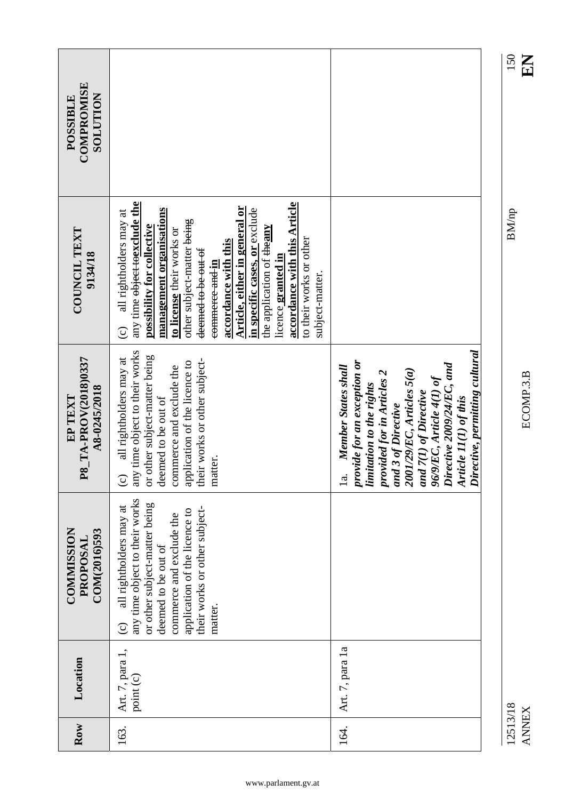| <b>COMPROMISE</b><br><b>NOILUIOS</b><br>POSSIBLE |                                                                                                                                                                                                                                                                                                                                                                                                                                                                |                                                                                                                                                                                                                                                                                                                                    |
|--------------------------------------------------|----------------------------------------------------------------------------------------------------------------------------------------------------------------------------------------------------------------------------------------------------------------------------------------------------------------------------------------------------------------------------------------------------------------------------------------------------------------|------------------------------------------------------------------------------------------------------------------------------------------------------------------------------------------------------------------------------------------------------------------------------------------------------------------------------------|
| <b>COUNCIL TEXT</b><br>9134/18                   | any time object to exclude the<br>accordance with this Article<br>Article, either in general or<br>management organisations<br>in specific cases, or exclude<br>all rightholders may at<br>other subject-matter being<br>possibility for collective<br>the application of theany<br>to license their works or<br>to their works or other<br>accordance with this<br>deemed to be out of<br>licence granted in<br>commerce and in<br>subject-matter.<br>$\odot$ |                                                                                                                                                                                                                                                                                                                                    |
| P8_TA-PROV(2018)0337<br>A8-0245/2018<br>EP TEXT  | any time object to their works<br>or other subject-matter being<br>all rightholders may at<br>their works or other subject-<br>application of the licence to<br>commerce and exclude the<br>deemed to be out of<br>matter.<br>$\odot$                                                                                                                                                                                                                          | Directive, permitting cultural<br>provide for an exception or<br>Directive 2009/24/EC, and<br>Member States shall<br>2001/29/EC, Articles 5(a)<br>provided for in Articles 2<br>$96/9/EC$ , Article $4(1)$ of<br>limitation to the rights<br>and 7(1) of Directive<br>Article 11(1) of this<br>and 3 of Directive<br>$\frac{a}{a}$ |
| <b>COMMISSION</b><br>COM(2016)593<br>PROPOSAL    | any time object to their works<br>or other subject-matter being<br>all rightholders may at<br>their works or other subject-<br>application of the licence to<br>commerce and exclude the<br>deemed to be out of<br>matter.<br>$\odot$                                                                                                                                                                                                                          |                                                                                                                                                                                                                                                                                                                                    |
| Location                                         | Art. 7, para 1,<br>point (c)                                                                                                                                                                                                                                                                                                                                                                                                                                   | Art. 7, para 1a                                                                                                                                                                                                                                                                                                                    |
| Row                                              | 163.                                                                                                                                                                                                                                                                                                                                                                                                                                                           | 164.                                                                                                                                                                                                                                                                                                                               |

12513/18 BM/np 12513/18<br>ANNEX

ANNEX ECOMP.3.B **EN** ECOMP.3.B

### $\frac{150}{E}$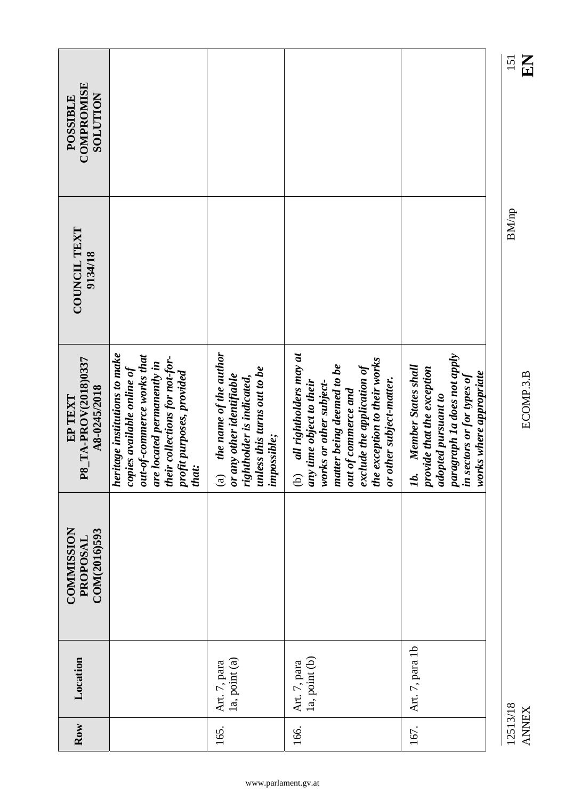|                                                  |                                                                                                                                                                                                        |                                                                                                                                                 |                                                                                                                                                                                                                                          |                                                                                                                                                                         | EN<br>151                |
|--------------------------------------------------|--------------------------------------------------------------------------------------------------------------------------------------------------------------------------------------------------------|-------------------------------------------------------------------------------------------------------------------------------------------------|------------------------------------------------------------------------------------------------------------------------------------------------------------------------------------------------------------------------------------------|-------------------------------------------------------------------------------------------------------------------------------------------------------------------------|--------------------------|
| <b>COMPROMISE</b><br><b>NOLLTION</b><br>POSSIBLE |                                                                                                                                                                                                        |                                                                                                                                                 |                                                                                                                                                                                                                                          |                                                                                                                                                                         |                          |
|                                                  |                                                                                                                                                                                                        |                                                                                                                                                 |                                                                                                                                                                                                                                          |                                                                                                                                                                         | <b>BM/np</b>             |
| COUNCIL TEXT<br>9134/18                          |                                                                                                                                                                                                        |                                                                                                                                                 |                                                                                                                                                                                                                                          |                                                                                                                                                                         |                          |
| P8_TA-PROV(2018)0337<br>A8-0245/2018<br>EP TEXT  | <i>heritage institutions to make</i><br>out-of-commerce works that<br>their collections for not-for-<br>are located permanently in<br>copies available online of<br>profit purposes, provided<br>that: | the name of the author<br>unless this turns out to be<br>or any other identifiable<br>rightholder is indicated,<br>impossible;<br>$\circledast$ | all rightholders may at<br>the exception to their works<br>exclude the application of<br>matter being deemed to be<br>or other subject-matter.<br>works or other subject-<br>any time object to their<br>out of commerce and<br>$\Theta$ | paragraph 1a does not apply<br>Member States shall<br>provide that the exception<br>works where appropriate<br>in sectors or for types of<br>adopted pursuant to<br>IJ. | ECOMP.3.B                |
| <b>COMMISSION</b><br>COM(2016)593<br>PROPOSAL    |                                                                                                                                                                                                        |                                                                                                                                                 |                                                                                                                                                                                                                                          |                                                                                                                                                                         |                          |
| Location                                         |                                                                                                                                                                                                        | 1a, point (a)<br>Art. 7, para                                                                                                                   | 1a, point (b)<br>Art. 7, para                                                                                                                                                                                                            | Art. 7, para 1b                                                                                                                                                         |                          |
| Row                                              |                                                                                                                                                                                                        | 165.                                                                                                                                            | 166.                                                                                                                                                                                                                                     | 167.                                                                                                                                                                    | 12513/18<br><b>ANNEX</b> |

 $\frac{151}{151}$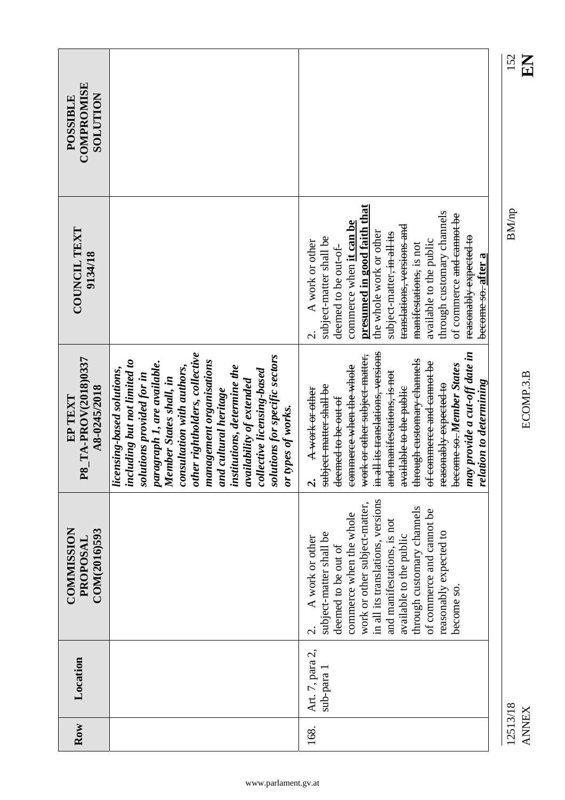|                                                  |                                                                                                                                                                                                                                                                                                                                                                                                                         |                                                                                                                                                                                                                                                                                                                                                                                                                                      | 152          |
|--------------------------------------------------|-------------------------------------------------------------------------------------------------------------------------------------------------------------------------------------------------------------------------------------------------------------------------------------------------------------------------------------------------------------------------------------------------------------------------|--------------------------------------------------------------------------------------------------------------------------------------------------------------------------------------------------------------------------------------------------------------------------------------------------------------------------------------------------------------------------------------------------------------------------------------|--------------|
| <b>COMPROMISE</b><br><b>NOILUIOS</b><br>POSSIBLE |                                                                                                                                                                                                                                                                                                                                                                                                                         |                                                                                                                                                                                                                                                                                                                                                                                                                                      |              |
| <b>COUNCIL TEXT</b><br>9134/18                   |                                                                                                                                                                                                                                                                                                                                                                                                                         | presumed in good faith that<br>through customary channels<br>of commerce and cannot be<br>commerce when it can be<br>translations, versions and<br>the whole work or other<br>subject-matter <del>, in all its</del><br>subject-matter shall be<br>reasonably expected to<br>available to the public<br>A work or other<br>manifestations, is not<br>deemed to be out-of-<br>become so-after a<br>$\dot{\mathcal{C}}$                | <b>BM/np</b> |
| P8_TA-PROV(2018)0337<br>A8-0245/2018<br>EP TEXT  | other rightholders, collective<br>solutions for specific sectors<br>including but not limited to<br>management organisations<br>paragraph 1, are available.<br>consultation with authors,<br>institutions, determine the<br>licensing-based solutions,<br>collective licensing-based<br>solutions provided for in<br>Member States shall, in<br>availability of extended<br>and cultural heritage<br>or types of works. | in all its translations, versions<br>may provide a cut-off date in<br>work or other subject matter,<br>through customary channels<br>of commerce and cannot be<br>become so. Member States<br>commerce when the whole<br>and manifestations, is not<br>relation to determining<br>subject matter shall be<br>reasonably expected to<br>available to the public<br>A work or other<br>deemed to be out of<br>$\overline{\mathcal{N}}$ |              |
| <b>COMMISSION</b><br>COM(2016)593<br>PROPOSAL    |                                                                                                                                                                                                                                                                                                                                                                                                                         | in all its translations, versions<br>work or other subject-matter,<br>through customary channels<br>of commerce and cannot be<br>commerce when the whole<br>and manifestations, is not<br>reasonably expected to<br>subject-matter shall be<br>available to the public<br>A work or other<br>deemed to be out of<br>become so.<br>$\dot{\mathcal{C}}$                                                                                |              |
| Location                                         |                                                                                                                                                                                                                                                                                                                                                                                                                         | Art. 7, para 2,<br>sub-para 1                                                                                                                                                                                                                                                                                                                                                                                                        |              |
| Row                                              |                                                                                                                                                                                                                                                                                                                                                                                                                         | 168.                                                                                                                                                                                                                                                                                                                                                                                                                                 | 12513/18     |

**ANNEX** 

 $\ddot{ }$ 

EN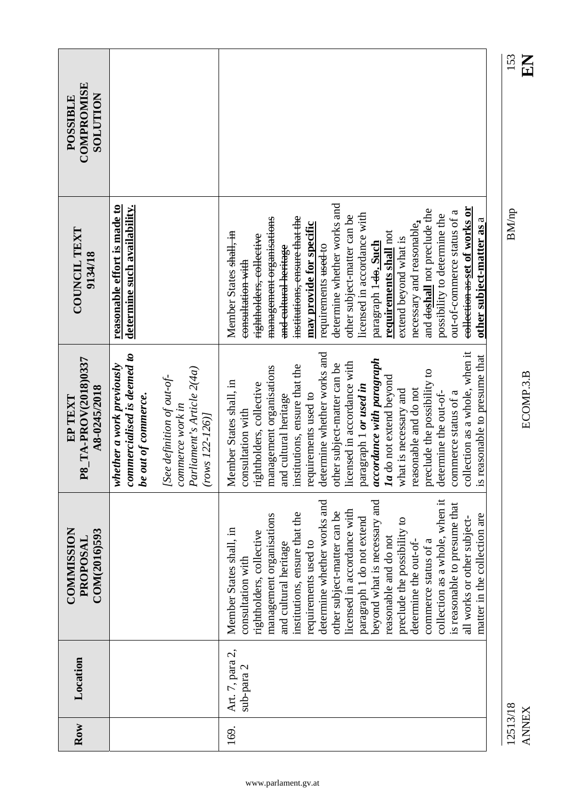| Row      | Location                      | <b>COMMISSION</b><br>COM(2016)593<br>PROPOSAL                                                                                                                                                                                                                                                                                                                                                                                                                                                                                                                                               | P8_TA-PROV(2018)0337<br>A8-0245/2018<br>EP TEXT                                                                                                                                                                                                                                                                                                                                                                                                                                                                                                                                | COUNCIL TEXT<br>9134/18                                                                                                                                                                                                                                                                                                                                                                                                                                                                                                                                                             | COMPROMISE<br><b>NOLLLIDTIOS</b><br>POSSIBLE |
|----------|-------------------------------|---------------------------------------------------------------------------------------------------------------------------------------------------------------------------------------------------------------------------------------------------------------------------------------------------------------------------------------------------------------------------------------------------------------------------------------------------------------------------------------------------------------------------------------------------------------------------------------------|--------------------------------------------------------------------------------------------------------------------------------------------------------------------------------------------------------------------------------------------------------------------------------------------------------------------------------------------------------------------------------------------------------------------------------------------------------------------------------------------------------------------------------------------------------------------------------|-------------------------------------------------------------------------------------------------------------------------------------------------------------------------------------------------------------------------------------------------------------------------------------------------------------------------------------------------------------------------------------------------------------------------------------------------------------------------------------------------------------------------------------------------------------------------------------|----------------------------------------------|
|          |                               |                                                                                                                                                                                                                                                                                                                                                                                                                                                                                                                                                                                             | commercialised is deemed to<br>whether a work previously<br>Parliament's Article 2(4a)<br>[See definition of out-of-<br>be out of commerce.<br>commerce work in<br>$(rows 122-126)$                                                                                                                                                                                                                                                                                                                                                                                            | reasonable effort is made to<br>determine such availability.                                                                                                                                                                                                                                                                                                                                                                                                                                                                                                                        |                                              |
| 169.     | Art. 7, para 2,<br>sub-para 2 | collection as a whole, when it<br>beyond what is necessary and<br>determine whether works and<br>is reasonable to presume that<br>licensed in accordance with<br>institutions, ensure that the<br>other subject-matter can be<br>management organisations<br>matter in the collection are<br>all works or other subject-<br>paragraph 1 do not extend<br>preclude the possibility to<br>Member States shall, in<br>rightholders, collective<br>reasonable and do not<br>commerce status of a<br>determine the out-of-<br>requirements used to<br>and cultural heritage<br>consultation with | collection as a whole, when it<br>determine whether works and<br>reasonable to presume that<br>accordance with paragraph<br>licensed in accordance with<br>other subject-matter can be<br>institutions, ensure that the<br>management organisations<br>preclude the possibility to<br>Ia do not extend beyond<br>Member States shall, in<br>rightholders, collective<br>paragraph 1 or used in<br>reasonable and do not<br>what is necessary and<br>determine the out-of-<br>commerce status of a<br>requirements used to<br>and cultural heritage<br>consultation with<br>isr | determine whether works and<br>collection as set of works or<br>and doshall not preclude the<br>out-of-commerce status of a<br>licensed in accordance with<br>possibility to determine the<br>other subject-matter can be<br>institutions, ensure that the<br>management organisations<br>other subject-matter as a<br>necessary and reasonable,<br>may provide for specific<br>requirements shall not<br>Member States shall, in<br>rightholders, collective<br>extend beyond what is<br>paragraph 1-de. Such<br>requirements used-to<br>and cultural heritage<br>ensultation with |                                              |
| 12513/18 |                               |                                                                                                                                                                                                                                                                                                                                                                                                                                                                                                                                                                                             |                                                                                                                                                                                                                                                                                                                                                                                                                                                                                                                                                                                | <b>BM/np</b>                                                                                                                                                                                                                                                                                                                                                                                                                                                                                                                                                                        | 153                                          |

12513/18 BM/np 12513/18<br>ANNEX

ANNEX ECOMP.3.B **EN** ECOMP.3.B

 $\frac{153}{E}$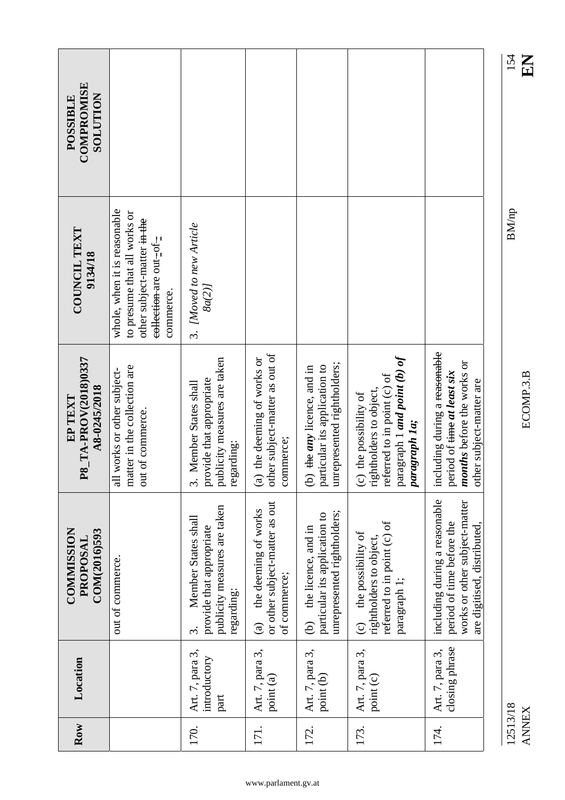| COMPROMISE<br><b>NOLLLIDTIOS</b><br>POSSIBLE    |                                                                                                                                    |                                                                                                                       |                                                                                         |                                                                                                                      |                                                                                                                                            |                                                                                                                            | 154<br>$\mathbf{K}$      |
|-------------------------------------------------|------------------------------------------------------------------------------------------------------------------------------------|-----------------------------------------------------------------------------------------------------------------------|-----------------------------------------------------------------------------------------|----------------------------------------------------------------------------------------------------------------------|--------------------------------------------------------------------------------------------------------------------------------------------|----------------------------------------------------------------------------------------------------------------------------|--------------------------|
| <b>COUNCIL TEXT</b><br>9134/18                  | whole, when it is reasonable<br>to presume that all works or<br>other subject-matter in the<br>eollection are out-of-<br>commerce. | 3. [Moved to new Article<br>8a(2)]                                                                                    |                                                                                         |                                                                                                                      |                                                                                                                                            |                                                                                                                            | <b>BM/np</b>             |
| P8_TA-PROV(2018)0337<br>A8-0245/2018<br>EP TEXT | matter in the collection are<br>works or other subject-<br>out of commerce.<br>$\overline{a}$                                      | publicity measures are taken<br>provide that appropriate<br>Member States shall<br>regarding:<br>$\dot{\mathfrak{c}}$ | other subject-matter as out of<br>the deeming of works or<br>commerce;<br>$\bigcirc$    | unrepresented rightholders;<br>particular its application to<br>the <i>any</i> licence, and in<br>$\widehat{\Theta}$ | paragraph 1 and point (b) of<br>referred to in point $(c)$ of<br>rightholders to object,<br>the possibility of<br>paragraph 1a;<br>$\odot$ | including during a reasonable<br>months before the works or<br>period of time at least six<br>other subject-matter are     | ECOMP.3.B                |
| <b>COMMISSION</b><br>COM(2016)593<br>PROPOSAL   | out of commerce.                                                                                                                   | publicity measures are taken<br>Member States shall<br>provide that appropriate<br>regarding:<br>$\dot{\mathfrak{c}}$ | or other subject-matter as out<br>the deeming of works<br>of commerce;<br>$\widehat{a}$ | unrepresented rightholders;<br>particular its application to<br>the licence, and in<br>$\Theta$                      | referred to in point (c) of<br>the possibility of<br>rightholders to object.<br>paragraph 1;<br>$\odot$                                    | including during a reasonable<br>works or other subject-matter<br>period of time before the<br>are digitised, distributed, |                          |
| Location                                        |                                                                                                                                    | Art. 7, para 3,<br>introductory<br>part                                                                               | Art. 7, para 3,<br>point (a)                                                            | Art. 7, para 3,<br>point (b)                                                                                         | Art. 7, para 3,<br>point (c)                                                                                                               | closing phrase<br>Art. 7, para 3,                                                                                          |                          |
| Row                                             |                                                                                                                                    | 170.                                                                                                                  | 171.                                                                                    | 172.                                                                                                                 | 173.                                                                                                                                       | 174.                                                                                                                       | 12513/18<br><b>ANNEX</b> |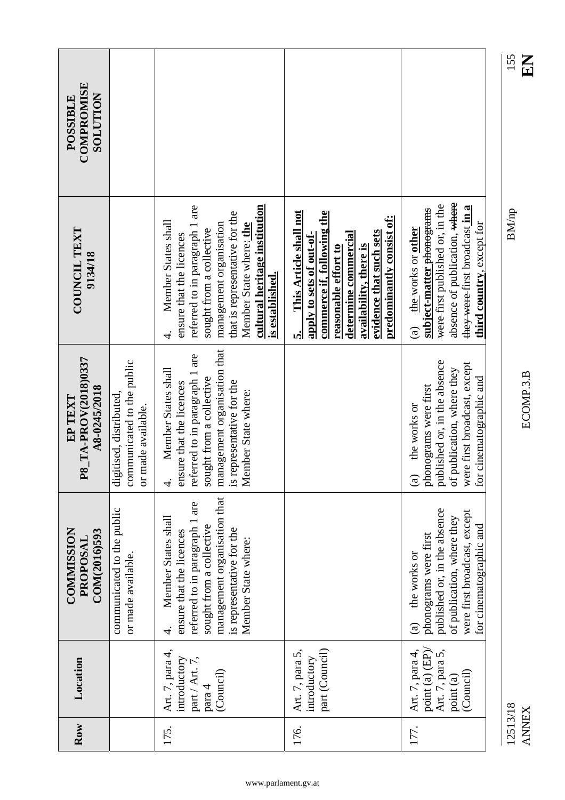|                                                 |                                                                             |                                                                                                                                                                                                                                                                        |                                                                                                                                                                                                                          |                                                                                                                                                                                                     | 155<br>EN                |
|-------------------------------------------------|-----------------------------------------------------------------------------|------------------------------------------------------------------------------------------------------------------------------------------------------------------------------------------------------------------------------------------------------------------------|--------------------------------------------------------------------------------------------------------------------------------------------------------------------------------------------------------------------------|-----------------------------------------------------------------------------------------------------------------------------------------------------------------------------------------------------|--------------------------|
| COMPROMISE<br><b>NOLLLIDTIOS</b><br>POSSIBLE    |                                                                             |                                                                                                                                                                                                                                                                        |                                                                                                                                                                                                                          |                                                                                                                                                                                                     |                          |
| <b>COUNCIL TEXT</b><br>9134/18                  |                                                                             | referred to in paragraph 1 are<br>cultural heritage institution<br>that is representative for the<br>Member States shall<br>management organisation<br>Member State where: the<br>sought from a collective<br>ensure that the licences<br>is established.<br>$\vec{r}$ | commerce if, following the<br>This Article shall not<br>predominantly consist of:<br>evidence that such sets<br>determine commercial<br>apply to sets of out-of-<br>availability, there is<br>reasonable effort to<br>ທ່ | absence of publication, where<br>were-first published or, in the<br>they were first broadcast in a<br>subject-matter phonograms<br>third country, except for<br>the-works or other<br>$\widehat{a}$ | <b>BM/np</b>             |
| P8_TA-PROV(2018)0337<br>A8-0245/2018<br>EP TEXT | communicated to the public<br>digitised, distributed,<br>or made available. | management organisation that<br>referred to in paragraph 1 are<br>Member States shall<br>sought from a collective<br>representative for the<br>ensure that the licences<br>Member State where:<br>i si<br>4.                                                           |                                                                                                                                                                                                                          | published or, in the absence<br>were first broadcast, except<br>of publication, where they<br>for cinematographic and<br>phonograms were first<br>the works or<br>$\mathbf{a}$                      | ECOMP.3.B                |
| <b>COMMISSION</b><br>COM(2016)593<br>PROPOSAL   | communicated to the public<br>or made available.                            | management organisation that<br>referred to in paragraph 1 are<br>Member States shall<br>sought from a collective<br>is representative for the<br>ensure that the licences<br>Member State where:<br>4.                                                                |                                                                                                                                                                                                                          | published or, in the absence<br>were first broadcast, except<br>of publication, where they<br>for cinematographic and<br>phonograms were first<br>the works or<br>$\widehat{a}$                     |                          |
| Location                                        |                                                                             | Art. 7, para 4,<br>introductory<br>part / Art. 7,<br>(Council)<br>para 4                                                                                                                                                                                               | part (Council)<br>Art. 7, para 5,<br>introductory                                                                                                                                                                        | Art. 7, para 4,<br>point (a) (EP)/<br>Art. 7, para 5,<br>(Council)<br>point (a)                                                                                                                     |                          |
| Row                                             |                                                                             | 175.                                                                                                                                                                                                                                                                   | 176.                                                                                                                                                                                                                     | 177.                                                                                                                                                                                                | 12513/18<br><b>ANNEX</b> |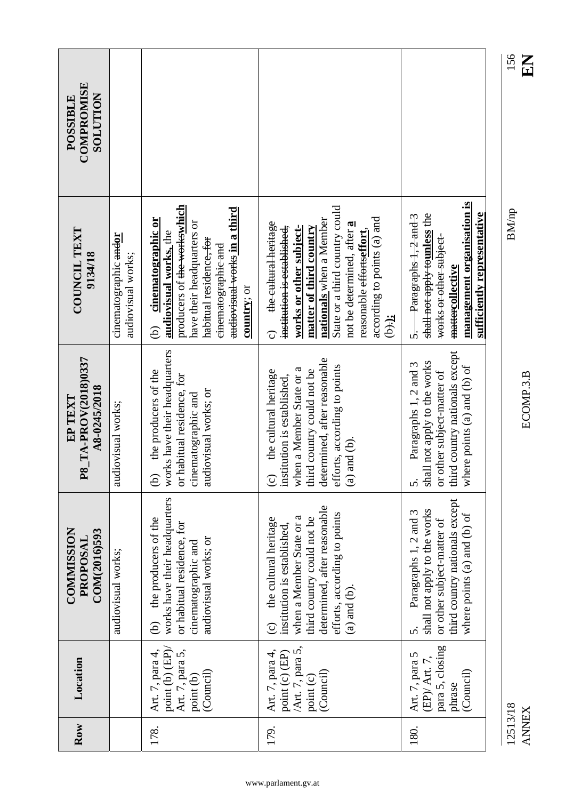| <b>COMPROMISE</b><br><b>NOLLTION</b><br>POSSIBLE              |                                             |                                                                                                                                                                                                                                               |                                                                                                                                                                                                                                                                                                                 |                                                                                                                                                                            |
|---------------------------------------------------------------|---------------------------------------------|-----------------------------------------------------------------------------------------------------------------------------------------------------------------------------------------------------------------------------------------------|-----------------------------------------------------------------------------------------------------------------------------------------------------------------------------------------------------------------------------------------------------------------------------------------------------------------|----------------------------------------------------------------------------------------------------------------------------------------------------------------------------|
| COUNCIL TEXT<br>9134/18                                       | cinematographic andor<br>audiovisual works; | producers of the werks which<br>audiovisual works in a third<br>cinematographic or<br>have their headquarters or<br>audiovisual works, the<br>habitual residence <del>, for</del><br>einematographic and<br>country; or<br>$\widehat{\Theta}$ | State or a third country could<br>according to points (a) and<br>nationals when a Member<br>the cultural heritage<br>not be determined, after a<br>institution is established,<br>matter of third country<br>works or other subject-<br>reasonable effertseffort,<br>$(b)$ : $\frac{1}{2}$<br>$\widehat{\circ}$ | <u>management organisation is</u><br>sufficiently representative<br>shall not apply tounless the<br>5. Paragraphs 1, 2 and 3<br>works or other subject<br>mattercollective |
| P8_TA-PROV(2018)0337<br>A8-0245/2018<br>${\rm EP}~{\rm TEXT}$ | audiovisual works;                          | works have their headquarters<br>the producers of the<br>or habitual residence, for<br>audiovisual works; or<br>cinematographic and<br>ê                                                                                                      | determined, after reasonable<br>efforts, according to points<br>when a Member State or a<br>third country could not be<br>the cultural heritage<br>institution is established,<br>and $(b)$ .<br>$\odot$<br>$\circledcirc$                                                                                      | third country nationals except<br>shall not apply to the works<br>Paragraphs 1, 2 and 3<br>where points $(a)$ and $(b)$ of<br>or other subject-matter of<br>s.             |
| <b>COMMISSION</b><br>COM(2016)593<br>PROPOSAL                 | audiovisual works;                          | works have their headquarters<br>the producers of the<br>or habitual residence, for<br>audiovisual works; or<br>cinematographic and<br>ව                                                                                                      | determined, after reasonable<br>efforts, according to points<br>when a Member State or a<br>third country could not be<br>the cultural heritage<br>institution is established,<br>$(a)$ and $(b)$ .<br>$\odot$                                                                                                  | third country nationals except<br>shall not apply to the works<br>Paragraphs 1, 2 and 3<br>where points $(a)$ and $(b)$ of<br>or other subject-matter of<br>s.             |
| Location                                                      |                                             | point (b) (EP)/<br>Art. 7, para 4,<br>Art. 7, para 5,<br>(Council)<br>point (b)                                                                                                                                                               | $\overline{/}$ Art. 7, para 5, point (c)<br>Art. 7, para 4,<br>point (c) (EP)<br>(Council)                                                                                                                                                                                                                      | para 5, closing<br>Art. 7, para 5<br>(EP)/ Art. 7,<br>(Council)<br>phrase                                                                                                  |
| Row                                                           |                                             | 178.                                                                                                                                                                                                                                          | 179.                                                                                                                                                                                                                                                                                                            | 180.                                                                                                                                                                       |

ANNEX ECOMP.3.B **EN**

ECOMP.3.B

12513/18 BM/np 156 12513/18<br>ANNEX

### 156<br>**HN**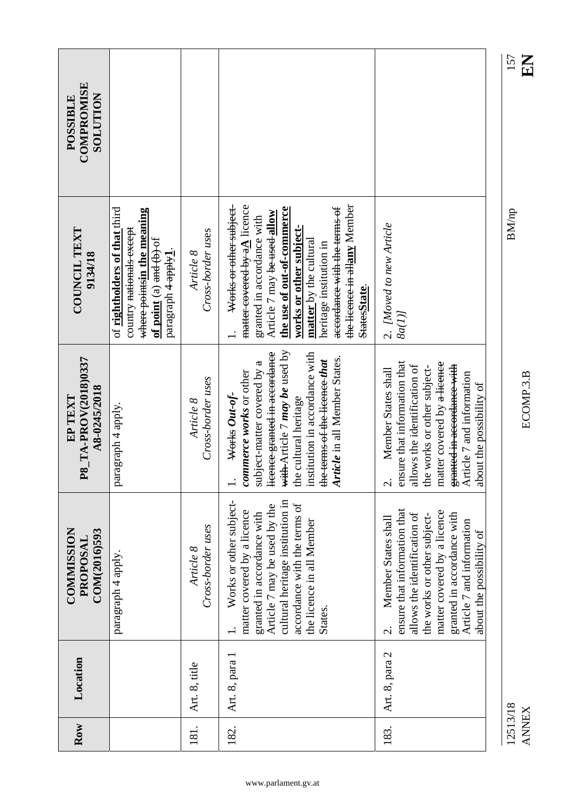| COMPROMISE<br><b>NOLUTION</b><br>POSSIBLE       |                                                                                                                                                                      |                                |                                                                                                                                                                                                                                                                                                                          |                                                                                                                                                                                                                                                                      |
|-------------------------------------------------|----------------------------------------------------------------------------------------------------------------------------------------------------------------------|--------------------------------|--------------------------------------------------------------------------------------------------------------------------------------------------------------------------------------------------------------------------------------------------------------------------------------------------------------------------|----------------------------------------------------------------------------------------------------------------------------------------------------------------------------------------------------------------------------------------------------------------------|
| COUNCIL TEXT<br>9134/18                         | of rightholders of that third<br>where pointsin the meaning<br>country <del>nationals except</del><br>of point $(a)$ and $(b)$ of<br>paragraph <del>4 apply</del> 1. | Cross-border uses<br>Article 8 | the licence in allany Member<br>Works or other subject<br>matter covered by aA licence<br>accordance with the terms of<br>the use of out-of-commerce<br>Article 7 may be used allow<br>granted in accordance with<br>works or other subject-<br><b>matter</b> by the cultural<br>heritage institution in<br>StatesState. | 2. [Moved to new Article<br>8a(1)                                                                                                                                                                                                                                    |
| P8_TA-PROV(2018)0337<br>A8-0245/2018<br>EP TEXT | paragraph 4 apply.                                                                                                                                                   | Cross-border uses<br>Article 8 | with Article 7 may be used by<br>licence granted in accordance<br>institution in accordance with<br><b>Article</b> in all Member States.<br>the terms of the licence that<br>subject-matter covered by a<br>commerce works or other<br>Works Out-of-<br>the cultural heritage                                            | ensure that information that<br>matter covered by a licence<br>allows the identification of<br>granted in accordance with<br>the works or other subject-<br>Member States shall<br>Article 7 and information<br>about the possibility of<br>$\dot{\nu}$              |
| <b>COMMISSION</b><br>COM(2016)593<br>PROPOSAL   | paragraph 4 apply.                                                                                                                                                   | Cross-border uses<br>Article 8 | Works or other subject-<br>cultural heritage institution in<br>Article 7 may be used by the<br>accordance with the terms of<br>matter covered by a licence<br>granted in accordance with<br>the licence in all Member<br>States.                                                                                         | ensure that information that<br>matter covered by a licence<br>allows the identification of<br>granted in accordance with<br>the works or other subject-<br>Member States shall<br>Article 7 and information<br>about the possibility of<br>$\overline{\mathcal{C}}$ |
| Location                                        |                                                                                                                                                                      | Art. 8, title                  | Art. 8, para 1                                                                                                                                                                                                                                                                                                           | Art. 8, para 2                                                                                                                                                                                                                                                       |
| Row                                             |                                                                                                                                                                      | 181.                           | 182.                                                                                                                                                                                                                                                                                                                     | 183.                                                                                                                                                                                                                                                                 |

ECOMP.3.B

ANNEX ECOMP.3.B **EN**

12513/18<br>ANNEX

 $\frac{157}{\textbf{H}}$ 12513/18 BM/np 157

 $\rm BM/np$ 

www.parlament.gv.at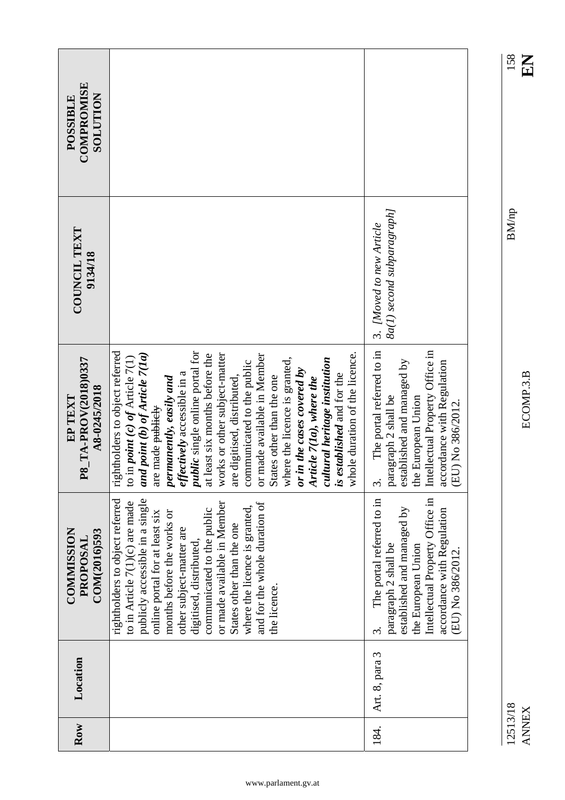| Row  | Location       | <b>COMMISSION</b><br>COM(2016)593<br>PROPOSAL                                                                                                                                                                                                                                                                                                                                                             | P8_TA-PROV(2018)0337<br>A8-0245/2018<br>EP TEXT                                                                                                                                                                                                                                                                                                                                                                                                                                                                                                                                                                                          | <b>COUNCIL TEXT</b><br>9134/18                         | COMPROMISE<br><b>NOILLIDTOS</b><br>POSSIBLE |
|------|----------------|-----------------------------------------------------------------------------------------------------------------------------------------------------------------------------------------------------------------------------------------------------------------------------------------------------------------------------------------------------------------------------------------------------------|------------------------------------------------------------------------------------------------------------------------------------------------------------------------------------------------------------------------------------------------------------------------------------------------------------------------------------------------------------------------------------------------------------------------------------------------------------------------------------------------------------------------------------------------------------------------------------------------------------------------------------------|--------------------------------------------------------|---------------------------------------------|
|      |                | publicly accessible in a single<br>rightholders to object referred<br>to in Article $7(1)(c)$ are made<br>or made available in Member<br>and for the whole duration of<br>where the licence is granted,<br>communicated to the public<br>months before the works or<br>online portal for at least six<br>States other than the one<br>other subject-matter are<br>digitised, distributed,<br>the licence. | <i>public</i> single online portal for<br>rightholders to object referred<br>whole duration of the licence.<br>and point (b) of Article 7(1a)<br>works or other subject-matter<br>at least six months before the<br>or made available in Member<br>to in <i>point</i> $(c)$ <i>of</i> Article 7(1)<br>where the licence is granted,<br>cultural heritage institution<br>communicated to the public<br>or in the cases covered by<br>effectively accessible in a<br>is established and for the<br>permanently, easily and<br>are digitised, distributed,<br>States other than the one<br>Article $7(1a)$ , where the<br>are made publicly |                                                        |                                             |
| 184. | Art. 8, para 3 | The portal referred to in<br>Intellectual Property Office in<br>established and managed by<br>accordance with Regulation<br>paragraph 2 shall be<br>the European Union<br>(EU) No 386/2012.<br>$\dot{\phantom{1}}$                                                                                                                                                                                        | The portal referred to in<br>ellectual Property Office in<br>established and managed by<br>accordance with Regulation<br>paragraph 2 shall be<br>the European Union<br>(EU) No 386/2012.<br>$\overline{\mathbf{H}}$<br>$\tilde{\mathfrak{c}}$                                                                                                                                                                                                                                                                                                                                                                                            | 8a(1) second subparagraph]<br>3. [Moved to new Article |                                             |

ANNEX ECOMP.3.B **EN**

12513/18 BM/np 158

ECOMP.3.B

 $\rm BM/np$ 

12513/18<br>ANNEX

### $\frac{158}{E1}$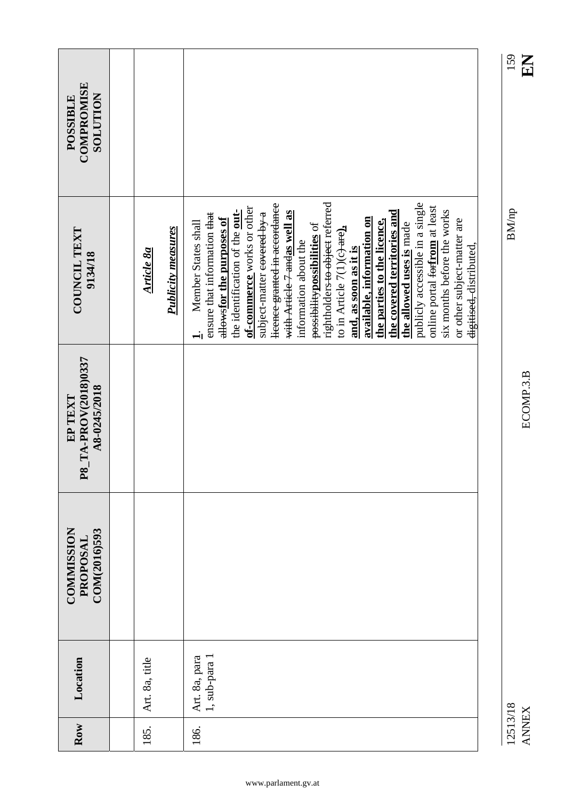| <b>COMPROMISE</b><br><b>NOLLLIDTIOS</b><br>POSSIBLE |                |                           |                                                                                                                                                                                                                                                                                                                                                                                                                                                                                                                                                                                                                                                                                                                                |
|-----------------------------------------------------|----------------|---------------------------|--------------------------------------------------------------------------------------------------------------------------------------------------------------------------------------------------------------------------------------------------------------------------------------------------------------------------------------------------------------------------------------------------------------------------------------------------------------------------------------------------------------------------------------------------------------------------------------------------------------------------------------------------------------------------------------------------------------------------------|
| COUNCIL TEXT<br>9134/18                             | Article 8a     | <b>Publicity measures</b> | rightholders-to-object referred<br>publicly accessible in a single<br>Heence granted in accordance<br>online portal <del>for</del> from at least<br>of-commerce works or other<br>six months before the works<br>the covered territories and<br>the identification of the out-<br>with Article 7 and as well as<br>subject-matter eevered by a<br>ensure that information that<br><del>allows</del> for the purposes of<br>available, information on<br>or other subject-matter are<br>the parties to the licence,<br>Member States shall<br>the allowed uses is made<br>possibility possibilities of<br>to in Article $7(1)(c)$ -are)<br>information about the<br><del>digitised,</del> distributed,<br>and, as soon as it is |
| P8_TA-PROV(2018)0337<br>A8-0245/2018<br>EP TEXT     |                |                           |                                                                                                                                                                                                                                                                                                                                                                                                                                                                                                                                                                                                                                                                                                                                |
| <b>COMMISSION</b><br>COM(2016)593<br>PROPOSAL       |                |                           |                                                                                                                                                                                                                                                                                                                                                                                                                                                                                                                                                                                                                                                                                                                                |
| Location                                            | Art. 8a, title |                           | Art. 8a, para<br>1, sub-para 1                                                                                                                                                                                                                                                                                                                                                                                                                                                                                                                                                                                                                                                                                                 |
| Row                                                 | 185.           |                           | 186.                                                                                                                                                                                                                                                                                                                                                                                                                                                                                                                                                                                                                                                                                                                           |

 $\frac{159}{E}$ 

 $\rm BM/np$ 

12513/18 BM/np 159 12513/18<br>ANNEX

www.parlament.gv.at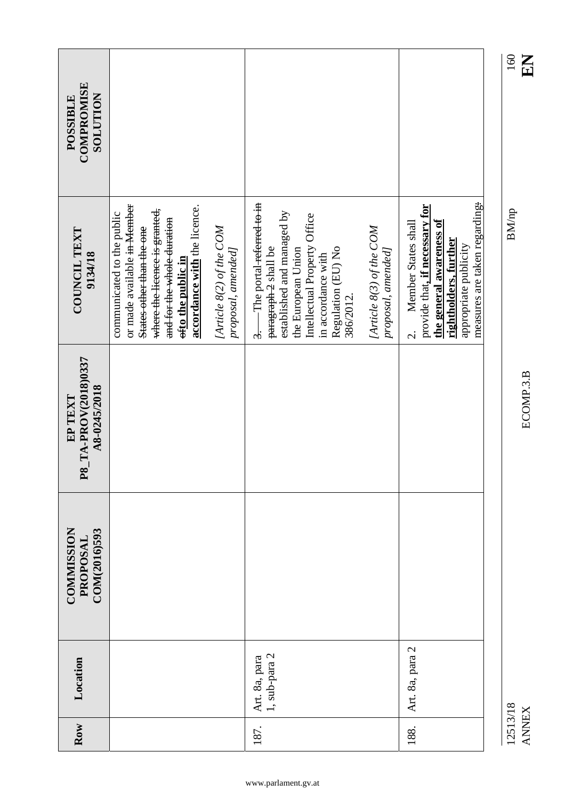| COMPROMISE<br><b>SOLUTION</b><br><b>POSSIBLE</b> |                                                                                                                                                                                                             |                                                |                                                                                                                                                                                                   |                                                |                                                                                                                                                                                             |
|--------------------------------------------------|-------------------------------------------------------------------------------------------------------------------------------------------------------------------------------------------------------------|------------------------------------------------|---------------------------------------------------------------------------------------------------------------------------------------------------------------------------------------------------|------------------------------------------------|---------------------------------------------------------------------------------------------------------------------------------------------------------------------------------------------|
| COUNCIL TEXT<br>9134/18                          | or made available in Member<br>accordance with the licence.<br>where the licence is granted,<br>communicated to the public<br>and for the whole duration<br>States other than the one<br>efto the public in | [Article 8(2) of the COM<br>proposal, amended] | 3. The portal-referred to in<br>established and managed by<br>Intellectual Property Office<br>paragraph-2 shall be<br>Regulation (EU) No<br>the European Union<br>in accordance with<br>386/2012. | [Article 8(3) of the COM<br>proposal, amended] | measures are taken regarding:<br>provide that, if necessary for<br>the general awareness of<br>Member States shall<br>rightholders, further<br>appropriate publicity<br>$\dot{\mathcal{C}}$ |
| P8_TA-PROV(2018)0337<br>A8-0245/2018<br>EP TEXT  |                                                                                                                                                                                                             |                                                |                                                                                                                                                                                                   |                                                |                                                                                                                                                                                             |
| COMMISSION<br>COM(2016)593<br>PROPOSAL           |                                                                                                                                                                                                             |                                                |                                                                                                                                                                                                   |                                                |                                                                                                                                                                                             |
| Location                                         |                                                                                                                                                                                                             |                                                | 1, sub-para 2<br>Art. 8a, para                                                                                                                                                                    |                                                | Art. 8a, para 2                                                                                                                                                                             |
| Row                                              |                                                                                                                                                                                                             |                                                | 187.                                                                                                                                                                                              |                                                | 188.                                                                                                                                                                                        |

12513/18<br>ANNEX

 $\frac{160}{\text{E}}$ 12513/18 BM/np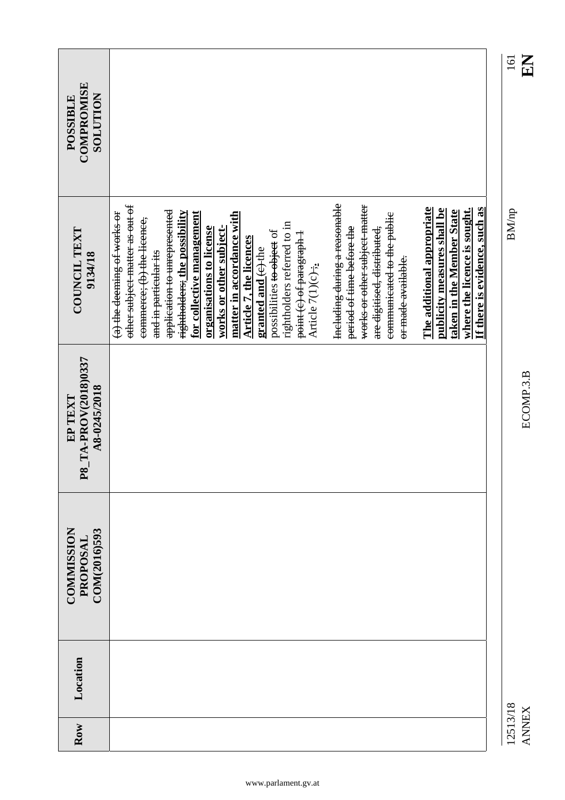| COMPROMISE<br><b>NOILUTION</b><br><b>POSSIBLE</b> |                                                                                                                                                                                                                                                                                                                                                                                                                                                                                                                                                                                                                                                                                                                                                                                                                                         | EN<br>161    |
|---------------------------------------------------|-----------------------------------------------------------------------------------------------------------------------------------------------------------------------------------------------------------------------------------------------------------------------------------------------------------------------------------------------------------------------------------------------------------------------------------------------------------------------------------------------------------------------------------------------------------------------------------------------------------------------------------------------------------------------------------------------------------------------------------------------------------------------------------------------------------------------------------------|--------------|
| <b>COUNCIL TEXT</b><br>9134/18                    | Including during a reasonable<br>other subject matter as out of<br>works or other subject matter<br>The additional appropriate<br>where the licence is sought.<br>If there is evidence, such as<br>publicity measures shall be<br>application to unrepresented<br>taken in the Member State<br>for collective management<br>rightholders; the possibility<br>(a) the deeming of works or<br>matter in accordance with<br>communicated to the public<br>commerce; (b) the licence,<br>rightholders referred to in<br>works or other subject-<br>organisations to license<br>period of time before the<br>are digitised, distributed,<br>possibilities to object of<br>point (c) of paragraph 1<br><b>Article 7, the licences</b><br>granted and $\leftrightarrow$ the<br>and in particular its<br>or made available.<br>Article 7(1)(c); | <b>BM/np</b> |
| P8 TA-PROV(2018)0337<br>A8-0245/2018<br>EP TEXT   |                                                                                                                                                                                                                                                                                                                                                                                                                                                                                                                                                                                                                                                                                                                                                                                                                                         | ECOMP.3.B    |
| <b>COMMISSION</b><br>COM(2016)593<br>PROPOSAL     |                                                                                                                                                                                                                                                                                                                                                                                                                                                                                                                                                                                                                                                                                                                                                                                                                                         |              |
| Location                                          |                                                                                                                                                                                                                                                                                                                                                                                                                                                                                                                                                                                                                                                                                                                                                                                                                                         | 12513/18     |
| Row                                               |                                                                                                                                                                                                                                                                                                                                                                                                                                                                                                                                                                                                                                                                                                                                                                                                                                         | <b>ANNEX</b> |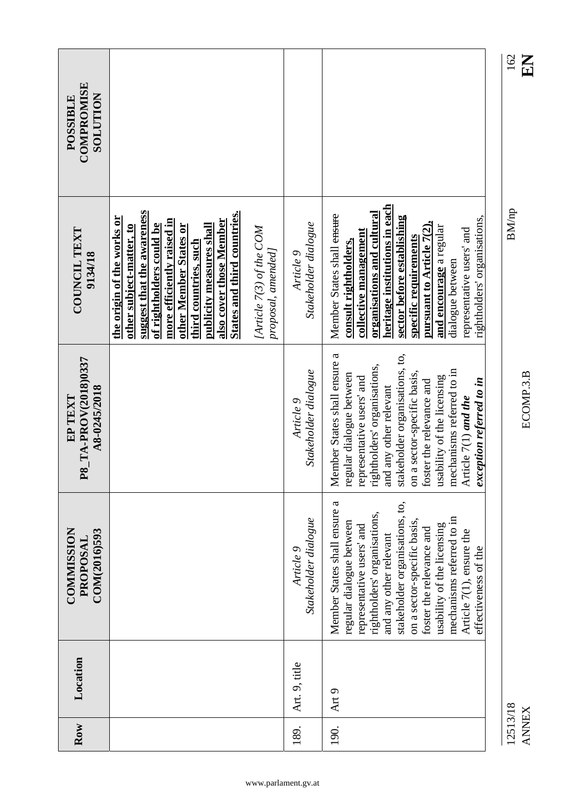|                                                         |                                                                                                                                                                                                                                                                                                                                                   |                                   |                                                                                                                                                                                                                                                                                                                                                             | 162<br>EN                |
|---------------------------------------------------------|---------------------------------------------------------------------------------------------------------------------------------------------------------------------------------------------------------------------------------------------------------------------------------------------------------------------------------------------------|-----------------------------------|-------------------------------------------------------------------------------------------------------------------------------------------------------------------------------------------------------------------------------------------------------------------------------------------------------------------------------------------------------------|--------------------------|
| <b>COMPROMISE</b><br><b>NOILUIOS</b><br><b>POSSIBLE</b> |                                                                                                                                                                                                                                                                                                                                                   |                                   |                                                                                                                                                                                                                                                                                                                                                             |                          |
| COUNCIL TEXT<br>9134/18                                 | suggest that the awareness<br>States and third countries.<br>the origin of the works or<br>more efficiently raised in<br>also cover those Member<br>of rightholders could be<br>other subject-matter, to<br>other Member States or<br>publicity measures shall<br>[Article 7(3) of the COM<br>thi <u>rd</u> countries, such<br>proposal, amended] | Stakeholder dialogue<br>Article 9 | heritage institutions in each<br>organisations and cultural<br>Member States shall ensure<br>sector before establishing<br>rightholders' organisations,<br>pursuant to Article $7(2)$ ,<br>and encourage a regular<br>representative users' and<br>collective management<br>specific requirements<br>consult rightholders,<br>dialogue between              | <b>BM/np</b>             |
| P8_TA-PROV(2018)0337<br>A8-0245/2018<br>EP TEXT         |                                                                                                                                                                                                                                                                                                                                                   | Stakeholder dialogue<br>Article 9 | Member States shall ensure a<br>stakeholder organisations, to,<br>rightholders' organisations,<br>mechanisms referred to in<br>on a sector-specific basis,<br>regular dialogue between<br>usability of the licensing<br>representative users' and<br>exception referred to in<br>foster the relevance and<br>and any other relevant<br>Article 7(1) and the | ECOMP.3.B                |
| <b>COMMISSION</b><br>COM(2016)593<br>PROPOSAL           |                                                                                                                                                                                                                                                                                                                                                   | Stakeholder dialogue<br>Article 9 | stakeholder organisations, to,<br>Member States shall ensure a<br>rightholders' organisations,<br>mechanisms referred to in<br>on a sector-specific basis,<br>regular dialogue between<br>usability of the licensing<br>representative users' and<br>foster the relevance and<br>Article 7(1), ensure the<br>and any other relevant<br>effectiveness of the |                          |
| Location                                                |                                                                                                                                                                                                                                                                                                                                                   | Art. 9, title                     | Art 9                                                                                                                                                                                                                                                                                                                                                       |                          |
| Row                                                     |                                                                                                                                                                                                                                                                                                                                                   | 189.                              | 190.                                                                                                                                                                                                                                                                                                                                                        | 12513/18<br><b>ANNEX</b> |

 $\frac{162}{E}$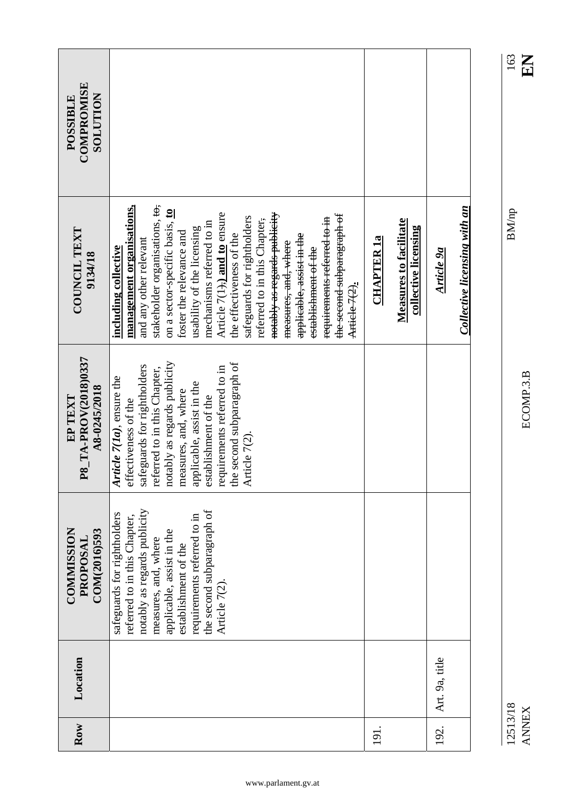| <b>COMPROMISE</b><br><b>NOILLIDTIOS</b><br>POSSIBLE |                                                                                                                                                                                                                                                                                                                                                                                                                                                                                                                                                                           |                                                                            |                                            |
|-----------------------------------------------------|---------------------------------------------------------------------------------------------------------------------------------------------------------------------------------------------------------------------------------------------------------------------------------------------------------------------------------------------------------------------------------------------------------------------------------------------------------------------------------------------------------------------------------------------------------------------------|----------------------------------------------------------------------------|--------------------------------------------|
| COUNCIL TEXT<br>9134/18                             | stakeholder organisations, to,<br>management organisations,<br>on a sector-specific basis, io<br>Article $7(1)$ <sub>7</sub> and to ensure<br>notably as regards publicity<br>the second subparagraph of<br>safeguards for rightholders<br>requirements referred to in<br>referred to in this Chapter,<br>mechanisms referred to in<br>usability of the licensing<br>foster the relevance and<br>the effectiveness of the<br>applicable, assist in the<br>and any other relevant<br>measures, and, where<br>including collective<br>establishment of the<br>Article 7(2). | <b>Measures to facilitate</b><br>collective licensing<br><b>CHAPTER 1a</b> | Collective licensing with an<br>Article 9a |
| P8_TA-PROV(2018)0337<br>A8-0245/2018<br>EP TEXT     | notably as regards publicity<br>second subparagraph of<br>safeguards for rightholders<br>requirements referred to in<br>referred to in this Chapter,<br>Article 7(1a), ensure the<br>applicable, assist in the<br>measures, and, where<br>establishment of the<br>effectiveness of the<br>Article 7(2).<br>the                                                                                                                                                                                                                                                            |                                                                            |                                            |
| <b>COMMISSION</b><br>COM(2016)593<br>PROPOSAL       | notably as regards publicity<br>the second subparagraph of<br>safeguards for rightholders<br>referred to in this Chapter,<br>requirements referred to in<br>applicable, assist in the<br>measures, and, where<br>establishment of the<br>Article 7(2).                                                                                                                                                                                                                                                                                                                    |                                                                            |                                            |
| Location                                            |                                                                                                                                                                                                                                                                                                                                                                                                                                                                                                                                                                           |                                                                            | Art. 9a, title                             |
| Row                                                 |                                                                                                                                                                                                                                                                                                                                                                                                                                                                                                                                                                           | 191.                                                                       | 192.                                       |

ANNEX ECOMP.3.B **EN**

12513/18 BM/np 163 12513/18<br>ANNEX

ECOMP.3.B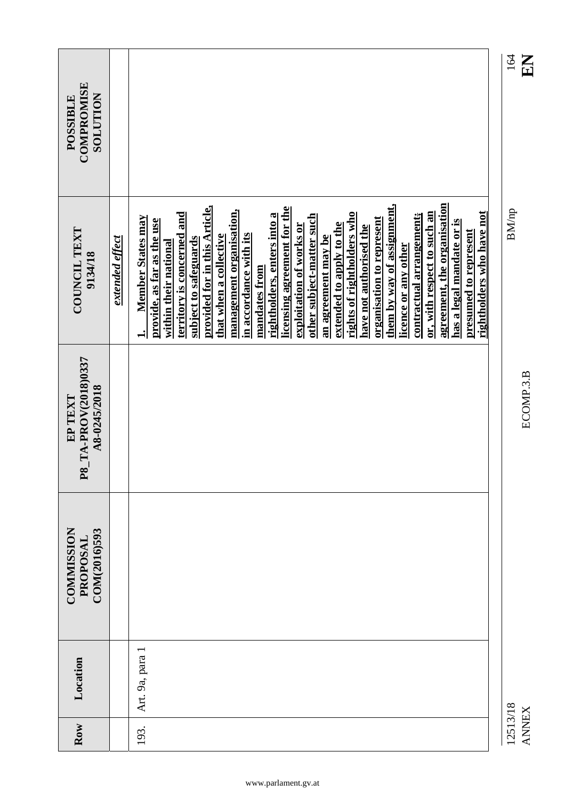| COMPROMISE<br><b>NOLLLIDTIOS</b><br><b>POSSIBLE</b> |                 |                                                                                                                                                                                                                                                                                                                                                                                                                                                                                                                                                                                                                                                                                                                                                                      |
|-----------------------------------------------------|-----------------|----------------------------------------------------------------------------------------------------------------------------------------------------------------------------------------------------------------------------------------------------------------------------------------------------------------------------------------------------------------------------------------------------------------------------------------------------------------------------------------------------------------------------------------------------------------------------------------------------------------------------------------------------------------------------------------------------------------------------------------------------------------------|
| COUNCIL TEXT<br>9134/18                             | extended effect | agreement, the organisation<br>them by way of assignment,<br>provided for in this Article,<br>licensing agreement for the<br>management organisation,<br>rightholders who have not<br>territory is concerned and<br>rights of rightholders who<br>rightholders, enters into a<br>or, with respect to such an<br>contractual arrangement;<br>other subject-matter such<br>Member States may<br>organisation to represent<br>provide, as far as the use<br>has a legal mandate or is<br>extended to apply to the<br>exploitation of works or<br>have not authorised the<br>presumed to represent<br>in accordance with its<br>that when a collective<br>an agreement may be<br>subject to safeguards<br>within their national<br>licence or any other<br>mandates from |
| P8_TA-PROV(2018)0337<br>A8-0245/2018<br>EP TEXT     |                 |                                                                                                                                                                                                                                                                                                                                                                                                                                                                                                                                                                                                                                                                                                                                                                      |
| <b>COMMISSION</b><br>COM(2016)593<br>PROPOSAI       |                 |                                                                                                                                                                                                                                                                                                                                                                                                                                                                                                                                                                                                                                                                                                                                                                      |
| Location                                            |                 | Art. 9a, para 1                                                                                                                                                                                                                                                                                                                                                                                                                                                                                                                                                                                                                                                                                                                                                      |
| Row                                                 |                 | 193.                                                                                                                                                                                                                                                                                                                                                                                                                                                                                                                                                                                                                                                                                                                                                                 |

# 12513/18 BM/np 164

12513/18<br>ANNEX

 $\frac{164}{E}$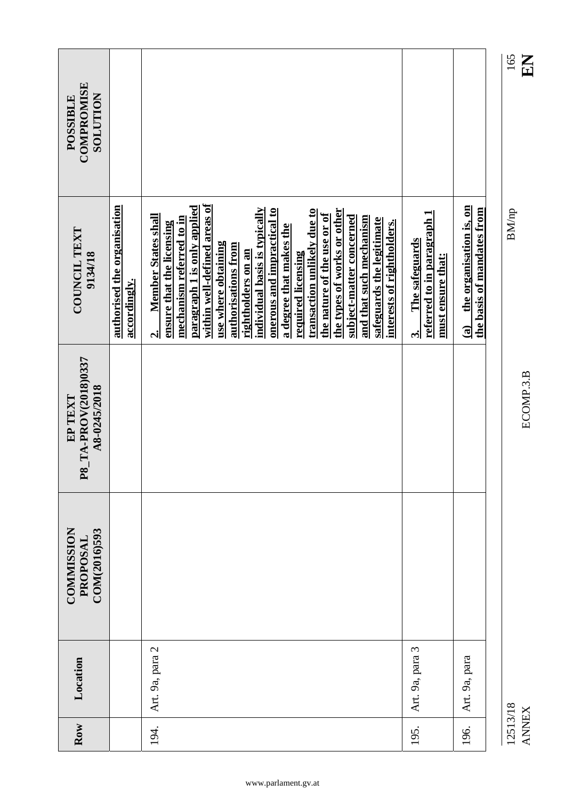| COMPROMISE<br><b>NOLLTION</b><br>POSSIBLE       |                                             |                                                                                                                                                                                                                                                                                                                                                                                                                                                                                                                                                                |                                                                                 |                                                                       |
|-------------------------------------------------|---------------------------------------------|----------------------------------------------------------------------------------------------------------------------------------------------------------------------------------------------------------------------------------------------------------------------------------------------------------------------------------------------------------------------------------------------------------------------------------------------------------------------------------------------------------------------------------------------------------------|---------------------------------------------------------------------------------|-----------------------------------------------------------------------|
| COUNCIL TEXT<br>9134/18                         | authorised the organisation<br>accordingly. | within well-defined areas of<br>paragraph 1 is only applied<br>individual basis is typically<br>onerous and impractical to<br>transaction unlikely due to<br>the types of works or other<br>the nature of the use or of<br>Member States shall<br>subject-matter concerned<br>and that such mechanism<br>safeguards the legitimate<br>mechanism referred to in<br>interests of rightholders.<br>ensure that the licensing<br>a degree that makes the<br>use where obtaining<br>authorisations from<br>rightholders on an<br>required licensing<br>$\mathbf{d}$ | referred to in paragraph 1<br>The safeguards<br>must ensure that:<br>$\ddot{ }$ | the organisation is, on<br>the basis of mandates from<br>$\mathbf{a}$ |
| P8_TA-PROV(2018)0337<br>A8-0245/2018<br>EP TEXT |                                             |                                                                                                                                                                                                                                                                                                                                                                                                                                                                                                                                                                |                                                                                 |                                                                       |
| <b>COMMISSION</b><br>COM(2016)593<br>PROPOSAL   |                                             |                                                                                                                                                                                                                                                                                                                                                                                                                                                                                                                                                                |                                                                                 |                                                                       |
| Location                                        |                                             | Art. 9a, para 2                                                                                                                                                                                                                                                                                                                                                                                                                                                                                                                                                | Art. 9a, para 3                                                                 | Art. 9a, para                                                         |
| Row                                             |                                             | 194.                                                                                                                                                                                                                                                                                                                                                                                                                                                                                                                                                           | 195.                                                                            | 196.                                                                  |

 $\frac{165}{\text{E}}$ 

 $\rm BM/np$ 

12513/18 BM/np 12513/18<br>ANNEX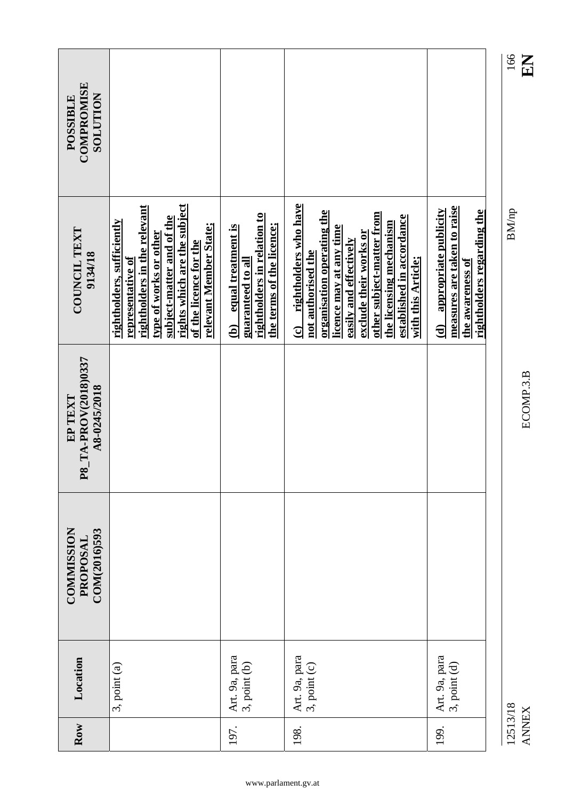| COMPROMISE<br><b>NOILUIOS</b><br>POSSIBLE       |                                                                                                                                                                                                                            |                                                                                                                               |                                                                                                                                                                                                                                                                                               |                                                                                                                                         |
|-------------------------------------------------|----------------------------------------------------------------------------------------------------------------------------------------------------------------------------------------------------------------------------|-------------------------------------------------------------------------------------------------------------------------------|-----------------------------------------------------------------------------------------------------------------------------------------------------------------------------------------------------------------------------------------------------------------------------------------------|-----------------------------------------------------------------------------------------------------------------------------------------|
| COUNCIL TEXT<br>9134/18                         | rights which are the subject<br>rightholders in the relevant<br>subject-matter and of the<br>rightholders, sufficiently<br>relevant Member State;<br>type of works or other<br>of the licence for the<br>representative of | rightholders in relation to<br>the terms of the licence;<br>equal treatment is<br>guaranteed to all<br>$\widehat{\mathbf{e}}$ | rightholders who have<br>organisation operating the<br>other subject-matter from<br>established in accordance<br>the licensing mechanism<br>licence may at any time<br>exclude their works or<br>easily and effectively<br>not authorised the<br>with this Article;<br>$\widehat{\mathbf{c}}$ | measures are taken to raise<br>appropriate publicity<br><u>rightholders regarding the</u><br>the awareness of<br>$\widehat{\mathbf{e}}$ |
| P8_TA-PROV(2018)0337<br>A8-0245/2018<br>EP TEXT |                                                                                                                                                                                                                            |                                                                                                                               |                                                                                                                                                                                                                                                                                               |                                                                                                                                         |
| <b>COMMISSION</b><br>COM(2016)593<br>PROPOSAL   |                                                                                                                                                                                                                            |                                                                                                                               |                                                                                                                                                                                                                                                                                               |                                                                                                                                         |
| Location                                        | $3$ , point $(a)$                                                                                                                                                                                                          | Art. 9a, para<br>3, point (b)                                                                                                 | Art. 9a, para<br>3, point (c)                                                                                                                                                                                                                                                                 | Art. 9a, para<br>3, point (d)                                                                                                           |
| Row                                             |                                                                                                                                                                                                                            | 197.                                                                                                                          | 198.                                                                                                                                                                                                                                                                                          | 199.                                                                                                                                    |

12513/18 BM/np 12513/18<br>ANNEX

166<br>EN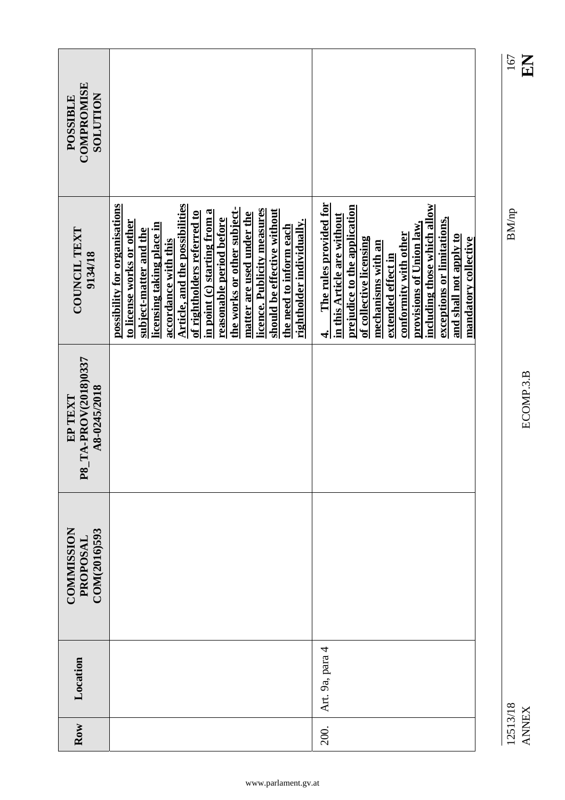| COMPROMISE<br><b>NOLLLIDTI</b><br>POSSIBLE      |                                                                                                                                                                                                                                                                                                                                                                                                                                                                 |                                                                                                                                                                                                                                                                                                                                                        |
|-------------------------------------------------|-----------------------------------------------------------------------------------------------------------------------------------------------------------------------------------------------------------------------------------------------------------------------------------------------------------------------------------------------------------------------------------------------------------------------------------------------------------------|--------------------------------------------------------------------------------------------------------------------------------------------------------------------------------------------------------------------------------------------------------------------------------------------------------------------------------------------------------|
| COUNCIL TEXT<br>9134/18                         | possibility for organisations<br><b>Article, and the possibilities</b><br>the works or other subject-<br>licence. Publicity measures<br>should be effective without<br>in point (c) starting from a<br>of rightholders referred to<br>matter are used under the<br>reasonable period before<br>rightholder individually.<br>to license works or other<br>licensing taking place in<br>the need to inform each<br>subject-matter and the<br>accordance with this | The rules provided for<br>prejudice to the application<br>including those which allow<br>in this Article are without<br>exceptions or limitations,<br>provisions of Union law<br>$\operatorname{conformity}$ with other<br>and shall not apply to<br>of collective licensing<br>mandatory collective<br>mechanisms with an<br>extended effect in<br>4ं |
| P8_TA-PROV(2018)0337<br>A8-0245/2018<br>EP TEXT |                                                                                                                                                                                                                                                                                                                                                                                                                                                                 |                                                                                                                                                                                                                                                                                                                                                        |
| COMMISSION<br>COM(2016)593<br>PROPOSAL          |                                                                                                                                                                                                                                                                                                                                                                                                                                                                 |                                                                                                                                                                                                                                                                                                                                                        |
| Location                                        |                                                                                                                                                                                                                                                                                                                                                                                                                                                                 | Art. 9a, para 4                                                                                                                                                                                                                                                                                                                                        |
| Row                                             |                                                                                                                                                                                                                                                                                                                                                                                                                                                                 | 200.                                                                                                                                                                                                                                                                                                                                                   |

12513/18<br>ANNEX

12513/18 BM/np

 $\rm BM/np$ 

www.parlament.gv.at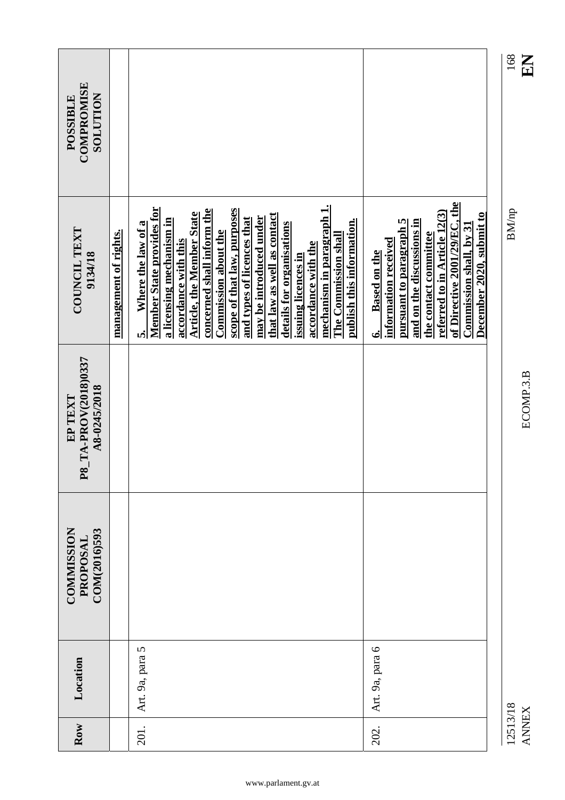| COMPROMISE<br><b>NOLLUTION</b><br>POSSIBLE      |                       |                                                                                                                                                                                                                                                                                                                                                                                                                                                                                                       |                                                                                                                                                                                                                                                       |
|-------------------------------------------------|-----------------------|-------------------------------------------------------------------------------------------------------------------------------------------------------------------------------------------------------------------------------------------------------------------------------------------------------------------------------------------------------------------------------------------------------------------------------------------------------------------------------------------------------|-------------------------------------------------------------------------------------------------------------------------------------------------------------------------------------------------------------------------------------------------------|
| COUNCIL TEXT<br>9134/18                         | management of rights. | mechanism in paragraph 1.<br><b>Member State provides for</b><br>concerned shall inform the<br>scope of that law, purposes<br><b>Article, the Member State</b><br>that law as well as contact<br>may be introduced under<br>and types of licences that<br>a licensing mechanism in<br>publish this information.<br>details for organisations<br>Where the law of a<br><b>Commission about the</b><br>The Commission shall<br>accordance with this<br>accordance with the<br>issuing licences in<br>ทํ | of Directive 2001/29/EC, the<br>referred to in Article 12(3)<br>December 2020, submit to<br>and on the discussions in<br>pursuant to paragraph 5<br>Commission shall, by $31\,$<br>the contact committee<br>information received<br>Based on the<br>ق |
| P8_TA-PROV(2018)0337<br>A8-0245/2018<br>EP TEXT |                       |                                                                                                                                                                                                                                                                                                                                                                                                                                                                                                       |                                                                                                                                                                                                                                                       |
| <b>COMMISSION</b><br>COM(2016)593<br>PROPOSAL   |                       |                                                                                                                                                                                                                                                                                                                                                                                                                                                                                                       |                                                                                                                                                                                                                                                       |
| Location                                        |                       | Art. 9a, para 5                                                                                                                                                                                                                                                                                                                                                                                                                                                                                       | Art. 9a, para 6                                                                                                                                                                                                                                       |
| Row                                             |                       | 201.                                                                                                                                                                                                                                                                                                                                                                                                                                                                                                  | 202.                                                                                                                                                                                                                                                  |

 $\frac{168}{\text{B}}$ 

 $\rm BM/np$ 

12513/18 BM/np 168 12513/18<br>ANNEX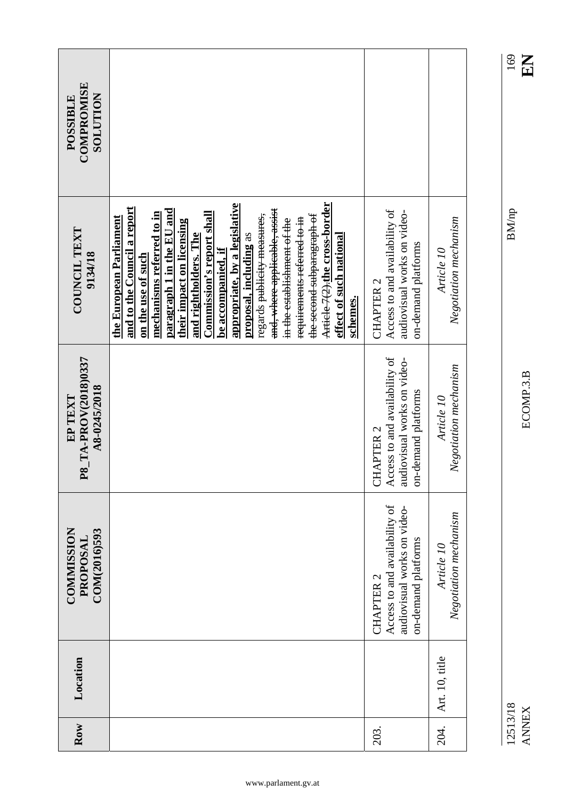| <b>COMPROMISE</b><br><b>NOLLLIDTIOS</b><br>POSSIBLE |                                                                                                                                                                                                                                                                                                                                                                                                                                                                                                                                                       |                                                                                                         |                                     |
|-----------------------------------------------------|-------------------------------------------------------------------------------------------------------------------------------------------------------------------------------------------------------------------------------------------------------------------------------------------------------------------------------------------------------------------------------------------------------------------------------------------------------------------------------------------------------------------------------------------------------|---------------------------------------------------------------------------------------------------------|-------------------------------------|
| COUNCIL TEXT<br>9134/18                             | appropriate, by a legislative<br>Article 7(2) the cross-border<br>and to the Council a report<br>and, where applicable, assist<br>paragraph 1 in the EU and<br>mechanisms referred to in<br><b>Commission's report shall</b><br>regards publicity measures,<br>the second subparagraph of<br>requirements referred to in<br>the European Parliament<br>in the establishment of the<br>their impact on licensing<br>proposal, including as<br>and rightholders. The<br>effect of such national<br>be accompanied, if<br>on the use of such<br>schemes. | Access to and availability of<br>audiovisual works on video-<br>on-demand platforms<br><b>CHAPTER 2</b> | Negotiation mechanism<br>Article 10 |
| P8_TA-PROV(2018)0337<br>A8-0245/2018<br>EP TEXT     |                                                                                                                                                                                                                                                                                                                                                                                                                                                                                                                                                       | Access to and availability of<br>audiovisual works on video-<br>on-demand platforms<br><b>CHAPTER 2</b> | Negotiation mechanism<br>Article 10 |
| <b>COMMISSION</b><br>COM(2016)593<br>PROPOSAL       |                                                                                                                                                                                                                                                                                                                                                                                                                                                                                                                                                       | Access to and availability of<br>audiovisual works on video-<br>on-demand platforms<br><b>CHAPTER 2</b> | Negotiation mechanism<br>Article 10 |
| Location                                            |                                                                                                                                                                                                                                                                                                                                                                                                                                                                                                                                                       |                                                                                                         | Art. 10, title                      |
| Row                                                 |                                                                                                                                                                                                                                                                                                                                                                                                                                                                                                                                                       | 203.                                                                                                    | 204.                                |

12513/18 BM/np 169 12513/18<br>ANNEX

ANNEX ECOMP.3.B **EN** ECOMP.3.B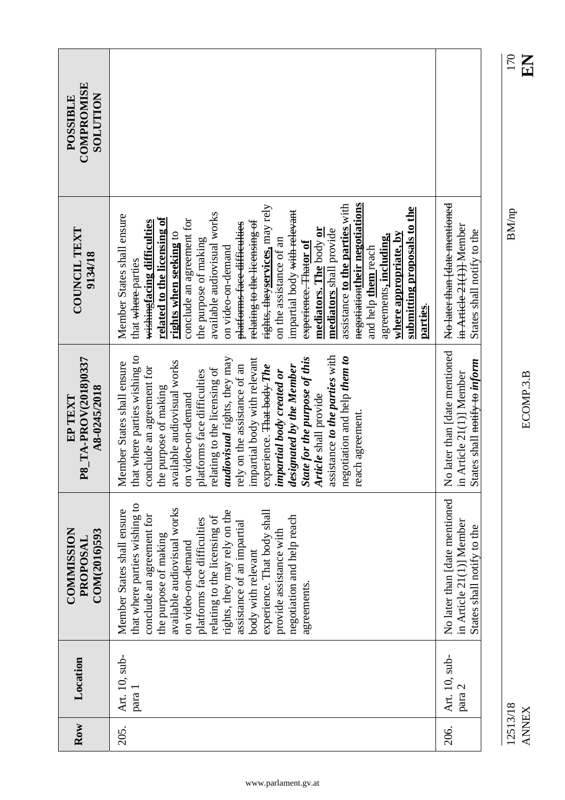| <b>COMPROMISE</b><br><b>NOLLUTION</b><br>POSSIBLE |                                                                                                                                                                                                                                                                                                                                                                                                                                                                                                                                                                                                                                                                                                                        |                                                                                            |
|---------------------------------------------------|------------------------------------------------------------------------------------------------------------------------------------------------------------------------------------------------------------------------------------------------------------------------------------------------------------------------------------------------------------------------------------------------------------------------------------------------------------------------------------------------------------------------------------------------------------------------------------------------------------------------------------------------------------------------------------------------------------------------|--------------------------------------------------------------------------------------------|
| <b>COUNCIL TEXT</b><br>9134/18                    | <del>negotiation</del> their negotiations<br>assistance to the parties with<br>rights, theyservices, may rely<br>submitting proposals to the<br>impartial body <del>with relevant</del><br>available audiovisual works<br>Member States shall ensure<br>related to the licensing of<br>conclude an agreement for<br>relating to the licensing of<br>wishingfacing difficulties<br>platforms face difficulties<br>mediators. The body or<br>mediators shall provide<br>where appropriate, by<br>rights when seeking to<br>agreements, including,<br>on the assistance of an<br>the purpose of making<br>experience. Thator of<br>on video-on-demand<br>and help them reach<br>that <del>where</del> parties<br>parties. | No-later than-date mentioned<br>in Article 21(1)] Member<br>States shall notify to the     |
| P8_TA-PROV(2018)0337<br>A8-0245/2018<br>EP TEXT   | assistance to the parties with<br>that where parties wishing to<br>audiovisual rights, they may<br>negotiation and help them to<br>State for the purpose of this<br>impartial body with relevant<br>available audiovisual works<br>Member States shall ensure<br>rely on the assistance of an<br>perience. That body The<br>designated by the Member<br>conclude an agreement for<br>relating to the licensing of<br>impartial body created or<br>platforms face difficulties<br>the purpose of making<br>Article shall provide<br>on video-on-demand<br>reach agreement.<br>ex <sub>i</sub>                                                                                                                           | No later than [date mentioned<br>States shall notify to inform<br>in Article 21(1)] Member |
| <b>COMMISSION</b><br>COM(2016)593<br>PROPOSAL     | that where parties wishing to<br>available audiovisual works<br>Member States shall ensure<br>rights, they may rely on the<br>experience. That body shall<br>conclude an agreement for<br>negotiation and help reach<br>relating to the licensing of<br>platforms face difficulties<br>assistance of an impartial<br>provide assistance with<br>the purpose of making<br>on video-on-demand<br>body with relevant<br>agreements.                                                                                                                                                                                                                                                                                       | No later than [date mentioned<br>in Article 21(1)] Member<br>States shall notify to the    |
| Location                                          | Art. 10, sub-<br>para 1                                                                                                                                                                                                                                                                                                                                                                                                                                                                                                                                                                                                                                                                                                | Art. 10, sub-<br>para 2                                                                    |
| Row                                               | 205.                                                                                                                                                                                                                                                                                                                                                                                                                                                                                                                                                                                                                                                                                                                   | 206.                                                                                       |

12513/18 BM/np 170

 $\rm BM/np$ 

12513/18<br>ANNEX

 $\sum_{0\leq 1}$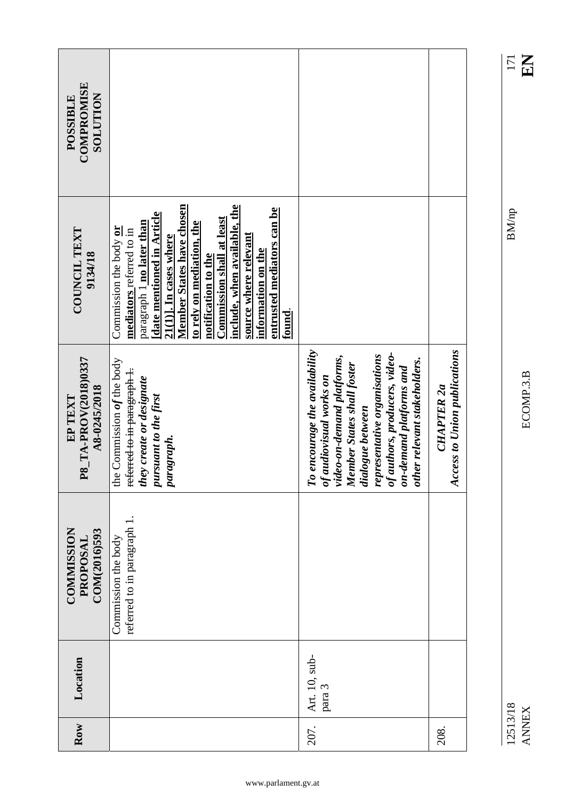| <b>COMPROMISE</b><br><b>NOLLUTION</b><br><b>POSSIBLE</b> |                                                                                                                                                                                                                                                                                                                                                                                              |                                                                                                                                                                                                                                                                      |                                                          |
|----------------------------------------------------------|----------------------------------------------------------------------------------------------------------------------------------------------------------------------------------------------------------------------------------------------------------------------------------------------------------------------------------------------------------------------------------------------|----------------------------------------------------------------------------------------------------------------------------------------------------------------------------------------------------------------------------------------------------------------------|----------------------------------------------------------|
| COUNCIL TEXT<br>9134/18                                  | Member States have chosen<br>include, when available, the<br>entrusted mediators can be<br>date mentioned in Article<br><b>Commission shall at least</b><br>to rely on mediation, the<br>paragraph 1 no later than<br>Commission the body or<br>mediators referred to in<br>source where relevant<br>$21(1)$ ]. In cases where<br>information on the<br>notification to the<br>${\bf found}$ |                                                                                                                                                                                                                                                                      |                                                          |
| P8_TA-PROV(2018)0337<br>A8-0245/2018<br>EP TEXT          | the Commission of the body<br>referred to in paragraph 1.<br>they create or designate<br>pursuant to the first<br>paragraph.                                                                                                                                                                                                                                                                 | To encourage the availability<br>of authors, producers, video-<br>representative organisations<br>of audiovisual works on<br>video-on-demand platforms,<br>other relevant stakeholders.<br>Member States shall foster<br>on-demand platforms and<br>dialogue between | <b>Access to Union publications</b><br><b>CHAPTER 2a</b> |
| <b>COMMISSION</b><br>COM(2016)593<br>PROPOSAL            | referred to in paragraph 1<br>Commission the body                                                                                                                                                                                                                                                                                                                                            |                                                                                                                                                                                                                                                                      |                                                          |
| Location                                                 |                                                                                                                                                                                                                                                                                                                                                                                              | Art. 10, sub-<br>para 3                                                                                                                                                                                                                                              |                                                          |
| Row                                                      |                                                                                                                                                                                                                                                                                                                                                                                              | 207.                                                                                                                                                                                                                                                                 | 208.                                                     |

ECOMP.3.B

ANNEX ECOMP.3.B **EN**

12513/18 BM/np 12513/18<br>ANNEX

www.parlament.gv.at

 $\frac{171}{E}$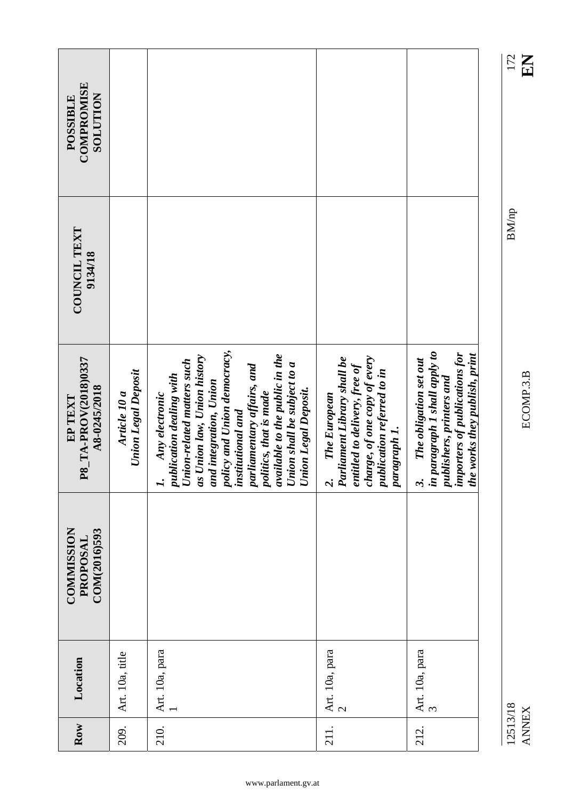| COMPROMISE<br><b>NOILLIDTIOS</b><br><b>POSSIBLE</b> |                                            |                                                                                                                                                                                                                                                                                                                                                               |                                                                                                                                                               |                                                                                                                                                          |
|-----------------------------------------------------|--------------------------------------------|---------------------------------------------------------------------------------------------------------------------------------------------------------------------------------------------------------------------------------------------------------------------------------------------------------------------------------------------------------------|---------------------------------------------------------------------------------------------------------------------------------------------------------------|----------------------------------------------------------------------------------------------------------------------------------------------------------|
| COUNCIL TEXT<br>9134/18                             |                                            |                                                                                                                                                                                                                                                                                                                                                               |                                                                                                                                                               |                                                                                                                                                          |
| P8_TA-PROV(2018)0337<br>A8-0245/2018<br>EP TEXT     | <b>Union Legal Deposit</b><br>Article 10 a | policy and Union democracy,<br>institutional and<br>available to the public in the<br>as Union law, Union history<br>Union-related matters such<br>Union shall be subject to a<br>parliamentary affairs, and<br>publication dealing with<br>and integration, Union<br><b>Union Legal Deposit.</b><br>Any electronic<br>politics, that is made<br>$\mathbf{I}$ | charge, of one copy of every<br>2. The European<br>Parliament Library shall be<br>entitled to delivery, free of<br>publication referred to in<br>paragraph 1. | 3. The obligation set out<br>in paragraph 1 shall apply to<br>publishers, printers and<br>importers of publications for<br>the works they publish, print |
| <b>COMMISSION</b><br>COM(2016)593<br>PROPOSAI       |                                            |                                                                                                                                                                                                                                                                                                                                                               |                                                                                                                                                               |                                                                                                                                                          |
| Location                                            | Art. 10a, title                            | Art. 10a, para                                                                                                                                                                                                                                                                                                                                                | Art. 10a, para<br>$\overline{\mathcal{C}}$                                                                                                                    | $\begin{tabular}{ c } \hline \text{Art. 10a, para} \\\hline \end{tabular}$                                                                               |
| Row                                                 | 209.                                       | 210.                                                                                                                                                                                                                                                                                                                                                          | 211.                                                                                                                                                          | 212.                                                                                                                                                     |

ANNEX ECOMP.3.B **EN** 12513/18<br>ANNEX

### $\frac{172}{L}$

12513/18 BM/np 172  $\rm BM/np$ 

ECOMP.3.B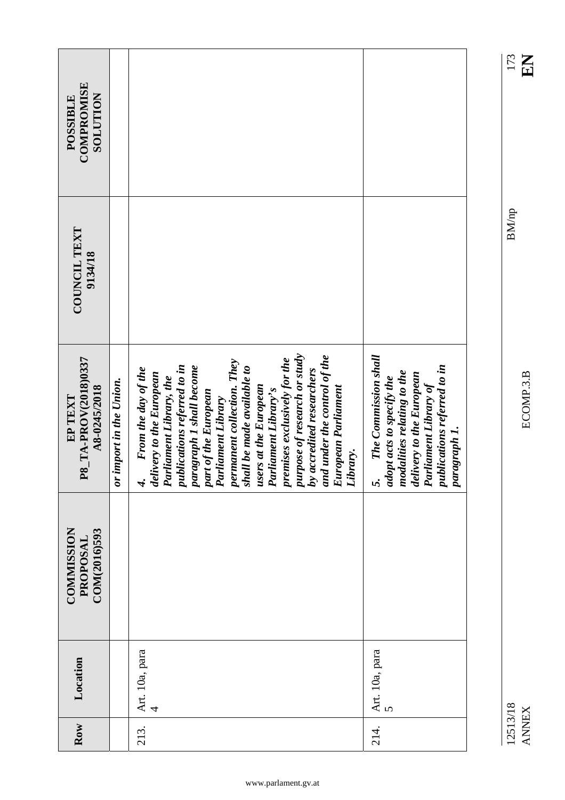| Row  | Location                         | <b>COMMISSION</b><br>COM(2016)593<br>PROPOSAL | P8_TA-PROV(2018)0337<br>A8-0245/2018<br>EP TEXT                                                                                                                                                                                                                                                                                                                                                                                                                               | COUNCIL TEXT<br>9134/18 | COMPROMISE<br><b>NOILLIDTIOS</b><br><b>POSSIBLE</b> |
|------|----------------------------------|-----------------------------------------------|-------------------------------------------------------------------------------------------------------------------------------------------------------------------------------------------------------------------------------------------------------------------------------------------------------------------------------------------------------------------------------------------------------------------------------------------------------------------------------|-------------------------|-----------------------------------------------------|
|      |                                  |                                               | import in the Union.<br>ör                                                                                                                                                                                                                                                                                                                                                                                                                                                    |                         |                                                     |
| 213. | Art. 10a, para<br>$\overline{a}$ |                                               | purpose of research or study<br>by accredited researchers<br>and under the control of the<br>premises exclusively for the<br>permanent collection. They<br>publications referred to in<br>paragraph 1 shall become<br>shall be made available to<br>From the day of the<br>delivery to the European<br>Parliament Library, the<br>users at the European<br>European Parliament<br>Library.<br><b>Parliament Library's</b><br>part of the European<br>Parliament Library<br>4. |                         |                                                     |
| 214. | Art. 10a, para<br>$\mathbf{v}$   |                                               | The Commission shall<br>publications referred to in<br>modalities relating to the<br>delivery to the European<br>adopt acts to specify the<br>Parliament Library of<br>paragraph 1.<br>s.                                                                                                                                                                                                                                                                                     |                         |                                                     |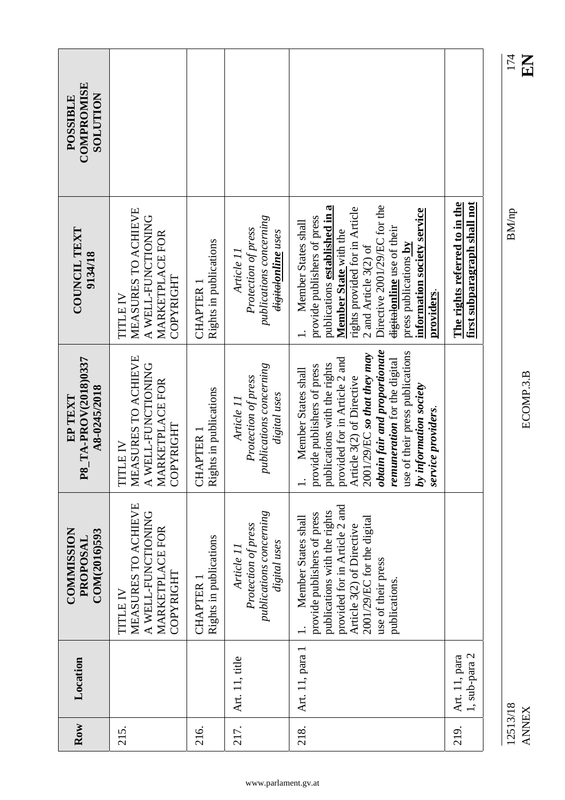|      |                                | COM(2016)593<br>PROPOSAL                                                                                                                                                                                              | P8_TA-PROV(2018)0337<br>A8-0245/2018                                                                                                                                                                                                                                                                                                                | 9134/18                                                                                                                                                                                                                                                                                                                 | COMPROMISE<br><b>NOLLUTION</b> |
|------|--------------------------------|-----------------------------------------------------------------------------------------------------------------------------------------------------------------------------------------------------------------------|-----------------------------------------------------------------------------------------------------------------------------------------------------------------------------------------------------------------------------------------------------------------------------------------------------------------------------------------------------|-------------------------------------------------------------------------------------------------------------------------------------------------------------------------------------------------------------------------------------------------------------------------------------------------------------------------|--------------------------------|
| 215. |                                | MEASURES TO ACHIEVE<br>A WELL-FUNCTIONING<br>MARKETPLACE FOR<br>COPYRIGHT<br>TITLE IV                                                                                                                                 | MEASURES TO ACHIEVE<br>A WELL-FUNCTIONING<br>MARKETPLACE FOR<br>COPYRIGHT<br>TITLE IV                                                                                                                                                                                                                                                               | MEASURES TO ACHIEVE<br>A WELL-FUNCTIONING<br>MARKETPLACE FOR<br>COPYRIGHT<br>TITLE IV                                                                                                                                                                                                                                   |                                |
| 216. |                                | Rights in publications<br>CHAPTER 1                                                                                                                                                                                   | Rights in publications<br><b>CHAPTER 1</b>                                                                                                                                                                                                                                                                                                          | Rights in publications<br>CHAPTER 1                                                                                                                                                                                                                                                                                     |                                |
| 217. | Art. 11, title                 | publications concerning<br>Protection of press<br>digital uses<br>Article II                                                                                                                                          | publications concerning<br>Protection of press<br>digital uses<br>Article <sub>11</sub>                                                                                                                                                                                                                                                             | publications concerning<br>Protection of press<br><del>digital</del> online uses<br>Article <sub>11</sub>                                                                                                                                                                                                               |                                |
| 218. | Art. 11, para 1                | provided for in Article 2 and<br>publications with the rights<br>provide publishers of press<br>Member States shall<br>2001/29/EC for the digital<br>Article 3(2) of Directive<br>use of their press<br>publications. | obtain fair and proportionate<br>use of their press publications<br>$2001/29$ /EC so that they may<br>provided for in Article 2 and<br>remuneration for the digital<br>publications with the rights<br>provide publishers of press<br>Member States shall<br>Article 3(2) of Directive<br>by information society<br>service providers.<br>$\dot{=}$ | Directive 2001/29/EC for the<br>publications established in a<br>rights provided for in Article<br>information society service<br>provide publishers of press<br>Member States shall<br><del>digital</del> online use of their<br>Member State with the<br>press publications by<br>2 and Article 3(2) of<br>providers. |                                |
| 219. | 1, sub-para 2<br>Art. 11, para |                                                                                                                                                                                                                       |                                                                                                                                                                                                                                                                                                                                                     | The rights referred to in the<br>first subparagraph shall not                                                                                                                                                                                                                                                           |                                |

 $\frac{174}{}$ 

 $\rm BM/np$ 

12513/18 BM/np 174 12513/18<br>ANNEX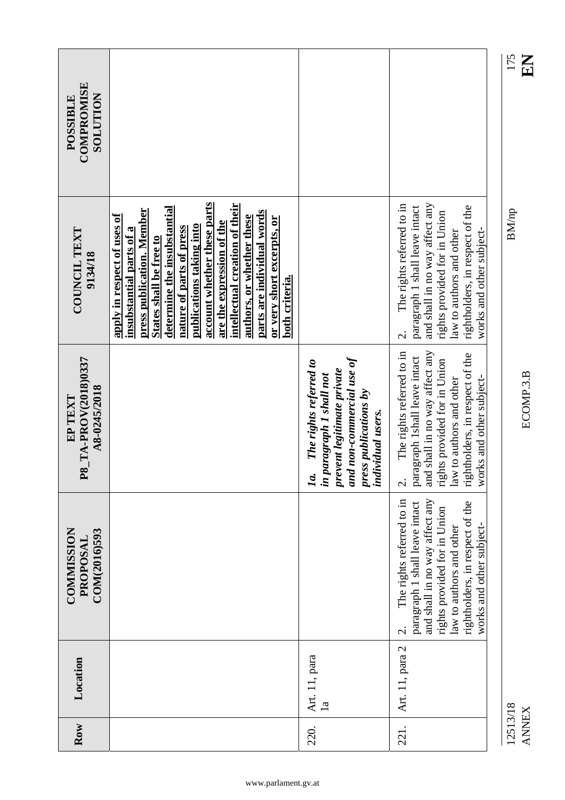| Row      | Location                        | <b>COMMISSION</b><br>COM(2016)593<br>PROPOSAI                                                                                                                                                                                                   | P8_TA-PROV(2018)0337<br>A8-0245/2018<br>EP TEXT                                                                                                                                                                                        | COUNCIL TEXT<br>9134/18                                                                                                                                                                                                                                                                                                                                                                                         | <b>COMPROMISE</b><br><b>NOILUIDOS</b><br>POSSIBLE |
|----------|---------------------------------|-------------------------------------------------------------------------------------------------------------------------------------------------------------------------------------------------------------------------------------------------|----------------------------------------------------------------------------------------------------------------------------------------------------------------------------------------------------------------------------------------|-----------------------------------------------------------------------------------------------------------------------------------------------------------------------------------------------------------------------------------------------------------------------------------------------------------------------------------------------------------------------------------------------------------------|---------------------------------------------------|
|          |                                 |                                                                                                                                                                                                                                                 |                                                                                                                                                                                                                                        | account whether these parts<br>intellectual creation of their<br>determine the insubstantial<br>press publication. Member<br>parts are individual words<br>apply in respect of uses of<br>authors, or whether these<br>or very short excerpts, or<br>are the expression of the<br>publications taking into<br>nature of parts of press<br>insubstantial parts of a<br>States shall be free to<br>both criteria. |                                                   |
| 220.     | Art. 11, para<br>$\overline{a}$ |                                                                                                                                                                                                                                                 | and non-commercial use of<br>The rights referred to<br>prevent legitimate private<br>in paragraph 1 shall not<br>press publications by<br>individual users.<br>Ia.                                                                     |                                                                                                                                                                                                                                                                                                                                                                                                                 |                                                   |
| 221.     | Art. 11, para 2                 | and shall in no way affect any<br>The rights referred to in<br>rightholders, in respect of the<br>paragraph 1 shall leave intact<br>rights provided for in Union<br>works and other subject-<br>law to authors and other<br>$\dot{\mathcal{C}}$ | The rights referred to in<br>and shall in no way affect any<br>rightholders, in respect of the<br>paragraph 1shall leave intact<br>rights provided for in Union<br>works and other subject-<br>law to authors and other<br>$\dot{\nu}$ | and shall in no way affect any<br>The rights referred to in<br>paragraph 1 shall leave intact<br>rightholders, in respect of the<br>rights provided for in Union<br>works and other subject-<br>law to authors and other<br>$\dot{\mathcal{C}}$                                                                                                                                                                 |                                                   |
| 12513/18 |                                 |                                                                                                                                                                                                                                                 |                                                                                                                                                                                                                                        | <b>BM/np</b>                                                                                                                                                                                                                                                                                                                                                                                                    | 175                                               |

BM/np

175<br>**EN** 

12513/18<br>ANNEX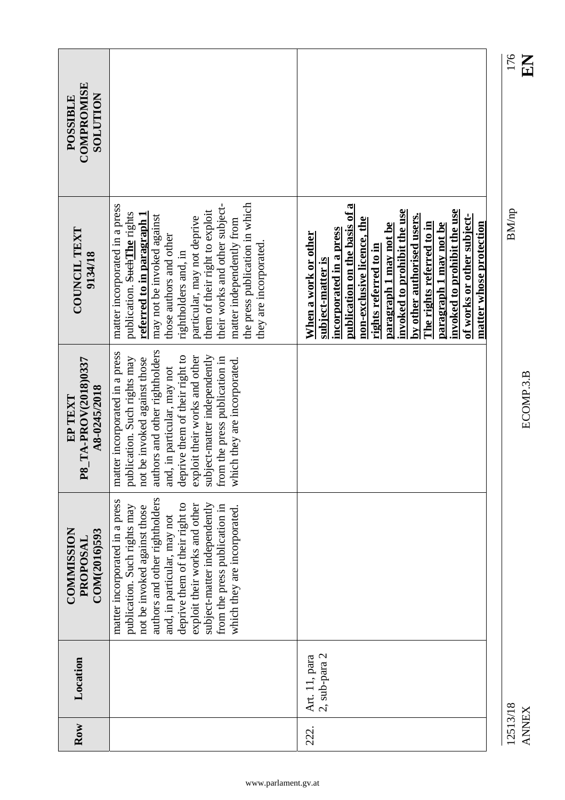|                                                   |                                                                                                                                                                                                                                                                                                                                                                         |                                                                                                                                                                                                                                                                                                                                                                                                           | 176<br>$\mathbf{K}$      |
|---------------------------------------------------|-------------------------------------------------------------------------------------------------------------------------------------------------------------------------------------------------------------------------------------------------------------------------------------------------------------------------------------------------------------------------|-----------------------------------------------------------------------------------------------------------------------------------------------------------------------------------------------------------------------------------------------------------------------------------------------------------------------------------------------------------------------------------------------------------|--------------------------|
| COMPROMISE<br><b>NOLLUTION</b><br><b>POSSIBLE</b> |                                                                                                                                                                                                                                                                                                                                                                         |                                                                                                                                                                                                                                                                                                                                                                                                           |                          |
| <b>COUNCIL TEXT</b><br>9134/18                    | the press publication in which<br>their works and other subject-<br>matter incorporated in a press<br>them of their right to exploit<br>publication. SuehThe rights<br>referred to in paragraph 1<br>may not be invoked against<br>particular, may not deprive<br>matter independently from<br>those authors and other<br>they are incorporated<br>rightholders and, in | publication on the basis of a<br>invoked to prohibit the use<br>invoked to prohibit the use<br>of works or other subject-<br>by other authorised users.<br>non-exclusive licence, the<br>matter whose protection<br>paragraph 1 may not be<br><u>The rights referred to in</u><br>paragraph 1 may not be<br>incorporated in a press<br>When a work or other<br>rights referred to in<br>subject-matter is | <b>BM/np</b>             |
| P8_TA-PROV(2018)0337<br>A8-0245/2018<br>EP TEXT   | authors and other rightholders<br>matter incorporated in a press<br>subject-matter independently<br>deprive them of their right to<br>exploit their works and other<br>publication. Such rights may<br>not be invoked against those<br>from the press publication in<br>which they are incorporated.<br>and, in particular, may not                                     |                                                                                                                                                                                                                                                                                                                                                                                                           | ECOMP.3.B                |
| <b>COMMISSION</b><br>COM(2016)593<br>PROPOSAL     | authors and other rightholders<br>matter incorporated in a press<br>deprive them of their right to<br>subject-matter independently<br>exploit their works and other<br>publication. Such rights may<br>from the press publication in<br>not be invoked against those<br>which they are incorporated.<br>and, in particular, may not                                     |                                                                                                                                                                                                                                                                                                                                                                                                           |                          |
| Location                                          |                                                                                                                                                                                                                                                                                                                                                                         | 2, sub-para 2<br>Art. 11, para                                                                                                                                                                                                                                                                                                                                                                            |                          |
| Row                                               |                                                                                                                                                                                                                                                                                                                                                                         | 222.                                                                                                                                                                                                                                                                                                                                                                                                      | 12513/18<br><b>ANNEX</b> |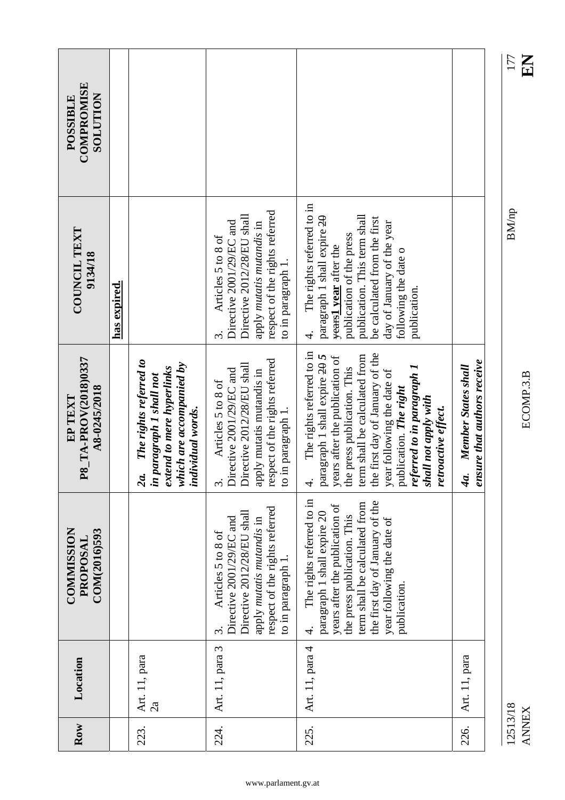|                                                  |              |                                                                                                                                         |                                                                                                                                                                                     |                                                                                                                                                                                                                                                                                                                                               |                                                           | KN<br>177                |
|--------------------------------------------------|--------------|-----------------------------------------------------------------------------------------------------------------------------------------|-------------------------------------------------------------------------------------------------------------------------------------------------------------------------------------|-----------------------------------------------------------------------------------------------------------------------------------------------------------------------------------------------------------------------------------------------------------------------------------------------------------------------------------------------|-----------------------------------------------------------|--------------------------|
| <b>COMPROMISE</b><br><b>NOLLLTON</b><br>POSSIBLE |              |                                                                                                                                         |                                                                                                                                                                                     |                                                                                                                                                                                                                                                                                                                                               |                                                           |                          |
| <b>COUNCIL TEXT</b><br>9134/18                   | has expired. |                                                                                                                                         | respect of the rights referred<br>Directive 2012/28/EU shall<br>Directive 2001/29/EC and<br>apply mutatis mutandis in<br>Articles 5 to 8 of<br>to in paragraph 1.<br>3.             | The rights referred to in<br>publication. This term shall<br>paragraph 1 shall expire 20<br>be calculated from the first<br>day of January of the year<br>publication of the press<br>years <sup>1</sup> year after the<br>following the date o<br>publication.<br>$\overline{4}$                                                             |                                                           | <b>BM/np</b>             |
| P8_TA-PROV(2018)0337<br>A8-0245/2018<br>EP TEXT  |              | The rights referred to<br>which are accompanied by<br>extend to mere hyperlinks<br>in paragraph 1 shall not<br>individual words.<br>2a. | respect of the rights referred<br>Directive 2012/28/EU shall<br>Directive 2001/29/EC and<br>apply mutatis mutandis in<br>Articles 5 to 8 of<br>to in paragraph 1.<br>$\ddot{\rm c}$ | The rights referred to in<br>the first day of January of the<br>term shall be calculated from<br>paragraph 1 shall expire 205<br>years after the publication of<br>the press publication. This<br>erred to in paragraph 1<br>year following the date of<br>publication. The right<br>shall not apply with<br>retroactive effect.<br>ref<br>4. | ensure that authors receive<br>Member States shall<br>4a. | ECOMP.3.B                |
| <b>COMMISSION</b><br>COM(2016)593<br>PROPOSAL    |              |                                                                                                                                         | respect of the rights referred<br>Directive 2012/28/EU shall<br>Directive 2001/29/EC and<br>apply mutatis mutandis in<br>Articles 5 to 8 of<br>to in paragraph 1<br>3.              | The rights referred to in<br>the first day of January of the<br>term shall be calculated from<br>years after the publication of<br>paragraph 1 shall expire 20<br>the press publication. This<br>year following the date of<br>publication.<br>$\overline{4}$                                                                                 |                                                           |                          |
| Location                                         |              | Art. 11, para<br>2a                                                                                                                     | Art. 11, para 3                                                                                                                                                                     | Art. 11, para 4                                                                                                                                                                                                                                                                                                                               | Art. 11, para                                             |                          |
| Row                                              |              | 223.                                                                                                                                    | 224.                                                                                                                                                                                | 225.                                                                                                                                                                                                                                                                                                                                          | 226.                                                      | 12513/18<br><b>ANNEX</b> |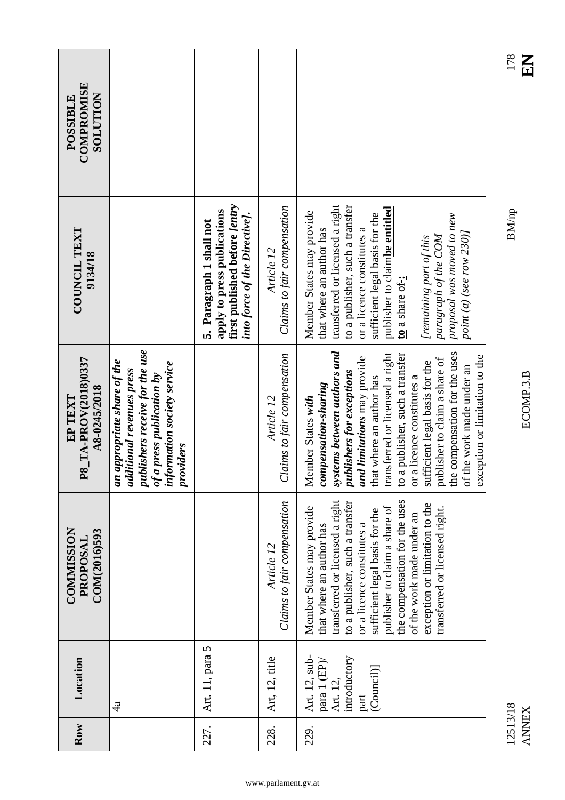|                                                  |                                                                                                                                                                       |                                                                                                                           |                                           |                                                                                                                                                                                                                                                                                                                                                                                                                                          | 178<br>KN                |
|--------------------------------------------------|-----------------------------------------------------------------------------------------------------------------------------------------------------------------------|---------------------------------------------------------------------------------------------------------------------------|-------------------------------------------|------------------------------------------------------------------------------------------------------------------------------------------------------------------------------------------------------------------------------------------------------------------------------------------------------------------------------------------------------------------------------------------------------------------------------------------|--------------------------|
| COMPROMISE<br><b>NOLLLTON</b><br><b>POSSIBLE</b> |                                                                                                                                                                       |                                                                                                                           |                                           |                                                                                                                                                                                                                                                                                                                                                                                                                                          |                          |
| COUNCIL TEXT<br>9134/18                          |                                                                                                                                                                       | first published before [entry<br>apply to press publications<br>into force of the Directive].<br>5. Paragraph 1 shall not | Claims to fair compensation<br>Article 12 | transferred or licensed a right<br>to a publisher, such a transfer<br>publisher to <del>claim</del> be entitled<br>Member States may provide<br>sufficient legal basis for the<br>proposal was moved to new<br>that where an author has<br>or a licence constitutes a<br>point $(a)$ (see row 230)]<br>paragraph of the COM<br>[remaining part of this<br>$\underline{\mathbf{to}}$ a share of :                                         | <b>BM/np</b>             |
| P8_TA-PROV(2018)0337<br>A8-0245/2018<br>EP TEXT  | publishers receive for the use<br>appropriate share of the<br>information society service<br>additional revenues press<br>of a press publication by<br>providers<br>a |                                                                                                                           | Claims to fair compensation<br>Article 12 | systems between authors and<br>the compensation for the uses<br>transferred or licensed a right<br>to a publisher, such a transfer<br>exception or limitation to the<br>and limitations may provide<br>publisher to claim a share of<br>sufficient legal basis for the<br>of the work made under an<br>publishers for exceptions<br>or a licence constitutes a<br>that where an author has<br>compensation-sharing<br>Member States with | ECOMP.3.B                |
| <b>COMMISSION</b><br>COM(2016)593<br>PROPOSAL    |                                                                                                                                                                       |                                                                                                                           | Claims to fair compensation<br>Article 12 | the compensation for the uses<br>transferred or licensed a right<br>to a publisher, such a transfer<br>exception or limitation to the<br>publisher to claim a share of<br>Member States may provide<br>transferred or licensed right.<br>sufficient legal basis for the<br>of the work made under an<br>or a licence constitutes a<br>that where an author has                                                                           |                          |
| Location                                         | $\frac{a}{4}$                                                                                                                                                         | Art. 11, para 5                                                                                                           | Art, 12, title                            | Art. 12, sub-<br>introductory<br>para 1 (EP)/<br>(Council)]<br>Art. 12,<br>part                                                                                                                                                                                                                                                                                                                                                          |                          |
| Row                                              |                                                                                                                                                                       | 227.                                                                                                                      | 228.                                      | 229.                                                                                                                                                                                                                                                                                                                                                                                                                                     | 12513/18<br><b>ANNEX</b> |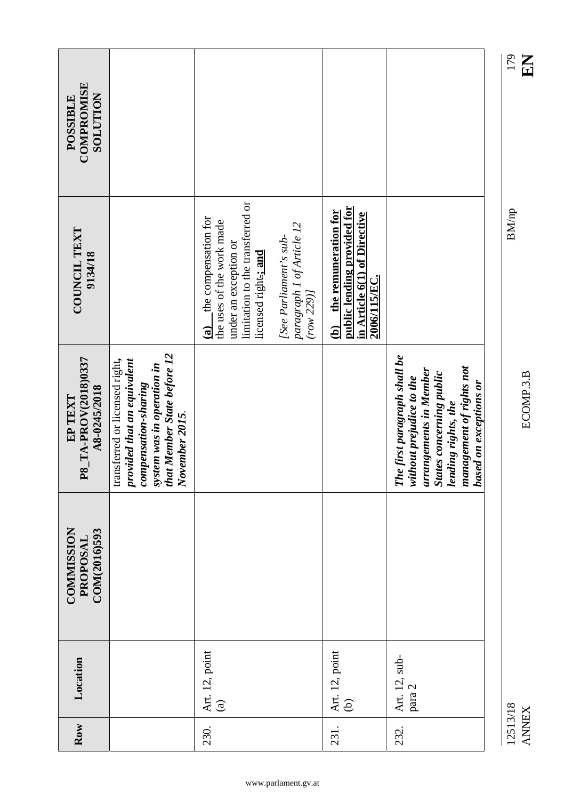| <b>COMPROMISE</b><br><b>NOILLIDTIOS</b><br>POSSIBLE |                                                                                                                                                                      |                                                                                                                                                                 |                                                                   |                                                                                                                               |                                                                                                                                                                                                    |
|-----------------------------------------------------|----------------------------------------------------------------------------------------------------------------------------------------------------------------------|-----------------------------------------------------------------------------------------------------------------------------------------------------------------|-------------------------------------------------------------------|-------------------------------------------------------------------------------------------------------------------------------|----------------------------------------------------------------------------------------------------------------------------------------------------------------------------------------------------|
| COUNCIL TEXT<br>9134/18                             |                                                                                                                                                                      | limitation to the transferred or<br>the compensation for<br>the uses of the work made<br>under an exception or<br>licensed right: and<br>$\widehat{\mathbf{a}}$ | paragraph 1 of Article 12<br>(row 229)]<br>[See Parliament's sub- | public lending provided for<br>the remuneration for<br>in Article 6(1) of Directive<br>2006/115/EC.<br>$\widehat{\mathbf{e}}$ |                                                                                                                                                                                                    |
| P8_TA-PROV(2018)0337<br>A8-0245/2018<br>EP TEXT     | system was in operation in<br>that Member State before 12<br>transferred or licensed right,<br>provided that an equivalent<br>compensation-sharing<br>November 2015. |                                                                                                                                                                 |                                                                   |                                                                                                                               | The first paragraph shall be<br>management of rights not<br>arrangements in Member<br><b>States concerning public</b><br>without prejudice to the<br>based on exceptions or<br>lending rights, the |
| <b>COMMISSION</b><br>COM(2016)593<br>PROPOSAI       |                                                                                                                                                                      |                                                                                                                                                                 |                                                                   |                                                                                                                               |                                                                                                                                                                                                    |
| Location                                            |                                                                                                                                                                      | $\begin{cases} \text{Art. 12, point} \\ \text{(a)} \end{cases}$                                                                                                 |                                                                   | Art. 12, point<br>$\widehat{\Theta}$                                                                                          | Art. 12, sub-<br>para 2                                                                                                                                                                            |
| Row                                                 |                                                                                                                                                                      | 230.                                                                                                                                                            |                                                                   | 231.                                                                                                                          | 232.                                                                                                                                                                                               |

12513/18 BM/np 179 12513/18<br>ANNEX

 $\sum_{6 \leq 1}$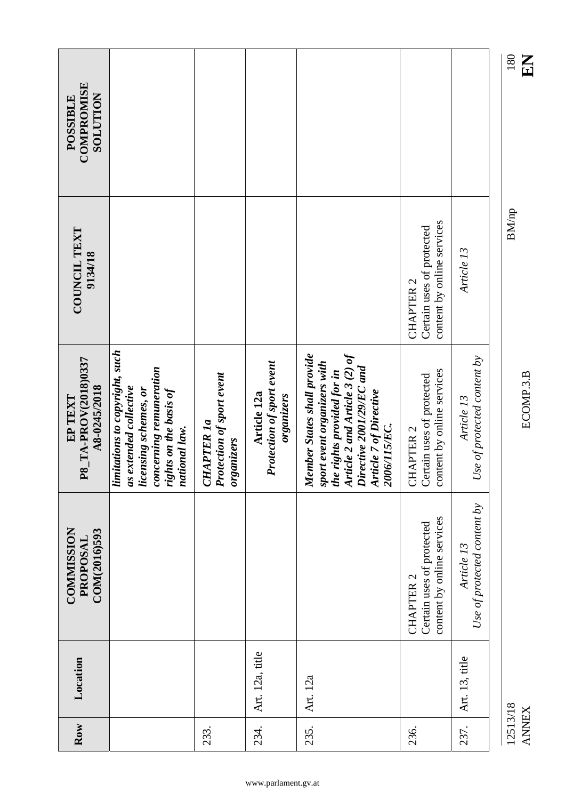| Row      | Location        | <b>COMMISSION</b><br>COM(2016)593<br>PROPOSAL                                   | P8_TA-PROV(2018)0337<br>A8-0245/2018<br>EP TEXT                                                                                                                                                  | COUNCIL TEXT<br>9134/18                                                     | <b>COMPROMISE</b><br><b>SOLUTION</b><br>POSSIBLE |
|----------|-----------------|---------------------------------------------------------------------------------|--------------------------------------------------------------------------------------------------------------------------------------------------------------------------------------------------|-----------------------------------------------------------------------------|--------------------------------------------------|
|          |                 |                                                                                 | limitations to copyright, such<br>concerning remuneration<br>as extended collective<br>licensing schemes, or<br>rights on the basis of<br>national law.                                          |                                                                             |                                                  |
| 233.     |                 |                                                                                 | Protection of sport event<br><b>CHAPTER 1a</b><br>organizers                                                                                                                                     |                                                                             |                                                  |
| 234.     | Art. 12a, title |                                                                                 | <b>Protection of sport event</b><br>Article 12a<br>organizers                                                                                                                                    |                                                                             |                                                  |
| 235.     | Art. 12a        |                                                                                 | Article 2 and Article 3 (2) of<br>Member States shall provide<br>sport event organizers with<br>Directive 2001/29/EC and<br>the rights provided for in<br>Article 7 of Directive<br>2006/115/EC. |                                                                             |                                                  |
| 236.     |                 | content by online services<br>Certain uses of protected<br>CHAPTER <sub>2</sub> | content by online services<br>Certain uses of protected<br>CHAPTER <sub>2</sub>                                                                                                                  | content by online services<br>Certain uses of protected<br><b>CHAPTER 2</b> |                                                  |
| 237.     | Art. 13, title  | Use of protected content by<br>Article 13                                       | se of protected content by<br>Article 13<br>$\cup$                                                                                                                                               | Article 13                                                                  |                                                  |
| 12513/18 |                 |                                                                                 |                                                                                                                                                                                                  | <b>BM/np</b>                                                                | 180                                              |

 $\ddot{ }$ 

EN

**ANNEX**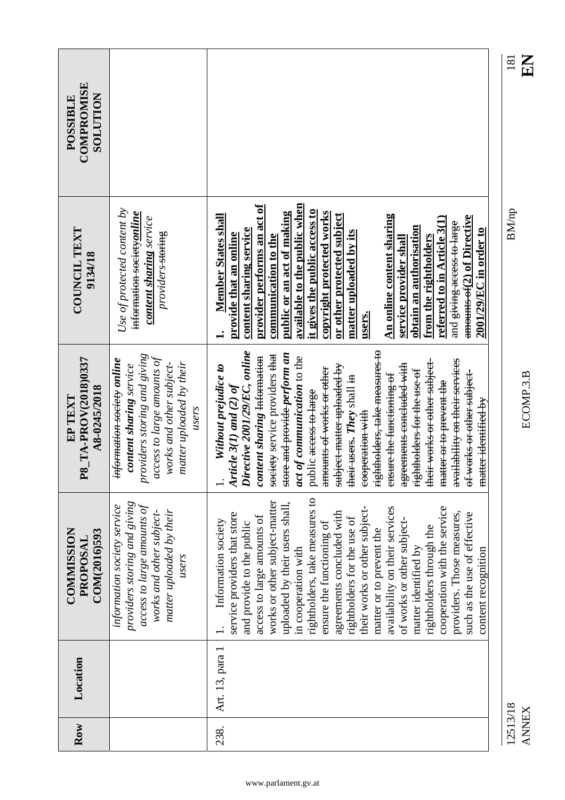| <b>COMPROMISE</b><br><b>NOILUION</b><br><b>POSSIBLE</b> |                                                                                                                                                                                                 |                                                                                                                                                                                                                                                                                                                                                                                                                                                                                                                                                                                                                                                                         | $\mathbf{E}$<br>181      |
|---------------------------------------------------------|-------------------------------------------------------------------------------------------------------------------------------------------------------------------------------------------------|-------------------------------------------------------------------------------------------------------------------------------------------------------------------------------------------------------------------------------------------------------------------------------------------------------------------------------------------------------------------------------------------------------------------------------------------------------------------------------------------------------------------------------------------------------------------------------------------------------------------------------------------------------------------------|--------------------------|
| COUNCIL TEXT<br>9134/18                                 | Use of protected content by<br>information society <i>online</i><br><b>content sharing</b> service<br>providers-storing                                                                         | available to the public when<br>provider performs an act of<br>it gives the public access to<br>public or an act of making<br>copyright protected works<br>or other protected subject<br><b>An online content sharing</b><br><b>Member States shall</b><br>amounts-of(2) of Directive<br>referred to in Article 3(1)<br>and giving access to large<br>obtain an authorisation<br>2001/29/EC in order to<br>content sharing service<br>matter uploaded by its<br>provide that an online<br>from the rightholders<br>communication to the<br>service provider shall<br>users.<br>$\div$                                                                                   | BM/np                    |
| P8_TA-PROV(2018)0337<br>A8-0245/2018<br>EP TEXT         | providers storing and giving<br>access to large amounts of<br><del>information society</del> online<br>matter uploaded by their<br>works and other subject-<br>content sharing service<br>users | rightholders, take measures to<br>Directive 2001/29/EC, online<br>society service providers that<br>store and provide <i>perform an</i><br>content sharing Information<br>act of communication to the<br>their works or other subject-<br><del>availability on their services</del><br>agreements concluded with<br>subject matter uploaded by<br>Without prejudice to<br>amounts of works or other<br>rightholders for the use of<br>of works or other subject-<br>ensure the functioning of<br>their users. They shall in<br>matter or to prevent the<br>Article $3(1)$ and $(2)$ of<br>public <del>access to large</del><br>matter-identified by<br>cooperation with | ECOMP.3.B                |
| <b>COMMISSION</b><br>COM(2016)593<br>PROPOSAL           | providers storing and giving<br>access to large amounts of<br>information society service<br>matter uploaded by their<br>works and other subject-<br>users                                      | rightholders, take measures to<br>works or other subject-matter<br>uploaded by their users shall,<br>their works or other subject-<br>availability on their services<br>cooperation with the service<br>agreements concluded with<br>providers. Those measures,<br>service providers that store<br>such as the use of effective<br>access to large amounts of<br>rightholders for the use of<br>of works or other subject-<br>Information society<br>and provide to the public<br>ensure the functioning of<br>rightholders through the<br>matter or to prevent the<br>in cooperation with<br>matter identified by<br>content recognition                               |                          |
| Location<br>Row                                         |                                                                                                                                                                                                 | Art. 13, para 1<br>238.                                                                                                                                                                                                                                                                                                                                                                                                                                                                                                                                                                                                                                                 | 12513/18<br><b>ANNEX</b> |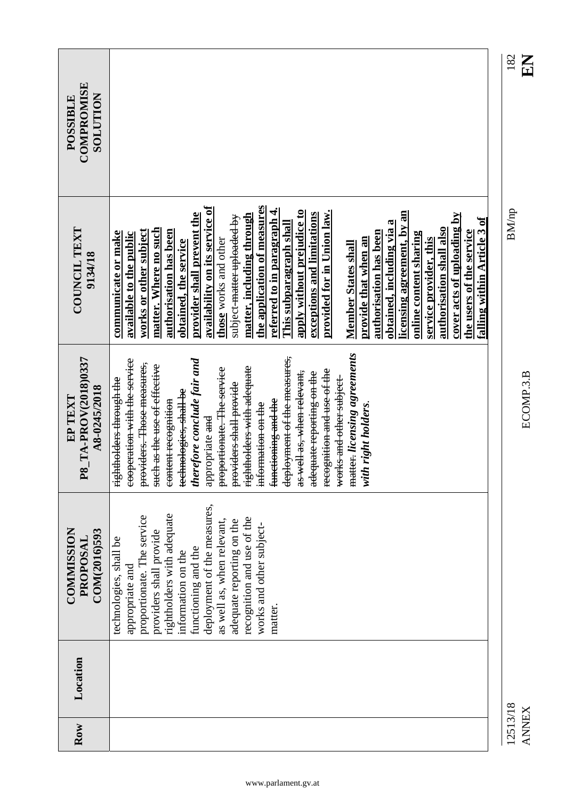| COMPROMISE<br><b>NOILUTION</b><br>POSSIBLE      |                                                                                                                                                                                                                                                                                                                                                                                                                                                                                                                                                                                                                                                                                                                                                                                                                             | 182<br>$\mathbf{K}$      |
|-------------------------------------------------|-----------------------------------------------------------------------------------------------------------------------------------------------------------------------------------------------------------------------------------------------------------------------------------------------------------------------------------------------------------------------------------------------------------------------------------------------------------------------------------------------------------------------------------------------------------------------------------------------------------------------------------------------------------------------------------------------------------------------------------------------------------------------------------------------------------------------------|--------------------------|
| COUNCIL TEXT<br>9134/18                         | the application of measures<br>ava <u>ilability on its service of</u><br>referred to in paragraph 4.<br>apply without prejudice to<br>provided for in Union law.<br>licensing agreement, by an<br>exceptions and limitations<br>provider shall prevent the<br>cover acts of uploading by<br>matter, including through<br>subject <del>matter uploaded by</del><br>falling within Article 3 of<br>This subparagraph shall<br>obtained, including via a<br>authorisation shall also<br>matter. Where no such<br>the users of the service<br>works or other subject<br>authorisation has been<br>authorisation has been<br>communicate or make<br>available to the public<br>online content sharing<br>provide that when an<br>those works and other<br>service provider, this<br>obtained, the service<br>Member States shall | <b>BM/np</b>             |
| P8_TA-PROV(2018)0337<br>A8-0245/2018<br>EP TEXT | matter. licensing agreements<br>deployment of the measures,<br>cooperation with the service<br>therefore conclude fair and<br>providers. Those measures,<br>such as the use of effective<br>rightholders with adequate<br>proportionate. The service<br>recognition and use of the<br>as well as, when relevant,<br>adequate reporting on the<br>works and other subject<br>eightholders through the<br>providers shall provide<br>technologies, shall be<br>functioning and the<br>content recognition<br>information on the<br>with right holders.<br>appropriate and                                                                                                                                                                                                                                                     | ECOMP.3.B                |
| <b>COMMISSION</b><br>COM(2016)593<br>PROPOSAL   | deployment of the measures,<br>rightholders with adequate<br>proportionate. The service<br>recognition and use of the<br>as well as, when relevant,<br>adequate reporting on the<br>works and other subject-<br>providers shall provide<br>technologies, shall be<br>functioning and the<br>information on the<br>appropriate and<br>matter.                                                                                                                                                                                                                                                                                                                                                                                                                                                                                |                          |
| Location<br>Row                                 |                                                                                                                                                                                                                                                                                                                                                                                                                                                                                                                                                                                                                                                                                                                                                                                                                             | 12513/18<br><b>ANNEX</b> |

www.parlament.gv.at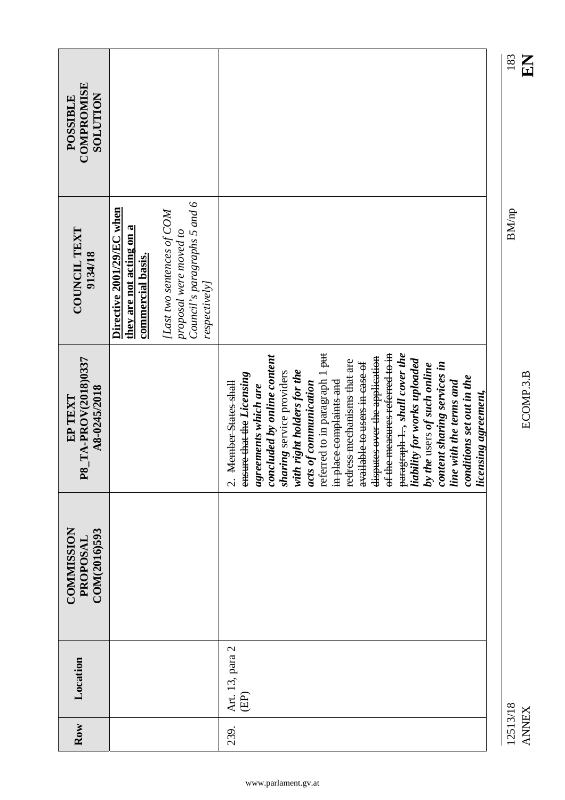| COMPROMISE<br><b>NOILUIDIOS</b><br>POSSIBLE |
|---------------------------------------------|
| 183<br>$\mathbf{E}$                         |
|                                             |
|                                             |
|                                             |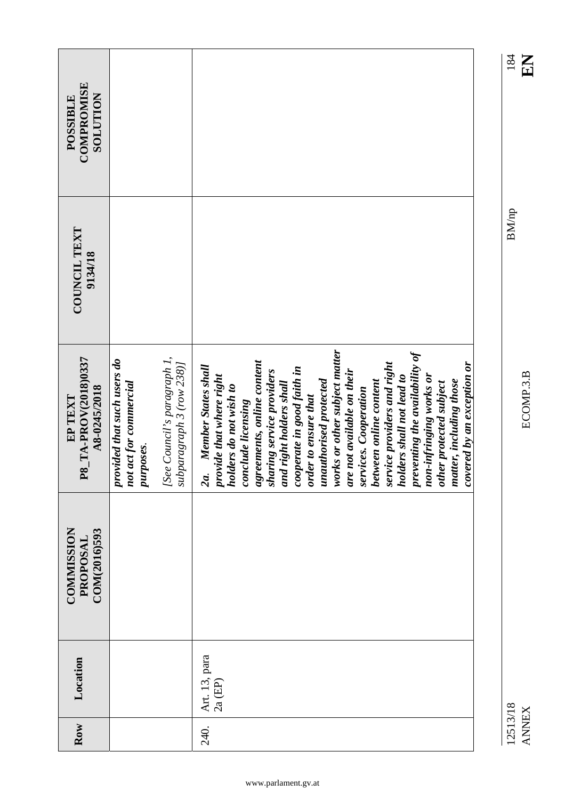| COMPROMISE<br><b>SOLUTION</b><br>POSSIBLE       |                                                                                                                                |                                                                                                                                                                                                                                                                                                                                                                                                                                                                                                                                                                                                             |
|-------------------------------------------------|--------------------------------------------------------------------------------------------------------------------------------|-------------------------------------------------------------------------------------------------------------------------------------------------------------------------------------------------------------------------------------------------------------------------------------------------------------------------------------------------------------------------------------------------------------------------------------------------------------------------------------------------------------------------------------------------------------------------------------------------------------|
| COUNCIL TEXT<br>9134/18                         |                                                                                                                                |                                                                                                                                                                                                                                                                                                                                                                                                                                                                                                                                                                                                             |
| P8_TA-PROV(2018)0337<br>A8-0245/2018<br>EP TEXT | [See Council's paragraph 1,<br>provided that such users do<br>subparagraph 3 (row 238)]<br>not act for commercial<br>purposes. | works or other subject matter<br>preventing the availability of<br>agreements, online content<br>covered by an exception or<br>service providers and right<br>Member States shall<br>cooperate in good faith in<br>sharing service providers<br>are not available on their<br>provide that where right<br>non-infringing works or<br>holders shall not lead to<br>unauthorised protected<br>between online content<br>matter, including those<br>and right holders shall<br>other protected subject<br>holders do not wish to<br>services. Cooperation<br>order to ensure that<br>conclude licensing<br>2a. |
| <b>COMMISSION</b><br>COM(2016)593<br>PROPOSAL   |                                                                                                                                |                                                                                                                                                                                                                                                                                                                                                                                                                                                                                                                                                                                                             |
| Location                                        |                                                                                                                                | Art. 13, para<br>$2a$ (EP)                                                                                                                                                                                                                                                                                                                                                                                                                                                                                                                                                                                  |
| Row                                             |                                                                                                                                | 240.                                                                                                                                                                                                                                                                                                                                                                                                                                                                                                                                                                                                        |

www.parlament.gv.at

ANNEX ECOMP.3.B **EN** ECOMP.3.B

## $\frac{184}{184}$

 $\rm BM/np$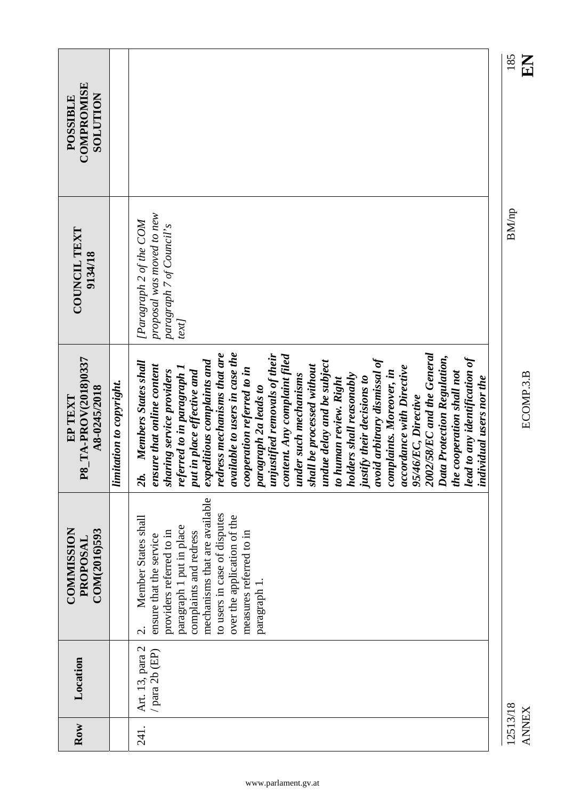| COMPROMISE<br><b>NOILUIDIOS</b><br>POSSIBLE     |                          |                                                                                                                                                                                                                                                                                                                                                                                                                                                                                                                                                                                                                                                                                                                                                                                                                               | 185          |
|-------------------------------------------------|--------------------------|-------------------------------------------------------------------------------------------------------------------------------------------------------------------------------------------------------------------------------------------------------------------------------------------------------------------------------------------------------------------------------------------------------------------------------------------------------------------------------------------------------------------------------------------------------------------------------------------------------------------------------------------------------------------------------------------------------------------------------------------------------------------------------------------------------------------------------|--------------|
| <b>COUNCIL TEXT</b><br>9134/18                  |                          | proposal was moved to new<br>[Paragraph 2 of the COM<br>paragraph 7 of Council's<br>text]                                                                                                                                                                                                                                                                                                                                                                                                                                                                                                                                                                                                                                                                                                                                     | <b>BM/np</b> |
| P8_TA-PROV(2018)0337<br>A8-0245/2018<br>EP TEXT | limitation to copyright. | 2002/58/EC and the General<br>available to users in case the<br>redress mechanisms that are<br>unjustified removals of their<br>content. Any complaint filed<br>Data Protection Regulation,<br>lead to any identification of<br>avoid arbitrary dismissal of<br>expeditious complaints and<br>undue delay and be subject<br>Members States shall<br>ensure that online content<br>shall be processed without<br>accordance with Directive<br>erred to in paragraph 1<br>cooperation referred to in<br>sharing service providers<br>put in place effective and<br>complaints. Moreover, in<br>the cooperation shall not<br>holders shall reasonably<br>under such mechanisms<br>individual users nor the<br>justify their decisions to<br>to human review. Right<br>paragraph 2a leads to<br>95/46/EC, Directive<br>2b.<br>ref |              |
| <b>COMMISSION</b><br>COM(2016)593<br>PROPOSAL   |                          | mechanisms that are available<br>to users in case of disputes<br>over the application of the<br>Member States shall<br>paragraph 1 put in place<br>providers referred to in<br>complaints and redress<br>measures referred to in<br>ensure that the service<br>paragraph 1.<br>$\dot{\mathcal{C}}$                                                                                                                                                                                                                                                                                                                                                                                                                                                                                                                            |              |
| Location                                        |                          | Art. 13, para 2<br>para 2b (EP)                                                                                                                                                                                                                                                                                                                                                                                                                                                                                                                                                                                                                                                                                                                                                                                               |              |
| Row                                             |                          | 241.                                                                                                                                                                                                                                                                                                                                                                                                                                                                                                                                                                                                                                                                                                                                                                                                                          | 12513/18     |

ANNEX ECOMP.3.B **EN** 12513/18<br>ANNEX

 $\frac{185}{12}$ 

ECOMP.3.B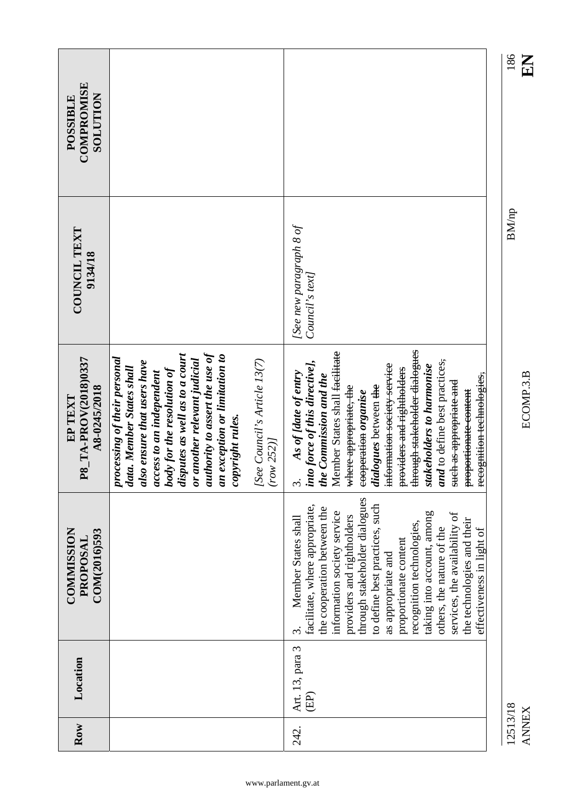| <b>COMPROMISE</b><br><b>NOILUIOS</b><br>POSSIBLE |                                                                                                                                                                                                                                                                                                             |                                           |                                                                                                                                                                                                                                                                                                                                                                                                                                                                                     | 186      |
|--------------------------------------------------|-------------------------------------------------------------------------------------------------------------------------------------------------------------------------------------------------------------------------------------------------------------------------------------------------------------|-------------------------------------------|-------------------------------------------------------------------------------------------------------------------------------------------------------------------------------------------------------------------------------------------------------------------------------------------------------------------------------------------------------------------------------------------------------------------------------------------------------------------------------------|----------|
| <b>COUNCIL TEXT</b><br>9134/18                   |                                                                                                                                                                                                                                                                                                             |                                           | [See new paragraph 8 of<br>Council's text]                                                                                                                                                                                                                                                                                                                                                                                                                                          | BM/np    |
| P8_TA-PROV(2018)0337<br>A8-0245/2018<br>EP TEXT  | authority to assert the use of<br>disputes as well as to a court<br>an exception or limitation to<br>processing of their personal<br>or another relevant judicial<br>also ensure that users have<br>data. Member States shall<br>body for the resolution of<br>access to an independent<br>copyright rules. | [See Council's Article 13(7)<br>(row 252) | through stakeholder dialogues<br>Member States shall <del>facilitate</del><br>and to define best practices,<br>into force of this directive],<br>information society service<br>stakeholders to harmonise<br>providers and rightholders<br>As of <i>[date of entry</i><br>recognition technologies,<br>the Commission and the<br>such as appropriate and<br>dialogues between the<br>where appropriate, the<br>proportionate-content<br>eooperation organise<br>$\ddot{\mathrm{c}}$ |          |
| <b>COMMISSION</b><br>COM(2016)593<br>PROPOSAI    |                                                                                                                                                                                                                                                                                                             |                                           | through stakeholder dialogues<br>to define best practices, such<br>facilitate, where appropriate,<br>the cooperation between the<br>information society service<br>taking into account, among<br>services, the availability of<br>providers and rightholders<br>Member States shall<br>the technologies and their<br>recognition technologies,<br>others, the nature of the<br>effectiveness in light of<br>proportionate content<br>as appropriate and<br>$\dot{\mathfrak{c}}$     |          |
| Location                                         |                                                                                                                                                                                                                                                                                                             |                                           | Art. 13, para 3<br>(EP)                                                                                                                                                                                                                                                                                                                                                                                                                                                             |          |
| Row                                              |                                                                                                                                                                                                                                                                                                             |                                           | 242.                                                                                                                                                                                                                                                                                                                                                                                                                                                                                | 12513/18 |

12513/18<br>ANNEX

 $\frac{186}{E}$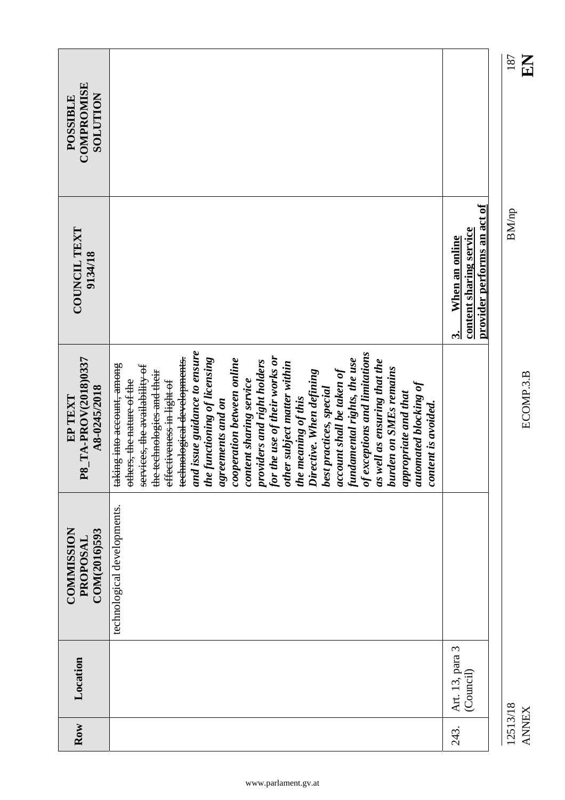| Row | Location                     | <b>COMMISSION</b><br>COM(2016)593<br>PROPOSAL | P8_TA-PROV(2018)0337<br>A8-0245/2018<br>EP TEXT                                                                                                                                                                                                                                                                                                                                                                                                                                                                                                                                                                                                                                                                                                     | COUNCIL TEXT<br>9134/18                                                                         | <b>COMPROMISE</b><br><b>NOILUIOS</b><br>POSSIBLE |
|-----|------------------------------|-----------------------------------------------|-----------------------------------------------------------------------------------------------------------------------------------------------------------------------------------------------------------------------------------------------------------------------------------------------------------------------------------------------------------------------------------------------------------------------------------------------------------------------------------------------------------------------------------------------------------------------------------------------------------------------------------------------------------------------------------------------------------------------------------------------------|-------------------------------------------------------------------------------------------------|--------------------------------------------------|
|     |                              | technological developments.                   | and issue guidance to ensure<br>of exceptions and limitations<br>technological developments.<br>the functioning of licensing<br>providers and right holders<br>for the use of their works or<br>cooperation between online<br>fundamental rights, the use<br>as well as ensuring that the<br>other subject matter within<br>taking into account, among<br>services, the availability of<br>account shall be taken of<br><b>burden on SMEs remains</b><br>Directive. When defining<br>the technologies and their<br>others, the nature of the<br>effectiveness in light of<br>content sharing service<br>automated blocking of<br>best practices, special<br>appropriate and that<br>the meaning of this<br>agreements and on<br>content is avoided. |                                                                                                 |                                                  |
|     | Art. 13, para 3<br>(Council) |                                               |                                                                                                                                                                                                                                                                                                                                                                                                                                                                                                                                                                                                                                                                                                                                                     | provider performs an act of<br>content sharing service<br>When an online<br>$\ddot{\mathbf{c}}$ |                                                  |
|     | 12513/18                     |                                               |                                                                                                                                                                                                                                                                                                                                                                                                                                                                                                                                                                                                                                                                                                                                                     | <b>BM/np</b>                                                                                    | 187                                              |

 $\frac{187}{E}$ 

BM/np

12513/18<br>ANNEX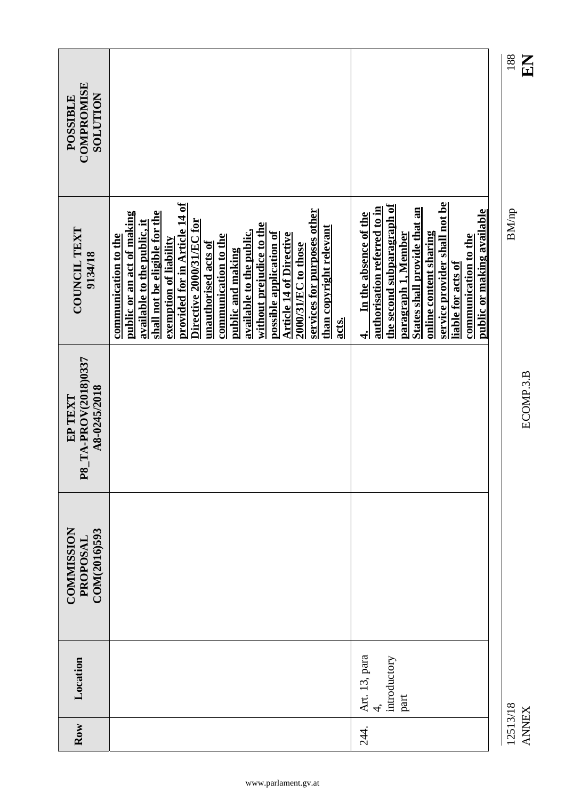| COMPROMISE<br><b>NOILLIDTIOS</b><br><b>POSSIBLE</b> |                                                                                                                                                                                                                                                                                                                                                                                                                                                                                                             |                                                                                                                                                                                                                                                                                                       |
|-----------------------------------------------------|-------------------------------------------------------------------------------------------------------------------------------------------------------------------------------------------------------------------------------------------------------------------------------------------------------------------------------------------------------------------------------------------------------------------------------------------------------------------------------------------------------------|-------------------------------------------------------------------------------------------------------------------------------------------------------------------------------------------------------------------------------------------------------------------------------------------------------|
| COUNCIL TEXT<br>9134/18                             | provided for in Article 14 of<br>services for purposes other<br>shall not be eligible for the<br>public or an act of making<br>Directive 2000/31/EC for<br>available to the public, it<br>without prejudice to the<br><u>than copyright relevant</u><br>possible application of<br>available to the public,<br><b>Article 14 of Directive</b><br>communication to the<br>communication to the<br>exemption of liability<br>unauthorised acts of<br>2000/31/EC to those<br><u>public and making</u><br>acts. | service provider shall not be<br>the second subparagraph of<br>authorisation referred to in<br><b>States shall provide that an</b><br>public or making available<br>In the absence of the<br>online content sharing<br>paragraph 1, Member<br>communication to the<br>liable for acts of<br>$\vec{r}$ |
| P8_TA-PROV(2018)0337<br>A8-0245/2018<br>EP TEXT     |                                                                                                                                                                                                                                                                                                                                                                                                                                                                                                             |                                                                                                                                                                                                                                                                                                       |
| <b>COMMISSION</b><br>COM(2016)593<br>PROPOSAL       |                                                                                                                                                                                                                                                                                                                                                                                                                                                                                                             |                                                                                                                                                                                                                                                                                                       |
| Location                                            |                                                                                                                                                                                                                                                                                                                                                                                                                                                                                                             | Art. 13, para<br>introductory<br>part                                                                                                                                                                                                                                                                 |
| Row                                                 |                                                                                                                                                                                                                                                                                                                                                                                                                                                                                                             | 244.                                                                                                                                                                                                                                                                                                  |

 $\frac{188}{L}$ 

 $\rm BM/np$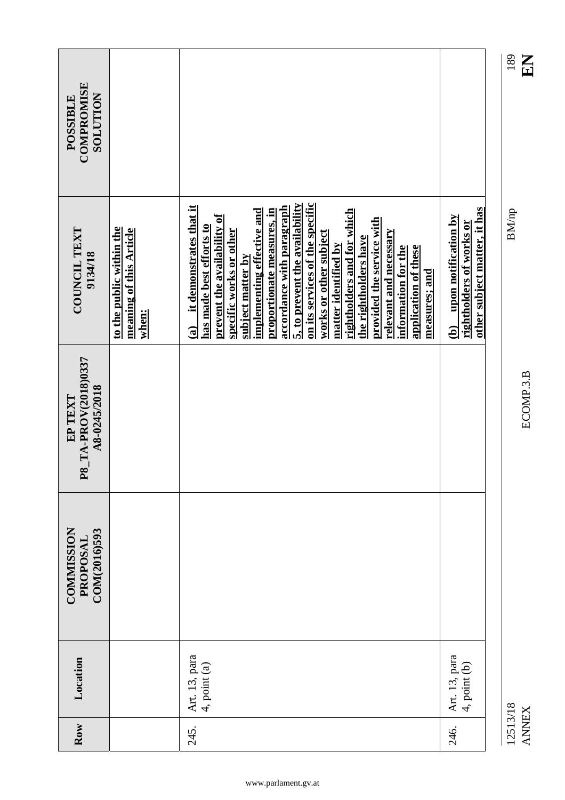| COMPROMISE<br><b>SOLUTION</b><br>POSSIBLE       |                                                              |                                                                                                                                                                                                                                                                                                                                                                                                                                                                                                                                                            |                                                                                       |
|-------------------------------------------------|--------------------------------------------------------------|------------------------------------------------------------------------------------------------------------------------------------------------------------------------------------------------------------------------------------------------------------------------------------------------------------------------------------------------------------------------------------------------------------------------------------------------------------------------------------------------------------------------------------------------------------|---------------------------------------------------------------------------------------|
| COUNCIL TEXT<br>9134/18                         | to the public within the<br>meaning of this Article<br>when: | on its services of the specific<br>5, to prevent the availability<br>it demonstrates that it<br>accordance with paragraph<br>proportionate measures, in<br>rightholders and for which<br>implementing effective and<br>prevent the availability of<br>provided the service with<br>has made best efforts to<br>specific works or other<br>works or other subject<br>relevant and necessary<br>the rightholders have<br>matter identified by<br>information for the<br>application of these<br>subject matter by<br>measures; and<br>$\mathbf{\widehat{a}}$ | other subject matter, it has<br>upon notification by<br>rightholders of works or<br>ම |
| P8_TA-PROV(2018)0337<br>A8-0245/2018<br>EP TEXT |                                                              |                                                                                                                                                                                                                                                                                                                                                                                                                                                                                                                                                            |                                                                                       |
| <b>COMMISSION</b><br>COM(2016)593<br>PROPOSAL   |                                                              |                                                                                                                                                                                                                                                                                                                                                                                                                                                                                                                                                            |                                                                                       |
| Location                                        |                                                              | Art. 13, para<br>4, point (a)                                                                                                                                                                                                                                                                                                                                                                                                                                                                                                                              | Art. 13, para<br>4, point (b)                                                         |
| Row                                             |                                                              | 245.                                                                                                                                                                                                                                                                                                                                                                                                                                                                                                                                                       | 246.                                                                                  |

 $\frac{189}{E}$ 

 $\rm BM/np$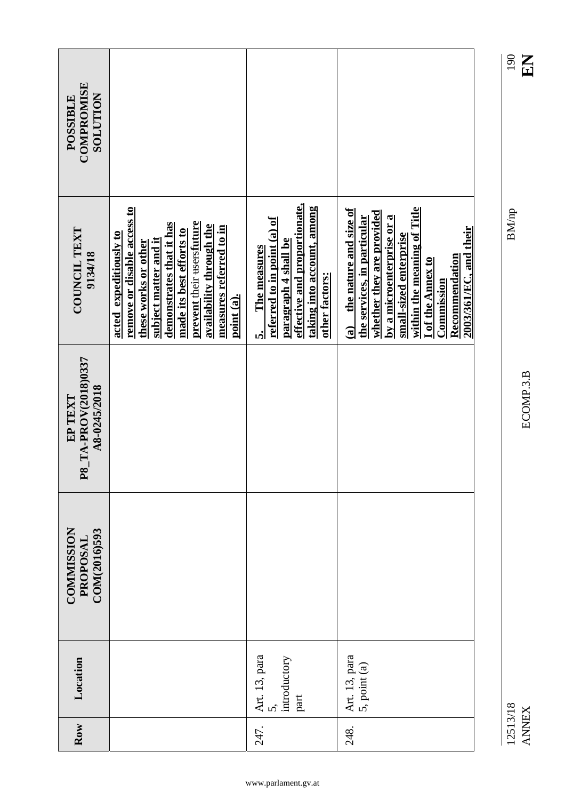| COMPROMISE<br><b>NOLLLIDTIOS</b><br>POSSIBLE    |                                                                                                                                                                                                                                                                  |                                                                                                                                                                         |                                                                                                                                                                                                                                                                                   |
|-------------------------------------------------|------------------------------------------------------------------------------------------------------------------------------------------------------------------------------------------------------------------------------------------------------------------|-------------------------------------------------------------------------------------------------------------------------------------------------------------------------|-----------------------------------------------------------------------------------------------------------------------------------------------------------------------------------------------------------------------------------------------------------------------------------|
| COUNCIL TEXT<br>9134/18                         | remove or disable access to<br>prevent their usersfuture<br>demonstrates that it has<br>availability through the<br>measures referred to in<br>made its best efforts to<br>acted expeditiously to<br>subject matter and it<br>these works or other<br>point (a). | effective and proportionate,<br>taking into account, among<br><u>referred to in point (a) of</u><br>paragraph 4 shall be<br>The measures<br>other factors:<br><u>ທ່</u> | within the meaning of Title<br>the nature and size of<br>whether they are provided<br>the services, in particular<br>by a microenterprise or a<br>2003/361/EC, and their<br>small-sized enterprise<br>Recommendation<br>I of the Annex to<br>Commission<br>$\widehat{\mathbf{a}}$ |
| P8_TA-PROV(2018)0337<br>A8-0245/2018<br>EP TEXT |                                                                                                                                                                                                                                                                  |                                                                                                                                                                         |                                                                                                                                                                                                                                                                                   |
| <b>COMMISSION</b><br>COM(2016)593<br>PROPOSAL   |                                                                                                                                                                                                                                                                  |                                                                                                                                                                         |                                                                                                                                                                                                                                                                                   |
| Location                                        |                                                                                                                                                                                                                                                                  | Art. 13, para<br>5,<br>introductory<br>part                                                                                                                             | Art. 13, para<br>5, point (a)                                                                                                                                                                                                                                                     |
| Row                                             |                                                                                                                                                                                                                                                                  | 247.                                                                                                                                                                    | 248.                                                                                                                                                                                                                                                                              |

12513/18<br>ANNEX

 $\rm BM/np$ 

 $\frac{190}{E}$ 

<sup>12513/18</sup> BM/np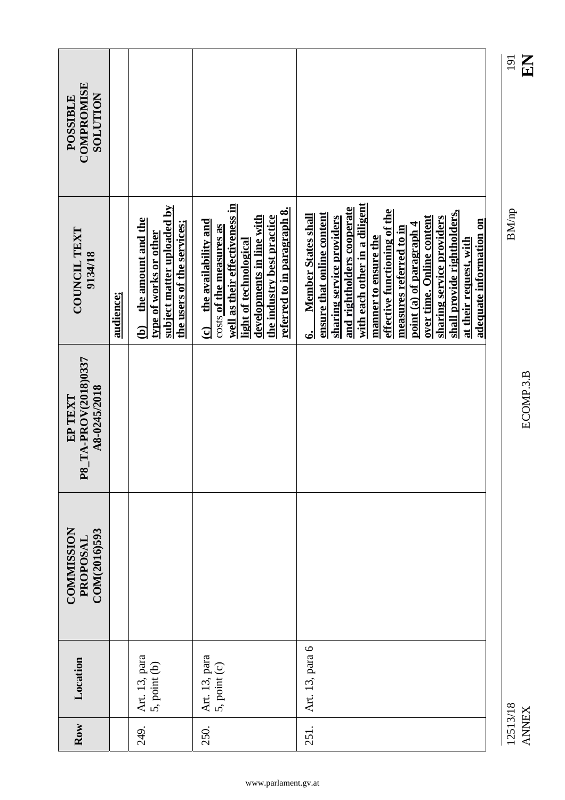| COMPROMISE<br><b>NOLLLIDTIOS</b><br>POSSIBLE    |           |                                                                                                                                    |                                                                                                                                                                                                                     |                                                                                                                                                                                                                                                                                                                                                                                                                     |
|-------------------------------------------------|-----------|------------------------------------------------------------------------------------------------------------------------------------|---------------------------------------------------------------------------------------------------------------------------------------------------------------------------------------------------------------------|---------------------------------------------------------------------------------------------------------------------------------------------------------------------------------------------------------------------------------------------------------------------------------------------------------------------------------------------------------------------------------------------------------------------|
| COUNCIL TEXT<br>9134/18                         | audience; | subject matter uploaded by<br>the amount and the<br>the users of the services;<br>type of works or other<br>$\widehat{\mathbf{e}}$ | well as their effectiveness in<br>referred to in paragraph 8.<br>the industry best practice<br>developments in line with<br>the availability and<br>costs of the measures as<br>light of technological<br>$\hat{c}$ | with each other in a diligent<br>and rightholders cooperate<br>effective functioning of the<br>shall provide rightholders,<br>ensure that online content<br>Member States shall<br>sharing service providers<br>over time. Online content<br>sharing service providers<br>adequate information on<br>$point$ (a) of paragraph $4$<br>measures referred to in<br>manner to ensure the<br>at their request, with<br>ق |
| P8_TA-PROV(2018)0337<br>A8-0245/2018<br>EP TEXT |           |                                                                                                                                    |                                                                                                                                                                                                                     |                                                                                                                                                                                                                                                                                                                                                                                                                     |
| <b>COMMISSION</b><br>COM(2016)593<br>PROPOSAI   |           |                                                                                                                                    |                                                                                                                                                                                                                     |                                                                                                                                                                                                                                                                                                                                                                                                                     |
| Location                                        |           | Art. 13, para<br>5, point (b)                                                                                                      | Art. 13, para<br>5, point (c)                                                                                                                                                                                       | Art. 13, para 6                                                                                                                                                                                                                                                                                                                                                                                                     |
| Row                                             |           | 249.                                                                                                                               | 250.                                                                                                                                                                                                                | 251.                                                                                                                                                                                                                                                                                                                                                                                                                |

 $\frac{191}{E}$ 

 $\rm BM/p$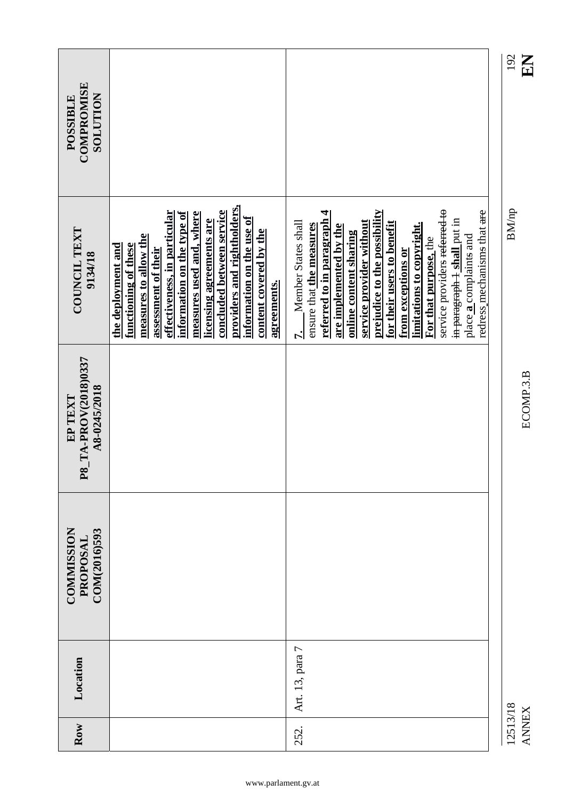|                   |                                      |                                                                                                                                                                                                                                                                                                                                                    |                                                                                                                                                                                                                                                                                                                                                                                                                                                                | 192          | $\mathbf{K}$ |
|-------------------|--------------------------------------|----------------------------------------------------------------------------------------------------------------------------------------------------------------------------------------------------------------------------------------------------------------------------------------------------------------------------------------------------|----------------------------------------------------------------------------------------------------------------------------------------------------------------------------------------------------------------------------------------------------------------------------------------------------------------------------------------------------------------------------------------------------------------------------------------------------------------|--------------|--------------|
| <b>POSSIBLE</b>   | <b>COMPROMISE</b><br><b>NOILUION</b> |                                                                                                                                                                                                                                                                                                                                                    |                                                                                                                                                                                                                                                                                                                                                                                                                                                                |              |              |
|                   |                                      |                                                                                                                                                                                                                                                                                                                                                    |                                                                                                                                                                                                                                                                                                                                                                                                                                                                |              |              |
|                   | <b>COUNCIL TEXT</b><br>9134/18       | providers and rightholders,<br>concluded between service<br>effectiveness, in particular<br>measures used and, where<br>information on the type of<br>information on the use of<br>licensing agreements are<br>content covered by the<br>measures to allow the<br>functioning of these<br>the deployment and<br>assessment of their<br>agreements. | service providers referred to<br>prejudice to the possibility<br>redress mechanisms that are<br><u>referred to in paragraph 4</u><br>in paragraph 1 shall put in<br>Member States shall<br>service provider without<br>for their users to benefit<br>limitations to copyright.<br>ensure that the measures<br>are implemented by the<br>online content sharing<br>place <b>a</b> complaints and<br>For that purpose, the<br>from exceptions or<br>$\mathbf{r}$ | <b>BM/np</b> |              |
| EP TEXT           | P8_TA-PROV(2018)0337<br>A8-0245/2018 |                                                                                                                                                                                                                                                                                                                                                    |                                                                                                                                                                                                                                                                                                                                                                                                                                                                |              | ECOMP.3.B    |
| <b>COMMISSION</b> | COM(2016)593<br>PROPOSAL             |                                                                                                                                                                                                                                                                                                                                                    |                                                                                                                                                                                                                                                                                                                                                                                                                                                                |              |              |
|                   | Location                             |                                                                                                                                                                                                                                                                                                                                                    | Art. 13, para 7                                                                                                                                                                                                                                                                                                                                                                                                                                                |              |              |
|                   | Row                                  |                                                                                                                                                                                                                                                                                                                                                    | 252.                                                                                                                                                                                                                                                                                                                                                                                                                                                           | 12513/18     | <b>ANNEX</b> |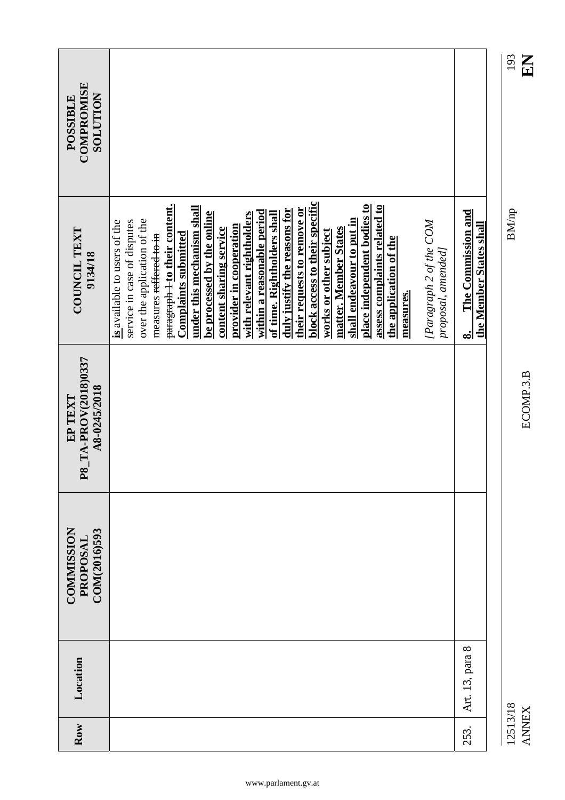|                                                  |                                                                                                                                                                                                                                                                                                                                                                                                                                                                                                                                                                                                                                                                                                                                                        |                                                           | 193<br>EN                |
|--------------------------------------------------|--------------------------------------------------------------------------------------------------------------------------------------------------------------------------------------------------------------------------------------------------------------------------------------------------------------------------------------------------------------------------------------------------------------------------------------------------------------------------------------------------------------------------------------------------------------------------------------------------------------------------------------------------------------------------------------------------------------------------------------------------------|-----------------------------------------------------------|--------------------------|
| COMPROMISE<br><b>NOILUION</b><br><b>POSSIBLE</b> |                                                                                                                                                                                                                                                                                                                                                                                                                                                                                                                                                                                                                                                                                                                                                        |                                                           |                          |
| <b>COUNCIL TEXT</b><br>9134/18                   | block access to their specific<br>place independent bodies to<br>assess complaints related to<br><del>paragraph 1 to their content</del> .<br>under this mechanism shall<br>their requests to remove or<br>duly justify the reasons for<br>within a reasonable period<br>be processed by the online<br>with relevant rightholders<br>of time. Rightholders shall<br>shall endeavour to put in<br>over the application of the<br>service in case of disputes<br>[Paragraph 2 of the COM<br>is available to users of the<br>provider in cooperation<br>content sharing service<br>matter. Member States<br>works or other subject<br><b>Complaints submitted</b><br>measures reffered to in<br>the application of the<br>proposal, amended]<br>measures. | The Commission and<br>the Member States shall<br>$\infty$ | <b>BM/np</b>             |
| P8_TA-PROV(2018)0337<br>A8-0245/2018<br>EP TEXT  |                                                                                                                                                                                                                                                                                                                                                                                                                                                                                                                                                                                                                                                                                                                                                        |                                                           | ECOMP.3.B                |
| <b>COMMISSION</b><br>COM(2016)593<br>PROPOSAL    |                                                                                                                                                                                                                                                                                                                                                                                                                                                                                                                                                                                                                                                                                                                                                        |                                                           |                          |
| Location                                         |                                                                                                                                                                                                                                                                                                                                                                                                                                                                                                                                                                                                                                                                                                                                                        | Art. 13, para 8                                           |                          |
| Row                                              |                                                                                                                                                                                                                                                                                                                                                                                                                                                                                                                                                                                                                                                                                                                                                        | 253.                                                      | 12513/18<br><b>ANNEX</b> |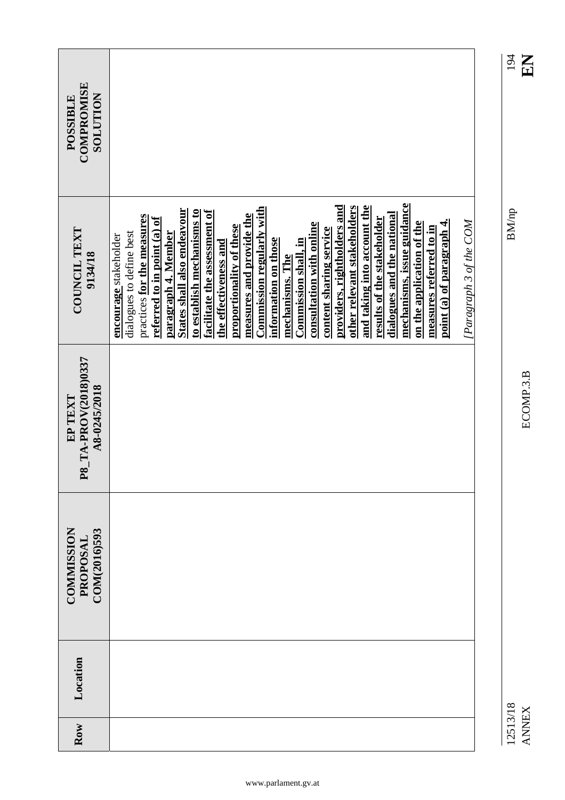| COMPROMISE<br><b>NOLLUTION</b><br>POSSIBLE             |                                                                                                                                                                                                                                                                                                                                                                                                                                                                                                                                                                                                                                                                                                                                                                                          |
|--------------------------------------------------------|------------------------------------------------------------------------------------------------------------------------------------------------------------------------------------------------------------------------------------------------------------------------------------------------------------------------------------------------------------------------------------------------------------------------------------------------------------------------------------------------------------------------------------------------------------------------------------------------------------------------------------------------------------------------------------------------------------------------------------------------------------------------------------------|
| <b>COUNCIL TEXT</b><br>9134/18                         | mechanisms, issue guidance<br>and taking into account the<br>providers, rightholders and<br>other relevant stakeholders<br>Commission regularly with<br><b>States shall also endeavour</b><br>to establish mechanisms to<br>facilitate the assessment of<br>dialogues and the national<br>measures and provide the<br>practices for the measures<br>results of the stakeholder<br>referred to in point (a) of<br>[Paragraph 3 of the COM<br>point (a) of paragraph 4.<br>on the application of the<br>consultation with online<br>proportionality of these<br>measures referred to in<br>content sharing service<br>dialogues to define best<br>paragraph 4. Member<br>encourage stakeholder<br>information on those<br>Commission shall, in<br>the effectiveness and<br>mechanisms. The |
| <b>P8_TA-PROV(2018)0337</b><br>A8-0245/2018<br>EP TEXT |                                                                                                                                                                                                                                                                                                                                                                                                                                                                                                                                                                                                                                                                                                                                                                                          |
| <b>COMMISSION</b><br>COM(2016)593<br>PROPOSAI          |                                                                                                                                                                                                                                                                                                                                                                                                                                                                                                                                                                                                                                                                                                                                                                                          |
| Location                                               |                                                                                                                                                                                                                                                                                                                                                                                                                                                                                                                                                                                                                                                                                                                                                                                          |
| Row                                                    |                                                                                                                                                                                                                                                                                                                                                                                                                                                                                                                                                                                                                                                                                                                                                                                          |

ANNEX ECOMP.3.B **EN**

12513/18 BM/np 194  $\rm BM/np$ 

12513/18<br>ANNEX

 $\sum_{\tau \in \Gamma}$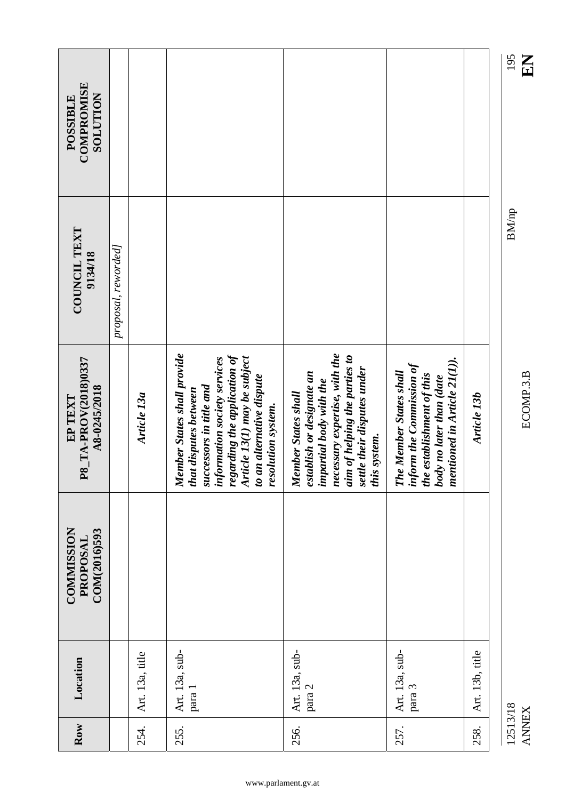|                                                         |                     |                 |                                                                                                                                                                                                                                    |                                                                                                                                             |                                                                                                                                              |                 | 195<br>KN                |
|---------------------------------------------------------|---------------------|-----------------|------------------------------------------------------------------------------------------------------------------------------------------------------------------------------------------------------------------------------------|---------------------------------------------------------------------------------------------------------------------------------------------|----------------------------------------------------------------------------------------------------------------------------------------------|-----------------|--------------------------|
| <b>COMPROMISE</b><br><b>NOILUION</b><br><b>POSSIBLE</b> |                     |                 |                                                                                                                                                                                                                                    |                                                                                                                                             |                                                                                                                                              |                 |                          |
|                                                         |                     |                 |                                                                                                                                                                                                                                    |                                                                                                                                             |                                                                                                                                              |                 |                          |
|                                                         |                     |                 |                                                                                                                                                                                                                                    |                                                                                                                                             |                                                                                                                                              |                 | <b>BM/np</b>             |
| COUNCIL TEXT<br>9134/18                                 | proposal, reworded] |                 |                                                                                                                                                                                                                                    |                                                                                                                                             |                                                                                                                                              |                 |                          |
|                                                         |                     |                 |                                                                                                                                                                                                                                    |                                                                                                                                             |                                                                                                                                              |                 |                          |
|                                                         |                     |                 |                                                                                                                                                                                                                                    | necessary expertise, with the                                                                                                               |                                                                                                                                              |                 | ECOMP.3.B                |
| P8_TA-PROV(2018)0337<br>A8-0245/2018<br>EP TEXT         |                     | Article 13a     | regarding the application of<br>Member States shall provide<br>information society services<br>Article 13(1) may be subject<br>to an alternative dispute<br>successors in title and<br>that disputes between<br>resolution system. | aim of helping the parties to<br>settle their disputes under<br>establish or designate an<br>impartial body with the<br>Member States shall | mentioned in Article 21(1)).<br>inform the Commission of<br>The Member States shall<br>the establishment of this<br>body no later than (date | Article 13b     |                          |
|                                                         |                     |                 |                                                                                                                                                                                                                                    | this system.                                                                                                                                |                                                                                                                                              |                 |                          |
|                                                         |                     |                 |                                                                                                                                                                                                                                    |                                                                                                                                             |                                                                                                                                              |                 |                          |
| <b>COMMISSION</b><br>COM(2016)593<br>PROPOSAL           |                     |                 |                                                                                                                                                                                                                                    |                                                                                                                                             |                                                                                                                                              |                 |                          |
|                                                         |                     |                 |                                                                                                                                                                                                                                    |                                                                                                                                             |                                                                                                                                              |                 |                          |
| Location                                                |                     | Art. 13a, title | Art. 13a, sub-                                                                                                                                                                                                                     | Art. 13a, sub-                                                                                                                              | Art. 13a, sub-                                                                                                                               | Art. 13b, title |                          |
|                                                         |                     |                 | $\rm para$ $1$                                                                                                                                                                                                                     | $\rm para~2$                                                                                                                                | para 3                                                                                                                                       |                 |                          |
| Row                                                     |                     | 254.            | 255.                                                                                                                                                                                                                               | 256.                                                                                                                                        | 257.                                                                                                                                         | 258.            | 12513/18<br><b>ANNEX</b> |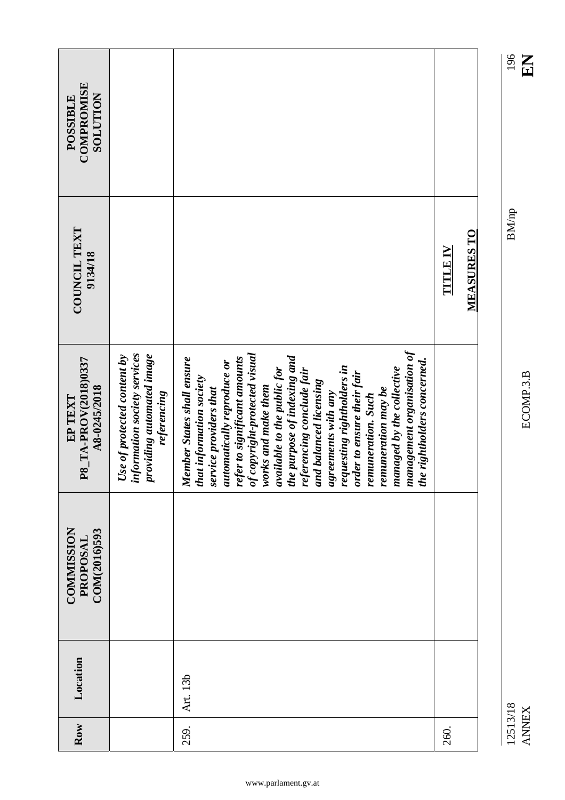| <b>COMPROMISE</b><br><b>NOILLIDTIOS</b><br><b>POSSIBLE</b> |                                                                                                         |                                                                                                                                                                                                                                                                                                                                                                                                                                                                                                                                                                                         |                                       |  |
|------------------------------------------------------------|---------------------------------------------------------------------------------------------------------|-----------------------------------------------------------------------------------------------------------------------------------------------------------------------------------------------------------------------------------------------------------------------------------------------------------------------------------------------------------------------------------------------------------------------------------------------------------------------------------------------------------------------------------------------------------------------------------------|---------------------------------------|--|
| COUNCIL TEXT<br>9134/18                                    |                                                                                                         |                                                                                                                                                                                                                                                                                                                                                                                                                                                                                                                                                                                         | <b>MEASURES TO</b><br><b>TITLE IV</b> |  |
| P8_TA-PROV(2018)0337<br>A8-0245/2018<br>EP TEXT            | Use of protected content by<br>information society services<br>providing automated image<br>referencing | management organisation of<br>refer to significant amounts<br>of copyright-protected visual<br>the purpose of indexing and<br>er to significant amounts<br>Member States shall ensure<br>the rightholders concerned.<br>automatically reproduce or<br>requesting rightholders in<br>available to the public for<br>managed by the collective<br>'erencing conclude fair<br>order to ensure their fair<br>that information society<br>and balanced licensing<br>works and make them<br>remuneration may be<br>service providers that<br>agreements with any<br>remuneration. Such<br>ref |                                       |  |
| <b>COMMISSION</b><br>COM(2016)593<br>PROPOSAI              |                                                                                                         |                                                                                                                                                                                                                                                                                                                                                                                                                                                                                                                                                                                         |                                       |  |
| Location                                                   |                                                                                                         | Art. 13b                                                                                                                                                                                                                                                                                                                                                                                                                                                                                                                                                                                |                                       |  |
| Row                                                        |                                                                                                         | 259.                                                                                                                                                                                                                                                                                                                                                                                                                                                                                                                                                                                    | 260.                                  |  |

12513/18 BM/np  $\rm BM/np$ 

12513/18<br>ANNEX

 $\frac{196}{E}$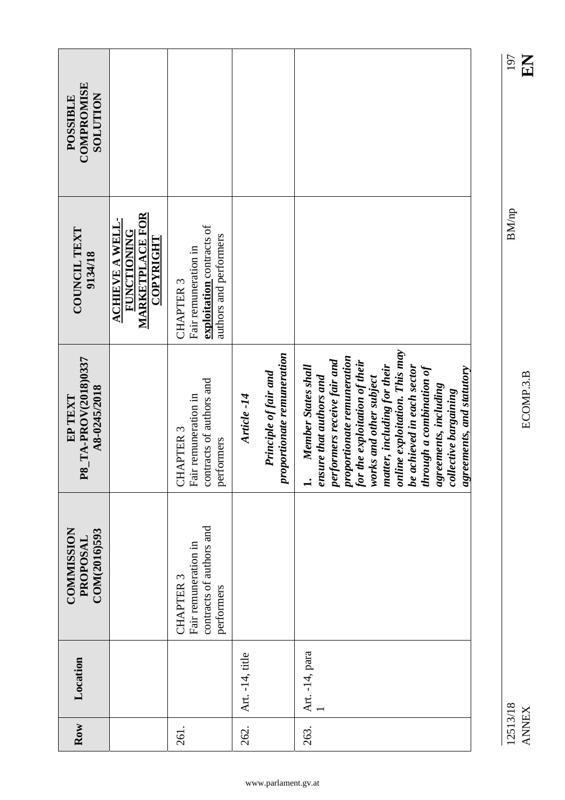| COMPROMISE<br><b>SOLUTION</b><br><b>POSSIBLE</b> |                                                                                     |                                                                                                 |                 |                                                     |                                                                                                                                                                                                                                                                                                                                                                                            |
|--------------------------------------------------|-------------------------------------------------------------------------------------|-------------------------------------------------------------------------------------------------|-----------------|-----------------------------------------------------|--------------------------------------------------------------------------------------------------------------------------------------------------------------------------------------------------------------------------------------------------------------------------------------------------------------------------------------------------------------------------------------------|
| COUNCIL TEXT<br>9134/18                          | <b>MARKETPLACE FOR</b><br><b>ACHIEVE A WELL-</b><br><b>FUNCTIONING</b><br>COPYRIGHT | exploitation contracts of<br>authors and performers<br>Fair remuneration in<br><b>CHAPTER 3</b> |                 |                                                     |                                                                                                                                                                                                                                                                                                                                                                                            |
| P8_TA-PROV(2018)0337<br>A8-0245/2018<br>EP TEXT  |                                                                                     | contracts of authors and<br>Fair remuneration in<br><b>CHAPTER 3</b><br>performers              | Article -14     | proportionate remuneration<br>Principle of fair and | online exploitation. This may<br>proportionate remuneration<br>for the exploitation of their<br>performers receive fair and<br>matter, including for their<br>Member States shall<br>be achieved in each sector<br>through a combination of<br>agreements, and statutory<br>ensure that authors and<br>works and other subject<br>agreements, including<br>collective bargaining<br>$\div$ |
| <b>COMMISSION</b><br>COM(2016)593<br>PROPOSAI    |                                                                                     | contracts of authors and<br>Fair remuneration in<br><b>CHAPTER 3</b><br>performers              |                 |                                                     |                                                                                                                                                                                                                                                                                                                                                                                            |
| Location                                         |                                                                                     |                                                                                                 | Art. -14, title |                                                     | Art. -14, para                                                                                                                                                                                                                                                                                                                                                                             |
| Row                                              |                                                                                     | 261.                                                                                            | 262.            |                                                     | 263.                                                                                                                                                                                                                                                                                                                                                                                       |

12513/18 BM/np 12513/18<br>ANNEX

ANNEX ECOMP.3.B **EN** ECOMP.3.B

 $\frac{197}{\text{K}}$ 

 $\rm BM/p$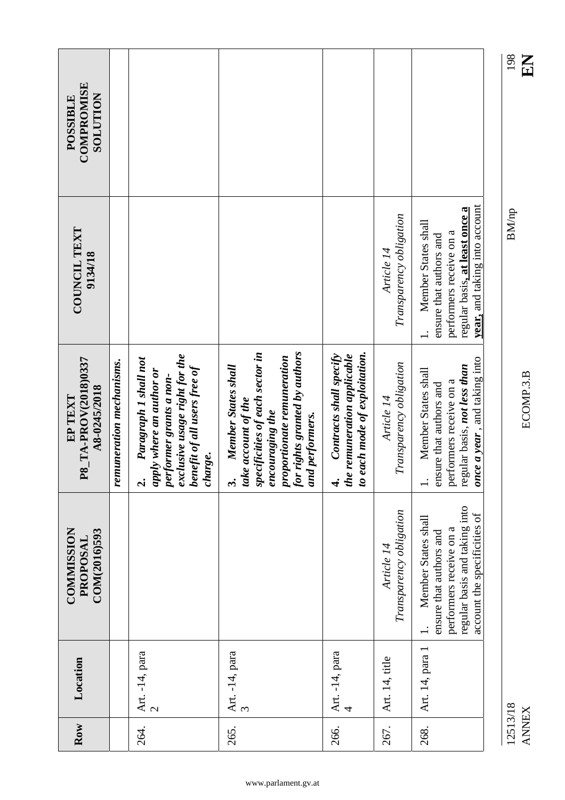|                                                  |                          |                                                                                                                                                                |                                                                                                                                                                                        |                                                                                                                          |                                       |                                                                                                                                                                          | 198<br>KR                |
|--------------------------------------------------|--------------------------|----------------------------------------------------------------------------------------------------------------------------------------------------------------|----------------------------------------------------------------------------------------------------------------------------------------------------------------------------------------|--------------------------------------------------------------------------------------------------------------------------|---------------------------------------|--------------------------------------------------------------------------------------------------------------------------------------------------------------------------|--------------------------|
| COMPROMISE<br><b>NOILUION</b><br><b>POSSIBLE</b> |                          |                                                                                                                                                                |                                                                                                                                                                                        |                                                                                                                          |                                       |                                                                                                                                                                          |                          |
| <b>COUNCIL TEXT</b><br>9134/18                   |                          |                                                                                                                                                                |                                                                                                                                                                                        |                                                                                                                          | Transparency obligation<br>Article 14 | year, and taking into account<br>regular basis, at least once a<br>Member States shall<br>performers receive on a<br>ensure that authors and<br>$\overline{\phantom{a}}$ | <b>BM/np</b>             |
| P8_TA-PROV(2018)0337<br>A8-0245/2018<br>EP TEXT  | remuneration mechanisms. | exclusive usage right for the<br>Paragraph I shall not<br>benefit of all users free of<br>apply where an author or<br>performer grants a non-<br>charge.<br>તં | specificities of each sector in<br>for rights granted by authors<br>proportionate remuneration<br>Member States shall<br>take account of the<br>encouraging the<br>and performers.<br> | to each mode of exploitation.<br>Contracts shall specify<br>the remuneration applicable<br>$\overrightarrow{\mathbf{r}}$ | Transparency obligation<br>Article 14 | once a year, and taking into<br>regular basis, not less than<br>Member States shall<br>performers receive on a<br>ensure that authors and<br>$\div$                      | ECOMP.3.B                |
| <b>COMMISSION</b><br>COM(2016)593<br>PROPOSAL    |                          |                                                                                                                                                                |                                                                                                                                                                                        |                                                                                                                          | Transparency obligation<br>Article 14 | regular basis and taking into<br>account the specificities of<br>Member States shall<br>performers receive on a<br>ensure that authors and<br>$\overline{1}$             |                          |
| Location                                         |                          | Art. -14, para<br>$\mathbf{\Omega}$                                                                                                                            | Art. -14, para<br>$\tilde{\mathfrak{c}}$                                                                                                                                               | Art. -14, para<br>$\overline{4}$                                                                                         | Art. 14, title                        | Art. 14, para 1                                                                                                                                                          |                          |
| Row                                              |                          | 264.                                                                                                                                                           | 265.                                                                                                                                                                                   | 266.                                                                                                                     | 267.                                  | 268.                                                                                                                                                                     | 12513/18<br><b>ANNEX</b> |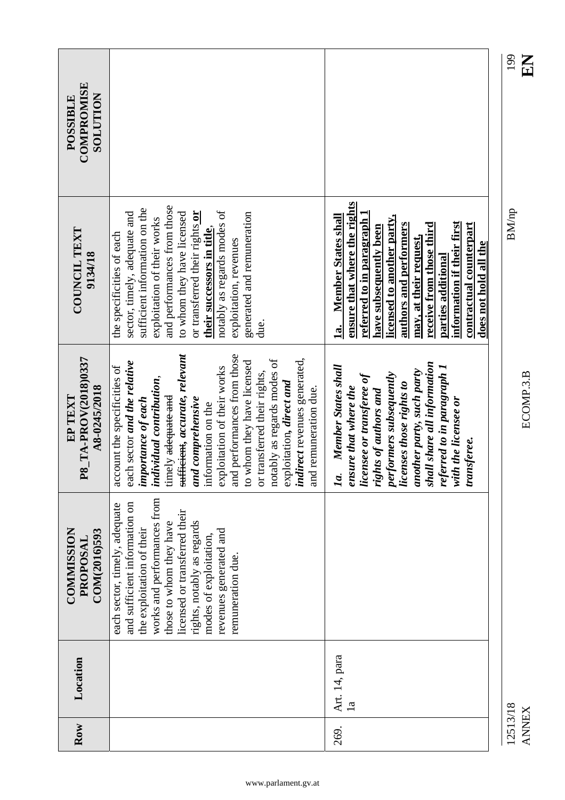|                                                  |                                                                                                                                                                                                                                                                                                                                                                                                                                                                                     |                                                                                                                                                                                                                                                                                                                                          | 199<br>EN                |
|--------------------------------------------------|-------------------------------------------------------------------------------------------------------------------------------------------------------------------------------------------------------------------------------------------------------------------------------------------------------------------------------------------------------------------------------------------------------------------------------------------------------------------------------------|------------------------------------------------------------------------------------------------------------------------------------------------------------------------------------------------------------------------------------------------------------------------------------------------------------------------------------------|--------------------------|
| <b>COMPROMISE</b><br><b>NOLLLTON</b><br>POSSIBLE |                                                                                                                                                                                                                                                                                                                                                                                                                                                                                     |                                                                                                                                                                                                                                                                                                                                          |                          |
| <b>COUNCIL TEXT</b><br>9134/18                   | and performances from those<br>sufficient information on the<br>notably as regards modes of<br>or transferred their rights or<br>sector, timely, adequate and<br>generated and remuneration<br>to whom they have licensed<br>exploitation of their works<br>their successors in title,<br>the specificities of each<br>exploitation, revenues<br>due.                                                                                                                               | ensure that where the rights<br>referred to in paragraph 1<br>Member States shall<br>licensed to another party,<br>information if their first<br>contractual counterpart<br>authors and performers<br>receive from those third<br>have subsequently been<br>may, at their request,<br>does not hold all the<br>parties additional<br>1a. | <b>BM/np</b>             |
| P8_TA-PROV(2018)0337<br>A8-0245/2018<br>EP TEXT  | and performances from those<br>sufficient, accurate, relevant<br>indirect revenues generated,<br>notably as regards modes of<br>to whom they have licensed<br>each sector and the relative<br>account the specificities of<br>exploitation of their works<br>or transferred their rights,<br>individual contribution,<br>ploitation, direct and<br>and remuneration due.<br>timely adequate and<br>importance of each<br>and comprehensive<br>information on the<br>ex <sub>i</sub> | shall share all information<br>Member States shall<br>referred to in paragraph 1<br>another party, such party<br>performers subsequently<br>licensee or transferee of<br>licenses those rights to<br>ensure that where the<br>rights of authors and<br>with the licensee or<br>transferee.<br>Ia.                                        | ECOMP.3.B                |
| <b>COMMISSION</b><br>COM(2016)593<br>PROPOSAL    | works and performances from<br>and sufficient information on<br>each sector, timely, adequate<br>licensed or transferred their<br>those to whom they have<br>rights, notably as regards<br>the exploitation of their<br>revenues generated and<br>modes of exploitation.<br>remuneration due                                                                                                                                                                                        |                                                                                                                                                                                                                                                                                                                                          |                          |
| Location                                         |                                                                                                                                                                                                                                                                                                                                                                                                                                                                                     | Art. 14, para<br>$\mathbf{a}$                                                                                                                                                                                                                                                                                                            |                          |
| Row                                              |                                                                                                                                                                                                                                                                                                                                                                                                                                                                                     | 269.                                                                                                                                                                                                                                                                                                                                     | 12513/18<br><b>ANNEX</b> |

 $\frac{199}{E}$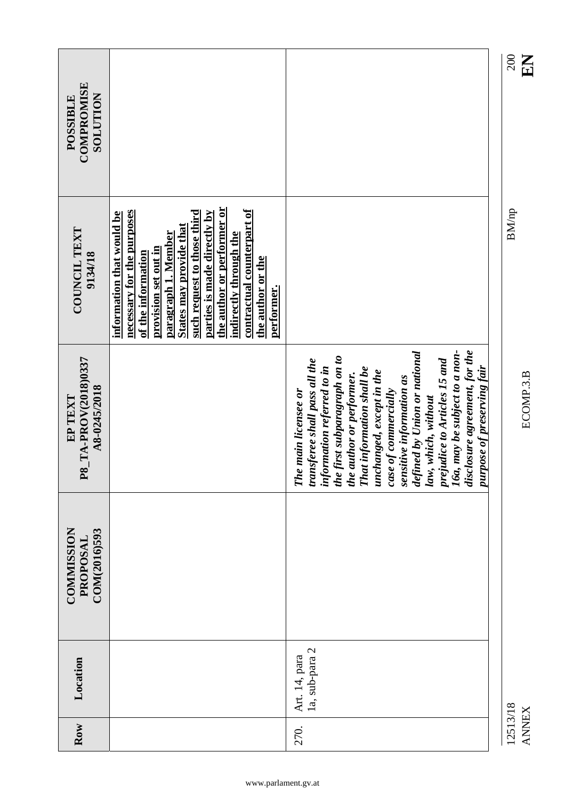|                                                  |                                                                                                                                                                                                                                                                                                                                                |                                                                                                                                                                                                                                                                                                                                                                                                                                                                         | 200<br>EN                |
|--------------------------------------------------|------------------------------------------------------------------------------------------------------------------------------------------------------------------------------------------------------------------------------------------------------------------------------------------------------------------------------------------------|-------------------------------------------------------------------------------------------------------------------------------------------------------------------------------------------------------------------------------------------------------------------------------------------------------------------------------------------------------------------------------------------------------------------------------------------------------------------------|--------------------------|
| <b>COMPROMISE</b><br><b>NOILUIOS</b><br>POSSIBLE |                                                                                                                                                                                                                                                                                                                                                |                                                                                                                                                                                                                                                                                                                                                                                                                                                                         |                          |
| COUNCIL TEXT<br>9134/18                          | the author or performer or<br>contractual counterpart of<br>necessary for the purposes<br>information that would be<br>such request to those third<br>parties is made directly by<br>States may provide that<br>indirectly through the<br>paragraph 1. Member<br>provision set out in<br>of the information<br>the author or the<br>performer. |                                                                                                                                                                                                                                                                                                                                                                                                                                                                         | <b>BM/np</b>             |
| P8_TA-PROV(2018)0337<br>A8-0245/2018<br>EP TEXT  |                                                                                                                                                                                                                                                                                                                                                | disclosure agreement, for the<br>defined by Union or national<br>16a, may be subject to a non-<br>the first subparagraph on to<br>prejudice to Articles 15 and<br>transferee shall pass all the<br>purpose of preserving fair<br>information referred to in<br>That information shall be<br>unchanged, except in the<br>the author or performer.<br>sensitive information as<br>case of commercially<br>e main licensee or<br>law, which, without<br>$\boldsymbol{\pi}$ | ECOMP.3.B                |
| <b>COMMISSION</b><br>COM(2016)593<br>PROPOSAL    |                                                                                                                                                                                                                                                                                                                                                |                                                                                                                                                                                                                                                                                                                                                                                                                                                                         |                          |
| Location                                         |                                                                                                                                                                                                                                                                                                                                                | 1a, sub-para 2<br>Art. 14, para                                                                                                                                                                                                                                                                                                                                                                                                                                         |                          |
| Row                                              |                                                                                                                                                                                                                                                                                                                                                | 270.                                                                                                                                                                                                                                                                                                                                                                                                                                                                    | 12513/18<br><b>ANNEX</b> |

 $\frac{200}{E}$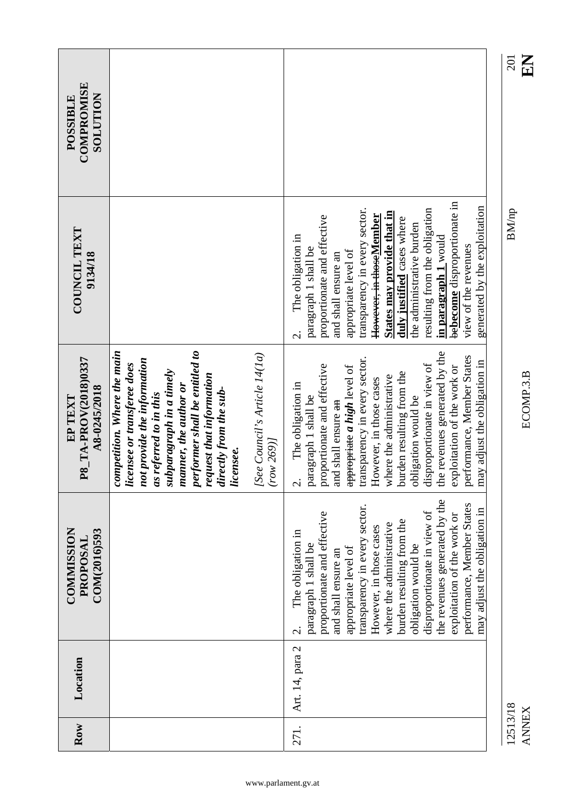| <b>COMPROMISE</b><br><b>NOILUIDIOS</b><br><b>POSSIBLE</b> |                                                                                                                                                                                                                                                                                                                             |                                                                                                                                                                                                                                                                                                                                                                                                                                                                     | 201          |
|-----------------------------------------------------------|-----------------------------------------------------------------------------------------------------------------------------------------------------------------------------------------------------------------------------------------------------------------------------------------------------------------------------|---------------------------------------------------------------------------------------------------------------------------------------------------------------------------------------------------------------------------------------------------------------------------------------------------------------------------------------------------------------------------------------------------------------------------------------------------------------------|--------------|
|                                                           |                                                                                                                                                                                                                                                                                                                             |                                                                                                                                                                                                                                                                                                                                                                                                                                                                     |              |
| <b>COUNCIL TEXT</b><br>9134/18                            |                                                                                                                                                                                                                                                                                                                             | behecome disproportionate in<br>generated by the exploitation<br>transparency in every sector.<br>resulting from the obligation<br>States may provide that in<br>However, in thoseMember<br>proportionate and effective<br>duly justified cases where<br>the administrative burden<br>The obligation in<br>in paragraph 1 would<br>view of the revenues<br>paragraph 1 shall be<br>appropriate level of<br>and shall ensure an<br>$\overline{\mathcal{C}}$          | <b>BM/np</b> |
| P8_TA-PROV(2018)0337<br>A8-0245/2018<br>EP TEXT           | performer shall be entitled to<br>competition. Where the main<br>[See Council's Article 14(1a)<br>not provide the information<br>licensee or transferee does<br>subparagraph in a timely<br>request that information<br>manner, the author or<br>directly from the sub-<br>as referred to in this<br>(row 269)<br>licensee. | the revenues generated by the<br>performance, Member States<br>transparency in every sector.<br>may adjust the obligation in<br>disproportionate in view of<br>proportionate and effective<br>appropriate a high level of<br>exploitation of the work or<br>burden resulting from the<br>where the administrative<br>However, in those cases<br>The obligation in<br>paragraph 1 shall be<br>obligation would be<br>and shall ensure an<br>$\overline{\mathcal{C}}$ |              |
| <b>COMMISSION</b><br>COM(2016)593<br>PROPOSAI             |                                                                                                                                                                                                                                                                                                                             | the revenues generated by the<br>performance, Member States<br>transparency in every sector.<br>may adjust the obligation in<br>disproportionate in view of<br>proportionate and effective<br>exploitation of the work or<br>burden resulting from the<br>where the administrative<br>However, in those cases<br>The obligation in<br>paragraph 1 shall be<br>obligation would be<br>appropriate level of<br>and shall ensure an<br>$\overline{\mathcal{C}}$        |              |
| Location                                                  |                                                                                                                                                                                                                                                                                                                             | Art. 14, para 2                                                                                                                                                                                                                                                                                                                                                                                                                                                     |              |
| Row                                                       |                                                                                                                                                                                                                                                                                                                             | 271.                                                                                                                                                                                                                                                                                                                                                                                                                                                                | 12513/18     |

ANNEX ECOMP.3.B **EN**

**ANNEX** 

ECOMP.3.B

EN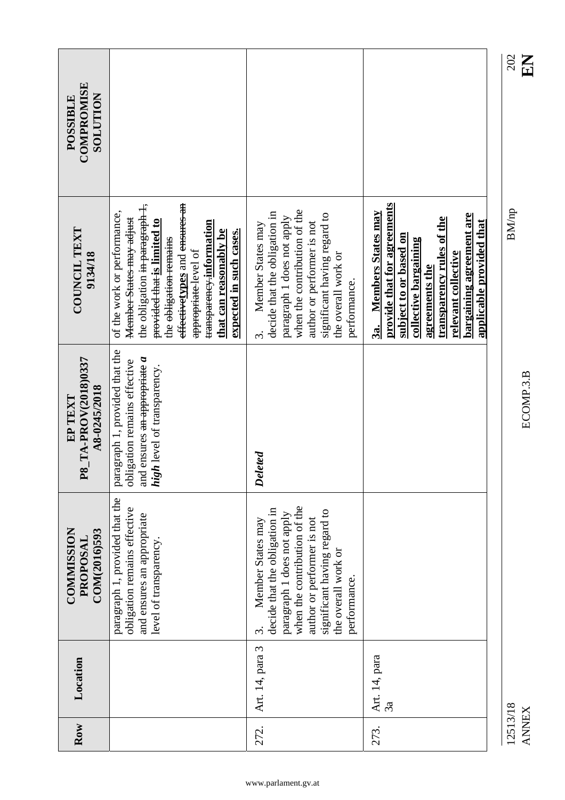| <b>COMPROMISE</b><br><b>NOLLUTION</b><br>POSSIBLE |                                                                                                                                                                                                                                                                                                         |                                                                                                                                                                                                                                 |                                                                                                                                                                                                                                                  |
|---------------------------------------------------|---------------------------------------------------------------------------------------------------------------------------------------------------------------------------------------------------------------------------------------------------------------------------------------------------------|---------------------------------------------------------------------------------------------------------------------------------------------------------------------------------------------------------------------------------|--------------------------------------------------------------------------------------------------------------------------------------------------------------------------------------------------------------------------------------------------|
| COUNCIL TEXT<br>9134/18                           | effectivetypes and ensures an<br>the obligation in paragraph 1,<br>of the work or performance,<br>Member States may adjust<br>transparency.information<br>provided that is limited to<br>that can reasonably be<br>expected in such cases.<br>the <del>obligation remains</del><br>appropriate-level of | when the contribution of the<br>decide that the obligation in<br>significant having regard to<br>paragraph 1 does not apply<br>author or performer is not<br>Member States may<br>the overall work or<br>performance.<br>.<br>ო | provide that for agreements<br><b>Members States may</b><br>bargaining agreement are<br>transparency rules of the<br>applicable provided that<br>subject to or based on<br>collective bargaining<br>relevant collective<br>agreements the<br>3a. |
| P8_TA-PROV(2018)0337<br>A8-0245/2018<br>EP TEXT   | paragraph 1, provided that the<br>and ensures an appropriate a<br>obligation remains effective<br>high level of transparency.                                                                                                                                                                           | Deleted                                                                                                                                                                                                                         |                                                                                                                                                                                                                                                  |
| <b>COMMISSION</b><br>COM(2016)593<br>PROPOSAL     | paragraph 1, provided that the<br>obligation remains effective<br>and ensures an appropriate<br>level of transparency.                                                                                                                                                                                  | when the contribution of the<br>decide that the obligation in<br>significant having regard to<br>paragraph 1 does not apply<br>author or performer is not<br>Member States may<br>the overall work or<br>performance.<br>3.     |                                                                                                                                                                                                                                                  |
| Location                                          |                                                                                                                                                                                                                                                                                                         | Art. 14, para 3                                                                                                                                                                                                                 | Art. 14, para<br>3a                                                                                                                                                                                                                              |
| Row                                               |                                                                                                                                                                                                                                                                                                         | 272.                                                                                                                                                                                                                            | 273.                                                                                                                                                                                                                                             |

12513/18 BM/np 202 12513/18<br>ANNEX

## $\frac{202}{\textbf{E}\textbf{N}}$

 $\rm BM/np$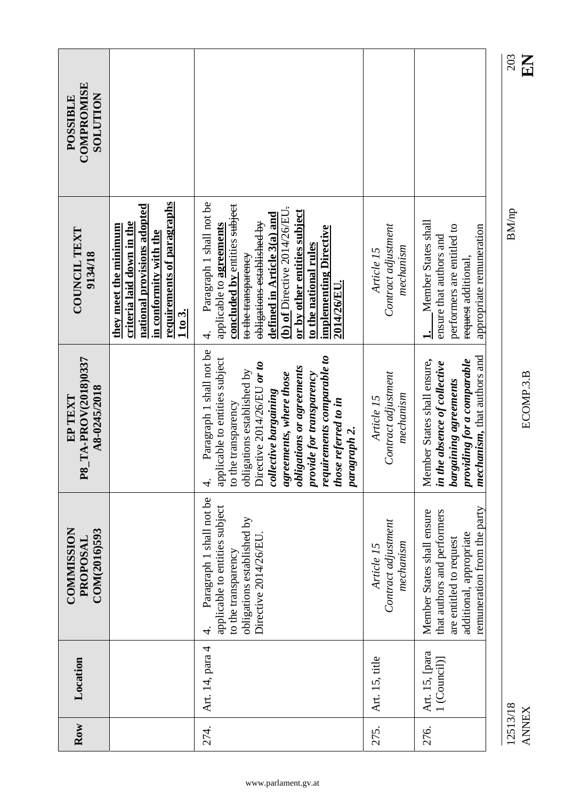| COMPROMISE<br><b>NOILUIOS</b><br>POSSIBLE       |                                                                                                                                                                  |                                                                                                                                                                                                                                                                                                                                                       |                                                |                                                                                                                                                          |
|-------------------------------------------------|------------------------------------------------------------------------------------------------------------------------------------------------------------------|-------------------------------------------------------------------------------------------------------------------------------------------------------------------------------------------------------------------------------------------------------------------------------------------------------------------------------------------------------|------------------------------------------------|----------------------------------------------------------------------------------------------------------------------------------------------------------|
| <b>COUNCIL TEXT</b><br>9134/18                  | requirements of paragraphs<br>national provisions adopted<br>criteria laid down in the<br>they meet the minimum<br>in conformity with the<br>$1\,\mathbf{to}\,3$ | Paragraph 1 shall not be<br>concluded by entities subject<br>(b) of Directive $2014/26$ /EU.<br>or by other entities subject<br>defined in Article 3(a) and<br>obligations established by<br>applicable to <b>agreements</b><br>implementing Directive<br>to the national rules<br>to the transparency<br>2014/26/EU.<br>4.                           | Contract adjustment<br>mechanism<br>Article 15 | Member States shall<br>performers are entitled to<br>appropriate remuneration<br>ensure that authors and<br>request additional,                          |
| P8_TA-PROV(2018)0337<br>A8-0245/2018<br>EP TEXT |                                                                                                                                                                  | Paragraph 1 shall not be<br>requirements comparable to<br>applicable to entities subject<br>Directive 2014/26/EU or to<br>obligations or agreements<br>obligations established by<br>agreements, where those<br>provide for transparency<br>collective bargaining<br>those referred to in<br>the transparency<br>paragraph 2.<br>$\overline{5}$<br>4. | Contract adjustment<br>mechanism<br>Article 15 | mechanism, that authors and<br>providing for a comparable<br>Member States shall ensure,<br>in the absence of collective<br><b>bargaining agreements</b> |
| <b>COMMISSION</b><br>COM(2016)593<br>PROPOSAL   |                                                                                                                                                                  | Paragraph 1 shall not be<br>applicable to entities subject<br>obligations established by<br>Directive 2014/26/EU<br>to the transparency<br>4.                                                                                                                                                                                                         | Contract adjustment<br>mechanism<br>Article 15 | remuneration from the party<br>Member States shall ensure<br>that authors and performers<br>additional, appropriate<br>are entitled to request           |
| Location                                        |                                                                                                                                                                  | Art. 14, para 4                                                                                                                                                                                                                                                                                                                                       | Art. 15, title                                 | Art. 15, [para<br>1 (Council)]                                                                                                                           |
| Row                                             |                                                                                                                                                                  | 274.                                                                                                                                                                                                                                                                                                                                                  | 275.                                           | 276.                                                                                                                                                     |

 $\frac{203}{E N}$ 

 $\rm BM/np$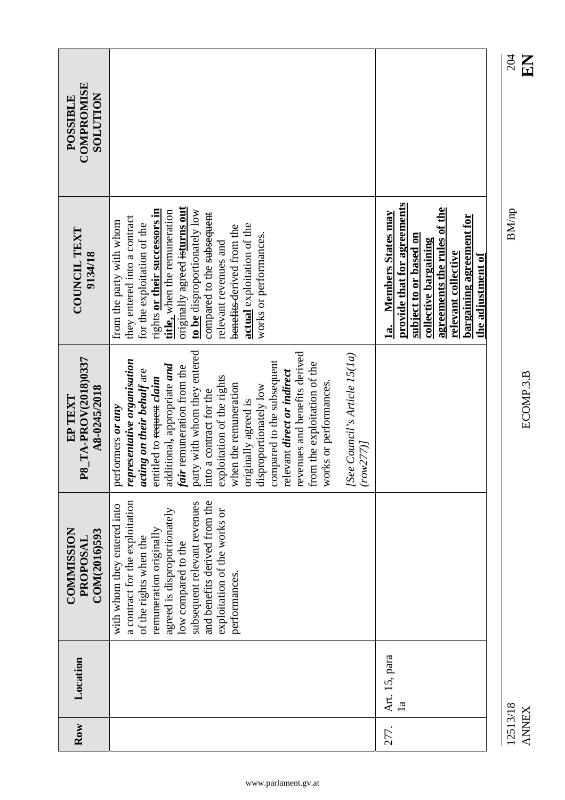| COMPROMISE<br><b>NOLLUTION</b><br>POSSIBLE      |                                                                                                                                                                                                                                                                                                                                                                                                                                                                                                                                                   |                                                                                                                                                                                                                             |
|-------------------------------------------------|---------------------------------------------------------------------------------------------------------------------------------------------------------------------------------------------------------------------------------------------------------------------------------------------------------------------------------------------------------------------------------------------------------------------------------------------------------------------------------------------------------------------------------------------------|-----------------------------------------------------------------------------------------------------------------------------------------------------------------------------------------------------------------------------|
| COUNCIL TEXT<br>9134/18                         | originally agreed isturns out<br>rights or their successors in<br>title, when the remuneration<br>to be disproportionately low<br>compared to the subsequent<br>they entered into a contract<br>from the party with whom<br>for the exploitation of the<br>actual exploitation of the<br>benefits-derived from the<br>works or performances.<br>relevant revenues and                                                                                                                                                                             | provide that for agreements<br>agreements the rules of the<br>Members States may<br>bargaining agreement for<br>subject to or based on<br>collective bargaining<br>relevant collective<br>the adjustment of<br>$\mathbf{a}$ |
| P8_TA-PROV(2018)0337<br>A8-0245/2018<br>EP TEXT | party with whom they entered<br>revenues and benefits derived<br>[See Council's Article 15(1a)<br>representative organisation<br>compared to the subsequent<br>from the exploitation of the<br>additional, appropriate and<br>fair remuneration from the<br>acting on their behalf are<br>relevant direct or indirect<br>exploitation of the rights<br>entitled to request claim<br>works or performances.<br>when the remuneration<br>disproportionately low<br>into a contract for the<br>originally agreed is<br>performers or any<br>(row277) |                                                                                                                                                                                                                             |
| <b>COMMISSION</b><br>COM(2016)593<br>PROPOSAL   | a contract for the exploitation<br>and benefits derived from the<br>subsequent relevant revenues<br>with whom they entered into<br>agreed is disproportionately<br>exploitation of the works or<br>remuneration originally<br>of the rights when the<br>low compared to the<br>performances.                                                                                                                                                                                                                                                      |                                                                                                                                                                                                                             |
| Location                                        |                                                                                                                                                                                                                                                                                                                                                                                                                                                                                                                                                   | Art. 15, para<br>$\overline{a}$                                                                                                                                                                                             |
| Row                                             |                                                                                                                                                                                                                                                                                                                                                                                                                                                                                                                                                   | 277.                                                                                                                                                                                                                        |

 $\rm BM/np$ 

12513/18 BM/np 204 12513/18<br>ANNEX

 $\sum_{\alpha \in \mathbf{Z}}$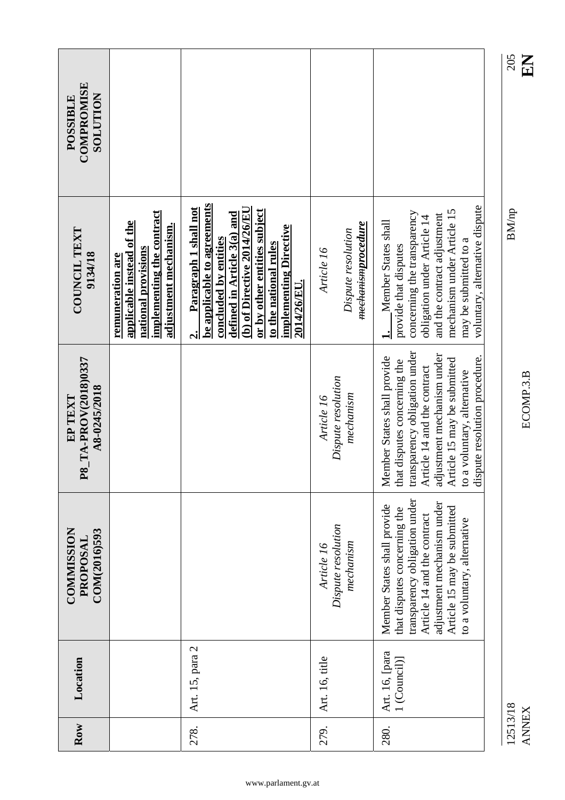| COMPROMISE<br><b>NOILUIOS</b><br>POSSIBLE       |                                                                                                                            |                                                                                                                                                                                                                                                                         |                                                                    |                                                                                                                                                                                                                                                          |
|-------------------------------------------------|----------------------------------------------------------------------------------------------------------------------------|-------------------------------------------------------------------------------------------------------------------------------------------------------------------------------------------------------------------------------------------------------------------------|--------------------------------------------------------------------|----------------------------------------------------------------------------------------------------------------------------------------------------------------------------------------------------------------------------------------------------------|
| <b>COUNCIL TEXT</b><br>9134/18                  | implementing the contract<br>applicable instead of the<br>adjustment mechanism.<br>national provisions<br>remuneration are | be applicable to agreements<br>Paragraph 1 shall not<br>(b) of Directive $2014/26$ /EU<br>or by other entities subject<br>defined in Article 3(a) and<br>implementing Directive<br>concluded by entities<br>to the national rules<br><b>2014/26/EU.</b><br>$\mathbf{a}$ | <del>mechanism</del> procedure<br>Dispute resolution<br>Article 16 | voluntary, alternative dispute<br>mechanism under Article 15<br>concerning the transparency<br>and the contract adjustment<br>obligation under Article 14<br>Member States shall<br>may be submitted to a<br>provide that disputes                       |
| P8_TA-PROV(2018)0337<br>A8-0245/2018<br>EP TEXT |                                                                                                                            |                                                                                                                                                                                                                                                                         | Dispute resolution<br>mechanism<br>Article 16                      | transparency obligation under<br>adjustment mechanism under<br>Member States shall provide<br>dispute resolution procedure.<br>Article 15 may be submitted<br>that disputes concerning the<br>Article 14 and the contract<br>to a voluntary, alternative |
| <b>COMMISSION</b><br>COM(2016)593<br>PROPOSAL   |                                                                                                                            |                                                                                                                                                                                                                                                                         | Dispute resolution<br>mechanism<br>Article 16                      | transparency obligation under<br>adjustment mechanism under<br>Member States shall provide<br>Article 15 may be submitted<br>that disputes concerning the<br>Article 14 and the contract<br>to a voluntary, alternative                                  |
| Location                                        |                                                                                                                            | Art. 15, para 2                                                                                                                                                                                                                                                         | Art. 16, title                                                     | Art. 16, [para<br>[(Council)                                                                                                                                                                                                                             |
| Row                                             |                                                                                                                            | 278.                                                                                                                                                                                                                                                                    | 279.                                                               | 280.                                                                                                                                                                                                                                                     |

12513/18 BM/np 12513/18<br>ANNEX

ANNEX ECOMP.3.B **EN** ECOMP.3.B

 $\frac{205}{E}$ 

 $\rm BM/p$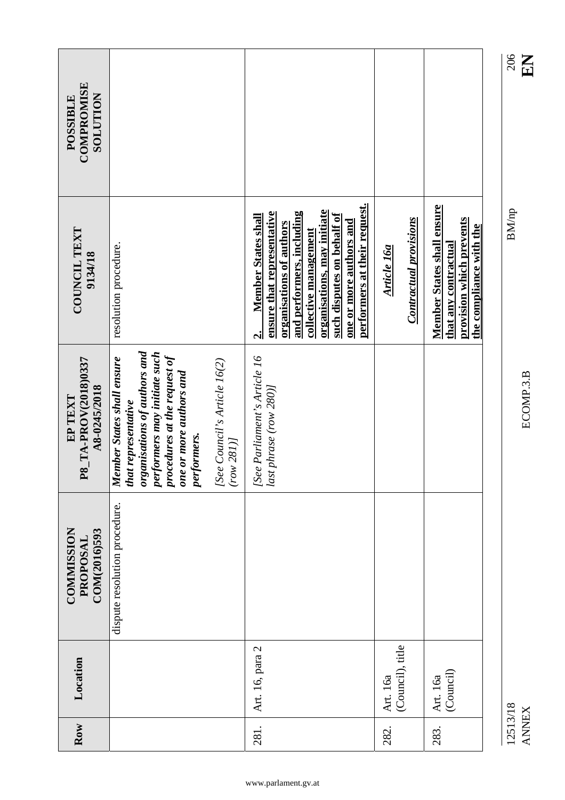| <b>COMPROMISE</b><br><b>NOILLIDTIOS</b><br>POSSIBLE |                                                                                                                                                                                             |                                           |                                                                                                                                                                                                                                                                                                 |                                              |                                                                                                                  |
|-----------------------------------------------------|---------------------------------------------------------------------------------------------------------------------------------------------------------------------------------------------|-------------------------------------------|-------------------------------------------------------------------------------------------------------------------------------------------------------------------------------------------------------------------------------------------------------------------------------------------------|----------------------------------------------|------------------------------------------------------------------------------------------------------------------|
| COUNCIL TEXT<br>9134/18                             | resolution procedure.                                                                                                                                                                       |                                           | performers at their request.<br>organisations, may initiate<br>ensure that representative<br>and performers, including<br>such disputes on behalf of<br><b>Member States shall</b><br>one or more authors and<br>organisations of authors<br>collective management<br>$\mathbf{a}^{\mathbf{i}}$ | <b>Contractual provisions</b><br>Article 16a | <b>Member States shall ensure</b><br>provision which prevents<br>the compliance with the<br>that any contractual |
| P8_TA-PROV(2018)0337<br>A8-0245/2018<br>EP TEXT     | organisations of authors and<br>performers may initiate such<br>procedures at the request of<br>Member States shall ensure<br>one or more authors and<br>that representative<br>performers. | [See Council's Article 16(2)<br>(row 281) | [See Parliament's Article 16<br>last phrase (row 280)]                                                                                                                                                                                                                                          |                                              |                                                                                                                  |
| <b>COMMISSION</b><br>COM(2016)593<br>PROPOSAI       | dispute resolution procedure.                                                                                                                                                               |                                           |                                                                                                                                                                                                                                                                                                 |                                              |                                                                                                                  |
| Location                                            |                                                                                                                                                                                             |                                           | Art. 16, para 2                                                                                                                                                                                                                                                                                 | (Council), title<br>Art. 16a                 | (Council)<br>Art. 16a                                                                                            |
| Row                                                 |                                                                                                                                                                                             |                                           | 281.                                                                                                                                                                                                                                                                                            | 282.                                         | 283.                                                                                                             |

 $\frac{106}{\text{E}}$ 

 $\rm BM/np$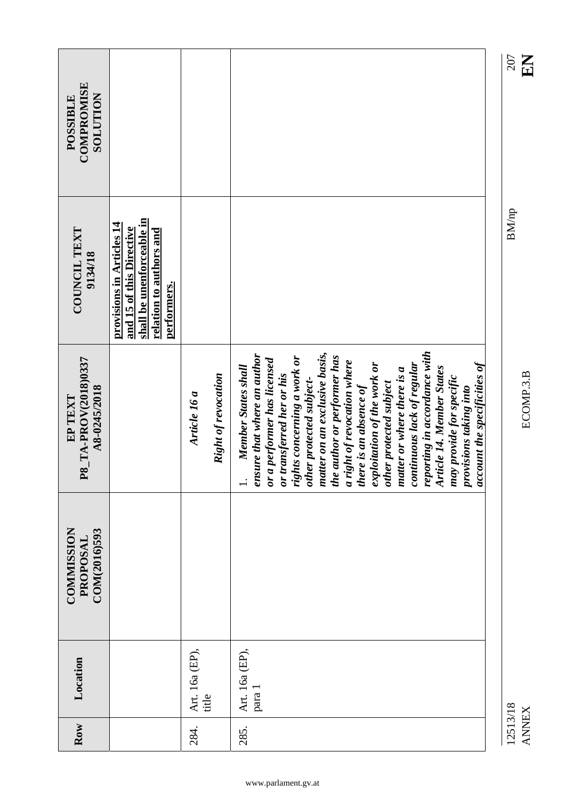|                                                         |                                                                                                                              |                                     |                                                                                                                                                                                                                                                                                                                                                                                                                                                                                                                                                                                             | 207<br>KR                |
|---------------------------------------------------------|------------------------------------------------------------------------------------------------------------------------------|-------------------------------------|---------------------------------------------------------------------------------------------------------------------------------------------------------------------------------------------------------------------------------------------------------------------------------------------------------------------------------------------------------------------------------------------------------------------------------------------------------------------------------------------------------------------------------------------------------------------------------------------|--------------------------|
| <b>COMPROMISE</b><br><b>NOILUIOS</b><br><b>POSSIBLE</b> |                                                                                                                              |                                     |                                                                                                                                                                                                                                                                                                                                                                                                                                                                                                                                                                                             |                          |
| <b>COUNCIL TEXT</b><br>9134/18                          | shall be unenforceable in<br>provisions in Articles 14<br>and 15 of this Directive<br>relation to authors and<br>performers. |                                     |                                                                                                                                                                                                                                                                                                                                                                                                                                                                                                                                                                                             | <b>BM/np</b>             |
| P8_TA-PROV(2018)0337<br>A8-0245/2018<br>EP TEXT         |                                                                                                                              | Right of revocation<br>Article 16 a | reporting in accordance with<br>matter on an exclusive basis,<br>ensure that where an author<br>rights concerning a work or<br>the author or performer has<br>or a performer has licensed<br>a right of revocation where<br>account the specificities of<br>exploitation of the work or<br>continuous lack of regular<br>Member States shall<br>Article 14. Member States<br>matter or where there is $a$<br>or transferred her or his<br>may provide for specific<br>other protected subject-<br>other protected subject<br>there is an absence of<br>provisions taking into<br>$\ddot{ }$ | ECOMP.3.B                |
| <b>COMMISSION</b><br>COM(2016)593<br>PROPOSAL           |                                                                                                                              |                                     |                                                                                                                                                                                                                                                                                                                                                                                                                                                                                                                                                                                             |                          |
| Location                                                |                                                                                                                              | Art. 16a (EP),<br>title             | Art. 16a (EP),<br>para 1                                                                                                                                                                                                                                                                                                                                                                                                                                                                                                                                                                    |                          |
| Row                                                     |                                                                                                                              | 284.                                | 285.                                                                                                                                                                                                                                                                                                                                                                                                                                                                                                                                                                                        | 12513/18<br><b>ANNEX</b> |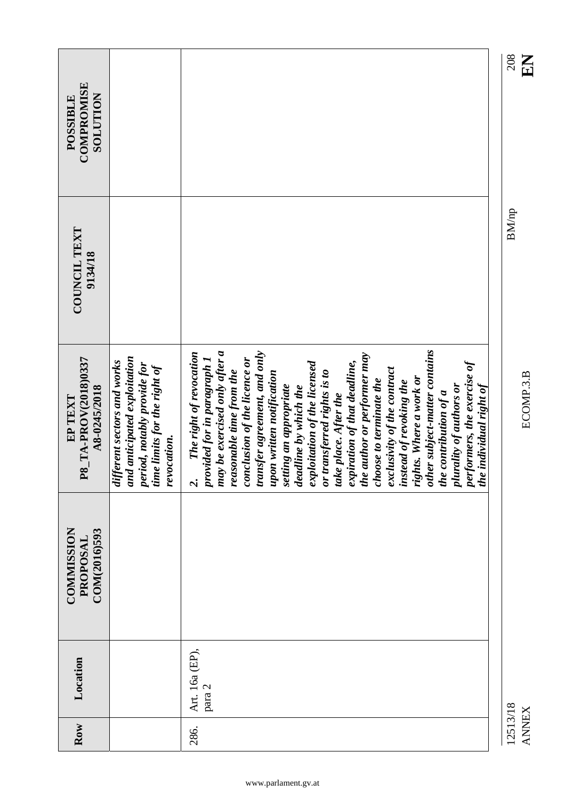|                                                     |                                                                                                                                           |                                                                                                                                                                                                                                                                                                                                                                                                                                                                                                                                                                                                                                                                                                              | 208          |
|-----------------------------------------------------|-------------------------------------------------------------------------------------------------------------------------------------------|--------------------------------------------------------------------------------------------------------------------------------------------------------------------------------------------------------------------------------------------------------------------------------------------------------------------------------------------------------------------------------------------------------------------------------------------------------------------------------------------------------------------------------------------------------------------------------------------------------------------------------------------------------------------------------------------------------------|--------------|
| <b>COMPROMISE</b><br><b>NOILLIDTIOS</b><br>POSSIBLE |                                                                                                                                           |                                                                                                                                                                                                                                                                                                                                                                                                                                                                                                                                                                                                                                                                                                              |              |
| COUNCIL TEXT<br>9134/18                             |                                                                                                                                           |                                                                                                                                                                                                                                                                                                                                                                                                                                                                                                                                                                                                                                                                                                              | <b>BM/np</b> |
| P8_TA-PROV(2018)0337<br>A8-0245/2018<br>EP TEXT     | and anticipated exploitation<br>different sectors and works<br>period, notably provide for<br>time limits for the right of<br>revocation. | other subject-matter contains<br>transfer agreement, and only<br>may be exercised only after a<br>The right of revocation<br>the author or performer may<br>conclusion of the licence or<br>provided for in paragraph 1<br>expiration of that deadline,<br>exploitation of the licensed<br>performers, the exercise of<br>exclusivity of the contract<br>reasonable time from the<br>or transferred rights is to<br>upon written notification<br>rights. Where a work or<br>choose to terminate the<br>instead of revoking the<br>plurality of authors or<br>the individual right of<br>setting an appropriate<br>deadline by which the<br>the contribution of $a$<br>take place. After the<br>$\mathcal{L}$ |              |
| <b>COMMISSION</b><br>COM(2016)593<br>PROPOSAL       |                                                                                                                                           |                                                                                                                                                                                                                                                                                                                                                                                                                                                                                                                                                                                                                                                                                                              |              |
| Location                                            |                                                                                                                                           | Art. 16a (EP),<br>$\rm para$ $2$                                                                                                                                                                                                                                                                                                                                                                                                                                                                                                                                                                                                                                                                             |              |
| Row                                                 |                                                                                                                                           | 286.                                                                                                                                                                                                                                                                                                                                                                                                                                                                                                                                                                                                                                                                                                         | 12513/18     |

 $\frac{208}{E}$ 

**ANNup** 

12513/18<br>ANNEX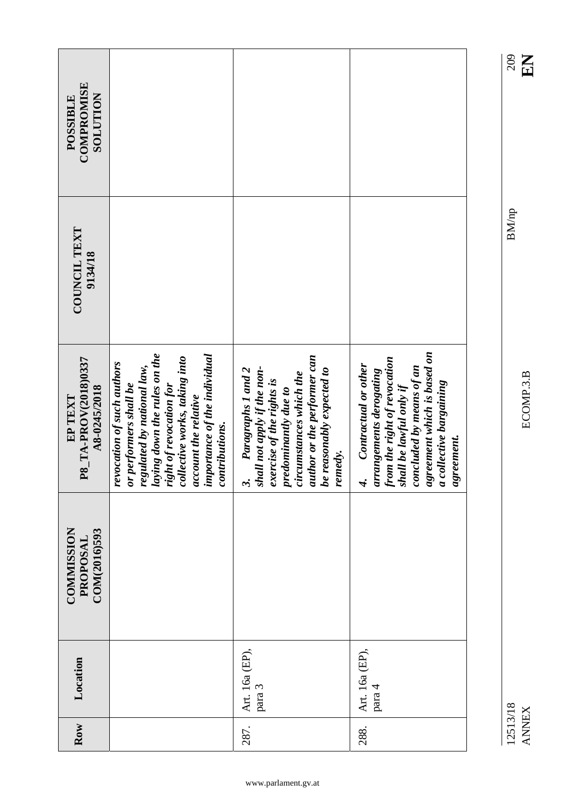| COMPROMISE<br><b>NOLLTION</b><br>POSSIBLE              |                                                                                                                                                                                                                                                                |                                                                                                                                                                                                                      |                                                                                                                                                                                                                                  |
|--------------------------------------------------------|----------------------------------------------------------------------------------------------------------------------------------------------------------------------------------------------------------------------------------------------------------------|----------------------------------------------------------------------------------------------------------------------------------------------------------------------------------------------------------------------|----------------------------------------------------------------------------------------------------------------------------------------------------------------------------------------------------------------------------------|
| COUNCIL TEXT<br>9134/18                                |                                                                                                                                                                                                                                                                |                                                                                                                                                                                                                      |                                                                                                                                                                                                                                  |
| <b>P8_TA-PROV(2018)0337</b><br>A8-0245/2018<br>EP TEXT | importance of the individual<br>  regulated by national law,<br>  laying down the rules on the<br>  right of revocation for<br>collective works, taking into<br>revocation of such authors<br>or performers shall be<br>account the relative<br>contributions. | author or the performer can<br>shall not apply if the non-<br>be reasonably expected to<br>Paragraphs 1 and 2<br>predominantly due to<br>circumstances which the<br>exercise of the rights is<br>remedy.<br>$\omega$ | agreement which is based on<br>from the right of revocation<br>shall be lawful only if<br>Contractual or other<br>concluded by means of an<br>arrangements derogating<br>a collective bargaining<br>agreement.<br>$\overline{r}$ |
| <b>COMMISSION</b><br>COM(2016)593<br>PROPOSAL          |                                                                                                                                                                                                                                                                |                                                                                                                                                                                                                      |                                                                                                                                                                                                                                  |
| Location                                               |                                                                                                                                                                                                                                                                | Art. 16a (EP),<br>para 3                                                                                                                                                                                             | Art. 16a (EP),<br>para 4                                                                                                                                                                                                         |
| Row                                                    |                                                                                                                                                                                                                                                                | 287.                                                                                                                                                                                                                 | 288.                                                                                                                                                                                                                             |

12513/18 BM/np 209  $\rm BM/np$ 

ANNEX ECOMP.3.B **EN** 12513/18<br>ANNEX

## $\frac{100}{100}$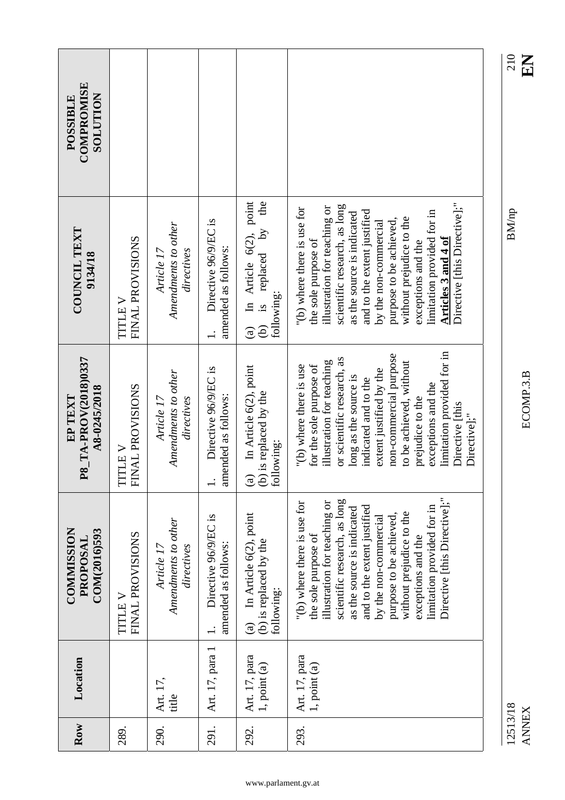| Row  | Location                          | <b>COMMISSION</b><br>COM(2016)593<br>PROPOSAL                                                                                                                                                                                                                                                                                                       | P8_TA-PROV(2018)0337<br>A8-0245/2018<br>EP TEXT                                                                                                                                                                                                                                                                                                           | <b>COUNCIL TEXT</b><br>9134/18                                                                                                                                                                                                                                                                                                                                                    | COMPROMISE<br><b>NOLLUTION</b><br>POSSIBLE |
|------|-----------------------------------|-----------------------------------------------------------------------------------------------------------------------------------------------------------------------------------------------------------------------------------------------------------------------------------------------------------------------------------------------------|-----------------------------------------------------------------------------------------------------------------------------------------------------------------------------------------------------------------------------------------------------------------------------------------------------------------------------------------------------------|-----------------------------------------------------------------------------------------------------------------------------------------------------------------------------------------------------------------------------------------------------------------------------------------------------------------------------------------------------------------------------------|--------------------------------------------|
| 289. |                                   | FINAL PROVISIONS<br>TITLE V                                                                                                                                                                                                                                                                                                                         | FINAL PROVISIONS<br>TITLE V                                                                                                                                                                                                                                                                                                                               | FINAL PROVISIONS<br>TITLE V                                                                                                                                                                                                                                                                                                                                                       |                                            |
| 290. | Art. 17,<br>title                 | Amendments to other<br>directives<br>Article 17                                                                                                                                                                                                                                                                                                     | Amendments to other<br>directives<br>Article 17                                                                                                                                                                                                                                                                                                           | Amendments to other<br>directives<br>Article 17                                                                                                                                                                                                                                                                                                                                   |                                            |
| 291. | Art. 17, para 1                   | Directive 96/9/EC is<br>amended as follows:                                                                                                                                                                                                                                                                                                         | Directive 96/9/EC is<br>amended as follows:                                                                                                                                                                                                                                                                                                               | Directive 96/9/EC is<br>amended as follows:                                                                                                                                                                                                                                                                                                                                       |                                            |
| 292. | Art. 17, para<br>$1,$ point $(a)$ | In Article 6(2), point<br>(b) is replaced by the<br>following:<br>$\widehat{a}$                                                                                                                                                                                                                                                                     | In Article 6(2), point<br>is replaced by the<br>following:<br>$\mathbf{G}$<br>ê                                                                                                                                                                                                                                                                           | In Article 6(2), point<br>the<br>is replaced by<br>following:<br>$\widehat{e}$<br>$\mathbf{G}$                                                                                                                                                                                                                                                                                    |                                            |
| 293. | Art. 17, para<br>1, point (a)     | Directive [this Directive];"<br>scientific research, as long<br>illustration for teaching or<br>"(b) where there is use for<br>limitation provided for in<br>and to the extent justified<br>as the source is indicated<br>without prejudice to the<br>purpose to be achieved,<br>by the non-commercial<br>the sole purpose of<br>exceptions and the | limitation provided for in<br>non-commercial purpose<br>or scientific research, as<br>illustration for teaching<br>to be achieved, without<br>"(b) where there is use<br>for the sole purpose of<br>extent justified by the<br>long as the source is<br>indicated and to the<br>exceptions and the<br>prejudice to the<br>Directive [this<br>Directive];" | Directive [this Directive];"<br>scientific research, as long<br>illustration for teaching or<br>"(b) where there is use for<br>and to the extent justified<br>limitation provided for in<br>as the source is indicated<br>without prejudice to the<br>purpose to be achieved,<br>by the non-commercial<br><b>Articles 3 and 4 of</b><br>the sole purpose of<br>exceptions and the |                                            |

## www.parlament.gv.at

ANNEX ECOMP.3.B **EN** ECOMP.3.B

12513/18<br>ANNEX

 $\frac{210}{\textbf{E}}$ 

12513/18 BM/np 210

 $\rm BM/np$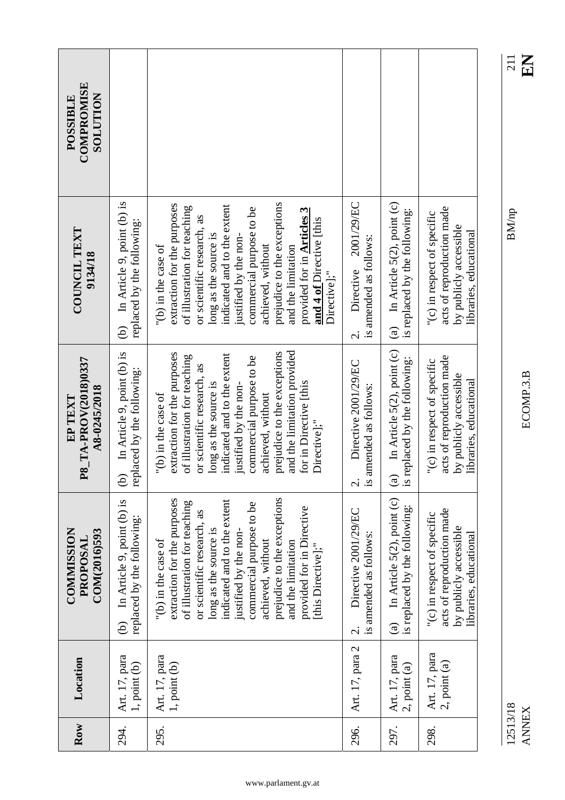| COMPROMISE<br><b>SOLUTION</b><br>POSSIBLE       |                                                                       |                                                                                                                                                                                                                                                                                                                                                                                                       |                                                                            |                                                                              |                                                                                                              |
|-------------------------------------------------|-----------------------------------------------------------------------|-------------------------------------------------------------------------------------------------------------------------------------------------------------------------------------------------------------------------------------------------------------------------------------------------------------------------------------------------------------------------------------------------------|----------------------------------------------------------------------------|------------------------------------------------------------------------------|--------------------------------------------------------------------------------------------------------------|
| COUNCIL TEXT<br>9134/18                         | In Article 9, point (b) is<br>replaced by the following:<br>$\hat{e}$ | prejudice to the exceptions<br>extraction for the purposes<br>indicated and to the extent<br>of illustration for teaching<br>commercial purpose to be<br>provided for in $\Delta$ rticles $3$<br>or scientific research, as<br>and 4 of Directive [this<br>long as the source is<br>justified by the non-<br>"(b) in the case of<br>achieved, without<br>and the limitation<br>Directive <sup>"</sup> | 2001/29/EC<br>is amended as follows:<br>Directive<br>$\dot{\mathcal{C}}$   | In Article 5(2), point (c)<br>is replaced by the following:<br>$\hat{a}$     | acts of reproduction made<br>"(c) in respect of specific<br>by publicly accessible<br>libraries, educational |
| P8_TA-PROV(2018)0337<br>A8-0245/2018<br>EP TEXT | In Article 9, point (b) is<br>replaced by the following:<br>$\Theta$  | and the limitation provided<br>prejudice to the exceptions<br>extraction for the purposes<br>indicated and to the extent<br>of illustration for teaching<br>commercial purpose to be<br>or scientific research, as<br>for in Directive [this<br>long as the source is<br>justified by the non-<br>"(b) in the case of<br>achieved, without<br>Directive];"                                            | Directive 2001/29/EC<br>amended as follows:<br>$\ddot{s}$ .<br>$\dot{\nu}$ | In Article 5(2), point (c)<br>is replaced by the following:<br>$\bigcirc$    | acts of reproduction made<br>"(c) in respect of specific<br>by publicly accessible<br>libraries, educational |
| <b>COMMISSION</b><br>COM(2016)593<br>PROPOSAL   | In Article 9, point (b) is<br>replaced by the following:<br>ව         | prejudice to the exceptions<br>extraction for the purposes<br>indicated and to the extent<br>of illustration for teaching<br>commercial purpose to be<br>provided for in Directive<br>or scientific research, as<br>long as the source is<br>justified by the non-<br>"(b) in the case of<br>achieved, without<br>and the limitation<br>[this Directive];"                                            | Directive 2001/29/EC<br>is amended as follows:<br>$\overline{\mathcal{C}}$ | In Article 5(2), point (c)<br>is replaced by the following:<br>$\widehat{a}$ | acts of reproduction made<br>"(c) in respect of specific<br>by publicly accessible<br>libraries, educational |
| Location                                        | Art. 17, para<br>1, point (b)                                         | Art. 17, para<br>1, point (b)                                                                                                                                                                                                                                                                                                                                                                         | Art. 17, para 2                                                            | Art. 17, para<br>$2$ , point $(a)$                                           | Art. 17, para<br>$2$ , point $(a)$                                                                           |
| Row                                             | 294.                                                                  | 295.                                                                                                                                                                                                                                                                                                                                                                                                  | 296.                                                                       | 297.                                                                         | 298.                                                                                                         |

12513/18<br>ANNEX

ANNEX ECOMP.3.B **EN** ECOMP.3.B

 $\frac{211}{2}$ 

12513/18 BM/np  $\rm B M/np$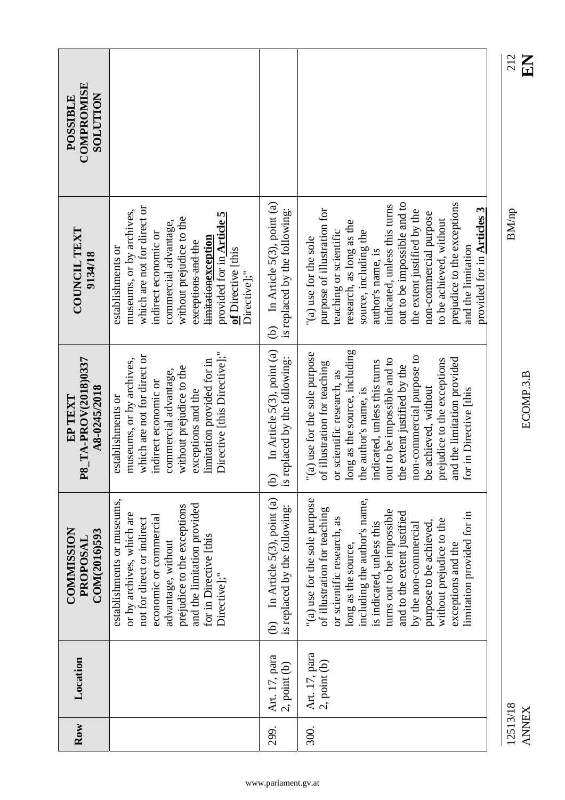| Row      | Location                      | <b>COMMISSION</b><br>COM(2016)593<br>PROPOSAL                                                                                                                                                                                                                                                                                                                                    | P8_TA-PROV(2018)0337<br>A8-0245/2018<br>EP TEXT                                                                                                                                                                                                                                                                                                                                                  | <b>COUNCIL TEXT</b><br>9134/18                                                                                                                                                                                                                                                                                                                                                                        | COMPROMISE<br><b>NOILUIOS</b><br><b>POSSIBLE</b> |
|----------|-------------------------------|----------------------------------------------------------------------------------------------------------------------------------------------------------------------------------------------------------------------------------------------------------------------------------------------------------------------------------------------------------------------------------|--------------------------------------------------------------------------------------------------------------------------------------------------------------------------------------------------------------------------------------------------------------------------------------------------------------------------------------------------------------------------------------------------|-------------------------------------------------------------------------------------------------------------------------------------------------------------------------------------------------------------------------------------------------------------------------------------------------------------------------------------------------------------------------------------------------------|--------------------------------------------------|
|          |                               | establishments or museums,<br>and the limitation provided<br>prejudice to the exceptions<br>or by archives, which are<br>economic or commercial<br>not for direct or indirect<br>for in Directive [this<br>advantage, without<br>Directive];"                                                                                                                                    | Directive [this Directive];"<br>which are not for direct or<br>museums, or by archives,<br>limitation provided for in<br>without prejudice to the<br>commercial advantage,<br>indirect economic or<br>exceptions and the<br>establishments or                                                                                                                                                    | which are not for direct or<br>museums, or by archives,<br>provided for in $\triangle$ rticle 5<br>without prejudice to the<br>commercial advantage,<br>indirect economic or<br><b>limitationexception</b><br>exceptions and the<br>establishments or<br>of Directive [this<br>Directive]:"                                                                                                           |                                                  |
| 299.     | Art. 17, para<br>2, point (b) | In Article 5(3), point (a)<br>is replaced by the following:<br>ව                                                                                                                                                                                                                                                                                                                 | In Article 5(3), point (a)<br>is replaced by the following:<br>$\widehat{\in}$                                                                                                                                                                                                                                                                                                                   | In Article 5(3), point (a)<br>is replaced by the following:<br>ව                                                                                                                                                                                                                                                                                                                                      |                                                  |
| 300.     | Art. 17, para<br>2, point (b) | including the author's name,<br>"(a) use for the sole purpose<br>of illustration for teaching<br>turns out to be impossible<br>and to the extent justified<br>limitation provided for in<br>or scientific research, as<br>without prejudice to the<br>purpose to be achieved,<br>is indicated, unless this<br>by the non-commercial<br>long as the source,<br>exceptions and the | long as the source, including<br>"(a) use for the sole purpose<br>non-commercial purpose to<br>out to be impossible and to<br>and the limitation provided<br>prejudice to the exceptions<br>indicated, unless this turns<br>of illustration for teaching<br>the extent justified by the<br>or scientific research, as<br>be achieved, without<br>the author's name, is<br>for in Directive [this | out to be impossible and to<br>prejudice to the exceptions<br>indicated, unless this turns<br>provided for in <b>Articles 3</b><br>purpose of illustration for<br>the extent justified by the<br>non-commercial purpose<br>to be achieved, without<br>research, as long as the<br>source, including the<br>teaching or scientific<br>"(a) use for the sole<br>and the limitation<br>author's name, is |                                                  |
| 12513/18 |                               |                                                                                                                                                                                                                                                                                                                                                                                  |                                                                                                                                                                                                                                                                                                                                                                                                  | <b>BM/np</b>                                                                                                                                                                                                                                                                                                                                                                                          | 212                                              |

 $\frac{212}{E N}$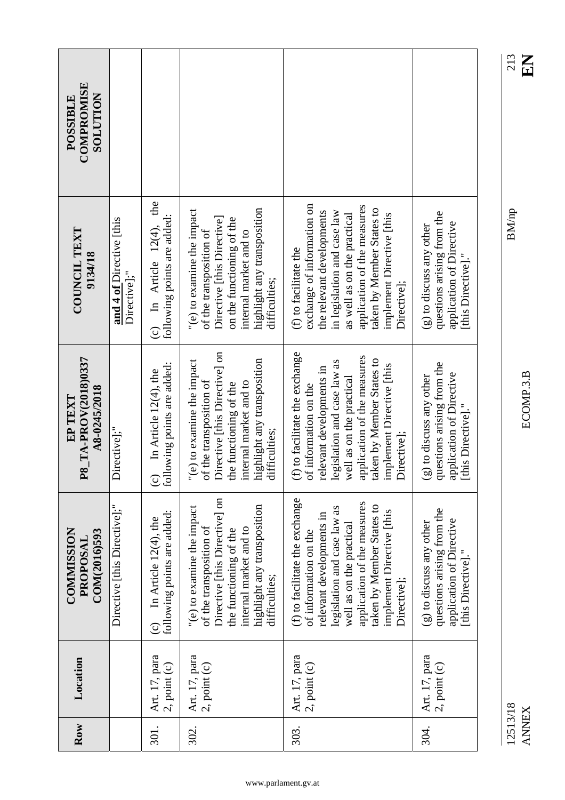| Row  | Location                           | <b>COMMISSION</b><br>COM(2016)593<br>PROPOSAI                                                                                                                                                                                                          | P8_TA-PROV(2018)0337<br>A8-0245/2018<br>${\rm FP}\, {\rm TEXT}$                                                                                                                                                                                        | <b>COUNCIL TEXT</b><br>9134/18                                                                                                                                                                                                                         | COMPROMISE<br><b>NOLLUTION</b><br>POSSIBLE |
|------|------------------------------------|--------------------------------------------------------------------------------------------------------------------------------------------------------------------------------------------------------------------------------------------------------|--------------------------------------------------------------------------------------------------------------------------------------------------------------------------------------------------------------------------------------------------------|--------------------------------------------------------------------------------------------------------------------------------------------------------------------------------------------------------------------------------------------------------|--------------------------------------------|
|      |                                    | Directive [this Directive];"                                                                                                                                                                                                                           | Directive];"                                                                                                                                                                                                                                           | and 4 of Directive [this<br>Directive];"                                                                                                                                                                                                               |                                            |
| 301. | Art. 17, para<br>$2$ , point $(c)$ | following points are added:<br>In Article 12(4), the<br>$\odot$                                                                                                                                                                                        | following points are added:<br>In Article 12(4), the<br>$\odot$                                                                                                                                                                                        | the<br>following points are added:<br>In Article $12(4)$ ,<br>$\widehat{c}$                                                                                                                                                                            |                                            |
| 302. | Art. 17, para<br>$2$ , point $(c)$ | Directive [this Directive] on<br>highlight any transposition<br>"(e) to examine the impact<br>of the transposition of<br>internal market and to<br>the functioning of the<br>difficulties;                                                             | Directive [this Directive] on<br>highlight any transposition<br>"(e) to examine the impact<br>of the transposition of<br>internal market and to<br>the functioning of the<br>difficulties;                                                             | highlight any transposition<br>"(e) to examine the impact<br>Directive [this Directive]<br>on the functioning of the<br>of the transposition of<br>internal market and to<br>difficulties;                                                             |                                            |
| 303. | Art. 17, para<br>2, point (c)      | (f) to facilitate the exchange<br>application of the measures<br>taken by Member States to<br>legislation and case law as<br>implement Directive [this<br>relevant developments in<br>well as on the practical<br>of information on the<br>Directive]; | (f) to facilitate the exchange<br>application of the measures<br>taken by Member States to<br>legislation and case law as<br>implement Directive [this<br>relevant developments in<br>well as on the practical<br>of information on the<br>Directive]; | exchange of information on<br>application of the measures<br>taken by Member States to<br>in legislation and case law<br>the relevant developments<br>as well as on the practical<br>implement Directive [this<br>(f) to facilitate the<br>Directive]; |                                            |
| 304. | Art. 17, para<br>2, point (c)      | questions arising from the<br>application of Directive<br>(g) to discuss any other<br>[this Directive]."                                                                                                                                               | questions arising from the<br>application of Directive<br>(g) to discuss any other<br>[this Directive]."                                                                                                                                               | questions arising from the<br>application of Directive<br>$(g)$ to discuss any other<br>[this Directive]."                                                                                                                                             |                                            |

12513/18 BM/np 12513/18<br>ANNEX

ANNEX ECOMP.3.B **EN** ECOMP.3.B

 $\frac{213}{12}$ 

 $\rm B M/np$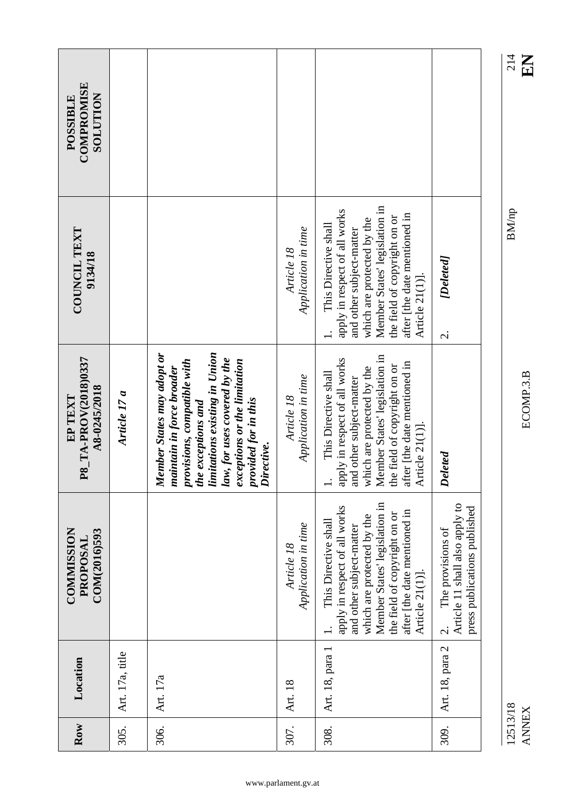| COMPROMISE<br><b>NOILLIDTIOS</b><br><b>POSSIBLE</b> |                 |                                                                                                                                                                                                                                                     |                                   |                                                                                                                                                                                                                                                      |                                                                                                            |
|-----------------------------------------------------|-----------------|-----------------------------------------------------------------------------------------------------------------------------------------------------------------------------------------------------------------------------------------------------|-----------------------------------|------------------------------------------------------------------------------------------------------------------------------------------------------------------------------------------------------------------------------------------------------|------------------------------------------------------------------------------------------------------------|
| <b>COUNCIL TEXT</b><br>9134/18                      |                 |                                                                                                                                                                                                                                                     | Application in time<br>Article 18 | Member States' legislation in<br>apply in respect of all works<br>after [the date mentioned in<br>the field of copyright on or<br>which are protected by the<br>This Directive shall<br>and other subject-matter<br>Article 21(1)].                  | [Deleted]<br>$\dot{\mathcal{C}}$                                                                           |
| P8_TA-PROV(2018)0337<br>A8-0245/2018<br>EP TEXT     | Article 17 a    | Member States may adopt or<br>limitations existing in Union<br>law, for uses covered by the<br>provisions, compatible with<br>the exceptions and<br>exceptions or the limitation<br>maintain in force broader<br>provided for in this<br>Directive. | Application in time<br>Article 18 | Member States' legislation in<br>apply in respect of all works<br>after [the date mentioned in<br>the field of copyright on or<br>which are protected by the<br>This Directive shall<br>and other subject-matter<br>Article 21(1)]<br>$\overline{a}$ | Deleted                                                                                                    |
| <b>COMMISSION</b><br>COM(2016)593<br>PROPOSAI       |                 |                                                                                                                                                                                                                                                     | Application in time<br>Article 18 | Member States' legislation in<br>apply in respect of all works<br>after [the date mentioned in<br>the field of copyright on or<br>which are protected by the<br>This Directive shall<br>and other subject-matter<br>Article 21(1)].                  | Article 11 shall also apply to<br>press publications published<br>The provisions of<br>$\dot{\mathcal{C}}$ |
| Location                                            | Art. 17a, title | Art. 17a                                                                                                                                                                                                                                            | Art. 18                           | Art. 18, para 1                                                                                                                                                                                                                                      | Art. 18, para 2                                                                                            |
| Row                                                 | 305.            | 306.                                                                                                                                                                                                                                                | 307.                              | 308.                                                                                                                                                                                                                                                 | 309.                                                                                                       |

12513/18 BM/np 214  $\rm BM/np$ 

 $\frac{214}{E}$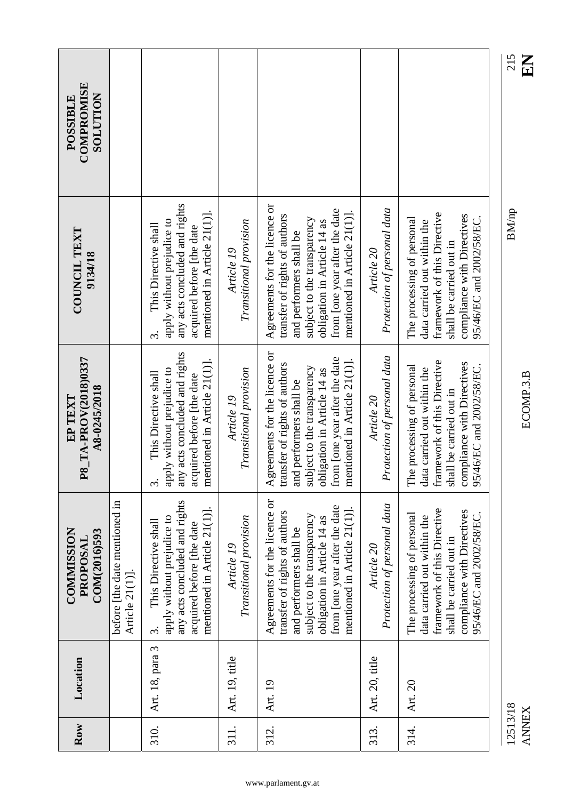| before [the date mentioned in<br><b>COMMISSION</b><br>COM(2016)593<br>PROPOSAL<br>Article 21(1)].<br>Location                                                                                                                         |  | P8 TA-PROV(2018)0337<br>A8-0245/2018<br>EP TEXT                                                                                                                                                                             | <b>COUNCIL TEXT</b><br>9134/18                                                                                                                                                                                              | <b>COMPROMISE</b><br><b>NOLLLIDTIOS</b><br>POSSIBLE |
|---------------------------------------------------------------------------------------------------------------------------------------------------------------------------------------------------------------------------------------|--|-----------------------------------------------------------------------------------------------------------------------------------------------------------------------------------------------------------------------------|-----------------------------------------------------------------------------------------------------------------------------------------------------------------------------------------------------------------------------|-----------------------------------------------------|
| $\dot{\epsilon}$<br>any acts concluded and rights<br>mentioned in Article $21(1)$ ].<br>apply without prejudice to<br>This Directive shall<br>acquired before [the date<br>$\dot{\mathfrak{c}}$<br>Art. 18, para 3                    |  | any acts concluded and rights<br>mentioned in Article 21(1)].<br>apply without prejudice to<br>This Directive shall<br>acquired before [the date                                                                            | any acts concluded and rights<br>mentioned in Article 21(1)].<br>apply without prejudice to<br>This Directive shall<br>acquired before [the date<br>$\dot{\mathfrak{c}}$                                                    |                                                     |
| Transitional provision<br>Article 19<br>Art. 19, title                                                                                                                                                                                |  | Transitional provision<br>Article 19                                                                                                                                                                                        | Transitional provision<br>Article 19                                                                                                                                                                                        |                                                     |
| Agreements for the licence or<br>from [one year after the date<br>mentioned in Article $21(1)$ ]<br>transfer of rights of authors<br>subject to the transparency<br>obligation in Article 14 as<br>and performers shall be<br>Art. 19 |  | Agreements for the licence or<br>from [one year after the date<br>mentioned in Article $21(1)$ ].<br>transfer of rights of authors<br>subject to the transparency<br>obligation in Article 14 as<br>and performers shall be | Agreements for the licence or<br>from [one year after the date<br>mentioned in Article $21(1)$ ].<br>transfer of rights of authors<br>subject to the transparency<br>obligation in Article 14 as<br>and performers shall be |                                                     |
| Protection of personal data<br>Article 20<br>Art. 20, title                                                                                                                                                                           |  | Protection of personal data<br>Article 20                                                                                                                                                                                   | Protection of personal data<br>Article 20                                                                                                                                                                                   |                                                     |
| 95<br>framework of this Directive<br>compliance with Directives<br>The processing of personal<br>95/46/EC and 2002/58/EC.<br>data carried out within the<br>shall be carried out in<br>Art. 20                                        |  | framework of this Directive<br>compliance with Directives<br>The processing of personal<br>46/EC and 2002/58/EC<br>data carried out within the<br>shall be carried out in                                                   | framework of this Directive<br>compliance with Directives<br>The processing of personal<br>95/46/EC and 2002/58/EC.<br>data carried out within the<br>shall be carried out in                                               |                                                     |
| 12513/18<br><b>ANNEX</b>                                                                                                                                                                                                              |  | ECOMP.3.B                                                                                                                                                                                                                   | <b>BM/np</b>                                                                                                                                                                                                                | 215<br>$\mathbf{E}$                                 |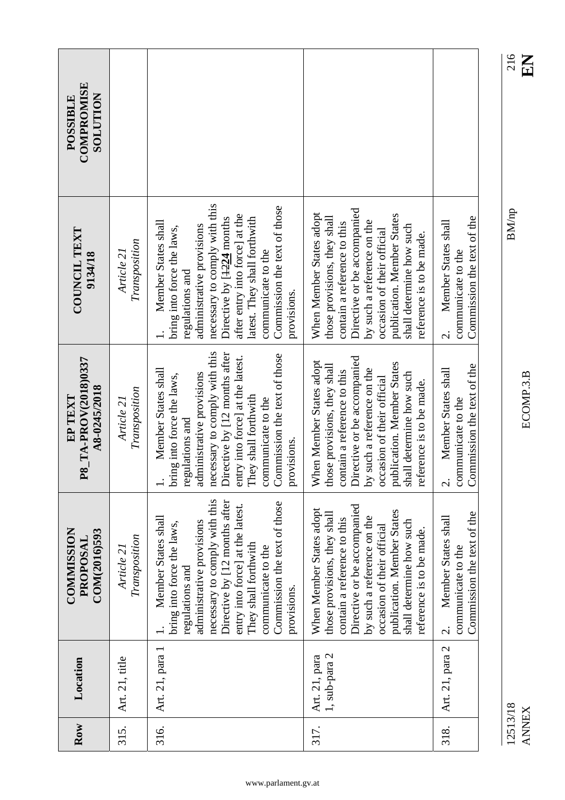| <b>COMPROMISE</b><br><b>NOLLUTION</b><br>POSSIBLE |                                    |                                                                                                                                                                                                                                                                                                        |                                                                                                                                                                                                                                                                          |                                                                                                |
|---------------------------------------------------|------------------------------------|--------------------------------------------------------------------------------------------------------------------------------------------------------------------------------------------------------------------------------------------------------------------------------------------------------|--------------------------------------------------------------------------------------------------------------------------------------------------------------------------------------------------------------------------------------------------------------------------|------------------------------------------------------------------------------------------------|
| COUNCIL TEXT<br>9134/18                           | Transposition<br>Article 21        | necessary to comply with this<br>Commission the text of those<br>after entry into force] at the<br>Directive by [1224 months<br>latest. They shall forthwith<br>Member States shall<br>administrative provisions<br>bring into force the laws,<br>communicate to the<br>regulations and<br>provisions. | Directive or be accompanied<br>When Member States adopt<br>publication. Member States<br>those provisions, they shall<br>by such a reference on the<br>contain a reference to this<br>shall determine how such<br>occasion of their official<br>reference is to be made. | Commission the text of the<br>Member States shall<br>communicate to the<br>$\dot{\mathcal{C}}$ |
| P8_TA-PROV(2018)0337<br>A8-0245/2018<br>EP TEXT   | Transposition<br>Article 21        | necessary to comply with this<br>Directive by [12 months after<br>Commission the text of those<br>entry into force] at the latest.<br>Member States shall<br>administrative provisions<br>bring into force the laws,<br>They shall forthwith<br>communicate to the<br>regulations and<br>provisions.   | Directive or be accompanied<br>When Member States adopt<br>publication. Member States<br>those provisions, they shall<br>by such a reference on the<br>contain a reference to this<br>shall determine how such<br>occasion of their official<br>reference is to be made. | Commission the text of the<br>Member States shall<br>communicate to the<br>$\dot{\nu}$         |
| <b>COMMISSION</b><br>COM(2016)593<br>PROPOSAL     | Transposition<br><i>Article 21</i> | necessary to comply with this<br>Directive by [12 months after<br>Commission the text of those<br>entry into force] at the latest.<br>Member States shall<br>administrative provisions<br>bring into force the laws,<br>They shall forthwith<br>communicate to the<br>regulations and<br>provisions.   | Directive or be accompanied<br>When Member States adopt<br>publication. Member States<br>those provisions, they shall<br>by such a reference on the<br>contain a reference to this<br>shall determine how such<br>occasion of their official<br>reference is to be made. | Commission the text of the<br>Member States shall<br>communicate to the<br>$\dot{\mathcal{C}}$ |
| Location                                          | Art. 21, title                     | Art. 21, para 1                                                                                                                                                                                                                                                                                        | 1, sub-para 2<br>Art. 21, para                                                                                                                                                                                                                                           | Art. 21, para 2                                                                                |
| Row                                               | 315.                               | 316.                                                                                                                                                                                                                                                                                                   | 317.                                                                                                                                                                                                                                                                     | 318.                                                                                           |

12513/18<br>ANNEX

 $\frac{216}{E}$ 12513/18 BM/np 216

 $\rm BM/np$ 

www.parlament.gv.at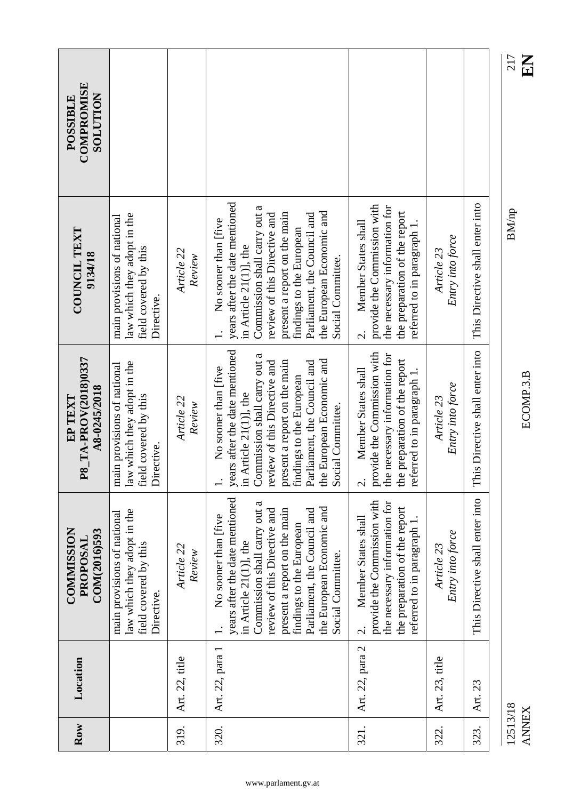|                                                   |                                                                                                   |                      |                                                                                                                                                                                                                                                                                                  |                                                                                                                                                                                 |                                |                                 | 217<br>$\mathbf{E}$      |
|---------------------------------------------------|---------------------------------------------------------------------------------------------------|----------------------|--------------------------------------------------------------------------------------------------------------------------------------------------------------------------------------------------------------------------------------------------------------------------------------------------|---------------------------------------------------------------------------------------------------------------------------------------------------------------------------------|--------------------------------|---------------------------------|--------------------------|
| <b>COMPROMISE</b><br><b>NOLLLIDTI</b><br>POSSIBLE |                                                                                                   |                      |                                                                                                                                                                                                                                                                                                  |                                                                                                                                                                                 |                                |                                 |                          |
| <b>COUNCIL TEXT</b><br>9134/18                    | law which they adopt in the<br>main provisions of national<br>field covered by this<br>Directive. | Article 22<br>Review | years after the date mentioned<br>Commission shall carry out a<br>the European Economic and<br>review of this Directive and<br>present a report on the main<br>Parliament, the Council and<br>No sooner than [five<br>findings to the European<br>in Article $21(1)$ ], the<br>Social Committee. | provide the Commission with<br>the necessary information for<br>the preparation of the report<br>Member States shall<br>referred to in paragraph 1.<br>$\overline{\mathcal{N}}$ | Entry into force<br>Article 23 | This Directive shall enter into | <b>BM/np</b>             |
| P8_TA-PROV(2018)0337<br>A8-0245/2018<br>EP TEXT   | law which they adopt in the<br>main provisions of national<br>field covered by this<br>Directive. | Article 22<br>Review | years after the date mentioned<br>Commission shall carry out a<br>the European Economic and<br>review of this Directive and<br>Parliament, the Council and<br>present a report on the main<br>No sooner than [five<br>findings to the European<br>in Article $21(1)$ ], the<br>Social Committee. | provide the Commission with<br>the necessary information for<br>the preparation of the report<br>Member States shall<br>referred to in paragraph 1.<br>$\dot{\mathcal{E}}$      | Entry into force<br>Article 23 | This Directive shall enter into | ECOMP.3.B                |
| <b>COMMISSION</b><br>COM(2016)593<br>PROPOSAL     | law which they adopt in the<br>main provisions of national<br>field covered by this<br>Directive. | Article 22<br>Review | years after the date mentioned<br>Commission shall carry out a<br>the European Economic and<br>review of this Directive and<br>present a report on the main<br>Parliament, the Council and<br>No sooner than [five<br>findings to the European<br>in Article $21(1)$ ], the<br>Social Committee. | provide the Commission with<br>the necessary information for<br>the preparation of the report<br>Member States shall<br>referred to in paragraph 1.<br>$\overline{\mathcal{C}}$ | Entry into force<br>Article 23 | This Directive shall enter into |                          |
| Location                                          |                                                                                                   | Art. 22, title       | Art. 22, para 1                                                                                                                                                                                                                                                                                  | Art. 22, para 2                                                                                                                                                                 | Art. 23, title                 | Art. 23                         |                          |
| Row                                               |                                                                                                   | 319.                 | 320.                                                                                                                                                                                                                                                                                             | 321.                                                                                                                                                                            | 322.                           | 323.                            | 12513/18<br><b>ANNEX</b> |